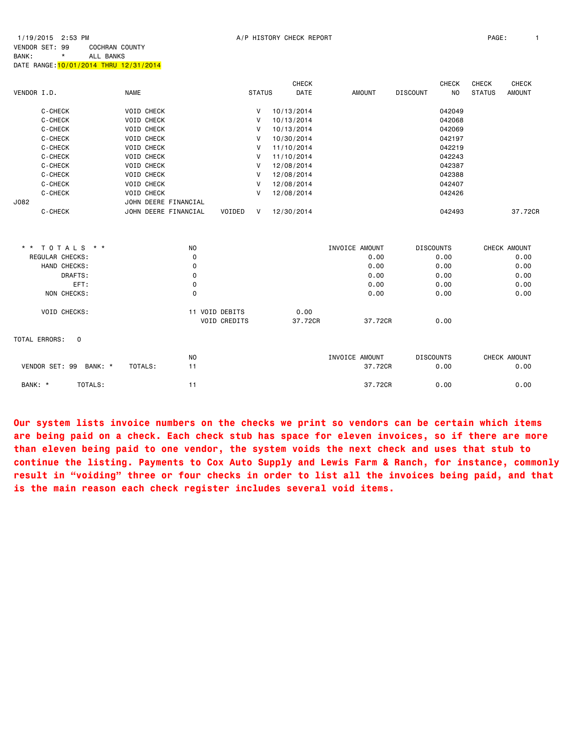J082 JOHN DEERE FINANCIAL

| VENDOR I.D. |         | <b>NAME</b> |                   | <b>STATUS</b> |            | <b>CHECK</b><br>DATE | <b>AMOUNT</b> | <b>DISCOUNT</b> | <b>CHECK</b><br>NO. | <b>CHECK</b><br><b>STATUS</b> | <b>CHECK</b><br><b>AMOUNT</b> |
|-------------|---------|-------------|-------------------|---------------|------------|----------------------|---------------|-----------------|---------------------|-------------------------------|-------------------------------|
|             | C-CHECK |             | <b>VOID CHECK</b> | v             | 10/13/2014 |                      |               |                 | 042049              |                               |                               |
|             | C-CHECK |             | <b>VOID CHECK</b> | v             | 10/13/2014 |                      |               |                 | 042068              |                               |                               |
|             | C-CHECK |             | <b>VOID CHECK</b> | v             | 10/13/2014 |                      |               |                 | 042069              |                               |                               |
|             | C-CHECK |             | <b>VOID CHECK</b> | v             | 10/30/2014 |                      |               |                 | 042197              |                               |                               |
|             | C-CHECK |             | <b>VOID CHECK</b> | v             | 11/10/2014 |                      |               |                 | 042219              |                               |                               |
|             | C-CHECK |             | <b>VOID CHECK</b> | v             | 11/10/2014 |                      |               |                 | 042243              |                               |                               |
|             | C-CHECK |             | <b>VOID CHECK</b> | v             | 12/08/2014 |                      |               |                 | 042387              |                               |                               |
|             | C-CHECK |             | <b>VOID CHECK</b> | V             | 12/08/2014 |                      |               |                 | 042388              |                               |                               |

 C-CHECK VOID CHECK V 12/08/2014 042407 C-CHECK VOID CHECK V 12/08/2014

| C-CHECK                   | JOHN DEERE FINANCIAL | VOIDED<br>V    | 12/30/2014 |                | 042493           | 37,72CR      |
|---------------------------|----------------------|----------------|------------|----------------|------------------|--------------|
|                           | <b>NO</b>            |                |            |                |                  |              |
| * * TOTALS * *            |                      |                |            | INVOICE AMOUNT | <b>DISCOUNTS</b> | CHECK AMOUNT |
| REGULAR CHECKS:           | 0                    |                |            | 0.00           | 0.00             | 0.00         |
| HAND CHECKS:              | 0                    |                |            | 0.00           | 0.00             | 0.00         |
| DRAFTS:                   | 0                    |                |            | 0.00           | 0.00             | 0.00         |
| EFT:                      | 0                    |                |            | 0.00           | 0.00             | 0.00         |
| NON CHECKS:               | 0                    |                |            | 0.00           | 0.00             | 0.00         |
| VOID CHECKS:              |                      | 11 VOID DEBITS | 0.00       |                |                  |              |
|                           |                      | VOID CREDITS   | 37.72CR    | 37.72CR        | 0.00             |              |
| TOTAL ERRORS:<br>$\Omega$ |                      |                |            |                |                  |              |
|                           | N <sub>0</sub>       |                |            | INVOICE AMOUNT | <b>DISCOUNTS</b> | CHECK AMOUNT |
| VENDOR SET: 99<br>BANK: * | 11<br>TOTALS:        |                |            | 37.72CR        | 0.00             | 0.00         |
| TOTALS:<br>BANK: *        | 11                   |                |            | 37.72CR        | 0.00             | 0.00         |

**Our system lists invoice numbers on the checks we print so vendors can be certain which items are being paid on a check. Each check stub has space for eleven invoices, so if there are more than eleven being paid to one vendor, the system voids the next check and uses that stub to continue the listing. Payments to Cox Auto Supply and Lewis Farm & Ranch, for instance, commonly result in "voiding" three or four checks in order to list all the invoices being paid, and that is the main reason each check register includes several void items.**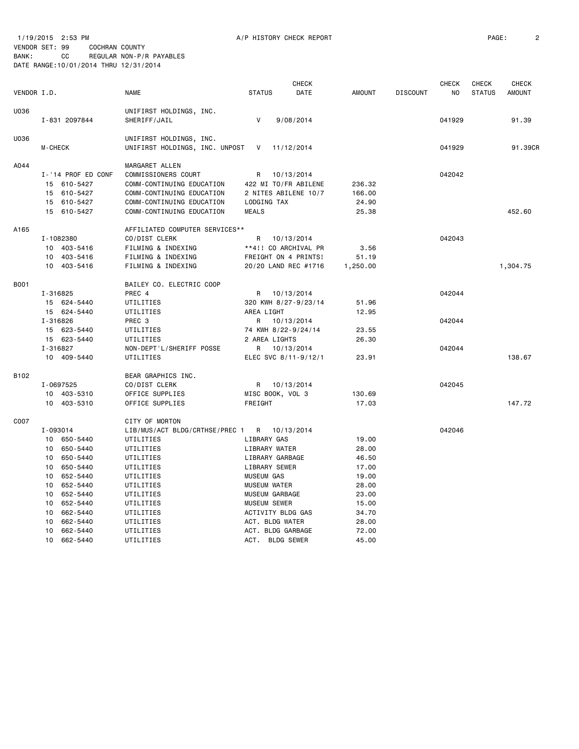1/19/2015 2:53 PM A/P HISTORY CHECK REPORT PAGE: 2 VENDOR SET: 99 COCHRAN COUNTY BANK: CC REGULAR NON-P/R PAYABLES DATE RANGE:10/01/2014 THRU 12/31/2014

| VENDOR I.D. |                                                                                                                                                                                                                               | <b>NAME</b>                                                                                                                                                                                                  | <b>STATUS</b>                                                                                                                                                                                                                       | CHECK<br>DATE                      | <b>AMOUNT</b>                                                                                            | <b>DISCOUNT</b> | CHECK<br>NO      | <b>CHECK</b><br><b>STATUS</b> | <b>CHECK</b><br><b>AMOUNT</b> |
|-------------|-------------------------------------------------------------------------------------------------------------------------------------------------------------------------------------------------------------------------------|--------------------------------------------------------------------------------------------------------------------------------------------------------------------------------------------------------------|-------------------------------------------------------------------------------------------------------------------------------------------------------------------------------------------------------------------------------------|------------------------------------|----------------------------------------------------------------------------------------------------------|-----------------|------------------|-------------------------------|-------------------------------|
| U036        | I-831 2097844                                                                                                                                                                                                                 | UNIFIRST HOLDINGS, INC.<br>SHERIFF/JAIL                                                                                                                                                                      | V                                                                                                                                                                                                                                   | 9/08/2014                          |                                                                                                          |                 | 041929           |                               | 91.39                         |
| U036        | M-CHECK                                                                                                                                                                                                                       | UNIFIRST HOLDINGS, INC.<br>UNIFIRST HOLDINGS, INC. UNPOST                                                                                                                                                    | V                                                                                                                                                                                                                                   | 11/12/2014                         |                                                                                                          |                 | 041929           |                               | 91.39CR                       |
| A044        | I-'14 PROF ED CONF<br>15 610-5427<br>15 610-5427<br>15 610-5427<br>15<br>610-5427                                                                                                                                             | MARGARET ALLEN<br>COMMISSIONERS COURT<br>COMM-CONTINUING EDUCATION<br>COMM-CONTINUING EDUCATION<br>COMM-CONTINUING EDUCATION<br>COMM-CONTINUING EDUCATION                                                    | R<br>2 NITES ABILENE 10/7<br>LODGING TAX<br><b>MEALS</b>                                                                                                                                                                            | 10/13/2014<br>422 MI TO/FR ABILENE | 236.32<br>166.00<br>24.90<br>25.38                                                                       |                 | 042042           |                               | 452.60                        |
| A165        | I-1082380<br>10 403-5416<br>10 403-5416<br>10 403-5416                                                                                                                                                                        | AFFILIATED COMPUTER SERVICES**<br>CO/DIST CLERK<br>FILMING & INDEXING<br>FILMING & INDEXING<br>FILMING & INDEXING                                                                                            | R<br>**4!! CO ARCHIVAL PR<br>FREIGHT ON 4 PRINTS!<br>20/20 LAND REC #1716                                                                                                                                                           | 10/13/2014                         | 3.56<br>51.19<br>1,250.00                                                                                |                 | 042043           |                               | 1,304.75                      |
| B001        | I-316825<br>15 624-5440<br>15 624-5440                                                                                                                                                                                        | BAILEY CO. ELECTRIC COOP<br>PREC 4<br>UTILITIES<br>UTILITIES                                                                                                                                                 | R<br>320 KWH 8/27-9/23/14<br>AREA LIGHT                                                                                                                                                                                             | 10/13/2014                         | 51.96<br>12.95                                                                                           |                 | 042044           |                               |                               |
|             | I-316826<br>15 623-5440<br>15 623-5440<br>I-316827<br>10 409-5440                                                                                                                                                             | PREC <sub>3</sub><br>UTILITIES<br>UTILITIES<br>NON-DEPT'L/SHERIFF POSSE<br>UTILITIES                                                                                                                         | R<br>74 KWH 8/22-9/24/14<br>2 AREA LIGHTS<br>R<br>ELEC SVC 8/11-9/12/1                                                                                                                                                              | 10/13/2014<br>10/13/2014           | 23.55<br>26.30<br>23.91                                                                                  |                 | 042044<br>042044 |                               | 138.67                        |
| B102        | I-0697525<br>403-5310<br>10<br>10<br>403-5310                                                                                                                                                                                 | BEAR GRAPHICS INC.<br>CO/DIST CLERK<br>OFFICE SUPPLIES<br>OFFICE SUPPLIES                                                                                                                                    | R<br>MISC BOOK, VOL 3<br>FREIGHT                                                                                                                                                                                                    | 10/13/2014                         | 130.69<br>17.03                                                                                          |                 | 042045           |                               | 147.72                        |
| C007        | I-093014<br>10 650-5440<br>650-5440<br>10<br>10<br>650-5440<br>650-5440<br>10<br>652-5440<br>10<br>652-5440<br>10<br>652-5440<br>10<br>10<br>652-5440<br>662-5440<br>10<br>662-5440<br>10<br>662-5440<br>10<br>10<br>662-5440 | CITY OF MORTON<br>LIB/MUS/ACT BLDG/CRTHSE/PREC 1<br>UTILITIES<br>UTILITIES<br>UTILITIES<br>UTILITIES<br>UTILITIES<br>UTILITIES<br>UTILITIES<br>UTILITIES<br>UTILITIES<br>UTILITIES<br>UTILITIES<br>UTILITIES | R<br>LIBRARY GAS<br>LIBRARY WATER<br>LIBRARY GARBAGE<br>LIBRARY SEWER<br><b>MUSEUM GAS</b><br><b>MUSEUM WATER</b><br>MUSEUM GARBAGE<br>MUSEUM SEWER<br>ACTIVITY BLDG GAS<br>ACT. BLDG WATER<br>ACT. BLDG GARBAGE<br>ACT. BLDG SEWER | 10/13/2014                         | 19.00<br>28.00<br>46.50<br>17.00<br>19.00<br>28.00<br>23.00<br>15.00<br>34.70<br>28.00<br>72.00<br>45.00 |                 | 042046           |                               |                               |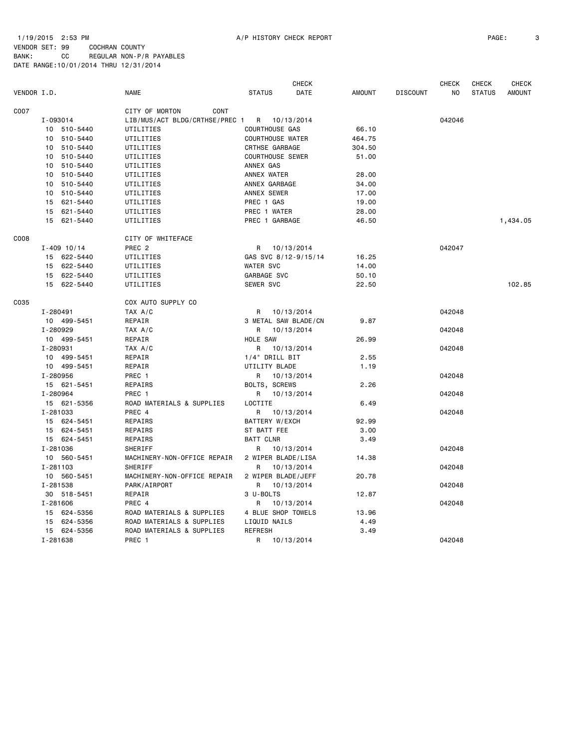1/19/2015 2:53 PM A/P HISTORY CHECK REPORT PAGE: 3 VENDOR SET: 99 COCHRAN COUNTY BANK: CC REGULAR NON-P/R PAYABLES DATE RANGE:10/01/2014 THRU 12/31/2014

|             |                 |                                |                         | <b>CHECK</b> |               |                 | <b>CHECK</b> | <b>CHECK</b>  | CHECK         |
|-------------|-----------------|--------------------------------|-------------------------|--------------|---------------|-----------------|--------------|---------------|---------------|
| VENDOR I.D. |                 | NAME                           | <b>STATUS</b>           | DATE         | <b>AMOUNT</b> | <b>DISCOUNT</b> | NO           | <b>STATUS</b> | <b>AMOUNT</b> |
| C007        |                 | CITY OF MORTON<br>CONT         |                         |              |               |                 |              |               |               |
|             | I-093014        | LIB/MUS/ACT BLDG/CRTHSE/PREC 1 | R 10/13/2014            |              |               |                 | 042046       |               |               |
|             | 10 510-5440     | UTILITIES                      | <b>COURTHOUSE GAS</b>   |              | 66.10         |                 |              |               |               |
|             | 510-5440<br>10  | UTILITIES                      | <b>COURTHOUSE WATER</b> |              | 464.75        |                 |              |               |               |
|             | 10<br>510-5440  | UTILITIES                      | <b>CRTHSE GARBAGE</b>   |              | 304.50        |                 |              |               |               |
|             | 510-5440<br>10  | UTILITIES                      | <b>COURTHOUSE SEWER</b> |              | 51.00         |                 |              |               |               |
|             | 510-5440<br>10  | UTILITIES                      | ANNEX GAS               |              |               |                 |              |               |               |
|             | 10 510-5440     | UTILITIES                      | ANNEX WATER             |              | 28.00         |                 |              |               |               |
|             | 10 510-5440     | UTILITIES                      | ANNEX GARBAGE           |              | 34.00         |                 |              |               |               |
|             | 10 510-5440     | UTILITIES                      | ANNEX SEWER             |              | 17.00         |                 |              |               |               |
|             | 15 621-5440     | UTILITIES                      | PREC 1 GAS              |              | 19.00         |                 |              |               |               |
|             | 15 621-5440     | UTILITIES                      | PREC 1 WATER            |              | 28.00         |                 |              |               |               |
|             | 15 621-5440     | UTILITIES                      | PREC 1 GARBAGE          |              | 46.50         |                 |              |               | 1,434.05      |
| C008        |                 | CITY OF WHITEFACE              |                         |              |               |                 |              |               |               |
|             | $I - 409$ 10/14 | PREC <sub>2</sub>              | R 10/13/2014            |              |               |                 | 042047       |               |               |
|             | 15 622-5440     | UTILITIES                      | GAS SVC 8/12-9/15/14    |              | 16.25         |                 |              |               |               |
|             | 15 622-5440     | UTILITIES                      | WATER SVC               |              | 14.00         |                 |              |               |               |
|             | 15 622-5440     | UTILITIES                      | GARBAGE SVC             |              | 50.10         |                 |              |               |               |
|             | 15 622-5440     | UTILITIES                      | SEWER SVC               |              | 22.50         |                 |              |               | 102.85        |
| C035        |                 | COX AUTO SUPPLY CO             |                         |              |               |                 |              |               |               |
|             | I-280491        | TAX A/C                        | R                       | 10/13/2014   |               |                 | 042048       |               |               |
|             | 10 499-5451     | REPAIR                         | 3 METAL SAW BLADE/CN    |              | 9.87          |                 |              |               |               |
|             | I-280929        | TAX A/C                        | R                       | 10/13/2014   |               |                 | 042048       |               |               |
|             | 10 499-5451     | REPAIR                         | HOLE SAW                |              | 26.99         |                 |              |               |               |
|             | I-280931        | TAX A/C                        | R 10/13/2014            |              |               |                 | 042048       |               |               |
|             | 10 499-5451     | REPAIR                         | 1/4" DRILL BIT          |              | 2.55          |                 |              |               |               |
|             | 10 499-5451     | REPAIR                         | UTILITY BLADE           |              | 1.19          |                 |              |               |               |
|             | I-280956        | PREC 1                         | R 10/13/2014            |              |               |                 | 042048       |               |               |
|             | 15 621-5451     | REPAIRS                        | BOLTS, SCREWS           |              | 2.26          |                 |              |               |               |
|             | I-280964        | PREC <sub>1</sub>              | R                       | 10/13/2014   |               |                 | 042048       |               |               |
|             | 15 621-5356     | ROAD MATERIALS & SUPPLIES      | LOCTITE                 |              | 6.49          |                 |              |               |               |
|             | I-281033        | PREC 4                         | R 10/13/2014            |              |               |                 | 042048       |               |               |
|             | 15 624-5451     | REPAIRS                        | BATTERY W/EXCH          |              | 92.99         |                 |              |               |               |
|             | 15 624-5451     | REPAIRS                        | ST BATT FEE             |              | 3.00          |                 |              |               |               |
|             | 15 624-5451     | REPAIRS                        | <b>BATT CLNR</b>        |              | 3.49          |                 |              |               |               |
|             | I-281036        | SHERIFF                        | R                       | 10/13/2014   |               |                 | 042048       |               |               |
|             | 10 560-5451     | MACHINERY-NON-OFFICE REPAIR    | 2 WIPER BLADE/LISA      |              | 14.38         |                 |              |               |               |
|             | I-281103        | SHERIFF                        | R                       | 10/13/2014   |               |                 | 042048       |               |               |
|             | 10 560-5451     | MACHINERY-NON-OFFICE REPAIR    | 2 WIPER BLADE/JEFF      |              | 20.78         |                 |              |               |               |
|             | I-281538        | PARK/AIRPORT                   | R                       | 10/13/2014   |               |                 | 042048       |               |               |
|             | 30 518-5451     | REPAIR                         | 3 U-BOLTS               |              | 12.87         |                 |              |               |               |
|             | I-281606        | PREC 4                         | R                       | 10/13/2014   |               |                 | 042048       |               |               |
|             | 15 624-5356     | ROAD MATERIALS & SUPPLIES      | 4 BLUE SHOP TOWELS      |              | 13.96         |                 |              |               |               |
|             | 15 624-5356     | ROAD MATERIALS & SUPPLIES      | LIQUID NAILS            |              | 4.49          |                 |              |               |               |
|             | 15 624-5356     | ROAD MATERIALS & SUPPLIES      | <b>REFRESH</b>          |              | 3.49          |                 |              |               |               |
|             | I-281638        | PREC 1                         | R                       | 10/13/2014   |               |                 | 042048       |               |               |
|             |                 |                                |                         |              |               |                 |              |               |               |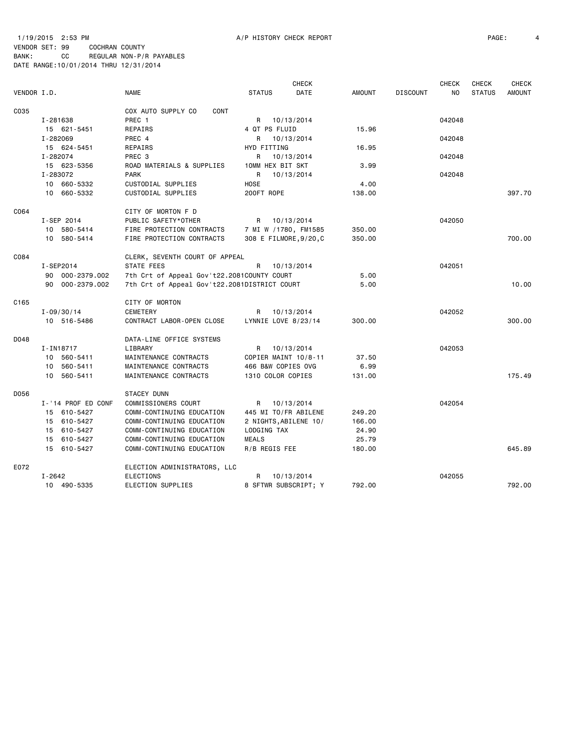# 1/19/2015 2:53 PM A/P HISTORY CHECK REPORT PAGE: 4 VENDOR SET: 99 COCHRAN COUNTY

|             |                    |                                              |                        | <b>CHECK</b> |               |                 | <b>CHECK</b> | <b>CHECK</b>  | <b>CHECK</b>  |
|-------------|--------------------|----------------------------------------------|------------------------|--------------|---------------|-----------------|--------------|---------------|---------------|
| VENDOR I.D. |                    | <b>NAME</b>                                  | <b>STATUS</b>          | DATE         | <b>AMOUNT</b> | <b>DISCOUNT</b> | NO.          | <b>STATUS</b> | <b>AMOUNT</b> |
| C035        |                    | COX AUTO SUPPLY CO<br><b>CONT</b>            |                        |              |               |                 |              |               |               |
|             | I-281638           | PREC <sub>1</sub>                            | R 10/13/2014           |              |               |                 | 042048       |               |               |
|             | 15 621-5451        | REPAIRS                                      | 4 QT PS FLUID          |              | 15.96         |                 |              |               |               |
|             | I-282069           | PREC 4                                       | R 10/13/2014           |              |               |                 | 042048       |               |               |
|             | 15 624-5451        | REPAIRS                                      | HYD FITTING            |              | 16.95         |                 |              |               |               |
|             | I-282074           | PREC <sub>3</sub>                            | R                      | 10/13/2014   |               |                 | 042048       |               |               |
|             | 15 623-5356        | ROAD MATERIALS & SUPPLIES                    | 10MM HEX BIT SKT       |              | 3.99          |                 |              |               |               |
|             | I-283072           | <b>PARK</b>                                  | R                      | 10/13/2014   |               |                 | 042048       |               |               |
|             | 10 660-5332        | CUSTODIAL SUPPLIES                           | HOSE                   |              | 4.00          |                 |              |               |               |
|             | 10 660-5332        | CUSTODIAL SUPPLIES                           | 200FT ROPE             |              | 138,00        |                 |              |               | 397.70        |
| C064        |                    | CITY OF MORTON F D                           |                        |              |               |                 |              |               |               |
|             | I-SEP 2014         | PUBLIC SAFETY*OTHER                          | R 10/13/2014           |              |               |                 | 042050       |               |               |
|             | 10 580-5414        | FIRE PROTECTION CONTRACTS                    | 7 MI W /1780, FM1585   |              | 350.00        |                 |              |               |               |
|             | 10 580-5414        | FIRE PROTECTION CONTRACTS                    | 308 E FILMORE, 9/20, C |              | 350.00        |                 |              |               | 700.00        |
| C084        |                    | CLERK, SEVENTH COURT OF APPEAL               |                        |              |               |                 |              |               |               |
|             | I-SEP2014          | STATE FEES                                   | R                      | 10/13/2014   |               |                 | 042051       |               |               |
|             | 90 000-2379.002    | 7th Crt of Appeal Gov't22.2081COUNTY COURT   |                        |              | 5.00          |                 |              |               |               |
|             | 90 000-2379.002    | 7th Crt of Appeal Gov't22.2081DISTRICT COURT |                        |              | 5.00          |                 |              |               | 10.00         |
| C165        |                    | CITY OF MORTON                               |                        |              |               |                 |              |               |               |
|             | $I - 09/30/14$     | CEMETERY                                     | R                      | 10/13/2014   |               |                 | 042052       |               |               |
|             | 10 516-5486        | CONTRACT LABOR-OPEN CLOSE                    | LYNNIE LOVE 8/23/14    |              | 300.00        |                 |              |               | 300,00        |
| D048        |                    | DATA-LINE OFFICE SYSTEMS                     |                        |              |               |                 |              |               |               |
|             | I-IN18717          | LIBRARY                                      | R                      | 10/13/2014   |               |                 | 042053       |               |               |
|             | 10 560-5411        | MAINTENANCE CONTRACTS                        | COPIER MAINT 10/8-11   |              | 37.50         |                 |              |               |               |
|             | 10 560-5411        | MAINTENANCE CONTRACTS                        | 466 B&W COPIES OVG     |              | 6.99          |                 |              |               |               |
|             | 10 560-5411        | MAINTENANCE CONTRACTS                        | 1310 COLOR COPIES      |              | 131.00        |                 |              |               | 175.49        |
| D056        |                    | STACEY DUNN                                  |                        |              |               |                 |              |               |               |
|             | I-'14 PROF ED CONF | COMMISSIONERS COURT                          | R                      | 10/13/2014   |               |                 | 042054       |               |               |
|             | 15 610-5427        | COMM-CONTINUING EDUCATION                    | 445 MI TO/FR ABILENE   |              | 249.20        |                 |              |               |               |
|             | 15 610-5427        | COMM-CONTINUING EDUCATION                    | 2 NIGHTS, ABILENE 10/  |              | 166.00        |                 |              |               |               |
|             | 15 610-5427        | COMM-CONTINUING EDUCATION                    | LODGING TAX            |              | 24.90         |                 |              |               |               |
|             | 15 610-5427        | COMM-CONTINUING EDUCATION                    | <b>MEALS</b>           |              | 25.79         |                 |              |               |               |
|             | 15 610-5427        | COMM-CONTINUING EDUCATION                    | R/B REGIS FEE          |              | 180.00        |                 |              |               | 645.89        |
| E072        |                    | ELECTION ADMINISTRATORS, LLC                 |                        |              |               |                 |              |               |               |
|             | I-2642             | <b>ELECTIONS</b>                             | R                      | 10/13/2014   |               |                 | 042055       |               |               |
|             | 10 490-5335        | ELECTION SUPPLIES                            | 8 SFTWR SUBSCRIPT; Y   |              | 792.00        |                 |              |               | 792.00        |
|             |                    |                                              |                        |              |               |                 |              |               |               |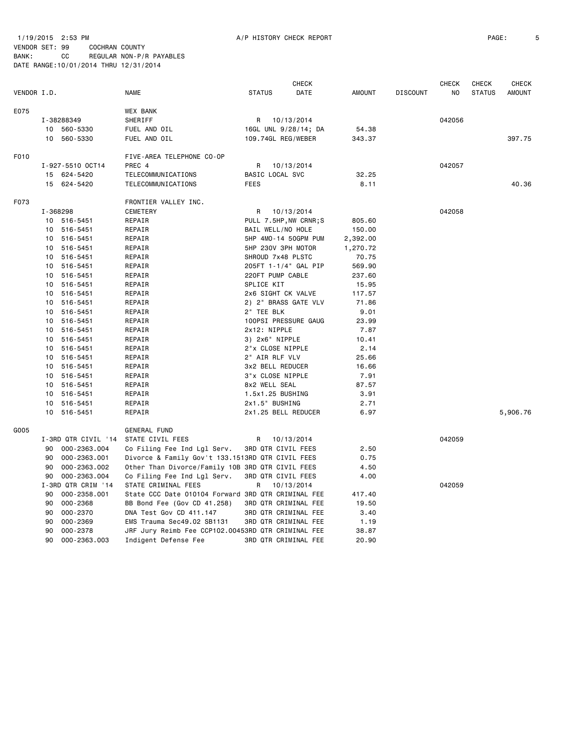1/19/2015 2:53 PM **A/P HISTORY CHECK REPORT PAGE:** 5 VENDOR SET: 99 COCHRAN COUNTY BANK: CC REGULAR NON-P/R PAYABLES DATE RANGE:10/01/2014 THRU 12/31/2014

|             |          |                     |                                                    |                    | <b>CHECK</b>          |               |                 | <b>CHECK</b>   | <b>CHECK</b>  | <b>CHECK</b>  |
|-------------|----------|---------------------|----------------------------------------------------|--------------------|-----------------------|---------------|-----------------|----------------|---------------|---------------|
| VENDOR I.D. |          |                     | NAME                                               | <b>STATUS</b>      | DATE                  | <b>AMOUNT</b> | <b>DISCOUNT</b> | N <sub>O</sub> | <b>STATUS</b> | <b>AMOUNT</b> |
| E075        |          |                     | WEX BANK                                           |                    |                       |               |                 |                |               |               |
|             |          | I-38288349          | SHERIFF                                            | R                  | 10/13/2014            |               |                 | 042056         |               |               |
|             |          | 10 560-5330         | FUEL AND OIL                                       |                    | 16GL UNL 9/28/14; DA  | 54.38         |                 |                |               |               |
|             |          | 10 560-5330         | FUEL AND OIL                                       | 109.74GL REG/WEBER |                       | 343.37        |                 |                |               | 397.75        |
| F010        |          |                     | FIVE-AREA TELEPHONE CO-OP                          |                    |                       |               |                 |                |               |               |
|             |          | I-927-5510 OCT14    | PREC 4                                             | R                  | 10/13/2014            |               |                 | 042057         |               |               |
|             |          | 15 624-5420         | TELECOMMUNICATIONS                                 | BASIC LOCAL SVC    |                       | 32.25         |                 |                |               |               |
|             |          | 15 624-5420         | TELECOMMUNICATIONS                                 | <b>FEES</b>        |                       | 8.11          |                 |                |               | 40.36         |
| F073        |          |                     | FRONTIER VALLEY INC.                               |                    |                       |               |                 |                |               |               |
|             | I-368298 |                     | <b>CEMETERY</b>                                    | R                  | 10/13/2014            |               |                 | 042058         |               |               |
|             |          | 10 516-5451         | REPAIR                                             |                    | PULL 7.5HP, NW CRNR;S | 805.60        |                 |                |               |               |
|             |          | 10 516-5451         | REPAIR                                             | BAIL WELL/NO HOLE  |                       | 150.00        |                 |                |               |               |
|             |          | 10 516-5451         | REPAIR                                             |                    | 5HP 4MO-14 50GPM PUM  | 2,392.00      |                 |                |               |               |
|             |          | 10 516-5451         | REPAIR                                             | 5HP 230V 3PH MOTOR |                       | 1,270.72      |                 |                |               |               |
|             |          | 10 516-5451         | REPAIR                                             | SHROUD 7x48 PLSTC  |                       | 70.75         |                 |                |               |               |
|             |          | 10 516-5451         | REPAIR                                             |                    | 205FT 1-1/4" GAL PIP  | 569.90        |                 |                |               |               |
|             |          | 10 516-5451         | REPAIR                                             | 220FT PUMP CABLE   |                       | 237.60        |                 |                |               |               |
|             | 10       | 516-5451            | REPAIR                                             | SPLICE KIT         |                       | 15.95         |                 |                |               |               |
|             |          | 10 516-5451         | REPAIR                                             | 2x6 SIGHT CK VALVE |                       | 117.57        |                 |                |               |               |
|             |          | 10 516-5451         | REPAIR                                             |                    | 2) 2" BRASS GATE VLV  | 71.86         |                 |                |               |               |
|             |          | 10 516-5451         | REPAIR                                             | 2" TEE BLK         |                       | 9.01          |                 |                |               |               |
|             |          | 10 516-5451         | REPAIR                                             |                    | 100PSI PRESSURE GAUG  | 23.99         |                 |                |               |               |
|             |          | 10 516-5451         | REPAIR                                             | 2x12: NIPPLE       |                       | 7.87          |                 |                |               |               |
|             |          | 10 516-5451         | REPAIR                                             | 3) 2x6" NIPPLE     |                       | 10.41         |                 |                |               |               |
|             |          | 10 516-5451         | REPAIR                                             | 2"x CLOSE NIPPLE   |                       | 2.14          |                 |                |               |               |
|             |          | 10 516-5451         | REPAIR                                             | 2" AIR RLF VLV     |                       | 25.66         |                 |                |               |               |
|             |          | 10 516-5451         | REPAIR                                             | 3x2 BELL REDUCER   |                       | 16.66         |                 |                |               |               |
|             |          | 10 516-5451         | REPAIR                                             | 3"x CLOSE NIPPLE   |                       | 7.91          |                 |                |               |               |
|             |          | 10 516-5451         | REPAIR                                             | 8x2 WELL SEAL      |                       | 87.57         |                 |                |               |               |
|             | 10       | 516-5451            | REPAIR                                             | 1.5x1.25 BUSHING   |                       | 3.91          |                 |                |               |               |
|             | 10       | 516-5451            | REPAIR                                             | 2x1.5" BUSHING     |                       | 2.71          |                 |                |               |               |
|             | 10       | 516-5451            | REPAIR                                             |                    | 2x1.25 BELL REDUCER   | 6.97          |                 |                |               | 5,906.76      |
| G005        |          |                     | GENERAL FUND                                       |                    |                       |               |                 |                |               |               |
|             |          | I-3RD QTR CIVIL '14 | STATE CIVIL FEES                                   | R                  | 10/13/2014            |               |                 | 042059         |               |               |
|             |          | 90 000-2363.004     | Co Filing Fee Ind Lgl Serv.                        | 3RD QTR CIVIL FEES |                       | 2.50          |                 |                |               |               |
|             | 90       | 000-2363.001        | Divorce & Family Gov't 133.1513RD QTR CIVIL FEES   |                    |                       | 0.75          |                 |                |               |               |
|             | 90       | 000-2363.002        | Other Than Divorce/Family 10B 3RD QTR CIVIL FEES   |                    |                       | 4.50          |                 |                |               |               |
|             | 90       | 000-2363.004        | Co Filing Fee Ind Lgl Serv.                        | 3RD QTR CIVIL FEES |                       | 4.00          |                 |                |               |               |
|             |          | I-3RD QTR CRIM '14  | STATE CRIMINAL FEES                                | R                  | 10/13/2014            |               |                 | 042059         |               |               |
|             | 90       | 000-2358.001        | State CCC Date 010104 Forward 3RD QTR CRIMINAL FEE |                    |                       | 417.40        |                 |                |               |               |
|             | 90       | 000-2368            | BB Bond Fee (Gov CD 41.258)                        |                    | 3RD QTR CRIMINAL FEE  | 19.50         |                 |                |               |               |
|             | 90       | 000-2370            | DNA Test Gov CD 411.147                            |                    | 3RD QTR CRIMINAL FEE  | 3.40          |                 |                |               |               |
|             | 90       | 000-2369            | EMS Trauma Sec49.02 SB1131                         |                    | 3RD QTR CRIMINAL FEE  | 1.19          |                 |                |               |               |
|             | 90       | 000-2378            | JRF Jury Reimb Fee CCP102.00453RD QTR CRIMINAL FEE |                    |                       | 38.87         |                 |                |               |               |
|             | 90       | 000-2363.003        | Indigent Defense Fee                               |                    | 3RD QTR CRIMINAL FEE  | 20.90         |                 |                |               |               |
|             |          |                     |                                                    |                    |                       |               |                 |                |               |               |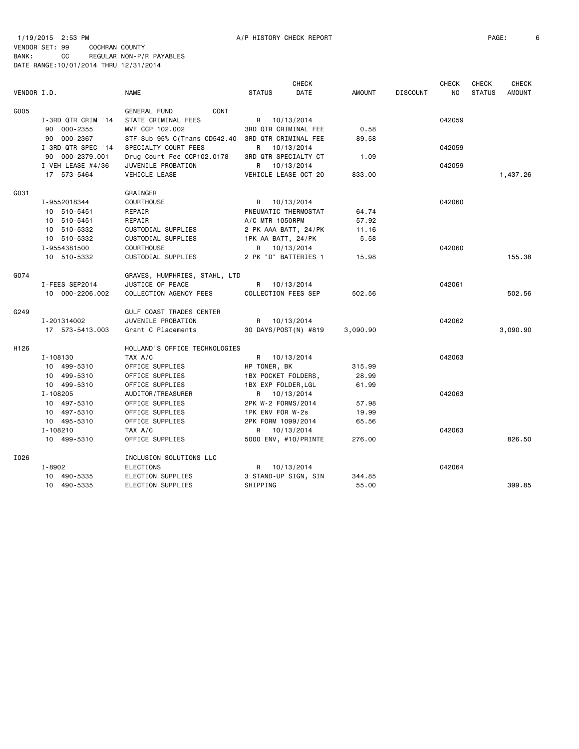#### 1/19/2015 2:53 PM A/P HISTORY CHECK REPORT PAGE: 6 VENDOR SET: 99 COCHRAN COUNTY BANK: CC REGULAR NON-P/R PAYABLES DATE RANGE:10/01/2014 THRU 12/31/2014

| VENDOR I.D. |                     | <b>NAME</b>                   | <b>STATUS</b>       | CHECK<br>DATE        | <b>AMOUNT</b> | <b>DISCOUNT</b> | <b>CHECK</b><br>NO. | <b>CHECK</b><br><b>STATUS</b> | <b>CHECK</b><br><b>AMOUNT</b> |
|-------------|---------------------|-------------------------------|---------------------|----------------------|---------------|-----------------|---------------------|-------------------------------|-------------------------------|
| G005        |                     | CONT<br><b>GENERAL FUND</b>   |                     |                      |               |                 |                     |                               |                               |
|             | I-3RD QTR CRIM '14  | STATE CRIMINAL FEES           | R                   | 10/13/2014           |               |                 | 042059              |                               |                               |
|             | 90 000-2355         | MVF CCP 102.002               |                     | 3RD QTR CRIMINAL FEE | 0.58          |                 |                     |                               |                               |
|             | 90 000-2367         | STF-Sub 95% C(Trans CD542.40  |                     | 3RD QTR CRIMINAL FEE | 89.58         |                 |                     |                               |                               |
|             | I-3RD QTR SPEC '14  | SPECIALTY COURT FEES          | R.                  | 10/13/2014           |               |                 | 042059              |                               |                               |
|             | 90 000-2379.001     | Drug Court Fee CCP102.0178    |                     | 3RD QTR SPECIALTY CT | 1.09          |                 |                     |                               |                               |
|             | I-VEH LEASE $#4/36$ | JUVENILE PROBATION            | R.                  | 10/13/2014           |               |                 | 042059              |                               |                               |
|             | 17 573-5464         | <b>VEHICLE LEASE</b>          |                     | VEHICLE LEASE OCT 20 | 833.00        |                 |                     |                               | 1,437.26                      |
|             |                     |                               |                     |                      |               |                 |                     |                               |                               |
| G031        |                     | GRAINGER                      |                     |                      |               |                 |                     |                               |                               |
|             | I-9552018344        | <b>COURTHOUSE</b>             |                     | R 10/13/2014         |               |                 | 042060              |                               |                               |
|             | 10 510-5451         | REPAIR                        |                     | PNEUMATIC THERMOSTAT | 64.74         |                 |                     |                               |                               |
|             | 10 510-5451         | REPAIR                        | A/C MTR 1050RPM     |                      | 57.92         |                 |                     |                               |                               |
|             | 10 510-5332         | CUSTODIAL SUPPLIES            |                     | 2 PK AAA BATT, 24/PK | 11.16         |                 |                     |                               |                               |
|             | 10 510-5332         | CUSTODIAL SUPPLIES            | 1PK AA BATT, 24/PK  |                      | 5.58          |                 |                     |                               |                               |
|             | I-9554381500        | <b>COURTHOUSE</b>             |                     | R 10/13/2014         |               |                 | 042060              |                               |                               |
|             | 10 510-5332         | CUSTODIAL SUPPLIES            |                     | 2 PK "D" BATTERIES 1 | 15.98         |                 |                     |                               | 155.38                        |
| G074        |                     | GRAVES, HUMPHRIES, STAHL, LTD |                     |                      |               |                 |                     |                               |                               |
|             | I-FEES SEP2014      | JUSTICE OF PEACE              | R                   | 10/13/2014           |               |                 | 042061              |                               |                               |
|             | 10 000-2206.002     | COLLECTION AGENCY FEES        | COLLECTION FEES SEP |                      | 502.56        |                 |                     |                               | 502.56                        |
| G249        |                     | GULF COAST TRADES CENTER      |                     |                      |               |                 |                     |                               |                               |
|             | I-201314002         | JUVENILE PROBATION            | R                   | 10/13/2014           |               |                 | 042062              |                               |                               |
|             | 17 573-5413.003     | Grant C Placements            |                     | 30 DAYS/POST(N) #819 | 3,090.90      |                 |                     |                               | 3,090.90                      |
| H126        |                     | HOLLAND'S OFFICE TECHNOLOGIES |                     |                      |               |                 |                     |                               |                               |
|             | I-108130            | TAX A/C                       | R                   | 10/13/2014           |               |                 | 042063              |                               |                               |
|             | 10 499-5310         | OFFICE SUPPLIES               | HP TONER, BK        |                      | 315.99        |                 |                     |                               |                               |
|             | 10 499-5310         | OFFICE SUPPLIES               | 1BX POCKET FOLDERS, |                      | 28.99         |                 |                     |                               |                               |
|             | 10 499-5310         | OFFICE SUPPLIES               | 1BX EXP FOLDER, LGL |                      | 61.99         |                 |                     |                               |                               |
|             | I-108205            | AUDITOR/TREASURER             |                     | R 10/13/2014         |               |                 | 042063              |                               |                               |
|             | 10 497-5310         | OFFICE SUPPLIES               | 2PK W-2 FORMS/2014  |                      | 57.98         |                 |                     |                               |                               |
|             | 10 497-5310         | OFFICE SUPPLIES               | 1PK ENV FOR W-2s    |                      | 19.99         |                 |                     |                               |                               |
|             | 10 495-5310         | OFFICE SUPPLIES               | 2PK FORM 1099/2014  |                      | 65.56         |                 |                     |                               |                               |
|             | I-108210            | TAX A/C                       | R                   | 10/13/2014           |               |                 | 042063              |                               |                               |
|             | 10 499-5310         | OFFICE SUPPLIES               |                     | 5000 ENV, #10/PRINTE | 276.00        |                 |                     |                               | 826.50                        |
| I026        |                     | INCLUSION SOLUTIONS LLC       |                     |                      |               |                 |                     |                               |                               |
|             | I-8902              | <b>ELECTIONS</b>              | R                   | 10/13/2014           |               |                 | 042064              |                               |                               |
|             | 10 490-5335         | ELECTION SUPPLIES             |                     | 3 STAND-UP SIGN, SIN | 344.85        |                 |                     |                               |                               |
|             | 10 490-5335         | ELECTION SUPPLIES             | SHIPPING            |                      | 55.00         |                 |                     |                               | 399.85                        |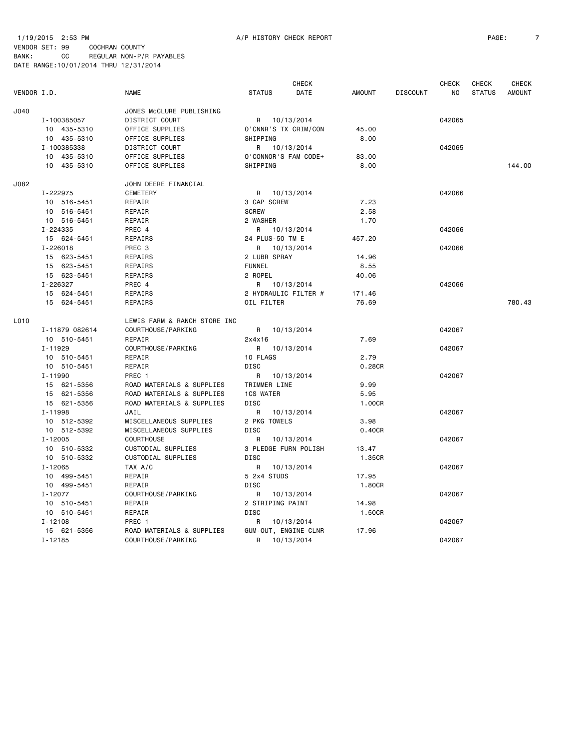1/19/2015 2:53 PM A/P HISTORY CHECK REPORT PAGE: 7 VENDOR SET: 99 COCHRAN COUNTY

|             |                |                              |                      | <b>CHECK</b>         |               |                 | <b>CHECK</b> | <b>CHECK</b>  | <b>CHECK</b>  |
|-------------|----------------|------------------------------|----------------------|----------------------|---------------|-----------------|--------------|---------------|---------------|
| VENDOR I.D. |                | <b>NAME</b>                  | <b>STATUS</b>        | DATE                 | <b>AMOUNT</b> | <b>DISCOUNT</b> | NO.          | <b>STATUS</b> | <b>AMOUNT</b> |
| J040        |                | JONES McCLURE PUBLISHING     |                      |                      |               |                 |              |               |               |
|             | I-100385057    | DISTRICT COURT               | R 10/13/2014         |                      |               |                 | 042065       |               |               |
|             | 10 435-5310    | OFFICE SUPPLIES              |                      | O'CNNR'S TX CRIM/CON | 45.00         |                 |              |               |               |
|             | 10 435-5310    | OFFICE SUPPLIES              | SHIPPING             |                      | 8.00          |                 |              |               |               |
|             | I-100385338    | DISTRICT COURT               | R 10/13/2014         |                      |               |                 | 042065       |               |               |
|             | 10 435-5310    | OFFICE SUPPLIES              | O'CONNOR'S FAM CODE+ |                      | 83.00         |                 |              |               |               |
|             | 10 435-5310    | OFFICE SUPPLIES              | SHIPPING             |                      | 8.00          |                 |              |               | 144.00        |
| J082        |                | JOHN DEERE FINANCIAL         |                      |                      |               |                 |              |               |               |
|             | I-222975       | <b>CEMETERY</b>              | R 10/13/2014         |                      |               |                 | 042066       |               |               |
|             | 10 516-5451    | REPAIR                       | 3 CAP SCREW          |                      | 7.23          |                 |              |               |               |
|             | 10 516-5451    | REPAIR                       | <b>SCREW</b>         |                      | 2.58          |                 |              |               |               |
|             | 10 516-5451    | REPAIR                       | 2 WASHER             |                      | 1.70          |                 |              |               |               |
|             | I-224335       | PREC 4                       | R 10/13/2014         |                      |               |                 | 042066       |               |               |
|             | 15 624-5451    | REPAIRS                      | 24 PLUS-50 TM E      |                      | 457.20        |                 |              |               |               |
|             | $I - 226018$   | PREC 3                       | R                    | 10/13/2014           |               |                 | 042066       |               |               |
|             | 15 623-5451    | REPAIRS                      | 2 LUBR SPRAY         |                      | 14.96         |                 |              |               |               |
|             | 15 623-5451    | REPAIRS                      | <b>FUNNEL</b>        |                      | 8.55          |                 |              |               |               |
|             | 15 623-5451    | REPAIRS                      | 2 ROPEL              |                      | 40.06         |                 |              |               |               |
|             | I-226327       | PREC 4                       | R                    | 10/13/2014           |               |                 | 042066       |               |               |
|             | 15 624-5451    | REPAIRS                      | 2 HYDRAULIC FILTER # |                      | 171.46        |                 |              |               |               |
|             | 15 624-5451    | REPAIRS                      | OIL FILTER           |                      | 76.69         |                 |              |               | 780.43        |
| L010        |                | LEWIS FARM & RANCH STORE INC |                      |                      |               |                 |              |               |               |
|             | I-11879 082614 | COURTHOUSE/PARKING           | R 10/13/2014         |                      |               |                 | 042067       |               |               |
|             | 10 510-5451    | REPAIR                       | 2x4x16               |                      | 7.69          |                 |              |               |               |
|             | $I - 11929$    | COURTHOUSE / PARKING         | R 10/13/2014         |                      |               |                 | 042067       |               |               |
|             | 10 510-5451    | REPAIR                       | 10 FLAGS             |                      | 2.79          |                 |              |               |               |
|             | 10 510-5451    | REPAIR                       | <b>DISC</b>          |                      | 0.28CR        |                 |              |               |               |
|             | $I - 11990$    | PREC 1                       | R                    | 10/13/2014           |               |                 | 042067       |               |               |
|             | 15 621-5356    | ROAD MATERIALS & SUPPLIES    | TRIMMER LINE         |                      | 9.99          |                 |              |               |               |
|             | 15 621-5356    | ROAD MATERIALS & SUPPLIES    | <b>1CS WATER</b>     |                      | 5.95          |                 |              |               |               |
|             | 15 621-5356    | ROAD MATERIALS & SUPPLIES    | <b>DISC</b>          |                      | 1.00CR        |                 |              |               |               |
|             | I-11998        | JAIL                         | R                    | 10/13/2014           |               |                 | 042067       |               |               |
|             | 10 512-5392    | MISCELLANEOUS SUPPLIES       | 2 PKG TOWELS         |                      | 3.98          |                 |              |               |               |
|             | 10 512-5392    | MISCELLANEOUS SUPPLIES       | DISC                 |                      | 0.40CR        |                 |              |               |               |
|             | $I - 12005$    | <b>COURTHOUSE</b>            | R                    | 10/13/2014           |               |                 | 042067       |               |               |
|             | 10 510-5332    | CUSTODIAL SUPPLIES           |                      | 3 PLEDGE FURN POLISH | 13.47         |                 |              |               |               |
|             | 10 510-5332    | CUSTODIAL SUPPLIES           | <b>DISC</b>          |                      | 1.35CR        |                 |              |               |               |
|             | I-12065        | TAX A/C                      | R                    | 10/13/2014           |               |                 | 042067       |               |               |
|             | 10 499-5451    | REPAIR                       | 5 2x4 STUDS          |                      | 17.95         |                 |              |               |               |
|             | 10 499-5451    | REPAIR                       | <b>DISC</b>          |                      | 1.80CR        |                 |              |               |               |
|             | I-12077        | COURTHOUSE / PARKING         | R                    | 10/13/2014           |               |                 | 042067       |               |               |
|             | 10 510-5451    | REPAIR                       | 2 STRIPING PAINT     |                      | 14.98         |                 |              |               |               |
|             | 10 510-5451    | REPAIR                       | <b>DISC</b>          |                      | 1.50CR        |                 |              |               |               |
|             | $I - 12108$    | PREC 1                       | R                    | 10/13/2014           |               |                 | 042067       |               |               |
|             | 15 621-5356    | ROAD MATERIALS & SUPPLIES    |                      | GUM-OUT, ENGINE CLNR | 17.96         |                 |              |               |               |
|             | $I - 12185$    | COURTHOUSE / PARKING         | R                    | 10/13/2014           |               |                 | 042067       |               |               |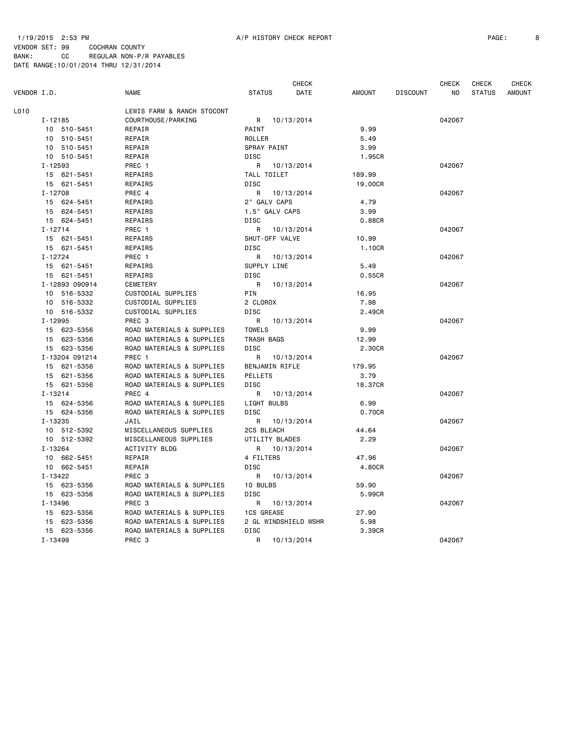1/19/2015 2:53 PM A/P HISTORY CHECK REPORT PAGE: 8

VENDOR SET: 99 COCHRAN COUNTY BANK: CC REGULAR NON-P/R PAYABLES DATE RANGE:10/01/2014 THRU 12/31/2014

|             |                |                            |                   | <b>CHECK</b>         |         |                 | <b>CHECK</b> | <b>CHECK</b>  | <b>CHECK</b>  |
|-------------|----------------|----------------------------|-------------------|----------------------|---------|-----------------|--------------|---------------|---------------|
| VENDOR I.D. |                | NAME                       | <b>STATUS</b>     | DATE                 | AMOUNT  | <b>DISCOUNT</b> | NO           | <b>STATUS</b> | <b>AMOUNT</b> |
| L010        |                | LEWIS FARM & RANCH STOCONT |                   |                      |         |                 |              |               |               |
|             | $I - 12185$    | COURTHOUSE / PARKING       | R 10/13/2014      |                      |         |                 | 042067       |               |               |
|             | 10 510-5451    | REPAIR                     | PAINT             |                      | 9.99    |                 |              |               |               |
|             | 10 510-5451    | REPAIR                     | ROLLER            |                      | 5.49    |                 |              |               |               |
|             | 10 510-5451    | REPAIR                     | SPRAY PAINT       |                      | 3.99    |                 |              |               |               |
|             | 10 510-5451    | REPAIR                     | <b>DISC</b>       |                      | 1.95CR  |                 |              |               |               |
|             | $I - 12593$    | PREC 1                     | R 10/13/2014      |                      |         |                 | 042067       |               |               |
|             | 15 621-5451    | REPAIRS                    | TALL TOILET       |                      | 189.99  |                 |              |               |               |
|             | 15 621-5451    | REPAIRS                    | <b>DISC</b>       |                      | 19,00CR |                 |              |               |               |
|             | I-12708        | PREC 4                     | R 10/13/2014      |                      |         |                 | 042067       |               |               |
|             | 15 624-5451    | REPAIRS                    | 2" GALV CAPS      |                      | 4.79    |                 |              |               |               |
|             | 15 624-5451    | REPAIRS                    | 1.5" GALV CAPS    |                      | 3.99    |                 |              |               |               |
|             | 15 624-5451    | REPAIRS                    | <b>DISC</b>       |                      | 0.88CR  |                 |              |               |               |
|             | $I - 12714$    | PREC 1                     | R                 | 10/13/2014           |         |                 | 042067       |               |               |
|             | 15 621-5451    | REPAIRS                    | SHUT-OFF VALVE    |                      | 10.99   |                 |              |               |               |
|             | 15 621-5451    | REPAIRS                    | <b>DISC</b>       |                      | 1.10CR  |                 |              |               |               |
|             | $I - 12724$    | PREC 1                     | R                 | 10/13/2014           |         |                 | 042067       |               |               |
|             | 15 621-5451    | REPAIRS                    | SUPPLY LINE       |                      | 5.49    |                 |              |               |               |
|             | 15 621-5451    | REPAIRS                    | DISC              |                      | 0.55CR  |                 |              |               |               |
|             | I-12893 090914 | CEMETERY                   | R                 | 10/13/2014           |         |                 | 042067       |               |               |
|             | 10 516-5332    | CUSTODIAL SUPPLIES         | PIN               |                      | 16.95   |                 |              |               |               |
|             | 10 516-5332    | CUSTODIAL SUPPLIES         | 2 CLOROX          |                      | 7.98    |                 |              |               |               |
|             | 10 516-5332    | CUSTODIAL SUPPLIES         | <b>DISC</b>       |                      | 2.49CR  |                 |              |               |               |
|             | $I - 12995$    | PREC <sub>3</sub>          | R 10/13/2014      |                      |         |                 | 042067       |               |               |
|             | 15 623-5356    | ROAD MATERIALS & SUPPLIES  | <b>TOWELS</b>     |                      | 9.99    |                 |              |               |               |
|             | 15 623-5356    | ROAD MATERIALS & SUPPLIES  | TRASH BAGS        |                      | 12.99   |                 |              |               |               |
|             | 15 623-5356    | ROAD MATERIALS & SUPPLIES  | DISC              |                      | 2.30CR  |                 |              |               |               |
|             | I-13204 091214 | PREC 1                     | R                 | 10/13/2014           |         |                 | 042067       |               |               |
|             | 15 621-5356    | ROAD MATERIALS & SUPPLIES  | BENJAMIN RIFLE    |                      | 179.95  |                 |              |               |               |
|             | 15 621-5356    | ROAD MATERIALS & SUPPLIES  | <b>PELLETS</b>    |                      | 3.79    |                 |              |               |               |
|             | 15 621-5356    | ROAD MATERIALS & SUPPLIES  | <b>DISC</b>       |                      | 18.37CR |                 |              |               |               |
|             | $I - 13214$    | PREC 4                     | R 10/13/2014      |                      |         |                 | 042067       |               |               |
|             | 15 624-5356    | ROAD MATERIALS & SUPPLIES  | LIGHT BULBS       |                      | 6.99    |                 |              |               |               |
|             | 15 624-5356    | ROAD MATERIALS & SUPPLIES  | <b>DISC</b>       |                      | 0.70CR  |                 |              |               |               |
|             | $I - 13235$    | JAIL                       | R 10/13/2014      |                      |         |                 | 042067       |               |               |
|             | 10 512-5392    | MISCELLANEOUS SUPPLIES     | 2CS BLEACH        |                      | 44.64   |                 |              |               |               |
|             | 10 512-5392    | MISCELLANEOUS SUPPLIES     | UTILITY BLADES    |                      | 2.29    |                 |              |               |               |
|             | $I - 13264$    | <b>ACTIVITY BLDG</b>       | R 10/13/2014      |                      |         |                 | 042067       |               |               |
|             | 10 662-5451    | REPAIR                     | 4 FILTERS         |                      | 47.96   |                 |              |               |               |
|             | 10 662-5451    | REPAIR                     | <b>DISC</b>       |                      | 4.80CR  |                 |              |               |               |
|             | I-13422        | PREC <sub>3</sub>          | R                 | 10/13/2014           |         |                 | 042067       |               |               |
|             | 15 623-5356    | ROAD MATERIALS & SUPPLIES  | 10 BULBS          |                      | 59.90   |                 |              |               |               |
|             | 15 623-5356    | ROAD MATERIALS & SUPPLIES  | <b>DISC</b>       |                      | 5.99CR  |                 |              |               |               |
|             | I-13496        | PREC <sub>3</sub>          | R 10/13/2014      |                      |         |                 | 042067       |               |               |
|             | 15 623-5356    | ROAD MATERIALS & SUPPLIES  | <b>1CS GREASE</b> |                      | 27.90   |                 |              |               |               |
|             | 15 623-5356    | ROAD MATERIALS & SUPPLIES  |                   | 2 GL WINDSHIELD WSHR | 5.98    |                 |              |               |               |
|             | 15 623-5356    | ROAD MATERIALS & SUPPLIES  | DISC              |                      | 3.39CR  |                 |              |               |               |
|             | I-13499        | PREC <sub>3</sub>          | R                 | 10/13/2014           |         |                 | 042067       |               |               |
|             |                |                            |                   |                      |         |                 |              |               |               |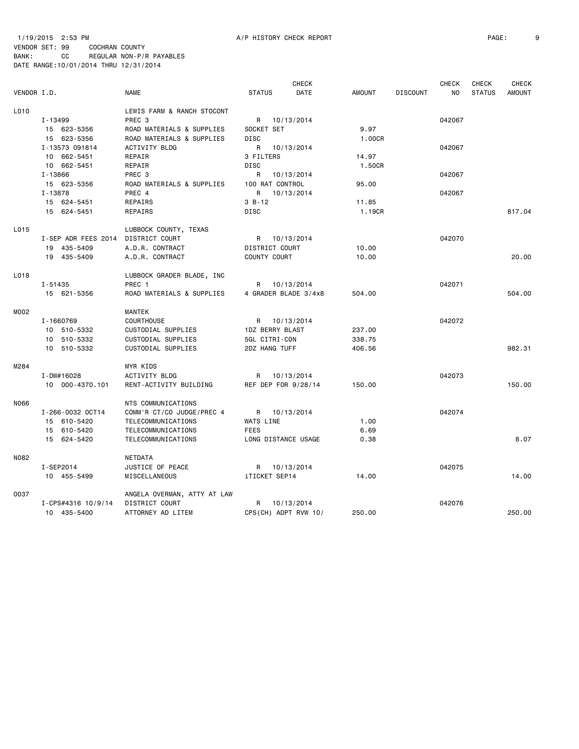1/19/2015 2:53 PM A/P HISTORY CHECK REPORT PAGE: 9 VENDOR SET: 99 COCHRAN COUNTY BANK: CC REGULAR NON-P/R PAYABLES DATE RANGE:10/01/2014 THRU 12/31/2014

|             |                     |                             |                      | <b>CHECK</b> |               |                 | <b>CHECK</b> | <b>CHECK</b>  | <b>CHECK</b>  |
|-------------|---------------------|-----------------------------|----------------------|--------------|---------------|-----------------|--------------|---------------|---------------|
| VENDOR I.D. |                     | <b>NAME</b>                 | <b>STATUS</b>        | DATE         | <b>AMOUNT</b> | <b>DISCOUNT</b> | <b>NO</b>    | <b>STATUS</b> | <b>AMOUNT</b> |
| L010        |                     | LEWIS FARM & RANCH STOCONT  |                      |              |               |                 |              |               |               |
|             | I-13499             | PREC <sub>3</sub>           | R 10/13/2014         |              |               |                 | 042067       |               |               |
|             | 15 623-5356         | ROAD MATERIALS & SUPPLIES   | SOCKET SET           |              | 9.97          |                 |              |               |               |
|             | 15 623-5356         | ROAD MATERIALS & SUPPLIES   | <b>DISC</b>          |              | 1.00CR        |                 |              |               |               |
|             | I-13573 091814      | ACTIVITY BLDG               | R                    | 10/13/2014   |               |                 | 042067       |               |               |
|             | 10 662-5451         | REPAIR                      | 3 FILTERS            |              | 14.97         |                 |              |               |               |
|             | 10 662-5451         | REPAIR                      | <b>DISC</b>          |              | 1.50CR        |                 |              |               |               |
|             | I-13866             | PREC 3                      | R                    | 10/13/2014   |               |                 | 042067       |               |               |
|             | 15 623-5356         | ROAD MATERIALS & SUPPLIES   | 100 RAT CONTROL      |              | 95.00         |                 |              |               |               |
|             | I-13878             | PREC 4                      | R                    | 10/13/2014   |               |                 | 042067       |               |               |
|             | 15 624-5451         | REPAIRS                     | $3 B - 12$           |              | 11.85         |                 |              |               |               |
|             | 15 624-5451         | REPAIRS                     | <b>DISC</b>          |              | 1.19CR        |                 |              |               | 817.04        |
| L015        |                     | LUBBOCK COUNTY, TEXAS       |                      |              |               |                 |              |               |               |
|             | I-SEP ADR FEES 2014 | DISTRICT COURT              | R 10/13/2014         |              |               |                 | 042070       |               |               |
|             | 19 435-5409         | A.D.R. CONTRACT             | DISTRICT COURT       |              | 10.00         |                 |              |               |               |
|             | 19 435-5409         | A.D.R. CONTRACT             | COUNTY COURT         |              | 10.00         |                 |              |               | 20,00         |
| L018        |                     | LUBBOCK GRADER BLADE, INC   |                      |              |               |                 |              |               |               |
|             | $I - 51435$         | PREC 1                      | R 10/13/2014         |              |               |                 | 042071       |               |               |
|             | 15 621-5356         | ROAD MATERIALS & SUPPLIES   | 4 GRADER BLADE 3/4x8 |              | 504.00        |                 |              |               | 504.00        |
| M002        |                     | <b>MANTEK</b>               |                      |              |               |                 |              |               |               |
|             | I-1660769           | <b>COURTHOUSE</b>           | R 10/13/2014         |              |               |                 | 042072       |               |               |
|             | 10 510-5332         | CUSTODIAL SUPPLIES          | 1DZ BERRY BLAST      |              | 237.00        |                 |              |               |               |
|             | 10 510-5332         | CUSTODIAL SUPPLIES          | 5GL CITRI-CON        |              | 338.75        |                 |              |               |               |
|             | 10 510-5332         | CUSTODIAL SUPPLIES          | 2DZ HANG TUFF        |              | 406.56        |                 |              |               | 982.31        |
| M284        |                     | MYR KIDS                    |                      |              |               |                 |              |               |               |
|             | I-DW#16028          | ACTIVITY BLDG               | R 10/13/2014         |              |               |                 | 042073       |               |               |
|             | 10 000-4370.101     | RENT-ACTIVITY BUILDING      | REF DEP FOR 9/28/14  |              | 150.00        |                 |              |               | 150.00        |
| N066        |                     | NTS COMMUNICATIONS          |                      |              |               |                 |              |               |               |
|             | I-266-0032 OCT14    | COMM'R CT/CO JUDGE/PREC 4   | R 10/13/2014         |              |               |                 | 042074       |               |               |
|             | 15 610-5420         | TELECOMMUNICATIONS          | WATS LINE            |              | 1.00          |                 |              |               |               |
|             | 15 610-5420         | TELECOMMUNICATIONS          | <b>FEES</b>          |              | 6.69          |                 |              |               |               |
|             | 15 624-5420         | TELECOMMUNICATIONS          | LONG DISTANCE USAGE  |              | 0.38          |                 |              |               | 8.07          |
| N082        |                     | NETDATA                     |                      |              |               |                 |              |               |               |
|             | I-SEP2014           | JUSTICE OF PEACE            | R 10/13/2014         |              |               |                 | 042075       |               |               |
|             | 10 455-5499         | MISCELLANEOUS               | iTICKET SEP14        |              | 14.00         |                 |              |               | 14.00         |
| 0037        |                     | ANGELA OVERMAN, ATTY AT LAW |                      |              |               |                 |              |               |               |
|             | I-CPS#4316 10/9/14  | DISTRICT COURT              | R                    | 10/13/2014   |               |                 | 042076       |               |               |
|             | 10 435-5400         | ATTORNEY AD LITEM           | CPS(CH) ADPT RVW 10/ |              | 250,00        |                 |              |               | 250.00        |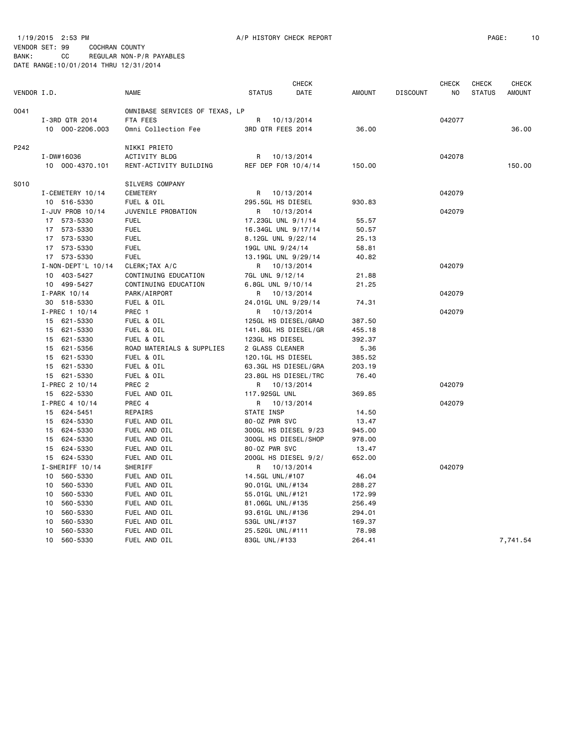1/19/2015 2:53 PM A/P HISTORY CHECK REPORT PAGE: 10 VENDOR SET: 99 COCHRAN COUNTY

|             |                          |                                |                      | <b>CHECK</b> |               |                 | <b>CHECK</b> | <b>CHECK</b>  | <b>CHECK</b>  |
|-------------|--------------------------|--------------------------------|----------------------|--------------|---------------|-----------------|--------------|---------------|---------------|
| VENDOR I.D. |                          | <b>NAME</b>                    | <b>STATUS</b>        | DATE         | <b>AMOUNT</b> | <b>DISCOUNT</b> | NO           | <b>STATUS</b> | <b>AMOUNT</b> |
| 0041        |                          | OMNIBASE SERVICES OF TEXAS, LP |                      |              |               |                 |              |               |               |
|             | I-3RD QTR 2014           | FTA FEES                       | R                    | 10/13/2014   |               |                 | 042077       |               |               |
|             | 10 000-2206.003          | Omni Collection Fee            | 3RD QTR FEES 2014    |              | 36,00         |                 |              |               | 36,00         |
| P242        |                          | NIKKI PRIETO                   |                      |              |               |                 |              |               |               |
|             | I-DW#16036               | ACTIVITY BLDG                  | R                    | 10/13/2014   |               |                 | 042078       |               |               |
|             | 10 000-4370.101          | RENT-ACTIVITY BUILDING         | REF DEP FOR 10/4/14  |              | 150.00        |                 |              |               | 150.00        |
| S010        |                          | SILVERS COMPANY                |                      |              |               |                 |              |               |               |
|             | I-CEMETERY 10/14         | <b>CEMETERY</b>                | R                    | 10/13/2014   |               |                 | 042079       |               |               |
|             | 10 516-5330              | FUEL & OIL                     | 295.5GL HS DIESEL    |              | 930.83        |                 |              |               |               |
|             | I-JUV PROB 10/14         | JUVENILE PROBATION             | R                    | 10/13/2014   |               |                 | 042079       |               |               |
|             | 17 573-5330              | <b>FUEL</b>                    | 17.23GL UNL 9/1/14   |              | 55.57         |                 |              |               |               |
|             | 17 573-5330              | <b>FUEL</b>                    | 16.34GL UNL 9/17/14  |              | 50.57         |                 |              |               |               |
|             | 17 573-5330              | <b>FUEL</b>                    | 8.12GL UNL 9/22/14   |              | 25.13         |                 |              |               |               |
|             | 17 573-5330              | <b>FUEL</b>                    | 19GL UNL 9/24/14     |              | 58.81         |                 |              |               |               |
|             | 17 573-5330              | <b>FUEL</b>                    | 13.19GL UNL 9/29/14  |              | 40.82         |                 |              |               |               |
|             | $I - NON - DEPT'L 10/14$ | CLERK; TAX A/C                 | R 10/13/2014         |              |               |                 | 042079       |               |               |
|             | 10 403-5427              | CONTINUING EDUCATION           | 7GL UNL 9/12/14      |              | 21.88         |                 |              |               |               |
|             | 10 499-5427              | CONTINUING EDUCATION           | 6.8GL UNL 9/10/14    |              | 21.25         |                 |              |               |               |
|             | $I-PARK$ 10/14           | PARK/AIRPORT                   | R                    | 10/13/2014   |               |                 | 042079       |               |               |
|             | 30 518-5330              | FUEL & OIL                     | 24.01GL UNL 9/29/14  |              | 74.31         |                 |              |               |               |
|             | $I-PREC$ 1 10/14         | PREC 1                         | R                    | 10/13/2014   |               |                 | 042079       |               |               |
|             | 15 621-5330              | FUEL & OIL                     | 125GL HS DIESEL/GRAD |              | 387.50        |                 |              |               |               |
|             | 15 621-5330              | FUEL & OIL                     | 141.8GL HS DIESEL/GR |              | 455.18        |                 |              |               |               |
|             | 15 621-5330              | FUEL & OIL                     | 123GL HS DIESEL      |              | 392.37        |                 |              |               |               |
|             | 15 621-5356              | ROAD MATERIALS & SUPPLIES      | 2 GLASS CLEANER      |              | 5.36          |                 |              |               |               |
|             | 15 621-5330              | FUEL & OIL                     | 120.1GL HS DIESEL    |              | 385.52        |                 |              |               |               |
|             | 15 621-5330              | FUEL & OIL                     | 63.3GL HS DIESEL/GRA |              | 203.19        |                 |              |               |               |
|             | 15 621-5330              | FUEL & OIL                     | 23.8GL HS DIESEL/TRC |              | 76.40         |                 |              |               |               |
|             | $I-PREC$ 2 10/14         | PREC <sub>2</sub>              | R                    | 10/13/2014   |               |                 | 042079       |               |               |
|             | 15 622-5330              | FUEL AND OIL                   | 117.925GL UNL        |              | 369.85        |                 |              |               |               |
|             | I-PREC 4 10/14           | PREC 4                         | R                    | 10/13/2014   |               |                 | 042079       |               |               |
|             | 15 624-5451              | REPAIRS                        | STATE INSP           |              | 14.50         |                 |              |               |               |
|             | 15 624-5330              | FUEL AND OIL                   | 80-0Z PWR SVC        |              | 13.47         |                 |              |               |               |
|             | 15 624-5330              | FUEL AND OIL                   | 300GL HS DIESEL 9/23 |              | 945.00        |                 |              |               |               |
|             | 15 624-5330              | FUEL AND OIL                   | 300GL HS DIESEL/SHOP |              | 978.00        |                 |              |               |               |
|             | 15 624-5330              | FUEL AND OIL                   | 80-0Z PWR SVC        |              | 13.47         |                 |              |               |               |
|             | 15 624-5330              | FUEL AND OIL                   | 200GL HS DIESEL 9/2/ |              | 652.00        |                 |              |               |               |
|             | I-SHERIFF 10/14          | SHERIFF                        | R                    | 10/13/2014   |               |                 | 042079       |               |               |
|             | 560-5330<br>10           | FUEL AND OIL                   | 14.5GL UNL/#107      |              | 46.04         |                 |              |               |               |
|             | 560-5330<br>10           | FUEL AND OIL                   | 90.01GL UNL/#134     |              | 288.27        |                 |              |               |               |
|             | 560-5330<br>10           | FUEL AND OIL                   | 55.01GL UNL/#121     |              | 172.99        |                 |              |               |               |
|             | 560-5330<br>10           | FUEL AND OIL                   | 81.06GL UNL/#135     |              | 256.49        |                 |              |               |               |
|             | 10<br>560-5330           | FUEL AND OIL                   | 93.61GL UNL/#136     |              | 294.01        |                 |              |               |               |
|             | 10<br>560-5330           | FUEL AND OIL                   | 53GL UNL/#137        |              | 169.37        |                 |              |               |               |
|             | 560-5330<br>10           | FUEL AND OIL                   | 25.52GL UNL/#111     |              | 78.98         |                 |              |               |               |
|             | 560-5330<br>10           | FUEL AND OIL                   | 83GL UNL/#133        |              | 264.41        |                 |              |               | 7,741.54      |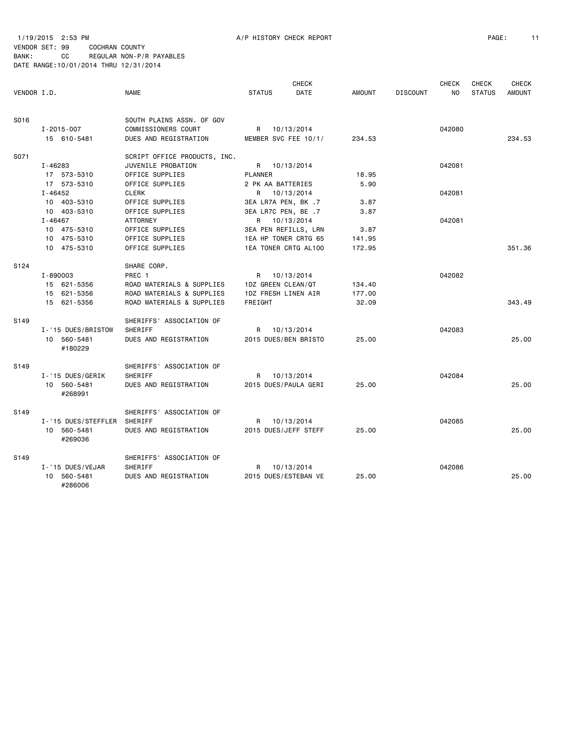1/19/2015 2:53 PM A/P HISTORY CHECK REPORT PAGE: 11 VENDOR SET: 99 COCHRAN COUNTY BANK: CC REGULAR NON-P/R PAYABLES DATE RANGE:10/01/2014 THRU 12/31/2014

#286006

| VENDOR I.D. |                           | <b>NAME</b>                                                               | <b>STATUS</b>                        | <b>CHECK</b><br>DATE | <b>AMOUNT</b> | <b>DISCOUNT</b> | <b>CHECK</b><br>N <sub>0</sub> | <b>CHECK</b><br><b>STATUS</b> | <b>CHECK</b><br><b>AMOUNT</b> |
|-------------|---------------------------|---------------------------------------------------------------------------|--------------------------------------|----------------------|---------------|-----------------|--------------------------------|-------------------------------|-------------------------------|
| S016        | I-2015-007<br>15 610-5481 | SOUTH PLAINS ASSN. OF GOV<br>COMMISSIONERS COURT<br>DUES AND REGISTRATION | R 10/13/2014<br>MEMBER SVC FEE 10/1/ |                      | 234.53        |                 | 042080                         |                               | 234.53                        |
| S071        |                           | SCRIPT OFFICE PRODUCTS, INC.                                              |                                      |                      |               |                 |                                |                               |                               |
|             | I-46283                   | JUVENILE PROBATION                                                        | R 10/13/2014                         |                      |               |                 | 042081                         |                               |                               |
|             | 17 573-5310               | OFFICE SUPPLIES                                                           | PLANNER                              |                      | 18.95         |                 |                                |                               |                               |
|             | 17 573-5310               | OFFICE SUPPLIES                                                           | 2 PK AA BATTERIES                    |                      | 5.90          |                 |                                |                               |                               |
|             | I-46452                   | <b>CLERK</b>                                                              | R 10/13/2014                         |                      |               |                 | 042081                         |                               |                               |
|             | 10 403-5310               | OFFICE SUPPLIES                                                           | 3EA LR7A PEN, BK .7                  |                      | 3.87          |                 |                                |                               |                               |
|             | 10 403-5310               | OFFICE SUPPLIES                                                           | 3EA LR7C PEN, BE .7                  |                      | 3.87          |                 |                                |                               |                               |
|             | I-46467                   | ATTORNEY                                                                  | R 10/13/2014                         |                      |               |                 | 042081                         |                               |                               |
|             | 10 475-5310               | OFFICE SUPPLIES                                                           | 3EA PEN REFILLS, LRN                 |                      | 3.87          |                 |                                |                               |                               |
|             | 10 475-5310               | OFFICE SUPPLIES                                                           | 1EA HP TONER CRTG 65                 |                      | 141.95        |                 |                                |                               |                               |
|             | 10 475-5310               | OFFICE SUPPLIES                                                           | 1EA TONER CRTG AL100                 |                      | 172.95        |                 |                                |                               | 351.36                        |
| S124        |                           | SHARE CORP.                                                               |                                      |                      |               |                 |                                |                               |                               |
|             | I-890003                  | PREC <sub>1</sub>                                                         | R 10/13/2014                         |                      |               |                 | 042082                         |                               |                               |
|             | 15 621-5356               | ROAD MATERIALS & SUPPLIES                                                 | 1DZ GREEN CLEAN/QT                   |                      | 134.40        |                 |                                |                               |                               |
|             | 15 621-5356               | ROAD MATERIALS & SUPPLIES                                                 | 1DZ FRESH LINEN AIR                  |                      | 177.00        |                 |                                |                               |                               |
|             | 15 621-5356               | ROAD MATERIALS & SUPPLIES                                                 | FREIGHT                              |                      | 32.09         |                 |                                |                               | 343.49                        |
|             |                           |                                                                           |                                      |                      |               |                 |                                |                               |                               |
| S149        |                           | SHERIFFS' ASSOCIATION OF                                                  |                                      |                      |               |                 |                                |                               |                               |
|             | I-'15 DUES/BRISTOW        | SHERIFF                                                                   | R 10/13/2014                         |                      |               |                 | 042083                         |                               |                               |
|             | 10 560-5481<br>#180229    | DUES AND REGISTRATION                                                     | 2015 DUES/BEN BRISTO                 |                      | 25.00         |                 |                                |                               | 25,00                         |
| S149        |                           | SHERIFFS' ASSOCIATION OF                                                  |                                      |                      |               |                 |                                |                               |                               |
|             | I-'15 DUES/GERIK          | SHERIFF                                                                   | R 10/13/2014                         |                      |               |                 | 042084                         |                               |                               |
|             | 10 560-5481<br>#268991    | DUES AND REGISTRATION                                                     | 2015 DUES/PAULA GERI                 |                      | 25.00         |                 |                                |                               | 25.00                         |
|             |                           |                                                                           |                                      |                      |               |                 |                                |                               |                               |
| S149        |                           | SHERIFFS' ASSOCIATION OF                                                  |                                      |                      |               |                 |                                |                               |                               |
|             | I-'15 DUES/STEFFLER       | SHERIFF                                                                   | R 10/13/2014                         |                      |               |                 | 042085                         |                               |                               |
|             | 10 560-5481<br>#269036    | DUES AND REGISTRATION                                                     | 2015 DUES/JEFF STEFF                 |                      | 25.00         |                 |                                |                               | 25,00                         |
| S149        |                           | SHERIFFS' ASSOCIATION OF                                                  |                                      |                      |               |                 |                                |                               |                               |
|             | I-'15 DUES/VEJAR          | SHERIFF                                                                   | R                                    | 10/13/2014           |               |                 | 042086                         |                               |                               |
|             | 10 560-5481               | DUES AND REGISTRATION                                                     | 2015 DUES/ESTEBAN VE                 |                      | 25.00         |                 |                                |                               | 25,00                         |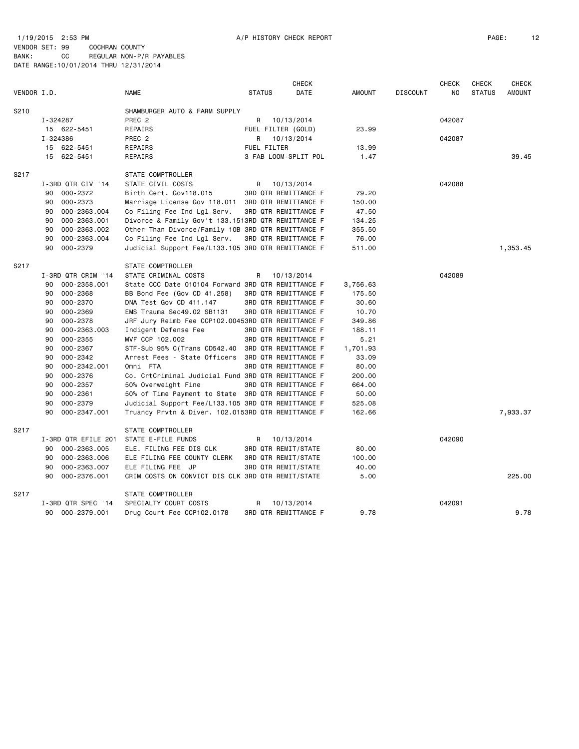1/19/2015 2:53 PM A/P HISTORY CHECK REPORT PAGE: 12 VENDOR SET: 99 COCHRAN COUNTY BANK: CC REGULAR NON-P/R PAYABLES DATE RANGE:10/01/2014 THRU 12/31/2014

|                     |                                                    |                            | <b>CHECK</b>                |               |                 | <b>CHECK</b> | <b>CHECK</b>  | <b>CHECK</b>  |
|---------------------|----------------------------------------------------|----------------------------|-----------------------------|---------------|-----------------|--------------|---------------|---------------|
| VENDOR I.D.         | <b>NAME</b>                                        | <b>STATUS</b>              | DATE                        | <b>AMOUNT</b> | <b>DISCOUNT</b> | NO.          | <b>STATUS</b> | <b>AMOUNT</b> |
| S <sub>2</sub> 10   | SHAMBURGER AUTO & FARM SUPPLY                      |                            |                             |               |                 |              |               |               |
| I-324287            | PREC <sub>2</sub>                                  | R                          | 10/13/2014                  |               |                 | 042087       |               |               |
| 15 622-5451         | REPAIRS                                            | FUEL FILTER (GOLD)         |                             | 23.99         |                 |              |               |               |
| I-324386            | PREC <sub>2</sub>                                  | R                          | 10/13/2014                  |               |                 | 042087       |               |               |
| 622-5451<br>15      | REPAIRS                                            | <b>FUEL FILTER</b>         |                             | 13.99         |                 |              |               |               |
| 15 622-5451         | REPAIRS                                            |                            | 3 FAB LOOM-SPLIT POL        | 1.47          |                 |              |               | 39.45         |
| S217                | STATE COMPTROLLER                                  |                            |                             |               |                 |              |               |               |
| I-3RD QTR CIV '14   | STATE CIVIL COSTS                                  | R                          | 10/13/2014                  |               |                 | 042088       |               |               |
| 000-2372<br>90      | Birth Cert. Gov118.015                             |                            | 3RD QTR REMITTANCE F        | 79.20         |                 |              |               |               |
| 000-2373<br>90      | Marriage License Gov 118.011                       |                            | 3RD QTR REMITTANCE F        | 150.00        |                 |              |               |               |
| 000-2363.004<br>90  | Co Filing Fee Ind Lgl Serv.                        |                            | 3RD QTR REMITTANCE F        | 47.50         |                 |              |               |               |
| 000-2363.001<br>90  | Divorce & Family Gov't 133.1513RD QTR REMITTANCE F |                            |                             | 134.25        |                 |              |               |               |
| 90<br>000-2363.002  | Other Than Divorce/Family 10B 3RD QTR REMITTANCE F |                            |                             | 355.50        |                 |              |               |               |
| 000-2363.004<br>90  | Co Filing Fee Ind Lgl Serv.                        |                            | 3RD QTR REMITTANCE F        | 76.00         |                 |              |               |               |
| 000-2379<br>90      | Judicial Support Fee/L133.105 3RD QTR REMITTANCE F |                            |                             | 511.00        |                 |              |               | 1,353.45      |
| S217                |                                                    |                            |                             |               |                 |              |               |               |
|                     | STATE COMPTROLLER                                  |                            |                             |               |                 |              |               |               |
| I-3RD QTR CRIM '14  | STATE CRIMINAL COSTS                               | R                          | 10/13/2014                  |               |                 | 042089       |               |               |
| 000-2358.001<br>90  | State CCC Date 010104 Forward 3RD QTR REMITTANCE F |                            |                             | 3,756.63      |                 |              |               |               |
| 000-2368<br>90      | BB Bond Fee (Gov CD 41.258)                        |                            | 3RD QTR REMITTANCE F        | 175.50        |                 |              |               |               |
| 90<br>000-2370      | DNA Test Gov CD 411.147                            |                            | 3RD QTR REMITTANCE F        | 30.60         |                 |              |               |               |
| 90<br>000-2369      | EMS Trauma Sec49.02 SB1131                         |                            | <b>3RD QTR REMITTANCE F</b> | 10.70         |                 |              |               |               |
| 90<br>000-2378      | JRF Jury Reimb Fee CCP102.00453RD QTR REMITTANCE F |                            |                             | 349.86        |                 |              |               |               |
| 000-2363.003<br>90  | Indigent Defense Fee                               |                            | 3RD QTR REMITTANCE F        | 188.11        |                 |              |               |               |
| 90<br>000-2355      | MVF CCP 102.002                                    |                            | 3RD QTR REMITTANCE F        | 5.21          |                 |              |               |               |
| 000-2367<br>90      | STF-Sub 95% C(Trans CD542.40                       |                            | 3RD QTR REMITTANCE F        | 1,701.93      |                 |              |               |               |
| $000 - 2342$<br>90  | Arrest Fees - State Officers                       |                            | 3RD QTR REMITTANCE F        | 33.09         |                 |              |               |               |
| 000-2342.001<br>90  | Omni FTA                                           |                            | 3RD QTR REMITTANCE F        | 80.00         |                 |              |               |               |
| 000-2376<br>90      | Co. CrtCriminal Judicial Fund 3RD QTR REMITTANCE F |                            |                             | 200.00        |                 |              |               |               |
| 000-2357<br>90      | 50% Overweight Fine                                |                            | 3RD QTR REMITTANCE F        | 664.00        |                 |              |               |               |
| 90<br>000-2361      | 50% of Time Payment to State 3RD QTR REMITTANCE F  |                            |                             | 50.00         |                 |              |               |               |
| 000-2379<br>90      | Judicial Support Fee/L133.105 3RD QTR REMITTANCE F |                            |                             | 525.08        |                 |              |               |               |
| 90<br>000-2347.001  | Truancy Prvtn & Diver. 102.0153RD QTR REMITTANCE F |                            |                             | 162.66        |                 |              |               | 7,933.37      |
| S217                | STATE COMPTROLLER                                  |                            |                             |               |                 |              |               |               |
| I-3RD QTR EFILE 201 | STATE E-FILE FUNDS                                 | R                          | 10/13/2014                  |               |                 | 042090       |               |               |
| 000-2363.005<br>90  | ELE. FILING FEE DIS CLK                            | 3RD QTR REMIT/STATE        |                             | 80.00         |                 |              |               |               |
| 90<br>000-2363.006  | ELE FILING FEE COUNTY CLERK                        | 3RD QTR REMIT/STATE        |                             | 100.00        |                 |              |               |               |
| 000-2363.007<br>90  | ELE FILING FEE JP                                  | <b>3RD QTR REMIT/STATE</b> |                             | 40.00         |                 |              |               |               |
| 90<br>000-2376.001  | CRIM COSTS ON CONVICT DIS CLK 3RD QTR REMIT/STATE  |                            |                             | 5.00          |                 |              |               | 225.00        |
| S217                | STATE COMPTROLLER                                  |                            |                             |               |                 |              |               |               |
| I-3RD QTR SPEC '14  | SPECIALTY COURT COSTS                              | R                          | 10/13/2014                  |               |                 | 042091       |               |               |
| 000-2379.001<br>90  | Drug Court Fee CCP102.0178                         |                            | 3RD QTR REMITTANCE F        | 9.78          |                 |              |               | 9.78          |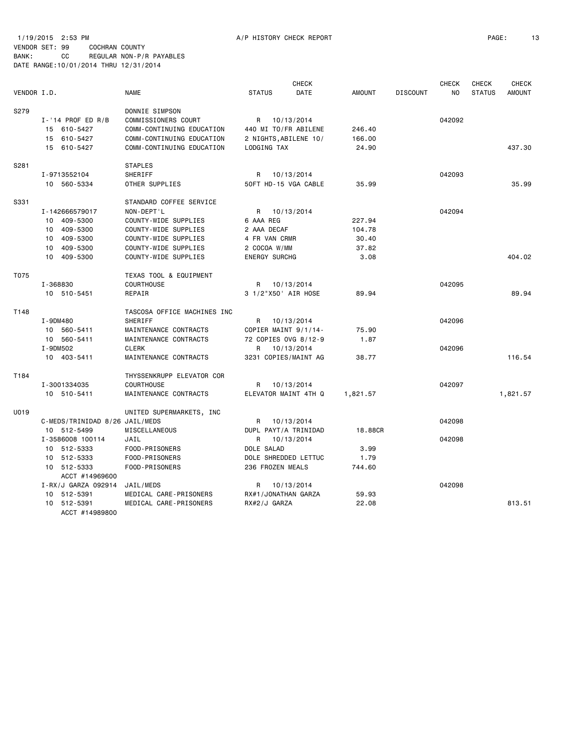1/19/2015 2:53 PM A/P HISTORY CHECK REPORT PAGE: 13 VENDOR SET: 99 COCHRAN COUNTY BANK: CC REGULAR NON-P/R PAYABLES DATE RANGE:10/01/2014 THRU 12/31/2014

|             |                                |                             |                       | <b>CHECK</b>         |               |                 | <b>CHECK</b> | <b>CHECK</b>  | <b>CHECK</b>  |
|-------------|--------------------------------|-----------------------------|-----------------------|----------------------|---------------|-----------------|--------------|---------------|---------------|
| VENDOR I.D. |                                | <b>NAME</b>                 | <b>STATUS</b>         | DATE                 | <b>AMOUNT</b> | <b>DISCOUNT</b> | NO           | <b>STATUS</b> | <b>AMOUNT</b> |
| S279        |                                | DONNIE SIMPSON              |                       |                      |               |                 |              |               |               |
|             | $I - '14$ PROF ED R/B          | COMMISSIONERS COURT         | R 10/13/2014          |                      |               |                 | 042092       |               |               |
|             | 15 610-5427                    | COMM-CONTINUING EDUCATION   | 440 MI TO/FR ABILENE  |                      | 246.40        |                 |              |               |               |
|             | 15 610-5427                    | COMM-CONTINUING EDUCATION   | 2 NIGHTS, ABILENE 10/ |                      | 166.00        |                 |              |               |               |
|             | 15 610-5427                    | COMM-CONTINUING EDUCATION   | LODGING TAX           |                      | 24.90         |                 |              |               | 437.30        |
| S281        |                                | <b>STAPLES</b>              |                       |                      |               |                 |              |               |               |
|             | I-9713552104                   | SHERIFF                     | R                     | 10/13/2014           |               |                 | 042093       |               |               |
|             | 10 560-5334                    | OTHER SUPPLIES              | 50FT HD-15 VGA CABLE  |                      | 35.99         |                 |              |               | 35.99         |
| S331        |                                | STANDARD COFFEE SERVICE     |                       |                      |               |                 |              |               |               |
|             | I-142666579017                 | NON-DEPT'L                  | R                     | 10/13/2014           |               |                 | 042094       |               |               |
|             | 10 409-5300                    | COUNTY-WIDE SUPPLIES        | 6 AAA REG             |                      | 227.94        |                 |              |               |               |
|             | 10 409-5300                    | COUNTY-WIDE SUPPLIES        | 2 AAA DECAF           |                      | 104.78        |                 |              |               |               |
|             | 10 409-5300                    | COUNTY-WIDE SUPPLIES        | 4 FR VAN CRMR         |                      | 30.40         |                 |              |               |               |
|             | 10 409-5300                    | COUNTY-WIDE SUPPLIES        | 2 COCOA W/MM          |                      | 37.82         |                 |              |               |               |
|             | 10 409-5300                    | COUNTY-WIDE SUPPLIES        | <b>ENERGY SURCHG</b>  |                      | 3.08          |                 |              |               | 404.02        |
| T075        |                                | TEXAS TOOL & EQUIPMENT      |                       |                      |               |                 |              |               |               |
|             | I-368830                       | <b>COURTHOUSE</b>           | R.                    | 10/13/2014           |               |                 | 042095       |               |               |
|             | 10 510-5451                    | REPAIR                      | 3 1/2"X50' AIR HOSE   |                      | 89.94         |                 |              |               | 89.94         |
| T148        |                                | TASCOSA OFFICE MACHINES INC |                       |                      |               |                 |              |               |               |
|             | I-9DM480                       | <b>SHERIFF</b>              | R                     | 10/13/2014           |               |                 | 042096       |               |               |
|             | 10 560-5411                    | MAINTENANCE CONTRACTS       | COPIER MAINT 9/1/14-  |                      | 75.90         |                 |              |               |               |
|             | 10 560-5411                    | MAINTENANCE CONTRACTS       | 72 COPIES OVG 8/12-9  |                      | 1.87          |                 |              |               |               |
|             | I-9DM502                       | <b>CLERK</b>                | R                     | 10/13/2014           |               |                 | 042096       |               |               |
|             | 10 403-5411                    | MAINTENANCE CONTRACTS       | 3231 COPIES/MAINT AG  |                      | 38.77         |                 |              |               | 116.54        |
| T184        |                                | THYSSENKRUPP ELEVATOR COR   |                       |                      |               |                 |              |               |               |
|             | I-3001334035                   | <b>COURTHOUSE</b>           | R                     | 10/13/2014           |               |                 | 042097       |               |               |
|             | 10 510-5411                    | MAINTENANCE CONTRACTS       |                       | ELEVATOR MAINT 4TH Q | 1,821.57      |                 |              |               | 1,821.57      |
| U019        |                                | UNITED SUPERMARKETS, INC    |                       |                      |               |                 |              |               |               |
|             | C-MEDS/TRINIDAD 8/26 JAIL/MEDS |                             | R                     | 10/13/2014           |               |                 | 042098       |               |               |
|             | 10 512-5499                    | MISCELLANEOUS               | DUPL PAYT/A TRINIDAD  |                      | 18.88CR       |                 |              |               |               |
|             | I-3586008 100114               | JAIL                        | R                     | 10/13/2014           |               |                 | 042098       |               |               |
|             | 10 512-5333                    | FOOD-PRISONERS              | DOLE SALAD            |                      | 3.99          |                 |              |               |               |
|             | 10 512-5333                    | FOOD-PRISONERS              | DOLE SHREDDED LETTUC  |                      | 1.79          |                 |              |               |               |
|             | 10 512-5333<br>ACCT #14969600  | FOOD-PRISONERS              | 236 FROZEN MEALS      |                      | 744.60        |                 |              |               |               |
|             | I-RX/J GARZA 092914            | JAIL/MEDS                   | R                     | 10/13/2014           |               |                 | 042098       |               |               |
|             | 10 512-5391                    | MEDICAL CARE-PRISONERS      | RX#1/JONATHAN GARZA   |                      | 59.93         |                 |              |               |               |
|             | 10 512-5391                    | MEDICAL CARE-PRISONERS      | RX#2/J GARZA          |                      | 22.08         |                 |              |               | 813.51        |
|             | ACCT #14989800                 |                             |                       |                      |               |                 |              |               |               |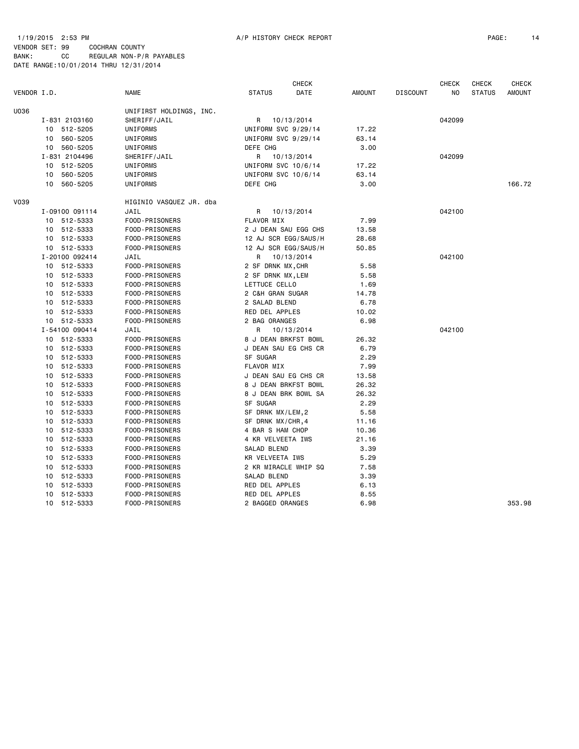### 1/19/2015 2:53 PM A/P HISTORY CHECK REPORT PAGE: 14

VENDOR SET: 99 COCHRAN COUNTY BANK: CC REGULAR NON-P/R PAYABLES DATE RANGE:10/01/2014 THRU 12/31/2014

|             |                |          |                         | CHECK                |            |               | <b>CHECK</b>    |        | <b>CHECK</b><br><b>CHECK</b> |               |
|-------------|----------------|----------|-------------------------|----------------------|------------|---------------|-----------------|--------|------------------------------|---------------|
| VENDOR I.D. |                |          | NAME                    | <b>STATUS</b>        | DATE       | <b>AMOUNT</b> | <b>DISCOUNT</b> | NO     | <b>STATUS</b>                | <b>AMOUNT</b> |
| U036        |                |          | UNIFIRST HOLDINGS, INC. |                      |            |               |                 |        |                              |               |
|             | I-831 2103160  |          | SHERIFF/JAIL            | R                    | 10/13/2014 |               |                 | 042099 |                              |               |
|             | 10             | 512-5205 | UNIFORMS                | UNIFORM SVC 9/29/14  |            | 17.22         |                 |        |                              |               |
|             | 10 560-5205    |          | UNIFORMS                | UNIFORM SVC 9/29/14  |            | 63.14         |                 |        |                              |               |
|             | 10 560-5205    |          | UNIFORMS                | DEFE CHG             |            | 3.00          |                 |        |                              |               |
|             | I-831 2104496  |          | SHERIFF/JAIL            | R                    | 10/13/2014 |               |                 | 042099 |                              |               |
|             | 10 512-5205    |          | UNIFORMS                | UNIFORM SVC 10/6/14  |            | 17.22         |                 |        |                              |               |
|             | 10 560-5205    |          | UNIFORMS                | UNIFORM SVC 10/6/14  |            | 63.14         |                 |        |                              |               |
|             | 10 560-5205    |          | UNIFORMS                | DEFE CHG             |            | 3.00          |                 |        |                              | 166.72        |
| V039        |                |          | HIGINIO VASQUEZ JR. dba |                      |            |               |                 |        |                              |               |
|             | I-09100 091114 |          | JAIL                    | R                    | 10/13/2014 |               |                 | 042100 |                              |               |
|             | 10 512-5333    |          | FOOD-PRISONERS          | FLAVOR MIX           |            | 7.99          |                 |        |                              |               |
|             | 10 512-5333    |          | FOOD-PRISONERS          | 2 J DEAN SAU EGG CHS |            | 13.58         |                 |        |                              |               |
|             | 10             | 512-5333 | FOOD-PRISONERS          | 12 AJ SCR EGG/SAUS/H |            | 28.68         |                 |        |                              |               |
|             | 10 512-5333    |          | FOOD-PRISONERS          | 12 AJ SCR EGG/SAUS/H |            | 50.85         |                 |        |                              |               |
|             | I-20100 092414 |          | JAIL                    | R                    | 10/13/2014 |               |                 | 042100 |                              |               |
|             | 10 512-5333    |          | FOOD-PRISONERS          | 2 SF DRNK MX, CHR    |            | 5.58          |                 |        |                              |               |
|             | 10             | 512-5333 | FOOD-PRISONERS          | 2 SF DRNK MX, LEM    |            | 5.58          |                 |        |                              |               |
|             | 10             | 512-5333 | FOOD-PRISONERS          | LETTUCE CELLO        |            | 1.69          |                 |        |                              |               |
|             | 10 512-5333    |          | FOOD-PRISONERS          | 2 C&H GRAN SUGAR     |            | 14.78         |                 |        |                              |               |
|             | 10 512-5333    |          | FOOD-PRISONERS          | 2 SALAD BLEND        |            | 6.78          |                 |        |                              |               |
|             | 10             | 512-5333 | FOOD-PRISONERS          | RED DEL APPLES       |            | 10.02         |                 |        |                              |               |
|             | 10             | 512-5333 | FOOD-PRISONERS          | 2 BAG ORANGES        |            | 6.98          |                 |        |                              |               |
|             | I-54100 090414 |          | JAIL                    | R                    | 10/13/2014 |               |                 | 042100 |                              |               |
|             | 10             | 512-5333 | FOOD-PRISONERS          | 8 J DEAN BRKFST BOWL |            | 26.32         |                 |        |                              |               |
|             | 10             | 512-5333 | FOOD-PRISONERS          | J DEAN SAU EG CHS CR |            | 6.79          |                 |        |                              |               |
|             | 10             | 512-5333 | FOOD-PRISONERS          | SF SUGAR             |            | 2.29          |                 |        |                              |               |
|             | 10             | 512-5333 | FOOD-PRISONERS          | FLAVOR MIX           |            | 7.99          |                 |        |                              |               |
|             | 10             | 512-5333 | FOOD-PRISONERS          | J DEAN SAU EG CHS CR |            | 13.58         |                 |        |                              |               |
|             | 10             | 512-5333 | FOOD-PRISONERS          | 8 J DEAN BRKFST BOWL |            | 26.32         |                 |        |                              |               |
|             | 10             | 512-5333 | FOOD-PRISONERS          | 8 J DEAN BRK BOWL SA |            | 26.32         |                 |        |                              |               |
|             | 10             | 512-5333 | FOOD-PRISONERS          | SF SUGAR             |            | 2.29          |                 |        |                              |               |
|             | 10             | 512-5333 | FOOD-PRISONERS          | SF DRNK MX/LEM, 2    |            | 5.58          |                 |        |                              |               |
|             | 10             | 512-5333 | FOOD-PRISONERS          | SF DRNK MX/CHR, 4    |            | 11.16         |                 |        |                              |               |
|             | 10             | 512-5333 | FOOD-PRISONERS          | 4 BAR S HAM CHOP     |            | 10.36         |                 |        |                              |               |
|             | 10             | 512-5333 | FOOD-PRISONERS          | 4 KR VELVEETA IWS    |            | 21.16         |                 |        |                              |               |
|             | 10             | 512-5333 | FOOD-PRISONERS          | SALAD BLEND          |            | 3.39          |                 |        |                              |               |
|             | 10             | 512-5333 | FOOD-PRISONERS          | KR VELVEETA IWS      |            | 5.29          |                 |        |                              |               |
|             | 10             | 512-5333 | FOOD-PRISONERS          | 2 KR MIRACLE WHIP SQ |            | 7.58          |                 |        |                              |               |
|             | 10             | 512-5333 | FOOD-PRISONERS          | SALAD BLEND          |            | 3.39          |                 |        |                              |               |
|             | 10             | 512-5333 | FOOD-PRISONERS          | RED DEL APPLES       |            | 6.13          |                 |        |                              |               |
|             | 10             | 512-5333 | FOOD-PRISONERS          | RED DEL APPLES       |            | 8.55          |                 |        |                              |               |
|             | 10 512-5333    |          | FOOD-PRISONERS          | 2 BAGGED ORANGES     |            | 6.98          |                 |        |                              | 353.98        |
|             |                |          |                         |                      |            |               |                 |        |                              |               |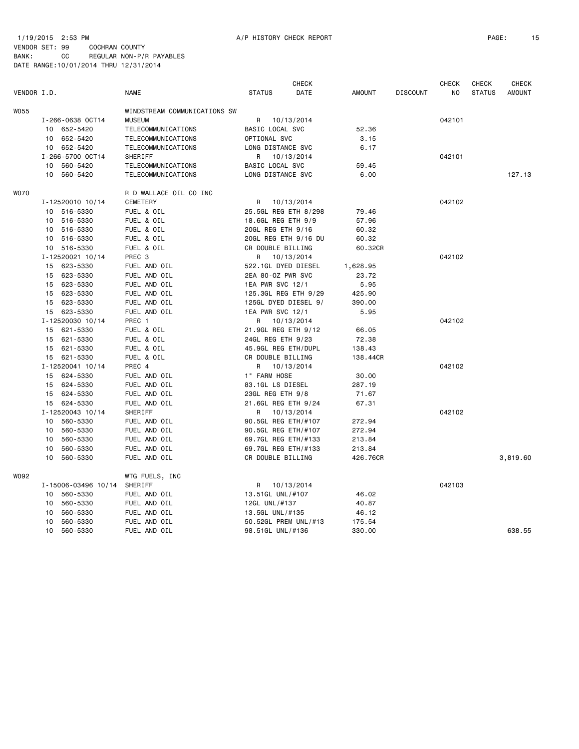VENDOR SET: 99 COCHRAN COUNTY BANK: CC REGULAR NON-P/R PAYABLES DATE RANGE:10/01/2014 THRU 12/31/2014

|             |    |                     |                                          |                      | <b>CHECK</b> |               |                 | <b>CHECK</b> | <b>CHECK</b>  | <b>CHECK</b>  |
|-------------|----|---------------------|------------------------------------------|----------------------|--------------|---------------|-----------------|--------------|---------------|---------------|
| VENDOR I.D. |    |                     | <b>NAME</b>                              | <b>STATUS</b>        | DATE         | <b>AMOUNT</b> | <b>DISCOUNT</b> | NO.          | <b>STATUS</b> | <b>AMOUNT</b> |
| <b>W055</b> |    |                     | WINDSTREAM COMMUNICATIONS SW             |                      |              |               |                 |              |               |               |
|             |    | I-266-0638 OCT14    | <b>MUSEUM</b>                            | R 10/13/2014         |              |               |                 | 042101       |               |               |
|             |    | 10 652-5420         | TELECOMMUNICATIONS                       | BASIC LOCAL SVC      |              | 52.36         |                 |              |               |               |
|             |    | 10 652-5420         | TELECOMMUNICATIONS                       | OPTIONAL SVC         |              | 3.15          |                 |              |               |               |
|             |    | 10 652-5420         | TELECOMMUNICATIONS                       | LONG DISTANCE SVC    |              | 6.17          |                 |              |               |               |
|             |    | I-266-5700 OCT14    | SHERIFF                                  | R                    | 10/13/2014   |               |                 | 042101       |               |               |
|             | 10 | 560-5420            |                                          | BASIC LOCAL SVC      |              | 59.45         |                 |              |               |               |
|             | 10 | 560-5420            | TELECOMMUNICATIONS<br>TELECOMMUNICATIONS | LONG DISTANCE SVC    |              | 6.00          |                 |              |               | 127.13        |
|             |    |                     |                                          |                      |              |               |                 |              |               |               |
| <b>WO70</b> |    |                     | R D WALLACE OIL CO INC                   |                      |              |               |                 |              |               |               |
|             |    | I-12520010 10/14    | <b>CEMETERY</b>                          | R                    | 10/13/2014   |               |                 | 042102       |               |               |
|             |    | 10 516-5330         | FUEL & OIL                               | 25.5GL REG ETH 8/298 |              | 79.46         |                 |              |               |               |
|             |    | 10 516-5330         | FUEL & OIL                               | 18.6GL REG ETH 9/9   |              | 57.96         |                 |              |               |               |
|             |    | 10 516-5330         | FUEL & OIL                               | 20GL REG ETH 9/16    |              | 60.32         |                 |              |               |               |
|             |    | 10 516-5330         | FUEL & OIL                               | 20GL REG ETH 9/16 DU |              | 60.32         |                 |              |               |               |
|             |    | 10 516-5330         | FUEL & OIL                               | CR DOUBLE BILLING    |              | 60.32CR       |                 |              |               |               |
|             |    | I-12520021 10/14    | PREC <sub>3</sub>                        | R                    | 10/13/2014   |               |                 | 042102       |               |               |
|             |    | 15 623-5330         | FUEL AND OIL                             | 522.1GL DYED DIESEL  |              | 1,628.95      |                 |              |               |               |
|             |    | 15 623-5330         | FUEL AND OIL                             | 2EA 80-0Z PWR SVC    |              | 23.72         |                 |              |               |               |
|             |    | 15 623-5330         | FUEL AND OIL                             | 1EA PWR SVC 12/1     |              | 5.95          |                 |              |               |               |
|             |    | 15 623-5330         | FUEL AND OIL                             | 125.3GL REG ETH 9/29 |              | 425.90        |                 |              |               |               |
|             |    | 15 623-5330         | FUEL AND OIL                             | 125GL DYED DIESEL 9/ |              | 390.00        |                 |              |               |               |
|             |    | 15 623-5330         | FUEL AND OIL                             | 1EA PWR SVC 12/1     |              | 5.95          |                 |              |               |               |
|             |    | I-12520030 10/14    | PREC 1                                   | R                    | 10/13/2014   |               |                 | 042102       |               |               |
|             |    | 15 621-5330         | FUEL & OIL                               | 21.9GL REG ETH 9/12  |              | 66.05         |                 |              |               |               |
|             | 15 | 621-5330            | FUEL & OIL                               | 24GL REG ETH 9/23    |              | 72.38         |                 |              |               |               |
|             |    | 15 621-5330         | FUEL & OIL                               | 45.9GL REG ETH/DUPL  |              | 138.43        |                 |              |               |               |
|             |    | 15 621-5330         | FUEL & OIL                               | CR DOUBLE BILLING    |              | 138.44CR      |                 |              |               |               |
|             |    | I-12520041 10/14    | PREC 4                                   | R 10/13/2014         |              |               |                 | 042102       |               |               |
|             |    | 15 624-5330         | FUEL AND OIL                             | 1" FARM HOSE         |              | 30.00         |                 |              |               |               |
|             |    | 15 624-5330         | FUEL AND OIL                             | 83.1GL LS DIESEL     |              | 287.19        |                 |              |               |               |
|             |    | 15 624-5330         | FUEL AND OIL                             | 23GL REG ETH 9/8     |              | 71.67         |                 |              |               |               |
|             |    | 15 624-5330         | FUEL AND OIL                             | 21.6GL REG ETH 9/24  |              | 67.31         |                 |              |               |               |
|             |    | I-12520043 10/14    | SHERIFF                                  | R.                   | 10/13/2014   |               |                 | 042102       |               |               |
|             | 10 | 560-5330            | FUEL AND OIL                             | 90.5GL REG ETH/#107  |              | 272.94        |                 |              |               |               |
|             | 10 | 560-5330            | FUEL AND OIL                             | 90.5GL REG ETH/#107  |              | 272.94        |                 |              |               |               |
|             | 10 | 560-5330            | FUEL AND OIL                             | 69.7GL REG ETH/#133  |              | 213.84        |                 |              |               |               |
|             | 10 | 560-5330            | FUEL AND OIL                             | 69.7GL REG ETH/#133  |              | 213.84        |                 |              |               |               |
|             | 10 | 560-5330            | FUEL AND OIL                             | CR DOUBLE BILLING    |              | 426.76CR      |                 |              |               | 3,819.60      |
|             |    |                     |                                          |                      |              |               |                 |              |               |               |
| W092        |    |                     | WTG FUELS, INC                           |                      |              |               |                 |              |               |               |
|             |    | I-15006-03496 10/14 | SHERIFF                                  | R 10/13/2014         |              |               |                 | 042103       |               |               |
|             | 10 | 560-5330            | FUEL AND OIL                             | 13.51GL UNL/#107     |              | 46.02         |                 |              |               |               |
|             | 10 | 560-5330            | FUEL AND OIL                             | 12GL UNL/#137        |              | 40.87         |                 |              |               |               |
|             | 10 | 560-5330            | FUEL AND OIL                             | 13.5GL UNL/#135      |              | 46.12         |                 |              |               |               |
|             | 10 | 560-5330            | FUEL AND OIL                             | 50.52GL PREM UNL/#13 |              | 175.54        |                 |              |               |               |
|             | 10 | 560-5330            | FUEL AND OIL                             | 98.51GL UNL/#136     |              | 330.00        |                 |              |               | 638.55        |
|             |    |                     |                                          |                      |              |               |                 |              |               |               |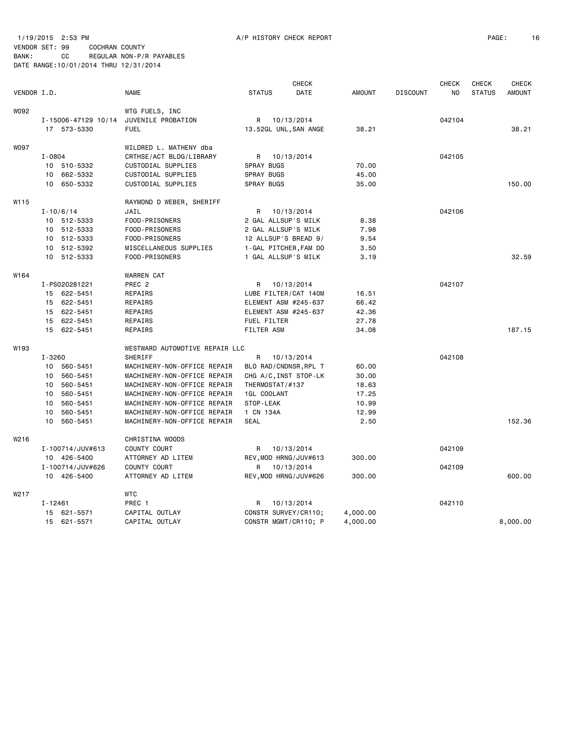1/19/2015 2:53 PM A/P HISTORY CHECK REPORT PAGE: 16 VENDOR SET: 99 COCHRAN COUNTY BANK: CC REGULAR NON-P/R PAYABLES DATE RANGE:10/01/2014 THRU 12/31/2014

|             |             |                     |                                |                    | <b>CHECK</b>          |               |                 | <b>CHECK</b> | <b>CHECK</b>  | <b>CHECK</b>  |
|-------------|-------------|---------------------|--------------------------------|--------------------|-----------------------|---------------|-----------------|--------------|---------------|---------------|
| VENDOR I.D. |             |                     | <b>NAME</b>                    | <b>STATUS</b>      | DATE                  | <b>AMOUNT</b> | <b>DISCOUNT</b> | NO.          | <b>STATUS</b> | <b>AMOUNT</b> |
| W092        |             |                     | WTG FUELS, INC                 |                    |                       |               |                 |              |               |               |
|             |             | I-15006-47129 10/14 | JUVENILE PROBATION             | R                  | 10/13/2014            |               |                 | 042104       |               |               |
|             |             | 17 573-5330         | <b>FUEL</b>                    |                    | 13.52GL UNL, SAN ANGE | 38.21         |                 |              |               | 38.21         |
| <b>WO97</b> |             |                     | WILDRED L. MATHENY dba         |                    |                       |               |                 |              |               |               |
|             | I-0804      |                     | CRTHSE/ACT BLDG/LIBRARY        | R                  | 10/13/2014            |               |                 | 042105       |               |               |
|             |             | 10 510-5332         | CUSTODIAL SUPPLIES             | <b>SPRAY BUGS</b>  |                       | 70.00         |                 |              |               |               |
|             | 10          | 662-5332            | CUSTODIAL SUPPLIES             | SPRAY BUGS         |                       | 45.00         |                 |              |               |               |
|             |             | 10 650-5332         | CUSTODIAL SUPPLIES             | <b>SPRAY BUGS</b>  |                       | 35.00         |                 |              |               | 150.00        |
| W115        |             |                     | RAYMOND D WEBER, SHERIFF       |                    |                       |               |                 |              |               |               |
|             |             | $I - 10/6/14$       | JAIL                           | R                  | 10/13/2014            |               |                 | 042106       |               |               |
|             |             | 10 512-5333         | FOOD-PRISONERS                 |                    | 2 GAL ALLSUP'S MILK   | 8.38          |                 |              |               |               |
|             |             | 10 512-5333         | FOOD-PRISONERS                 |                    | 2 GAL ALLSUP'S MILK   | 7.98          |                 |              |               |               |
|             |             | 10 512-5333         | FOOD-PRISONERS                 |                    | 12 ALLSUP'S BREAD 9/  | 9.54          |                 |              |               |               |
|             |             | 10 512-5392         | MISCELLANEOUS SUPPLIES         |                    | 1-GAL PITCHER, FAM DO | 3.50          |                 |              |               |               |
|             |             | 10 512-5333         | FOOD-PRISONERS                 |                    | 1 GAL ALLSUP'S MILK   | 3.19          |                 |              |               | 32.59         |
| W164        |             |                     | <b>WARREN CAT</b>              |                    |                       |               |                 |              |               |               |
|             |             | I-PS020281221       | PREC <sub>2</sub>              | R                  | 10/13/2014            |               |                 | 042107       |               |               |
|             |             | 15 622-5451         | REPAIRS                        |                    | LUBE FILTER/CAT 140M  | 16.51         |                 |              |               |               |
|             |             | 15 622-5451         | REPAIRS                        |                    | ELEMENT ASM #245-637  | 66.42         |                 |              |               |               |
|             |             | 15 622-5451         | REPAIRS                        |                    | ELEMENT ASM #245-637  | 42.36         |                 |              |               |               |
|             |             | 15 622-5451         | REPAIRS                        | <b>FUEL FILTER</b> |                       | 27.78         |                 |              |               |               |
|             |             | 15 622-5451         | REPAIRS                        | <b>FILTER ASM</b>  |                       | 34.08         |                 |              |               | 187.15        |
| W193        |             |                     | WESTWARD AUTOMOTIVE REPAIR LLC |                    |                       |               |                 |              |               |               |
|             | $I - 3260$  |                     | SHERIFF                        | R                  | 10/13/2014            |               |                 | 042108       |               |               |
|             |             | 10 560-5451         | MACHINERY-NON-OFFICE REPAIR    |                    | BLO RAD/CNDNSR, RPL T | 60.00         |                 |              |               |               |
|             |             | 10 560-5451         | MACHINERY-NON-OFFICE REPAIR    |                    | CHG A/C, INST STOP-LK | 30.00         |                 |              |               |               |
|             |             | 10 560-5451         | MACHINERY-NON-OFFICE REPAIR    | THERMOSTAT/#137    |                       | 18.63         |                 |              |               |               |
|             |             | 10 560-5451         | MACHINERY-NON-OFFICE REPAIR    | 1GL COOLANT        |                       | 17.25         |                 |              |               |               |
|             |             | 10 560-5451         | MACHINERY-NON-OFFICE REPAIR    | STOP-LEAK          |                       | 10.99         |                 |              |               |               |
|             | 10          | 560-5451            | MACHINERY-NON-OFFICE REPAIR    | 1 CN 134A          |                       | 12.99         |                 |              |               |               |
|             | 10          | 560-5451            | MACHINERY-NON-OFFICE REPAIR    | <b>SEAL</b>        |                       | 2.50          |                 |              |               | 152.36        |
| W216        |             |                     | CHRISTINA WOODS                |                    |                       |               |                 |              |               |               |
|             |             | I-100714/JUV#613    | COUNTY COURT                   | R                  | 10/13/2014            |               |                 | 042109       |               |               |
|             |             | 10 426-5400         | ATTORNEY AD LITEM              |                    | REV, MOD HRNG/JUV#613 | 300.00        |                 |              |               |               |
|             |             | I-100714/JUV#626    | COUNTY COURT                   | R                  | 10/13/2014            |               |                 | 042109       |               |               |
|             |             | 10 426-5400         | ATTORNEY AD LITEM              |                    | REV, MOD HRNG/JUV#626 | 300.00        |                 |              |               | 600.00        |
| W217        |             |                     | <b>WTC</b>                     |                    |                       |               |                 |              |               |               |
|             | $I - 12461$ |                     | PREC 1                         | R                  | 10/13/2014            |               |                 | 042110       |               |               |
|             |             | 15 621-5571         | CAPITAL OUTLAY                 |                    | CONSTR SURVEY/CR110;  | 4,000.00      |                 |              |               |               |
|             |             | 15 621-5571         | CAPITAL OUTLAY                 |                    | CONSTR MGMT/CR110; P  | 4,000.00      |                 |              |               | 8,000.00      |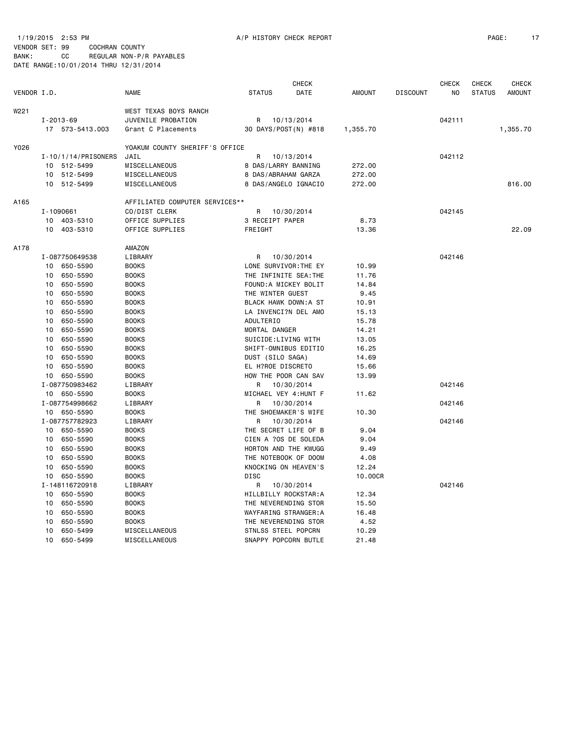1/19/2015 2:53 PM A/P HISTORY CHECK REPORT PAGE: 17 VENDOR SET: 99 COCHRAN COUNTY

|             |                         |                                | <b>CHECK</b>          |      |               |                 | <b>CHECK</b>   | <b>CHECK</b>  | <b>CHECK</b>  |
|-------------|-------------------------|--------------------------------|-----------------------|------|---------------|-----------------|----------------|---------------|---------------|
| VENDOR I.D. |                         | <b>NAME</b>                    | <b>STATUS</b>         | DATE | <b>AMOUNT</b> | <b>DISCOUNT</b> | N <sub>O</sub> | <b>STATUS</b> | <b>AMOUNT</b> |
| W221        |                         | WEST TEXAS BOYS RANCH          |                       |      |               |                 |                |               |               |
|             | $I - 2013 - 69$         | JUVENILE PROBATION             | R 10/13/2014          |      |               |                 | 042111         |               |               |
|             | 17 573-5413.003         | Grant C Placements             | 30 DAYS/POST(N) #818  |      | 1,355.70      |                 |                |               | 1,355.70      |
| Y026        |                         | YOAKUM COUNTY SHERIFF'S OFFICE |                       |      |               |                 |                |               |               |
|             | $I - 10/1/14/PRISONERS$ | JAIL                           | R<br>10/13/2014       |      |               |                 | 042112         |               |               |
|             | 10 512-5499             | MISCELLANEOUS                  | 8 DAS/LARRY BANNING   |      | 272.00        |                 |                |               |               |
|             | 10 512-5499             | MISCELLANEOUS                  | 8 DAS/ABRAHAM GARZA   |      | 272.00        |                 |                |               |               |
|             | 10 512-5499             | MISCELLANEOUS                  | 8 DAS/ANGELO IGNACIO  |      | 272.00        |                 |                |               | 816.00        |
| A165        |                         | AFFILIATED COMPUTER SERVICES** |                       |      |               |                 |                |               |               |
|             | I-1090661               | CO/DIST CLERK                  | 10/30/2014<br>R       |      |               |                 | 042145         |               |               |
|             | 10 403-5310             | OFFICE SUPPLIES                | 3 RECEIPT PAPER       |      | 8.73          |                 |                |               |               |
|             | 10 403-5310             | OFFICE SUPPLIES                | FREIGHT               |      | 13.36         |                 |                |               | 22.09         |
| A178        |                         | AMAZON                         |                       |      |               |                 |                |               |               |
|             | I-087750649538          | LIBRARY                        | 10/30/2014<br>R       |      |               |                 | 042146         |               |               |
|             | 10 650-5590             | <b>BOOKS</b>                   | LONE SURVIVOR: THE EY |      | 10.99         |                 |                |               |               |
|             | 10 650-5590             | <b>BOOKS</b>                   | THE INFINITE SEA: THE |      | 11.76         |                 |                |               |               |
|             | 10 650-5590             | <b>BOOKS</b>                   | FOUND: A MICKEY BOLIT |      | 14.84         |                 |                |               |               |
|             | 650-5590<br>10          | <b>BOOKS</b>                   | THE WINTER GUEST      |      | 9.45          |                 |                |               |               |
|             | 650-5590<br>10          | <b>BOOKS</b>                   | BLACK HAWK DOWN:A ST  |      | 10.91         |                 |                |               |               |
|             | 10<br>650-5590          | <b>BOOKS</b>                   | LA INVENCI?N DEL AMO  |      | 15.13         |                 |                |               |               |
|             | 650-5590<br>10          | <b>BOOKS</b>                   | <b>ADULTERIO</b>      |      | 15.78         |                 |                |               |               |
|             | 10<br>650-5590          | <b>BOOKS</b>                   | MORTAL DANGER         |      | 14.21         |                 |                |               |               |
|             | 10<br>650-5590          | <b>BOOKS</b>                   | SUICIDE: LIVING WITH  |      | 13.05         |                 |                |               |               |
|             | 650-5590<br>10          | <b>BOOKS</b>                   | SHIFT-OMNIBUS EDITIO  |      | 16.25         |                 |                |               |               |
|             | 650-5590<br>10          | <b>BOOKS</b>                   | DUST (SILO SAGA)      |      | 14.69         |                 |                |               |               |
|             | 650-5590<br>10          | <b>BOOKS</b>                   | EL H?ROE DISCRETO     |      | 15.66         |                 |                |               |               |
|             | 10 650-5590             | <b>BOOKS</b>                   | HOW THE POOR CAN SAV  |      | 13.99         |                 |                |               |               |
|             | I-087750983462          | LIBRARY                        | R 10/30/2014          |      |               |                 | 042146         |               |               |
|             | 10 650-5590             | <b>BOOKS</b>                   | MICHAEL VEY 4: HUNT F |      | 11.62         |                 |                |               |               |
|             | I-087754998662          | LIBRARY                        | 10/30/2014<br>R.      |      |               |                 | 042146         |               |               |
|             | 10 650-5590             | <b>BOOKS</b>                   | THE SHOEMAKER'S WIFE  |      | 10.30         |                 |                |               |               |
|             | I-087757782923          | LIBRARY                        | R<br>10/30/2014       |      |               |                 | 042146         |               |               |
|             | 10 650-5590             | <b>BOOKS</b>                   | THE SECRET LIFE OF B  |      | 9.04          |                 |                |               |               |
|             | 10 650-5590             | <b>BOOKS</b>                   | CIEN A ?OS DE SOLEDA  |      | 9.04          |                 |                |               |               |
|             | 10 650-5590             | <b>BOOKS</b>                   | HORTON AND THE KWUGG  |      | 9.49          |                 |                |               |               |
|             | 650-5590<br>10          | <b>BOOKS</b>                   | THE NOTEBOOK OF DOOM  |      | 4.08          |                 |                |               |               |
|             | 650-5590<br>10          | <b>BOOKS</b>                   | KNOCKING ON HEAVEN'S  |      | 12.24         |                 |                |               |               |
|             | 10 650-5590             | <b>BOOKS</b>                   | <b>DISC</b>           |      | 10.00CR       |                 |                |               |               |
|             | I-148116720918          | LIBRARY                        | R<br>10/30/2014       |      |               |                 | 042146         |               |               |
|             | 650-5590<br>10          | <b>BOOKS</b>                   | HILLBILLY ROCKSTAR:A  |      | 12.34         |                 |                |               |               |
|             | 10<br>650-5590          | <b>BOOKS</b>                   | THE NEVERENDING STOR  |      | 15.50         |                 |                |               |               |
|             | 650-5590<br>10          | <b>BOOKS</b>                   | WAYFARING STRANGER:A  |      | 16.48         |                 |                |               |               |
|             | 650-5590<br>10          | <b>BOOKS</b>                   | THE NEVERENDING STOR  |      | 4.52          |                 |                |               |               |
|             | 650-5499<br>10          | MISCELLANEOUS                  | STNLSS STEEL POPCRN   |      | 10.29         |                 |                |               |               |
|             | 650-5499<br>10          | MISCELLANEOUS                  | SNAPPY POPCORN BUTLE  |      | 21.48         |                 |                |               |               |
|             |                         |                                |                       |      |               |                 |                |               |               |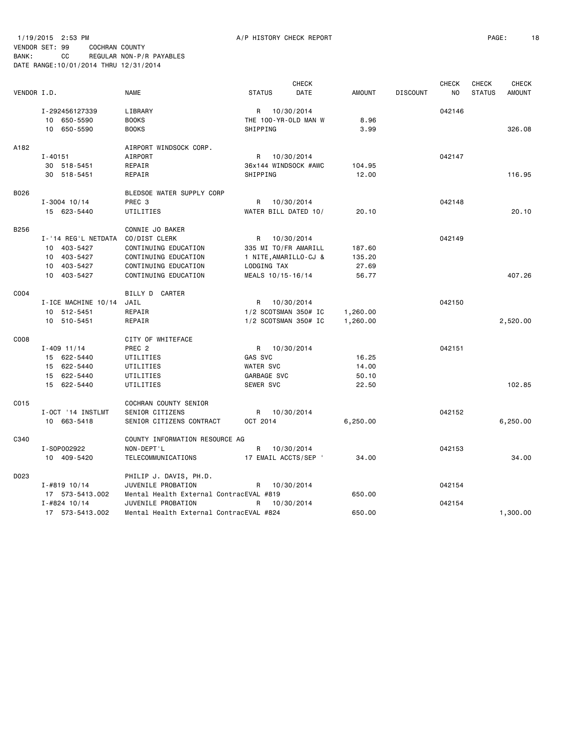1/19/2015 2:53 PM A/P HISTORY CHECK REPORT PAGE: 18 VENDOR SET: 99 COCHRAN COUNTY BANK: CC REGULAR NON-P/R PAYABLES DATE RANGE:10/01/2014 THRU 12/31/2014

|             |                     |                                         |                       | <b>CHECK</b> |               |                 | <b>CHECK</b>   | <b>CHECK</b>  | <b>CHECK</b>  |
|-------------|---------------------|-----------------------------------------|-----------------------|--------------|---------------|-----------------|----------------|---------------|---------------|
| VENDOR I.D. |                     | <b>NAME</b>                             | <b>STATUS</b>         | DATE         | <b>AMOUNT</b> | <b>DISCOUNT</b> | N <sub>O</sub> | <b>STATUS</b> | <b>AMOUNT</b> |
|             | I-292456127339      | LIBRARY                                 | R                     | 10/30/2014   |               |                 | 042146         |               |               |
|             | 10 650-5590         | <b>BOOKS</b>                            | THE 100-YR-OLD MAN W  |              | 8.96          |                 |                |               |               |
|             | 10 650-5590         | <b>BOOKS</b>                            | SHIPPING              |              | 3.99          |                 |                |               | 326.08        |
|             |                     |                                         |                       |              |               |                 |                |               |               |
| A182        |                     | AIRPORT WINDSOCK CORP.                  |                       |              |               |                 |                |               |               |
|             | $I - 40151$         | AIRPORT                                 | R 10/30/2014          |              |               |                 | 042147         |               |               |
|             | 30 518-5451         | REPAIR                                  | 36x144 WINDSOCK #AWC  |              | 104.95        |                 |                |               |               |
|             | 30 518-5451         | REPAIR                                  | SHIPPING              |              | 12.00         |                 |                |               | 116.95        |
| B026        |                     | BLEDSOE WATER SUPPLY CORP               |                       |              |               |                 |                |               |               |
|             | $I - 3004$ 10/14    | PREC <sub>3</sub>                       | R                     | 10/30/2014   |               |                 | 042148         |               |               |
|             | 15 623-5440         | UTILITIES                               | WATER BILL DATED 10/  |              | 20.10         |                 |                |               | 20.10         |
|             |                     |                                         |                       |              |               |                 |                |               |               |
| B256        |                     | CONNIE JO BAKER                         |                       |              |               |                 |                |               |               |
|             | I-'14 REG'L NETDATA | CO/DIST CLERK                           | R 10/30/2014          |              |               |                 | 042149         |               |               |
|             | 10 403-5427         | CONTINUING EDUCATION                    | 335 MI TO/FR AMARILL  |              | 187.60        |                 |                |               |               |
|             | 10 403-5427         | CONTINUING EDUCATION                    | 1 NITE, AMARILLO-CJ & |              | 135.20        |                 |                |               |               |
|             | 10 403-5427         | CONTINUING EDUCATION                    | LODGING TAX           |              | 27.69         |                 |                |               |               |
|             | 10 403-5427         | CONTINUING EDUCATION                    | MEALS 10/15-16/14     |              | 56.77         |                 |                |               | 407.26        |
| C004        |                     | BILLY D CARTER                          |                       |              |               |                 |                |               |               |
|             | I-ICE MACHINE 10/14 | JAIL                                    | R                     | 10/30/2014   |               |                 | 042150         |               |               |
|             | 10 512-5451         | REPAIR                                  | 1/2 SCOTSMAN 350# IC  |              | 1,260.00      |                 |                |               |               |
|             | 10 510-5451         | REPAIR                                  | 1/2 SCOTSMAN 350# IC  |              | 1,260.00      |                 |                |               | 2,520.00      |
|             |                     |                                         |                       |              |               |                 |                |               |               |
| C008        |                     | CITY OF WHITEFACE                       |                       |              |               |                 |                |               |               |
|             | $I - 409$ 11/14     | PREC <sub>2</sub>                       | R 10/30/2014          |              |               |                 | 042151         |               |               |
|             | 15 622-5440         | UTILITIES                               | GAS SVC               |              | 16.25         |                 |                |               |               |
|             | 15 622-5440         | UTILITIES                               | WATER SVC             |              | 14.00         |                 |                |               |               |
|             | 15 622-5440         | UTILITIES                               | GARBAGE SVC           |              | 50.10         |                 |                |               |               |
|             | 15 622-5440         | UTILITIES                               | SEWER SVC             |              | 22.50         |                 |                |               | 102.85        |
| C015        |                     | COCHRAN COUNTY SENIOR                   |                       |              |               |                 |                |               |               |
|             | I-OCT '14 INSTLMT   | SENIOR CITIZENS                         | R 10/30/2014          |              |               |                 | 042152         |               |               |
|             | 10 663-5418         | SENIOR CITIZENS CONTRACT                | OCT 2014              |              | 6,250.00      |                 |                |               | 6,250.00      |
| C340        |                     | COUNTY INFORMATION RESOURCE AG          |                       |              |               |                 |                |               |               |
|             | I-S0P002922         | NON-DEPT'L                              | R                     | 10/30/2014   |               |                 | 042153         |               |               |
|             | 10 409-5420         | TELECOMMUNICATIONS                      | 17 EMAIL ACCTS/SEP '  |              | 34.00         |                 |                |               | 34.00         |
|             |                     |                                         |                       |              |               |                 |                |               |               |
| D023        |                     | PHILIP J. DAVIS, PH.D.                  |                       |              |               |                 |                |               |               |
|             | $I - #819 10/14$    | JUVENILE PROBATION                      | R                     | 10/30/2014   |               |                 | 042154         |               |               |
|             | 17 573-5413.002     | Mental Health External ContracEVAL #819 |                       |              | 650.00        |                 |                |               |               |
|             | $I - #824 10/14$    | JUVENILE PROBATION                      | R                     | 10/30/2014   |               |                 | 042154         |               |               |
|             | 17 573-5413.002     | Mental Health External ContracEVAL #824 |                       |              | 650.00        |                 |                |               | 1,300.00      |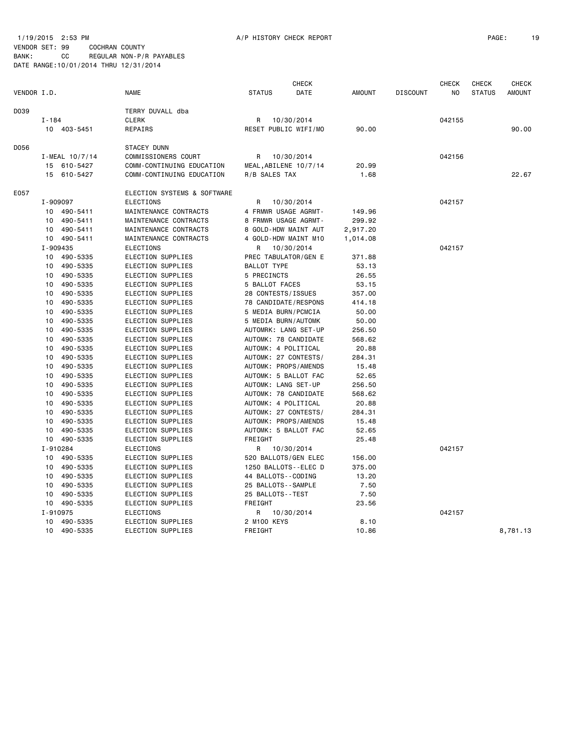#### 1/19/2015 2:53 PM A/P HISTORY CHECK REPORT PAGE: 19 VENDOR SET: 99 COCHRAN COUNTY BANK: CC REGULAR NON-P/R PAYABLES DATE RANGE:10/01/2014 THRU 12/31/2014

|             |                 |                |                             |                       | <b>CHECK</b>          |               |                 | <b>CHECK</b> | <b>CHECK</b>  | <b>CHECK</b>  |
|-------------|-----------------|----------------|-----------------------------|-----------------------|-----------------------|---------------|-----------------|--------------|---------------|---------------|
| VENDOR I.D. |                 |                | <b>NAME</b>                 | <b>STATUS</b>         | DATE                  | <b>AMOUNT</b> | <b>DISCOUNT</b> | NO.          | <b>STATUS</b> | <b>AMOUNT</b> |
| D039        |                 |                | TERRY DUVALL dba            |                       |                       |               |                 |              |               |               |
|             | $I - 184$       |                | <b>CLERK</b>                | R                     | 10/30/2014            |               |                 | 042155       |               |               |
|             |                 | 10 403-5451    | REPAIRS                     |                       | RESET PUBLIC WIFI/MO  | 90.00         |                 |              |               | 90.00         |
| D056        |                 |                | <b>STACEY DUNN</b>          |                       |                       |               |                 |              |               |               |
|             |                 | I-MEAL 10/7/14 | COMMISSIONERS COURT         | R                     | 10/30/2014            |               |                 | 042156       |               |               |
|             |                 | 15 610-5427    | COMM-CONTINUING EDUCATION   |                       | MEAL, ABILENE 10/7/14 | 20.99         |                 |              |               |               |
|             |                 | 15 610-5427    | COMM-CONTINUING EDUCATION   | R/B SALES TAX         |                       | 1.68          |                 |              |               | 22.67         |
| E057        |                 |                | ELECTION SYSTEMS & SOFTWARE |                       |                       |               |                 |              |               |               |
|             | I-909097        |                | <b>ELECTIONS</b>            | R                     | 10/30/2014            |               |                 | 042157       |               |               |
|             |                 | 10 490-5411    | MAINTENANCE CONTRACTS       |                       | 4 FRMWR USAGE AGRMT-  | 149.96        |                 |              |               |               |
|             |                 | 10 490-5411    | MAINTENANCE CONTRACTS       |                       | 8 FRMWR USAGE AGRMT-  | 299.92        |                 |              |               |               |
|             |                 | 10 490-5411    | MAINTENANCE CONTRACTS       |                       | 8 GOLD-HDW MAINT AUT  | 2,917.20      |                 |              |               |               |
|             |                 | 10 490-5411    | MAINTENANCE CONTRACTS       |                       | 4 GOLD-HDW MAINT M10  | 1,014.08      |                 |              |               |               |
|             | I-909435        |                | <b>ELECTIONS</b>            | R                     | 10/30/2014            |               |                 | 042157       |               |               |
|             |                 | 10 490-5335    | ELECTION SUPPLIES           |                       | PREC TABULATOR/GEN E  | 371.88        |                 |              |               |               |
|             | 10              | 490-5335       | ELECTION SUPPLIES           | BALLOT TYPE           |                       | 53.13         |                 |              |               |               |
|             | 10              | 490-5335       | ELECTION SUPPLIES           | 5 PRECINCTS           |                       | 26.55         |                 |              |               |               |
|             | 10              | 490-5335       | ELECTION SUPPLIES           | 5 BALLOT FACES        |                       | 53.15         |                 |              |               |               |
|             | 10              | 490-5335       | ELECTION SUPPLIES           | 28 CONTESTS/ISSUES    |                       | 357.00        |                 |              |               |               |
|             | 10              | 490-5335       | ELECTION SUPPLIES           |                       | 78 CANDIDATE/RESPONS  | 414.18        |                 |              |               |               |
|             | 10              | 490-5335       | ELECTION SUPPLIES           | 5 MEDIA BURN/PCMCIA   |                       | 50.00         |                 |              |               |               |
|             | 10              | 490-5335       | ELECTION SUPPLIES           | 5 MEDIA BURN/AUTOMK   |                       | 50.00         |                 |              |               |               |
|             | 10              | 490-5335       | ELECTION SUPPLIES           |                       | AUTOMRK: LANG SET-UP  | 256.50        |                 |              |               |               |
|             | 10              | 490-5335       | ELECTION SUPPLIES           |                       | AUTOMK: 78 CANDIDATE  | 568.62        |                 |              |               |               |
|             | 10              | 490-5335       | ELECTION SUPPLIES           | AUTOMK: 4 POLITICAL   |                       | 20.88         |                 |              |               |               |
|             | 10              | 490-5335       | ELECTION SUPPLIES           |                       | AUTOMK: 27 CONTESTS/  | 284.31        |                 |              |               |               |
|             | 10              | 490-5335       | ELECTION SUPPLIES           |                       | AUTOMK: PROPS/AMENDS  | 15.48         |                 |              |               |               |
|             | 10              | 490-5335       | ELECTION SUPPLIES           |                       | AUTOMK: 5 BALLOT FAC  | 52.65         |                 |              |               |               |
|             | 10              | 490-5335       | ELECTION SUPPLIES           | AUTOMK: LANG SET-UP   |                       | 256.50        |                 |              |               |               |
|             | 10              | 490-5335       | ELECTION SUPPLIES           |                       | AUTOMK: 78 CANDIDATE  | 568.62        |                 |              |               |               |
|             | 10              | 490-5335       | ELECTION SUPPLIES           | AUTOMK: 4 POLITICAL   |                       | 20.88         |                 |              |               |               |
|             | 10              | 490-5335       | ELECTION SUPPLIES           |                       | AUTOMK: 27 CONTESTS/  | 284.31        |                 |              |               |               |
|             | 10              | 490-5335       | ELECTION SUPPLIES           |                       | AUTOMK: PROPS/AMENDS  | 15.48         |                 |              |               |               |
|             | 10              | 490-5335       | ELECTION SUPPLIES           |                       | AUTOMK: 5 BALLOT FAC  | 52.65         |                 |              |               |               |
|             |                 | 10 490-5335    | ELECTION SUPPLIES           | FREIGHT               |                       | 25.48         |                 |              |               |               |
|             | I-910284        |                | <b>ELECTIONS</b>            |                       | R 10/30/2014          |               |                 | 042157       |               |               |
|             | 10 <sup>1</sup> | 490-5335       | ELECTION SUPPLIES           |                       | 520 BALLOTS/GEN ELEC  | 156.00        |                 |              |               |               |
|             | 10              | 490-5335       | ELECTION SUPPLIES           |                       | 1250 BALLOTS--ELEC D  | 375.00        |                 |              |               |               |
|             | 10              | 490-5335       | ELECTION SUPPLIES           | 44 BALLOTS - - CODING |                       | 13.20         |                 |              |               |               |
|             | 10              | 490-5335       | ELECTION SUPPLIES           | 25 BALLOTS - - SAMPLE |                       | 7.50          |                 |              |               |               |
|             | 10              | 490-5335       | ELECTION SUPPLIES           | 25 BALLOTS - - TEST   |                       | 7.50          |                 |              |               |               |
|             |                 | 10 490-5335    | ELECTION SUPPLIES           | FREIGHT               |                       | 23.56         |                 |              |               |               |
|             | I-910975        |                | ELECTIONS                   | R                     | 10/30/2014            |               |                 | 042157       |               |               |
|             |                 | 10 490-5335    | ELECTION SUPPLIES           | 2 M100 KEYS           |                       | 8.10          |                 |              |               |               |
|             |                 | 10 490-5335    | ELECTION SUPPLIES           | FREIGHT               |                       | 10.86         |                 |              |               | 8,781.13      |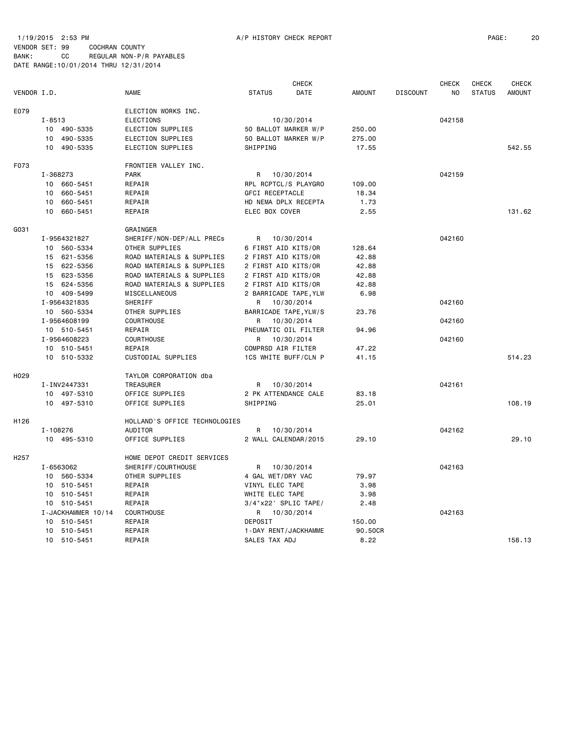1/19/2015 2:53 PM A/P HISTORY CHECK REPORT PAGE: 20 VENDOR SET: 99 COCHRAN COUNTY

| VENDOR SEI: 99 |    | COCHRAN COUNTY                         |                          |  |
|----------------|----|----------------------------------------|--------------------------|--|
| BANK :         | CC |                                        | REGULAR NON-P/R PAYABLES |  |
|                |    | DATE RANGE: 10/01/2014 THRU 12/31/2014 |                          |  |

|                  |            |                    |                               |                        | <b>CHECK</b>          |               |                 | <b>CHECK</b>   | <b>CHECK</b>  | <b>CHECK</b>  |
|------------------|------------|--------------------|-------------------------------|------------------------|-----------------------|---------------|-----------------|----------------|---------------|---------------|
| VENDOR I.D.      |            |                    | <b>NAME</b>                   | <b>STATUS</b>          | DATE                  | <b>AMOUNT</b> | <b>DISCOUNT</b> | N <sub>0</sub> | <b>STATUS</b> | <b>AMOUNT</b> |
| E079             |            |                    | ELECTION WORKS INC.           |                        |                       |               |                 |                |               |               |
|                  | $I - 8513$ |                    | ELECTIONS                     |                        | 10/30/2014            |               |                 | 042158         |               |               |
|                  |            | 10 490-5335        | ELECTION SUPPLIES             |                        | 50 BALLOT MARKER W/P  | 250.00        |                 |                |               |               |
|                  | 10         | 490-5335           | ELECTION SUPPLIES             |                        | 50 BALLOT MARKER W/P  | 275.00        |                 |                |               |               |
|                  | 10         | 490-5335           | ELECTION SUPPLIES             | SHIPPING               |                       | 17.55         |                 |                |               | 542.55        |
| F073             |            |                    | FRONTIER VALLEY INC.          |                        |                       |               |                 |                |               |               |
|                  | I-368273   |                    | <b>PARK</b>                   | R                      | 10/30/2014            |               |                 | 042159         |               |               |
|                  |            | 10 660-5451        | REPAIR                        |                        | RPL RCPTCL/S PLAYGRO  | 109.00        |                 |                |               |               |
|                  | 10         | 660-5451           | REPAIR                        | <b>GFCI RECEPTACLE</b> |                       | 18.34         |                 |                |               |               |
|                  | 10         | 660-5451           | REPAIR                        |                        | HD NEMA DPLX RECEPTA  | 1.73          |                 |                |               |               |
|                  | 10         | 660-5451           | REPAIR                        | ELEC BOX COVER         |                       | 2.55          |                 |                |               | 131.62        |
| G031             |            |                    | GRAINGER                      |                        |                       |               |                 |                |               |               |
|                  |            | I-9564321827       | SHERIFF/NON-DEP/ALL PRECs     | R                      | 10/30/2014            |               |                 | 042160         |               |               |
|                  |            | 10 560-5334        | OTHER SUPPLIES                | 6 FIRST AID KITS/OR    |                       | 128.64        |                 |                |               |               |
|                  |            | 15 621-5356        | ROAD MATERIALS & SUPPLIES     | 2 FIRST AID KITS/OR    |                       | 42.88         |                 |                |               |               |
|                  |            | 15 622-5356        | ROAD MATERIALS & SUPPLIES     | 2 FIRST AID KITS/OR    |                       | 42.88         |                 |                |               |               |
|                  |            | 15 623-5356        | ROAD MATERIALS & SUPPLIES     | 2 FIRST AID KITS/OR    |                       | 42.88         |                 |                |               |               |
|                  |            | 15 624-5356        | ROAD MATERIALS & SUPPLIES     | 2 FIRST AID KITS/OR    |                       | 42.88         |                 |                |               |               |
|                  |            | 10 409-5499        | MISCELLANEOUS                 |                        | 2 BARRICADE TAPE, YLW | 6.98          |                 |                |               |               |
|                  |            | I-9564321835       | SHERIFF                       | R                      | 10/30/2014            |               |                 | 042160         |               |               |
|                  |            | 10 560-5334        | OTHER SUPPLIES                |                        | BARRICADE TAPE, YLW/S | 23.76         |                 |                |               |               |
|                  |            | I-9564608199       | <b>COURTHOUSE</b>             | R                      | 10/30/2014            |               |                 | 042160         |               |               |
|                  |            | 10 510-5451        | REPAIR                        |                        | PNEUMATIC OIL FILTER  | 94.96         |                 |                |               |               |
|                  |            | I-9564608223       | <b>COURTHOUSE</b>             | R                      | 10/30/2014            |               |                 | 042160         |               |               |
|                  |            | 10 510-5451        | REPAIR                        | COMPRSD AIR FILTER     |                       | 47.22         |                 |                |               |               |
|                  |            | 10 510-5332        | CUSTODIAL SUPPLIES            |                        | 1CS WHITE BUFF/CLN P  | 41.15         |                 |                |               | 514.23        |
| H <sub>029</sub> |            |                    | TAYLOR CORPORATION dba        |                        |                       |               |                 |                |               |               |
|                  |            | I-INV2447331       | <b>TREASURER</b>              | R                      | 10/30/2014            |               |                 | 042161         |               |               |
|                  |            | 10 497-5310        | OFFICE SUPPLIES               |                        | 2 PK ATTENDANCE CALE  | 83.18         |                 |                |               |               |
|                  |            | 10 497-5310        | OFFICE SUPPLIES               | SHIPPING               |                       | 25.01         |                 |                |               | 108.19        |
| H126             |            |                    | HOLLAND'S OFFICE TECHNOLOGIES |                        |                       |               |                 |                |               |               |
|                  | I-108276   |                    | AUDITOR                       | R                      | 10/30/2014            |               |                 | 042162         |               |               |
|                  |            | 10 495-5310        | OFFICE SUPPLIES               |                        | 2 WALL CALENDAR/2015  | 29,10         |                 |                |               | 29.10         |
| H <sub>257</sub> |            |                    | HOME DEPOT CREDIT SERVICES    |                        |                       |               |                 |                |               |               |
|                  |            | I-6563062          | SHERIFF/COURTHOUSE            | R                      | 10/30/2014            |               |                 | 042163         |               |               |
|                  |            | 10 560-5334        | OTHER SUPPLIES                | 4 GAL WET/DRY VAC      |                       | 79.97         |                 |                |               |               |
|                  |            | 10 510-5451        | REPAIR                        | VINYL ELEC TAPE        |                       | 3.98          |                 |                |               |               |
|                  |            | 10 510-5451        | REPAIR                        | WHITE ELEC TAPE        |                       | 3.98          |                 |                |               |               |
|                  |            | 10 510-5451        | REPAIR                        |                        | 3/4"x22' SPLIC TAPE/  | 2.48          |                 |                |               |               |
|                  |            | I-JACKHAMMER 10/14 | COURTHOUSE                    |                        | R 10/30/2014          |               |                 | 042163         |               |               |
|                  |            | 10 510-5451        | REPAIR                        | DEPOSIT                |                       | 150.00        |                 |                |               |               |
|                  |            | 10 510-5451        | REPAIR                        |                        | 1-DAY RENT/JACKHAMME  | 90.50CR       |                 |                |               |               |
|                  |            | 10 510-5451        | REPAIR                        | SALES TAX ADJ          |                       | 8.22          |                 |                |               | 158.13        |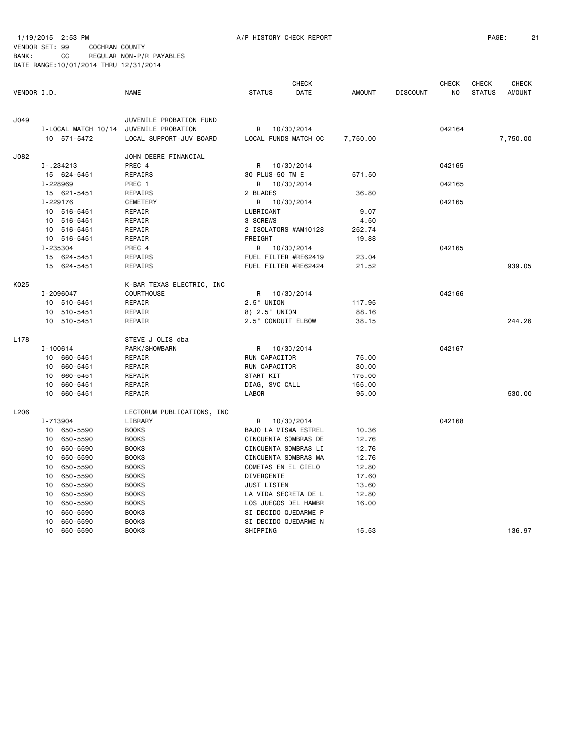1/19/2015 2:53 PM A/P HISTORY CHECK REPORT PAGE: 21 VENDOR SET: 99 COCHRAN COUNTY BANK: CC REGULAR NON-P/R PAYABLES DATE RANGE:10/01/2014 THRU 12/31/2014

|             |              |             |                                        |                      | <b>CHECK</b> |               |                 | <b>CHECK</b> | <b>CHECK</b>  | CHECK         |
|-------------|--------------|-------------|----------------------------------------|----------------------|--------------|---------------|-----------------|--------------|---------------|---------------|
| VENDOR I.D. |              |             | <b>NAME</b>                            | <b>STATUS</b>        | DATE         | <b>AMOUNT</b> | <b>DISCOUNT</b> | NO           | <b>STATUS</b> | <b>AMOUNT</b> |
| J049        |              |             | JUVENILE PROBATION FUND                |                      |              |               |                 |              |               |               |
|             |              |             | I-LOCAL MATCH 10/14 JUVENILE PROBATION | R                    | 10/30/2014   |               |                 | 042164       |               |               |
|             |              | 10 571-5472 | LOCAL SUPPORT-JUV BOARD                | LOCAL FUNDS MATCH OC |              | 7,750.00      |                 |              |               | 7,750.00      |
| J082        |              |             | JOHN DEERE FINANCIAL                   |                      |              |               |                 |              |               |               |
|             |              | $I-.234213$ | PREC 4                                 | R                    | 10/30/2014   |               |                 | 042165       |               |               |
|             |              | 15 624-5451 | REPAIRS                                | 30 PLUS-50 TM E      |              | 571.50        |                 |              |               |               |
|             | I-228969     |             | PREC 1                                 | R                    | 10/30/2014   |               |                 | 042165       |               |               |
|             |              | 15 621-5451 | REPAIRS                                | 2 BLADES             |              | 36.80         |                 |              |               |               |
|             | I-229176     |             | CEMETERY                               | R                    | 10/30/2014   |               |                 | 042165       |               |               |
|             |              | 10 516-5451 | REPAIR                                 | LUBRICANT            |              | 9.07          |                 |              |               |               |
|             |              | 10 516-5451 | REPAIR                                 | 3 SCREWS             |              | 4.50          |                 |              |               |               |
|             |              | 10 516-5451 | REPAIR                                 | 2 ISOLATORS #AM10128 |              | 252.74        |                 |              |               |               |
|             |              | 10 516-5451 | REPAIR                                 | FREIGHT              |              | 19.88         |                 |              |               |               |
|             | I-235304     |             | PREC 4                                 | R                    | 10/30/2014   |               |                 | 042165       |               |               |
|             |              | 15 624-5451 | REPAIRS                                | FUEL FILTER #RE62419 |              | 23.04         |                 |              |               |               |
|             |              | 15 624-5451 | REPAIRS                                | FUEL FILTER #RE62424 |              | 21.52         |                 |              |               | 939.05        |
| K025        |              |             | K-BAR TEXAS ELECTRIC, INC              |                      |              |               |                 |              |               |               |
|             |              | I-2096047   | <b>COURTHOUSE</b>                      | R 10/30/2014         |              |               |                 | 042166       |               |               |
|             |              | 10 510-5451 | REPAIR                                 | 2.5" UNION           |              | 117.95        |                 |              |               |               |
|             |              | 10 510-5451 | REPAIR                                 | 8) 2.5" UNION        |              | 88.16         |                 |              |               |               |
|             |              | 10 510-5451 | REPAIR                                 | 2.5" CONDUIT ELBOW   |              | 38.15         |                 |              |               | 244.26        |
| L178        |              |             | STEVE J OLIS dba                       |                      |              |               |                 |              |               |               |
|             | $I - 100614$ |             | PARK/SHOWBARN                          | R 10/30/2014         |              |               |                 | 042167       |               |               |
|             |              | 10 660-5451 | REPAIR                                 | RUN CAPACITOR        |              | 75.00         |                 |              |               |               |
|             |              | 10 660-5451 | REPAIR                                 | RUN CAPACITOR        |              | 30.00         |                 |              |               |               |
|             | 10           | 660-5451    | REPAIR                                 | START KIT            |              | 175.00        |                 |              |               |               |
|             | 10           | 660-5451    | REPAIR                                 | DIAG, SVC CALL       |              | 155.00        |                 |              |               |               |
|             | 10           | 660-5451    | REPAIR                                 | LABOR                |              | 95.00         |                 |              |               | 530.00        |
| L206        |              |             | LECTORUM PUBLICATIONS, INC             |                      |              |               |                 |              |               |               |
|             | I-713904     |             | LIBRARY                                | R                    | 10/30/2014   |               |                 | 042168       |               |               |
|             |              | 10 650-5590 | <b>BOOKS</b>                           | BAJO LA MISMA ESTREL |              | 10.36         |                 |              |               |               |
|             |              | 10 650-5590 | <b>BOOKS</b>                           | CINCUENTA SOMBRAS DE |              | 12.76         |                 |              |               |               |
|             | 10           | 650-5590    | <b>BOOKS</b>                           | CINCUENTA SOMBRAS LI |              | 12.76         |                 |              |               |               |
|             | 10           | 650-5590    | <b>BOOKS</b>                           | CINCUENTA SOMBRAS MA |              | 12.76         |                 |              |               |               |
|             | 10           | 650-5590    | <b>BOOKS</b>                           | COMETAS EN EL CIELO  |              | 12.80         |                 |              |               |               |
|             | 10           | 650-5590    | <b>BOOKS</b>                           | DIVERGENTE           |              | 17.60         |                 |              |               |               |
|             | 10           | 650-5590    | <b>BOOKS</b>                           | <b>JUST LISTEN</b>   |              | 13.60         |                 |              |               |               |
|             | 10           | 650-5590    | <b>BOOKS</b>                           | LA VIDA SECRETA DE L |              | 12.80         |                 |              |               |               |
|             | 10           | 650-5590    | <b>BOOKS</b>                           | LOS JUEGOS DEL HAMBR |              | 16.00         |                 |              |               |               |
|             | 10           | 650-5590    | <b>BOOKS</b>                           | SI DECIDO QUEDARME P |              |               |                 |              |               |               |
|             | 10           | 650-5590    | <b>BOOKS</b>                           | SI DECIDO QUEDARME N |              |               |                 |              |               |               |
|             | 10           | 650-5590    | <b>BOOKS</b>                           | SHIPPING             |              | 15.53         |                 |              |               | 136.97        |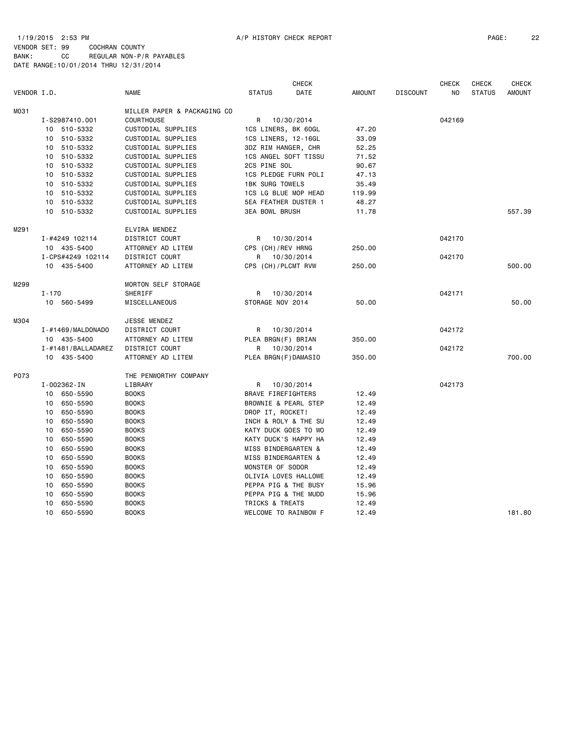1/19/2015 2:53 PM A/P HISTORY CHECK REPORT PAGE: 22 VENDOR SET: 99 COCHRAN COUNTY BANK: CC REGULAR NON-P/R PAYABLES DATE RANGE:10/01/2014 THRU 12/31/2014

|             |                    | <b>CHECK</b>                |                        |            |               | <b>CHECK</b>    | <b>CHECK</b> | <b>CHECK</b>  |               |
|-------------|--------------------|-----------------------------|------------------------|------------|---------------|-----------------|--------------|---------------|---------------|
| VENDOR I.D. |                    | <b>NAME</b>                 | <b>STATUS</b>          | DATE       | <b>AMOUNT</b> | <b>DISCOUNT</b> | NO           | <b>STATUS</b> | <b>AMOUNT</b> |
| M031        |                    | MILLER PAPER & PACKAGING CO |                        |            |               |                 |              |               |               |
|             | I-S2987410.001     | <b>COURTHOUSE</b>           | R 10/30/2014           |            |               |                 | 042169       |               |               |
|             | 10 510-5332        | CUSTODIAL SUPPLIES          | 1CS LINERS, BK 60GL    |            | 47.20         |                 |              |               |               |
|             | 10 510-5332        | CUSTODIAL SUPPLIES          | 1CS LINERS, 12-16GL    |            | 33.09         |                 |              |               |               |
|             | 10 510-5332        | CUSTODIAL SUPPLIES          | 3DZ RIM HANGER, CHR    |            | 52.25         |                 |              |               |               |
|             | 10 510-5332        | CUSTODIAL SUPPLIES          | 1CS ANGEL SOFT TISSU   |            | 71.52         |                 |              |               |               |
|             | 10 510-5332        | CUSTODIAL SUPPLIES          | 2CS PINE SOL           |            | 90.67         |                 |              |               |               |
|             | 10 510-5332        | CUSTODIAL SUPPLIES          | 1CS PLEDGE FURN POLI   |            | 47.13         |                 |              |               |               |
|             | 10<br>510-5332     | CUSTODIAL SUPPLIES          | <b>1BK SURG TOWELS</b> |            | 35.49         |                 |              |               |               |
|             | 10 510-5332        | CUSTODIAL SUPPLIES          | 1CS LG BLUE MOP HEAD   |            | 119.99        |                 |              |               |               |
|             | 10 510-5332        | CUSTODIAL SUPPLIES          | 5EA FEATHER DUSTER 1   |            | 48.27         |                 |              |               |               |
|             | 10 510-5332        | CUSTODIAL SUPPLIES          | <b>3EA BOWL BRUSH</b>  |            | 11.78         |                 |              |               | 557.39        |
| M291        |                    | ELVIRA MENDEZ               |                        |            |               |                 |              |               |               |
|             | I-#4249 102114     | DISTRICT COURT              | R 10/30/2014           |            |               |                 | 042170       |               |               |
|             | 10 435-5400        | ATTORNEY AD LITEM           | CPS (CH)/REV HRNG      |            | 250.00        |                 |              |               |               |
|             | I-CPS#4249 102114  | <b>DISTRICT COURT</b>       | R 10/30/2014           |            |               |                 | 042170       |               |               |
|             | 10 435-5400        | ATTORNEY AD LITEM           | CPS (CH)/PLCMT RVW     |            | 250.00        |                 |              |               | 500.00        |
| M299        |                    | MORTON SELF STORAGE         |                        |            |               |                 |              |               |               |
|             | $I - 170$          | SHERIFF                     | R 10/30/2014           |            |               |                 | 042171       |               |               |
|             | 10 560-5499        | MISCELLANEOUS               | STORAGE NOV 2014       |            | 50.00         |                 |              |               | 50.00         |
| M304        |                    | JESSE MENDEZ                |                        |            |               |                 |              |               |               |
|             | I-#1469/MALDONADO  | DISTRICT COURT              | R                      | 10/30/2014 |               |                 | 042172       |               |               |
|             | 10 435-5400        | ATTORNEY AD LITEM           | PLEA BRGN(F) BRIAN     |            | 350.00        |                 |              |               |               |
|             | I-#1481/BALLADAREZ | DISTRICT COURT              | R                      | 10/30/2014 |               |                 | 042172       |               |               |
|             | 10 435-5400        | ATTORNEY AD LITEM           | PLEA BRGN(F)DAMASIO    |            | 350.00        |                 |              |               | 700.00        |
| P073        |                    | THE PENWORTHY COMPANY       |                        |            |               |                 |              |               |               |
|             | I-002362-IN        | LIBRARY                     | R                      | 10/30/2014 |               |                 | 042173       |               |               |
|             | 10 650-5590        | <b>BOOKS</b>                | BRAVE FIREFIGHTERS     |            | 12.49         |                 |              |               |               |
|             | 650-5590<br>10     | <b>BOOKS</b>                | BROWNIE & PEARL STEP   |            | 12.49         |                 |              |               |               |
|             | 650-5590<br>10     | <b>BOOKS</b>                | DROP IT, ROCKET!       |            | 12.49         |                 |              |               |               |
|             | 650-5590<br>10     | <b>BOOKS</b>                | INCH & ROLY & THE SU   |            | 12.49         |                 |              |               |               |
|             | 10<br>650-5590     | <b>BOOKS</b>                | KATY DUCK GOES TO WO   |            | 12.49         |                 |              |               |               |
|             | 10<br>650-5590     | <b>BOOKS</b>                | KATY DUCK'S HAPPY HA   |            | 12.49         |                 |              |               |               |
|             | 650-5590<br>10     | <b>BOOKS</b>                | MISS BINDERGARTEN &    |            | 12.49         |                 |              |               |               |
|             | 650-5590<br>10     | <b>BOOKS</b>                | MISS BINDERGARTEN &    |            | 12.49         |                 |              |               |               |
|             | 650-5590<br>10     | <b>BOOKS</b>                | MONSTER OF SODOR       |            | 12.49         |                 |              |               |               |
|             | 650-5590<br>10     | <b>BOOKS</b>                | OLIVIA LOVES HALLOWE   |            | 12.49         |                 |              |               |               |
|             | 10<br>650-5590     | <b>BOOKS</b>                | PEPPA PIG & THE BUSY   |            | 15.96         |                 |              |               |               |
|             | 10<br>650-5590     | <b>BOOKS</b>                | PEPPA PIG & THE MUDD   |            | 15.96         |                 |              |               |               |
|             | 10<br>650-5590     | <b>BOOKS</b>                | TRICKS & TREATS        |            | 12.49         |                 |              |               |               |
|             | 10<br>650-5590     | <b>BOOKS</b>                | WELCOME TO RAINBOW F   |            | 12.49         |                 |              |               | 181.80        |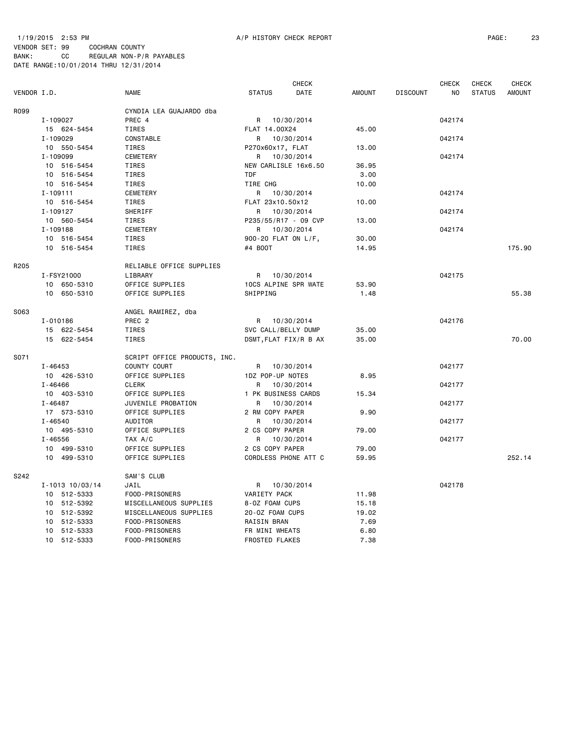## 1/19/2015 2:53 PM A/P HISTORY CHECK REPORT PAGE: 23 VENDOR SET: 99 COCHRAN COUNTY

|             |                 |                              |                       | <b>CHECK</b> |               | <b>CHECK</b><br><b>CHECK</b> |                |               |               |
|-------------|-----------------|------------------------------|-----------------------|--------------|---------------|------------------------------|----------------|---------------|---------------|
| VENDOR I.D. |                 | <b>NAME</b>                  | <b>STATUS</b>         | DATE         | <b>AMOUNT</b> | <b>DISCOUNT</b>              | N <sub>O</sub> | <b>STATUS</b> | <b>AMOUNT</b> |
| R099        |                 | CYNDIA LEA GUAJARDO dba      |                       |              |               |                              |                |               |               |
|             | I-109027        | PREC 4                       | R 10/30/2014          |              |               |                              | 042174         |               |               |
|             | 15 624-5454     | TIRES                        | FLAT 14.00X24         |              | 45.00         |                              |                |               |               |
|             | I-109029        | CONSTABLE                    | R                     | 10/30/2014   |               |                              | 042174         |               |               |
|             | 10 550-5454     | TIRES                        | P270x60x17, FLAT      |              | 13.00         |                              |                |               |               |
|             | I-109099        | CEMETERY                     | R 10/30/2014          |              |               |                              | 042174         |               |               |
|             | 10 516-5454     | TIRES                        | NEW CARLISLE 16x6.50  |              | 36.95         |                              |                |               |               |
|             | 10 516-5454     | TIRES                        | <b>TDF</b>            |              | 3.00          |                              |                |               |               |
|             | 10 516-5454     | <b>TIRES</b>                 | TIRE CHG              |              | 10.00         |                              |                |               |               |
|             | $I - 109111$    | CEMETERY                     | R 10/30/2014          |              |               |                              | 042174         |               |               |
|             | 10 516-5454     | TIRES                        | FLAT 23x10.50x12      |              | 10.00         |                              |                |               |               |
|             | I-109127        | SHERIFF                      | R                     | 10/30/2014   |               |                              | 042174         |               |               |
|             | 10 560-5454     | TIRES                        | P235/55/R17 - 09 CVP  |              | 13.00         |                              |                |               |               |
|             | I-109188        | CEMETERY                     | R 10/30/2014          |              |               |                              | 042174         |               |               |
|             | 10 516-5454     | TIRES                        | 900-20 FLAT ON L/F,   |              | 30.00         |                              |                |               |               |
|             | 10 516-5454     | <b>TIRES</b>                 | #4 B00T               |              | 14.95         |                              |                |               | 175.90        |
| R205        |                 | RELIABLE OFFICE SUPPLIES     |                       |              |               |                              |                |               |               |
|             | I-FSY21000      | LIBRARY                      | R 10/30/2014          |              |               |                              | 042175         |               |               |
|             | 10 650-5310     | OFFICE SUPPLIES              | 10CS ALPINE SPR WATE  |              | 53.90         |                              |                |               |               |
|             | 10 650-5310     | OFFICE SUPPLIES              | SHIPPING              |              | 1.48          |                              |                |               | 55.38         |
| S063        |                 | ANGEL RAMIREZ, dba           |                       |              |               |                              |                |               |               |
|             | I-010186        | PREC <sub>2</sub>            | R 10/30/2014          |              |               |                              | 042176         |               |               |
|             | 15 622-5454     | <b>TIRES</b>                 | SVC CALL/BELLY DUMP   |              | 35.00         |                              |                |               |               |
|             | 15 622-5454     | TIRES                        | DSMT, FLAT FIX/R B AX |              | 35.00         |                              |                |               | 70.00         |
|             |                 |                              |                       |              |               |                              |                |               |               |
| S071        |                 | SCRIPT OFFICE PRODUCTS, INC. |                       |              |               |                              |                |               |               |
|             | I-46453         | COUNTY COURT                 | R 10/30/2014          |              |               |                              | 042177         |               |               |
|             | 10 426-5310     | OFFICE SUPPLIES              | 1DZ POP-UP NOTES      |              | 8.95          |                              |                |               |               |
|             | $I - 46466$     | <b>CLERK</b>                 | R 10/30/2014          |              |               |                              | 042177         |               |               |
|             | 10 403-5310     | OFFICE SUPPLIES              | 1 PK BUSINESS CARDS   |              | 15.34         |                              |                |               |               |
|             | $I - 46487$     | JUVENILE PROBATION           | R.                    | 10/30/2014   |               |                              | 042177         |               |               |
|             | 17 573-5310     | OFFICE SUPPLIES              | 2 RM COPY PAPER       |              | 9.90          |                              |                |               |               |
|             | $I - 46540$     | AUDITOR                      | R                     | 10/30/2014   |               |                              | 042177         |               |               |
|             | 10 495-5310     | OFFICE SUPPLIES              | 2 CS COPY PAPER       |              | 79.00         |                              |                |               |               |
|             | $I - 46556$     | TAX A/C                      | R.                    | 10/30/2014   |               |                              | 042177         |               |               |
|             | 10 499-5310     | OFFICE SUPPLIES              | 2 CS COPY PAPER       |              | 79.00         |                              |                |               |               |
|             | 10 499-5310     | OFFICE SUPPLIES              | CORDLESS PHONE ATT C  |              | 59.95         |                              |                |               | 252.14        |
| S242        |                 | SAM'S CLUB                   |                       |              |               |                              |                |               |               |
|             | I-1013 10/03/14 | JAIL                         | R 10/30/2014          |              |               |                              | 042178         |               |               |
|             | 10 512-5333     | FOOD-PRISONERS               | VARIETY PACK          |              | 11.98         |                              |                |               |               |
|             | 10 512-5392     | MISCELLANEOUS SUPPLIES       | 8-0Z FOAM CUPS        |              | 15.18         |                              |                |               |               |
|             | 10 512-5392     | MISCELLANEOUS SUPPLIES       | 20-0Z FOAM CUPS       |              | 19.02         |                              |                |               |               |
|             | 10 512-5333     | FOOD-PRISONERS               | RAISIN BRAN           |              | 7.69          |                              |                |               |               |
|             | 10 512-5333     | FOOD-PRISONERS               | FR MINI WHEATS        |              | 6.80          |                              |                |               |               |
|             | 10 512-5333     | FOOD-PRISONERS               | FROSTED FLAKES        |              | 7.38          |                              |                |               |               |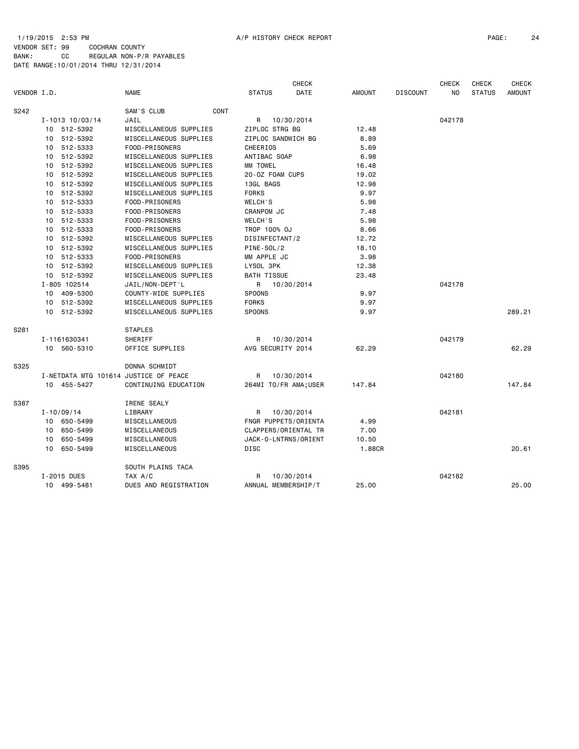#### 1/19/2015 2:53 PM A/P HISTORY CHECK REPORT PAGE: 24 VENDOR SET: 99 COCHRAN COUNTY

|             |                                       |                        |                       | <b>CHECK</b> |               |                 | CHECK          | CHECK         | CHECK         |
|-------------|---------------------------------------|------------------------|-----------------------|--------------|---------------|-----------------|----------------|---------------|---------------|
| VENDOR I.D. |                                       | <b>NAME</b>            | <b>STATUS</b>         | DATE         | <b>AMOUNT</b> | <b>DISCOUNT</b> | N <sub>O</sub> | <b>STATUS</b> | <b>AMOUNT</b> |
| S242        |                                       | SAM'S CLUB<br>CONT     |                       |              |               |                 |                |               |               |
|             | $I - 1013$ $10/03/14$                 | JAIL                   | R                     | 10/30/2014   |               |                 | 042178         |               |               |
|             | 10 512-5392                           | MISCELLANEOUS SUPPLIES | ZIPLOC STRG BG        |              | 12.48         |                 |                |               |               |
|             | 10 512-5392                           | MISCELLANEOUS SUPPLIES | ZIPLOC SANDWICH BG    |              | 8.89          |                 |                |               |               |
|             | 10 512-5333                           | FOOD-PRISONERS         | <b>CHEERIOS</b>       |              | 5.69          |                 |                |               |               |
|             | 10 512-5392                           | MISCELLANEOUS SUPPLIES | ANTIBAC SOAP          |              | 6.98          |                 |                |               |               |
|             | 10 512-5392                           | MISCELLANEOUS SUPPLIES | MM TOWEL              |              | 16.48         |                 |                |               |               |
|             | 10 512-5392                           | MISCELLANEOUS SUPPLIES | 20-0Z FOAM CUPS       |              | 19.02         |                 |                |               |               |
|             | 10 512-5392                           | MISCELLANEOUS SUPPLIES | 13GL BAGS             |              | 12.98         |                 |                |               |               |
|             | 10 512-5392                           | MISCELLANEOUS SUPPLIES | <b>FORKS</b>          |              | 9.97          |                 |                |               |               |
|             | 10 512-5333                           | FOOD-PRISONERS         | WELCH'S               |              | 5.98          |                 |                |               |               |
|             | 10 512-5333                           | FOOD-PRISONERS         | CRANPOM JC            |              | 7.48          |                 |                |               |               |
|             | 10 512-5333                           | FOOD-PRISONERS         | WELCH'S               |              | 5.98          |                 |                |               |               |
|             | 10 512-5333                           | FOOD-PRISONERS         | TROP 100% OJ          |              | 8.66          |                 |                |               |               |
|             | 10 512-5392                           | MISCELLANEOUS SUPPLIES | DISINFECTANT/2        |              | 12.72         |                 |                |               |               |
|             | 10 512-5392                           | MISCELLANEOUS SUPPLIES | PINE-SOL/2            |              | 18.10         |                 |                |               |               |
|             | 10 512-5333                           | FOOD-PRISONERS         | MM APPLE JC           |              | 3.98          |                 |                |               |               |
|             | 10 512-5392                           | MISCELLANEOUS SUPPLIES | LYSOL 3PK             |              | 12.38         |                 |                |               |               |
|             | 10 512-5392                           | MISCELLANEOUS SUPPLIES | <b>BATH TISSUE</b>    |              | 23.48         |                 |                |               |               |
|             | I-805 102514                          | JAIL/NON-DEPT'L        | R 10/30/2014          |              |               |                 | 042178         |               |               |
|             | 10 409-5300                           | COUNTY-WIDE SUPPLIES   | <b>SPOONS</b>         |              | 9.97          |                 |                |               |               |
|             | 10 512-5392                           | MISCELLANEOUS SUPPLIES | <b>FORKS</b>          |              | 9.97          |                 |                |               |               |
|             | 10 512-5392                           | MISCELLANEOUS SUPPLIES | SPOONS                |              | 9.97          |                 |                |               | 289.21        |
| S281        |                                       | <b>STAPLES</b>         |                       |              |               |                 |                |               |               |
|             | I-1161630341                          | SHERIFF                | R                     | 10/30/2014   |               |                 | 042179         |               |               |
|             | 10 560-5310                           | OFFICE SUPPLIES        | AVG SECURITY 2014     |              | 62.29         |                 |                |               | 62.29         |
| S325        |                                       | DONNA SCHMIDT          |                       |              |               |                 |                |               |               |
|             | I-NETDATA MTG 101614 JUSTICE OF PEACE |                        | R                     | 10/30/2014   |               |                 | 042180         |               |               |
|             | 10 455-5427                           | CONTINUING EDUCATION   | 264MI TO/FR AMA; USER |              | 147.84        |                 |                |               | 147.84        |
| S387        |                                       | IRENE SEALY            |                       |              |               |                 |                |               |               |
|             | $I - 10/09/14$                        | LIBRARY                | R                     | 10/30/2014   |               |                 | 042181         |               |               |
|             | 10 650-5499                           | MISCELLANEOUS          | FNGR PUPPETS/ORIENTA  |              | 4.99          |                 |                |               |               |
|             | 650-5499<br>10                        | MISCELLANEOUS          | CLAPPERS/ORIENTAL TR  |              | 7.00          |                 |                |               |               |
|             | 650-5499<br>10                        | MISCELLANEOUS          | JACK-O-LNTRNS/ORIENT  |              | 10.50         |                 |                |               |               |
|             | 10 650-5499                           | MISCELLANEOUS          | <b>DISC</b>           |              | 1.88CR        |                 |                |               | 20.61         |
| S395        |                                       | SOUTH PLAINS TACA      |                       |              |               |                 |                |               |               |
|             | I-2015 DUES                           | TAX A/C                | R                     | 10/30/2014   |               |                 | 042182         |               |               |
|             | 10 499-5481                           | DUES AND REGISTRATION  | ANNUAL MEMBERSHIP/T   |              | 25.00         |                 |                |               | 25.00         |
|             |                                       |                        |                       |              |               |                 |                |               |               |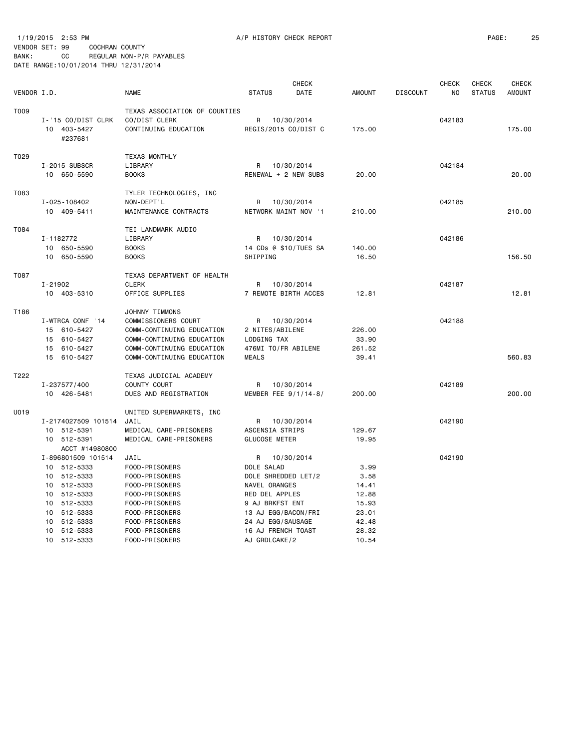1/19/2015 2:53 PM A/P HISTORY CHECK REPORT PAGE: 25 VENDOR SET: 99 COCHRAN COUNTY

|             |                               |                               |                       | <b>CHECK</b> |               |                 | <b>CHECK</b> | <b>CHECK</b>  | <b>CHECK</b>  |
|-------------|-------------------------------|-------------------------------|-----------------------|--------------|---------------|-----------------|--------------|---------------|---------------|
| VENDOR I.D. |                               | NAME                          | <b>STATUS</b>         | DATE         | <b>AMOUNT</b> | <b>DISCOUNT</b> | NO.          | <b>STATUS</b> | <b>AMOUNT</b> |
| T009        |                               | TEXAS ASSOCIATION OF COUNTIES |                       |              |               |                 |              |               |               |
|             | I-'15 CO/DIST CLRK            | CO/DIST CLERK                 | R 10/30/2014          |              |               |                 | 042183       |               |               |
|             | 10 403-5427                   | CONTINUING EDUCATION          | REGIS/2015 CO/DIST C  |              | 175.00        |                 |              |               | 175.00        |
|             | #237681                       |                               |                       |              |               |                 |              |               |               |
|             |                               |                               |                       |              |               |                 |              |               |               |
| T029        |                               | <b>TEXAS MONTHLY</b>          |                       |              |               |                 |              |               |               |
|             | I-2015 SUBSCR                 | LIBRARY                       | R 10/30/2014          |              |               |                 | 042184       |               |               |
|             | 10 650-5590                   | <b>BOOKS</b>                  | RENEWAL + 2 NEW SUBS  |              | 20.00         |                 |              |               | 20.00         |
| T083        |                               | TYLER TECHNOLOGIES, INC       |                       |              |               |                 |              |               |               |
|             | I-025-108402                  | NON-DEPT'L                    | R 10/30/2014          |              |               |                 | 042185       |               |               |
|             | 10 409-5411                   | MAINTENANCE CONTRACTS         | NETWORK MAINT NOV '1  |              | 210.00        |                 |              |               | 210.00        |
| T084        |                               | TEI LANDMARK AUDIO            |                       |              |               |                 |              |               |               |
|             | I-1182772                     | LIBRARY                       | R 10/30/2014          |              |               |                 | 042186       |               |               |
|             | 10 650-5590                   | <b>BOOKS</b>                  | 14 CDs @ \$10/TUES SA |              | 140.00        |                 |              |               |               |
|             | 10 650-5590                   | <b>BOOKS</b>                  | SHIPPING              |              | 16.50         |                 |              |               | 156.50        |
| T087        |                               | TEXAS DEPARTMENT OF HEALTH    |                       |              |               |                 |              |               |               |
|             | I-21902                       | <b>CLERK</b>                  | R 10/30/2014          |              |               |                 | 042187       |               |               |
|             | 10 403-5310                   | OFFICE SUPPLIES               | 7 REMOTE BIRTH ACCES  |              | 12.81         |                 |              |               | 12.81         |
| T186        |                               | JOHNNY TIMMONS                |                       |              |               |                 |              |               |               |
|             | I-WTRCA CONF '14              | COMMISSIONERS COURT           | R 10/30/2014          |              |               |                 | 042188       |               |               |
|             | 15 610-5427                   | COMM-CONTINUING EDUCATION     | 2 NITES/ABILENE       |              | 226.00        |                 |              |               |               |
|             | 15 610-5427                   | COMM-CONTINUING EDUCATION     | LODGING TAX           |              | 33.90         |                 |              |               |               |
|             | 15 610-5427                   | COMM-CONTINUING EDUCATION     | 476MI TO/FR ABILENE   |              | 261.52        |                 |              |               |               |
|             | 15 610-5427                   | COMM-CONTINUING EDUCATION     | <b>MEALS</b>          |              | 39.41         |                 |              |               | 560.83        |
|             |                               |                               |                       |              |               |                 |              |               |               |
| T222        |                               | TEXAS JUDICIAL ACADEMY        |                       |              |               |                 |              |               |               |
|             | I-237577/400                  | COUNTY COURT                  | R 10/30/2014          |              |               |                 | 042189       |               |               |
|             | 10 426-5481                   | DUES AND REGISTRATION         | MEMBER FEE 9/1/14-8/  |              | 200.00        |                 |              |               | 200,00        |
| U019        |                               | UNITED SUPERMARKETS, INC      |                       |              |               |                 |              |               |               |
|             | I-2174027509 101514           | JAIL                          | R 10/30/2014          |              |               |                 | 042190       |               |               |
|             | 10 512-5391                   | MEDICAL CARE-PRISONERS        | ASCENSIA STRIPS       |              | 129.67        |                 |              |               |               |
|             | 10 512-5391<br>ACCT #14980800 | MEDICAL CARE-PRISONERS        | <b>GLUCOSE METER</b>  |              | 19.95         |                 |              |               |               |
|             | I-896801509 101514            | JAIL                          | R 10/30/2014          |              |               |                 | 042190       |               |               |
|             | 10 512-5333                   | FOOD-PRISONERS                | DOLE SALAD            |              | 3.99          |                 |              |               |               |
|             | 10 512-5333                   | FOOD-PRISONERS                | DOLE SHREDDED LET/2   |              | 3.58          |                 |              |               |               |
|             | 10 512-5333                   | FOOD-PRISONERS                | NAVEL ORANGES         |              | 14.41         |                 |              |               |               |
|             | 10 512-5333                   | FOOD-PRISONERS                | RED DEL APPLES        |              | 12.88         |                 |              |               |               |
|             | 10 512-5333                   | FOOD-PRISONERS                | 9 AJ BRKFST ENT       |              | 15.93         |                 |              |               |               |
|             | 10 512-5333                   | FOOD-PRISONERS                | 13 AJ EGG/BACON/FRI   |              | 23.01         |                 |              |               |               |
|             | 10 512-5333                   | FOOD-PRISONERS                | 24 AJ EGG/SAUSAGE     |              | 42.48         |                 |              |               |               |
|             | 10 512-5333                   | FOOD-PRISONERS                | 16 AJ FRENCH TOAST    |              | 28.32         |                 |              |               |               |
|             | 10 512-5333                   | FOOD-PRISONERS                | AJ GRDLCAKE/2         |              | 10.54         |                 |              |               |               |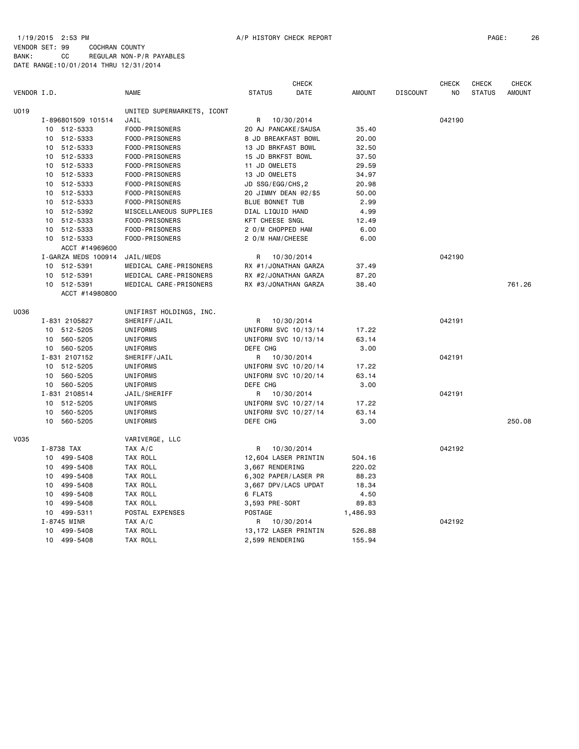#### 1/19/2015 2:53 PM A/P HISTORY CHECK REPORT PAGE: 26 VENDOR SET: 99 COCHRAN COUNTY

|             |                 |                     |                            |                      | <b>CHECK</b> |               |                 | <b>CHECK</b> | CHECK         | <b>CHECK</b>  |
|-------------|-----------------|---------------------|----------------------------|----------------------|--------------|---------------|-----------------|--------------|---------------|---------------|
| VENDOR I.D. |                 |                     | <b>NAME</b>                | <b>STATUS</b>        | DATE         | <b>AMOUNT</b> | <b>DISCOUNT</b> | ΝO           | <b>STATUS</b> | <b>AMOUNT</b> |
| U019        |                 |                     | UNITED SUPERMARKETS, ICONT |                      |              |               |                 |              |               |               |
|             |                 | I-896801509 101514  | JAIL                       | R                    | 10/30/2014   |               |                 | 042190       |               |               |
|             |                 | 10 512-5333         | FOOD-PRISONERS             | 20 AJ PANCAKE/SAUSA  |              | 35.40         |                 |              |               |               |
|             | 10              | 512-5333            | FOOD-PRISONERS             | 8 JD BREAKFAST BOWL  |              | 20.00         |                 |              |               |               |
|             |                 | 10 512-5333         | FOOD-PRISONERS             | 13 JD BRKFAST BOWL   |              | 32.50         |                 |              |               |               |
|             | 10              | 512-5333            | FOOD-PRISONERS             | 15 JD BRKFST BOWL    |              | 37.50         |                 |              |               |               |
|             |                 | 10 512-5333         | FOOD-PRISONERS             | 11 JD OMELETS        |              | 29.59         |                 |              |               |               |
|             | 10 <sub>1</sub> | 512-5333            | FOOD-PRISONERS             | 13 JD OMELETS        |              | 34.97         |                 |              |               |               |
|             |                 | 10 512-5333         | FOOD-PRISONERS             | JD SSG/EGG/CHS, 2    |              | 20.98         |                 |              |               |               |
|             |                 | 10 512-5333         | FOOD-PRISONERS             | 20 JIMMY DEAN @2/\$5 |              | 50.00         |                 |              |               |               |
|             |                 | 10 512-5333         | FOOD-PRISONERS             | BLUE BONNET TUB      |              | 2.99          |                 |              |               |               |
|             | 10              | 512-5392            | MISCELLANEOUS SUPPLIES     | DIAL LIQUID HAND     |              | 4.99          |                 |              |               |               |
|             | 10              | 512-5333            | FOOD-PRISONERS             | KFT CHEESE SNGL      |              | 12.49         |                 |              |               |               |
|             | 10              | 512-5333            | FOOD-PRISONERS             | 2 O/M CHOPPED HAM    |              | 6.00          |                 |              |               |               |
|             |                 | 10 512-5333         | FOOD-PRISONERS             | 2 O/M HAM/CHEESE     |              | 6.00          |                 |              |               |               |
|             |                 | ACCT #14969600      |                            |                      |              |               |                 |              |               |               |
|             |                 | I-GARZA MEDS 100914 | JAIL/MEDS                  | R                    | 10/30/2014   |               |                 | 042190       |               |               |
|             |                 | 10 512-5391         | MEDICAL CARE-PRISONERS     | RX #1/JONATHAN GARZA |              | 37.49         |                 |              |               |               |
|             |                 | 10 512-5391         | MEDICAL CARE-PRISONERS     | RX #2/JONATHAN GARZA |              | 87.20         |                 |              |               |               |
|             |                 | 10 512-5391         | MEDICAL CARE-PRISONERS     | RX #3/JONATHAN GARZA |              | 38.40         |                 |              |               | 761.26        |
|             |                 | ACCT #14980800      |                            |                      |              |               |                 |              |               |               |
| U036        |                 |                     | UNIFIRST HOLDINGS, INC.    |                      |              |               |                 |              |               |               |
|             |                 | I-831 2105827       | SHERIFF/JAIL               | R                    | 10/30/2014   |               |                 | 042191       |               |               |
|             |                 | 10 512-5205         | UNIFORMS                   | UNIFORM SVC 10/13/14 |              | 17.22         |                 |              |               |               |
|             | 10              | 560-5205            | UNIFORMS                   | UNIFORM SVC 10/13/14 |              | 63.14         |                 |              |               |               |
|             |                 | 10 560-5205         | UNIFORMS                   | DEFE CHG             |              | 3.00          |                 |              |               |               |
|             |                 | I-831 2107152       | SHERIFF/JAIL               | R                    | 10/30/2014   |               |                 | 042191       |               |               |
|             |                 | 10 512-5205         | UNIFORMS                   | UNIFORM SVC 10/20/14 |              | 17.22         |                 |              |               |               |
|             | 10              | 560-5205            | UNIFORMS                   | UNIFORM SVC 10/20/14 |              | 63.14         |                 |              |               |               |
|             |                 | 10 560-5205         | UNIFORMS                   | DEFE CHG             |              | 3.00          |                 |              |               |               |
|             |                 | I-831 2108514       | JAIL/SHERIFF               | R                    | 10/30/2014   |               |                 | 042191       |               |               |
|             |                 | 10 512-5205         | UNIFORMS                   | UNIFORM SVC 10/27/14 |              | 17.22         |                 |              |               |               |
|             | 10              | 560-5205            | UNIFORMS                   | UNIFORM SVC 10/27/14 |              | 63.14         |                 |              |               |               |
|             | 10              | 560-5205            | UNIFORMS                   | DEFE CHG             |              | 3.00          |                 |              |               | 250.08        |
| <b>V035</b> |                 |                     | VARIVERGE, LLC             |                      |              |               |                 |              |               |               |
|             |                 | I-8738 TAX          | TAX A/C                    | R                    | 10/30/2014   |               |                 | 042192       |               |               |
|             | 10              | 499-5408            | TAX ROLL                   | 12,604 LASER PRINTIN |              | 504.16        |                 |              |               |               |
|             | 10              | 499-5408            | TAX ROLL                   | 3,667 RENDERING      |              | 220.02        |                 |              |               |               |
|             | 10              | 499-5408            | TAX ROLL                   | 6,302 PAPER/LASER PR |              | 88.23         |                 |              |               |               |
|             | 10              | 499-5408            | TAX ROLL                   | 3,667 DPV/LACS UPDAT |              | 18.34         |                 |              |               |               |
|             | 10              | 499-5408            | TAX ROLL                   | 6 FLATS              |              | 4.50          |                 |              |               |               |
|             | 10              | 499-5408            | TAX ROLL                   | 3,593 PRE-SORT       |              | 89.83         |                 |              |               |               |
|             |                 | 10 499-5311         | POSTAL EXPENSES            | POSTAGE              |              | 1,486.93      |                 |              |               |               |
|             |                 | I-8745 MINR         | TAX A/C                    | R                    | 10/30/2014   |               |                 | 042192       |               |               |
|             |                 | 10 499-5408         | TAX ROLL                   | 13,172 LASER PRINTIN |              | 526.88        |                 |              |               |               |
|             |                 | 10 499-5408         | TAX ROLL                   | 2,599 RENDERING      |              | 155.94        |                 |              |               |               |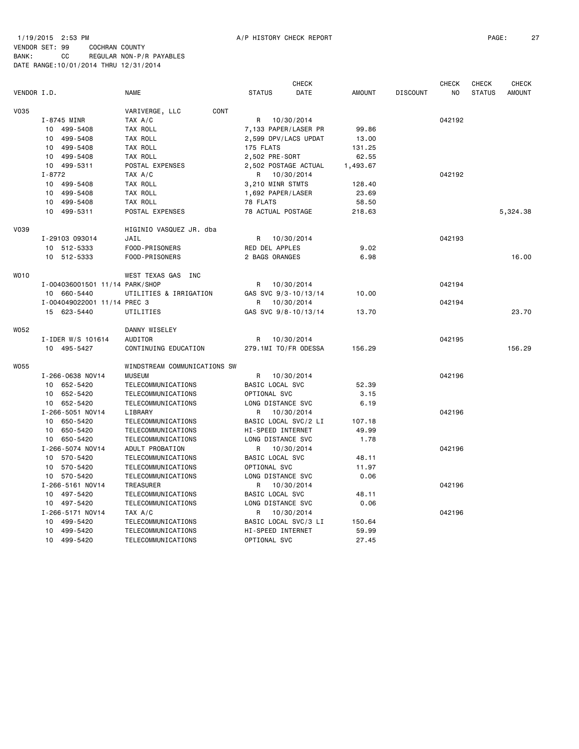# 1/19/2015 2:53 PM A/P HISTORY CHECK REPORT PAGE: 27 VENDOR SET: 99 COCHRAN COUNTY

| VENDOR I.D.<br><b>NAME</b><br><b>STATUS</b><br><b>DATE</b><br><b>AMOUNT</b><br><b>DISCOUNT</b><br>N <sub>O</sub><br><b>STATUS</b><br><b>AMOUNT</b><br><b>V035</b><br>CONT<br>VARIVERGE, LLC<br>I-8745 MINR<br>R<br>042192<br>TAX A/C<br>10/30/2014<br>10 499-5408<br>TAX ROLL<br>7,133 PAPER/LASER PR<br>99.86<br>10 499-5408<br>TAX ROLL<br>2,599 DPV/LACS UPDAT<br>13.00<br>499-5408<br>TAX ROLL<br>10<br>175 FLATS<br>131.25<br>10 499-5408<br>TAX ROLL<br>2,502 PRE-SORT<br>62.55<br>10 499-5311<br>POSTAL EXPENSES<br>2,502 POSTAGE ACTUAL<br>1,493.67<br>$I - 8772$<br>042192<br>TAX A/C<br>R 10/30/2014<br>10 499-5408<br>TAX ROLL<br>3,210 MINR STMTS<br>128.40<br>10 499-5408<br>TAX ROLL<br>1,692 PAPER/LASER<br>23.69<br>10 499-5408<br>TAX ROLL<br>78 FLATS<br>58.50<br>78 ACTUAL POSTAGE<br>10 499-5311<br>POSTAL EXPENSES<br>218.63<br>5,324.38<br>V039<br>HIGINIO VASQUEZ JR. dba<br>I-29103 093014<br>JAIL<br>R 10/30/2014<br>042193<br>10 512-5333<br>FOOD-PRISONERS<br>RED DEL APPLES<br>9.02<br>2 BAGS ORANGES<br>16.00<br>10 512-5333<br>FOOD-PRISONERS<br>6.98<br>W010<br>WEST TEXAS GAS INC<br>I-004036001501 11/14 PARK/SHOP<br>10/30/2014<br>042194<br>R<br>10 660-5440<br>UTILITIES & IRRIGATION<br>GAS SVC 9/3-10/13/14<br>10.00<br>I-004049022001 11/14 PREC 3<br>042194<br>R<br>10/30/2014<br>23.70<br>15 623-5440<br>UTILITIES<br>GAS SVC 9/8-10/13/14<br>13.70<br>W052<br>DANNY WISELEY<br>I-IDER W/S 101614<br>AUDITOR<br>R<br>10/30/2014<br>042195<br>10 495-5427<br>CONTINUING EDUCATION<br>279.1MI TO/FR ODESSA<br>156.29<br>156.29<br><b>W055</b><br>WINDSTREAM COMMUNICATIONS SW<br>I-266-0638 NOV14<br><b>MUSEUM</b><br>042196<br>R<br>10/30/2014<br>10 652-5420<br>TELECOMMUNICATIONS<br>BASIC LOCAL SVC<br>52.39<br>10 652-5420<br>TELECOMMUNICATIONS<br>OPTIONAL SVC<br>3.15<br>10 652-5420<br>TELECOMMUNICATIONS<br>LONG DISTANCE SVC<br>6.19<br>I-266-5051 NOV14<br>LIBRARY<br>R<br>10/30/2014<br>042196<br>10 650-5420<br>TELECOMMUNICATIONS<br>BASIC LOCAL SVC/2 LI<br>107.18<br>10 650-5420<br>TELECOMMUNICATIONS<br>HI-SPEED INTERNET<br>49.99<br>1.78<br>10 650-5420<br>TELECOMMUNICATIONS<br>LONG DISTANCE SVC<br>I-266-5074 NOV14<br>ADULT PROBATION<br>10/30/2014<br>R<br>042196<br>10 570-5420<br>BASIC LOCAL SVC<br>TELECOMMUNICATIONS<br>48.11<br>10 570-5420<br>TELECOMMUNICATIONS<br>OPTIONAL SVC<br>11.97<br>10 570-5420<br>LONG DISTANCE SVC<br>0.06<br>TELECOMMUNICATIONS<br>I-266-5161 NOV14<br><b>TREASURER</b><br>R<br>10/30/2014<br>042196<br>BASIC LOCAL SVC<br>10 497-5420<br>TELECOMMUNICATIONS<br>48.11<br>TELECOMMUNICATIONS<br>LONG DISTANCE SVC<br>0.06<br>10 497-5420<br>I-266-5171 NOV14<br>TAX A/C<br>10/30/2014<br>042196<br>R<br>499-5420<br>TELECOMMUNICATIONS<br>BASIC LOCAL SVC/3 LI<br>150.64<br>10<br>499-5420<br>TELECOMMUNICATIONS<br>HI-SPEED INTERNET<br>59.99<br>10<br>10 499-5420<br>OPTIONAL SVC<br>TELECOMMUNICATIONS<br>27.45 |  |  | <b>CHECK</b> |  | <b>CHECK</b> | <b>CHECK</b> | <b>CHECK</b> |
|-----------------------------------------------------------------------------------------------------------------------------------------------------------------------------------------------------------------------------------------------------------------------------------------------------------------------------------------------------------------------------------------------------------------------------------------------------------------------------------------------------------------------------------------------------------------------------------------------------------------------------------------------------------------------------------------------------------------------------------------------------------------------------------------------------------------------------------------------------------------------------------------------------------------------------------------------------------------------------------------------------------------------------------------------------------------------------------------------------------------------------------------------------------------------------------------------------------------------------------------------------------------------------------------------------------------------------------------------------------------------------------------------------------------------------------------------------------------------------------------------------------------------------------------------------------------------------------------------------------------------------------------------------------------------------------------------------------------------------------------------------------------------------------------------------------------------------------------------------------------------------------------------------------------------------------------------------------------------------------------------------------------------------------------------------------------------------------------------------------------------------------------------------------------------------------------------------------------------------------------------------------------------------------------------------------------------------------------------------------------------------------------------------------------------------------------------------------------------------------------------------------------------------------------------------------------------------------------------------------------------------------------------------------------------------------------------------------------------------------------------------------------------------------------------------------------------------------------------------------------------------------------------------------------------|--|--|--------------|--|--------------|--------------|--------------|
|                                                                                                                                                                                                                                                                                                                                                                                                                                                                                                                                                                                                                                                                                                                                                                                                                                                                                                                                                                                                                                                                                                                                                                                                                                                                                                                                                                                                                                                                                                                                                                                                                                                                                                                                                                                                                                                                                                                                                                                                                                                                                                                                                                                                                                                                                                                                                                                                                                                                                                                                                                                                                                                                                                                                                                                                                                                                                                                       |  |  |              |  |              |              |              |
|                                                                                                                                                                                                                                                                                                                                                                                                                                                                                                                                                                                                                                                                                                                                                                                                                                                                                                                                                                                                                                                                                                                                                                                                                                                                                                                                                                                                                                                                                                                                                                                                                                                                                                                                                                                                                                                                                                                                                                                                                                                                                                                                                                                                                                                                                                                                                                                                                                                                                                                                                                                                                                                                                                                                                                                                                                                                                                                       |  |  |              |  |              |              |              |
|                                                                                                                                                                                                                                                                                                                                                                                                                                                                                                                                                                                                                                                                                                                                                                                                                                                                                                                                                                                                                                                                                                                                                                                                                                                                                                                                                                                                                                                                                                                                                                                                                                                                                                                                                                                                                                                                                                                                                                                                                                                                                                                                                                                                                                                                                                                                                                                                                                                                                                                                                                                                                                                                                                                                                                                                                                                                                                                       |  |  |              |  |              |              |              |
|                                                                                                                                                                                                                                                                                                                                                                                                                                                                                                                                                                                                                                                                                                                                                                                                                                                                                                                                                                                                                                                                                                                                                                                                                                                                                                                                                                                                                                                                                                                                                                                                                                                                                                                                                                                                                                                                                                                                                                                                                                                                                                                                                                                                                                                                                                                                                                                                                                                                                                                                                                                                                                                                                                                                                                                                                                                                                                                       |  |  |              |  |              |              |              |
|                                                                                                                                                                                                                                                                                                                                                                                                                                                                                                                                                                                                                                                                                                                                                                                                                                                                                                                                                                                                                                                                                                                                                                                                                                                                                                                                                                                                                                                                                                                                                                                                                                                                                                                                                                                                                                                                                                                                                                                                                                                                                                                                                                                                                                                                                                                                                                                                                                                                                                                                                                                                                                                                                                                                                                                                                                                                                                                       |  |  |              |  |              |              |              |
|                                                                                                                                                                                                                                                                                                                                                                                                                                                                                                                                                                                                                                                                                                                                                                                                                                                                                                                                                                                                                                                                                                                                                                                                                                                                                                                                                                                                                                                                                                                                                                                                                                                                                                                                                                                                                                                                                                                                                                                                                                                                                                                                                                                                                                                                                                                                                                                                                                                                                                                                                                                                                                                                                                                                                                                                                                                                                                                       |  |  |              |  |              |              |              |
|                                                                                                                                                                                                                                                                                                                                                                                                                                                                                                                                                                                                                                                                                                                                                                                                                                                                                                                                                                                                                                                                                                                                                                                                                                                                                                                                                                                                                                                                                                                                                                                                                                                                                                                                                                                                                                                                                                                                                                                                                                                                                                                                                                                                                                                                                                                                                                                                                                                                                                                                                                                                                                                                                                                                                                                                                                                                                                                       |  |  |              |  |              |              |              |
|                                                                                                                                                                                                                                                                                                                                                                                                                                                                                                                                                                                                                                                                                                                                                                                                                                                                                                                                                                                                                                                                                                                                                                                                                                                                                                                                                                                                                                                                                                                                                                                                                                                                                                                                                                                                                                                                                                                                                                                                                                                                                                                                                                                                                                                                                                                                                                                                                                                                                                                                                                                                                                                                                                                                                                                                                                                                                                                       |  |  |              |  |              |              |              |
|                                                                                                                                                                                                                                                                                                                                                                                                                                                                                                                                                                                                                                                                                                                                                                                                                                                                                                                                                                                                                                                                                                                                                                                                                                                                                                                                                                                                                                                                                                                                                                                                                                                                                                                                                                                                                                                                                                                                                                                                                                                                                                                                                                                                                                                                                                                                                                                                                                                                                                                                                                                                                                                                                                                                                                                                                                                                                                                       |  |  |              |  |              |              |              |
|                                                                                                                                                                                                                                                                                                                                                                                                                                                                                                                                                                                                                                                                                                                                                                                                                                                                                                                                                                                                                                                                                                                                                                                                                                                                                                                                                                                                                                                                                                                                                                                                                                                                                                                                                                                                                                                                                                                                                                                                                                                                                                                                                                                                                                                                                                                                                                                                                                                                                                                                                                                                                                                                                                                                                                                                                                                                                                                       |  |  |              |  |              |              |              |
|                                                                                                                                                                                                                                                                                                                                                                                                                                                                                                                                                                                                                                                                                                                                                                                                                                                                                                                                                                                                                                                                                                                                                                                                                                                                                                                                                                                                                                                                                                                                                                                                                                                                                                                                                                                                                                                                                                                                                                                                                                                                                                                                                                                                                                                                                                                                                                                                                                                                                                                                                                                                                                                                                                                                                                                                                                                                                                                       |  |  |              |  |              |              |              |
|                                                                                                                                                                                                                                                                                                                                                                                                                                                                                                                                                                                                                                                                                                                                                                                                                                                                                                                                                                                                                                                                                                                                                                                                                                                                                                                                                                                                                                                                                                                                                                                                                                                                                                                                                                                                                                                                                                                                                                                                                                                                                                                                                                                                                                                                                                                                                                                                                                                                                                                                                                                                                                                                                                                                                                                                                                                                                                                       |  |  |              |  |              |              |              |
|                                                                                                                                                                                                                                                                                                                                                                                                                                                                                                                                                                                                                                                                                                                                                                                                                                                                                                                                                                                                                                                                                                                                                                                                                                                                                                                                                                                                                                                                                                                                                                                                                                                                                                                                                                                                                                                                                                                                                                                                                                                                                                                                                                                                                                                                                                                                                                                                                                                                                                                                                                                                                                                                                                                                                                                                                                                                                                                       |  |  |              |  |              |              |              |
|                                                                                                                                                                                                                                                                                                                                                                                                                                                                                                                                                                                                                                                                                                                                                                                                                                                                                                                                                                                                                                                                                                                                                                                                                                                                                                                                                                                                                                                                                                                                                                                                                                                                                                                                                                                                                                                                                                                                                                                                                                                                                                                                                                                                                                                                                                                                                                                                                                                                                                                                                                                                                                                                                                                                                                                                                                                                                                                       |  |  |              |  |              |              |              |
|                                                                                                                                                                                                                                                                                                                                                                                                                                                                                                                                                                                                                                                                                                                                                                                                                                                                                                                                                                                                                                                                                                                                                                                                                                                                                                                                                                                                                                                                                                                                                                                                                                                                                                                                                                                                                                                                                                                                                                                                                                                                                                                                                                                                                                                                                                                                                                                                                                                                                                                                                                                                                                                                                                                                                                                                                                                                                                                       |  |  |              |  |              |              |              |
|                                                                                                                                                                                                                                                                                                                                                                                                                                                                                                                                                                                                                                                                                                                                                                                                                                                                                                                                                                                                                                                                                                                                                                                                                                                                                                                                                                                                                                                                                                                                                                                                                                                                                                                                                                                                                                                                                                                                                                                                                                                                                                                                                                                                                                                                                                                                                                                                                                                                                                                                                                                                                                                                                                                                                                                                                                                                                                                       |  |  |              |  |              |              |              |
|                                                                                                                                                                                                                                                                                                                                                                                                                                                                                                                                                                                                                                                                                                                                                                                                                                                                                                                                                                                                                                                                                                                                                                                                                                                                                                                                                                                                                                                                                                                                                                                                                                                                                                                                                                                                                                                                                                                                                                                                                                                                                                                                                                                                                                                                                                                                                                                                                                                                                                                                                                                                                                                                                                                                                                                                                                                                                                                       |  |  |              |  |              |              |              |
|                                                                                                                                                                                                                                                                                                                                                                                                                                                                                                                                                                                                                                                                                                                                                                                                                                                                                                                                                                                                                                                                                                                                                                                                                                                                                                                                                                                                                                                                                                                                                                                                                                                                                                                                                                                                                                                                                                                                                                                                                                                                                                                                                                                                                                                                                                                                                                                                                                                                                                                                                                                                                                                                                                                                                                                                                                                                                                                       |  |  |              |  |              |              |              |
|                                                                                                                                                                                                                                                                                                                                                                                                                                                                                                                                                                                                                                                                                                                                                                                                                                                                                                                                                                                                                                                                                                                                                                                                                                                                                                                                                                                                                                                                                                                                                                                                                                                                                                                                                                                                                                                                                                                                                                                                                                                                                                                                                                                                                                                                                                                                                                                                                                                                                                                                                                                                                                                                                                                                                                                                                                                                                                                       |  |  |              |  |              |              |              |
|                                                                                                                                                                                                                                                                                                                                                                                                                                                                                                                                                                                                                                                                                                                                                                                                                                                                                                                                                                                                                                                                                                                                                                                                                                                                                                                                                                                                                                                                                                                                                                                                                                                                                                                                                                                                                                                                                                                                                                                                                                                                                                                                                                                                                                                                                                                                                                                                                                                                                                                                                                                                                                                                                                                                                                                                                                                                                                                       |  |  |              |  |              |              |              |
|                                                                                                                                                                                                                                                                                                                                                                                                                                                                                                                                                                                                                                                                                                                                                                                                                                                                                                                                                                                                                                                                                                                                                                                                                                                                                                                                                                                                                                                                                                                                                                                                                                                                                                                                                                                                                                                                                                                                                                                                                                                                                                                                                                                                                                                                                                                                                                                                                                                                                                                                                                                                                                                                                                                                                                                                                                                                                                                       |  |  |              |  |              |              |              |
|                                                                                                                                                                                                                                                                                                                                                                                                                                                                                                                                                                                                                                                                                                                                                                                                                                                                                                                                                                                                                                                                                                                                                                                                                                                                                                                                                                                                                                                                                                                                                                                                                                                                                                                                                                                                                                                                                                                                                                                                                                                                                                                                                                                                                                                                                                                                                                                                                                                                                                                                                                                                                                                                                                                                                                                                                                                                                                                       |  |  |              |  |              |              |              |
|                                                                                                                                                                                                                                                                                                                                                                                                                                                                                                                                                                                                                                                                                                                                                                                                                                                                                                                                                                                                                                                                                                                                                                                                                                                                                                                                                                                                                                                                                                                                                                                                                                                                                                                                                                                                                                                                                                                                                                                                                                                                                                                                                                                                                                                                                                                                                                                                                                                                                                                                                                                                                                                                                                                                                                                                                                                                                                                       |  |  |              |  |              |              |              |
|                                                                                                                                                                                                                                                                                                                                                                                                                                                                                                                                                                                                                                                                                                                                                                                                                                                                                                                                                                                                                                                                                                                                                                                                                                                                                                                                                                                                                                                                                                                                                                                                                                                                                                                                                                                                                                                                                                                                                                                                                                                                                                                                                                                                                                                                                                                                                                                                                                                                                                                                                                                                                                                                                                                                                                                                                                                                                                                       |  |  |              |  |              |              |              |
|                                                                                                                                                                                                                                                                                                                                                                                                                                                                                                                                                                                                                                                                                                                                                                                                                                                                                                                                                                                                                                                                                                                                                                                                                                                                                                                                                                                                                                                                                                                                                                                                                                                                                                                                                                                                                                                                                                                                                                                                                                                                                                                                                                                                                                                                                                                                                                                                                                                                                                                                                                                                                                                                                                                                                                                                                                                                                                                       |  |  |              |  |              |              |              |
|                                                                                                                                                                                                                                                                                                                                                                                                                                                                                                                                                                                                                                                                                                                                                                                                                                                                                                                                                                                                                                                                                                                                                                                                                                                                                                                                                                                                                                                                                                                                                                                                                                                                                                                                                                                                                                                                                                                                                                                                                                                                                                                                                                                                                                                                                                                                                                                                                                                                                                                                                                                                                                                                                                                                                                                                                                                                                                                       |  |  |              |  |              |              |              |
|                                                                                                                                                                                                                                                                                                                                                                                                                                                                                                                                                                                                                                                                                                                                                                                                                                                                                                                                                                                                                                                                                                                                                                                                                                                                                                                                                                                                                                                                                                                                                                                                                                                                                                                                                                                                                                                                                                                                                                                                                                                                                                                                                                                                                                                                                                                                                                                                                                                                                                                                                                                                                                                                                                                                                                                                                                                                                                                       |  |  |              |  |              |              |              |
|                                                                                                                                                                                                                                                                                                                                                                                                                                                                                                                                                                                                                                                                                                                                                                                                                                                                                                                                                                                                                                                                                                                                                                                                                                                                                                                                                                                                                                                                                                                                                                                                                                                                                                                                                                                                                                                                                                                                                                                                                                                                                                                                                                                                                                                                                                                                                                                                                                                                                                                                                                                                                                                                                                                                                                                                                                                                                                                       |  |  |              |  |              |              |              |
|                                                                                                                                                                                                                                                                                                                                                                                                                                                                                                                                                                                                                                                                                                                                                                                                                                                                                                                                                                                                                                                                                                                                                                                                                                                                                                                                                                                                                                                                                                                                                                                                                                                                                                                                                                                                                                                                                                                                                                                                                                                                                                                                                                                                                                                                                                                                                                                                                                                                                                                                                                                                                                                                                                                                                                                                                                                                                                                       |  |  |              |  |              |              |              |
|                                                                                                                                                                                                                                                                                                                                                                                                                                                                                                                                                                                                                                                                                                                                                                                                                                                                                                                                                                                                                                                                                                                                                                                                                                                                                                                                                                                                                                                                                                                                                                                                                                                                                                                                                                                                                                                                                                                                                                                                                                                                                                                                                                                                                                                                                                                                                                                                                                                                                                                                                                                                                                                                                                                                                                                                                                                                                                                       |  |  |              |  |              |              |              |
|                                                                                                                                                                                                                                                                                                                                                                                                                                                                                                                                                                                                                                                                                                                                                                                                                                                                                                                                                                                                                                                                                                                                                                                                                                                                                                                                                                                                                                                                                                                                                                                                                                                                                                                                                                                                                                                                                                                                                                                                                                                                                                                                                                                                                                                                                                                                                                                                                                                                                                                                                                                                                                                                                                                                                                                                                                                                                                                       |  |  |              |  |              |              |              |
|                                                                                                                                                                                                                                                                                                                                                                                                                                                                                                                                                                                                                                                                                                                                                                                                                                                                                                                                                                                                                                                                                                                                                                                                                                                                                                                                                                                                                                                                                                                                                                                                                                                                                                                                                                                                                                                                                                                                                                                                                                                                                                                                                                                                                                                                                                                                                                                                                                                                                                                                                                                                                                                                                                                                                                                                                                                                                                                       |  |  |              |  |              |              |              |
|                                                                                                                                                                                                                                                                                                                                                                                                                                                                                                                                                                                                                                                                                                                                                                                                                                                                                                                                                                                                                                                                                                                                                                                                                                                                                                                                                                                                                                                                                                                                                                                                                                                                                                                                                                                                                                                                                                                                                                                                                                                                                                                                                                                                                                                                                                                                                                                                                                                                                                                                                                                                                                                                                                                                                                                                                                                                                                                       |  |  |              |  |              |              |              |
|                                                                                                                                                                                                                                                                                                                                                                                                                                                                                                                                                                                                                                                                                                                                                                                                                                                                                                                                                                                                                                                                                                                                                                                                                                                                                                                                                                                                                                                                                                                                                                                                                                                                                                                                                                                                                                                                                                                                                                                                                                                                                                                                                                                                                                                                                                                                                                                                                                                                                                                                                                                                                                                                                                                                                                                                                                                                                                                       |  |  |              |  |              |              |              |
|                                                                                                                                                                                                                                                                                                                                                                                                                                                                                                                                                                                                                                                                                                                                                                                                                                                                                                                                                                                                                                                                                                                                                                                                                                                                                                                                                                                                                                                                                                                                                                                                                                                                                                                                                                                                                                                                                                                                                                                                                                                                                                                                                                                                                                                                                                                                                                                                                                                                                                                                                                                                                                                                                                                                                                                                                                                                                                                       |  |  |              |  |              |              |              |
|                                                                                                                                                                                                                                                                                                                                                                                                                                                                                                                                                                                                                                                                                                                                                                                                                                                                                                                                                                                                                                                                                                                                                                                                                                                                                                                                                                                                                                                                                                                                                                                                                                                                                                                                                                                                                                                                                                                                                                                                                                                                                                                                                                                                                                                                                                                                                                                                                                                                                                                                                                                                                                                                                                                                                                                                                                                                                                                       |  |  |              |  |              |              |              |
|                                                                                                                                                                                                                                                                                                                                                                                                                                                                                                                                                                                                                                                                                                                                                                                                                                                                                                                                                                                                                                                                                                                                                                                                                                                                                                                                                                                                                                                                                                                                                                                                                                                                                                                                                                                                                                                                                                                                                                                                                                                                                                                                                                                                                                                                                                                                                                                                                                                                                                                                                                                                                                                                                                                                                                                                                                                                                                                       |  |  |              |  |              |              |              |
|                                                                                                                                                                                                                                                                                                                                                                                                                                                                                                                                                                                                                                                                                                                                                                                                                                                                                                                                                                                                                                                                                                                                                                                                                                                                                                                                                                                                                                                                                                                                                                                                                                                                                                                                                                                                                                                                                                                                                                                                                                                                                                                                                                                                                                                                                                                                                                                                                                                                                                                                                                                                                                                                                                                                                                                                                                                                                                                       |  |  |              |  |              |              |              |
|                                                                                                                                                                                                                                                                                                                                                                                                                                                                                                                                                                                                                                                                                                                                                                                                                                                                                                                                                                                                                                                                                                                                                                                                                                                                                                                                                                                                                                                                                                                                                                                                                                                                                                                                                                                                                                                                                                                                                                                                                                                                                                                                                                                                                                                                                                                                                                                                                                                                                                                                                                                                                                                                                                                                                                                                                                                                                                                       |  |  |              |  |              |              |              |
|                                                                                                                                                                                                                                                                                                                                                                                                                                                                                                                                                                                                                                                                                                                                                                                                                                                                                                                                                                                                                                                                                                                                                                                                                                                                                                                                                                                                                                                                                                                                                                                                                                                                                                                                                                                                                                                                                                                                                                                                                                                                                                                                                                                                                                                                                                                                                                                                                                                                                                                                                                                                                                                                                                                                                                                                                                                                                                                       |  |  |              |  |              |              |              |
|                                                                                                                                                                                                                                                                                                                                                                                                                                                                                                                                                                                                                                                                                                                                                                                                                                                                                                                                                                                                                                                                                                                                                                                                                                                                                                                                                                                                                                                                                                                                                                                                                                                                                                                                                                                                                                                                                                                                                                                                                                                                                                                                                                                                                                                                                                                                                                                                                                                                                                                                                                                                                                                                                                                                                                                                                                                                                                                       |  |  |              |  |              |              |              |
|                                                                                                                                                                                                                                                                                                                                                                                                                                                                                                                                                                                                                                                                                                                                                                                                                                                                                                                                                                                                                                                                                                                                                                                                                                                                                                                                                                                                                                                                                                                                                                                                                                                                                                                                                                                                                                                                                                                                                                                                                                                                                                                                                                                                                                                                                                                                                                                                                                                                                                                                                                                                                                                                                                                                                                                                                                                                                                                       |  |  |              |  |              |              |              |
|                                                                                                                                                                                                                                                                                                                                                                                                                                                                                                                                                                                                                                                                                                                                                                                                                                                                                                                                                                                                                                                                                                                                                                                                                                                                                                                                                                                                                                                                                                                                                                                                                                                                                                                                                                                                                                                                                                                                                                                                                                                                                                                                                                                                                                                                                                                                                                                                                                                                                                                                                                                                                                                                                                                                                                                                                                                                                                                       |  |  |              |  |              |              |              |
|                                                                                                                                                                                                                                                                                                                                                                                                                                                                                                                                                                                                                                                                                                                                                                                                                                                                                                                                                                                                                                                                                                                                                                                                                                                                                                                                                                                                                                                                                                                                                                                                                                                                                                                                                                                                                                                                                                                                                                                                                                                                                                                                                                                                                                                                                                                                                                                                                                                                                                                                                                                                                                                                                                                                                                                                                                                                                                                       |  |  |              |  |              |              |              |
|                                                                                                                                                                                                                                                                                                                                                                                                                                                                                                                                                                                                                                                                                                                                                                                                                                                                                                                                                                                                                                                                                                                                                                                                                                                                                                                                                                                                                                                                                                                                                                                                                                                                                                                                                                                                                                                                                                                                                                                                                                                                                                                                                                                                                                                                                                                                                                                                                                                                                                                                                                                                                                                                                                                                                                                                                                                                                                                       |  |  |              |  |              |              |              |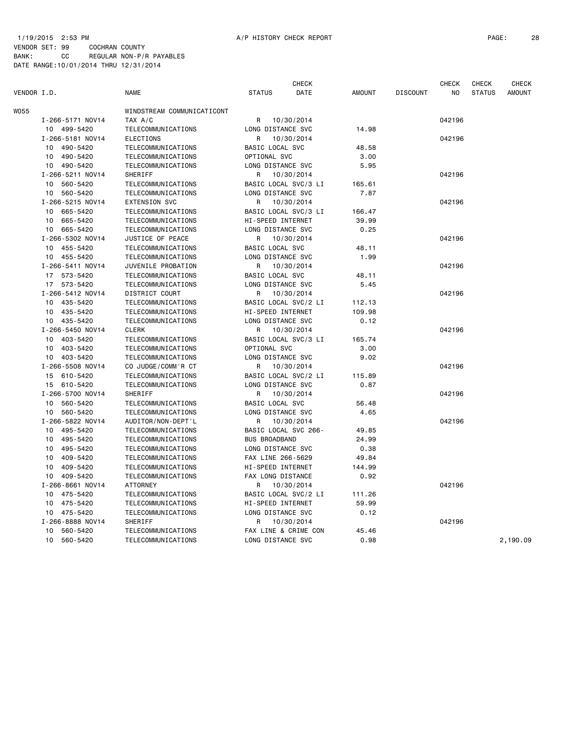VENDOR SET: 99 COCHRAN COUNTY BANK: CC REGULAR NON-P/R PAYABLES DATE RANGE:10/01/2014 THRU 12/31/2014

|             |                  |                            | <b>CHECK</b>         |                      |               |                 | <b>CHECK</b> | CHECK         | <b>CHECK</b>  |
|-------------|------------------|----------------------------|----------------------|----------------------|---------------|-----------------|--------------|---------------|---------------|
| VENDOR I.D. |                  | <b>NAME</b>                | <b>STATUS</b>        | DATE                 | <b>AMOUNT</b> | <b>DISCOUNT</b> | NO           | <b>STATUS</b> | <b>AMOUNT</b> |
| W055        |                  | WINDSTREAM COMMUNICATICONT |                      |                      |               |                 |              |               |               |
|             | I-266-5171 NOV14 | TAX A/C                    | R                    | 10/30/2014           |               |                 | 042196       |               |               |
|             | 10 499-5420      | TELECOMMUNICATIONS         | LONG DISTANCE SVC    |                      | 14.98         |                 |              |               |               |
|             | I-266-5181 NOV14 | <b>ELECTIONS</b>           | R                    | 10/30/2014           |               |                 | 042196       |               |               |
|             | 10 490-5420      | TELECOMMUNICATIONS         | BASIC LOCAL SVC      |                      | 48.58         |                 |              |               |               |
|             | 10 490-5420      | TELECOMMUNICATIONS         | OPTIONAL SVC         |                      | 3.00          |                 |              |               |               |
|             | 10 490-5420      | TELECOMMUNICATIONS         | LONG DISTANCE SVC    |                      | 5.95          |                 |              |               |               |
|             | I-266-5211 NOV14 | SHERIFF                    | R                    | 10/30/2014           |               |                 | 042196       |               |               |
|             | 10 560-5420      | TELECOMMUNICATIONS         |                      | BASIC LOCAL SVC/3 LI | 165.61        |                 |              |               |               |
|             | 560-5420<br>10   | TELECOMMUNICATIONS         | LONG DISTANCE SVC    |                      | 7.87          |                 |              |               |               |
|             | I-266-5215 NOV14 | <b>EXTENSION SVC</b>       | R                    | 10/30/2014           |               |                 | 042196       |               |               |
|             | 10 665-5420      | TELECOMMUNICATIONS         |                      | BASIC LOCAL SVC/3 LI | 166.47        |                 |              |               |               |
|             | 10<br>665-5420   | TELECOMMUNICATIONS         | HI-SPEED INTERNET    |                      | 39.99         |                 |              |               |               |
|             | 665-5420<br>10   | TELECOMMUNICATIONS         | LONG DISTANCE SVC    |                      | 0.25          |                 |              |               |               |
|             | I-266-5302 NOV14 | JUSTICE OF PEACE           | R                    | 10/30/2014           |               |                 | 042196       |               |               |
|             | 10 455-5420      | TELECOMMUNICATIONS         | BASIC LOCAL SVC      |                      | 48.11         |                 |              |               |               |
|             | 10 455-5420      | TELECOMMUNICATIONS         | LONG DISTANCE SVC    |                      | 1.99          |                 |              |               |               |
|             | I-266-5411 NOV14 | JUVENILE PROBATION         | R                    | 10/30/2014           |               |                 | 042196       |               |               |
|             | 17 573-5420      | TELECOMMUNICATIONS         | BASIC LOCAL SVC      |                      | 48.11         |                 |              |               |               |
|             | 17 573-5420      | TELECOMMUNICATIONS         | LONG DISTANCE SVC    |                      | 5.45          |                 |              |               |               |
|             | I-266-5412 NOV14 | DISTRICT COURT             | R                    | 10/30/2014           |               |                 | 042196       |               |               |
|             | 435-5420<br>10   | TELECOMMUNICATIONS         |                      | BASIC LOCAL SVC/2 LI | 112.13        |                 |              |               |               |
|             | 435-5420<br>10   | TELECOMMUNICATIONS         | HI-SPEED INTERNET    |                      | 109.98        |                 |              |               |               |
|             | 10 435-5420      | TELECOMMUNICATIONS         | LONG DISTANCE SVC    |                      | 0.12          |                 |              |               |               |
|             | I-266-5450 NOV14 | <b>CLERK</b>               | R                    | 10/30/2014           |               |                 | 042196       |               |               |
|             | 10 403-5420      | TELECOMMUNICATIONS         |                      | BASIC LOCAL SVC/3 LI | 165.74        |                 |              |               |               |
|             | 10 403-5420      | TELECOMMUNICATIONS         | OPTIONAL SVC         |                      | 3.00          |                 |              |               |               |
|             | 10 403-5420      | TELECOMMUNICATIONS         | LONG DISTANCE SVC    |                      | 9.02          |                 |              |               |               |
|             | I-266-5508 NOV14 | CO JUDGE/COMM'R CT         | R                    | 10/30/2014           |               |                 | 042196       |               |               |
|             | 15 610-5420      | TELECOMMUNICATIONS         |                      | BASIC LOCAL SVC/2 LI | 115.89        |                 |              |               |               |
|             | 15 610-5420      | TELECOMMUNICATIONS         | LONG DISTANCE SVC    |                      | 0.87          |                 |              |               |               |
|             | I-266-5700 NOV14 | SHERIFF                    | R                    | 10/30/2014           |               |                 | 042196       |               |               |
|             | 10<br>560-5420   | TELECOMMUNICATIONS         | BASIC LOCAL SVC      |                      | 56.48         |                 |              |               |               |
|             | 560-5420<br>10   | TELECOMMUNICATIONS         | LONG DISTANCE SVC    |                      | 4.65          |                 |              |               |               |
|             | I-266-5822 NOV14 | AUDITOR/NON-DEPT'L         | R                    | 10/30/2014           |               |                 | 042196       |               |               |
|             | 10 495-5420      | TELECOMMUNICATIONS         |                      | BASIC LOCAL SVC 266- | 49.85         |                 |              |               |               |
|             | 10 495-5420      | TELECOMMUNICATIONS         | <b>BUS BROADBAND</b> |                      | 24.99         |                 |              |               |               |
|             | 495-5420<br>10   | TELECOMMUNICATIONS         | LONG DISTANCE SVC    |                      | 0.38          |                 |              |               |               |
|             |                  |                            | FAX LINE 266-5629    |                      |               |                 |              |               |               |
|             | 10<br>409-5420   | TELECOMMUNICATIONS         |                      |                      | 49.84         |                 |              |               |               |
|             | 10 409-5420      | TELECOMMUNICATIONS         | HI-SPEED INTERNET    |                      | 144.99        |                 |              |               |               |
|             | 10 409-5420      | TELECOMMUNICATIONS         | FAX LONG DISTANCE    |                      | 0.92          |                 |              |               |               |
|             | I-266-8661 NOV14 | <b>ATTORNEY</b>            | R                    | 10/30/2014           |               |                 | 042196       |               |               |
|             | 475-5420<br>10   | TELECOMMUNICATIONS         |                      | BASIC LOCAL SVC/2 LI | 111.26        |                 |              |               |               |
|             | 10 475-5420      | TELECOMMUNICATIONS         | HI-SPEED INTERNET    |                      | 59.99         |                 |              |               |               |
|             | 10 475-5420      | TELECOMMUNICATIONS         | LONG DISTANCE SVC    |                      | 0.12          |                 |              |               |               |
|             | I-266-8888 NOV14 | SHERIFF                    | R                    | 10/30/2014           |               |                 | 042196       |               |               |
|             | 10<br>560-5420   | TELECOMMUNICATIONS         |                      | FAX LINE & CRIME CON | 45.46         |                 |              |               |               |
|             | 10<br>560-5420   | TELECOMMUNICATIONS         | LONG DISTANCE SVC    |                      | 0.98          |                 |              |               | 2,190.09      |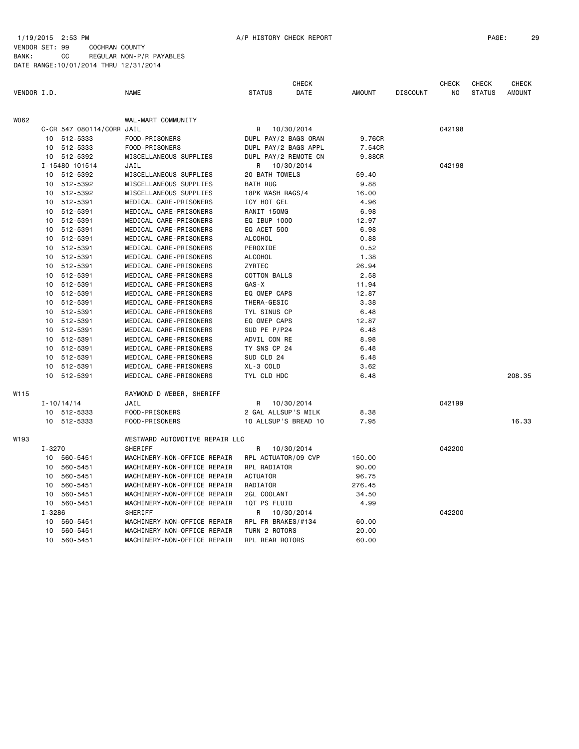#### 1/19/2015 2:53 PM A/P HISTORY CHECK REPORT PAGE: 29 VENDOR SET: 99 COCHRAN COUNTY BANK: CC REGULAR NON-P/R PAYABLES DATE RANGE:10/01/2014 THRU 12/31/2014

|             |            |                               |                                           |                      | <b>CHECK</b> |               |                 | <b>CHECK</b>   | CHECK         | <b>CHECK</b>  |
|-------------|------------|-------------------------------|-------------------------------------------|----------------------|--------------|---------------|-----------------|----------------|---------------|---------------|
| VENDOR I.D. |            |                               | <b>NAME</b>                               | <b>STATUS</b>        | DATE         | <b>AMOUNT</b> | <b>DISCOUNT</b> | N <sub>O</sub> | <b>STATUS</b> | <b>AMOUNT</b> |
| W062        |            |                               | WAL-MART COMMUNITY                        |                      |              |               |                 |                |               |               |
|             |            | C-CR 547 080114/CORR JAIL     |                                           | R 10/30/2014         |              |               |                 | 042198         |               |               |
|             |            | 10 512-5333                   | FOOD-PRISONERS                            | DUPL PAY/2 BAGS ORAN |              | 9.76CR        |                 |                |               |               |
|             |            | 10 512-5333                   | FOOD-PRISONERS                            | DUPL PAY/2 BAGS APPL |              | 7.54CR        |                 |                |               |               |
|             |            | 10 512-5392                   | MISCELLANEOUS SUPPLIES                    | DUPL PAY/2 REMOTE CN |              | 9.88CR        |                 |                |               |               |
|             |            | I-15480 101514                | JAIL                                      | R 10/30/2014         |              |               |                 | 042198         |               |               |
|             |            | 10 512-5392                   | MISCELLANEOUS SUPPLIES                    | 20 BATH TOWELS       |              | 59.40         |                 |                |               |               |
|             |            | 10 512-5392                   | MISCELLANEOUS SUPPLIES                    | <b>BATH RUG</b>      |              | 9.88          |                 |                |               |               |
|             |            | 10 512-5392                   | MISCELLANEOUS SUPPLIES                    | 18PK WASH RAGS/4     |              | 16.00         |                 |                |               |               |
|             |            | 10 512-5391                   | MEDICAL CARE-PRISONERS                    | ICY HOT GEL          |              | 4.96          |                 |                |               |               |
|             |            | 10 512-5391                   | MEDICAL CARE-PRISONERS                    | RANIT 150MG          |              | 6.98          |                 |                |               |               |
|             |            | 10 512-5391                   | MEDICAL CARE-PRISONERS                    | EQ IBUP 1000         |              | 12.97         |                 |                |               |               |
|             |            | 10 512-5391                   | MEDICAL CARE-PRISONERS                    | EQ ACET 500          |              | 6.98          |                 |                |               |               |
|             |            | 10 512-5391                   | MEDICAL CARE-PRISONERS                    | ALCOHOL              |              | 0.88          |                 |                |               |               |
|             |            | 10 512-5391                   | MEDICAL CARE-PRISONERS                    | PEROXIDE             |              | 0.52          |                 |                |               |               |
|             |            | 10 512-5391                   | MEDICAL CARE-PRISONERS                    | ALCOHOL              |              | 1.38          |                 |                |               |               |
|             |            | 10 512-5391                   | MEDICAL CARE-PRISONERS                    | ZYRTEC               |              | 26.94         |                 |                |               |               |
|             |            | 10 512-5391                   | MEDICAL CARE-PRISONERS                    | <b>COTTON BALLS</b>  |              | 2.58          |                 |                |               |               |
|             |            | 10 512-5391                   | MEDICAL CARE-PRISONERS                    | $GAS - X$            |              | 11.94         |                 |                |               |               |
|             |            | 10 512-5391                   | MEDICAL CARE-PRISONERS                    | EQ OMEP CAPS         |              | 12.87         |                 |                |               |               |
|             |            | 10 512-5391                   | MEDICAL CARE-PRISONERS                    | THERA-GESIC          |              | 3.38          |                 |                |               |               |
|             |            | 10 512-5391                   | MEDICAL CARE-PRISONERS                    | TYL SINUS CP         |              | 6.48          |                 |                |               |               |
|             |            | 10 512-5391                   | MEDICAL CARE-PRISONERS                    | EQ OMEP CAPS         |              | 12.87         |                 |                |               |               |
|             |            | 10 512-5391                   | MEDICAL CARE-PRISONERS                    | SUD PE P/P24         |              | 6.48          |                 |                |               |               |
|             |            | 10 512-5391                   | MEDICAL CARE-PRISONERS                    | ADVIL CON RE         |              | 8.98          |                 |                |               |               |
|             |            | 10 512-5391                   | MEDICAL CARE-PRISONERS                    | TY SNS CP 24         |              | 6.48          |                 |                |               |               |
|             |            | 10 512-5391                   | MEDICAL CARE-PRISONERS                    | SUD CLD 24           |              | 6.48          |                 |                |               |               |
|             |            | 10 512-5391                   | MEDICAL CARE-PRISONERS                    | XL-3 COLD            |              | 3.62          |                 |                |               |               |
|             |            | 10 512-5391                   | MEDICAL CARE-PRISONERS                    | TYL CLD HDC          |              | 6.48          |                 |                |               | 208.35        |
| W115        |            |                               | RAYMOND D WEBER, SHERIFF                  |                      |              |               |                 |                |               |               |
|             |            |                               | JAIL                                      | R                    | 10/30/2014   |               |                 | 042199         |               |               |
|             |            | $I - 10/14/14$<br>10 512-5333 | FOOD-PRISONERS                            | 2 GAL ALLSUP'S MILK  |              | 8.38          |                 |                |               |               |
|             |            | 10 512-5333                   | FOOD-PRISONERS                            | 10 ALLSUP'S BREAD 10 |              | 7.95          |                 |                |               | 16.33         |
|             |            |                               |                                           |                      |              |               |                 |                |               |               |
| W193        | $I - 3270$ |                               | WESTWARD AUTOMOTIVE REPAIR LLC<br>SHERIFF | R                    | 10/30/2014   |               |                 | 042200         |               |               |
|             |            | 10 560-5451                   | MACHINERY-NON-OFFICE REPAIR               | RPL ACTUATOR/09 CVP  |              | 150.00        |                 |                |               |               |
|             |            | 10 560-5451                   | MACHINERY-NON-OFFICE REPAIR               | RPL RADIATOR         |              | 90.00         |                 |                |               |               |
|             |            | 10 560-5451                   | MACHINERY-NON-OFFICE REPAIR               | <b>ACTUATOR</b>      |              | 96.75         |                 |                |               |               |
|             | 10         | 560-5451                      | MACHINERY-NON-OFFICE REPAIR               | RADIATOR             |              | 276.45        |                 |                |               |               |
|             |            | 10 560-5451                   | MACHINERY-NON-OFFICE REPAIR               | 2GL COOLANT          |              | 34.50         |                 |                |               |               |
|             |            | 10 560-5451                   | MACHINERY-NON-OFFICE REPAIR               | 1QT PS FLUID         |              | 4.99          |                 |                |               |               |
|             | $I - 3286$ |                               | SHERIFF                                   | R                    | 10/30/2014   |               |                 | 042200         |               |               |
|             |            | 10 560-5451                   | MACHINERY-NON-OFFICE REPAIR               | RPL FR BRAKES/#134   |              | 60.00         |                 |                |               |               |
|             |            | 10 560-5451                   | MACHINERY-NON-OFFICE REPAIR               | TURN 2 ROTORS        |              | 20.00         |                 |                |               |               |
|             |            | 10 560-5451                   | MACHINERY-NON-OFFICE REPAIR               | RPL REAR ROTORS      |              | 60.00         |                 |                |               |               |
|             |            |                               |                                           |                      |              |               |                 |                |               |               |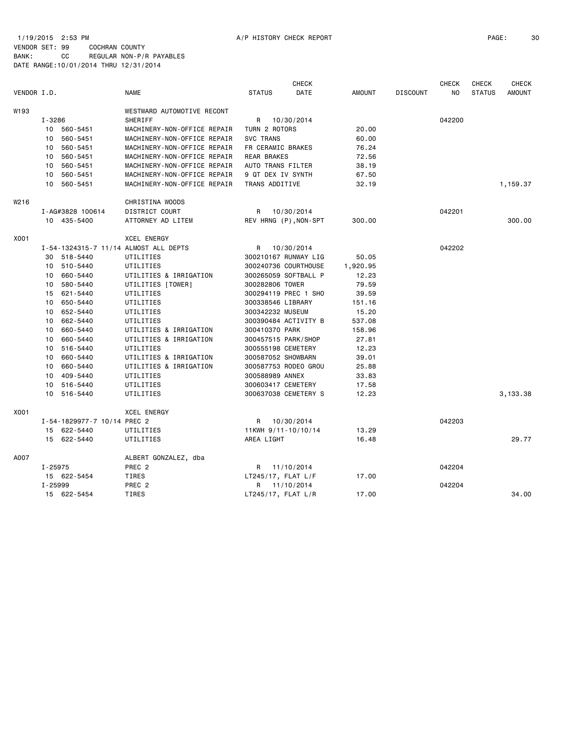|                  |            |                             | <b>CHECK</b>                          |                       |             |               | <b>CHECK</b>    | <b>CHECK</b> | CHECK         |               |
|------------------|------------|-----------------------------|---------------------------------------|-----------------------|-------------|---------------|-----------------|--------------|---------------|---------------|
| VENDOR I.D.      |            |                             | <b>NAME</b>                           | <b>STATUS</b>         | <b>DATE</b> | <b>AMOUNT</b> | <b>DISCOUNT</b> | NO.          | <b>STATUS</b> | <b>AMOUNT</b> |
| W193             |            |                             | WESTWARD AUTOMOTIVE RECONT            |                       |             |               |                 |              |               |               |
|                  | $I - 3286$ |                             | <b>SHERIFF</b>                        | R                     | 10/30/2014  |               |                 | 042200       |               |               |
|                  |            | 10 560-5451                 | MACHINERY-NON-OFFICE REPAIR           | TURN 2 ROTORS         |             | 20.00         |                 |              |               |               |
|                  | 10         | 560-5451                    | MACHINERY-NON-OFFICE REPAIR           | <b>SVC TRANS</b>      |             | 60.00         |                 |              |               |               |
|                  | 10         | 560-5451                    | MACHINERY-NON-OFFICE REPAIR           | FR CERAMIC BRAKES     |             | 76.24         |                 |              |               |               |
|                  | 10         | 560-5451                    | MACHINERY-NON-OFFICE REPAIR           | REAR BRAKES           |             | 72.56         |                 |              |               |               |
|                  | 10         | 560-5451                    | MACHINERY-NON-OFFICE REPAIR           | AUTO TRANS FILTER     |             | 38.19         |                 |              |               |               |
|                  | 10         | 560-5451                    | MACHINERY-NON-OFFICE REPAIR           | 9 QT DEX IV SYNTH     |             | 67.50         |                 |              |               |               |
|                  |            | 10 560-5451                 | MACHINERY-NON-OFFICE REPAIR           | TRANS ADDITIVE        |             | 32.19         |                 |              |               | 1,159.37      |
| W <sub>216</sub> |            |                             | CHRISTINA WOODS                       |                       |             |               |                 |              |               |               |
|                  |            | I-AG#3828 100614            | DISTRICT COURT                        | R                     | 10/30/2014  |               |                 | 042201       |               |               |
|                  |            | 10 435-5400                 | ATTORNEY AD LITEM                     | REV HRNG (P), NON-SPT |             | 300.00        |                 |              |               | 300.00        |
|                  |            |                             |                                       |                       |             |               |                 |              |               |               |
| X001             |            |                             | <b>XCEL ENERGY</b>                    |                       |             |               |                 |              |               |               |
|                  |            |                             | I-54-1324315-7 11/14 ALMOST ALL DEPTS | R                     | 10/30/2014  |               |                 | 042202       |               |               |
|                  | 30         | 518-5440                    | UTILITIES                             | 300210167 RUNWAY LIG  |             | 50.05         |                 |              |               |               |
|                  |            | 10 510-5440                 | UTILITIES                             | 300240736 COURTHOUSE  |             | 1,920.95      |                 |              |               |               |
|                  | 10         | 660-5440                    | UTILITIES & IRRIGATION                | 300265059 SOFTBALL P  |             | 12.23         |                 |              |               |               |
|                  | 10         | 580-5440                    | UTILITIES [TOWER]                     | 300282806 TOWER       |             | 79.59         |                 |              |               |               |
|                  | 15         | 621-5440                    | UTILITIES                             | 300294119 PREC 1 SHO  |             | 39.59         |                 |              |               |               |
|                  |            | 10 650-5440                 | UTILITIES                             | 300338546 LIBRARY     |             | 151.16        |                 |              |               |               |
|                  | 10         | 652-5440                    | UTILITIES                             | 300342232 MUSEUM      |             | 15.20         |                 |              |               |               |
|                  |            | 10 662-5440                 | UTILITIES                             | 300390484 ACTIVITY B  |             | 537.08        |                 |              |               |               |
|                  |            | 10 660-5440                 | UTILITIES & IRRIGATION                | 300410370 PARK        |             | 158.96        |                 |              |               |               |
|                  | 10         | 660-5440                    | UTILITIES & IRRIGATION                | 300457515 PARK/SHOP   |             | 27.81         |                 |              |               |               |
|                  | 10         | 516-5440                    | UTILITIES                             | 300555198 CEMETERY    |             | 12.23         |                 |              |               |               |
|                  | 10         | 660-5440                    | UTILITIES & IRRIGATION                | 300587052 SHOWBARN    |             | 39.01         |                 |              |               |               |
|                  | 10         | 660-5440                    | UTILITIES & IRRIGATION                | 300587753 RODEO GROU  |             | 25.88         |                 |              |               |               |
|                  | 10         | 409-5440                    | UTILITIES                             | 300588989 ANNEX       |             | 33.83         |                 |              |               |               |
|                  |            | 10 516-5440                 | UTILITIES                             | 300603417 CEMETERY    |             | 17.58         |                 |              |               |               |
|                  |            | 10 516-5440                 | UTILITIES                             | 300637038 CEMETERY S  |             | 12.23         |                 |              |               | 3,133.38      |
| X001             |            |                             | <b>XCEL ENERGY</b>                    |                       |             |               |                 |              |               |               |
|                  |            | I-54-1829977-7 10/14 PREC 2 |                                       | R                     | 10/30/2014  |               |                 | 042203       |               |               |
|                  |            | 15 622-5440                 | UTILITIES                             | 11KWH 9/11-10/10/14   |             | 13.29         |                 |              |               |               |
|                  |            | 15 622-5440                 | UTILITIES                             | AREA LIGHT            |             | 16.48         |                 |              |               | 29.77         |
| A007             |            |                             | ALBERT GONZALEZ, dba                  |                       |             |               |                 |              |               |               |
|                  | I-25975    |                             | PREC <sub>2</sub>                     | R 11/10/2014          |             |               |                 | 042204       |               |               |
|                  |            | 15 622-5454                 | TIRES                                 | $LT245/17$ , FLAT L/F |             | 17.00         |                 |              |               |               |
|                  | I-25999    |                             | PREC <sub>2</sub>                     | R 11/10/2014          |             |               |                 | 042204       |               |               |
|                  |            | 15 622-5454                 | TIRES                                 | $LT245/17$ , FLAT L/R |             | 17.00         |                 |              |               | 34.00         |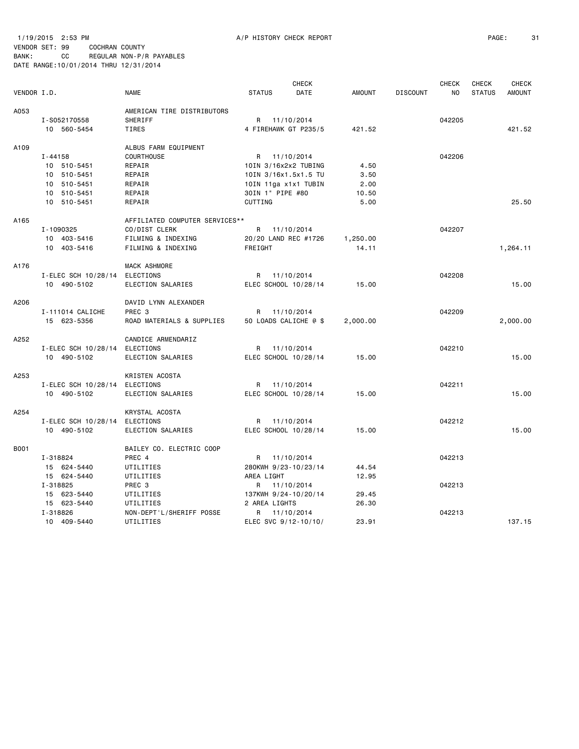1/19/2015 2:53 PM A/P HISTORY CHECK REPORT PAGE: 31 VENDOR SET: 99 COCHRAN COUNTY

|             |                     |                                | <b>CHECK</b>          |            |               |                 | <b>CHECK</b><br><b>CHECK</b> |               | <b>CHECK</b>  |
|-------------|---------------------|--------------------------------|-----------------------|------------|---------------|-----------------|------------------------------|---------------|---------------|
| VENDOR I.D. |                     | <b>NAME</b>                    | <b>STATUS</b>         | DATE       | <b>AMOUNT</b> | <b>DISCOUNT</b> | NO.                          | <b>STATUS</b> | <b>AMOUNT</b> |
| A053        |                     | AMERICAN TIRE DISTRIBUTORS     |                       |            |               |                 |                              |               |               |
|             | I-S052170558        | <b>SHERIFF</b>                 | R 11/10/2014          |            |               |                 | 042205                       |               |               |
|             | 10 560-5454         | TIRES                          | 4 FIREHAWK GT P235/5  |            | 421.52        |                 |                              |               | 421.52        |
| A109        |                     | ALBUS FARM EQUIPMENT           |                       |            |               |                 |                              |               |               |
|             | $I - 44158$         | COURTHOUSE                     | R 11/10/2014          |            |               |                 | 042206                       |               |               |
|             | 10 510-5451         | REPAIR                         | 10IN 3/16x2x2 TUBING  |            | 4.50          |                 |                              |               |               |
|             | 10 510-5451         | REPAIR                         | 10IN 3/16x1.5x1.5 TU  |            | 3.50          |                 |                              |               |               |
|             | 10 510-5451         | REPAIR                         | 10IN 11ga x1x1 TUBIN  |            | 2.00          |                 |                              |               |               |
|             | 10 510-5451         | REPAIR                         | 30IN 1" PIPE #80      |            | 10.50         |                 |                              |               |               |
|             | 10 510-5451         | REPAIR                         | <b>CUTTING</b>        |            | 5.00          |                 |                              |               | 25.50         |
| A165        |                     | AFFILIATED COMPUTER SERVICES** |                       |            |               |                 |                              |               |               |
|             | I-1090325           | CO/DIST CLERK                  | R 11/10/2014          |            |               |                 | 042207                       |               |               |
|             | 10 403-5416         | FILMING & INDEXING             | 20/20 LAND REC #1726  |            | 1,250.00      |                 |                              |               |               |
|             | 10 403-5416         | FILMING & INDEXING             | FREIGHT               |            | 14.11         |                 |                              |               | 1,264.11      |
| A176        |                     | MACK ASHMORE                   |                       |            |               |                 |                              |               |               |
|             | I-ELEC SCH 10/28/14 | ELECTIONS                      | R                     | 11/10/2014 |               |                 | 042208                       |               |               |
|             | 10 490-5102         | ELECTION SALARIES              | ELEC SCHOOL 10/28/14  |            | 15.00         |                 |                              |               | 15.00         |
| A206        |                     | DAVID LYNN ALEXANDER           |                       |            |               |                 |                              |               |               |
|             | I-111014 CALICHE    | PREC <sub>3</sub>              | R 11/10/2014          |            |               |                 | 042209                       |               |               |
|             | 15 623-5356         | ROAD MATERIALS & SUPPLIES      | 50 LOADS CALICHE @ \$ |            | 2,000.00      |                 |                              |               | 2,000.00      |
| A252        |                     | CANDICE ARMENDARIZ             |                       |            |               |                 |                              |               |               |
|             | I-ELEC SCH 10/28/14 | ELECTIONS                      | R 11/10/2014          |            |               |                 | 042210                       |               |               |
|             | 10 490-5102         | ELECTION SALARIES              | ELEC SCHOOL 10/28/14  |            | 15.00         |                 |                              |               | 15.00         |
| A253        |                     | KRISTEN ACOSTA                 |                       |            |               |                 |                              |               |               |
|             | I-ELEC SCH 10/28/14 | ELECTIONS                      | R 11/10/2014          |            |               |                 | 042211                       |               |               |
|             | 10 490-5102         | ELECTION SALARIES              | ELEC SCHOOL 10/28/14  |            | 15.00         |                 |                              |               | 15.00         |
| A254        |                     | KRYSTAL ACOSTA                 |                       |            |               |                 |                              |               |               |
|             | I-ELEC SCH 10/28/14 | ELECTIONS                      | R                     | 11/10/2014 |               |                 | 042212                       |               |               |
|             | 10 490-5102         | ELECTION SALARIES              | ELEC SCHOOL 10/28/14  |            | 15.00         |                 |                              |               | 15.00         |
| B001        |                     | BAILEY CO. ELECTRIC COOP       |                       |            |               |                 |                              |               |               |
|             | I-318824            | PREC 4                         | R 11/10/2014          |            |               |                 | 042213                       |               |               |
|             | 15 624-5440         | UTILITIES                      | 280KWH 9/23-10/23/14  |            | 44.54         |                 |                              |               |               |
|             | 15 624-5440         | UTILITIES                      | AREA LIGHT            |            | 12.95         |                 |                              |               |               |
|             | I-318825            | PREC <sub>3</sub>              | R 11/10/2014          |            |               |                 | 042213                       |               |               |
|             | 15 623-5440         | UTILITIES                      | 137KWH 9/24-10/20/14  |            | 29.45         |                 |                              |               |               |
|             | 15 623-5440         | UTILITIES                      | 2 AREA LIGHTS         |            | 26.30         |                 |                              |               |               |
|             | I-318826            | NON-DEPT'L/SHERIFF POSSE       | R                     | 11/10/2014 |               |                 | 042213                       |               |               |
|             | 10 409-5440         | UTILITIES                      | ELEC SVC 9/12-10/10/  |            | 23.91         |                 |                              |               | 137.15        |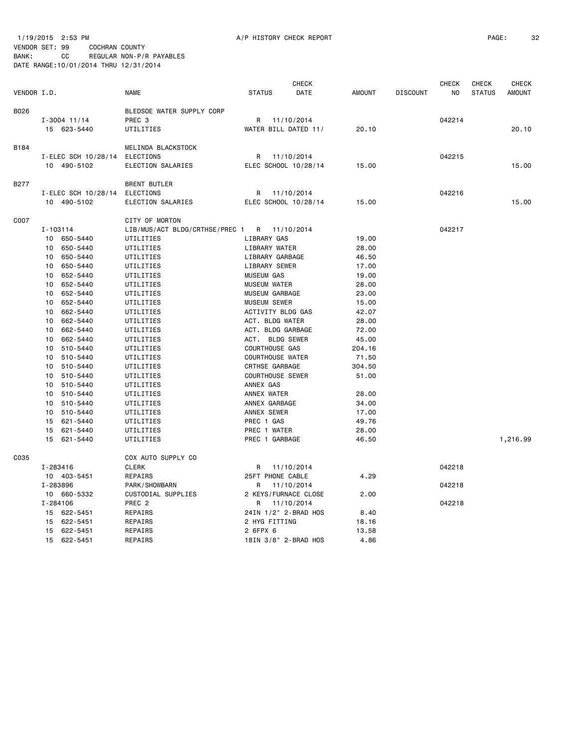VENDOR SET: 99 COCHRAN COUNTY BANK: CC REGULAR NON-P/R PAYABLES DATE RANGE:10/01/2014 THRU 12/31/2014

|             |          |                     |                                | <b>CHECK</b>            |                      |               | <b>CHECK</b>    |        | <b>CHECK</b>  | <b>CHECK</b>  |
|-------------|----------|---------------------|--------------------------------|-------------------------|----------------------|---------------|-----------------|--------|---------------|---------------|
| VENDOR I.D. |          |                     | <b>NAME</b>                    | <b>STATUS</b>           | DATE                 | <b>AMOUNT</b> | <b>DISCOUNT</b> | NO     | <b>STATUS</b> | <b>AMOUNT</b> |
| B026        |          |                     | BLEDSOE WATER SUPPLY CORP      |                         |                      |               |                 |        |               |               |
|             |          | $I - 3004$ 11/14    | PREC 3                         | R                       | 11/10/2014           |               |                 | 042214 |               |               |
|             |          | 15 623-5440         | UTILITIES                      |                         | WATER BILL DATED 11/ | 20.10         |                 |        |               | 20.10         |
| B184        |          |                     | MELINDA BLACKSTOCK             |                         |                      |               |                 |        |               |               |
|             |          | I-ELEC SCH 10/28/14 | <b>ELECTIONS</b>               | R                       | 11/10/2014           |               |                 | 042215 |               |               |
|             |          | 10 490-5102         | ELECTION SALARIES              |                         | ELEC SCHOOL 10/28/14 | 15.00         |                 |        |               | 15.00         |
| <b>B277</b> |          |                     | <b>BRENT BUTLER</b>            |                         |                      |               |                 |        |               |               |
|             |          | I-ELEC SCH 10/28/14 | <b>ELECTIONS</b>               | R                       | 11/10/2014           |               |                 | 042216 |               |               |
|             |          | 10 490-5102         | ELECTION SALARIES              |                         | ELEC SCHOOL 10/28/14 | 15.00         |                 |        |               | 15.00         |
| C007        |          |                     | CITY OF MORTON                 |                         |                      |               |                 |        |               |               |
|             | I-103114 |                     | LIB/MUS/ACT BLDG/CRTHSE/PREC 1 |                         | R 11/10/2014         |               |                 | 042217 |               |               |
|             |          | 10 650-5440         | UTILITIES                      | LIBRARY GAS             |                      | 19.00         |                 |        |               |               |
|             | 10       | 650-5440            | UTILITIES                      | LIBRARY WATER           |                      | 28.00         |                 |        |               |               |
|             | 10       | 650-5440            | UTILITIES                      | LIBRARY GARBAGE         |                      | 46.50         |                 |        |               |               |
|             | 10       | 650-5440            | UTILITIES                      | LIBRARY SEWER           |                      | 17.00         |                 |        |               |               |
|             | 10       | 652-5440            | UTILITIES                      | <b>MUSEUM GAS</b>       |                      | 19.00         |                 |        |               |               |
|             | 10       | 652-5440            | UTILITIES                      | <b>MUSEUM WATER</b>     |                      | 28.00         |                 |        |               |               |
|             | 10       | 652-5440            | UTILITIES                      | MUSEUM GARBAGE          |                      | 23.00         |                 |        |               |               |
|             | 10       | 652-5440            | UTILITIES                      | <b>MUSEUM SEWER</b>     |                      | 15.00         |                 |        |               |               |
|             | 10       | 662-5440            | UTILITIES                      | ACTIVITY BLDG GAS       |                      | 42.07         |                 |        |               |               |
|             | 10       | 662-5440            | UTILITIES                      | ACT. BLDG WATER         |                      | 28.00         |                 |        |               |               |
|             | 10       | 662-5440            | UTILITIES                      | ACT. BLDG GARBAGE       |                      | 72.00         |                 |        |               |               |
|             | 10       | 662-5440            | UTILITIES                      | ACT. BLDG SEWER         |                      | 45.00         |                 |        |               |               |
|             | 10       | 510-5440            | UTILITIES                      | <b>COURTHOUSE GAS</b>   |                      | 204.16        |                 |        |               |               |
|             | 10       | 510-5440            | UTILITIES                      | <b>COURTHOUSE WATER</b> |                      | 71.50         |                 |        |               |               |
|             | 10       | 510-5440            | UTILITIES                      | <b>CRTHSE GARBAGE</b>   |                      | 304.50        |                 |        |               |               |
|             | 10       | 510-5440            | UTILITIES                      | <b>COURTHOUSE SEWER</b> |                      | 51.00         |                 |        |               |               |
|             | 10       | 510-5440            | UTILITIES                      | ANNEX GAS               |                      |               |                 |        |               |               |
|             | 10       | 510-5440            | UTILITIES                      | ANNEX WATER             |                      | 28.00         |                 |        |               |               |
|             | 10       | 510-5440            | UTILITIES                      | ANNEX GARBAGE           |                      | 34.00         |                 |        |               |               |
|             | 10       | 510-5440            | UTILITIES                      | ANNEX SEWER             |                      | 17.00         |                 |        |               |               |
|             |          | 15 621-5440         | UTILITIES                      | PREC 1 GAS              |                      | 49.76         |                 |        |               |               |
|             |          | 15 621-5440         | UTILITIES                      | PREC 1 WATER            |                      | 28.00         |                 |        |               |               |
|             |          | 15 621-5440         | UTILITIES                      | PREC 1 GARBAGE          |                      | 46.50         |                 |        |               | 1,216.99      |
| C035        |          |                     | COX AUTO SUPPLY CO             |                         |                      |               |                 |        |               |               |
|             | I-283416 |                     | <b>CLERK</b>                   | R                       | 11/10/2014           |               |                 | 042218 |               |               |
|             |          | 10 403-5451         | REPAIRS                        | 25FT PHONE CABLE        |                      | 4.29          |                 |        |               |               |
|             | I-283896 |                     | PARK/SHOWBARN                  | R                       | 11/10/2014           |               |                 | 042218 |               |               |
|             |          | 10 660-5332         | CUSTODIAL SUPPLIES             |                         | 2 KEYS/FURNACE CLOSE | 2.00          |                 |        |               |               |
|             | I-284106 |                     | PREC <sub>2</sub>              |                         | R 11/10/2014         |               |                 | 042218 |               |               |
|             |          | 15 622-5451         | REPAIRS                        |                         | 24IN 1/2" 2-BRAD HOS | 8.40          |                 |        |               |               |
|             | 15       | 622-5451            | REPAIRS                        | 2 HYG FITTING           |                      | 18.16         |                 |        |               |               |
|             | 15       | 622-5451            | REPAIRS                        | 2 6FPX 6                |                      | 13.58         |                 |        |               |               |
|             |          | 15 622-5451         | REPAIRS                        |                         | 18IN 3/8" 2-BRAD HOS | 4.86          |                 |        |               |               |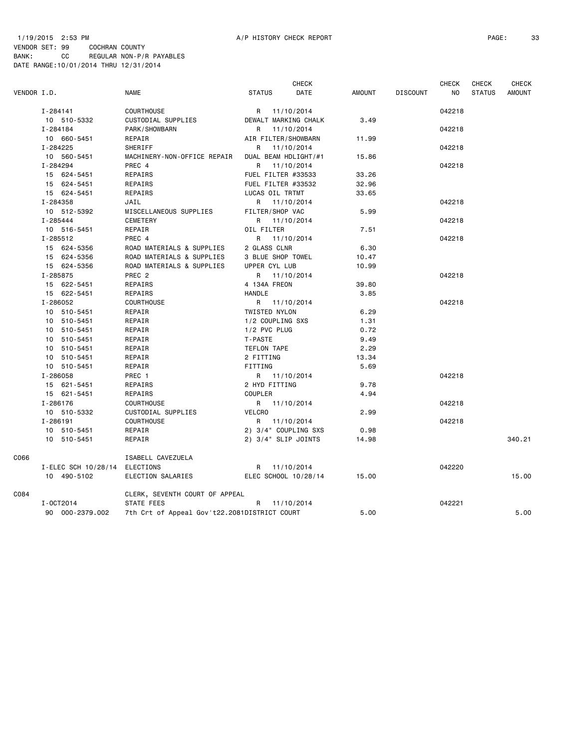#### 1/19/2015 2:53 PM A/P HISTORY CHECK REPORT PAGE: 33 VENDOR SET: 99 COCHRAN COUNTY BANK: CC REGULAR NON-P/R PAYABLES DATE RANGE:10/01/2014 THRU 12/31/2014

| <b>AMOUNT</b><br><b>STATUS</b> |
|--------------------------------|
|                                |
|                                |
|                                |
|                                |
|                                |
|                                |
|                                |
|                                |
|                                |
|                                |
|                                |
|                                |
|                                |
|                                |
|                                |
|                                |
|                                |
|                                |
|                                |
|                                |
|                                |
|                                |
|                                |
|                                |
|                                |
|                                |
|                                |
|                                |
|                                |
|                                |
|                                |
|                                |
|                                |
|                                |
|                                |
|                                |
|                                |
| 340.21                         |
|                                |
|                                |
| 15.00                          |
|                                |
|                                |
| 5.00                           |
|                                |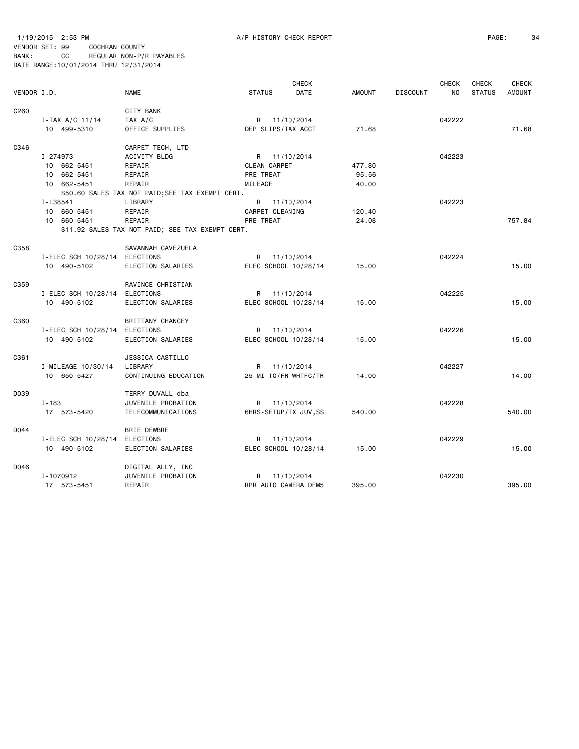1/19/2015 2:53 PM A/P HISTORY CHECK REPORT PAGE: 34 VENDOR SET: 99 COCHRAN COUNTY BANK: CC REGULAR NON-P/R PAYABLES DATE RANGE:10/01/2014 THRU 12/31/2014

 CHECK CHECK CHECK CHECK VENDOR I.D. NAME STATUS DATE AMOUNT DISCOUNT NO STATUS AMOUNT C260 CITY BANK I-TAX A/C 11/14 TAX A/C R 11/10/2014 042222 10 499-5310 OFFICE SUPPLIES DEP SLIPS/TAX ACCT 71.68 71.68 C346 CARPET TECH, LTD I-274973 ACIVITY BLDG R 11/10/2014 042223 10 662-5451 REPAIR CLEAN CARPET 477.80 10 662-5451 REPAIR PRE-TREAT 95.56 10 662-5451 REPAIR MILEAGE 40.00 \$50.60 SALES TAX NOT PAID;SEE TAX EXEMPT CERT. I-L38541 LIBRARY R 11/10/2014 042223 REPAIR CARPET CLEANING 120.40 10 660-5451 REPAIR PRE-TREAT 24.08 757.84 \$11.92 SALES TAX NOT PAID; SEE TAX EXEMPT CERT. C358 SAVANNAH CAVEZUELA I-ELEC SCH 10/28/14 ELECTIONS R 11/10/2014 042224 10 490-5102 ELECTION SALARIES ELEC SCHOOL 10/28/14 15.00 15.00 C359 RAVINCE CHRISTIAN I-ELEC SCH 10/28/14 ELECTIONS R 11/10/2014 042225 10 490-5102 ELECTION SALARIES ELEC SCHOOL 10/28/14 15.00 15.00 C360 BRITTANY CHANCEY I-ELEC SCH 10/28/14 ELECTIONS R 11/10/2014 042226 10 490-5102 ELECTION SALARIES ELEC SCHOOL 10/28/14 15.00 15.00 C361 JESSICA CASTILLO I-MILEAGE 10/30/14 LIBRARY R 11/10/2014 042227 10 650-5427 CONTINUING EDUCATION 25 MI TO/FR WHTFC/TR 14.00 14.00 D039 TERRY DUVALL dba I-183 JUVENILE PROBATION R 11/10/2014 042228 17 573-5420 TELECOMMUNICATIONS 6HRS-SETUP/TX JUV,SS 540.00 540.00 D044 BRIE DEWBRE I-ELEC SCH 10/28/14 ELECTIONS R 11/10/2014 042229 10 490-5102 ELECTION SALARIES ELEC SCHOOL 10/28/14 15.00 15.00 D046 DIGITAL ALLY, INC

I-1070912 JUVENILE PROBATION R 11/10/2014 042230

17 573-5451 REPAIR RPR AUTO CAMERA DFM5 395.00 395.00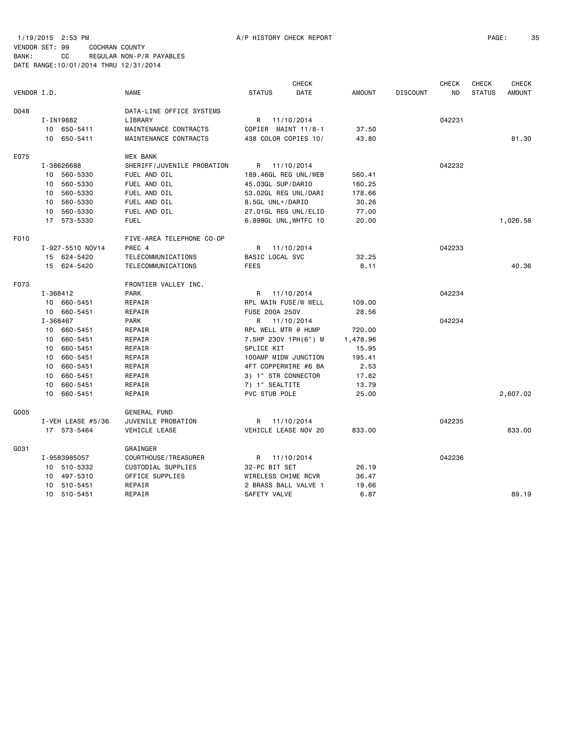1/19/2015 2:53 PM A/P HISTORY CHECK REPORT PAGE: 35 VENDOR SET: 99 COCHRAN COUNTY

|             |    |                   |                            |                        | <b>CHECK</b>          |               |                 | <b>CHECK</b> | <b>CHECK</b>  | <b>CHECK</b>  |
|-------------|----|-------------------|----------------------------|------------------------|-----------------------|---------------|-----------------|--------------|---------------|---------------|
| VENDOR I.D. |    |                   | <b>NAME</b>                | <b>STATUS</b>          | <b>DATE</b>           | <b>AMOUNT</b> | <b>DISCOUNT</b> | NO.          | <b>STATUS</b> | <b>AMOUNT</b> |
| D048        |    |                   | DATA-LINE OFFICE SYSTEMS   |                        |                       |               |                 |              |               |               |
|             |    | I-IN19882         | LIBRARY                    |                        | R 11/10/2014          |               |                 | 042231       |               |               |
|             |    | 10 650-5411       | MAINTENANCE CONTRACTS      |                        | COPIER MAINT 11/8-1   | 37.50         |                 |              |               |               |
|             |    | 10 650-5411       | MAINTENANCE CONTRACTS      |                        | 438 COLOR COPIES 10/  | 43.80         |                 |              |               | 81.30         |
|             |    |                   |                            |                        |                       |               |                 |              |               |               |
| E075        |    |                   | <b>WEX BANK</b>            |                        |                       |               |                 |              |               |               |
|             |    | I-38626688        | SHERIFF/JUVENILE PROBATION |                        | R 11/10/2014          |               |                 | 042232       |               |               |
|             |    | 10 560-5330       | FUEL AND OIL               |                        | 189.46GL REG UNL/WEB  | 560.41        |                 |              |               |               |
|             | 10 | 560-5330          | FUEL AND OIL               | 45.03GL SUP/DARIO      |                       | 160.25        |                 |              |               |               |
|             |    | 10 560-5330       | FUEL AND OIL               |                        | 53.02GL REG UNL/DARI  | 178.66        |                 |              |               |               |
|             | 10 | 560-5330          | FUEL AND OIL               | 8.5GL UNL+/DARIO       |                       | 30.26         |                 |              |               |               |
|             | 10 | 560-5330          | FUEL AND OIL               |                        | 27.01GL REG UNL/ELID  | 77.00         |                 |              |               |               |
|             |    | 17 573-5330       | <b>FUEL</b>                |                        | 6.898GL UNL, WHTFC 10 | 20.00         |                 |              |               | 1,026.58      |
| F010        |    |                   | FIVE-AREA TELEPHONE CO-OP  |                        |                       |               |                 |              |               |               |
|             |    | I-927-5510 NOV14  | PREC 4                     | R                      | 11/10/2014            |               |                 | 042233       |               |               |
|             |    | 15 624-5420       | TELECOMMUNICATIONS         | <b>BASIC LOCAL SVC</b> |                       | 32.25         |                 |              |               |               |
|             |    | 15 624-5420       | TELECOMMUNICATIONS         | <b>FEES</b>            |                       | 8.11          |                 |              |               | 40.36         |
| F073        |    |                   | FRONTIER VALLEY INC.       |                        |                       |               |                 |              |               |               |
|             |    | I-368412          | <b>PARK</b>                |                        | R 11/10/2014          |               |                 | 042234       |               |               |
|             |    | 10 660-5451       | REPAIR                     |                        | RPL MAIN FUSE/W WELL  | 109.00        |                 |              |               |               |
|             |    | 10 660-5451       | REPAIR                     | FUSE 200A 250V         |                       | 28.56         |                 |              |               |               |
|             |    | I-368467          | <b>PARK</b>                |                        | R 11/10/2014          |               |                 | 042234       |               |               |
|             |    | 10 660-5451       | REPAIR                     |                        | RPL WELL MTR @ HUMP   | 720.00        |                 |              |               |               |
|             | 10 | 660-5451          | REPAIR                     |                        | 7.5HP 230V 1PH(6") M  | 1,478.96      |                 |              |               |               |
|             | 10 | 660-5451          |                            | SPLICE KIT             |                       | 15.95         |                 |              |               |               |
|             | 10 | 660-5451          | REPAIR<br>REPAIR           |                        | 100AMP MIDW JUNCTION  | 195.41        |                 |              |               |               |
|             |    |                   |                            |                        |                       |               |                 |              |               |               |
|             | 10 | 660-5451          | REPAIR                     |                        | 4FT COPPERWIRE #6 BA  | 2.53          |                 |              |               |               |
|             | 10 | 660-5451          | REPAIR                     |                        | 3) 1" STR CONNECTOR   | 17.82         |                 |              |               |               |
|             | 10 | 660-5451          | REPAIR                     | 7) 1" SEALTITE         |                       | 13.79         |                 |              |               |               |
|             |    | 10 660-5451       | REPAIR                     | PVC STUB POLE          |                       | 25.00         |                 |              |               | 2,607.02      |
| G005        |    |                   | <b>GENERAL FUND</b>        |                        |                       |               |                 |              |               |               |
|             |    | I-VEH LEASE #5/36 | JUVENILE PROBATION         |                        | R 11/10/2014          |               |                 | 042235       |               |               |
|             |    | 17 573-5464       | VEHICLE LEASE              |                        | VEHICLE LEASE NOV 20  | 833.00        |                 |              |               | 833.00        |
| G031        |    |                   | GRAINGER                   |                        |                       |               |                 |              |               |               |
|             |    | I-9583985057      | COURTHOUSE / TREASURER     |                        | R 11/10/2014          |               |                 | 042236       |               |               |
|             |    | 10 510-5332       | CUSTODIAL SUPPLIES         | 32-PC BIT SET          |                       | 26.19         |                 |              |               |               |
|             |    | 10 497-5310       | OFFICE SUPPLIES            |                        | WIRELESS CHIME RCVR   | 36.47         |                 |              |               |               |
|             | 10 | 510-5451          | REPAIR                     |                        | 2 BRASS BALL VALVE 1  | 19.66         |                 |              |               |               |
|             |    | 10 510-5451       | REPAIR                     | SAFETY VALVE           |                       | 6.87          |                 |              |               | 89.19         |
|             |    |                   |                            |                        |                       |               |                 |              |               |               |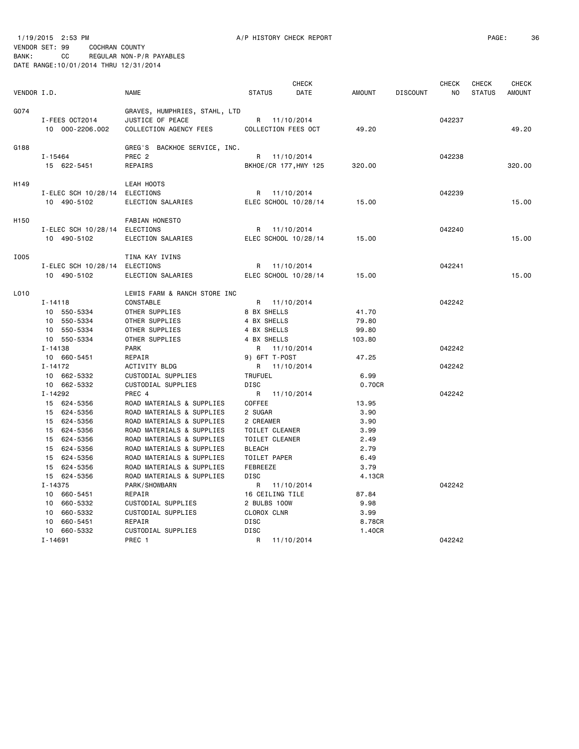1/19/2015 2:53 PM A/P HISTORY CHECK REPORT PAGE: 36 VENDOR SET: 99 COCHRAN COUNTY

| VENDOR I.D. |                                                                                                                                                               | <b>NAME</b>                                                                                                                                                                                                                                                                                  | <b>STATUS</b>                                                                                                                                       | <b>CHECK</b><br>DATE | <b>AMOUNT</b>                                                           | <b>DISCOUNT</b> | <b>CHECK</b><br>NO | <b>CHECK</b><br><b>STATUS</b> | <b>CHECK</b><br><b>AMOUNT</b> |
|-------------|---------------------------------------------------------------------------------------------------------------------------------------------------------------|----------------------------------------------------------------------------------------------------------------------------------------------------------------------------------------------------------------------------------------------------------------------------------------------|-----------------------------------------------------------------------------------------------------------------------------------------------------|----------------------|-------------------------------------------------------------------------|-----------------|--------------------|-------------------------------|-------------------------------|
| G074        | I-FEES OCT2014<br>10 000-2206.002                                                                                                                             | GRAVES, HUMPHRIES, STAHL, LTD<br>JUSTICE OF PEACE<br>COLLECTION AGENCY FEES                                                                                                                                                                                                                  | R 11/10/2014<br>COLLECTION FEES OCT                                                                                                                 |                      | 49.20                                                                   |                 | 042237             |                               | 49.20                         |
| G188        | I-15464<br>15 622-5451                                                                                                                                        | GREG'S BACKHOE SERVICE, INC.<br>PREC <sub>2</sub><br>REPAIRS                                                                                                                                                                                                                                 | R 11/10/2014<br>BKHOE/CR 177, HWY 125                                                                                                               |                      | 320.00                                                                  |                 | 042238             |                               | 320.00                        |
| H149        | I-ELEC SCH 10/28/14 ELECTIONS<br>10 490-5102                                                                                                                  | LEAH HOOTS<br>ELECTION SALARIES                                                                                                                                                                                                                                                              | R 11/10/2014<br>ELEC SCHOOL 10/28/14                                                                                                                |                      | 15.00                                                                   |                 | 042239             |                               | 15.00                         |
| H150        | I-ELEC SCH 10/28/14 ELECTIONS<br>10 490-5102                                                                                                                  | <b>FABIAN HONESTO</b><br>ELECTION SALARIES                                                                                                                                                                                                                                                   | R 11/10/2014<br>ELEC SCHOOL 10/28/14                                                                                                                |                      | 15.00                                                                   |                 | 042240             |                               | 15.00                         |
| I005        | I-ELEC SCH 10/28/14 ELECTIONS<br>10 490-5102                                                                                                                  | TINA KAY IVINS<br>ELECTION SALARIES                                                                                                                                                                                                                                                          | R<br>ELEC SCHOOL 10/28/14                                                                                                                           | 11/10/2014           | 15.00                                                                   |                 | 042241             |                               | 15.00                         |
| L010        | I-14118<br>10 550-5334<br>10 550-5334<br>10 550-5334                                                                                                          | LEWIS FARM & RANCH STORE INC<br>CONSTABLE<br>OTHER SUPPLIES<br>OTHER SUPPLIES<br>OTHER SUPPLIES                                                                                                                                                                                              | R 11/10/2014<br>8 BX SHELLS<br>4 BX SHELLS<br>4 BX SHELLS                                                                                           |                      | 41.70<br>79.80<br>99.80                                                 |                 | 042242             |                               |                               |
|             | 10 550-5334<br>$I - 14138$<br>10 660-5451                                                                                                                     | OTHER SUPPLIES<br><b>PARK</b><br>REPAIR                                                                                                                                                                                                                                                      | 4 BX SHELLS<br>R 11/10/2014<br>9) 6FT T-POST                                                                                                        |                      | 103.80<br>47.25                                                         |                 | 042242             |                               |                               |
|             | $I - 14172$<br>10 662-5332<br>10 662-5332                                                                                                                     | ACTIVITY BLDG<br>CUSTODIAL SUPPLIES<br>CUSTODIAL SUPPLIES                                                                                                                                                                                                                                    | R 11/10/2014<br><b>TRUFUEL</b><br><b>DISC</b>                                                                                                       |                      | 6.99<br>0.70CR                                                          |                 | 042242             |                               |                               |
|             | I-14292<br>15 624-5356<br>15 624-5356<br>15 624-5356<br>15 624-5356<br>15 624-5356<br>15 624-5356<br>15 624-5356<br>15 624-5356<br>15 624-5356<br>$I - 14375$ | PREC 4<br>ROAD MATERIALS & SUPPLIES<br>ROAD MATERIALS & SUPPLIES<br>ROAD MATERIALS & SUPPLIES<br>ROAD MATERIALS & SUPPLIES<br>ROAD MATERIALS & SUPPLIES<br>ROAD MATERIALS & SUPPLIES<br>ROAD MATERIALS & SUPPLIES<br>ROAD MATERIALS & SUPPLIES<br>ROAD MATERIALS & SUPPLIES<br>PARK/SHOWBARN | R 11/10/2014<br>COFFEE<br>2 SUGAR<br>2 CREAMER<br>TOILET CLEANER<br>TOILET CLEANER<br><b>BLEACH</b><br>TOILET PAPER<br>FEBREEZE<br><b>DISC</b><br>R | 11/10/2014           | 13.95<br>3.90<br>3.90<br>3.99<br>2.49<br>2.79<br>6.49<br>3.79<br>4.13CR |                 | 042242<br>042242   |                               |                               |
|             | 10 660-5451<br>10 660-5332<br>10 660-5332<br>660-5451<br>10<br>660-5332<br>10                                                                                 | REPAIR<br>CUSTODIAL SUPPLIES<br>CUSTODIAL SUPPLIES<br>REPAIR<br>CUSTODIAL SUPPLIES                                                                                                                                                                                                           | 16 CEILING TILE<br>2 BULBS 100W<br>CLOROX CLNR<br><b>DISC</b><br><b>DISC</b>                                                                        |                      | 87.84<br>9.98<br>3.99<br>8.78CR<br>1.40CR                               |                 |                    |                               |                               |
|             | $I - 14691$                                                                                                                                                   | PREC 1                                                                                                                                                                                                                                                                                       | R                                                                                                                                                   | 11/10/2014           |                                                                         |                 | 042242             |                               |                               |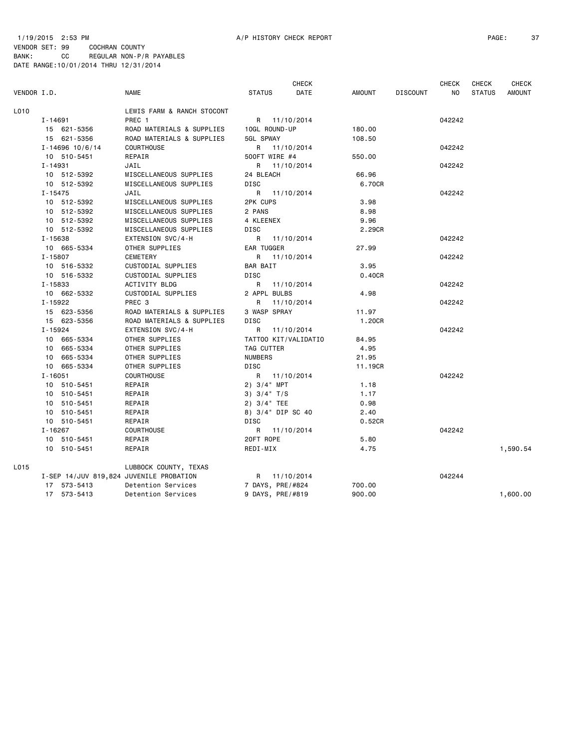## 1/19/2015 2:53 PM A/P HISTORY CHECK REPORT PAGE: 37 VENDOR SET: 99 COCHRAN COUNTY BANK: CC REGULAR NON-P/R PAYABLES DATE RANGE:10/01/2014 THRU 12/31/2014

|             |             |                     |                                         |                |                  | <b>CHECK</b>         |               |                 | <b>CHECK</b>   | CHECK         | <b>CHECK</b>  |
|-------------|-------------|---------------------|-----------------------------------------|----------------|------------------|----------------------|---------------|-----------------|----------------|---------------|---------------|
| VENDOR I.D. |             |                     | <b>NAME</b>                             | <b>STATUS</b>  |                  | DATE                 | <b>AMOUNT</b> | <b>DISCOUNT</b> | N <sub>O</sub> | <b>STATUS</b> | <b>AMOUNT</b> |
| L010        |             |                     | LEWIS FARM & RANCH STOCONT              |                |                  |                      |               |                 |                |               |               |
|             | $I - 14691$ |                     | PREC 1                                  |                |                  | R 11/10/2014         |               |                 | 042242         |               |               |
|             |             | 15 621-5356         | ROAD MATERIALS & SUPPLIES               |                | 10GL ROUND-UP    |                      | 180.00        |                 |                |               |               |
|             |             | 15 621-5356         | ROAD MATERIALS & SUPPLIES               | 5GL SPWAY      |                  |                      | 108.50        |                 |                |               |               |
|             |             | $I - 14696$ 10/6/14 | COURTHOUSE                              |                |                  | R 11/10/2014         |               |                 | 042242         |               |               |
|             |             | 10 510-5451         | REPAIR                                  |                | 500FT WIRE #4    |                      | 550.00        |                 |                |               |               |
|             | I-14931     |                     | JAIL                                    |                |                  | R 11/10/2014         |               |                 | 042242         |               |               |
|             |             | 10 512-5392         | MISCELLANEOUS SUPPLIES                  | 24 BLEACH      |                  |                      | 66.96         |                 |                |               |               |
|             |             | 10 512-5392         | MISCELLANEOUS SUPPLIES                  | DISC           |                  |                      | 6.70CR        |                 |                |               |               |
|             | $I - 15475$ |                     | JAIL                                    |                |                  | R 11/10/2014         |               |                 | 042242         |               |               |
|             |             | 10 512-5392         | MISCELLANEOUS SUPPLIES                  | 2PK CUPS       |                  |                      | 3.98          |                 |                |               |               |
|             |             | 10 512-5392         | MISCELLANEOUS SUPPLIES                  | 2 PANS         |                  |                      | 8.98          |                 |                |               |               |
|             |             | 10 512-5392         | MISCELLANEOUS SUPPLIES                  | 4 KLEENEX      |                  |                      | 9.96          |                 |                |               |               |
|             |             | 10 512-5392         | MISCELLANEOUS SUPPLIES                  | DISC           |                  |                      | 2.29CR        |                 |                |               |               |
|             | $I - 15638$ |                     | EXTENSION SVC/4-H                       |                |                  | R 11/10/2014         |               |                 | 042242         |               |               |
|             |             | 10 665-5334         | OTHER SUPPLIES                          |                | EAR TUGGER       |                      | 27.99         |                 |                |               |               |
|             | $I - 15807$ |                     | CEMETERY                                |                |                  | R 11/10/2014         |               |                 | 042242         |               |               |
|             |             | 10 516-5332         | CUSTODIAL SUPPLIES                      | BAR BAIT       |                  |                      | 3.95          |                 |                |               |               |
|             |             | 10 516-5332         | CUSTODIAL SUPPLIES                      | <b>DISC</b>    |                  |                      | 0.40CR        |                 |                |               |               |
|             | I-15833     |                     | ACTIVITY BLDG                           |                |                  | R 11/10/2014         |               |                 | 042242         |               |               |
|             |             | 10 662-5332         | CUSTODIAL SUPPLIES                      |                | 2 APPL BULBS     |                      | 4.98          |                 |                |               |               |
|             | I-15922     |                     | PREC 3                                  | R              |                  | 11/10/2014           |               |                 | 042242         |               |               |
|             |             | 15 623-5356         | ROAD MATERIALS & SUPPLIES               |                | 3 WASP SPRAY     |                      | 11.97         |                 |                |               |               |
|             |             | 15 623-5356         | ROAD MATERIALS & SUPPLIES               | <b>DISC</b>    |                  |                      | 1.20CR        |                 |                |               |               |
|             | $I - 15924$ |                     | EXTENSION SVC/4-H                       | $\mathsf{R}$   |                  | 11/10/2014           |               |                 | 042242         |               |               |
|             |             | 10 665-5334         | OTHER SUPPLIES                          |                |                  | TATT00 KIT/VALIDATIO | 84.95         |                 |                |               |               |
|             |             | 10 665-5334         | OTHER SUPPLIES                          |                | TAG CUTTER       |                      | 4.95          |                 |                |               |               |
|             |             | 10 665-5334         | OTHER SUPPLIES                          | <b>NUMBERS</b> |                  |                      | 21.95         |                 |                |               |               |
|             |             | 10 665-5334         | OTHER SUPPLIES                          | <b>DISC</b>    |                  |                      | 11.19CR       |                 |                |               |               |
|             | $I - 16051$ |                     | <b>COURTHOUSE</b>                       |                |                  | R 11/10/2014         |               |                 | 042242         |               |               |
|             |             | 10 510-5451         | REPAIR                                  |                | $2)$ 3/4" MPT    |                      | 1.18          |                 |                |               |               |
|             |             | 10 510-5451         | REPAIR                                  |                | $3)$ $3/4$ $T/S$ |                      | 1.17          |                 |                |               |               |
|             |             | 10 510-5451         | REPAIR                                  |                | $2)$ 3/4" TEE    |                      | 0.98          |                 |                |               |               |
|             |             | 10 510-5451         | REPAIR                                  |                |                  | 8) 3/4" DIP SC 40    | 2.40          |                 |                |               |               |
|             |             | 10 510-5451         | REPAIR                                  | <b>DISC</b>    |                  |                      | 0.52CR        |                 |                |               |               |
|             | $I - 16267$ |                     | <b>COURTHOUSE</b>                       |                |                  | R 11/10/2014         |               |                 | 042242         |               |               |
|             |             | 10 510-5451         | REPAIR                                  | 20FT ROPE      |                  |                      | 5.80          |                 |                |               |               |
|             |             | 10 510-5451         | REPAIR                                  | REDI-MIX       |                  |                      | 4.75          |                 |                |               | 1,590.54      |
| L015        |             |                     | LUBBOCK COUNTY, TEXAS                   |                |                  |                      |               |                 |                |               |               |
|             |             |                     | I-SEP 14/JUV 819,824 JUVENILE PROBATION |                |                  | R 11/10/2014         |               |                 | 042244         |               |               |
|             |             | 17 573-5413         | Detention Services                      |                |                  | 7 DAYS, PRE/#824     | 700.00        |                 |                |               |               |
|             |             | 17 573-5413         | Detention Services                      |                |                  | 9 DAYS, PRE/#819     | 900.00        |                 |                |               | 1,600.00      |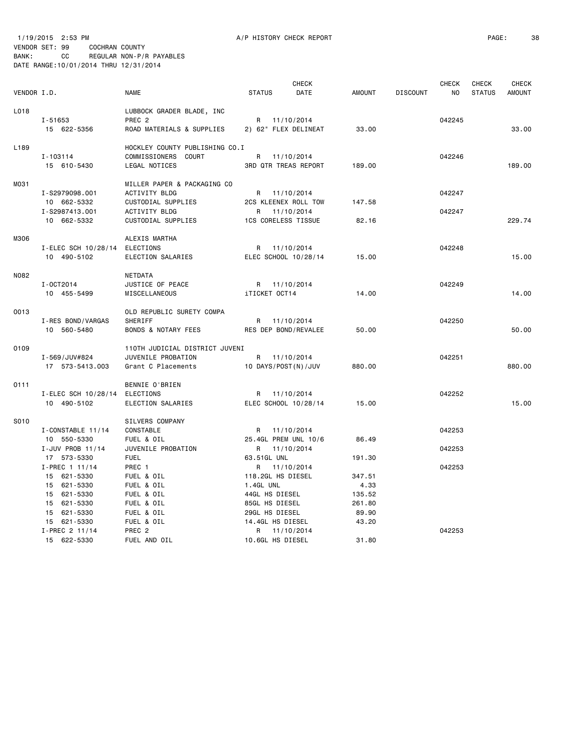1/19/2015 2:53 PM A/P HISTORY CHECK REPORT PAGE: 38 VENDOR SET: 99 COCHRAN COUNTY BANK: CC REGULAR NON-P/R PAYABLES DATE RANGE:10/01/2014 THRU 12/31/2014

| VENDOR I.D. |                                           | <b>NAME</b>                                                                 | <b>STATUS</b>                                 | <b>CHECK</b><br>DATE | <b>AMOUNT</b>            | <b>DISCOUNT</b> | <b>CHECK</b><br>NO | <b>CHECK</b><br><b>STATUS</b> | <b>CHECK</b><br><b>AMOUNT</b> |
|-------------|-------------------------------------------|-----------------------------------------------------------------------------|-----------------------------------------------|----------------------|--------------------------|-----------------|--------------------|-------------------------------|-------------------------------|
| L018        | I-51653<br>15 622-5356                    | LUBBOCK GRADER BLADE, INC<br>PREC <sub>2</sub><br>ROAD MATERIALS & SUPPLIES | R<br>2) 62" FLEX DELINEAT                     | 11/10/2014           | 33,00                    |                 | 042245             |                               | 33.00                         |
| L189        | I-103114<br>15 610-5430                   | HOCKLEY COUNTY PUBLISHING CO.I<br>COMMISSIONERS COURT<br>LEGAL NOTICES      | R 11/10/2014<br><b>3RD QTR TREAS REPORT</b>   |                      | 189.00                   |                 | 042246             |                               | 189.00                        |
| M031        | I-S2979098.001<br>10 662-5332             | MILLER PAPER & PACKAGING CO<br>ACTIVITY BLDG<br>CUSTODIAL SUPPLIES          | R 11/10/2014<br>2CS KLEENEX ROLL TOW          |                      | 147.58                   |                 | 042247             |                               |                               |
|             | I-S2987413.001<br>10 662-5332             | <b>ACTIVITY BLDG</b><br>CUSTODIAL SUPPLIES                                  | R.<br><b>1CS CORELESS TISSUE</b>              | 11/10/2014           | 82.16                    |                 | 042247             |                               | 229.74                        |
| M306        | I-ELEC SCH 10/28/14<br>10 490-5102        | ALEXIS MARTHA<br>ELECTIONS<br>ELECTION SALARIES                             | R 11/10/2014<br>ELEC SCHOOL 10/28/14          |                      | 15.00                    |                 | 042248             |                               | 15.00                         |
| N082        | I-0CT2014<br>10 455-5499                  | NETDATA<br>JUSTICE OF PEACE<br>MISCELLANEOUS                                | R 11/10/2014<br>iTICKET OCT14                 |                      | 14.00                    |                 | 042249             |                               | 14.00                         |
| 0013        | I-RES BOND/VARGAS<br>10 560-5480          | OLD REPUBLIC SURETY COMPA<br>SHERIFF<br><b>BONDS &amp; NOTARY FEES</b>      | R 11/10/2014<br>RES DEP BOND/REVALEE          |                      | 50.00                    |                 | 042250             |                               | 50.00                         |
| 0109        | I-569/JUV#824<br>17 573-5413.003          | 110TH JUDICIAL DISTRICT JUVENI<br>JUVENILE PROBATION<br>Grant C Placements  | R 11/10/2014<br>10 DAYS/POST(N)/JUV           |                      | 880.00                   |                 | 042251             |                               | 880.00                        |
| 0111        | I-ELEC SCH 10/28/14<br>10 490-5102        | BENNIE O'BRIEN<br>ELECTIONS<br>ELECTION SALARIES                            | R<br>ELEC SCHOOL 10/28/14                     | 11/10/2014           | 15.00                    |                 | 042252             |                               | 15.00                         |
| S010        | I-CONSTABLE 11/14<br>10 550-5330          | SILVERS COMPANY<br>CONSTABLE<br>FUEL & OIL                                  | R 11/10/2014<br>25.4GL PREM UNL 10/6          |                      | 86.49                    |                 | 042253             |                               |                               |
|             | I-JUV PROB 11/14<br>17 573-5330           | JUVENILE PROBATION<br><b>FUEL</b>                                           | R 11/10/2014<br>63.51GL UNL                   |                      | 191.30                   |                 | 042253             |                               |                               |
|             | I-PREC 1 11/14<br>15 621-5330             | PREC 1<br>FUEL & OIL                                                        | R<br>118.2GL HS DIESEL                        | 11/10/2014           | 347.51                   |                 | 042253             |                               |                               |
|             | 15 621-5330<br>15 621-5330<br>15 621-5330 | FUEL & OIL<br>FUEL & OIL<br>FUEL & OIL                                      | 1.4GL UNL<br>44GL HS DIESEL<br>85GL HS DIESEL |                      | 4.33<br>135.52<br>261.80 |                 |                    |                               |                               |
|             | 15 621-5330<br>15 621-5330                | FUEL & OIL<br>FUEL & OIL                                                    | 29GL HS DIESEL<br>14.4GL HS DIESEL            |                      | 89.90<br>43.20           |                 |                    |                               |                               |
|             | I-PREC 2 11/14<br>15 622-5330             | PREC <sub>2</sub><br>FUEL AND OIL                                           | R 11/10/2014<br>10.6GL HS DIESEL              |                      | 31.80                    |                 | 042253             |                               |                               |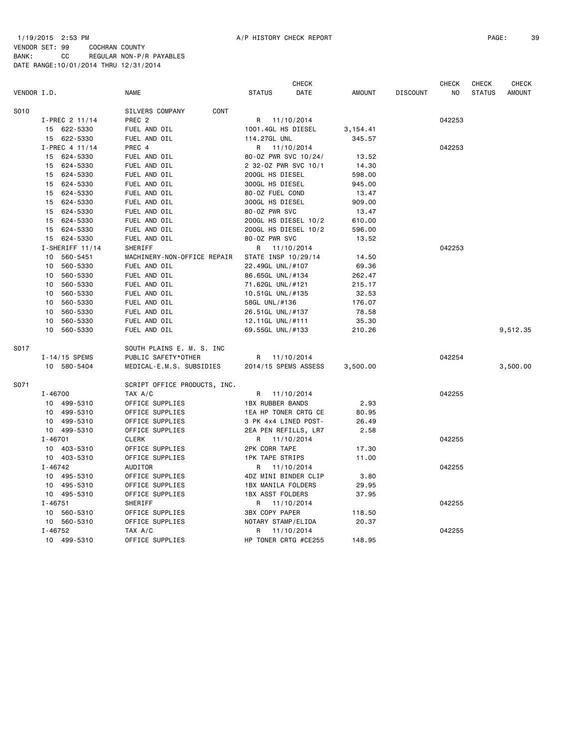|             | <b>CHECK</b>      |                              |                         |            |               |                 | <b>CHECK</b> | <b>CHECK</b>  | <b>CHECK</b>  |
|-------------|-------------------|------------------------------|-------------------------|------------|---------------|-----------------|--------------|---------------|---------------|
| VENDOR I.D. |                   | <b>NAME</b>                  | <b>STATUS</b>           | DATE       | <b>AMOUNT</b> | <b>DISCOUNT</b> | NO           | <b>STATUS</b> | <b>AMOUNT</b> |
| S010        |                   | SILVERS COMPANY<br>CONT      |                         |            |               |                 |              |               |               |
|             | I-PREC 2 11/14    | PREC <sub>2</sub>            | R                       | 11/10/2014 |               |                 | 042253       |               |               |
|             | 15 622-5330       | FUEL AND OIL                 | 1001.4GL HS DIESEL      |            | 3,154.41      |                 |              |               |               |
|             | 15 622-5330       | FUEL AND OIL                 | 114.27GL UNL            |            | 345.57        |                 |              |               |               |
|             | I-PREC 4 11/14    | PREC 4                       | R 11/10/2014            |            |               |                 | 042253       |               |               |
|             | 624-5330<br>15    | FUEL AND OIL                 | 80-0Z PWR SVC 10/24/    |            | 13.52         |                 |              |               |               |
|             | 15<br>624-5330    | FUEL AND OIL                 | 2 32-0Z PWR SVC 10/1    |            | 14.30         |                 |              |               |               |
|             | 624-5330<br>15    | FUEL AND OIL                 | 200GL HS DIESEL         |            | 598.00        |                 |              |               |               |
|             | 624-5330<br>15    | FUEL AND OIL                 | 300GL HS DIESEL         |            | 945.00        |                 |              |               |               |
|             | 624-5330<br>15    | FUEL AND OIL                 | 80-0Z FUEL COND         |            | 13.47         |                 |              |               |               |
|             | 624-5330<br>15    | FUEL AND OIL                 | 300GL HS DIESEL         |            | 909.00        |                 |              |               |               |
|             | 624-5330<br>15    | FUEL AND OIL                 | 80-0Z PWR SVC           |            | 13.47         |                 |              |               |               |
|             | 15<br>624-5330    | FUEL AND OIL                 | 200GL HS DIESEL 10/2    |            | 610.00        |                 |              |               |               |
|             | 15 624-5330       | FUEL AND OIL                 | 200GL HS DIESEL 10/2    |            | 596.00        |                 |              |               |               |
|             | 624-5330<br>15    | FUEL AND OIL                 | 80-0Z PWR SVC           |            | 13.52         |                 |              |               |               |
|             | $I-SHERIFF 11/14$ | SHERIFF                      | R                       | 11/10/2014 |               |                 | 042253       |               |               |
|             | 10<br>560-5451    | MACHINERY-NON-OFFICE REPAIR  | STATE INSP 10/29/14     |            | 14.50         |                 |              |               |               |
|             | 10<br>560-5330    | FUEL AND OIL                 | 22.49GL UNL/#107        |            | 69.36         |                 |              |               |               |
|             | 10<br>560-5330    | FUEL AND OIL                 | 86.65GL UNL/#134        |            | 262.47        |                 |              |               |               |
|             | 560-5330<br>10    | FUEL AND OIL                 | 71.62GL UNL/#121        |            | 215.17        |                 |              |               |               |
|             | 560-5330<br>10    | FUEL AND OIL                 | 10.51GL UNL/#135        |            | 32.53         |                 |              |               |               |
|             | 560-5330<br>10    | FUEL AND OIL                 | 58GL UNL/#136           |            | 176.07        |                 |              |               |               |
|             | 10<br>560-5330    | FUEL AND OIL                 | 26.51GL UNL/#137        |            | 78.58         |                 |              |               |               |
|             | 560-5330<br>10    | FUEL AND OIL                 | 12.11GL UNL/#111        |            | 35.30         |                 |              |               |               |
|             | 10<br>560-5330    | FUEL AND OIL                 | 69.55GL UNL/#133        |            | 210.26        |                 |              |               | 9,512.35      |
| S017        |                   | SOUTH PLAINS E. M. S. INC    |                         |            |               |                 |              |               |               |
|             | $I - 14/15$ SPEMS | PUBLIC SAFETY*OTHER          | R                       | 11/10/2014 |               |                 | 042254       |               |               |
|             | 10 580-5404       | MEDICAL-E.M.S. SUBSIDIES     | 2014/15 SPEMS ASSESS    |            | 3,500.00      |                 |              |               | 3,500.00      |
| S071        |                   | SCRIPT OFFICE PRODUCTS, INC. |                         |            |               |                 |              |               |               |
|             | $I - 46700$       | TAX A/C                      | R                       | 11/10/2014 |               |                 | 042255       |               |               |
|             | 10 499-5310       | OFFICE SUPPLIES              | <b>1BX RUBBER BANDS</b> |            | 2.93          |                 |              |               |               |
|             | 10 499-5310       | OFFICE SUPPLIES              | 1EA HP TONER CRTG CE    |            | 80.95         |                 |              |               |               |
|             | 10 499-5310       | OFFICE SUPPLIES              | 3 PK 4x4 LINED POST-    |            | 26.49         |                 |              |               |               |
|             | 10 499-5310       | OFFICE SUPPLIES              | 2EA PEN REFILLS, LR7    |            | 2.58          |                 |              |               |               |
|             | $I - 46701$       | <b>CLERK</b>                 | R                       | 11/10/2014 |               |                 | 042255       |               |               |
|             | 10 403-5310       | OFFICE SUPPLIES              | 2PK CORR TAPE           |            | 17.30         |                 |              |               |               |
|             | 10 403-5310       | OFFICE SUPPLIES              | <b>1PK TAPE STRIPS</b>  |            | 11.00         |                 |              |               |               |
|             | $I - 46742$       | AUDITOR                      | R                       | 11/10/2014 |               |                 | 042255       |               |               |
|             | 10 495-5310       | OFFICE SUPPLIES              | 4DZ MINI BINDER CLIP    |            | 3.80          |                 |              |               |               |
|             | 10<br>495-5310    | OFFICE SUPPLIES              | 1BX MANILA FOLDERS      |            | 29.95         |                 |              |               |               |
|             | 10 495-5310       | OFFICE SUPPLIES              | <b>1BX ASST FOLDERS</b> |            | 37.95         |                 |              |               |               |
|             | $I - 46751$       | SHERIFF                      | R                       | 11/10/2014 |               |                 | 042255       |               |               |
|             | 10 560-5310       | OFFICE SUPPLIES              | <b>3BX COPY PAPER</b>   |            | 118.50        |                 |              |               |               |
|             | 10 560-5310       | OFFICE SUPPLIES              | NOTARY STAMP/ELIDA      |            | 20.37         |                 |              |               |               |
|             | I-46752           | TAX A/C                      | R                       | 11/10/2014 |               |                 | 042255       |               |               |
|             | 10 499-5310       | OFFICE SUPPLIES              | HP TONER CRTG #CE255    |            | 148.95        |                 |              |               |               |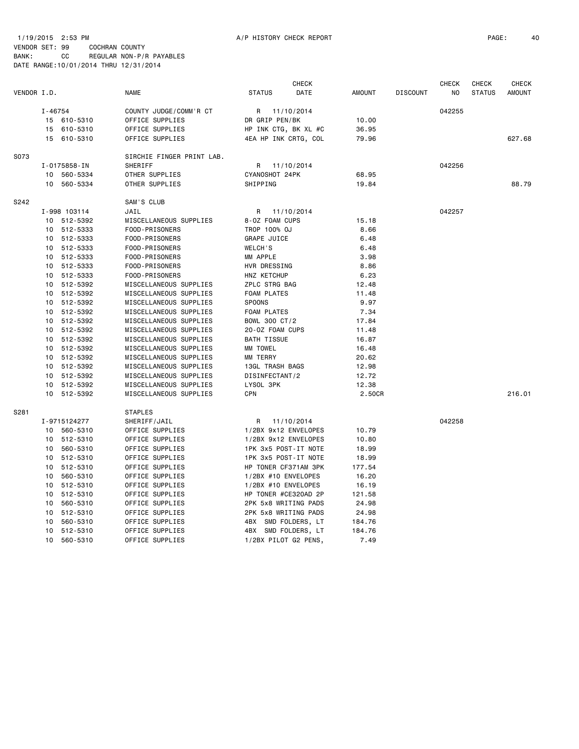1/19/2015 2:53 PM A/P HISTORY CHECK REPORT PAGE: 40 VENDOR SET: 99 COCHRAN COUNTY BANK: CC REGULAR NON-P/R PAYABLES DATE RANGE:10/01/2014 THRU 12/31/2014

|             |         |              |                           |                      | <b>CHECK</b> |               |                 | <b>CHECK</b> | <b>CHECK</b>  | <b>CHECK</b>  |
|-------------|---------|--------------|---------------------------|----------------------|--------------|---------------|-----------------|--------------|---------------|---------------|
| VENDOR I.D. |         |              | <b>NAME</b>               | <b>STATUS</b>        | DATE         | <b>AMOUNT</b> | <b>DISCOUNT</b> | NO.          | <b>STATUS</b> | <b>AMOUNT</b> |
|             | I-46754 |              | COUNTY JUDGE/COMM'R CT    | R 11/10/2014         |              |               |                 | 042255       |               |               |
|             |         | 15 610-5310  | OFFICE SUPPLIES           | DR GRIP PEN/BK       |              | 10.00         |                 |              |               |               |
|             |         | 15 610-5310  | OFFICE SUPPLIES           | HP INK CTG, BK XL #C |              | 36.95         |                 |              |               |               |
|             |         | 15 610-5310  | OFFICE SUPPLIES           | 4EA HP INK CRTG, COL |              | 79.96         |                 |              |               | 627.68        |
| S073        |         |              | SIRCHIE FINGER PRINT LAB. |                      |              |               |                 |              |               |               |
|             |         | I-0175858-IN | SHERIFF                   | R 11/10/2014         |              |               |                 | 042256       |               |               |
|             | 10      | 560-5334     | OTHER SUPPLIES            | CYANOSHOT 24PK       |              | 68.95         |                 |              |               |               |
|             | 10      | 560-5334     | OTHER SUPPLIES            | SHIPPING             |              | 19.84         |                 |              |               | 88.79         |
| S242        |         |              | SAM'S CLUB                |                      |              |               |                 |              |               |               |
|             |         | I-998 103114 | JAIL                      | R.                   | 11/10/2014   |               |                 | 042257       |               |               |
|             |         | 10 512-5392  | MISCELLANEOUS SUPPLIES    | 8-0Z FOAM CUPS       |              | 15.18         |                 |              |               |               |
|             |         | 10 512-5333  | FOOD-PRISONERS            | TROP 100% OJ         |              | 8.66          |                 |              |               |               |
|             |         | 10 512-5333  | FOOD-PRISONERS            | <b>GRAPE JUICE</b>   |              | 6.48          |                 |              |               |               |
|             |         | 10 512-5333  | FOOD-PRISONERS            | WELCH'S              |              | 6.48          |                 |              |               |               |
|             |         | 10 512-5333  | FOOD-PRISONERS            | MM APPLE             |              | 3.98          |                 |              |               |               |
|             |         | 10 512-5333  | FOOD-PRISONERS            | HVR DRESSING         |              | 8.86          |                 |              |               |               |
|             |         | 10 512-5333  | FOOD-PRISONERS            | HNZ KETCHUP          |              | 6.23          |                 |              |               |               |
|             | 10      | 512-5392     | MISCELLANEOUS SUPPLIES    | ZPLC STRG BAG        |              | 12.48         |                 |              |               |               |
|             | 10      | 512-5392     | MISCELLANEOUS SUPPLIES    | <b>FOAM PLATES</b>   |              | 11.48         |                 |              |               |               |
|             |         | 10 512-5392  | MISCELLANEOUS SUPPLIES    | SPOONS               |              | 9.97          |                 |              |               |               |
|             |         | 10 512-5392  | MISCELLANEOUS SUPPLIES    | <b>FOAM PLATES</b>   |              | 7.34          |                 |              |               |               |
|             |         | 10 512-5392  | MISCELLANEOUS SUPPLIES    | BOWL 300 CT/2        |              | 17.84         |                 |              |               |               |
|             |         | 10 512-5392  | MISCELLANEOUS SUPPLIES    | 20-0Z FOAM CUPS      |              | 11.48         |                 |              |               |               |
|             |         | 10 512-5392  | MISCELLANEOUS SUPPLIES    | <b>BATH TISSUE</b>   |              | 16.87         |                 |              |               |               |
|             |         | 10 512-5392  | MISCELLANEOUS SUPPLIES    | MM TOWEL             |              | 16.48         |                 |              |               |               |
|             |         | 10 512-5392  | MISCELLANEOUS SUPPLIES    | MM TERRY             |              | 20.62         |                 |              |               |               |
|             |         | 10 512-5392  | MISCELLANEOUS SUPPLIES    | 13GL TRASH BAGS      |              | 12.98         |                 |              |               |               |
|             |         | 10 512-5392  | MISCELLANEOUS SUPPLIES    | DISINFECTANT/2       |              | 12.72         |                 |              |               |               |
|             |         | 10 512-5392  | MISCELLANEOUS SUPPLIES    | LYSOL 3PK            |              | 12.38         |                 |              |               |               |
|             | 10      | 512-5392     | MISCELLANEOUS SUPPLIES    | CPN                  |              | 2.50CR        |                 |              |               | 216.01        |
| S281        |         |              | <b>STAPLES</b>            |                      |              |               |                 |              |               |               |
|             |         | I-9715124277 | SHERIFF/JAIL              | R.                   | 11/10/2014   |               |                 | 042258       |               |               |
|             |         | 10 560-5310  | OFFICE SUPPLIES           | 1/2BX 9x12 ENVELOPES |              | 10.79         |                 |              |               |               |
|             |         | 10 512-5310  | OFFICE SUPPLIES           | 1/2BX 9x12 ENVELOPES |              | 10.80         |                 |              |               |               |
|             |         | 10 560-5310  | OFFICE SUPPLIES           | 1PK 3x5 POST-IT NOTE |              | 18.99         |                 |              |               |               |
|             |         | 10 512-5310  | OFFICE SUPPLIES           | 1PK 3x5 POST-IT NOTE |              | 18.99         |                 |              |               |               |
|             | 10      | 512-5310     | OFFICE SUPPLIES           | HP TONER CF371AM 3PK |              | 177.54        |                 |              |               |               |
|             | 10      | 560-5310     | OFFICE SUPPLIES           | 1/2BX #10 ENVELOPES  |              | 16.20         |                 |              |               |               |
|             |         | 10 512-5310  | OFFICE SUPPLIES           | 1/2BX #10 ENVELOPES  |              | 16.19         |                 |              |               |               |
|             |         | 10 512-5310  | OFFICE SUPPLIES           | HP TONER #CE320AD 2P |              | 121.58        |                 |              |               |               |
|             | 10      | 560-5310     | OFFICE SUPPLIES           | 2PK 5x8 WRITING PADS |              | 24.98         |                 |              |               |               |
|             | 10      | 512-5310     | OFFICE SUPPLIES           | 2PK 5x8 WRITING PADS |              | 24.98         |                 |              |               |               |
|             | 10      | 560-5310     | OFFICE SUPPLIES           | 4BX SMD FOLDERS, LT  |              | 184.76        |                 |              |               |               |
|             | 10      | 512-5310     | OFFICE SUPPLIES           | 4BX SMD FOLDERS, LT  |              | 184.76        |                 |              |               |               |
|             | 10      | 560-5310     | OFFICE SUPPLIES           | 1/2BX PILOT G2 PENS, |              | 7.49          |                 |              |               |               |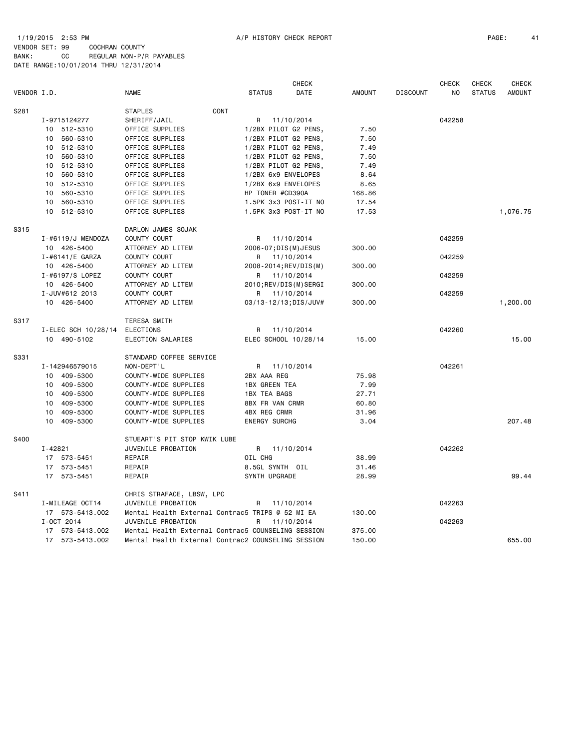## 1/19/2015 2:53 PM A/P HISTORY CHECK REPORT PAGE: 41 VENDOR SET: 99 COCHRAN COUNTY BANK: CC REGULAR NON-P/R PAYABLES DATE RANGE:10/01/2014 THRU 12/31/2014

|             |                     |                                                    |                        | <b>CHECK</b> |               |                 | <b>CHECK</b>   | <b>CHECK</b>  | <b>CHECK</b>  |
|-------------|---------------------|----------------------------------------------------|------------------------|--------------|---------------|-----------------|----------------|---------------|---------------|
| VENDOR I.D. |                     | <b>NAME</b>                                        | <b>STATUS</b>          | DATE         | <b>AMOUNT</b> | <b>DISCOUNT</b> | N <sub>O</sub> | <b>STATUS</b> | <b>AMOUNT</b> |
| S281        |                     | CONT<br><b>STAPLES</b>                             |                        |              |               |                 |                |               |               |
|             | I-9715124277        | SHERIFF/JAIL                                       | R                      | 11/10/2014   |               |                 | 042258         |               |               |
|             | 10 512-5310         | OFFICE SUPPLIES                                    | 1/2BX PILOT G2 PENS,   |              | 7.50          |                 |                |               |               |
|             | 560-5310<br>10      | OFFICE SUPPLIES                                    | 1/2BX PILOT G2 PENS,   |              | 7.50          |                 |                |               |               |
|             | 512-5310<br>10      | OFFICE SUPPLIES                                    | 1/2BX PILOT G2 PENS,   |              | 7.49          |                 |                |               |               |
|             | 10<br>560-5310      | OFFICE SUPPLIES                                    | 1/2BX PILOT G2 PENS,   |              | 7.50          |                 |                |               |               |
|             | 512-5310<br>10      | OFFICE SUPPLIES                                    | 1/2BX PILOT G2 PENS,   |              | 7.49          |                 |                |               |               |
|             | 10<br>560-5310      | OFFICE SUPPLIES                                    | 1/2BX 6x9 ENVELOPES    |              | 8.64          |                 |                |               |               |
|             | 512-5310<br>10      | OFFICE SUPPLIES                                    | 1/2BX 6x9 ENVELOPES    |              | 8.65          |                 |                |               |               |
|             | 560-5310<br>10      | OFFICE SUPPLIES                                    | HP TONER #CD390A       |              | 168.86        |                 |                |               |               |
|             | 10<br>560-5310      | OFFICE SUPPLIES                                    | 1.5PK 3x3 POST-IT NO   |              | 17.54         |                 |                |               |               |
|             | 10 512-5310         | OFFICE SUPPLIES                                    | 1.5PK 3x3 POST-IT NO   |              | 17.53         |                 |                |               | 1,076.75      |
| S315        |                     | DARLON JAMES SOJAK                                 |                        |              |               |                 |                |               |               |
|             | I-#6119/J MENDOZA   | COUNTY COURT                                       | R.                     | 11/10/2014   |               |                 | 042259         |               |               |
|             | 10 426-5400         | ATTORNEY AD LITEM                                  | 2006-07; DIS(M) JESUS  |              | 300.00        |                 |                |               |               |
|             | I-#6141/E GARZA     | <b>COUNTY COURT</b>                                | R                      | 11/10/2014   |               |                 | 042259         |               |               |
|             | 10 426-5400         | ATTORNEY AD LITEM                                  | 2008-2014; REV/DIS(M)  |              | 300.00        |                 |                |               |               |
|             | I-#6197/S LOPEZ     | COUNTY COURT                                       | R 11/10/2014           |              |               |                 | 042259         |               |               |
|             | 10 426-5400         | ATTORNEY AD LITEM                                  | 2010; REV/DIS(M) SERGI |              | 300.00        |                 |                |               |               |
|             | I-JUV#612 2013      | COUNTY COURT                                       | R                      | 11/10/2014   |               |                 | 042259         |               |               |
|             | 10 426-5400         | ATTORNEY AD LITEM                                  | 03/13-12/13; DIS/JUV#  |              | 300.00        |                 |                |               | 1,200.00      |
| S317        |                     | TERESA SMITH                                       |                        |              |               |                 |                |               |               |
|             | I-ELEC SCH 10/28/14 | ELECTIONS                                          | R                      | 11/10/2014   |               |                 | 042260         |               |               |
|             | 10 490-5102         | ELECTION SALARIES                                  | ELEC SCHOOL 10/28/14   |              | 15.00         |                 |                |               | 15.00         |
| S331        |                     | STANDARD COFFEE SERVICE                            |                        |              |               |                 |                |               |               |
|             | I-142946579015      | NON-DEPT'L                                         | R 11/10/2014           |              |               |                 | 042261         |               |               |
|             | 10 409-5300         | COUNTY-WIDE SUPPLIES                               | 2BX AAA REG            |              | 75.98         |                 |                |               |               |
|             | 10 409-5300         | COUNTY-WIDE SUPPLIES                               | <b>1BX GREEN TEA</b>   |              | 7.99          |                 |                |               |               |
|             | 10 409-5300         | COUNTY-WIDE SUPPLIES                               | <b>1BX TEA BAGS</b>    |              | 27.71         |                 |                |               |               |
|             | 409-5300<br>10      | COUNTY-WIDE SUPPLIES                               | 8BX FR VAN CRMR        |              | 60.80         |                 |                |               |               |
|             | 409-5300<br>10      | COUNTY-WIDE SUPPLIES                               | <b>4BX REG CRMR</b>    |              | 31.96         |                 |                |               |               |
|             | 10 409-5300         | COUNTY-WIDE SUPPLIES                               | <b>ENERGY SURCHG</b>   |              | 3.04          |                 |                |               | 207.48        |
| S400        |                     | STUEART'S PIT STOP KWIK LUBE                       |                        |              |               |                 |                |               |               |
|             | $I - 42821$         | JUVENILE PROBATION                                 | R 11/10/2014           |              |               |                 | 042262         |               |               |
|             | 573-5451<br>17      | REPAIR                                             | OIL CHG                |              | 38.99         |                 |                |               |               |
|             | 17 573-5451         | REPAIR                                             | 8.5GL SYNTH OIL        |              | 31.46         |                 |                |               |               |
|             | 17 573-5451         | REPAIR                                             | SYNTH UPGRADE          |              | 28.99         |                 |                |               | 99.44         |
| S411        |                     | CHRIS STRAFACE, LBSW, LPC                          |                        |              |               |                 |                |               |               |
|             | I-MILEAGE OCT14     | JUVENILE PROBATION                                 | R                      | 11/10/2014   |               |                 | 042263         |               |               |
|             | 17 573-5413.002     | Mental Health External Contrac5 TRIPS @ 52 MI EA   |                        |              | 130.00        |                 |                |               |               |
|             | I-OCT 2014          | JUVENILE PROBATION                                 | R                      | 11/10/2014   |               |                 | 042263         |               |               |
|             | 17 573-5413.002     | Mental Health External Contrac5 COUNSELING SESSION |                        |              | 375.00        |                 |                |               |               |
|             | 17 573-5413.002     | Mental Health External Contrac2 COUNSELING SESSION |                        |              | 150.00        |                 |                |               | 655.00        |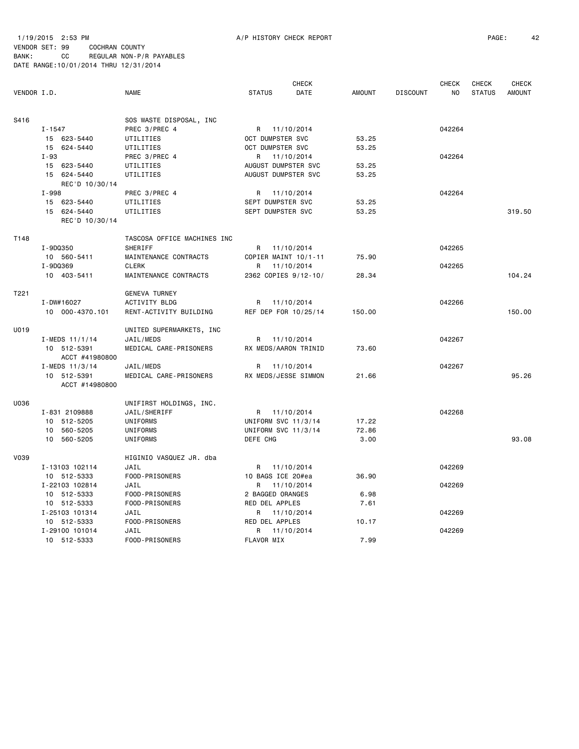1/19/2015 2:53 PM A/P HISTORY CHECK REPORT PAGE: 42 VENDOR SET: 99 COCHRAN COUNTY BANK: CC REGULAR NON-P/R PAYABLES DATE RANGE:10/01/2014 THRU 12/31/2014

 CHECK CHECK CHECK CHECK VENDOR I.D. NAME STATUS DATE AMOUNT DISCOUNT NO STATUS AMOUNT S416 SOS WASTE DISPOSAL, INC I-1547 PREC 3/PREC 4 R 11/10/2014 942264 15 623-5440 UTILITIES OCT DUMPSTER SVC 53.25 15 624-5440 UTILITIES OCT DUMPSTER SVC 53.25 I-93 PREC 3/PREC 4 R 11/10/2014 042264 15 623-5440 UTILITIES AUGUST DUMPSTER SVC 53.25 15 624-5440 UTILITIES AUGUST DUMPSTER SVC 53.25 REC'D 10/30/14 I-998 PREC 3/PREC 4 R 11/10/2014 042264 15 623-5440 UTILITIES SEPT DUMPSTER SVC 53.25 15 624-5440 UTILITIES SEPT DUMPSTER SVC 53.25 53.25 319.50 REC'D 10/30/14 T148 TASCOSA OFFICE MACHINES INC I-9DQ350 SHERIFF R 11/10/2014 042265 10 560-5411 MAINTENANCE CONTRACTS COPIER MAINT 10/1-11 75.90 I-9DQ369 CLERK R 11/10/2014 8042265 10 403-5411 MAINTENANCE CONTRACTS 2362 COPIES 9/12-10/ 28.34 104.24 T221 GENEVA TURNEY I-DW#16027 ACTIVITY BLDG R 11/10/2014 R99 R 199206 10 000-4370.101 RENT-ACTIVITY BUILDING REF DEP FOR 10/25/14 150.00 150.00 U019 UNITED SUPERMARKETS, INC I-MEDS 11/1/14 JAIL/MEDS R 11/10/2014 R 19 R 1042267 10 512-5391 MEDICAL CARE-PRISONERS RX MEDS/AARON TRINID 73.60 ACCT #41980800 I-MEDS 11/3/14 JAIL/MEDS R 11/10/2014 042267 10 512-5391 MEDICAL CARE-PRISONERS RX MEDS/JESSE SIMMON 21.66 95.26 ACCT #14980800 U036 UNIFIRST HOLDINGS, INC. I-831 2109888 JAIL/SHERIFF R 11/10/2014 042268 10 512-5205 UNIFORMS UNIFORM SVC 11/3/14 17.22 10 560-5205 UNIFORMS UNIFORM SVC 11/3/14 72.86 10 560-5205 UNIFORMS DEFE CHG 3.00 93.08 V039 HIGINIO VASQUEZ JR. dba I-13103 102114 JAIL R 11/10/2014 042269

10 512-5333 FOOD-PRISONERS 10 BAGS ICE 20#ea 36.90

 10 512-5333 FOOD-PRISONERS 2 BAGGED ORANGES 6.98 10 512-5333 FOOD-PRISONERS RED DEL APPLES 7.61

10 512-5333 FOOD-PRISONERS RED DEL APPLES 10.17

10 512-5333 FOOD-PRISONERS FLAVOR MIX 7.99

I-22103 102814 JAIL R 11/10/2014 042269

I-25103 101314 JAIL R 11/10/2014 042269

I-29100 101014 JAIL R 11/10/2014 042269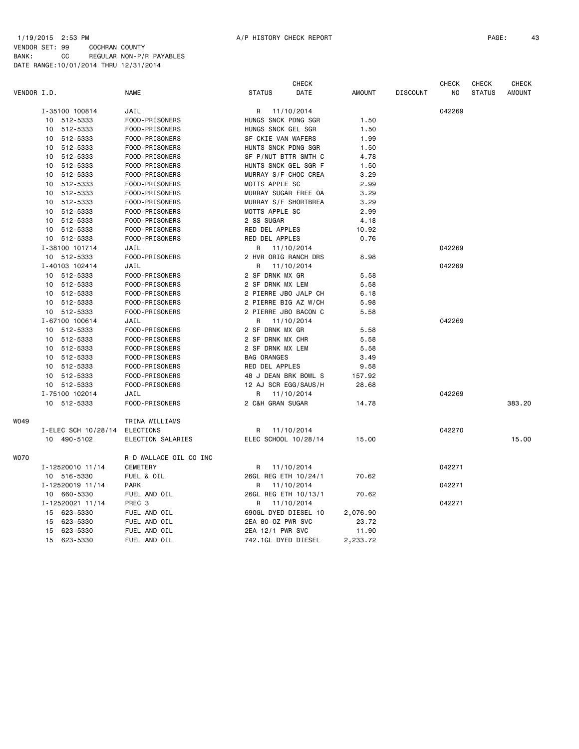## 1/19/2015 2:53 PM A/P HISTORY CHECK REPORT PAGE: 43 VENDOR SET: 99 COCHRAN COUNTY

|             |                     |                        |                      | <b>CHECK</b> |               |                 | <b>CHECK</b> | <b>CHECK</b>  | <b>CHECK</b>  |
|-------------|---------------------|------------------------|----------------------|--------------|---------------|-----------------|--------------|---------------|---------------|
| VENDOR I.D. |                     | NAME                   | <b>STATUS</b>        | DATE         | <b>AMOUNT</b> | <b>DISCOUNT</b> | NO           | <b>STATUS</b> | <b>AMOUNT</b> |
|             | I-35100 100814      | JAIL                   | 11/10/2014<br>R      |              |               |                 | 042269       |               |               |
|             | 10 512-5333         | FOOD-PRISONERS         | HUNGS SNCK PDNG SGR  |              | 1.50          |                 |              |               |               |
|             | 10 512-5333         | FOOD-PRISONERS         | HUNGS SNCK GEL SGR   |              | 1.50          |                 |              |               |               |
|             | 10 512-5333         | FOOD-PRISONERS         | SF CKIE VAN WAFERS   |              | 1.99          |                 |              |               |               |
|             | 10 512-5333         | FOOD-PRISONERS         | HUNTS SNCK PDNG SGR  |              | 1.50          |                 |              |               |               |
|             | 10 512-5333         | FOOD-PRISONERS         | SF P/NUT BTTR SMTH C |              | 4.78          |                 |              |               |               |
|             | 10<br>512-5333      | FOOD-PRISONERS         | HUNTS SNCK GEL SGR F |              | 1.50          |                 |              |               |               |
|             | 512-5333<br>10      | FOOD-PRISONERS         | MURRAY S/F CHOC CREA |              | 3.29          |                 |              |               |               |
|             | 10 512-5333         | FOOD-PRISONERS         | MOTTS APPLE SC       |              | 2.99          |                 |              |               |               |
|             | 10 512-5333         | FOOD-PRISONERS         | MURRAY SUGAR FREE OA |              | 3.29          |                 |              |               |               |
|             | 10 512-5333         | FOOD-PRISONERS         | MURRAY S/F SHORTBREA |              | 3.29          |                 |              |               |               |
|             | 10 512-5333         | FOOD-PRISONERS         | MOTTS APPLE SC       |              | 2.99          |                 |              |               |               |
|             | 10 512-5333         | FOOD-PRISONERS         | 2 SS SUGAR           |              | 4.18          |                 |              |               |               |
|             | 10 512-5333         | FOOD-PRISONERS         | RED DEL APPLES       |              | 10.92         |                 |              |               |               |
|             | 10 512-5333         | FOOD-PRISONERS         | RED DEL APPLES       |              | 0.76          |                 |              |               |               |
|             | I-38100 101714      | JAIL                   | 11/10/2014<br>R      |              |               |                 | 042269       |               |               |
|             | 10 512-5333         | FOOD-PRISONERS         | 2 HVR ORIG RANCH DRS |              | 8.98          |                 |              |               |               |
|             | I-40103 102414      | JAIL                   | R<br>11/10/2014      |              |               |                 | 042269       |               |               |
|             | 10 512-5333         | FOOD-PRISONERS         | 2 SF DRNK MX GR      |              | 5.58          |                 |              |               |               |
|             | 10 512-5333         | FOOD-PRISONERS         | 2 SF DRNK MX LEM     |              | 5.58          |                 |              |               |               |
|             | 10 512-5333         | FOOD-PRISONERS         | 2 PIERRE JBO JALP CH |              | 6.18          |                 |              |               |               |
|             | 10 512-5333         | FOOD-PRISONERS         | 2 PIERRE BIG AZ W/CH |              | 5.98          |                 |              |               |               |
|             | 10 512-5333         | FOOD-PRISONERS         | 2 PIERRE JBO BACON C |              | 5.58          |                 |              |               |               |
|             | I-67100 100614      | JAIL                   | 11/10/2014<br>R      |              |               |                 | 042269       |               |               |
|             | 10 512-5333         | FOOD-PRISONERS         | 2 SF DRNK MX GR      |              | 5.58          |                 |              |               |               |
|             | 10 512-5333         | FOOD-PRISONERS         | 2 SF DRNK MX CHR     |              | 5.58          |                 |              |               |               |
|             | 10 512-5333         | FOOD-PRISONERS         | 2 SF DRNK MX LEM     |              | 5.58          |                 |              |               |               |
|             | 10 512-5333         | FOOD-PRISONERS         | <b>BAG ORANGES</b>   |              | 3.49          |                 |              |               |               |
|             | 10 512-5333         | FOOD-PRISONERS         | RED DEL APPLES       |              | 9.58          |                 |              |               |               |
|             | 10 512-5333         | FOOD-PRISONERS         | 48 J DEAN BRK BOWL S |              | 157.92        |                 |              |               |               |
|             | 10 512-5333         | FOOD-PRISONERS         | 12 AJ SCR EGG/SAUS/H |              | 28.68         |                 |              |               |               |
|             | I-75100 102014      | JAIL                   | 11/10/2014<br>R      |              |               |                 | 042269       |               |               |
|             | 10 512-5333         | FOOD-PRISONERS         | 2 C&H GRAN SUGAR     |              | 14.78         |                 |              |               | 383.20        |
| WO49        |                     | TRINA WILLIAMS         |                      |              |               |                 |              |               |               |
|             | I-ELEC SCH 10/28/14 | ELECTIONS              | R<br>11/10/2014      |              |               |                 | 042270       |               |               |
|             | 10 490-5102         | ELECTION SALARIES      | ELEC SCHOOL 10/28/14 |              | 15.00         |                 |              |               | 15.00         |
| <b>WO70</b> |                     | R D WALLACE OIL CO INC |                      |              |               |                 |              |               |               |
|             | I-12520010 11/14    | CEMETERY               | 11/10/2014<br>R      |              |               |                 | 042271       |               |               |
|             | 10 516-5330         | FUEL & OIL             | 26GL REG ETH 10/24/1 |              | 70.62         |                 |              |               |               |
|             | I-12520019 11/14    | <b>PARK</b>            | 11/10/2014<br>R      |              |               |                 | 042271       |               |               |
|             | 10 660-5330         | FUEL AND OIL           | 26GL REG ETH 10/13/1 |              | 70.62         |                 |              |               |               |
|             | I-12520021 11/14    | PREC 3                 | 11/10/2014<br>R      |              |               |                 | 042271       |               |               |
|             | 15 623-5330         | FUEL AND OIL           | 690GL DYED DIESEL 10 |              | 2,076.90      |                 |              |               |               |
|             | 15 623-5330         | FUEL AND OIL           | 2EA 80-0Z PWR SVC    |              | 23.72         |                 |              |               |               |
|             | 15 623-5330         | FUEL AND OIL           | 2EA 12/1 PWR SVC     |              | 11.90         |                 |              |               |               |
|             | 15 623-5330         | FUEL AND OIL           | 742.1GL DYED DIESEL  |              | 2,233.72      |                 |              |               |               |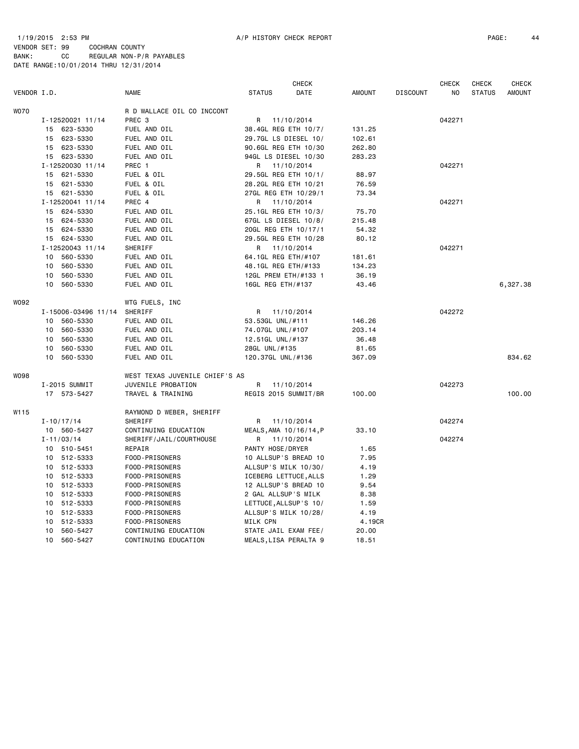# 1/19/2015 2:53 PM A/P HISTORY CHECK REPORT PAGE: 44 VENDOR SET: 99 COCHRAN COUNTY

|             |                 |                     |                                | <b>CHECK</b>           |            |               | <b>CHECK</b>    | <b>CHECK</b> | <b>CHECK</b>  |               |
|-------------|-----------------|---------------------|--------------------------------|------------------------|------------|---------------|-----------------|--------------|---------------|---------------|
| VENDOR I.D. |                 |                     | <b>NAME</b>                    | <b>STATUS</b>          | DATE       | <b>AMOUNT</b> | <b>DISCOUNT</b> | NO.          | <b>STATUS</b> | <b>AMOUNT</b> |
| <b>WO70</b> |                 |                     | R D WALLACE OIL CO INCCONT     |                        |            |               |                 |              |               |               |
|             |                 | I-12520021 11/14    | PREC <sub>3</sub>              | R                      | 11/10/2014 |               |                 | 042271       |               |               |
|             |                 | 15 623-5330         | FUEL AND OIL                   | 38.4GL REG ETH 10/7/   |            | 131.25        |                 |              |               |               |
|             |                 | 15 623-5330         | FUEL AND OIL                   | 29.7GL LS DIESEL 10/   |            | 102.61        |                 |              |               |               |
|             |                 | 15 623-5330         | FUEL AND OIL                   | 90.6GL REG ETH 10/30   |            | 262.80        |                 |              |               |               |
|             |                 | 15 623-5330         | FUEL AND OIL                   | 94GL LS DIESEL 10/30   |            | 283.23        |                 |              |               |               |
|             |                 | I-12520030 11/14    | PREC 1                         | R                      | 11/10/2014 |               |                 | 042271       |               |               |
|             |                 | 15 621-5330         | FUEL & OIL                     | 29.5GL REG ETH 10/1/   |            | 88.97         |                 |              |               |               |
|             | 15              | 621-5330            | FUEL & OIL                     | 28.2GL REG ETH 10/21   |            | 76.59         |                 |              |               |               |
|             |                 | 15 621-5330         | FUEL & OIL                     | 27GL REG ETH 10/29/1   |            | 73.34         |                 |              |               |               |
|             |                 | I-12520041 11/14    | PREC 4                         | R                      | 11/10/2014 |               |                 | 042271       |               |               |
|             | 15              | 624-5330            | FUEL AND OIL                   | 25.1GL REG ETH 10/3/   |            | 75.70         |                 |              |               |               |
|             | 15              | 624-5330            | FUEL AND OIL                   | 67GL LS DIESEL 10/8/   |            | 215.48        |                 |              |               |               |
|             |                 | 15 624-5330         | FUEL AND OIL                   | 20GL REG ETH 10/17/1   |            | 54.32         |                 |              |               |               |
|             |                 | 15 624-5330         | FUEL AND OIL                   | 29.5GL REG ETH 10/28   |            | 80.12         |                 |              |               |               |
|             |                 | I-12520043 11/14    | SHERIFF                        | R                      | 11/10/2014 |               |                 | 042271       |               |               |
|             | 10              | 560-5330            | FUEL AND OIL                   | 64.1GL REG ETH/#107    |            | 181.61        |                 |              |               |               |
|             | 10              | 560-5330            | FUEL AND OIL                   | 48.1GL REG ETH/#133    |            | 134.23        |                 |              |               |               |
|             | 10              | 560-5330            | FUEL AND OIL                   | 12GL PREM ETH/#133 1   |            | 36.19         |                 |              |               |               |
|             | 10              | 560-5330            | FUEL AND OIL                   | 16GL REG ETH/#137      |            | 43.46         |                 |              |               | 6,327.38      |
| W092        |                 |                     | WTG FUELS, INC                 |                        |            |               |                 |              |               |               |
|             |                 | I-15006-03496 11/14 | SHERIFF                        | R 11/10/2014           |            |               |                 | 042272       |               |               |
|             | 10              | 560-5330            | FUEL AND OIL                   | 53.53GL UNL/#111       |            | 146.26        |                 |              |               |               |
|             | 10              | 560-5330            | FUEL AND OIL                   | 74.07GL UNL/#107       |            | 203.14        |                 |              |               |               |
|             | 10              | 560-5330            | FUEL AND OIL                   | 12.51GL UNL/#137       |            | 36.48         |                 |              |               |               |
|             | 10              | 560-5330            | FUEL AND OIL                   | 28GL UNL/#135          |            | 81.65         |                 |              |               |               |
|             | 10 <sup>1</sup> | 560-5330            | FUEL AND OIL                   | 120.37GL UNL/#136      |            | 367.09        |                 |              |               | 834.62        |
| <b>WO98</b> |                 |                     | WEST TEXAS JUVENILE CHIEF'S AS |                        |            |               |                 |              |               |               |
|             |                 | I-2015 SUMMIT       | JUVENILE PROBATION             | R.                     | 11/10/2014 |               |                 | 042273       |               |               |
|             |                 | 17 573-5427         | TRAVEL & TRAINING              | REGIS 2015 SUMMIT/BR   |            | 100.00        |                 |              |               | 100.00        |
| W115        |                 |                     | RAYMOND D WEBER, SHERIFF       |                        |            |               |                 |              |               |               |
|             |                 | $I - 10/17/14$      | SHERIFF                        | R.                     | 11/10/2014 |               |                 | 042274       |               |               |
|             |                 | 10 560-5427         | CONTINUING EDUCATION           | MEALS, AMA 10/16/14, P |            | 33.10         |                 |              |               |               |
|             |                 | $I - 11/03/14$      | SHERIFF/JAIL/COURTHOUSE        | R                      | 11/10/2014 |               |                 | 042274       |               |               |
|             |                 | 10 510-5451         | REPAIR                         | PANTY HOSE/DRYER       |            | 1.65          |                 |              |               |               |
|             |                 | 10 512-5333         | FOOD-PRISONERS                 | 10 ALLSUP'S BREAD 10   |            | 7.95          |                 |              |               |               |
|             |                 | 10 512-5333         | FOOD-PRISONERS                 | ALLSUP'S MILK 10/30/   |            | 4.19          |                 |              |               |               |
|             |                 | 10 512-5333         | FOOD-PRISONERS                 | ICEBERG LETTUCE, ALLS  |            | 1.29          |                 |              |               |               |
|             | 10              | 512-5333            | FOOD-PRISONERS                 | 12 ALLSUP'S BREAD 10   |            | 9.54          |                 |              |               |               |
|             | 10              | 512-5333            | FOOD-PRISONERS                 | 2 GAL ALLSUP'S MILK    |            | 8.38          |                 |              |               |               |
|             | 10              | 512-5333            | FOOD-PRISONERS                 | LETTUCE, ALLSUP'S 10/  |            | 1.59          |                 |              |               |               |
|             |                 | 10 512-5333         | FOOD-PRISONERS                 | ALLSUP'S MILK 10/28/   |            | 4.19          |                 |              |               |               |
|             | 10              | 512-5333            | FOOD-PRISONERS                 | MILK CPN               |            | 4.19CR        |                 |              |               |               |
|             | 10              | 560-5427            | CONTINUING EDUCATION           | STATE JAIL EXAM FEE/   |            | 20.00         |                 |              |               |               |
|             | 10              | 560-5427            | CONTINUING EDUCATION           | MEALS, LISA PERALTA 9  |            | 18.51         |                 |              |               |               |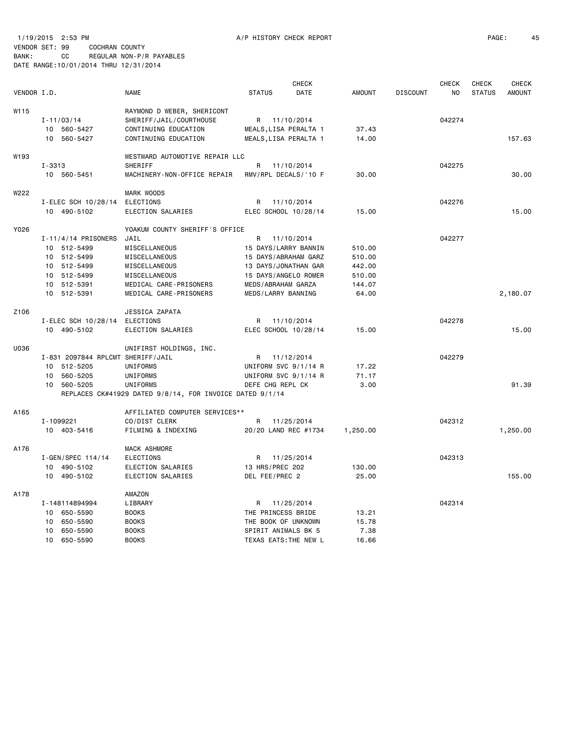1/19/2015 2:53 PM A/P HISTORY CHECK REPORT PAGE: 45 VENDOR SET: 99 COCHRAN COUNTY

|             |                                   |                                                          |                       | CHECK       |               |                 | <b>CHECK</b>   | CHECK         | CHECK         |
|-------------|-----------------------------------|----------------------------------------------------------|-----------------------|-------------|---------------|-----------------|----------------|---------------|---------------|
| VENDOR I.D. |                                   | <b>NAME</b>                                              | <b>STATUS</b>         | <b>DATE</b> | <b>AMOUNT</b> | <b>DISCOUNT</b> | N <sub>O</sub> | <b>STATUS</b> | <b>AMOUNT</b> |
| W115        |                                   | RAYMOND D WEBER, SHERICONT                               |                       |             |               |                 |                |               |               |
|             | $I - 11/03/14$                    | SHERIFF/JAIL/COURTHOUSE                                  | R 11/10/2014          |             |               |                 | 042274         |               |               |
|             | 10 560-5427                       | CONTINUING EDUCATION                                     | MEALS, LISA PERALTA 1 |             | 37.43         |                 |                |               |               |
|             | 10 560-5427                       | CONTINUING EDUCATION                                     | MEALS, LISA PERALTA 1 |             | 14.00         |                 |                |               | 157.63        |
| W193        |                                   | WESTWARD AUTOMOTIVE REPAIR LLC                           |                       |             |               |                 |                |               |               |
|             | $I - 3313$                        | <b>SHERIFF</b>                                           | R                     | 11/10/2014  |               |                 | 042275         |               |               |
|             | 10 560-5451                       | MACHINERY-NON-OFFICE REPAIR                              | RMV/RPL DECALS/'10 F  |             | 30.00         |                 |                |               | 30,00         |
| W222        |                                   | MARK WOODS                                               |                       |             |               |                 |                |               |               |
|             | I-ELEC SCH 10/28/14               | <b>ELECTIONS</b>                                         | R                     | 11/10/2014  |               |                 | 042276         |               |               |
|             | 10 490-5102                       | ELECTION SALARIES                                        | ELEC SCHOOL 10/28/14  |             | 15.00         |                 |                |               | 15.00         |
| Y026        |                                   | YOAKUM COUNTY SHERIFF'S OFFICE                           |                       |             |               |                 |                |               |               |
|             | $I - 11/4/14$ PRISONERS           | JAIL                                                     | R                     | 11/10/2014  |               |                 | 042277         |               |               |
|             | 10 512-5499                       | MISCELLANEOUS                                            | 15 DAYS/LARRY BANNIN  |             | 510.00        |                 |                |               |               |
|             | 10 512-5499                       | MISCELLANEOUS                                            | 15 DAYS/ABRAHAM GARZ  |             | 510.00        |                 |                |               |               |
|             | 10 512-5499                       | MISCELLANEOUS                                            | 13 DAYS/JONATHAN GAR  |             | 442.00        |                 |                |               |               |
|             | 10 512-5499                       | MISCELLANEOUS                                            | 15 DAYS/ANGELO ROMER  |             | 510.00        |                 |                |               |               |
|             | 10 512-5391                       | MEDICAL CARE-PRISONERS                                   | MEDS/ABRAHAM GARZA    |             | 144.07        |                 |                |               |               |
|             | 10 512-5391                       | MEDICAL CARE-PRISONERS                                   | MEDS/LARRY BANNING    |             | 64.00         |                 |                |               | 2,180.07      |
| Z106        |                                   | JESSICA ZAPATA                                           |                       |             |               |                 |                |               |               |
|             | I-ELEC SCH 10/28/14               | <b>ELECTIONS</b>                                         | R.                    | 11/10/2014  |               |                 | 042278         |               |               |
|             | 10 490-5102                       | ELECTION SALARIES                                        | ELEC SCHOOL 10/28/14  |             | 15.00         |                 |                |               | 15.00         |
| U036        |                                   | UNIFIRST HOLDINGS, INC.                                  |                       |             |               |                 |                |               |               |
|             | I-831 2097844 RPLCMT SHERIFF/JAIL |                                                          | R 11/12/2014          |             |               |                 | 042279         |               |               |
|             | 10<br>512-5205                    | UNIFORMS                                                 | UNIFORM SVC 9/1/14 R  |             | 17.22         |                 |                |               |               |
|             | 560-5205<br>10                    | UNIFORMS                                                 | UNIFORM SVC 9/1/14 R  |             | 71.17         |                 |                |               |               |
|             | 560-5205<br>10                    | UNIFORMS                                                 | DEFE CHG REPL CK      |             | 3.00          |                 |                |               | 91.39         |
|             |                                   | REPLACES CK#41929 DATED 9/8/14, FOR INVOICE DATED 9/1/14 |                       |             |               |                 |                |               |               |
| A165        |                                   | AFFILIATED COMPUTER SERVICES**                           |                       |             |               |                 |                |               |               |
|             | I-1099221                         | CO/DIST CLERK                                            | R                     | 11/25/2014  |               |                 | 042312         |               |               |
|             | 10 403-5416                       | FILMING & INDEXING                                       | 20/20 LAND REC #1734  |             | 1,250.00      |                 |                |               | 1,250.00      |
| A176        |                                   | MACK ASHMORE                                             |                       |             |               |                 |                |               |               |
|             | I-GEN/SPEC 114/14                 | <b>ELECTIONS</b>                                         | R                     | 11/25/2014  |               |                 | 042313         |               |               |
|             | 10 490-5102                       | ELECTION SALARIES                                        | 13 HRS/PREC 202       |             | 130.00        |                 |                |               |               |
|             | 10 490-5102                       | ELECTION SALARIES                                        | DEL FEE/PREC 2        |             | 25.00         |                 |                |               | 155.00        |
| A178        |                                   | AMAZON                                                   |                       |             |               |                 |                |               |               |
|             | I-148114894994                    | LIBRARY                                                  | R                     | 11/25/2014  |               |                 | 042314         |               |               |
|             | 10 650-5590                       | <b>BOOKS</b>                                             | THE PRINCESS BRIDE    |             | 13.21         |                 |                |               |               |
|             | 650-5590<br>10                    | <b>BOOKS</b>                                             | THE BOOK OF UNKNOWN   |             | 15.78         |                 |                |               |               |
|             | 650-5590<br>10                    | <b>BOOKS</b>                                             | SPIRIT ANIMALS BK 5   |             | 7.38          |                 |                |               |               |
|             | 10 650-5590                       | <b>BOOKS</b>                                             | TEXAS EATS: THE NEW L |             | 16.66         |                 |                |               |               |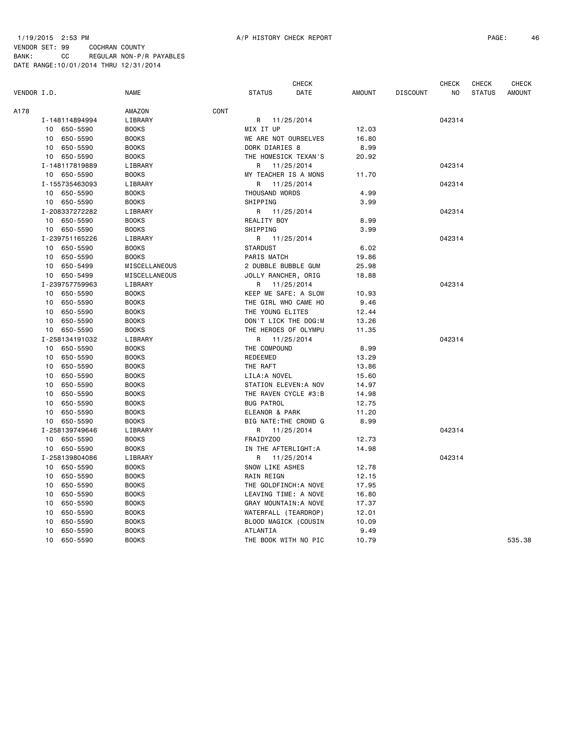|             |    |                | <b>CHECK</b>  |      |                       | <b>CHECK</b> | <b>CHECK</b> | <b>CHECK</b>    |        |               |               |
|-------------|----|----------------|---------------|------|-----------------------|--------------|--------------|-----------------|--------|---------------|---------------|
| VENDOR I.D. |    |                | <b>NAME</b>   |      | <b>STATUS</b>         | DATE         | AMOUNT       | <b>DISCOUNT</b> | NO     | <b>STATUS</b> | <b>AMOUNT</b> |
| A178        |    |                | AMAZON        | CONT |                       |              |              |                 |        |               |               |
|             |    | I-148114894994 | LIBRARY       |      | R                     | 11/25/2014   |              |                 | 042314 |               |               |
|             | 10 | 650-5590       | <b>BOOKS</b>  |      | MIX IT UP             |              | 12.03        |                 |        |               |               |
|             | 10 | 650-5590       | <b>BOOKS</b>  |      | WE ARE NOT OURSELVES  |              | 16.80        |                 |        |               |               |
|             | 10 | 650-5590       | <b>BOOKS</b>  |      | DORK DIARIES 8        |              | 8.99         |                 |        |               |               |
|             |    | 10 650-5590    | <b>BOOKS</b>  |      | THE HOMESICK TEXAN'S  |              | 20.92        |                 |        |               |               |
|             |    | I-148117819889 | LIBRARY       |      | R                     | 11/25/2014   |              |                 | 042314 |               |               |
|             |    | 10 650-5590    | <b>BOOKS</b>  |      | MY TEACHER IS A MONS  |              | 11.70        |                 |        |               |               |
|             |    | I-155735463093 | LIBRARY       |      | R                     | 11/25/2014   |              |                 | 042314 |               |               |
|             |    | 10 650-5590    | <b>BOOKS</b>  |      | THOUSAND WORDS        |              | 4.99         |                 |        |               |               |
|             |    | 10 650-5590    | <b>BOOKS</b>  |      | SHIPPING              |              | 3.99         |                 |        |               |               |
|             |    | I-208337272282 | LIBRARY       |      | R 11/25/2014          |              |              |                 | 042314 |               |               |
|             |    | 10 650-5590    | <b>BOOKS</b>  |      | REALITY BOY           |              | 8.99         |                 |        |               |               |
|             | 10 | 650-5590       | <b>BOOKS</b>  |      | SHIPPING              |              | 3.99         |                 |        |               |               |
|             |    | I-239751165226 | LIBRARY       |      | R 11/25/2014          |              |              |                 | 042314 |               |               |
|             | 10 | 650-5590       | <b>BOOKS</b>  |      | <b>STARDUST</b>       |              | 6.02         |                 |        |               |               |
|             | 10 | 650-5590       | <b>BOOKS</b>  |      | PARIS MATCH           |              | 19.86        |                 |        |               |               |
|             | 10 | 650-5499       | MISCELLANEOUS |      | 2 DUBBLE BUBBLE GUM   |              | 25.98        |                 |        |               |               |
|             | 10 | 650-5499       | MISCELLANEOUS |      | JOLLY RANCHER, ORIG   |              | 18.88        |                 |        |               |               |
|             |    | I-239757759963 | LIBRARY       |      | R                     | 11/25/2014   |              |                 | 042314 |               |               |
|             | 10 | 650-5590       | <b>BOOKS</b>  |      | KEEP ME SAFE: A SLOW  |              | 10.93        |                 |        |               |               |
|             | 10 | 650-5590       | <b>BOOKS</b>  |      | THE GIRL WHO CAME HO  |              | 9.46         |                 |        |               |               |
|             | 10 | 650-5590       | <b>BOOKS</b>  |      | THE YOUNG ELITES      |              | 12.44        |                 |        |               |               |
|             | 10 | 650-5590       | <b>BOOKS</b>  |      | DON'T LICK THE DOG:M  |              | 13.26        |                 |        |               |               |
|             | 10 | 650-5590       | <b>BOOKS</b>  |      | THE HEROES OF OLYMPU  |              | 11.35        |                 |        |               |               |
|             |    | I-258134191032 | LIBRARY       |      | R 11/25/2014          |              |              |                 | 042314 |               |               |
|             | 10 | 650-5590       | <b>BOOKS</b>  |      | THE COMPOUND          |              | 8.99         |                 |        |               |               |
|             | 10 | 650-5590       | <b>BOOKS</b>  |      | REDEEMED              |              | 13.29        |                 |        |               |               |
|             | 10 | 650-5590       | <b>BOOKS</b>  |      | THE RAFT              |              | 13.86        |                 |        |               |               |
|             | 10 | 650-5590       | <b>BOOKS</b>  |      | LILA: A NOVEL         |              | 15.60        |                 |        |               |               |
|             | 10 | 650-5590       | <b>BOOKS</b>  |      | STATION ELEVEN: A NOV |              | 14.97        |                 |        |               |               |
|             | 10 | 650-5590       | <b>BOOKS</b>  |      | THE RAVEN CYCLE #3:B  |              | 14.98        |                 |        |               |               |
|             | 10 | 650-5590       | <b>BOOKS</b>  |      | <b>BUG PATROL</b>     |              | 12.75        |                 |        |               |               |
|             | 10 | 650-5590       | <b>BOOKS</b>  |      | ELEANOR & PARK        |              | 11.20        |                 |        |               |               |
|             | 10 | 650-5590       | <b>BOOKS</b>  |      | BIG NATE: THE CROWD G |              | 8.99         |                 |        |               |               |
|             |    | I-258139749646 | LIBRARY       |      | R                     | 11/25/2014   |              |                 | 042314 |               |               |
|             | 10 | 650-5590       | <b>BOOKS</b>  |      | FRAIDYZ00             |              | 12.73        |                 |        |               |               |
|             | 10 | 650-5590       | <b>BOOKS</b>  |      | IN THE AFTERLIGHT:A   |              | 14.98        |                 |        |               |               |
|             |    | I-258139804086 | LIBRARY       |      | R                     | 11/25/2014   |              |                 | 042314 |               |               |
|             | 10 | 650-5590       | <b>BOOKS</b>  |      | SNOW LIKE ASHES       |              |              |                 |        |               |               |
|             | 10 |                |               |      |                       |              | 12.78        |                 |        |               |               |
|             |    | 650-5590       | <b>BOOKS</b>  |      | RAIN REIGN            |              | 12.15        |                 |        |               |               |
|             | 10 | 650-5590       | <b>BOOKS</b>  |      | THE GOLDFINCH:A NOVE  |              | 17.95        |                 |        |               |               |
|             | 10 | 650-5590       | <b>BOOKS</b>  |      | LEAVING TIME: A NOVE  |              | 16.80        |                 |        |               |               |
|             | 10 | 650-5590       | <b>BOOKS</b>  |      | GRAY MOUNTAIN: A NOVE |              | 17.37        |                 |        |               |               |
|             | 10 | 650-5590       | <b>BOOKS</b>  |      | WATERFALL (TEARDROP)  |              | 12.01        |                 |        |               |               |
|             | 10 | 650-5590       | <b>BOOKS</b>  |      | BLOOD MAGICK (COUSIN  |              | 10.09        |                 |        |               |               |
|             | 10 | 650-5590       | <b>BOOKS</b>  |      | ATLANTIA              |              | 9.49         |                 |        |               | 535.38        |
|             | 10 | 650-5590       | <b>BOOKS</b>  |      | THE BOOK WITH NO PIC  |              | 10.79        |                 |        |               |               |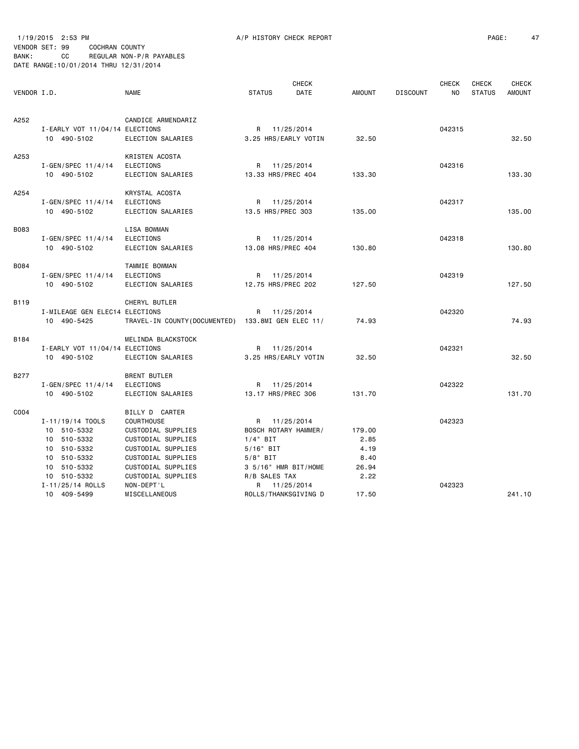## 1/19/2015 2:53 PM A/P HISTORY CHECK REPORT PAGE: 47 VENDOR SET: 99 COCHRAN COUNTY BANK: CC REGULAR NON-P/R PAYABLES DATE RANGE:10/01/2014 THRU 12/31/2014

| VENDOR I.D. |                                                                                 | <b>NAME</b>                                                                                           | <b>STATUS</b>                                                                     | <b>CHECK</b><br><b>DATE</b> | <b>AMOUNT</b>                  | <b>DISCOUNT</b> | <b>CHECK</b><br>NO. | <b>CHECK</b><br><b>STATUS</b> | <b>CHECK</b><br><b>AMOUNT</b> |
|-------------|---------------------------------------------------------------------------------|-------------------------------------------------------------------------------------------------------|-----------------------------------------------------------------------------------|-----------------------------|--------------------------------|-----------------|---------------------|-------------------------------|-------------------------------|
| A252        | I-EARLY VOT 11/04/14 ELECTIONS<br>10 490-5102                                   | CANDICE ARMENDARIZ<br>ELECTION SALARIES                                                               | R 11/25/2014<br>3.25 HRS/EARLY VOTIN                                              |                             | 32.50                          |                 | 042315              |                               | 32.50                         |
| A253        | $I - GEN / SPEC 11/4/14$<br>10 490-5102                                         | KRISTEN ACOSTA<br><b>ELECTIONS</b><br>ELECTION SALARIES                                               | R 11/25/2014<br>13.33 HRS/PREC 404                                                |                             | 133.30                         |                 | 042316              |                               | 133.30                        |
| A254        | I-GEN/SPEC 11/4/14<br>10 490-5102                                               | KRYSTAL ACOSTA<br><b>ELECTIONS</b><br>ELECTION SALARIES                                               | R 11/25/2014<br>13.5 HRS/PREC 303                                                 |                             | 135.00                         |                 | 042317              |                               | 135.00                        |
| <b>B083</b> | I-GEN/SPEC 11/4/14<br>10 490-5102                                               | LISA BOWMAN<br><b>ELECTIONS</b><br>ELECTION SALARIES                                                  | R<br>13.08 HRS/PREC 404                                                           | 11/25/2014                  | 130.80                         |                 | 042318              |                               | 130.80                        |
| B084        | $I - GEN / SPEC 11/4/14$<br>10 490-5102                                         | TAMMIE BOWMAN<br>ELECTIONS<br>ELECTION SALARIES                                                       | R<br>12.75 HRS/PREC 202                                                           | 11/25/2014                  | 127.50                         |                 | 042319              |                               | 127.50                        |
| B119        | I-MILEAGE GEN ELEC14 ELECTIONS<br>10 490-5425                                   | CHERYL BUTLER<br>TRAVEL-IN COUNTY (DOCUMENTED) 133.8MI GEN ELEC 11/                                   | R                                                                                 | 11/25/2014                  | 74.93                          |                 | 042320              |                               | 74.93                         |
| B184        | I-EARLY VOT 11/04/14 ELECTIONS<br>10 490-5102                                   | MELINDA BLACKSTOCK<br>ELECTION SALARIES                                                               | R 11/25/2014<br>3.25 HRS/EARLY VOTIN                                              |                             | 32.50                          |                 | 042321              |                               | 32.50                         |
| B277        | $I - GEN/SPEC 11/4/14$<br>10 490-5102                                           | <b>BRENT BUTLER</b><br><b>ELECTIONS</b><br>ELECTION SALARIES                                          | R 11/25/2014<br>13.17 HRS/PREC 306                                                |                             | 131.70                         |                 | 042322              |                               | 131.70                        |
| C004        | I-11/19/14 TOOLS<br>10 510-5332<br>10 510-5332<br>10 510-5332                   | BILLY D CARTER<br><b>COURTHOUSE</b><br>CUSTODIAL SUPPLIES<br>CUSTODIAL SUPPLIES<br>CUSTODIAL SUPPLIES | R 11/25/2014<br>BOSCH ROTARY HAMMER/<br>$1/4$ " BIT<br>$5/16"$ BIT                |                             | 179.00<br>2.85<br>4.19         |                 | 042323              |                               |                               |
|             | 510-5332<br>10<br>10 510-5332<br>10 510-5332<br>I-11/25/14 ROLLS<br>10 409-5499 | CUSTODIAL SUPPLIES<br>CUSTODIAL SUPPLIES<br>CUSTODIAL SUPPLIES<br>NON-DEPT'L<br>MISCELLANEOUS         | $5/8$ " BIT<br>3 5/16" HMR BIT/HOME<br>R/B SALES TAX<br>R<br>ROLLS/THANKSGIVING D | 11/25/2014                  | 8.40<br>26.94<br>2.22<br>17.50 |                 | 042323              |                               | 241.10                        |
|             |                                                                                 |                                                                                                       |                                                                                   |                             |                                |                 |                     |                               |                               |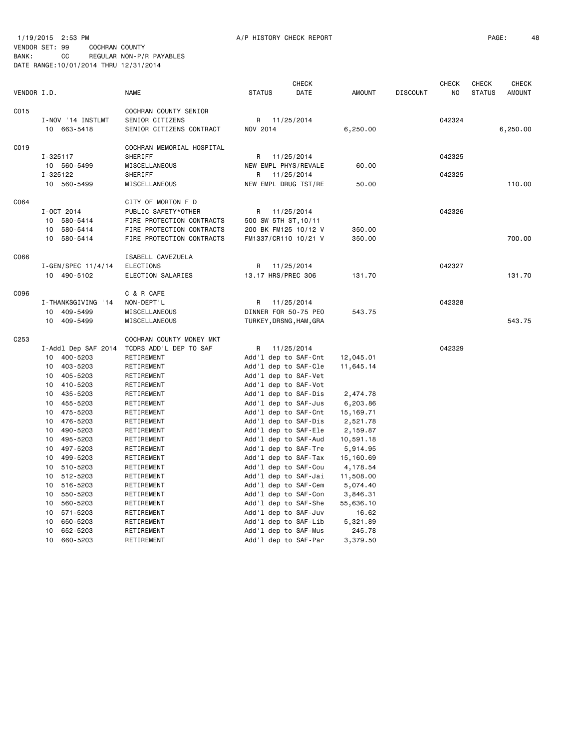|                  |                     |                           |                         | CHECK                |           |                 | <b>CHECK</b> | CHECK         | CHECK         |
|------------------|---------------------|---------------------------|-------------------------|----------------------|-----------|-----------------|--------------|---------------|---------------|
| VENDOR I.D.      |                     | NAME                      | <b>STATUS</b>           | DATE                 | AMOUNT    | <b>DISCOUNT</b> | NO           | <b>STATUS</b> | <b>AMOUNT</b> |
| C015             |                     | COCHRAN COUNTY SENIOR     |                         |                      |           |                 |              |               |               |
|                  | I-NOV '14 INSTLMT   | SENIOR CITIZENS           | R 11/25/2014            |                      |           |                 | 042324       |               |               |
|                  | 10 663-5418         | SENIOR CITIZENS CONTRACT  | NOV 2014                |                      | 6,250.00  |                 |              |               | 6,250.00      |
| C019             |                     | COCHRAN MEMORIAL HOSPITAL |                         |                      |           |                 |              |               |               |
|                  | I-325117            | SHERIFF                   | R.                      | 11/25/2014           |           |                 | 042325       |               |               |
|                  | 10 560-5499         | MISCELLANEOUS             | NEW EMPL PHYS/REVALE    |                      | 60.00     |                 |              |               |               |
|                  | I-325122            | SHERIFF                   | R                       | 11/25/2014           |           |                 | 042325       |               |               |
|                  | 10 560-5499         | MISCELLANEOUS             | NEW EMPL DRUG TST/RE    |                      | 50.00     |                 |              |               | 110.00        |
| C064             |                     | CITY OF MORTON F D        |                         |                      |           |                 |              |               |               |
|                  | I-OCT 2014          | PUBLIC SAFETY*OTHER       |                         | R 11/25/2014         |           |                 | 042326       |               |               |
|                  | 580-5414<br>10      | FIRE PROTECTION CONTRACTS | 500 SW 5TH ST, 10/11    |                      |           |                 |              |               |               |
|                  | 580-5414<br>10      | FIRE PROTECTION CONTRACTS |                         | 200 BK FM125 10/12 V | 350.00    |                 |              |               |               |
|                  | 10 580-5414         | FIRE PROTECTION CONTRACTS |                         | FM1337/CR110 10/21 V | 350.00    |                 |              |               | 700.00        |
| C066             |                     | ISABELL CAVEZUELA         |                         |                      |           |                 |              |               |               |
|                  | I-GEN/SPEC 11/4/14  | ELECTIONS                 | R.                      | 11/25/2014           |           |                 | 042327       |               |               |
|                  | 10 490-5102         | ELECTION SALARIES         | 13.17 HRS/PREC 306      |                      | 131.70    |                 |              |               | 131.70        |
| C096             |                     | C & R CAFE                |                         |                      |           |                 |              |               |               |
|                  | I-THANKSGIVING '14  | NON-DEPT'L                | R.                      | 11/25/2014           |           |                 | 042328       |               |               |
|                  | 409-5499<br>10      | MISCELLANEOUS             | DINNER FOR 50-75 PEO    |                      | 543.75    |                 |              |               |               |
|                  | 10 409-5499         | MISCELLANEOUS             | TURKEY, DRSNG, HAM, GRA |                      |           |                 |              |               | 543.75        |
| C <sub>253</sub> |                     | COCHRAN COUNTY MONEY MKT  |                         |                      |           |                 |              |               |               |
|                  | I-Addl Dep SAF 2014 | TCDRS ADD'L DEP TO SAF    | R 11/25/2014            |                      |           |                 | 042329       |               |               |
|                  | 10 400-5203         | RETIREMENT                | Add'1 dep to SAF-Cnt    |                      | 12,045.01 |                 |              |               |               |
|                  | 403-5203<br>10      | RETIREMENT                | Add'l dep to SAF-Cle    |                      | 11,645.14 |                 |              |               |               |
|                  | 405-5203<br>10      | RETIREMENT                | Add'l dep to SAF-Vet    |                      |           |                 |              |               |               |
|                  | 410-5203<br>10      | RETIREMENT                | Add'l dep to SAF-Vot    |                      |           |                 |              |               |               |
|                  | 10<br>435-5203      | RETIREMENT                | Add'l dep to SAF-Dis    |                      | 2,474.78  |                 |              |               |               |
|                  | 455-5203<br>10      | RETIREMENT                | Add'l dep to SAF-Jus    |                      | 6,203.86  |                 |              |               |               |
|                  | 10<br>475-5203      | RETIREMENT                | Add'1 dep to SAF-Cnt    |                      | 15,169.71 |                 |              |               |               |
|                  | 476-5203<br>10      | RETIREMENT                | Add'l dep to SAF-Dis    |                      | 2,521.78  |                 |              |               |               |
|                  | 10<br>490-5203      | RETIREMENT                | Add'l dep to SAF-Ele    |                      | 2,159.87  |                 |              |               |               |
|                  | 10<br>495-5203      | RETIREMENT                | Add'l dep to SAF-Aud    |                      | 10,591.18 |                 |              |               |               |
|                  | 497-5203<br>10      | RETIREMENT                | Add'l dep to SAF-Tre    |                      | 5,914.95  |                 |              |               |               |
|                  | 499-5203<br>10      | RETIREMENT                | Add'l dep to SAF-Tax    |                      | 15,160.69 |                 |              |               |               |
|                  | 510-5203<br>10      | RETIREMENT                | Add'l dep to SAF-Cou    |                      | 4,178.54  |                 |              |               |               |
|                  | 512-5203<br>10      | RETIREMENT                | Add'l dep to SAF-Jai    |                      | 11,508.00 |                 |              |               |               |
|                  | 516-5203<br>10      | RETIREMENT                | Add'l dep to SAF-Cem    |                      | 5,074.40  |                 |              |               |               |
|                  | 550-5203<br>10      | RETIREMENT                | Add'1 dep to SAF-Con    |                      | 3,846.31  |                 |              |               |               |
|                  | 560-5203<br>10      | RETIREMENT                | Add'1 dep to SAF-She    |                      | 55,636.10 |                 |              |               |               |
|                  | 571-5203<br>10      | RETIREMENT                | Add'1 dep to SAF-Juv    |                      | 16.62     |                 |              |               |               |
|                  | 10<br>650-5203      | RETIREMENT                | Add'l dep to SAF-Lib    |                      | 5,321.89  |                 |              |               |               |
|                  | 652-5203<br>10      | RETIREMENT                | Add'l dep to SAF-Mus    |                      | 245.78    |                 |              |               |               |
|                  | 10<br>660-5203      | RETIREMENT                | Add'l dep to SAF-Par    |                      | 3,379.50  |                 |              |               |               |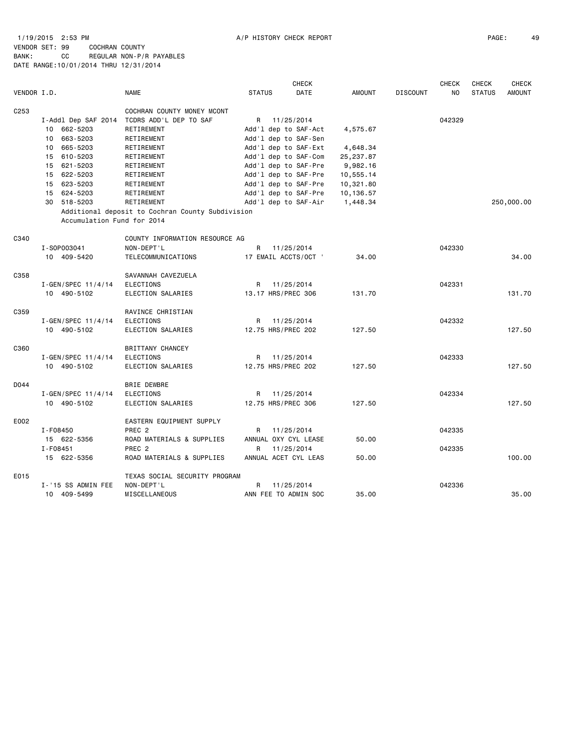## 1/19/2015 2:53 PM A/P HISTORY CHECK REPORT PAGE: 49 VENDOR SET: 99 COCHRAN COUNTY BANK: CC REGULAR NON-P/R PAYABLES DATE RANGE:10/01/2014 THRU 12/31/2014

|                  |                            |                                                  |               | <b>CHECK</b>         |               |                 | CHECK          | <b>CHECK</b>  | <b>CHECK</b>  |
|------------------|----------------------------|--------------------------------------------------|---------------|----------------------|---------------|-----------------|----------------|---------------|---------------|
| VENDOR I.D.      |                            | <b>NAME</b>                                      | <b>STATUS</b> | DATE                 | <b>AMOUNT</b> | <b>DISCOUNT</b> | N <sub>0</sub> | <b>STATUS</b> | <b>AMOUNT</b> |
| C <sub>253</sub> |                            | COCHRAN COUNTY MONEY MCONT                       |               |                      |               |                 |                |               |               |
|                  | I-Addl Dep SAF 2014        | TCDRS ADD'L DEP TO SAF                           | R             | 11/25/2014           |               |                 | 042329         |               |               |
|                  | 10 662-5203                | RETIREMENT                                       |               | Add'l dep to SAF-Act | 4,575.67      |                 |                |               |               |
|                  | 663-5203<br>10             | RETIREMENT                                       |               | Add'l dep to SAF-Sen |               |                 |                |               |               |
|                  | 665-5203<br>10             | RETIREMENT                                       |               | Add'l dep to SAF-Ext | 4,648.34      |                 |                |               |               |
|                  | 15 610-5203                | RETIREMENT                                       |               | Add'l dep to SAF-Com | 25, 237.87    |                 |                |               |               |
|                  | 15 621-5203                | RETIREMENT                                       |               | Add'l dep to SAF-Pre | 9,982.16      |                 |                |               |               |
|                  | 15 622-5203                | RETIREMENT                                       |               | Add'l dep to SAF-Pre | 10,555.14     |                 |                |               |               |
|                  | 15 623-5203                | RETIREMENT                                       |               | Add'l dep to SAF-Pre | 10,321.80     |                 |                |               |               |
|                  | 15 624-5203                | RETIREMENT                                       |               | Add'l dep to SAF-Pre | 10,136.57     |                 |                |               |               |
|                  | 30 518-5203                | RETIREMENT                                       |               | Add'l dep to SAF-Air | 1,448.34      |                 |                |               | 250,000.00    |
|                  |                            | Additional deposit to Cochran County Subdivision |               |                      |               |                 |                |               |               |
|                  | Accumulation Fund for 2014 |                                                  |               |                      |               |                 |                |               |               |
| C340             |                            | COUNTY INFORMATION RESOURCE AG                   |               |                      |               |                 |                |               |               |
|                  | I-S0P003041                | NON-DEPT'L                                       | R             | 11/25/2014           |               |                 | 042330         |               |               |
|                  | 10 409-5420                | TELECOMMUNICATIONS                               |               | 17 EMAIL ACCTS/OCT ' | 34.00         |                 |                |               | 34.00         |
|                  |                            |                                                  |               |                      |               |                 |                |               |               |
| C358             |                            | SAVANNAH CAVEZUELA                               |               |                      |               |                 |                |               |               |
|                  | $I - GEN/SPEC 11/4/14$     | ELECTIONS                                        | R             | 11/25/2014           |               |                 | 042331         |               |               |
|                  | 10 490-5102                | ELECTION SALARIES                                |               | 13.17 HRS/PREC 306   | 131.70        |                 |                |               | 131.70        |
| C359             |                            | RAVINCE CHRISTIAN                                |               |                      |               |                 |                |               |               |
|                  | $I - GEN/SPEC 11/4/14$     | <b>ELECTIONS</b>                                 | R             | 11/25/2014           |               |                 | 042332         |               |               |
|                  | 10 490-5102                | ELECTION SALARIES                                |               | 12.75 HRS/PREC 202   | 127.50        |                 |                |               | 127.50        |
|                  |                            |                                                  |               |                      |               |                 |                |               |               |
| C360             |                            | BRITTANY CHANCEY                                 |               |                      |               |                 |                |               |               |
|                  | $I - GEN/SPEC 11/4/14$     | <b>ELECTIONS</b>                                 | R             | 11/25/2014           |               |                 | 042333         |               |               |
|                  | 10 490-5102                | ELECTION SALARIES                                |               | 12.75 HRS/PREC 202   | 127.50        |                 |                |               | 127.50        |
|                  |                            |                                                  |               |                      |               |                 |                |               |               |
| D044             |                            | <b>BRIE DEWBRE</b>                               |               |                      |               |                 |                |               |               |
|                  | I-GEN/SPEC 11/4/14         | ELECTIONS                                        | R             | 11/25/2014           |               |                 | 042334         |               |               |
|                  | 10 490-5102                | ELECTION SALARIES                                |               | 12.75 HRS/PREC 306   | 127.50        |                 |                |               | 127.50        |
| E002             |                            | EASTERN EQUIPMENT SUPPLY                         |               |                      |               |                 |                |               |               |
|                  | I-F08450                   | PREC <sub>2</sub>                                | R             | 11/25/2014           |               |                 | 042335         |               |               |
|                  | 15 622-5356                | ROAD MATERIALS & SUPPLIES                        |               | ANNUAL OXY CYL LEASE | 50.00         |                 |                |               |               |
|                  | I-F08451                   | PREC <sub>2</sub>                                | R             | 11/25/2014           |               |                 | 042335         |               |               |
|                  | 15 622-5356                | ROAD MATERIALS & SUPPLIES                        |               | ANNUAL ACET CYL LEAS | 50.00         |                 |                |               | 100.00        |
| E015             |                            | TEXAS SOCIAL SECURITY PROGRAM                    |               |                      |               |                 |                |               |               |
|                  | I-'15 SS ADMIN FEE         | NON-DEPT'L                                       | R             | 11/25/2014           |               |                 | 042336         |               |               |
|                  | 10 409-5499                | MISCELLANEOUS                                    |               | ANN FEE TO ADMIN SOC | 35.00         |                 |                |               | 35.00         |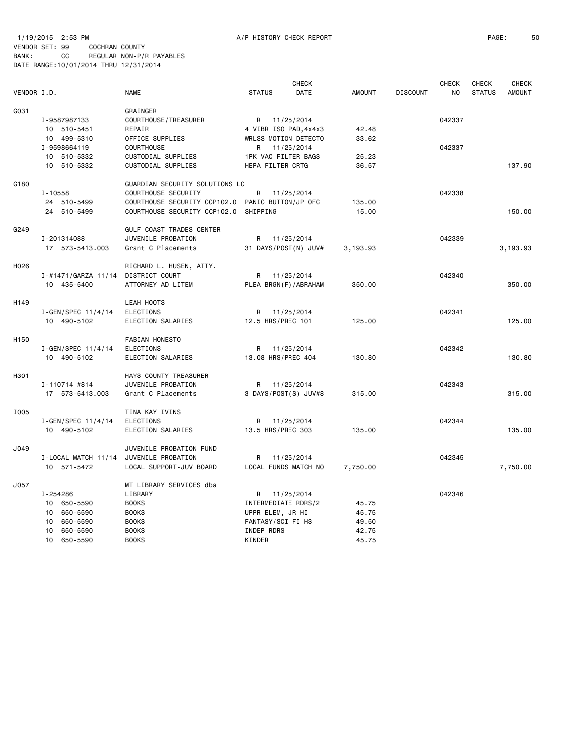## 1/19/2015 2:53 PM A/P HISTORY CHECK REPORT PAGE: 50 VENDOR SET: 99 COCHRAN COUNTY BANK: CC REGULAR NON-P/R PAYABLES DATE RANGE:10/01/2014 THRU 12/31/2014

|                  |                        |                                                  |                             | <b>CHECK</b> |               | <b>CHECK</b>    |        |               | <b>CHECK</b>  |
|------------------|------------------------|--------------------------------------------------|-----------------------------|--------------|---------------|-----------------|--------|---------------|---------------|
| VENDOR I.D.      |                        | <b>NAME</b>                                      | <b>STATUS</b>               | DATE         | <b>AMOUNT</b> | <b>DISCOUNT</b> | NO     | <b>STATUS</b> | <b>AMOUNT</b> |
| G031             |                        | GRAINGER                                         |                             |              |               |                 |        |               |               |
|                  | I-9587987133           | COURTHOUSE / TREASURER                           | R 11/25/2014                |              |               |                 | 042337 |               |               |
|                  | 10 510-5451            | REPAIR                                           | 4 VIBR ISO PAD, 4x4x3       |              | 42.48         |                 |        |               |               |
|                  | 10 499-5310            | OFFICE SUPPLIES                                  | <b>WRLSS MOTION DETECTO</b> |              | 33.62         |                 |        |               |               |
|                  | I-9598664119           | <b>COURTHOUSE</b>                                | R 11/25/2014                |              |               |                 | 042337 |               |               |
|                  | 10 510-5332            | CUSTODIAL SUPPLIES                               | 1PK VAC FILTER BAGS         |              | 25.23         |                 |        |               |               |
|                  | 10 510-5332            | CUSTODIAL SUPPLIES                               | HEPA FILTER CRTG            |              | 36.57         |                 |        |               | 137.90        |
| G180             |                        | GUARDIAN SECURITY SOLUTIONS LC                   |                             |              |               |                 |        |               |               |
|                  | $I - 10558$            | COURTHOUSE SECURITY                              | R                           | 11/25/2014   |               |                 | 042338 |               |               |
|                  | 24 510-5499            | COURTHOUSE SECURITY CCP102.0 PANIC BUTTON/JP OFC |                             |              | 135.00        |                 |        |               |               |
|                  | 24 510-5499            | COURTHOUSE SECURITY CCP102.0                     | SHIPPING                    |              | 15.00         |                 |        |               | 150.00        |
| G249             |                        | GULF COAST TRADES CENTER                         |                             |              |               |                 |        |               |               |
|                  | I-201314088            | JUVENILE PROBATION                               | R 11/25/2014                |              |               |                 | 042339 |               |               |
|                  | 17 573-5413.003        | Grant C Placements                               | 31 DAYS/POST(N) JUV#        |              | 3,193.93      |                 |        |               | 3,193.93      |
| H026             |                        | RICHARD L. HUSEN, ATTY.                          |                             |              |               |                 |        |               |               |
|                  | I-#1471/GARZA 11/14    | DISTRICT COURT                                   | R.                          | 11/25/2014   |               |                 | 042340 |               |               |
|                  | 10 435-5400            | ATTORNEY AD LITEM                                | PLEA BRGN(F)/ABRAHAM        |              | 350.00        |                 |        |               | 350.00        |
| H149             |                        | LEAH HOOTS                                       |                             |              |               |                 |        |               |               |
|                  | $I - GEN/SPEC 11/4/14$ | <b>ELECTIONS</b>                                 | R                           | 11/25/2014   |               |                 | 042341 |               |               |
|                  | 10 490-5102            | ELECTION SALARIES                                | 12.5 HRS/PREC 101           |              | 125.00        |                 |        |               | 125,00        |
| H <sub>150</sub> |                        | FABIAN HONESTO                                   |                             |              |               |                 |        |               |               |
|                  | $I - GEN/SPEC 11/4/14$ | <b>ELECTIONS</b>                                 | R                           | 11/25/2014   |               |                 | 042342 |               |               |
|                  | 10 490-5102            | ELECTION SALARIES                                | 13.08 HRS/PREC 404          |              | 130.80        |                 |        |               | 130.80        |
| H301             |                        | HAYS COUNTY TREASURER                            |                             |              |               |                 |        |               |               |
|                  | I-110714 #814          | JUVENILE PROBATION                               | R 11/25/2014                |              |               |                 | 042343 |               |               |
|                  | 17 573-5413.003        | Grant C Placements                               | 3 DAYS/POST(S) JUV#8        |              | 315.00        |                 |        |               | 315.00        |
| I005             |                        | TINA KAY IVINS                                   |                             |              |               |                 |        |               |               |
|                  | $I - GEN/SPEC 11/4/14$ | <b>ELECTIONS</b>                                 | R 11/25/2014                |              |               |                 | 042344 |               |               |
|                  | 10 490-5102            | ELECTION SALARIES                                | 13.5 HRS/PREC 303           |              | 135.00        |                 |        |               | 135,00        |
| J049             |                        | JUVENILE PROBATION FUND                          |                             |              |               |                 |        |               |               |
|                  | I-LOCAL MATCH 11/14    | JUVENILE PROBATION                               | R                           | 11/25/2014   |               |                 | 042345 |               |               |
|                  | 10 571-5472            | LOCAL SUPPORT-JUV BOARD                          | LOCAL FUNDS MATCH NO        |              | 7,750.00      |                 |        |               | 7,750.00      |
| J057             |                        | MT LIBRARY SERVICES dba                          |                             |              |               |                 |        |               |               |
|                  | I-254286               | LIBRARY                                          | R.                          | 11/25/2014   |               |                 | 042346 |               |               |
|                  | 10 650-5590            | <b>BOOKS</b>                                     | INTERMEDIATE RDRS/2         |              | 45.75         |                 |        |               |               |
|                  | 10<br>650-5590         | <b>BOOKS</b>                                     | UPPR ELEM, JR HI            |              | 45.75         |                 |        |               |               |
|                  | 650-5590<br>10         | <b>BOOKS</b>                                     | FANTASY/SCI FI HS           |              | 49.50         |                 |        |               |               |
|                  | 10 650-5590            | <b>BOOKS</b>                                     | INDEP RDRS                  |              | 42.75         |                 |        |               |               |
|                  | 10<br>650-5590         | <b>BOOKS</b>                                     | KINDER                      |              | 45.75         |                 |        |               |               |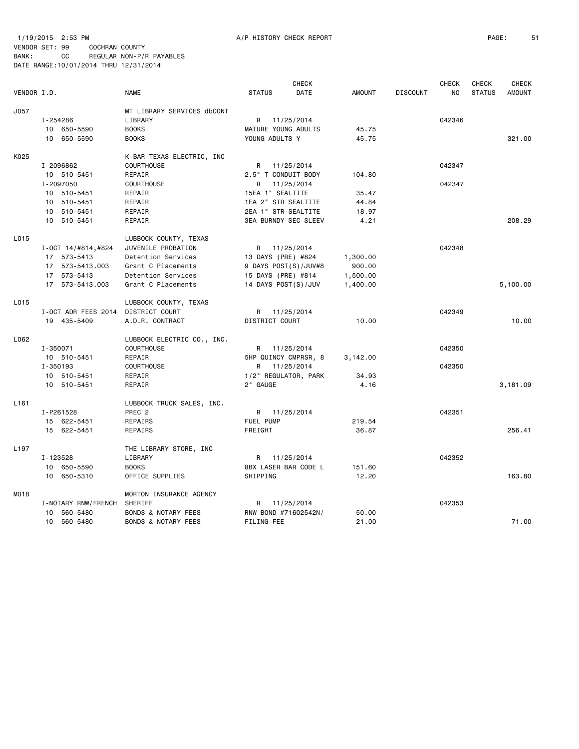|                  |           |                      |                                |                     | <b>CHECK</b>                |               |                 | <b>CHECK</b> | <b>CHECK</b>  | <b>CHECK</b>  |
|------------------|-----------|----------------------|--------------------------------|---------------------|-----------------------------|---------------|-----------------|--------------|---------------|---------------|
| VENDOR I.D.      |           |                      | <b>NAME</b>                    | <b>STATUS</b>       | DATE                        | <b>AMOUNT</b> | <b>DISCOUNT</b> | NO           | <b>STATUS</b> | <b>AMOUNT</b> |
| J057             |           |                      | MT LIBRARY SERVICES dbCONT     |                     |                             |               |                 |              |               |               |
|                  | I-254286  |                      | LIBRARY                        |                     | R 11/25/2014                |               |                 | 042346       |               |               |
|                  |           | 10 650-5590          | <b>BOOKS</b>                   | MATURE YOUNG ADULTS |                             | 45.75         |                 |              |               |               |
|                  |           | 10 650-5590          | <b>BOOKS</b>                   | YOUNG ADULTS Y      |                             | 45.75         |                 |              |               | 321.00        |
| K025             |           |                      | K-BAR TEXAS ELECTRIC, INC      |                     |                             |               |                 |              |               |               |
|                  | I-2096862 |                      | COURTHOUSE                     |                     | R 11/25/2014                |               |                 | 042347       |               |               |
|                  |           | 10 510-5451          | REPAIR                         | 2.5" T CONDUIT BODY |                             | 104.80        |                 |              |               |               |
|                  | I-2097050 |                      | COURTHOUSE                     |                     | R 11/25/2014                |               |                 | 042347       |               |               |
|                  |           | 10 510-5451          | REPAIR                         | 15EA 1" SEALTITE    |                             | 35.47         |                 |              |               |               |
|                  |           | 10 510-5451          | REPAIR                         | 1EA 2" STR SEALTITE |                             | 44.84         |                 |              |               |               |
|                  |           | 10 510-5451          | REPAIR                         | 2EA 1" STR SEALTITE |                             | 18.97         |                 |              |               |               |
|                  |           | 10 510-5451          | REPAIR                         |                     | <b>3EA BURNDY SEC SLEEV</b> | 4.21          |                 |              |               | 208.29        |
| L015             |           |                      | LUBBOCK COUNTY, TEXAS          |                     |                             |               |                 |              |               |               |
|                  |           | $I-OCT$ 14/#814,#824 | JUVENILE PROBATION             |                     | R 11/25/2014                |               |                 | 042348       |               |               |
|                  |           | 17 573-5413          | Detention Services             | 13 DAYS (PRE) #824  |                             | 1,300.00      |                 |              |               |               |
|                  |           | 17 573-5413.003      | Grant C Placements             |                     | 9 DAYS POST(S)/JUV#8        | 900.00        |                 |              |               |               |
|                  |           | 17 573-5413          | Detention Services             | 15 DAYS (PRE) #814  |                             | 1,500.00      |                 |              |               |               |
|                  |           | 17 573-5413.003      | Grant C Placements             | 14 DAYS POST(S)/JUV |                             | 1,400.00      |                 |              |               | 5,100.00      |
| L015             |           |                      | LUBBOCK COUNTY, TEXAS          |                     |                             |               |                 |              |               |               |
|                  |           | I-OCT ADR FEES 2014  | DISTRICT COURT                 |                     | R 11/25/2014                |               |                 | 042349       |               |               |
|                  |           | 19 435-5409          | A.D.R. CONTRACT                | DISTRICT COURT      |                             | 10.00         |                 |              |               | 10.00         |
| L062             |           |                      | LUBBOCK ELECTRIC CO., INC.     |                     |                             |               |                 |              |               |               |
|                  | I-350071  |                      | COURTHOUSE                     |                     | R 11/25/2014                |               |                 | 042350       |               |               |
|                  |           | 10 510-5451          | REPAIR                         |                     | 5HP QUINCY CMPRSR, 8        | 3,142.00      |                 |              |               |               |
|                  | I-350193  |                      | <b>COURTHOUSE</b>              |                     | R 11/25/2014                |               |                 | 042350       |               |               |
|                  |           | 10 510-5451          | REPAIR                         |                     | 1/2" REGULATOR, PARK        | 34.93         |                 |              |               |               |
|                  |           | 10 510-5451          | REPAIR                         | 2" GAUGE            |                             | 4.16          |                 |              |               | 3,181.09      |
| L <sub>161</sub> |           |                      | LUBBOCK TRUCK SALES, INC.      |                     |                             |               |                 |              |               |               |
|                  | I-P261528 |                      | PREC <sub>2</sub>              |                     | R 11/25/2014                |               |                 | 042351       |               |               |
|                  |           | 15 622-5451          | REPAIRS                        | FUEL PUMP           |                             | 219.54        |                 |              |               |               |
|                  |           | 15 622-5451          | REPAIRS                        | FREIGHT             |                             | 36.87         |                 |              |               | 256.41        |
| L <sub>197</sub> |           |                      | THE LIBRARY STORE, INC         |                     |                             |               |                 |              |               |               |
|                  | I-123528  |                      | LIBRARY                        |                     | R 11/25/2014                |               |                 | 042352       |               |               |
|                  |           | 10 650-5590          | <b>BOOKS</b>                   |                     | 8BX LASER BAR CODE L        | 151.60        |                 |              |               |               |
|                  |           | 10 650-5310          | OFFICE SUPPLIES                | SHIPPING            |                             | 12.20         |                 |              |               | 163.80        |
| MO18             |           |                      | MORTON INSURANCE AGENCY        |                     |                             |               |                 |              |               |               |
|                  |           | I-NOTARY RNW/FRENCH  | SHERIFF                        |                     | R 11/25/2014                |               |                 | 042353       |               |               |
|                  |           | 10 560-5480          | <b>BONDS &amp; NOTARY FEES</b> |                     | RNW BOND #71602542N/        | 50.00         |                 |              |               |               |
|                  |           | 10 560-5480          | <b>BONDS &amp; NOTARY FEES</b> | FILING FEE          |                             | 21.00         |                 |              |               | 71.00         |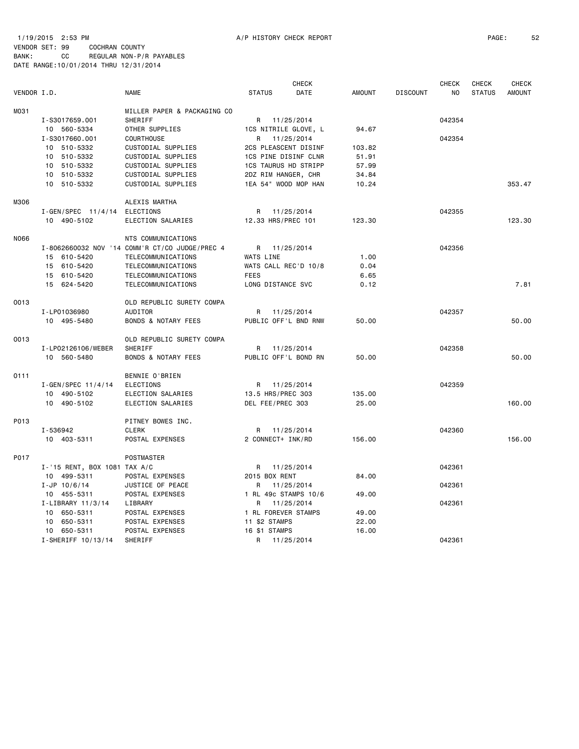1/19/2015 2:53 PM A/P HISTORY CHECK REPORT PAGE: 52 VENDOR SET: 99 COCHRAN COUNTY BANK: CC REGULAR NON-P/R PAYABLES DATE RANGE:10/01/2014 THRU 12/31/2014

|             |                              |                                                |                      | <b>CHECK</b> |               |                 | <b>CHECK</b> | <b>CHECK</b>  | CHECK         |
|-------------|------------------------------|------------------------------------------------|----------------------|--------------|---------------|-----------------|--------------|---------------|---------------|
| VENDOR I.D. |                              | <b>NAME</b>                                    | <b>STATUS</b>        | DATE         | <b>AMOUNT</b> | <b>DISCOUNT</b> | NO.          | <b>STATUS</b> | <b>AMOUNT</b> |
| M031        |                              | MILLER PAPER & PACKAGING CO                    |                      |              |               |                 |              |               |               |
|             | I-S3017659.001               | SHERIFF                                        | R 11/25/2014         |              |               |                 | 042354       |               |               |
|             | 10 560-5334                  | OTHER SUPPLIES                                 | 1CS NITRILE GLOVE, L |              | 94.67         |                 |              |               |               |
|             | I-S3017660.001               | <b>COURTHOUSE</b>                              | R 11/25/2014         |              |               |                 | 042354       |               |               |
|             | 10 510-5332                  | CUSTODIAL SUPPLIES                             | 2CS PLEASCENT DISINF |              | 103.82        |                 |              |               |               |
|             | 10 510-5332                  | CUSTODIAL SUPPLIES                             | 1CS PINE DISINF CLNR |              | 51.91         |                 |              |               |               |
|             | 10 510-5332                  | CUSTODIAL SUPPLIES                             | 1CS TAURUS HD STRIPP |              | 57.99         |                 |              |               |               |
|             | 10 510-5332                  | CUSTODIAL SUPPLIES                             | 2DZ RIM HANGER, CHR  |              | 34.84         |                 |              |               |               |
|             | 10 510-5332                  | CUSTODIAL SUPPLIES                             | 1EA 54" WOOD MOP HAN |              | 10.24         |                 |              |               | 353.47        |
| M306        |                              | ALEXIS MARTHA                                  |                      |              |               |                 |              |               |               |
|             | $I - GEN/SPEC$ 11/4/14       | ELECTIONS                                      | R                    | 11/25/2014   |               |                 | 042355       |               |               |
|             | 10 490-5102                  | ELECTION SALARIES                              | 12.33 HRS/PREC 101   |              | 123.30        |                 |              |               | 123.30        |
| N066        |                              | NTS COMMUNICATIONS                             |                      |              |               |                 |              |               |               |
|             |                              | I-8062660032 NOV '14 COMM'R CT/CO JUDGE/PREC 4 | R 11/25/2014         |              |               |                 | 042356       |               |               |
|             | 15 610-5420                  | TELECOMMUNICATIONS                             | WATS LINE            |              | 1.00          |                 |              |               |               |
|             | 15 610-5420                  | TELECOMMUNICATIONS                             | WATS CALL REC'D 10/8 |              | 0.04          |                 |              |               |               |
|             | 15 610-5420                  | TELECOMMUNICATIONS                             | <b>FEES</b>          |              | 6.65          |                 |              |               |               |
|             | 15 624-5420                  | TELECOMMUNICATIONS                             | LONG DISTANCE SVC    |              | 0.12          |                 |              |               | 7.81          |
| 0013        |                              | OLD REPUBLIC SURETY COMPA                      |                      |              |               |                 |              |               |               |
|             | I-LP01036980                 | AUDITOR                                        | R 11/25/2014         |              |               |                 | 042357       |               |               |
|             | 10 495-5480                  | <b>BONDS &amp; NOTARY FEES</b>                 | PUBLIC OFF'L BND RNW |              | 50.00         |                 |              |               | 50.00         |
| 0013        |                              | OLD REPUBLIC SURETY COMPA                      |                      |              |               |                 |              |               |               |
|             | I-LP02126106/WEBER           | SHERIFF                                        | R 11/25/2014         |              |               |                 | 042358       |               |               |
|             | 10 560-5480                  | <b>BONDS &amp; NOTARY FEES</b>                 | PUBLIC OFF'L BOND RN |              | 50.00         |                 |              |               | 50.00         |
| 0111        |                              | BENNIE O'BRIEN                                 |                      |              |               |                 |              |               |               |
|             | I-GEN/SPEC 11/4/14           | <b>ELECTIONS</b>                               | R 11/25/2014         |              |               |                 | 042359       |               |               |
|             | 10 490-5102                  | ELECTION SALARIES                              | 13.5 HRS/PREC 303    |              | 135.00        |                 |              |               |               |
|             | 10 490-5102                  | ELECTION SALARIES                              | DEL FEE/PREC 303     |              | 25.00         |                 |              |               | 160.00        |
| P013        |                              | PITNEY BOWES INC.                              |                      |              |               |                 |              |               |               |
|             | I-536942                     | <b>CLERK</b>                                   | R                    | 11/25/2014   |               |                 | 042360       |               |               |
|             | 10 403-5311                  | POSTAL EXPENSES                                | 2 CONNECT+ INK/RD    |              | 156.00        |                 |              |               | 156.00        |
| P017        |                              | POSTMASTER                                     |                      |              |               |                 |              |               |               |
|             | I-'15 RENT, BOX 1081 TAX A/C |                                                | R 11/25/2014         |              |               |                 | 042361       |               |               |
|             | 10 499-5311                  | POSTAL EXPENSES                                | 2015 BOX RENT        |              | 84.00         |                 |              |               |               |
|             | $I - JP 10/6/14$             | JUSTICE OF PEACE                               | R                    | 11/25/2014   |               |                 | 042361       |               |               |
|             | 10 455-5311                  | POSTAL EXPENSES                                | 1 RL 49c STAMPS 10/6 |              | 49.00         |                 |              |               |               |
|             | I-LIBRARY 11/3/14            | LIBRARY                                        | R                    | 11/25/2014   |               |                 | 042361       |               |               |
|             | 10 650-5311                  | POSTAL EXPENSES                                | 1 RL FOREVER STAMPS  |              | 49.00         |                 |              |               |               |
|             | 10 650-5311                  | POSTAL EXPENSES                                | 11 \$2 STAMPS        |              | 22.00         |                 |              |               |               |
|             | 10 650-5311                  | POSTAL EXPENSES                                | 16 \$1 STAMPS        |              | 16.00         |                 |              |               |               |
|             | I-SHERIFF 10/13/14           | SHERIFF                                        | R                    | 11/25/2014   |               |                 | 042361       |               |               |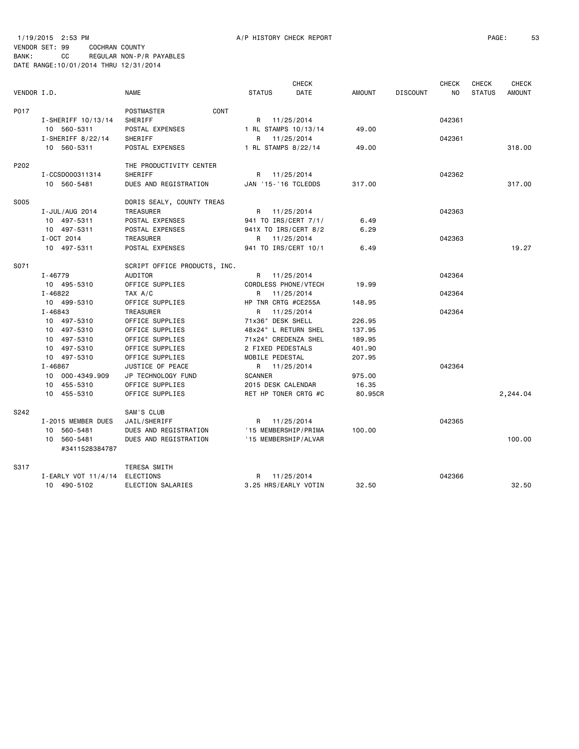|             |                     |                              |                      | <b>CHECK</b> |               |                 | CHECK     | <b>CHECK</b>  | <b>CHECK</b>  |
|-------------|---------------------|------------------------------|----------------------|--------------|---------------|-----------------|-----------|---------------|---------------|
| VENDOR I.D. |                     | <b>NAME</b>                  | <b>STATUS</b>        | DATE         | <b>AMOUNT</b> | <b>DISCOUNT</b> | <b>NO</b> | <b>STATUS</b> | <b>AMOUNT</b> |
| P017        |                     | CONT<br>POSTMASTER           |                      |              |               |                 |           |               |               |
|             | I-SHERIFF 10/13/14  | SHERIFF                      | R                    | 11/25/2014   |               |                 | 042361    |               |               |
|             | 10 560-5311         | POSTAL EXPENSES              | 1 RL STAMPS 10/13/14 |              | 49.00         |                 |           |               |               |
|             | $I-SHERIFF 8/22/14$ | SHERIFF                      | R                    | 11/25/2014   |               |                 | 042361    |               |               |
|             | 10 560-5311         | POSTAL EXPENSES              | 1 RL STAMPS 8/22/14  |              | 49.00         |                 |           |               | 318.00        |
| P202        |                     | THE PRODUCTIVITY CENTER      |                      |              |               |                 |           |               |               |
|             | I-CCSD000311314     | SHERIFF                      | R 11/25/2014         |              |               |                 | 042362    |               |               |
|             | 10 560-5481         | DUES AND REGISTRATION        | JAN '15-'16 TCLEDDS  |              | 317.00        |                 |           |               | 317.00        |
| S005        |                     | DORIS SEALY, COUNTY TREAS    |                      |              |               |                 |           |               |               |
|             | I-JUL/AUG 2014      | <b>TREASURER</b>             | R 11/25/2014         |              |               |                 | 042363    |               |               |
|             | 10 497-5311         | POSTAL EXPENSES              | 941 TO IRS/CERT 7/1/ |              | 6.49          |                 |           |               |               |
|             | 10 497-5311         | POSTAL EXPENSES              | 941X TO IRS/CERT 8/2 |              | 6.29          |                 |           |               |               |
|             | I-OCT 2014          | TREASURER                    | R 11/25/2014         |              |               |                 | 042363    |               |               |
|             | 10 497-5311         | POSTAL EXPENSES              | 941 TO IRS/CERT 10/1 |              | 6.49          |                 |           |               | 19.27         |
| S071        |                     | SCRIPT OFFICE PRODUCTS, INC. |                      |              |               |                 |           |               |               |
|             | I-46779             | AUDITOR                      | R                    | 11/25/2014   |               |                 | 042364    |               |               |
|             | 10 495-5310         | OFFICE SUPPLIES              | CORDLESS PHONE/VTECH |              | 19.99         |                 |           |               |               |
|             | $I - 46822$         | TAX A/C                      | R 11/25/2014         |              |               |                 | 042364    |               |               |
|             | 10 499-5310         | OFFICE SUPPLIES              | HP TNR CRTG #CE255A  |              | 148.95        |                 |           |               |               |
|             | $I - 46843$         | <b>TREASURER</b>             | R                    | 11/25/2014   |               |                 | 042364    |               |               |
|             | 10 497-5310         | OFFICE SUPPLIES              | 71x36" DESK SHELL    |              | 226.95        |                 |           |               |               |
|             | 10 497-5310         | OFFICE SUPPLIES              | 48x24" L RETURN SHEL |              | 137.95        |                 |           |               |               |
|             | 10 497-5310         | OFFICE SUPPLIES              | 71x24" CREDENZA SHEL |              | 189.95        |                 |           |               |               |
|             | 10 497-5310         | OFFICE SUPPLIES              | 2 FIXED PEDESTALS    |              | 401.90        |                 |           |               |               |
|             | 10 497-5310         | OFFICE SUPPLIES              | MOBILE PEDESTAL      |              | 207.95        |                 |           |               |               |
|             | I-46867             | JUSTICE OF PEACE             | R 11/25/2014         |              |               |                 | 042364    |               |               |
|             | 10 000-4349.909     | JP TECHNOLOGY FUND           | <b>SCANNER</b>       |              | 975.00        |                 |           |               |               |
|             | 10 455-5310         | OFFICE SUPPLIES              | 2015 DESK CALENDAR   |              | 16.35         |                 |           |               |               |
|             | 10 455-5310         | OFFICE SUPPLIES              | RET HP TONER CRTG #C |              | 80.95CR       |                 |           |               | 2,244.04      |
| S242        |                     | SAM'S CLUB                   |                      |              |               |                 |           |               |               |
|             | I-2015 MEMBER DUES  | JAIL/SHERIFF                 | R 11/25/2014         |              |               |                 | 042365    |               |               |
|             | 10 560-5481         | DUES AND REGISTRATION        | '15 MEMBERSHIP/PRIMA |              | 100.00        |                 |           |               |               |
|             | 10 560-5481         | DUES AND REGISTRATION        | '15 MEMBERSHIP/ALVAR |              |               |                 |           |               | 100.00        |
|             | #3411528384787      |                              |                      |              |               |                 |           |               |               |
| S317        |                     | TERESA SMITH                 |                      |              |               |                 |           |               |               |
|             | I-EARLY VOT 11/4/14 | ELECTIONS                    | R 11/25/2014         |              |               |                 | 042366    |               |               |
|             | 10 490-5102         | ELECTION SALARIES            | 3.25 HRS/EARLY VOTIN |              | 32.50         |                 |           |               | 32.50         |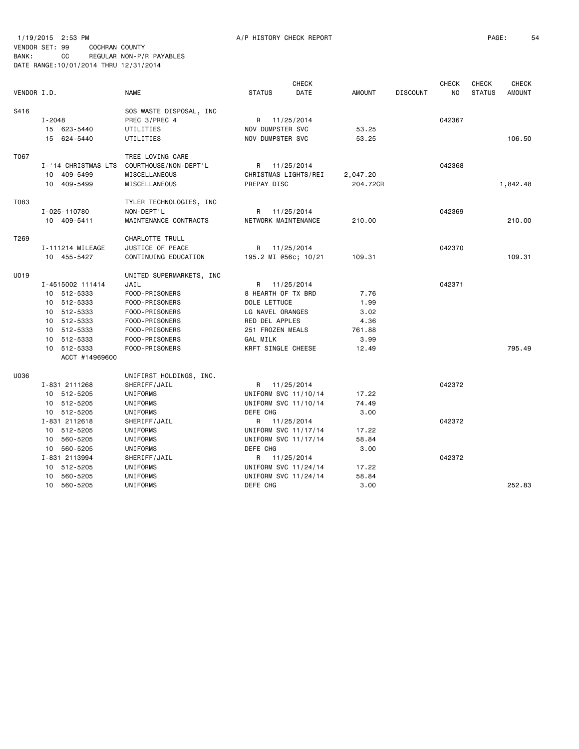1/19/2015 2:53 PM A/P HISTORY CHECK REPORT PAGE: 54 VENDOR SET: 99 COCHRAN COUNTY

| VENDOR I.D. |                                                                                                                                                                         | <b>NAME</b>                                                                                                                                                             | <b>STATUS</b>                                                                                                                                                                                  | CHECK<br>DATE            | <b>AMOUNT</b>                                                      | <b>DISCOUNT</b> | <b>CHECK</b><br>NO.        | <b>CHECK</b><br><b>STATUS</b> | <b>CHECK</b><br><b>AMOUNT</b> |
|-------------|-------------------------------------------------------------------------------------------------------------------------------------------------------------------------|-------------------------------------------------------------------------------------------------------------------------------------------------------------------------|------------------------------------------------------------------------------------------------------------------------------------------------------------------------------------------------|--------------------------|--------------------------------------------------------------------|-----------------|----------------------------|-------------------------------|-------------------------------|
| S416        | $I - 2048$<br>15 623-5440<br>15 624-5440                                                                                                                                | SOS WASTE DISPOSAL, INC<br>PREC 3/PREC 4<br>UTILITIES<br>UTILITIES                                                                                                      | R 11/25/2014<br>NOV DUMPSTER SVC<br>NOV DUMPSTER SVC                                                                                                                                           |                          | 53.25<br>53.25                                                     |                 | 042367                     |                               | 106.50                        |
| T067        | I-'14 CHRISTMAS LTS<br>409-5499<br>10<br>10 409-5499                                                                                                                    | TREE LOVING CARE<br>COURTHOUSE / NON - DEPT 'L<br>MISCELLANEOUS<br>MISCELLANEOUS                                                                                        | R 11/25/2014<br>CHRISTMAS LIGHTS/REI<br>PREPAY DISC                                                                                                                                            |                          | 2,047.20<br>204,72CR                                               |                 | 042368                     |                               | 1,842.48                      |
| T083        | I-025-110780<br>10 409-5411                                                                                                                                             | TYLER TECHNOLOGIES, INC<br>NON-DEPT'L<br>MAINTENANCE CONTRACTS                                                                                                          | R<br>NETWORK MAINTENANCE                                                                                                                                                                       | 11/25/2014               | 210.00                                                             |                 | 042369                     |                               | 210.00                        |
| T269        | I-111214 MILEAGE<br>10 455-5427                                                                                                                                         | CHARLOTTE TRULL<br>JUSTICE OF PEACE<br>CONTINUING EDUCATION                                                                                                             | R<br>195.2 MI @56c; 10/21                                                                                                                                                                      | 11/25/2014               | 109.31                                                             |                 | 042370                     |                               | 109.31                        |
| U019        | I-4515002 111414<br>10 512-5333<br>10 512-5333<br>10 512-5333<br>10 512-5333<br>10 512-5333<br>10 512-5333<br>10 512-5333<br>ACCT #14969600                             | UNITED SUPERMARKETS, INC<br>JAIL<br>FOOD-PRISONERS<br>FOOD-PRISONERS<br>FOOD-PRISONERS<br>FOOD-PRISONERS<br>FOOD-PRISONERS<br>FOOD-PRISONERS<br>FOOD-PRISONERS          | R 11/25/2014<br>8 HEARTH OF TX BRD<br>DOLE LETTUCE<br>LG NAVEL ORANGES<br>RED DEL APPLES<br>251 FROZEN MEALS<br><b>GAL MILK</b><br>KRFT SINGLE CHEESE                                          |                          | 7.76<br>1.99<br>3.02<br>4.36<br>761.88<br>3.99<br>12.49            |                 | 042371                     |                               | 795.49                        |
| U036        | I-831 2111268<br>10 512-5205<br>10 512-5205<br>10 512-5205<br>I-831 2112618<br>10 512-5205<br>10 560-5205<br>10 560-5205<br>I-831 2113994<br>10 512-5205<br>10 560-5205 | UNIFIRST HOLDINGS, INC.<br>SHERIFF/JAIL<br>UNIFORMS<br>UNIFORMS<br>UNIFORMS<br>SHERIFF/JAIL<br>UNIFORMS<br>UNIFORMS<br>UNIFORMS<br>SHERIFF/JAIL<br>UNIFORMS<br>UNIFORMS | R 11/25/2014<br>UNIFORM SVC 11/10/14<br>UNIFORM SVC 11/10/14<br>DEFE CHG<br>R<br>UNIFORM SVC 11/17/14<br>UNIFORM SVC 11/17/14<br>DEFE CHG<br>R<br>UNIFORM SVC 11/24/14<br>UNIFORM SVC 11/24/14 | 11/25/2014<br>11/25/2014 | 17.22<br>74.49<br>3.00<br>17.22<br>58.84<br>3.00<br>17.22<br>58.84 |                 | 042372<br>042372<br>042372 |                               |                               |
|             | 10 560-5205                                                                                                                                                             | UNIFORMS                                                                                                                                                                | DEFE CHG                                                                                                                                                                                       |                          | 3.00                                                               |                 |                            |                               | 252.83                        |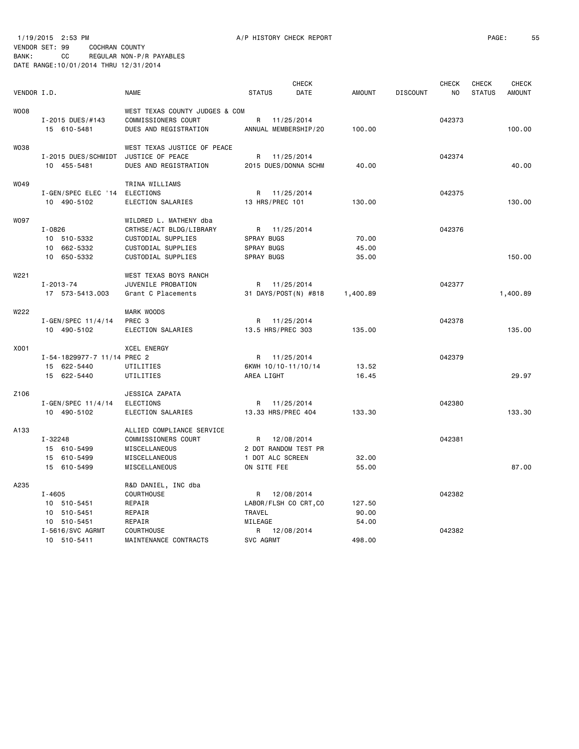1/19/2015 2:53 PM A/P HISTORY CHECK REPORT PAGE: 55 VENDOR SET: 99 COCHRAN COUNTY BANK: CC REGULAR NON-P/R PAYABLES DATE RANGE:10/01/2014 THRU 12/31/2014

| VENDOR I.D. |                                                                             | <b>NAME</b>                                                                                                         | <b>STATUS</b>                                                              | <b>CHECK</b><br><b>DATE</b>          | <b>AMOUNT</b>            | <b>DISCOUNT</b> | <b>CHECK</b><br>NO. | <b>CHECK</b><br><b>STATUS</b> | CHECK<br><b>AMOUNT</b> |
|-------------|-----------------------------------------------------------------------------|---------------------------------------------------------------------------------------------------------------------|----------------------------------------------------------------------------|--------------------------------------|--------------------------|-----------------|---------------------|-------------------------------|------------------------|
| W008        | I-2015 DUES/#143<br>15 610-5481                                             | WEST TEXAS COUNTY JUDGES & COM<br>COMMISSIONERS COURT<br>DUES AND REGISTRATION                                      | R 11/25/2014<br>ANNUAL MEMBERSHIP/20                                       |                                      | 100.00                   |                 | 042373              |                               | 100.00                 |
| W038        | I-2015 DUES/SCHMIDT<br>10 455-5481                                          | WEST TEXAS JUSTICE OF PEACE<br>JUSTICE OF PEACE<br>DUES AND REGISTRATION                                            | R 11/25/2014<br>2015 DUES/DONNA SCHM                                       |                                      | 40.00                    |                 | 042374              |                               | 40.00                  |
| W049        | I-GEN/SPEC ELEC '14 ELECTIONS<br>10 490-5102                                | TRINA WILLIAMS<br>ELECTION SALARIES                                                                                 | R 11/25/2014<br>13 HRS/PREC 101                                            |                                      | 130.00                   |                 | 042375              |                               | 130.00                 |
| <b>WO97</b> | I-0826<br>10 510-5332<br>10 662-5332<br>10 650-5332                         | WILDRED L. MATHENY dba<br>CRTHSE/ACT BLDG/LIBRARY<br>CUSTODIAL SUPPLIES<br>CUSTODIAL SUPPLIES<br>CUSTODIAL SUPPLIES | R 11/25/2014<br>SPRAY BUGS<br>SPRAY BUGS<br>SPRAY BUGS                     |                                      | 70.00<br>45.00<br>35.00  |                 | 042376              |                               | 150.00                 |
| W221        | $I - 2013 - 74$<br>17 573-5413.003                                          | WEST TEXAS BOYS RANCH<br>JUVENILE PROBATION<br>Grant C Placements                                                   |                                                                            | R 11/25/2014<br>31 DAYS/POST(N) #818 | 1,400.89                 |                 | 042377              |                               | 1,400.89               |
| W222        | $I - GEN / SPEC 11/4/14$<br>10 490-5102                                     | <b>MARK WOODS</b><br>PREC 3<br>ELECTION SALARIES                                                                    | R 11/25/2014<br>13.5 HRS/PREC 303                                          |                                      | 135.00                   |                 | 042378              |                               | 135.00                 |
| X001        | I-54-1829977-7 11/14 PREC 2<br>15 622-5440<br>15 622-5440                   | <b>XCEL ENERGY</b><br>UTILITIES<br>UTILITIES                                                                        | R 11/25/2014<br>6KWH 10/10-11/10/14<br>AREA LIGHT                          |                                      | 13.52<br>16.45           |                 | 042379              |                               | 29.97                  |
| Z106        | $I - GEN/SPEC 11/4/14$<br>10 490-5102                                       | JESSICA ZAPATA<br>ELECTIONS<br>ELECTION SALARIES                                                                    | 13.33 HRS/PREC 404                                                         | R 11/25/2014                         | 133.30                   |                 | 042380              |                               | 133.30                 |
| A133        | I-32248<br>15 610-5499<br>15 610-5499<br>15 610-5499                        | ALLIED COMPLIANCE SERVICE<br>COMMISSIONERS COURT<br>MISCELLANEOUS<br>MISCELLANEOUS<br>MISCELLANEOUS                 | R 12/08/2014<br>2 DOT RANDOM TEST PR<br>1 DOT ALC SCREEN<br>ON SITE FEE    |                                      | 32.00<br>55.00           |                 | 042381              |                               | 87.00                  |
| A235        | $I - 4605$<br>10 510-5451<br>10 510-5451<br>10 510-5451<br>I-5616/SVC AGRMT | R&D DANIEL, INC dba<br><b>COURTHOUSE</b><br>REPAIR<br>REPAIR<br>REPAIR<br><b>COURTHOUSE</b>                         | R 12/08/2014<br>LABOR/FLSH CO CRT, CO<br>TRAVEL<br>MILEAGE<br>R 12/08/2014 |                                      | 127.50<br>90.00<br>54.00 |                 | 042382<br>042382    |                               |                        |
|             | 10 510-5411                                                                 | MAINTENANCE CONTRACTS                                                                                               | SVC AGRMT                                                                  |                                      | 498.00                   |                 |                     |                               |                        |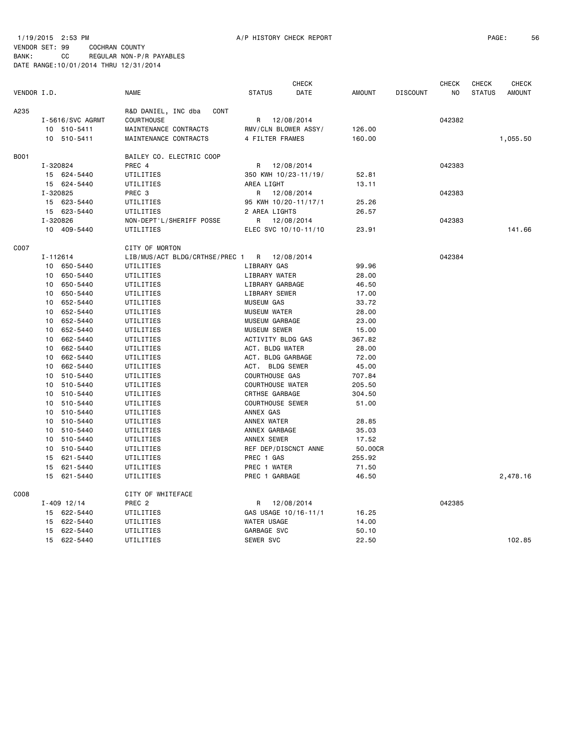1/19/2015 2:53 PM A/P HISTORY CHECK REPORT PAGE: 56 VENDOR SET: 99 COCHRAN COUNTY

| VENDOR SEI: 99                         |     | COCHRAN COUNTY |                          |
|----------------------------------------|-----|----------------|--------------------------|
| BANK :                                 | CC. |                | REGULAR NON-P/R PAYABLES |
| DATE RANGE: 10/01/2014 THRU 12/31/2014 |     |                |                          |

|             |          |                  |                                |                         | <b>CHECK</b>         |               |                 | <b>CHECK</b>   | <b>CHECK</b>  | <b>CHECK</b>  |
|-------------|----------|------------------|--------------------------------|-------------------------|----------------------|---------------|-----------------|----------------|---------------|---------------|
| VENDOR I.D. |          |                  | <b>NAME</b>                    | <b>STATUS</b>           | DATE                 | <b>AMOUNT</b> | <b>DISCOUNT</b> | N <sub>O</sub> | <b>STATUS</b> | <b>AMOUNT</b> |
| A235        |          |                  | R&D DANIEL, INC dba<br>CONT    |                         |                      |               |                 |                |               |               |
|             |          | I-5616/SVC AGRMT | COURTHOUSE                     | R                       | 12/08/2014           |               |                 | 042382         |               |               |
|             |          | 10 510-5411      | MAINTENANCE CONTRACTS          | RMV/CLN BLOWER ASSY/    |                      | 126.00        |                 |                |               |               |
|             |          | 10 510-5411      | MAINTENANCE CONTRACTS          | 4 FILTER FRAMES         |                      | 160.00        |                 |                |               | 1,055.50      |
| B001        |          |                  | BAILEY CO. ELECTRIC COOP       |                         |                      |               |                 |                |               |               |
|             | I-320824 |                  | PREC 4                         | R                       | 12/08/2014           |               |                 | 042383         |               |               |
|             |          | 15 624-5440      | UTILITIES                      |                         | 350 KWH 10/23-11/19/ | 52.81         |                 |                |               |               |
|             |          | 15 624-5440      | UTILITIES                      | AREA LIGHT              |                      | 13.11         |                 |                |               |               |
|             | I-320825 |                  | PREC <sub>3</sub>              | R                       | 12/08/2014           |               |                 | 042383         |               |               |
|             |          | 15 623-5440      | UTILITIES                      |                         | 95 KWH 10/20-11/17/1 | 25.26         |                 |                |               |               |
|             |          | 15 623-5440      | UTILITIES                      | 2 AREA LIGHTS           |                      | 26.57         |                 |                |               |               |
|             | I-320826 |                  | NON-DEPT'L/SHERIFF POSSE       | R                       | 12/08/2014           |               |                 | 042383         |               |               |
|             |          | 10 409-5440      | UTILITIES                      |                         | ELEC SVC 10/10-11/10 | 23.91         |                 |                |               | 141.66        |
| C007        |          |                  | CITY OF MORTON                 |                         |                      |               |                 |                |               |               |
|             | I-112614 |                  | LIB/MUS/ACT BLDG/CRTHSE/PREC 1 | R 12/08/2014            |                      |               |                 | 042384         |               |               |
|             | 10       | 650-5440         | UTILITIES                      | LIBRARY GAS             |                      | 99.96         |                 |                |               |               |
|             | 10       | 650-5440         | UTILITIES                      | LIBRARY WATER           |                      | 28.00         |                 |                |               |               |
|             | 10       | 650-5440         | UTILITIES                      | LIBRARY GARBAGE         |                      | 46.50         |                 |                |               |               |
|             | 10       | 650-5440         | UTILITIES                      | LIBRARY SEWER           |                      | 17.00         |                 |                |               |               |
|             | 10       | 652-5440         | UTILITIES                      | <b>MUSEUM GAS</b>       |                      | 33.72         |                 |                |               |               |
|             | 10       | 652-5440         | UTILITIES                      | <b>MUSEUM WATER</b>     |                      | 28.00         |                 |                |               |               |
|             | 10       | 652-5440         | UTILITIES                      | <b>MUSEUM GARBAGE</b>   |                      | 23.00         |                 |                |               |               |
|             | 10       | 652-5440         | UTILITIES                      | <b>MUSEUM SEWER</b>     |                      | 15.00         |                 |                |               |               |
|             | 10       | 662-5440         | UTILITIES                      | ACTIVITY BLDG GAS       |                      | 367.82        |                 |                |               |               |
|             | 10       | 662-5440         | UTILITIES                      | ACT. BLDG WATER         |                      | 28.00         |                 |                |               |               |
|             | 10       | 662-5440         | UTILITIES                      | ACT. BLDG GARBAGE       |                      | 72.00         |                 |                |               |               |
|             | 10       | 662-5440         | UTILITIES                      | ACT. BLDG SEWER         |                      | 45.00         |                 |                |               |               |
|             | 10       | 510-5440         | UTILITIES                      | COURTHOUSE GAS          |                      | 707.84        |                 |                |               |               |
|             | 10       | 510-5440         | UTILITIES                      | <b>COURTHOUSE WATER</b> |                      | 205.50        |                 |                |               |               |
|             | 10       | 510-5440         | UTILITIES                      | CRTHSE GARBAGE          |                      | 304.50        |                 |                |               |               |
|             | 10       | 510-5440         | UTILITIES                      | <b>COURTHOUSE SEWER</b> |                      | 51.00         |                 |                |               |               |
|             | 10       | 510-5440         | UTILITIES                      | ANNEX GAS               |                      |               |                 |                |               |               |
|             | 10       | 510-5440         | UTILITIES                      | ANNEX WATER             |                      | 28.85         |                 |                |               |               |
|             | 10       | 510-5440         | UTILITIES                      | ANNEX GARBAGE           |                      | 35.03         |                 |                |               |               |
|             |          | 10 510-5440      | UTILITIES                      | ANNEX SEWER             |                      | 17.52         |                 |                |               |               |
|             | 10       | 510-5440         | UTILITIES                      |                         | REF DEP/DISCNCT ANNE | 50.00CR       |                 |                |               |               |
|             |          |                  |                                | PREC 1 GAS              |                      | 255.92        |                 |                |               |               |
|             | 15       | 621-5440         | UTILITIES                      |                         |                      |               |                 |                |               |               |
|             | 15       | 621-5440         | UTILITIES                      | PREC 1 WATER            |                      | 71.50         |                 |                |               |               |
|             | 15       | 621-5440         | UTILITIES                      | PREC 1 GARBAGE          |                      | 46.50         |                 |                |               | 2,478.16      |
| C008        |          |                  | CITY OF WHITEFACE              |                         |                      |               |                 |                |               |               |
|             |          | $I - 409$ 12/14  | PREC <sub>2</sub>              | R                       | 12/08/2014           |               |                 | 042385         |               |               |
|             |          | 15 622-5440      | UTILITIES                      |                         | GAS USAGE 10/16-11/1 | 16.25         |                 |                |               |               |
|             |          | 15 622-5440      | UTILITIES                      | WATER USAGE             |                      | 14.00         |                 |                |               |               |
|             | 15       | 622-5440         | UTILITIES                      | GARBAGE SVC             |                      | 50.10         |                 |                |               |               |
|             |          | 15 622-5440      | UTILITIES                      | SEWER SVC               |                      | 22.50         |                 |                |               | 102.85        |
|             |          |                  |                                |                         |                      |               |                 |                |               |               |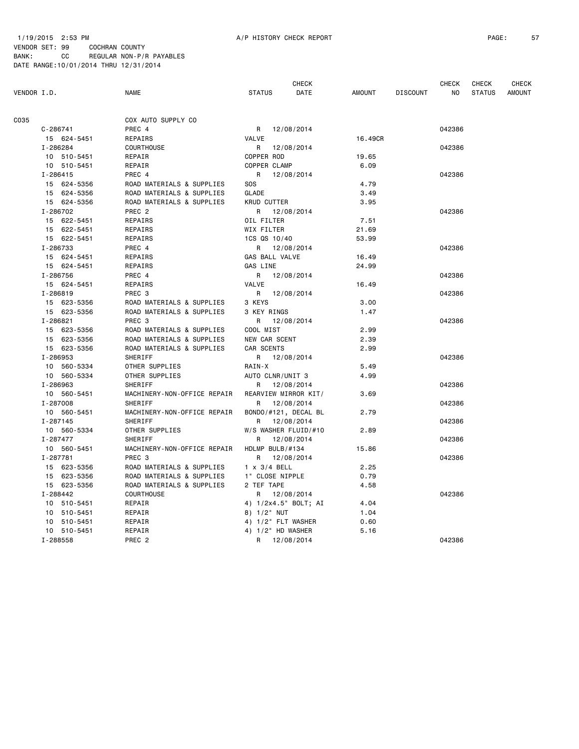## 1/19/2015 2:53 PM A/P HISTORY CHECK REPORT PAGE: 57 VENDOR SET: 99 COCHRAN COUNTY BANK: CC REGULAR NON-P/R PAYABLES DATE RANGE:10/01/2014 THRU 12/31/2014

|             |              |                             |                      | <b>CHECK</b> |               |                 | <b>CHECK</b> | <b>CHECK</b>  | CHECK         |
|-------------|--------------|-----------------------------|----------------------|--------------|---------------|-----------------|--------------|---------------|---------------|
| VENDOR I.D. |              | <b>NAME</b>                 | <b>STATUS</b>        | DATE         | <b>AMOUNT</b> | <b>DISCOUNT</b> | NO           | <b>STATUS</b> | <b>AMOUNT</b> |
| C035        |              | COX AUTO SUPPLY CO          |                      |              |               |                 |              |               |               |
|             | $C - 286741$ | PREC 4                      | R                    | 12/08/2014   |               |                 | 042386       |               |               |
|             | 15 624-5451  | REPAIRS                     | VALVE                |              | 16.49CR       |                 |              |               |               |
|             | I-286284     | COURTHOUSE                  | R                    | 12/08/2014   |               |                 | 042386       |               |               |
|             | 10 510-5451  | REPAIR                      | COPPER ROD           |              | 19.65         |                 |              |               |               |
|             | 10 510-5451  | REPAIR                      | COPPER CLAMP         |              | 6.09          |                 |              |               |               |
|             | I-286415     | PREC 4                      | R 12/08/2014         |              |               |                 | 042386       |               |               |
|             | 15 624-5356  | ROAD MATERIALS & SUPPLIES   | <b>SOS</b>           |              | 4.79          |                 |              |               |               |
|             | 15 624-5356  | ROAD MATERIALS & SUPPLIES   | GLADE                |              | 3.49          |                 |              |               |               |
|             | 15 624-5356  | ROAD MATERIALS & SUPPLIES   | <b>KRUD CUTTER</b>   |              | 3.95          |                 |              |               |               |
|             | I-286702     | PREC <sub>2</sub>           | R 12/08/2014         |              |               |                 | 042386       |               |               |
|             | 15 622-5451  | REPAIRS                     | OIL FILTER           |              | 7.51          |                 |              |               |               |
|             |              |                             |                      |              |               |                 |              |               |               |
|             | 15 622-5451  | REPAIRS                     | WIX FILTER           |              | 21.69         |                 |              |               |               |
|             | 15 622-5451  | REPAIRS                     | 1CS QS 10/40         |              | 53.99         |                 |              |               |               |
|             | I-286733     | PREC 4                      | R 12/08/2014         |              |               |                 | 042386       |               |               |
|             | 15 624-5451  | REPAIRS                     | GAS BALL VALVE       |              | 16.49         |                 |              |               |               |
|             | 15 624-5451  | REPAIRS                     | GAS LINE             |              | 24.99         |                 |              |               |               |
|             | I-286756     | PREC 4                      | R                    | 12/08/2014   |               |                 | 042386       |               |               |
|             | 15 624-5451  | REPAIRS                     | VALVE                |              | 16.49         |                 |              |               |               |
|             | I-286819     | PREC <sub>3</sub>           | R                    | 12/08/2014   |               |                 | 042386       |               |               |
|             | 15 623-5356  | ROAD MATERIALS & SUPPLIES   | 3 KEYS               |              | 3.00          |                 |              |               |               |
|             | 15 623-5356  | ROAD MATERIALS & SUPPLIES   | 3 KEY RINGS          |              | 1.47          |                 |              |               |               |
|             | I-286821     | PREC <sub>3</sub>           | R                    | 12/08/2014   |               |                 | 042386       |               |               |
|             | 15 623-5356  | ROAD MATERIALS & SUPPLIES   | COOL MIST            |              | 2.99          |                 |              |               |               |
|             | 15 623-5356  | ROAD MATERIALS & SUPPLIES   | NEW CAR SCENT        |              | 2.39          |                 |              |               |               |
|             | 15 623-5356  | ROAD MATERIALS & SUPPLIES   | CAR SCENTS           |              | 2.99          |                 |              |               |               |
|             | I-286953     | SHERIFF                     | R 12/08/2014         |              |               |                 | 042386       |               |               |
|             | 10 560-5334  | OTHER SUPPLIES              | RAIN-X               |              | 5.49          |                 |              |               |               |
|             | 10 560-5334  | OTHER SUPPLIES              | AUTO CLNR/UNIT 3     |              | 4.99          |                 |              |               |               |
|             | I-286963     | SHERIFF                     | R                    | 12/08/2014   |               |                 | 042386       |               |               |
|             | 10 560-5451  | MACHINERY-NON-OFFICE REPAIR | REARVIEW MIRROR KIT/ |              | 3.69          |                 |              |               |               |
|             | I-287008     | SHERIFF                     | R                    | 12/08/2014   |               |                 | 042386       |               |               |
|             | 10 560-5451  | MACHINERY-NON-OFFICE REPAIR | BONDO/#121, DECAL BL |              | 2.79          |                 |              |               |               |
|             | I-287145     | SHERIFF                     | R                    | 12/08/2014   |               |                 | 042386       |               |               |
|             | 10 560-5334  | OTHER SUPPLIES              | W/S WASHER FLUID/#10 |              | 2.89          |                 |              |               |               |
|             | I-287477     | <b>SHERIFF</b>              | R                    | 12/08/2014   |               |                 | 042386       |               |               |
|             | 10 560-5451  | MACHINERY-NON-OFFICE REPAIR | HDLMP BULB/#134      |              | 15.86         |                 |              |               |               |
|             | I-287781     | PREC 3                      | R                    | 12/08/2014   |               |                 | 042386       |               |               |
|             | 15 623-5356  | ROAD MATERIALS & SUPPLIES   | $1 \times 3/4$ BELL  |              | 2.25          |                 |              |               |               |
|             | 15 623-5356  | ROAD MATERIALS & SUPPLIES   | 1" CLOSE NIPPLE      |              | 0.79          |                 |              |               |               |
|             | 15 623-5356  | ROAD MATERIALS & SUPPLIES   | 2 TEF TAPE           |              | 4.58          |                 |              |               |               |
|             | I-288442     | COURTHOUSE                  | R                    | 12/08/2014   |               |                 | 042386       |               |               |
|             | 10 510-5451  | REPAIR                      | 4) 1/2x4.5" BOLT; AI |              | 4.04          |                 |              |               |               |
|             | 10 510-5451  | REPAIR                      | 8) 1/2" NUT          |              | 1.04          |                 |              |               |               |
|             | 10 510-5451  | REPAIR                      | 4) 1/2" FLT WASHER   |              | 0.60          |                 |              |               |               |
|             | 10 510-5451  | REPAIR                      | 4) 1/2" HD WASHER    |              | 5.16          |                 |              |               |               |
|             | I-288558     | PREC <sub>2</sub>           | R 12/08/2014         |              |               |                 | 042386       |               |               |
|             |              |                             |                      |              |               |                 |              |               |               |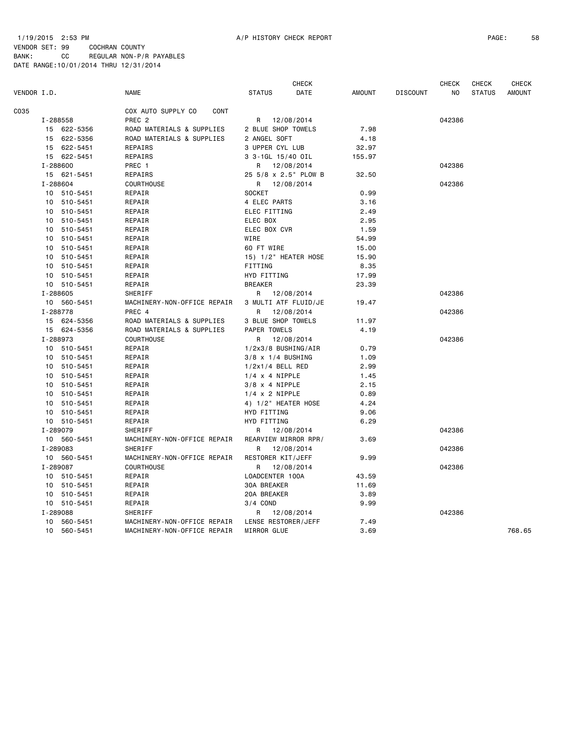## 1/19/2015 2:53 PM A/P HISTORY CHECK REPORT PAGE: 58 VENDOR SET: 99 COCHRAN COUNTY BANK: CC REGULAR NON-P/R PAYABLES DATE RANGE:10/01/2014 THRU 12/31/2014

| VENDOR I.D.<br><b>NAME</b><br><b>STATUS</b><br>DATE<br><b>AMOUNT</b><br><b>DISCOUNT</b><br>NO<br>C035<br>COX AUTO SUPPLY CO<br>CONT<br>PREC <sub>2</sub><br>042386<br>I-288558<br>R<br>12/08/2014<br>15 622-5356<br>ROAD MATERIALS & SUPPLIES<br>2 BLUE SHOP TOWELS<br>7.98<br>15 622-5356<br>ROAD MATERIALS & SUPPLIES<br>2 ANGEL SOFT<br>4.18<br>15 622-5451<br>REPAIRS<br>3 UPPER CYL LUB<br>32.97<br>15 622-5451<br>REPAIRS<br>3 3-1GL 15/40 OIL<br>155.97<br>I-288600<br>PREC 1<br>042386<br>12/08/2014<br>R.<br>15 621-5451<br>25 5/8 x 2.5" PLOW B<br>32.50<br>REPAIRS<br>I-288604<br>COURTHOUSE<br>042386<br>R 12/08/2014 | <b>STATUS</b><br><b>AMOUNT</b> |
|-----------------------------------------------------------------------------------------------------------------------------------------------------------------------------------------------------------------------------------------------------------------------------------------------------------------------------------------------------------------------------------------------------------------------------------------------------------------------------------------------------------------------------------------------------------------------------------------------------------------------------------|--------------------------------|
|                                                                                                                                                                                                                                                                                                                                                                                                                                                                                                                                                                                                                                   |                                |
|                                                                                                                                                                                                                                                                                                                                                                                                                                                                                                                                                                                                                                   |                                |
|                                                                                                                                                                                                                                                                                                                                                                                                                                                                                                                                                                                                                                   |                                |
|                                                                                                                                                                                                                                                                                                                                                                                                                                                                                                                                                                                                                                   |                                |
|                                                                                                                                                                                                                                                                                                                                                                                                                                                                                                                                                                                                                                   |                                |
|                                                                                                                                                                                                                                                                                                                                                                                                                                                                                                                                                                                                                                   |                                |
|                                                                                                                                                                                                                                                                                                                                                                                                                                                                                                                                                                                                                                   |                                |
|                                                                                                                                                                                                                                                                                                                                                                                                                                                                                                                                                                                                                                   |                                |
|                                                                                                                                                                                                                                                                                                                                                                                                                                                                                                                                                                                                                                   |                                |
|                                                                                                                                                                                                                                                                                                                                                                                                                                                                                                                                                                                                                                   |                                |
| 10 510-5451<br>REPAIR<br><b>SOCKET</b><br>0.99                                                                                                                                                                                                                                                                                                                                                                                                                                                                                                                                                                                    |                                |
| 510-5451<br>REPAIR<br>4 ELEC PARTS<br>3.16<br>10                                                                                                                                                                                                                                                                                                                                                                                                                                                                                                                                                                                  |                                |
| 510-5451<br>REPAIR<br>ELEC FITTING<br>2.49<br>10                                                                                                                                                                                                                                                                                                                                                                                                                                                                                                                                                                                  |                                |
| ELEC BOX<br>2.95<br>10<br>510-5451<br>REPAIR                                                                                                                                                                                                                                                                                                                                                                                                                                                                                                                                                                                      |                                |
| 10 510-5451<br>REPAIR<br>ELEC BOX CVR<br>1.59                                                                                                                                                                                                                                                                                                                                                                                                                                                                                                                                                                                     |                                |
| WIRE<br>10<br>510-5451<br>REPAIR<br>54.99                                                                                                                                                                                                                                                                                                                                                                                                                                                                                                                                                                                         |                                |
| 60 FT WIRE<br>10<br>510-5451<br>REPAIR<br>15.00                                                                                                                                                                                                                                                                                                                                                                                                                                                                                                                                                                                   |                                |
| 510-5451<br>REPAIR<br>15) 1/2" HEATER HOSE<br>15.90<br>10                                                                                                                                                                                                                                                                                                                                                                                                                                                                                                                                                                         |                                |
| 10 510-5451<br>FITTING<br>8.35<br>REPAIR                                                                                                                                                                                                                                                                                                                                                                                                                                                                                                                                                                                          |                                |
| 10<br>510-5451<br>REPAIR<br>HYD FITTING<br>17.99                                                                                                                                                                                                                                                                                                                                                                                                                                                                                                                                                                                  |                                |
| 10 510-5451<br><b>BREAKER</b><br>REPAIR<br>23.39                                                                                                                                                                                                                                                                                                                                                                                                                                                                                                                                                                                  |                                |
| SHERIFF<br>I-288605<br>R<br>12/08/2014<br>042386                                                                                                                                                                                                                                                                                                                                                                                                                                                                                                                                                                                  |                                |
| 10 560-5451<br>MACHINERY-NON-OFFICE REPAIR<br>3 MULTI ATF FLUID/JE<br>19.47                                                                                                                                                                                                                                                                                                                                                                                                                                                                                                                                                       |                                |
| I-288778<br>PREC 4<br>12/08/2014<br>042386<br>R                                                                                                                                                                                                                                                                                                                                                                                                                                                                                                                                                                                   |                                |
| 3 BLUE SHOP TOWELS<br>15 624-5356<br>ROAD MATERIALS & SUPPLIES<br>11.97                                                                                                                                                                                                                                                                                                                                                                                                                                                                                                                                                           |                                |
| ROAD MATERIALS & SUPPLIES<br>15 624-5356<br>PAPER TOWELS<br>4.19                                                                                                                                                                                                                                                                                                                                                                                                                                                                                                                                                                  |                                |
| I-288973<br><b>COURTHOUSE</b><br>12/08/2014<br>042386<br>R                                                                                                                                                                                                                                                                                                                                                                                                                                                                                                                                                                        |                                |
| REPAIR<br>1/2x3/8 BUSHING/AIR<br>0.79<br>10 510-5451                                                                                                                                                                                                                                                                                                                                                                                                                                                                                                                                                                              |                                |
| 10 510-5451<br>3/8 x 1/4 BUSHING<br>1.09<br>REPAIR                                                                                                                                                                                                                                                                                                                                                                                                                                                                                                                                                                                |                                |
| 2.99<br>10 510-5451<br>REPAIR<br>1/2x1/4 BELL RED                                                                                                                                                                                                                                                                                                                                                                                                                                                                                                                                                                                 |                                |
| 10 510-5451<br>REPAIR<br>$1/4 \times 4$ NIPPLE<br>1.45                                                                                                                                                                                                                                                                                                                                                                                                                                                                                                                                                                            |                                |
| 10 510-5451<br>REPAIR<br>$3/8 \times 4$ NIPPLE<br>2.15                                                                                                                                                                                                                                                                                                                                                                                                                                                                                                                                                                            |                                |
| 10 510-5451<br>REPAIR<br>$1/4 \times 2$ NIPPLE<br>0.89                                                                                                                                                                                                                                                                                                                                                                                                                                                                                                                                                                            |                                |
| 10 510-5451<br>REPAIR<br>4) 1/2" HEATER HOSE<br>4.24                                                                                                                                                                                                                                                                                                                                                                                                                                                                                                                                                                              |                                |
| 10 510-5451<br>REPAIR<br>HYD FITTING<br>9.06                                                                                                                                                                                                                                                                                                                                                                                                                                                                                                                                                                                      |                                |
| 10 510-5451<br>HYD FITTING<br>6.29<br>REPAIR                                                                                                                                                                                                                                                                                                                                                                                                                                                                                                                                                                                      |                                |
| 042386<br>I-289079<br><b>SHERIFF</b><br>12/08/2014<br>R                                                                                                                                                                                                                                                                                                                                                                                                                                                                                                                                                                           |                                |
| 10 560-5451<br>MACHINERY-NON-OFFICE REPAIR<br>REARVIEW MIRROR RPR/<br>3.69                                                                                                                                                                                                                                                                                                                                                                                                                                                                                                                                                        |                                |
| I-289083<br><b>SHERIFF</b><br>12/08/2014<br>042386<br>R                                                                                                                                                                                                                                                                                                                                                                                                                                                                                                                                                                           |                                |
| 9.99<br>10 560-5451<br>MACHINERY-NON-OFFICE REPAIR<br>RESTORER KIT/JEFF                                                                                                                                                                                                                                                                                                                                                                                                                                                                                                                                                           |                                |
| I-289087<br><b>COURTHOUSE</b><br>042386<br>R<br>12/08/2014                                                                                                                                                                                                                                                                                                                                                                                                                                                                                                                                                                        |                                |
| LOADCENTER 100A<br>43.59<br>10 510-5451<br>REPAIR                                                                                                                                                                                                                                                                                                                                                                                                                                                                                                                                                                                 |                                |
| 30A BREAKER<br>10 510-5451<br>REPAIR<br>11.69                                                                                                                                                                                                                                                                                                                                                                                                                                                                                                                                                                                     |                                |
| 20A BREAKER<br>10 510-5451<br>REPAIR<br>3.89                                                                                                                                                                                                                                                                                                                                                                                                                                                                                                                                                                                      |                                |
| 10 510-5451<br>REPAIR<br>3/4 COND<br>9.99                                                                                                                                                                                                                                                                                                                                                                                                                                                                                                                                                                                         |                                |
| I-289088<br>SHERIFF<br>12/08/2014<br>042386<br>R                                                                                                                                                                                                                                                                                                                                                                                                                                                                                                                                                                                  |                                |
| 10 560-5451<br>MACHINERY-NON-OFFICE REPAIR<br>LENSE RESTORER/JEFF<br>7.49                                                                                                                                                                                                                                                                                                                                                                                                                                                                                                                                                         |                                |
| MACHINERY-NON-OFFICE REPAIR<br><b>MIRROR GLUE</b><br>3.69<br>10 560-5451                                                                                                                                                                                                                                                                                                                                                                                                                                                                                                                                                          | 768.65                         |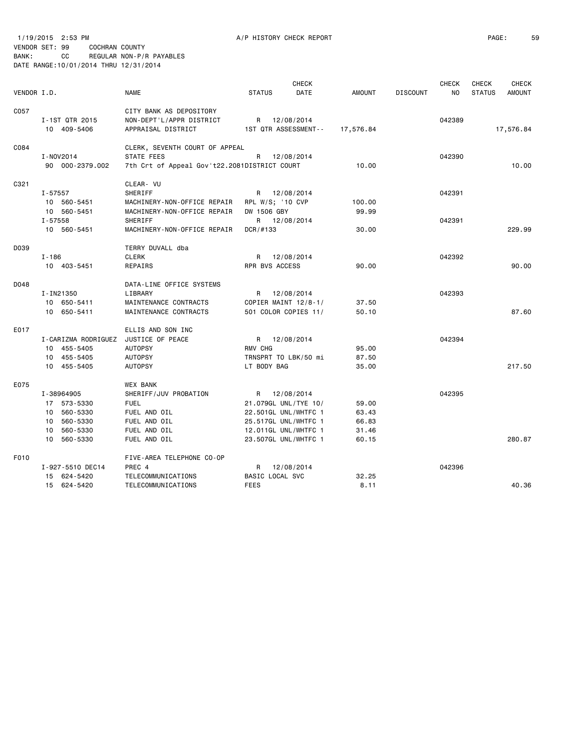|             |                                      |                                              |                      | <b>CHECK</b> |               |                 | <b>CHECK</b>   | <b>CHECK</b>  | <b>CHECK</b>  |
|-------------|--------------------------------------|----------------------------------------------|----------------------|--------------|---------------|-----------------|----------------|---------------|---------------|
| VENDOR I.D. |                                      | <b>NAME</b>                                  | <b>STATUS</b>        | DATE         | <b>AMOUNT</b> | <b>DISCOUNT</b> | N <sub>O</sub> | <b>STATUS</b> | <b>AMOUNT</b> |
| C057        |                                      | CITY BANK AS DEPOSITORY                      |                      |              |               |                 |                |               |               |
|             | I-1ST QTR 2015                       | NON-DEPT'L/APPR DISTRICT                     | R 12/08/2014         |              |               |                 | 042389         |               |               |
|             | 10 409-5406                          | APPRAISAL DISTRICT                           | 1ST QTR ASSESSMENT-- |              | 17,576.84     |                 |                |               | 17,576.84     |
| C084        |                                      | CLERK, SEVENTH COURT OF APPEAL               |                      |              |               |                 |                |               |               |
|             | I-NOV2014                            | STATE FEES                                   | R                    | 12/08/2014   |               |                 | 042390         |               |               |
|             | 90 000-2379.002                      | 7th Crt of Appeal Gov't22.2081DISTRICT COURT |                      |              | 10.00         |                 |                |               | 10.00         |
| C321        |                                      | CLEAR- VU                                    |                      |              |               |                 |                |               |               |
|             | I-57557                              | SHERIFF                                      | R 12/08/2014         |              |               |                 | 042391         |               |               |
|             | 10 560-5451                          | MACHINERY-NON-OFFICE REPAIR                  | RPL W/S; '10 CVP     |              | 100.00        |                 |                |               |               |
|             | 10 560-5451                          | MACHINERY-NON-OFFICE REPAIR                  | DW 1506 GBY          |              | 99.99         |                 |                |               |               |
|             | I-57558                              | SHERIFF                                      | R 12/08/2014         |              |               |                 | 042391         |               |               |
|             | 10 560-5451                          | MACHINERY-NON-OFFICE REPAIR                  | DCR/H133             |              | 30.00         |                 |                |               | 229.99        |
| D039        |                                      | TERRY DUVALL dba                             |                      |              |               |                 |                |               |               |
|             | I-186                                | <b>CLERK</b>                                 | R 12/08/2014         |              |               |                 | 042392         |               |               |
|             | 10 403-5451                          | REPAIRS                                      | RPR BVS ACCESS       |              | 90.00         |                 |                |               | 90.00         |
| D048        |                                      | DATA-LINE OFFICE SYSTEMS                     |                      |              |               |                 |                |               |               |
|             | I-IN21350                            | LIBRARY                                      | R 12/08/2014         |              |               |                 | 042393         |               |               |
|             | 10 650-5411                          | MAINTENANCE CONTRACTS                        | COPIER MAINT 12/8-1/ |              | 37.50         |                 |                |               |               |
|             | 10 650-5411                          | MAINTENANCE CONTRACTS                        | 501 COLOR COPIES 11/ |              | 50.10         |                 |                |               | 87.60         |
| E017        |                                      | ELLIS AND SON INC                            |                      |              |               |                 |                |               |               |
|             | I-CARIZMA RODRIGUEZ JUSTICE OF PEACE |                                              | R 12/08/2014         |              |               |                 | 042394         |               |               |
|             | 10 455-5405                          | <b>AUTOPSY</b>                               | RMV CHG              |              | 95.00         |                 |                |               |               |
|             | 10 455-5405                          | <b>AUTOPSY</b>                               | TRNSPRT TO LBK/50 mi |              | 87.50         |                 |                |               |               |
|             | 10 455-5405                          | <b>AUTOPSY</b>                               | LT BODY BAG          |              | 35.00         |                 |                |               | 217.50        |
| E075        |                                      | <b>WEX BANK</b>                              |                      |              |               |                 |                |               |               |
|             | I-38964905                           | SHERIFF/JUV PROBATION                        | R 12/08/2014         |              |               |                 | 042395         |               |               |
|             | 17 573-5330                          | <b>FUEL</b>                                  | 21.079GL UNL/TYE 10/ |              | 59.00         |                 |                |               |               |
|             | 10 560-5330                          | FUEL AND OIL                                 | 22.501GL UNL/WHTFC 1 |              | 63.43         |                 |                |               |               |
|             | 10 560-5330                          | FUEL AND OIL                                 | 25.517GL UNL/WHTFC 1 |              | 66.83         |                 |                |               |               |
|             | 10 560-5330                          | FUEL AND OIL                                 | 12.011GL UNL/WHTFC 1 |              | 31.46         |                 |                |               |               |
|             | 10 560-5330                          | FUEL AND OIL                                 | 23.507GL UNL/WHTFC 1 |              | 60.15         |                 |                |               | 280.87        |
| F010        |                                      | FIVE-AREA TELEPHONE CO-OP                    |                      |              |               |                 |                |               |               |
|             | I-927-5510 DEC14                     | PREC 4                                       | R                    | 12/08/2014   |               |                 | 042396         |               |               |
|             | 15 624-5420                          | TELECOMMUNICATIONS                           | BASIC LOCAL SVC      |              | 32.25         |                 |                |               |               |
|             | 15 624-5420                          | TELECOMMUNICATIONS                           | <b>FEES</b>          |              | 8.11          |                 |                |               | 40.36         |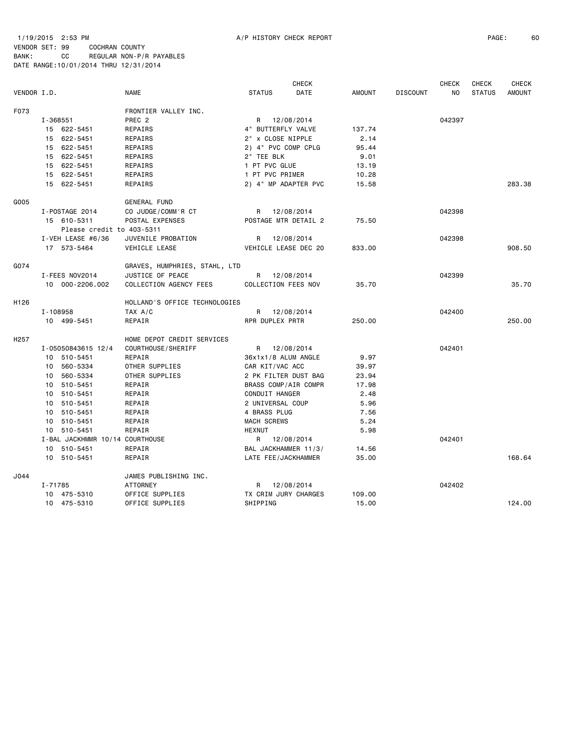## 1/19/2015 2:53 PM A/P HISTORY CHECK REPORT PAGE: 60 VENDOR SET: 99 COCHRAN COUNTY BANK: CC REGULAR NON-P/R PAYABLES DATE RANGE:10/01/2014 THRU 12/31/2014

|                  |                     |                           |                                 |                            | <b>CHECK</b>         |               |                 | <b>CHECK</b>   | <b>CHECK</b>  | <b>CHECK</b>  |
|------------------|---------------------|---------------------------|---------------------------------|----------------------------|----------------------|---------------|-----------------|----------------|---------------|---------------|
| VENDOR I.D.      |                     |                           | <b>NAME</b>                     | <b>STATUS</b>              | DATE                 | <b>AMOUNT</b> | <b>DISCOUNT</b> | N <sub>O</sub> | <b>STATUS</b> | <b>AMOUNT</b> |
| F073             |                     |                           | FRONTIER VALLEY INC.            |                            |                      |               |                 |                |               |               |
|                  | I-368551            |                           | PREC <sub>2</sub>               |                            | R 12/08/2014         |               |                 | 042397         |               |               |
|                  | 15 622-5451         |                           | REPAIRS                         | 4" BUTTERFLY VALVE         |                      | 137.74        |                 |                |               |               |
|                  | 15 622-5451         |                           | REPAIRS                         | 2" x CLOSE NIPPLE          |                      | 2.14          |                 |                |               |               |
|                  | 15 622-5451         |                           | REPAIRS                         | 2) 4" PVC COMP CPLG        |                      | 95.44         |                 |                |               |               |
|                  | 15 622-5451         |                           | REPAIRS                         | 2" TEE BLK                 |                      | 9.01          |                 |                |               |               |
|                  | 15 622-5451         |                           | REPAIRS                         | 1 PT PVC GLUE              |                      | 13.19         |                 |                |               |               |
|                  | 15 622-5451         |                           | REPAIRS                         | 1 PT PVC PRIMER            |                      | 10.28         |                 |                |               |               |
|                  | 15 622-5451         |                           | REPAIRS                         |                            | 2) 4" MP ADAPTER PVC | 15.58         |                 |                |               | 283.38        |
| G005             |                     |                           | GENERAL FUND                    |                            |                      |               |                 |                |               |               |
|                  | I-POSTAGE 2014      |                           | CO JUDGE/COMM'R CT              |                            | R 12/08/2014         |               |                 | 042398         |               |               |
|                  | 15 610-5311         |                           | POSTAL EXPENSES                 |                            | POSTAGE MTR DETAIL 2 | 75.50         |                 |                |               |               |
|                  |                     | Please credit to 403-5311 |                                 |                            |                      |               |                 |                |               |               |
|                  | I-VEH LEASE $#6/36$ |                           | JUVENILE PROBATION              |                            | R 12/08/2014         |               |                 | 042398         |               |               |
|                  | 17 573-5464         |                           | VEHICLE LEASE                   |                            | VEHICLE LEASE DEC 20 | 833.00        |                 |                |               | 908.50        |
| G074             |                     |                           | GRAVES, HUMPHRIES, STAHL, LTD   |                            |                      |               |                 |                |               |               |
|                  | I-FEES NOV2014      |                           | JUSTICE OF PEACE                |                            | R 12/08/2014         |               |                 | 042399         |               |               |
|                  | 10 000-2206.002     |                           | COLLECTION AGENCY FEES          | <b>COLLECTION FEES NOV</b> |                      | 35.70         |                 |                |               | 35.70         |
| H <sub>126</sub> |                     |                           | HOLLAND'S OFFICE TECHNOLOGIES   |                            |                      |               |                 |                |               |               |
|                  | I-108958            |                           | TAX A/C                         |                            | R 12/08/2014         |               |                 | 042400         |               |               |
|                  | 10 499-5451         |                           | REPAIR                          | RPR DUPLEX PRTR            |                      | 250.00        |                 |                |               | 250.00        |
| H <sub>257</sub> |                     |                           | HOME DEPOT CREDIT SERVICES      |                            |                      |               |                 |                |               |               |
|                  | I-05050843615 12/4  |                           | COURTHOUSE/SHERIFF              |                            | R 12/08/2014         |               |                 | 042401         |               |               |
|                  | 10 510-5451         |                           | REPAIR                          | 36x1x1/8 ALUM ANGLE        |                      | 9.97          |                 |                |               |               |
|                  | 10 560-5334         |                           | OTHER SUPPLIES                  | CAR KIT/VAC ACC            |                      | 39.97         |                 |                |               |               |
|                  | 10 560-5334         |                           | OTHER SUPPLIES                  |                            | 2 PK FILTER DUST BAG | 23.94         |                 |                |               |               |
|                  | 10 510-5451         |                           | REPAIR                          |                            | BRASS COMP/AIR COMPR | 17.98         |                 |                |               |               |
|                  | 10 510-5451         |                           | REPAIR                          | CONDUIT HANGER             |                      | 2.48          |                 |                |               |               |
|                  | 10 510-5451         |                           | REPAIR                          | 2 UNIVERSAL COUP           |                      | 5.96          |                 |                |               |               |
|                  | 10 510-5451         |                           | REPAIR                          | 4 BRASS PLUG               |                      | 7.56          |                 |                |               |               |
|                  | 10 510-5451         |                           | REPAIR                          | <b>MACH SCREWS</b>         |                      | 5.24          |                 |                |               |               |
|                  | 10 510-5451         |                           | REPAIR                          | <b>HEXNUT</b>              |                      | 5.98          |                 |                |               |               |
|                  |                     |                           | I-BAL JACKHMMR 10/14 COURTHOUSE |                            | R 12/08/2014         |               |                 | 042401         |               |               |
|                  | 10 510-5451         |                           | REPAIR                          |                            | BAL JACKHAMMER 11/3/ | 14.56         |                 |                |               |               |
|                  | 10 510-5451         |                           | REPAIR                          | LATE FEE/JACKHAMMER        |                      | 35.00         |                 |                |               | 168.64        |
| J044             |                     |                           | JAMES PUBLISHING INC.           |                            |                      |               |                 |                |               |               |
|                  | I-71785             |                           | <b>ATTORNEY</b>                 | R                          | 12/08/2014           |               |                 | 042402         |               |               |
|                  | 10 475-5310         |                           | OFFICE SUPPLIES                 |                            | TX CRIM JURY CHARGES | 109.00        |                 |                |               |               |
|                  | 10 475-5310         |                           | OFFICE SUPPLIES                 | SHIPPING                   |                      | 15.00         |                 |                |               | 124,00        |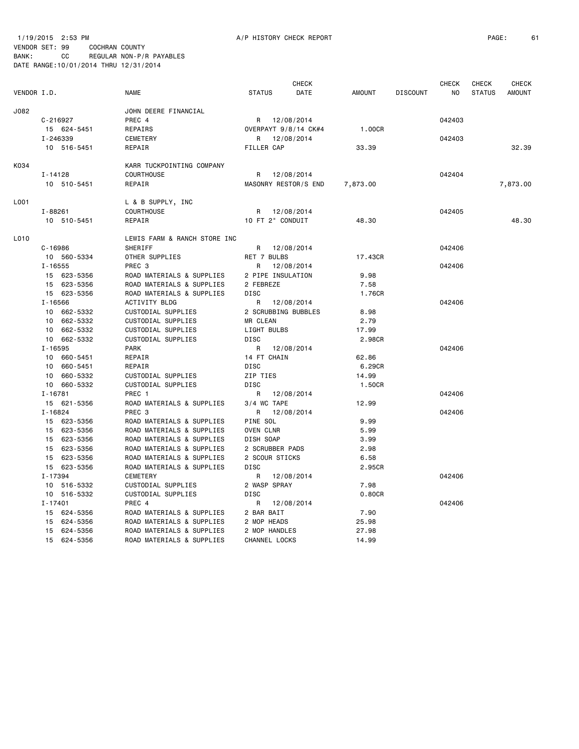VENDOR SET: 99 COCHRAN COUNTY BANK: CC REGULAR NON-P/R PAYABLES

| DATE RANGE: 10/01/2014 THRU 12/31/2014 |  |  |
|----------------------------------------|--|--|
|                                        |  |  |

|             |              |             |                              |                              | <b>CHECK</b>         |          |                 | <b>CHECK</b>   | <b>CHECK</b>  | <b>CHECK</b>  |
|-------------|--------------|-------------|------------------------------|------------------------------|----------------------|----------|-----------------|----------------|---------------|---------------|
| VENDOR I.D. |              |             | <b>NAME</b>                  | <b>STATUS</b>                | DATE                 | AMOUNT   | <b>DISCOUNT</b> | N <sub>O</sub> | <b>STATUS</b> | <b>AMOUNT</b> |
| J082        |              |             | JOHN DEERE FINANCIAL         |                              |                      |          |                 |                |               |               |
|             | $C - 216927$ |             | PREC 4                       |                              | R 12/08/2014         |          |                 | 042403         |               |               |
|             |              | 15 624-5451 | REPAIRS                      |                              | OVERPAYT 9/8/14 CK#4 | 1.00CR   |                 |                |               |               |
|             | I-246339     |             | <b>CEMETERY</b>              |                              | R 12/08/2014         |          |                 | 042403         |               |               |
|             |              | 10 516-5451 | REPAIR                       | <b>FILLER CAP</b>            |                      | 33.39    |                 |                |               | 32.39         |
| K034        |              |             | KARR TUCKPOINTING COMPANY    |                              |                      |          |                 |                |               |               |
|             | $I - 14128$  |             | <b>COURTHOUSE</b>            | R.                           | 12/08/2014           |          |                 | 042404         |               |               |
|             |              | 10 510-5451 | REPAIR                       |                              | MASONRY RESTOR/S END | 7,873.00 |                 |                |               | 7,873.00      |
| L001        |              |             | L & B SUPPLY, INC            |                              |                      |          |                 |                |               |               |
|             | I-88261      |             | COURTHOUSE                   |                              | R 12/08/2014         |          |                 | 042405         |               |               |
|             |              | 10 510-5451 | REPAIR                       | 10 FT 2" CONDUIT             |                      | 48.30    |                 |                |               | 48.30         |
| L010        |              |             | LEWIS FARM & RANCH STORE INC |                              |                      |          |                 |                |               |               |
|             | $C - 16986$  |             | SHERIFF                      |                              | R 12/08/2014         |          |                 | 042406         |               |               |
|             |              | 10 560-5334 | OTHER SUPPLIES               | RET 7 BULBS                  |                      | 17.43CR  |                 |                |               |               |
|             | $I - 16555$  |             | PREC 3                       | R                            | 12/08/2014           |          |                 | 042406         |               |               |
|             |              | 15 623-5356 | ROAD MATERIALS & SUPPLIES    | 2 PIPE INSULATION            |                      | 9.98     |                 |                |               |               |
|             |              | 15 623-5356 | ROAD MATERIALS & SUPPLIES    | 2 FEBREZE                    |                      | 7.58     |                 |                |               |               |
|             |              | 15 623-5356 | ROAD MATERIALS & SUPPLIES    | <b>DISC</b>                  |                      | 1.76CR   |                 |                |               |               |
|             | $I - 16566$  |             | ACTIVITY BLDG                | R                            | 12/08/2014           |          |                 | 042406         |               |               |
|             |              | 10 662-5332 | CUSTODIAL SUPPLIES           |                              | 2 SCRUBBING BUBBLES  | 8.98     |                 |                |               |               |
|             |              | 10 662-5332 | CUSTODIAL SUPPLIES           | MR CLEAN                     |                      | 2.79     |                 |                |               |               |
|             |              | 10 662-5332 | CUSTODIAL SUPPLIES           | LIGHT BULBS                  |                      | 17.99    |                 |                |               |               |
|             |              | 10 662-5332 | CUSTODIAL SUPPLIES           | DISC                         |                      | 2.98CR   |                 |                |               |               |
|             | $I - 16595$  |             | <b>PARK</b>                  | R                            | 12/08/2014           |          |                 | 042406         |               |               |
|             |              | 10 660-5451 | REPAIR                       | 14 FT CHAIN                  |                      | 62.86    |                 |                |               |               |
|             |              | 10 660-5451 | REPAIR                       | <b>DISC</b>                  |                      | 6.29CR   |                 |                |               |               |
|             |              | 10 660-5332 | CUSTODIAL SUPPLIES           | ZIP TIES                     |                      | 14.99    |                 |                |               |               |
|             |              | 10 660-5332 | CUSTODIAL SUPPLIES           | <b>DISC</b>                  |                      | 1.50CR   |                 |                |               |               |
|             | $I - 16781$  |             | PREC 1                       |                              | R 12/08/2014         |          |                 | 042406         |               |               |
|             |              | 15 621-5356 | ROAD MATERIALS & SUPPLIES    | $3/4$ WC TAPE                |                      | 12.99    |                 |                |               |               |
|             | $I - 16824$  |             | PREC <sub>3</sub>            |                              | R 12/08/2014         |          |                 | 042406         |               |               |
|             |              | 15 623-5356 | ROAD MATERIALS & SUPPLIES    | PINE SOL                     |                      | 9.99     |                 |                |               |               |
|             |              | 15 623-5356 | ROAD MATERIALS & SUPPLIES    | OVEN CLNR                    |                      | 5.99     |                 |                |               |               |
|             |              | 15 623-5356 | ROAD MATERIALS & SUPPLIES    | DISH SOAP                    |                      | 3.99     |                 |                |               |               |
|             |              | 15 623-5356 | ROAD MATERIALS & SUPPLIES    | 2 SCRUBBER PADS              |                      | 2.98     |                 |                |               |               |
|             |              | 15 623-5356 | ROAD MATERIALS & SUPPLIES    | 2 SCOUR STICKS               |                      | 6.58     |                 |                |               |               |
|             |              | 15 623-5356 | ROAD MATERIALS & SUPPLIES    | <b>DISC</b>                  |                      | 2.95CR   |                 |                |               |               |
|             | I-17394      |             | CEMETERY                     | R                            | 12/08/2014           |          |                 | 042406         |               |               |
|             |              | 10 516-5332 | CUSTODIAL SUPPLIES           | 2 WASP SPRAY                 |                      | 7.98     |                 |                |               |               |
|             |              | 10 516-5332 | CUSTODIAL SUPPLIES           | <b>DISC</b>                  |                      | 0.80CR   |                 |                |               |               |
|             | $I - 17401$  |             | PREC 4                       | R                            | 12/08/2014           |          |                 | 042406         |               |               |
|             |              | 15 624-5356 | ROAD MATERIALS & SUPPLIES    | 2 BAR BAIT                   |                      | 7.90     |                 |                |               |               |
|             |              | 15 624-5356 | ROAD MATERIALS & SUPPLIES    |                              |                      | 25.98    |                 |                |               |               |
|             |              | 15 624-5356 | ROAD MATERIALS & SUPPLIES    | 2 MOP HEADS<br>2 MOP HANDLES |                      | 27.98    |                 |                |               |               |
|             |              |             |                              |                              |                      |          |                 |                |               |               |
|             |              | 15 624-5356 | ROAD MATERIALS & SUPPLIES    | CHANNEL LOCKS                |                      | 14.99    |                 |                |               |               |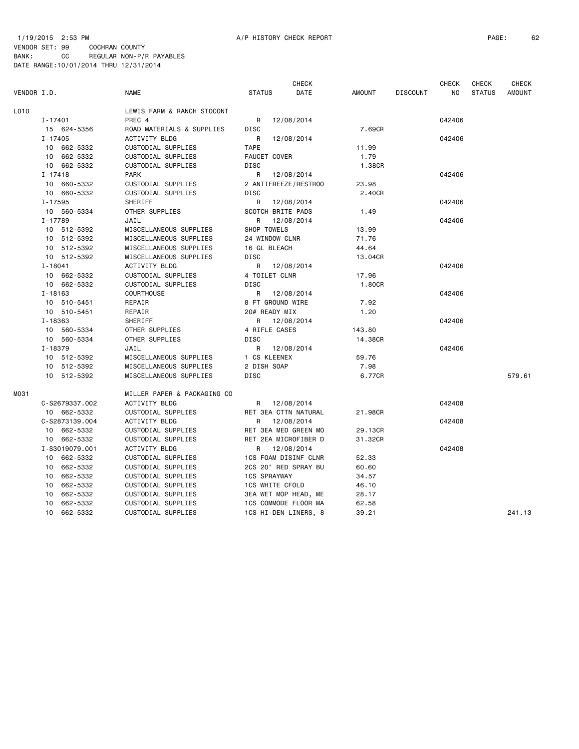## 1/19/2015 2:53 PM A/P HISTORY CHECK REPORT PAGE: 62 VENDOR SET: 99 COCHRAN COUNTY

|             |                |                             |                        | <b>CHECK</b>                |         |                 | <b>CHECK</b>   | <b>CHECK</b>  | <b>CHECK</b>  |
|-------------|----------------|-----------------------------|------------------------|-----------------------------|---------|-----------------|----------------|---------------|---------------|
| VENDOR I.D. |                | <b>NAME</b>                 | <b>STATUS</b>          | DATE                        | AMOUNT  | <b>DISCOUNT</b> | N <sub>O</sub> | <b>STATUS</b> | <b>AMOUNT</b> |
| L010        |                | LEWIS FARM & RANCH STOCONT  |                        |                             |         |                 |                |               |               |
|             | $I - 17401$    | PREC 4                      | R                      | 12/08/2014                  |         |                 | 042406         |               |               |
|             | 15 624-5356    | ROAD MATERIALS & SUPPLIES   | <b>DISC</b>            |                             | 7.69CR  |                 |                |               |               |
|             | I-17405        | <b>ACTIVITY BLDG</b>        | R                      | 12/08/2014                  |         |                 | 042406         |               |               |
|             | 10 662-5332    | CUSTODIAL SUPPLIES          | <b>TAPE</b>            |                             | 11.99   |                 |                |               |               |
|             | 10 662-5332    | CUSTODIAL SUPPLIES          | FAUCET COVER           |                             | 1.79    |                 |                |               |               |
|             | 10 662-5332    | CUSTODIAL SUPPLIES          | <b>DISC</b>            |                             | 1.38CR  |                 |                |               |               |
|             | $I - 17418$    | <b>PARK</b>                 | R                      | 12/08/2014                  |         |                 | 042406         |               |               |
|             | 10 660-5332    | CUSTODIAL SUPPLIES          |                        | 2 ANTIFREEZE/RESTROO        | 23.98   |                 |                |               |               |
|             | 10 660-5332    | CUSTODIAL SUPPLIES          | DISC                   |                             | 2.40CR  |                 |                |               |               |
|             | I-17595        | SHERIFF                     | R                      | 12/08/2014                  |         |                 | 042406         |               |               |
|             | 10 560-5334    | OTHER SUPPLIES              | SCOTCH BRITE PADS      |                             | 1.49    |                 |                |               |               |
|             | I-17789        | JAIL                        | R                      | 12/08/2014                  |         |                 | 042406         |               |               |
|             | 10 512-5392    | MISCELLANEOUS SUPPLIES      | SHOP TOWELS            |                             | 13.99   |                 |                |               |               |
|             | 10 512-5392    | MISCELLANEOUS SUPPLIES      | 24 WINDOW CLNR         |                             | 71.76   |                 |                |               |               |
|             | 10 512-5392    | MISCELLANEOUS SUPPLIES      | 16 GL BLEACH           |                             | 44.64   |                 |                |               |               |
|             | 10 512-5392    | MISCELLANEOUS SUPPLIES      | DISC                   |                             | 13.04CR |                 |                |               |               |
|             | $I - 18041$    | ACTIVITY BLDG               | R                      | 12/08/2014                  |         |                 | 042406         |               |               |
|             | 10 662-5332    | CUSTODIAL SUPPLIES          | 4 TOILET CLNR          |                             | 17.96   |                 |                |               |               |
|             | 10 662-5332    | CUSTODIAL SUPPLIES          | <b>DISC</b>            |                             | 1.80CR  |                 |                |               |               |
|             | $I - 18163$    | <b>COURTHOUSE</b>           | R                      | 12/08/2014                  |         |                 | 042406         |               |               |
|             | 10 510-5451    | REPAIR                      | 8 FT GROUND WIRE       |                             | 7.92    |                 |                |               |               |
|             | 10 510-5451    | REPAIR                      | 20# READY MIX          |                             | 1.20    |                 |                |               |               |
|             | I-18363        | SHERIFF                     | R 12/08/2014           |                             |         |                 | 042406         |               |               |
|             | 10 560-5334    | OTHER SUPPLIES              | 4 RIFLE CASES          |                             | 143.80  |                 |                |               |               |
|             | 10 560-5334    | OTHER SUPPLIES              | DISC                   |                             | 14.38CR |                 |                |               |               |
|             | I-18379        | JAIL                        | R                      | 12/08/2014                  |         |                 | 042406         |               |               |
|             | 10 512-5392    | MISCELLANEOUS SUPPLIES      | 1 CS KLEENEX           |                             | 59.76   |                 |                |               |               |
|             | 10 512-5392    | MISCELLANEOUS SUPPLIES      | 2 DISH SOAP            |                             | 7.98    |                 |                |               |               |
|             | 10 512-5392    | MISCELLANEOUS SUPPLIES      | DISC                   |                             | 6.77CR  |                 |                |               | 579.61        |
| M031        |                | MILLER PAPER & PACKAGING CO |                        |                             |         |                 |                |               |               |
|             | C-S2679337.002 | ACTIVITY BLDG               | R 12/08/2014           |                             |         |                 | 042408         |               |               |
|             | 10 662-5332    | CUSTODIAL SUPPLIES          | RET 3EA CTTN NATURAL   |                             | 21.98CR |                 |                |               |               |
|             | C-S2873139.004 | <b>ACTIVITY BLDG</b>        | R                      | 12/08/2014                  |         |                 | 042408         |               |               |
|             | 10 662-5332    | CUSTODIAL SUPPLIES          |                        | RET 3EA MED GREEN MO        | 29.13CR |                 |                |               |               |
|             | 10 662-5332    | CUSTODIAL SUPPLIES          | RET 2EA MICROFIBER D   |                             | 31.32CR |                 |                |               |               |
|             | I-S3019079.001 | <b>ACTIVITY BLDG</b>        | R                      | 12/08/2014                  |         |                 | 042408         |               |               |
|             | 10 662-5332    | CUSTODIAL SUPPLIES          |                        | <b>1CS FOAM DISINF CLNR</b> | 52.33   |                 |                |               |               |
|             | 10 662-5332    | CUSTODIAL SUPPLIES          | 2CS 20" RED SPRAY BU   |                             | 60.60   |                 |                |               |               |
|             | 10 662-5332    | CUSTODIAL SUPPLIES          | <b>1CS SPRAYWAY</b>    |                             | 34.57   |                 |                |               |               |
|             | 10 662-5332    | CUSTODIAL SUPPLIES          | <b>1CS WHITE CFOLD</b> |                             | 46.10   |                 |                |               |               |
|             | 10 662-5332    | CUSTODIAL SUPPLIES          |                        | 3EA WET MOP HEAD, ME        | 28.17   |                 |                |               |               |
|             | 10 662-5332    | CUSTODIAL SUPPLIES          | 1CS COMMODE FLOOR MA   |                             | 62.58   |                 |                |               |               |
|             | 10 662-5332    | CUSTODIAL SUPPLIES          |                        | 1CS HI-DEN LINERS, 8        | 39.21   |                 |                |               | 241.13        |
|             |                |                             |                        |                             |         |                 |                |               |               |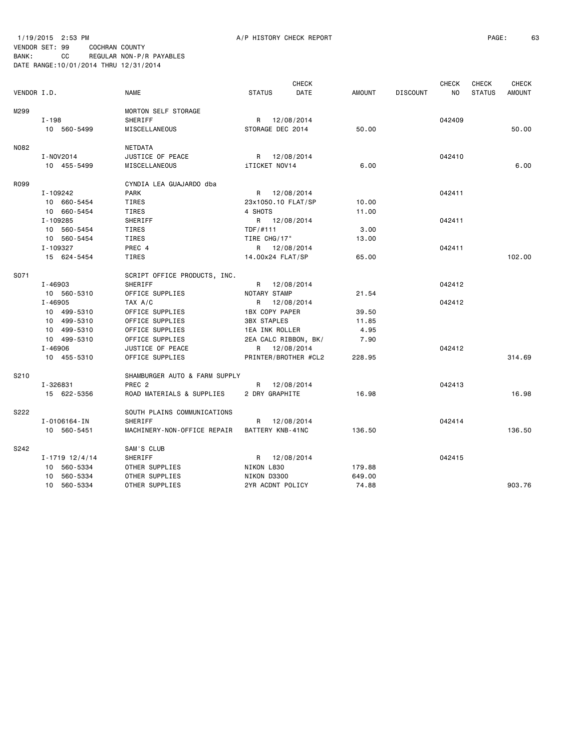1/19/2015 2:53 PM A/P HISTORY CHECK REPORT PAGE: 63 VENDOR SET: 99 COCHRAN COUNTY BANK: CC REGULAR NON-P/R PAYABLES DATE RANGE:10/01/2014 THRU 12/31/2014

|             |                      |                               |                       | <b>CHECK</b> |               |                 | <b>CHECK</b> | CHECK         | <b>CHECK</b>  |
|-------------|----------------------|-------------------------------|-----------------------|--------------|---------------|-----------------|--------------|---------------|---------------|
| VENDOR I.D. |                      | <b>NAME</b>                   | <b>STATUS</b>         | DATE         | <b>AMOUNT</b> | <b>DISCOUNT</b> | NO.          | <b>STATUS</b> | <b>AMOUNT</b> |
| M299        |                      | MORTON SELF STORAGE           |                       |              |               |                 |              |               |               |
|             | I-198                | SHERIFF                       | R                     | 12/08/2014   |               |                 | 042409       |               |               |
|             | 10 560-5499          | MISCELLANEOUS                 | STORAGE DEC 2014      |              | 50.00         |                 |              |               | 50.00         |
| N082        |                      | <b>NETDATA</b>                |                       |              |               |                 |              |               |               |
|             | I-NOV2014            | JUSTICE OF PEACE              | R 12/08/2014          |              |               |                 | 042410       |               |               |
|             | 10 455-5499          | MISCELLANEOUS                 | iTICKET NOV14         |              | 6.00          |                 |              |               | 6.00          |
| R099        |                      | CYNDIA LEA GUAJARDO dba       |                       |              |               |                 |              |               |               |
|             | I-109242             | <b>PARK</b>                   | R 12/08/2014          |              |               |                 | 042411       |               |               |
|             | 10 660-5454          | TIRES                         | 23x1050.10 FLAT/SP    |              | 10.00         |                 |              |               |               |
|             | 10 660-5454          | TIRES                         | 4 SHOTS               |              | 11.00         |                 |              |               |               |
|             | I-109285             | SHERIFF                       | R 12/08/2014          |              |               |                 | 042411       |               |               |
|             | 10 560-5454          | TIRES                         | TDF/#111              |              | 3,00          |                 |              |               |               |
|             | 10 560-5454          | TIRES                         | TIRE CHG/17"          |              | 13.00         |                 |              |               |               |
|             | I-109327             | PREC 4                        | R 12/08/2014          |              |               |                 | 042411       |               |               |
|             | 15 624-5454          | TIRES                         | 14.00x24 FLAT/SP      |              | 65.00         |                 |              |               | 102.00        |
| S071        |                      | SCRIPT OFFICE PRODUCTS, INC.  |                       |              |               |                 |              |               |               |
|             | I-46903              | SHERIFF                       | R 12/08/2014          |              |               |                 | 042412       |               |               |
|             | 10 560-5310          | OFFICE SUPPLIES               | NOTARY STAMP          |              | 21.54         |                 |              |               |               |
|             | $I - 46905$          | TAX A/C                       | R                     | 12/08/2014   |               |                 | 042412       |               |               |
|             | 10 499-5310          | OFFICE SUPPLIES               | 1BX COPY PAPER        |              | 39.50         |                 |              |               |               |
|             | 10 499-5310          | OFFICE SUPPLIES               | <b>3BX STAPLES</b>    |              | 11.85         |                 |              |               |               |
|             | 10 499-5310          | OFFICE SUPPLIES               | <b>1EA INK ROLLER</b> |              | 4.95          |                 |              |               |               |
|             | 10 499-5310          | OFFICE SUPPLIES               | 2EA CALC RIBBON, BK/  |              | 7.90          |                 |              |               |               |
|             | $I - 46906$          | JUSTICE OF PEACE              | R 12/08/2014          |              |               |                 | 042412       |               |               |
|             | 10 455-5310          | OFFICE SUPPLIES               | PRINTER/BROTHER #CL2  |              | 228.95        |                 |              |               | 314.69        |
| S210        |                      | SHAMBURGER AUTO & FARM SUPPLY |                       |              |               |                 |              |               |               |
|             | I-326831             | PREC <sub>2</sub>             | R                     | 12/08/2014   |               |                 | 042413       |               |               |
|             | 15 622-5356          | ROAD MATERIALS & SUPPLIES     | 2 DRY GRAPHITE        |              | 16.98         |                 |              |               | 16.98         |
| S222        |                      | SOUTH PLAINS COMMUNICATIONS   |                       |              |               |                 |              |               |               |
|             | I-0106164-IN         | <b>SHERIFF</b>                | R                     | 12/08/2014   |               |                 | 042414       |               |               |
|             | 10 560-5451          | MACHINERY-NON-OFFICE REPAIR   | BATTERY KNB-41NC      |              | 136.50        |                 |              |               | 136.50        |
| S242        |                      | SAM'S CLUB                    |                       |              |               |                 |              |               |               |
|             | $I - 1719$ $12/4/14$ | SHERIFF                       | R                     | 12/08/2014   |               |                 | 042415       |               |               |
|             | 10 560-5334          | OTHER SUPPLIES                | NIKON L830            |              | 179.88        |                 |              |               |               |
|             | 560-5334<br>10       | OTHER SUPPLIES                | NIKON D3300           |              | 649.00        |                 |              |               |               |
|             | 10 560-5334          | OTHER SUPPLIES                | 2YR ACDNT POLICY      |              | 74.88         |                 |              |               | 903.76        |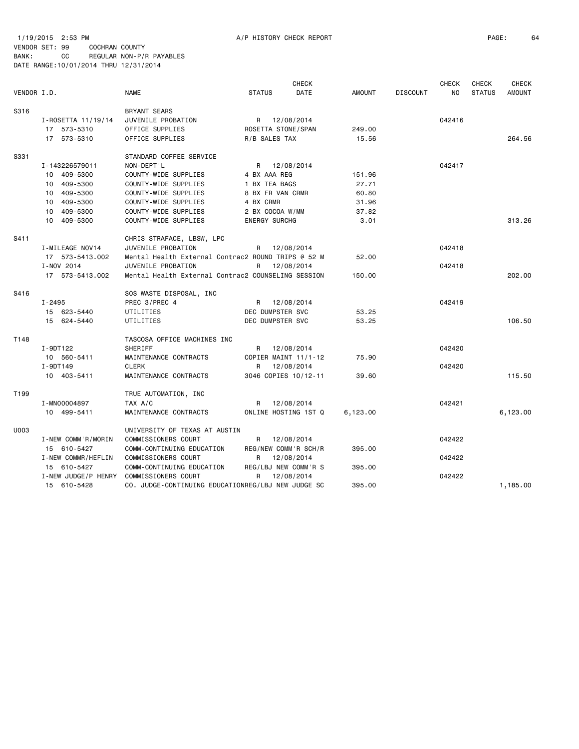1/19/2015 2:53 PM A/P HISTORY CHECK REPORT PAGE: 64 VENDOR SET: 99 COCHRAN COUNTY

|                  |                     |                                                    |                         | <b>CHECK</b> |               |                 | <b>CHECK</b>   | <b>CHECK</b>  | <b>CHECK</b>  |
|------------------|---------------------|----------------------------------------------------|-------------------------|--------------|---------------|-----------------|----------------|---------------|---------------|
| VENDOR I.D.      |                     | <b>NAME</b>                                        | <b>STATUS</b>           | DATE         | <b>AMOUNT</b> | <b>DISCOUNT</b> | N <sub>0</sub> | <b>STATUS</b> | <b>AMOUNT</b> |
| S316             |                     | <b>BRYANT SEARS</b>                                |                         |              |               |                 |                |               |               |
|                  | I-ROSETTA 11/19/14  | JUVENILE PROBATION                                 | R 12/08/2014            |              |               |                 | 042416         |               |               |
|                  | 17 573-5310         | OFFICE SUPPLIES                                    | ROSETTA STONE/SPAN      |              | 249.00        |                 |                |               |               |
|                  | 17 573-5310         | OFFICE SUPPLIES                                    | R/B SALES TAX           |              | 15.56         |                 |                |               | 264.56        |
| S331             |                     | STANDARD COFFEE SERVICE                            |                         |              |               |                 |                |               |               |
|                  | I-143226579011      | NON-DEPT'L                                         | R 12/08/2014            |              |               |                 | 042417         |               |               |
|                  | 10 409-5300         | COUNTY-WIDE SUPPLIES                               | 4 BX AAA REG            |              | 151.96        |                 |                |               |               |
|                  | 10 409-5300         | COUNTY-WIDE SUPPLIES                               | 1 BX TEA BAGS           |              | 27.71         |                 |                |               |               |
|                  | 10 409-5300         | COUNTY-WIDE SUPPLIES                               | 8 BX FR VAN CRMR        |              | 60.80         |                 |                |               |               |
|                  | 10 409-5300         | COUNTY-WIDE SUPPLIES                               | 4 BX CRMR               |              | 31.96         |                 |                |               |               |
|                  | 10 409-5300         | COUNTY-WIDE SUPPLIES                               | 2 BX COCOA W/MM         |              | 37.82         |                 |                |               |               |
|                  | 10 409-5300         | COUNTY-WIDE SUPPLIES                               | <b>ENERGY SURCHG</b>    |              | 3.01          |                 |                |               | 313.26        |
| S411             |                     | CHRIS STRAFACE, LBSW, LPC                          |                         |              |               |                 |                |               |               |
|                  | I-MILEAGE NOV14     | JUVENILE PROBATION                                 | R 12/08/2014            |              |               |                 | 042418         |               |               |
|                  | 17 573-5413.002     | Mental Health External Contrac2 ROUND TRIPS @ 52 M |                         |              | 52.00         |                 |                |               |               |
|                  | I-NOV 2014          | JUVENILE PROBATION                                 | R                       | 12/08/2014   |               |                 | 042418         |               |               |
|                  | 17 573-5413.002     | Mental Health External Contrac2 COUNSELING SESSION |                         |              | 150.00        |                 |                |               | 202.00        |
| S416             |                     | SOS WASTE DISPOSAL, INC                            |                         |              |               |                 |                |               |               |
|                  | I-2495              | PREC 3/PREC 4                                      | R 12/08/2014            |              |               |                 | 042419         |               |               |
|                  | 15 623-5440         | UTILITIES                                          | DEC DUMPSTER SVC        |              | 53.25         |                 |                |               |               |
|                  | 15 624-5440         | UTILITIES                                          | <b>DEC DUMPSTER SVC</b> |              | 53.25         |                 |                |               | 106.50        |
| T148             |                     | TASCOSA OFFICE MACHINES INC                        |                         |              |               |                 |                |               |               |
|                  | I-9DT122            | <b>SHERIFF</b>                                     | R 12/08/2014            |              |               |                 | 042420         |               |               |
|                  | 10 560-5411         | MAINTENANCE CONTRACTS                              | COPIER MAINT 11/1-12    |              | 75.90         |                 |                |               |               |
|                  | I-9DT149            | CLERK                                              | R                       | 12/08/2014   |               |                 | 042420         |               |               |
|                  | 10 403-5411         | MAINTENANCE CONTRACTS                              | 3046 COPIES 10/12-11    |              | 39.60         |                 |                |               | 115.50        |
| T <sub>199</sub> |                     | TRUE AUTOMATION, INC                               |                         |              |               |                 |                |               |               |
|                  | I-MN00004897        | TAX A/C                                            | R 12/08/2014            |              |               |                 | 042421         |               |               |
|                  | 10 499-5411         | MAINTENANCE CONTRACTS                              | ONLINE HOSTING 1ST Q    |              | 6,123.00      |                 |                |               | 6,123.00      |
| U003             |                     | UNIVERSITY OF TEXAS AT AUSTIN                      |                         |              |               |                 |                |               |               |
|                  | I-NEW COMM'R/MORIN  | COMMISSIONERS COURT                                | R 12/08/2014            |              |               |                 | 042422         |               |               |
|                  | 15 610-5427         | COMM-CONTINUING EDUCATION                          | REG/NEW COMM'R SCH/R    |              | 395.00        |                 |                |               |               |
|                  | I-NEW COMMR/HEFLIN  | COMMISSIONERS COURT                                | R                       | 12/08/2014   |               |                 | 042422         |               |               |
|                  | 15 610-5427         | COMM-CONTINUING EDUCATION                          | REG/LBJ NEW COMM'R S    |              | 395.00        |                 |                |               |               |
|                  | I-NEW JUDGE/P HENRY | COMMISSIONERS COURT                                | R                       | 12/08/2014   |               |                 | 042422         |               |               |
|                  | 15 610-5428         | CO. JUDGE-CONTINUING EDUCATIONREG/LBJ NEW JUDGE SC |                         |              | 395.00        |                 |                |               | 1,185.00      |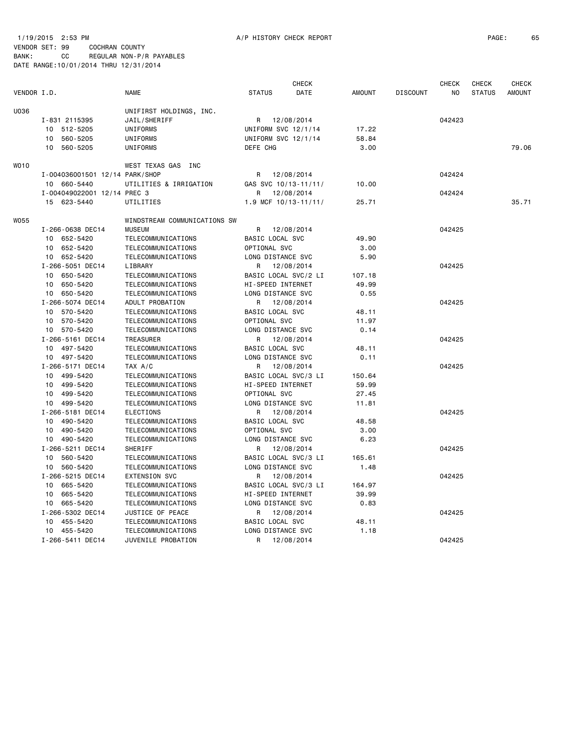## 1/19/2015 2:53 PM **A/P HISTORY CHECK REPORT A** and the contract of the contract of the contract of the contract of the contract of the contract of the contract of the contract of the contract of the contract of the contr

|             |                                |                              |                          | <b>CHECK</b> |               |                 | <b>CHECK</b> | <b>CHECK</b>  | <b>CHECK</b>  |
|-------------|--------------------------------|------------------------------|--------------------------|--------------|---------------|-----------------|--------------|---------------|---------------|
| VENDOR I.D. |                                | <b>NAME</b>                  | <b>STATUS</b>            | DATE         | <b>AMOUNT</b> | <b>DISCOUNT</b> | NO           | <b>STATUS</b> | <b>AMOUNT</b> |
| U036        |                                | UNIFIRST HOLDINGS, INC.      |                          |              |               |                 |              |               |               |
|             | I-831 2115395                  | JAIL/SHERIFF                 | R                        | 12/08/2014   |               |                 | 042423       |               |               |
|             | 10 512-5205                    | UNIFORMS                     | UNIFORM SVC 12/1/14      |              | 17.22         |                 |              |               |               |
|             | 560-5205<br>10                 | UNIFORMS                     | UNIFORM SVC 12/1/14      |              | 58.84         |                 |              |               |               |
|             | 560-5205<br>10                 | UNIFORMS                     | DEFE CHG                 |              | 3.00          |                 |              |               | 79.06         |
| WO10        |                                | WEST TEXAS GAS INC           |                          |              |               |                 |              |               |               |
|             | I-004036001501 12/14 PARK/SHOP |                              | R.                       | 12/08/2014   |               |                 | 042424       |               |               |
|             | 10 660-5440                    | UTILITIES & IRRIGATION       | GAS SVC 10/13-11/11/     |              | 10.00         |                 |              |               |               |
|             | I-004049022001 12/14 PREC 3    |                              | R                        | 12/08/2014   |               |                 | 042424       |               |               |
|             | 15 623-5440                    | UTILITIES                    | 1.9 MCF $10/13 - 11/11/$ |              | 25.71         |                 |              |               | 35.71         |
| W055        |                                | WINDSTREAM COMMUNICATIONS SW |                          |              |               |                 |              |               |               |
|             | I-266-0638 DEC14               | <b>MUSEUM</b>                | R.                       | 12/08/2014   |               |                 | 042425       |               |               |
|             | 10 652-5420                    | TELECOMMUNICATIONS           | BASIC LOCAL SVC          |              | 49.90         |                 |              |               |               |
|             | 10 652-5420                    | TELECOMMUNICATIONS           | OPTIONAL SVC             |              | 3.00          |                 |              |               |               |
|             | 10 652-5420                    | TELECOMMUNICATIONS           | LONG DISTANCE SVC        |              | 5.90          |                 |              |               |               |
|             | I-266-5051 DEC14               | LIBRARY                      | R.                       | 12/08/2014   |               |                 | 042425       |               |               |
|             | 10 650-5420                    | TELECOMMUNICATIONS           | BASIC LOCAL SVC/2 LI     |              | 107.18        |                 |              |               |               |
|             | 10 650-5420                    | TELECOMMUNICATIONS           | HI-SPEED INTERNET        |              | 49.99         |                 |              |               |               |
|             | 10 650-5420                    | TELECOMMUNICATIONS           | LONG DISTANCE SVC        |              | 0.55          |                 |              |               |               |
|             | I-266-5074 DEC14               | ADULT PROBATION              | R                        | 12/08/2014   |               |                 | 042425       |               |               |
|             | 10 570-5420                    | TELECOMMUNICATIONS           | BASIC LOCAL SVC          |              | 48.11         |                 |              |               |               |
|             | 10 570-5420                    | TELECOMMUNICATIONS           | OPTIONAL SVC             |              | 11.97         |                 |              |               |               |
|             | 10 570-5420                    | TELECOMMUNICATIONS           | LONG DISTANCE SVC        |              | 0.14          |                 |              |               |               |
|             | I-266-5161 DEC14               | TREASURER                    | R                        | 12/08/2014   |               |                 | 042425       |               |               |
|             | 10 497-5420                    | TELECOMMUNICATIONS           | BASIC LOCAL SVC          |              | 48.11         |                 |              |               |               |
|             | 10 497-5420                    | TELECOMMUNICATIONS           | LONG DISTANCE SVC        |              | 0.11          |                 |              |               |               |
|             | I-266-5171 DEC14               | TAX A/C                      | R                        | 12/08/2014   |               |                 | 042425       |               |               |
|             | 10 499-5420                    | TELECOMMUNICATIONS           | BASIC LOCAL SVC/3 LI     |              | 150.64        |                 |              |               |               |
|             | 10 499-5420                    | TELECOMMUNICATIONS           | HI-SPEED INTERNET        |              | 59.99         |                 |              |               |               |
|             | 10 499-5420                    | TELECOMMUNICATIONS           | OPTIONAL SVC             |              | 27.45         |                 |              |               |               |
|             | 10 499-5420                    | TELECOMMUNICATIONS           | LONG DISTANCE SVC        |              | 11.81         |                 |              |               |               |
|             | I-266-5181 DEC14               | <b>ELECTIONS</b>             | R                        | 12/08/2014   |               |                 | 042425       |               |               |
|             | 10 490-5420                    | TELECOMMUNICATIONS           | BASIC LOCAL SVC          |              | 48.58         |                 |              |               |               |
|             | 10 490-5420                    | TELECOMMUNICATIONS           | OPTIONAL SVC             |              | 3.00          |                 |              |               |               |
|             | 10 490-5420                    | TELECOMMUNICATIONS           | LONG DISTANCE SVC        |              | 6.23          |                 |              |               |               |
|             | I-266-5211 DEC14               | SHERIFF                      | R                        | 12/08/2014   |               |                 | 042425       |               |               |
|             | 10 560-5420                    | TELECOMMUNICATIONS           | BASIC LOCAL SVC/3 LI     |              | 165.61        |                 |              |               |               |
|             | 10 560-5420                    | TELECOMMUNICATIONS           | LONG DISTANCE SVC        |              | 1.48          |                 |              |               |               |
|             | I-266-5215 DEC14               | <b>EXTENSION SVC</b>         | R                        | 12/08/2014   |               |                 | 042425       |               |               |
|             | 10 665-5420                    | TELECOMMUNICATIONS           | BASIC LOCAL SVC/3 LI     |              | 164.97        |                 |              |               |               |
|             | 10 665-5420                    | TELECOMMUNICATIONS           | HI-SPEED INTERNET        |              | 39.99         |                 |              |               |               |
|             | 10 665-5420                    | TELECOMMUNICATIONS           | LONG DISTANCE SVC        |              | 0.83          |                 |              |               |               |
|             | I-266-5302 DEC14               | JUSTICE OF PEACE             | R                        | 12/08/2014   |               |                 | 042425       |               |               |
|             | 10 455-5420                    | TELECOMMUNICATIONS           | BASIC LOCAL SVC          |              | 48.11         |                 |              |               |               |
|             | 10 455-5420                    | TELECOMMUNICATIONS           | LONG DISTANCE SVC        |              | 1.18          |                 |              |               |               |
|             | I-266-5411 DEC14               | JUVENILE PROBATION           | R                        | 12/08/2014   |               |                 | 042425       |               |               |
|             |                                |                              |                          |              |               |                 |              |               |               |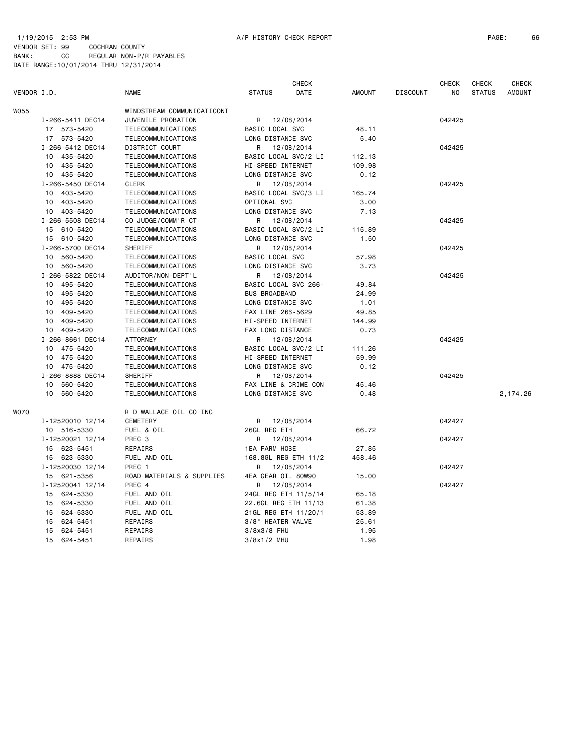|             |                  |                            |                          | <b>CHECK</b> |               |                 | <b>CHECK</b> | CHECK         | <b>CHECK</b>  |
|-------------|------------------|----------------------------|--------------------------|--------------|---------------|-----------------|--------------|---------------|---------------|
| VENDOR I.D. |                  | NAME                       | <b>STATUS</b>            | DATE         | <b>AMOUNT</b> | <b>DISCOUNT</b> | ΝO           | <b>STATUS</b> | <b>AMOUNT</b> |
| W055        |                  | WINDSTREAM COMMUNICATICONT |                          |              |               |                 |              |               |               |
|             | I-266-5411 DEC14 | JUVENILE PROBATION         | R                        | 12/08/2014   |               |                 | 042425       |               |               |
|             | 17 573-5420      | TELECOMMUNICATIONS         | BASIC LOCAL SVC          |              | 48.11         |                 |              |               |               |
|             | 17 573-5420      | TELECOMMUNICATIONS         | LONG DISTANCE SVC        |              | 5.40          |                 |              |               |               |
|             | I-266-5412 DEC14 | DISTRICT COURT             | R                        | 12/08/2014   |               |                 | 042425       |               |               |
|             | 10 435-5420      | TELECOMMUNICATIONS         | BASIC LOCAL SVC/2 LI     |              | 112.13        |                 |              |               |               |
|             | 435-5420<br>10   | TELECOMMUNICATIONS         | HI-SPEED INTERNET        |              | 109.98        |                 |              |               |               |
|             | 10 435-5420      | TELECOMMUNICATIONS         | LONG DISTANCE SVC        |              | 0.12          |                 |              |               |               |
|             | I-266-5450 DEC14 | <b>CLERK</b>               | R                        | 12/08/2014   |               |                 | 042425       |               |               |
|             | 10 403-5420      | TELECOMMUNICATIONS         | BASIC LOCAL SVC/3 LI     |              | 165.74        |                 |              |               |               |
|             | 10 403-5420      | TELECOMMUNICATIONS         | OPTIONAL SVC             |              | 3.00          |                 |              |               |               |
|             | 10 403-5420      | TELECOMMUNICATIONS         | LONG DISTANCE SVC        |              | 7.13          |                 |              |               |               |
|             | I-266-5508 DEC14 |                            |                          |              |               |                 | 042425       |               |               |
|             |                  | CO JUDGE/COMM'R CT         | R                        | 12/08/2014   |               |                 |              |               |               |
|             | 15 610-5420      | TELECOMMUNICATIONS         | BASIC LOCAL SVC/2 LI     |              | 115.89        |                 |              |               |               |
|             | 15 610-5420      | TELECOMMUNICATIONS         | LONG DISTANCE SVC        |              | 1.50          |                 |              |               |               |
|             | I-266-5700 DEC14 | SHERIFF                    | R                        | 12/08/2014   |               |                 | 042425       |               |               |
|             | 10 560-5420      | TELECOMMUNICATIONS         | BASIC LOCAL SVC          |              | 57.98         |                 |              |               |               |
|             | 10 560-5420      | TELECOMMUNICATIONS         | LONG DISTANCE SVC        |              | 3.73          |                 |              |               |               |
|             | I-266-5822 DEC14 | AUDITOR/NON-DEPT'L         | R                        | 12/08/2014   |               |                 | 042425       |               |               |
|             | 10 495-5420      | TELECOMMUNICATIONS         | BASIC LOCAL SVC 266-     |              | 49.84         |                 |              |               |               |
|             | 10 495-5420      | TELECOMMUNICATIONS         | <b>BUS BROADBAND</b>     |              | 24.99         |                 |              |               |               |
|             | 10 495-5420      | TELECOMMUNICATIONS         | LONG DISTANCE SVC        |              | 1.01          |                 |              |               |               |
|             | 10 409-5420      | TELECOMMUNICATIONS         | FAX LINE 266-5629        |              | 49.85         |                 |              |               |               |
|             | 10 409-5420      | TELECOMMUNICATIONS         | <b>HI-SPEED INTERNET</b> |              | 144.99        |                 |              |               |               |
|             | 10 409-5420      | TELECOMMUNICATIONS         | FAX LONG DISTANCE        |              | 0.73          |                 |              |               |               |
|             | I-266-8661 DEC14 | <b>ATTORNEY</b>            | R                        | 12/08/2014   |               |                 | 042425       |               |               |
|             | 10 475-5420      | TELECOMMUNICATIONS         | BASIC LOCAL SVC/2 LI     |              | 111.26        |                 |              |               |               |
|             | 10 475-5420      | TELECOMMUNICATIONS         | HI-SPEED INTERNET        |              | 59.99         |                 |              |               |               |
|             | 10 475-5420      | TELECOMMUNICATIONS         | LONG DISTANCE SVC        |              | 0.12          |                 |              |               |               |
|             | I-266-8888 DEC14 | SHERIFF                    | R                        | 12/08/2014   |               |                 | 042425       |               |               |
|             | 10 560-5420      | TELECOMMUNICATIONS         | FAX LINE & CRIME CON     |              | 45.46         |                 |              |               |               |
|             | 10<br>560-5420   | TELECOMMUNICATIONS         | LONG DISTANCE SVC        |              | 0.48          |                 |              |               | 2,174.26      |
| WO70        |                  | R D WALLACE OIL CO INC     |                          |              |               |                 |              |               |               |
|             | I-12520010 12/14 | CEMETERY                   | R                        | 12/08/2014   |               |                 | 042427       |               |               |
|             | 10 516-5330      | FUEL & OIL                 | 26GL REG ETH             |              | 66.72         |                 |              |               |               |
|             | I-12520021 12/14 | PREC 3                     | R                        | 12/08/2014   |               |                 | 042427       |               |               |
|             | 15 623-5451      | REPAIRS                    | <b>1EA FARM HOSE</b>     |              | 27.85         |                 |              |               |               |
|             | 15 623-5330      | FUEL AND OIL               | 168.8GL REG ETH 11/2     |              | 458.46        |                 |              |               |               |
|             | I-12520030 12/14 | PREC 1                     | R                        | 12/08/2014   |               |                 | 042427       |               |               |
|             | 15 621-5356      | ROAD MATERIALS & SUPPLIES  | 4EA GEAR OIL 80W90       |              | 15.00         |                 |              |               |               |
|             | I-12520041 12/14 | PREC 4                     | R                        | 12/08/2014   |               |                 | 042427       |               |               |
|             | 15 624-5330      | FUEL AND OIL               | 24GL REG ETH 11/5/14     |              | 65.18         |                 |              |               |               |
|             | 15 624-5330      | FUEL AND OIL               | 22.6GL REG ETH 11/13     |              | 61.38         |                 |              |               |               |
|             | 15 624-5330      | FUEL AND OIL               | 21GL REG ETH 11/20/1     |              | 53.89         |                 |              |               |               |
|             | 15<br>624-5451   | REPAIRS                    | 3/8" HEATER VALVE        |              | 25.61         |                 |              |               |               |
|             | 624-5451<br>15   | REPAIRS                    | $3/8x3/8$ FHU            |              | 1.95          |                 |              |               |               |
|             |                  |                            |                          |              | 1.98          |                 |              |               |               |
|             | 15 624-5451      | REPAIRS                    | $3/8x1/2$ MHU            |              |               |                 |              |               |               |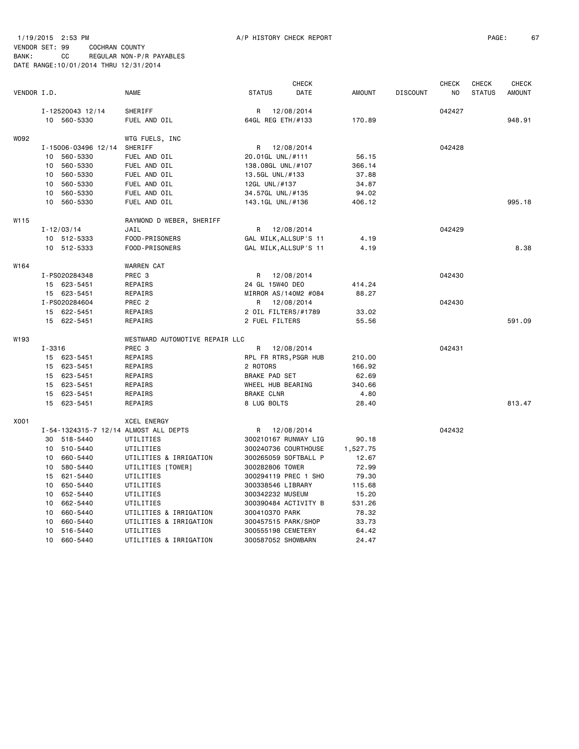#### 1/19/2015 2:53 PM A/P HISTORY CHECK REPORT PAGE: 67 VENDOR SET: 99 COCHRAN COUNTY BANK: CC REGULAR NON-P/R PAYABLES DATE RANGE:10/01/2014 THRU 12/31/2014

| VENDOR I.D.      |        |                     | <b>NAME</b>                           | <b>STATUS</b>     | <b>CHECK</b><br>DATE  | <b>AMOUNT</b> | <b>DISCOUNT</b> | <b>CHECK</b><br>NO | CHECK<br><b>STATUS</b> | <b>CHECK</b><br><b>AMOUNT</b> |
|------------------|--------|---------------------|---------------------------------------|-------------------|-----------------------|---------------|-----------------|--------------------|------------------------|-------------------------------|
|                  |        | I-12520043 12/14    | SHERIFF                               |                   | R 12/08/2014          |               |                 | 042427             |                        |                               |
|                  |        | 10 560-5330         | FUEL AND OIL                          |                   | 64GL REG ETH/#133     | 170.89        |                 |                    |                        | 948.91                        |
| W092             |        |                     | WTG FUELS, INC                        |                   |                       |               |                 |                    |                        |                               |
|                  |        | I-15006-03496 12/14 | SHERIFF                               |                   | R 12/08/2014          |               |                 | 042428             |                        |                               |
|                  |        | 10 560-5330         | FUEL AND OIL                          |                   | 20.01GL UNL/#111      | 56.15         |                 |                    |                        |                               |
|                  |        | 10 560-5330         | FUEL AND OIL                          |                   | 138.08GL UNL/#107     | 366.14        |                 |                    |                        |                               |
|                  |        | 10 560-5330         | FUEL AND OIL                          | 13.5GL UNL/#133   |                       | 37.88         |                 |                    |                        |                               |
|                  |        | 10 560-5330         | FUEL AND OIL                          | 12GL UNL/#137     |                       | 34.87         |                 |                    |                        |                               |
|                  |        | 10 560-5330         | FUEL AND OIL                          |                   | 34.57GL UNL/#135      | 94.02         |                 |                    |                        |                               |
|                  |        | 10 560-5330         | FUEL AND OIL                          |                   | 143.1GL UNL/#136      | 406.12        |                 |                    |                        | 995.18                        |
| W115             |        |                     | RAYMOND D WEBER, SHERIFF              |                   |                       |               |                 |                    |                        |                               |
|                  |        | $I - 12/03/14$      | JAIL                                  | R                 | 12/08/2014            |               |                 | 042429             |                        |                               |
|                  |        | 10 512-5333         | FOOD-PRISONERS                        |                   | GAL MILK, ALLSUP'S 11 | 4.19          |                 |                    |                        |                               |
|                  |        | 10 512-5333         | FOOD-PRISONERS                        |                   | GAL MILK, ALLSUP'S 11 | 4.19          |                 |                    |                        | 8.38                          |
| W <sub>164</sub> |        |                     | <b>WARREN CAT</b>                     |                   |                       |               |                 |                    |                        |                               |
|                  |        | I-PS020284348       | PREC 3                                | R                 | 12/08/2014            |               |                 | 042430             |                        |                               |
|                  |        | 15 623-5451         | REPAIRS                               | 24 GL 15W40 DEO   |                       | 414.24        |                 |                    |                        |                               |
|                  |        | 15 623-5451         | REPAIRS                               |                   | MIRROR AS/140M2 #084  | 88.27         |                 |                    |                        |                               |
|                  |        | I-PS020284604       | PREC <sub>2</sub>                     |                   | R 12/08/2014          |               |                 | 042430             |                        |                               |
|                  |        | 15 622-5451         | REPAIRS                               |                   | 2 OIL FILTERS/#1789   | 33.02         |                 |                    |                        |                               |
|                  |        | 15 622-5451         | REPAIRS                               | 2 FUEL FILTERS    |                       | 55.56         |                 |                    |                        | 591.09                        |
| W <sub>193</sub> |        |                     | WESTWARD AUTOMOTIVE REPAIR LLC        |                   |                       |               |                 |                    |                        |                               |
|                  | I-3316 |                     | PREC <sub>3</sub>                     | R                 | 12/08/2014            |               |                 | 042431             |                        |                               |
|                  |        | 15 623-5451         | REPAIRS                               |                   | RPL FR RTRS, PSGR HUB | 210.00        |                 |                    |                        |                               |
|                  |        | 15 623-5451         | REPAIRS                               | 2 ROTORS          |                       | 166.92        |                 |                    |                        |                               |
|                  |        | 15 623-5451         | REPAIRS                               | BRAKE PAD SET     |                       | 62.69         |                 |                    |                        |                               |
|                  |        | 15 623-5451         | REPAIRS                               |                   | WHEEL HUB BEARING     | 340.66        |                 |                    |                        |                               |
|                  |        | 15 623-5451         | REPAIRS                               | <b>BRAKE CLNR</b> |                       | 4.80          |                 |                    |                        |                               |
|                  |        | 15 623-5451         | REPAIRS                               | 8 LUG BOLTS       |                       | 28.40         |                 |                    |                        | 813.47                        |
| X001             |        |                     | <b>XCEL ENERGY</b>                    |                   |                       |               |                 |                    |                        |                               |
|                  |        |                     | I-54-1324315-7 12/14 ALMOST ALL DEPTS | R                 | 12/08/2014            |               |                 | 042432             |                        |                               |
|                  |        | 30 518-5440         | UTILITIES                             |                   | 300210167 RUNWAY LIG  | 90.18         |                 |                    |                        |                               |
|                  |        | 10 510-5440         | UTILITIES                             |                   | 300240736 COURTHOUSE  | 1,527.75      |                 |                    |                        |                               |
|                  |        | 10 660-5440         | UTILITIES & IRRIGATION                |                   | 300265059 SOFTBALL P  | 12.67         |                 |                    |                        |                               |
|                  |        | 10 580-5440         | UTILITIES [TOWER]                     | 300282806 TOWER   |                       | 72.99         |                 |                    |                        |                               |
|                  |        | 15 621-5440         | UTILITIES                             |                   | 300294119 PREC 1 SHO  | 79.30         |                 |                    |                        |                               |
|                  |        | 10 650-5440         | UTILITIES                             |                   | 300338546 LIBRARY     | 115.68        |                 |                    |                        |                               |
|                  |        | 10 652-5440         | UTILITIES                             |                   | 300342232 MUSEUM      | 15.20         |                 |                    |                        |                               |
|                  |        | 10 662-5440         | UTILITIES                             |                   | 300390484 ACTIVITY B  | 531.26        |                 |                    |                        |                               |

UTILITIES & IRRIGATION 300410370 PARK 78.32

10 662-5440 UTILITIES 300390484 ACTIVITY B<br>10 660-5440 UTILITIES & IRRIGATION 300410370 PARK<br>10 660-5440 UTILITIES & IRRIGATION 300457515 PARK/SHOP

 10 660-5440 UTILITIES & IRRIGATION 300457515 PARK/SHOP 33.73 10 516-5440 UTILITIES 300555198 CEMETERY 64.42 10 660-5440 UTILITIES & IRRIGATION 300587052 SHOWBARN 24.47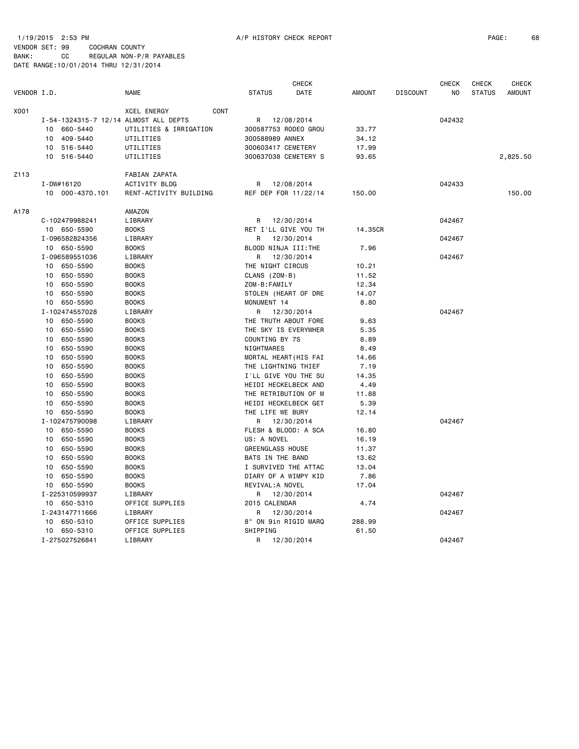|             |                                       |                            |                         | <b>CHECK</b> |               |                 | <b>CHECK</b> | <b>CHECK</b>  | <b>CHECK</b>  |
|-------------|---------------------------------------|----------------------------|-------------------------|--------------|---------------|-----------------|--------------|---------------|---------------|
| VENDOR I.D. |                                       | <b>NAME</b>                | <b>STATUS</b>           | DATE         | <b>AMOUNT</b> | <b>DISCOUNT</b> | NO.          | <b>STATUS</b> | <b>AMOUNT</b> |
| X001        |                                       | <b>XCEL ENERGY</b><br>CONT |                         |              |               |                 |              |               |               |
|             | I-54-1324315-7 12/14 ALMOST ALL DEPTS |                            | R                       | 12/08/2014   |               |                 | 042432       |               |               |
|             | 10<br>660-5440                        | UTILITIES & IRRIGATION     | 300587753 RODEO GROU    |              | 33.77         |                 |              |               |               |
|             | 409-5440<br>10                        | UTILITIES                  | 300588989 ANNEX         |              | 34.12         |                 |              |               |               |
|             | 10<br>516-5440                        | UTILITIES                  | 300603417 CEMETERY      |              | 17.99         |                 |              |               |               |
|             | 10 516-5440                           | UTILITIES                  | 300637038 CEMETERY S    |              | 93.65         |                 |              |               | 2,825.50      |
| Z113        |                                       | FABIAN ZAPATA              |                         |              |               |                 |              |               |               |
|             | I-DW#16120                            | <b>ACTIVITY BLDG</b>       | R                       | 12/08/2014   |               |                 | 042433       |               |               |
|             | 10 000-4370.101                       | RENT-ACTIVITY BUILDING     | REF DEP FOR 11/22/14    |              | 150.00        |                 |              |               | 150.00        |
|             |                                       |                            |                         |              |               |                 |              |               |               |
| A178        |                                       | AMAZON                     |                         |              |               |                 |              |               |               |
|             | C-102479988241                        | LIBRARY                    | R                       | 12/30/2014   |               |                 | 042467       |               |               |
|             | 10 650-5590                           | <b>BOOKS</b>               | RET I'LL GIVE YOU TH    |              | 14.35CR       |                 |              |               |               |
|             | I-096582824356                        | LIBRARY                    | R                       | 12/30/2014   |               |                 | 042467       |               |               |
|             | 10 650-5590                           | <b>BOOKS</b>               | BLOOD NINJA III:THE     |              | 7.96          |                 |              |               |               |
|             | I-096589551036                        | LIBRARY                    | R                       | 12/30/2014   |               |                 | 042467       |               |               |
|             | 10 650-5590                           | <b>BOOKS</b>               | THE NIGHT CIRCUS        |              | 10.21         |                 |              |               |               |
|             | 650-5590<br>10                        | <b>BOOKS</b>               | CLANS (ZOM-B)           |              | 11.52         |                 |              |               |               |
|             | 650-5590<br>10                        | <b>BOOKS</b>               | ZOM-B:FAMILY            |              | 12.34         |                 |              |               |               |
|             | 650-5590<br>10                        | <b>BOOKS</b>               | STOLEN (HEART OF DRE    |              | 14.07         |                 |              |               |               |
|             | 10<br>650-5590                        | <b>BOOKS</b>               | MONUMENT 14             |              | 8.80          |                 |              |               |               |
|             | I-102474557028                        | LIBRARY                    | R 12/30/2014            |              |               |                 | 042467       |               |               |
|             | 650-5590<br>10                        | <b>BOOKS</b>               | THE TRUTH ABOUT FORE    |              | 9.63          |                 |              |               |               |
|             | 650-5590<br>10                        | <b>BOOKS</b>               | THE SKY IS EVERYWHER    |              | 5.35          |                 |              |               |               |
|             | 10<br>650-5590                        | <b>BOOKS</b>               | COUNTING BY 7S          |              | 8.89          |                 |              |               |               |
|             | 650-5590<br>10                        | <b>BOOKS</b>               | NIGHTMARES              |              | 8.49          |                 |              |               |               |
|             | 10<br>650-5590                        | <b>BOOKS</b>               | MORTAL HEART (HIS FAI   |              | 14.66         |                 |              |               |               |
|             | 650-5590<br>10                        | <b>BOOKS</b>               | THE LIGHTNING THIEF     |              | 7.19          |                 |              |               |               |
|             | 650-5590<br>10                        | <b>BOOKS</b>               | I'LL GIVE YOU THE SU    |              | 14.35         |                 |              |               |               |
|             | 650-5590<br>10                        | <b>BOOKS</b>               | HEIDI HECKELBECK AND    |              | 4.49          |                 |              |               |               |
|             | 650-5590<br>10                        | <b>BOOKS</b>               | THE RETRIBUTION OF M    |              | 11.88         |                 |              |               |               |
|             | 10<br>650-5590                        | <b>BOOKS</b>               | HEIDI HECKELBECK GET    |              | 5.39          |                 |              |               |               |
|             | 650-5590<br>10                        | <b>BOOKS</b>               | THE LIFE WE BURY        |              | 12.14         |                 |              |               |               |
|             | I-102475790098                        | LIBRARY                    | R                       | 12/30/2014   |               |                 | 042467       |               |               |
|             | 10 650-5590                           | <b>BOOKS</b>               | FLESH & BLOOD: A SCA    |              | 16.80         |                 |              |               |               |
|             | 650-5590<br>10                        | <b>BOOKS</b>               | US: A NOVEL             |              | 16.19         |                 |              |               |               |
|             | 10<br>650-5590                        | <b>BOOKS</b>               | <b>GREENGLASS HOUSE</b> |              | 11.37         |                 |              |               |               |
|             | 650-5590<br>10                        | <b>BOOKS</b>               | <b>BATS IN THE BAND</b> |              | 13.62         |                 |              |               |               |
|             | 10<br>650-5590                        | <b>BOOKS</b>               | I SURVIVED THE ATTAC    |              | 13.04         |                 |              |               |               |
|             | 650-5590<br>10                        | <b>BOOKS</b>               | DIARY OF A WIMPY KID    |              | 7.86          |                 |              |               |               |
|             | 10 650-5590                           | <b>BOOKS</b>               | REVIVAL: A NOVEL        |              | 17.04         |                 |              |               |               |
|             | I-225310599937                        | LIBRARY                    | R                       | 12/30/2014   |               |                 | 042467       |               |               |
|             | 10 650-5310                           | OFFICE SUPPLIES            | 2015 CALENDAR           |              | 4.74          |                 |              |               |               |
|             | I-243147711666                        | LIBRARY                    | R                       | 12/30/2014   |               |                 | 042467       |               |               |
|             | 650-5310<br>10                        | OFFICE SUPPLIES            | 8" ON 9in RIGID MARQ    |              | 288.99        |                 |              |               |               |
|             | 10 650-5310                           | OFFICE SUPPLIES            | SHIPPING                |              | 61.50         |                 |              |               |               |
|             | I-275027526841                        | LIBRARY                    | R                       | 12/30/2014   |               |                 | 042467       |               |               |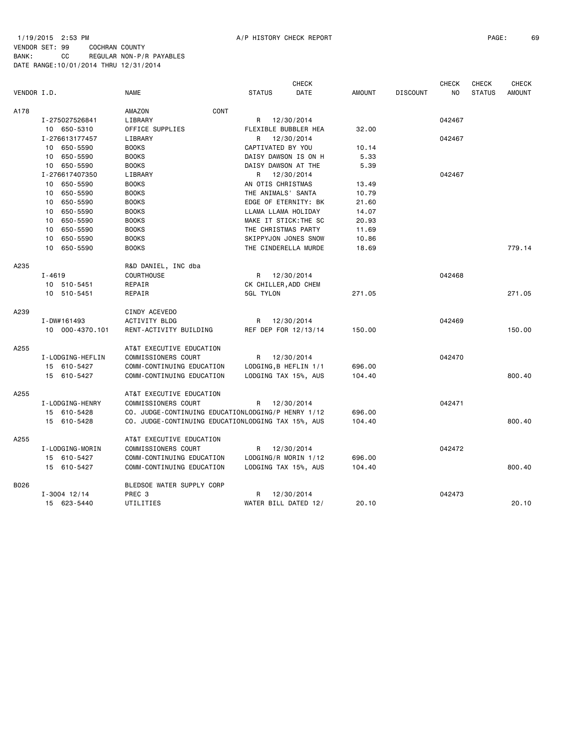1/19/2015 2:53 PM A/P HISTORY CHECK REPORT PAGE: 69 VENDOR SET: 99 COCHRAN COUNTY BANK: CC REGULAR NON-P/R PAYABLES DATE RANGE:10/01/2014 THRU 12/31/2014

|             |                  |                                                    |                       | <b>CHECK</b> |               |                 | <b>CHECK</b> | CHECK         | <b>CHECK</b>  |
|-------------|------------------|----------------------------------------------------|-----------------------|--------------|---------------|-----------------|--------------|---------------|---------------|
| VENDOR I.D. |                  | <b>NAME</b>                                        | <b>STATUS</b>         | DATE         | <b>AMOUNT</b> | <b>DISCOUNT</b> | NO           | <b>STATUS</b> | <b>AMOUNT</b> |
| A178        |                  | CONT<br>AMAZON                                     |                       |              |               |                 |              |               |               |
|             | I-275027526841   | LIBRARY                                            | R 12/30/2014          |              |               |                 | 042467       |               |               |
|             | 10 650-5310      | OFFICE SUPPLIES                                    | FLEXIBLE BUBBLER HEA  |              | 32.00         |                 |              |               |               |
|             | I-276613177457   | LIBRARY                                            | R                     | 12/30/2014   |               |                 | 042467       |               |               |
|             | 10 650-5590      | <b>BOOKS</b>                                       | CAPTIVATED BY YOU     |              | 10.14         |                 |              |               |               |
|             | 10 650-5590      | <b>BOOKS</b>                                       | DAISY DAWSON IS ON H  |              | 5.33          |                 |              |               |               |
|             | 10 650-5590      | <b>BOOKS</b>                                       | DAISY DAWSON AT THE   |              | 5.39          |                 |              |               |               |
|             | I-276617407350   | LIBRARY                                            | R 12/30/2014          |              |               |                 | 042467       |               |               |
|             | 650-5590<br>10   | <b>BOOKS</b>                                       | AN OTIS CHRISTMAS     |              | 13.49         |                 |              |               |               |
|             | 10 650-5590      | <b>BOOKS</b>                                       | THE ANIMALS' SANTA    |              | 10.79         |                 |              |               |               |
|             | 10 650-5590      | <b>BOOKS</b>                                       | EDGE OF ETERNITY: BK  |              | 21.60         |                 |              |               |               |
|             | 10 650-5590      | <b>BOOKS</b>                                       | LLAMA LLAMA HOLIDAY   |              | 14.07         |                 |              |               |               |
|             | 10 650-5590      | <b>BOOKS</b>                                       | MAKE IT STICK: THE SC |              | 20.93         |                 |              |               |               |
|             | 10 650-5590      | <b>BOOKS</b>                                       | THE CHRISTMAS PARTY   |              | 11.69         |                 |              |               |               |
|             | 650-5590<br>10   | <b>BOOKS</b>                                       | SKIPPYJON JONES SNOW  |              | 10.86         |                 |              |               |               |
|             | 10 650-5590      | <b>BOOKS</b>                                       | THE CINDERELLA MURDE  |              | 18.69         |                 |              |               | 779.14        |
| A235        |                  | R&D DANIEL, INC dba                                |                       |              |               |                 |              |               |               |
|             | $I - 4619$       | <b>COURTHOUSE</b>                                  | R 12/30/2014          |              |               |                 | 042468       |               |               |
|             | 10 510-5451      | REPAIR                                             | CK CHILLER, ADD CHEM  |              |               |                 |              |               |               |
|             | 10 510-5451      | REPAIR                                             | 5GL TYLON             |              | 271.05        |                 |              |               | 271.05        |
| A239        |                  | CINDY ACEVEDO                                      |                       |              |               |                 |              |               |               |
|             | I-DW#161493      | ACTIVITY BLDG                                      | R 12/30/2014          |              |               |                 | 042469       |               |               |
|             | 10 000-4370.101  | RENT-ACTIVITY BUILDING                             | REF DEP FOR 12/13/14  |              | 150.00        |                 |              |               | 150.00        |
| A255        |                  | AT&T EXECUTIVE EDUCATION                           |                       |              |               |                 |              |               |               |
|             | I-LODGING-HEFLIN | COMMISSIONERS COURT                                | R                     | 12/30/2014   |               |                 | 042470       |               |               |
|             | 15 610-5427      | COMM-CONTINUING EDUCATION                          | LODGING, B HEFLIN 1/1 |              | 696.00        |                 |              |               |               |
|             | 15 610-5427      | COMM-CONTINUING EDUCATION                          | LODGING TAX 15%, AUS  |              | 104.40        |                 |              |               | 800.40        |
| A255        |                  | AT&T EXECUTIVE EDUCATION                           |                       |              |               |                 |              |               |               |
|             | I-LODGING-HENRY  | COMMISSIONERS COURT                                | R                     | 12/30/2014   |               |                 | 042471       |               |               |
|             | 15 610-5428      | CO. JUDGE-CONTINUING EDUCATIONLODGING/P HENRY 1/12 |                       |              | 696.00        |                 |              |               |               |
|             | 15 610-5428      | CO. JUDGE-CONTINUING EDUCATIONLODGING TAX 15%, AUS |                       |              | 104.40        |                 |              |               | 800.40        |
| A255        |                  | AT&T EXECUTIVE EDUCATION                           |                       |              |               |                 |              |               |               |
|             | I-LODGING-MORIN  | COMMISSIONERS COURT                                | R 12/30/2014          |              |               |                 | 042472       |               |               |
|             | 15 610-5427      | COMM-CONTINUING EDUCATION                          | LODGING/R MORIN 1/12  |              | 696.00        |                 |              |               |               |
|             | 15 610-5427      | COMM-CONTINUING EDUCATION                          | LODGING TAX 15%, AUS  |              | 104.40        |                 |              |               | 800.40        |
| B026        |                  | BLEDSOE WATER SUPPLY CORP                          |                       |              |               |                 |              |               |               |
|             | $I - 3004$ 12/14 | PREC <sub>3</sub>                                  | R                     | 12/30/2014   |               |                 | 042473       |               |               |
|             | 15 623-5440      | UTILITIES                                          | WATER BILL DATED 12/  |              | 20.10         |                 |              |               | 20.10         |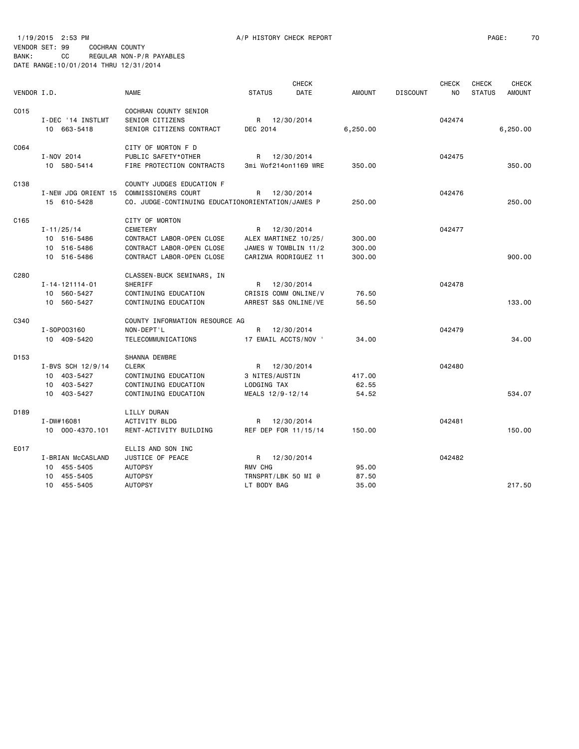|                  |                     |                                                   |                      | <b>CHECK</b>         |               |                 | <b>CHECK</b> | <b>CHECK</b>  | <b>CHECK</b>  |
|------------------|---------------------|---------------------------------------------------|----------------------|----------------------|---------------|-----------------|--------------|---------------|---------------|
| VENDOR I.D.      |                     | <b>NAME</b>                                       | <b>STATUS</b>        | <b>DATE</b>          | <b>AMOUNT</b> | <b>DISCOUNT</b> | NO.          | <b>STATUS</b> | <b>AMOUNT</b> |
| C015             |                     | COCHRAN COUNTY SENIOR                             |                      |                      |               |                 |              |               |               |
|                  | I-DEC '14 INSTLMT   | SENIOR CITIZENS                                   | R 12/30/2014         |                      |               |                 | 042474       |               |               |
|                  | 10 663-5418         | SENIOR CITIZENS CONTRACT                          | DEC 2014             |                      | 6,250.00      |                 |              |               | 6,250.00      |
| C064             |                     | CITY OF MORTON F D                                |                      |                      |               |                 |              |               |               |
|                  | I-NOV 2014          | PUBLIC SAFETY*OTHER                               | R 12/30/2014         |                      |               |                 | 042475       |               |               |
|                  | 10 580-5414         | FIRE PROTECTION CONTRACTS                         | 3mi Wof214on1169 WRE |                      | 350.00        |                 |              |               | 350.00        |
| C138             |                     | COUNTY JUDGES EDUCATION F                         |                      |                      |               |                 |              |               |               |
|                  | I-NEW JDG ORIENT 15 | COMMISSIONERS COURT                               | R                    | 12/30/2014           |               |                 | 042476       |               |               |
|                  | 15 610-5428         | CO. JUDGE-CONTINUING EDUCATIONORIENTATION/JAMES P |                      |                      | 250.00        |                 |              |               | 250.00        |
| C165             |                     | CITY OF MORTON                                    |                      |                      |               |                 |              |               |               |
|                  | $I - 11/25/14$      | <b>CEMETERY</b>                                   | R 12/30/2014         |                      |               |                 | 042477       |               |               |
|                  | 10 516-5486         | CONTRACT LABOR-OPEN CLOSE                         | ALEX MARTINEZ 10/25/ |                      | 300.00        |                 |              |               |               |
|                  | 10 516-5486         | CONTRACT LABOR-OPEN CLOSE                         | JAMES W TOMBLIN 11/2 |                      | 300.00        |                 |              |               |               |
|                  | 10 516-5486         | CONTRACT LABOR-OPEN CLOSE                         | CARIZMA RODRIGUEZ 11 |                      | 300.00        |                 |              |               | 900.00        |
| C280             |                     | CLASSEN-BUCK SEMINARS, IN                         |                      |                      |               |                 |              |               |               |
|                  | I-14-121114-01      | <b>SHERIFF</b>                                    | R 12/30/2014         |                      |               |                 | 042478       |               |               |
|                  | 10 560-5427         | CONTINUING EDUCATION                              | CRISIS COMM ONLINE/V |                      | 76.50         |                 |              |               |               |
|                  | 10 560-5427         | CONTINUING EDUCATION                              | ARREST S&S ONLINE/VE |                      | 56.50         |                 |              |               | 133.00        |
| C340             |                     | COUNTY INFORMATION RESOURCE AG                    |                      |                      |               |                 |              |               |               |
|                  | I-S0P003160         | NON-DEPT'L                                        | R                    | 12/30/2014           |               |                 | 042479       |               |               |
|                  | 10 409-5420         | TELECOMMUNICATIONS                                | 17 EMAIL ACCTS/NOV ' |                      | 34.00         |                 |              |               | 34.00         |
| D <sub>153</sub> |                     | <b>SHANNA DEWBRE</b>                              |                      |                      |               |                 |              |               |               |
|                  | I-BVS SCH 12/9/14   | <b>CLERK</b>                                      | R 12/30/2014         |                      |               |                 | 042480       |               |               |
|                  | 10 403-5427         | CONTINUING EDUCATION                              | 3 NITES/AUSTIN       |                      | 417.00        |                 |              |               |               |
|                  | 10 403-5427         | CONTINUING EDUCATION                              | LODGING TAX          |                      | 62.55         |                 |              |               |               |
|                  | 10 403-5427         | CONTINUING EDUCATION                              | MEALS 12/9-12/14     |                      | 54.52         |                 |              |               | 534.07        |
| D <sub>189</sub> |                     | LILLY DURAN                                       |                      |                      |               |                 |              |               |               |
|                  | I-DW#16081          | <b>ACTIVITY BLDG</b>                              | R 12/30/2014         |                      |               |                 | 042481       |               |               |
|                  | 10 000-4370.101     | RENT-ACTIVITY BUILDING                            |                      | REF DEP FOR 11/15/14 | 150.00        |                 |              |               | 150.00        |
| E017             |                     | ELLIS AND SON INC                                 |                      |                      |               |                 |              |               |               |
|                  | I-BRIAN McCASLAND   | <b>JUSTICE OF PEACE</b>                           | R 12/30/2014         |                      |               |                 | 042482       |               |               |
|                  | 10 455-5405         | <b>AUTOPSY</b>                                    | RMV CHG              |                      | 95.00         |                 |              |               |               |
|                  | 10 455-5405         | <b>AUTOPSY</b>                                    | TRNSPRT/LBK 50 MI @  |                      | 87.50         |                 |              |               |               |
|                  | 10 455-5405         | <b>AUTOPSY</b>                                    | LT BODY BAG          |                      | 35.00         |                 |              |               | 217.50        |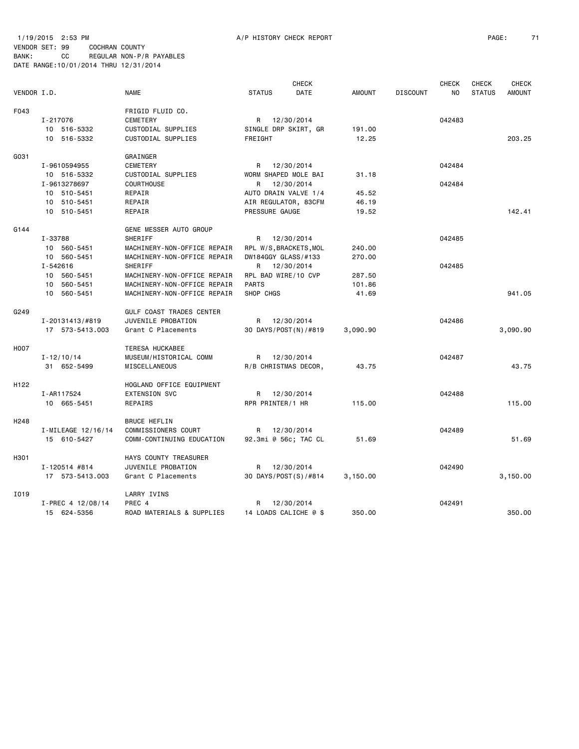1/19/2015 2:53 PM A/P HISTORY CHECK REPORT PAGE: 71 VENDOR SET: 99 COCHRAN COUNTY BANK: CC REGULAR NON-P/R PAYABLES DATE RANGE:10/01/2014 THRU 12/31/2014

|                  |                    |                                             |                        | <b>CHECK</b> |               |                 | <b>CHECK</b> | <b>CHECK</b>  | <b>CHECK</b>  |
|------------------|--------------------|---------------------------------------------|------------------------|--------------|---------------|-----------------|--------------|---------------|---------------|
| VENDOR I.D.      |                    | <b>NAME</b>                                 | <b>STATUS</b>          | DATE         | <b>AMOUNT</b> | <b>DISCOUNT</b> | NO.          | <b>STATUS</b> | <b>AMOUNT</b> |
| F043             |                    | FRIGID FLUID CO.                            |                        |              |               |                 |              |               |               |
|                  | I-217076           | <b>CEMETERY</b>                             | R 12/30/2014           |              |               |                 | 042483       |               |               |
|                  | 10 516-5332        | CUSTODIAL SUPPLIES                          | SINGLE DRP SKIRT, GR   |              | 191.00        |                 |              |               |               |
|                  | 10 516-5332        | CUSTODIAL SUPPLIES                          | FREIGHT                |              | 12.25         |                 |              |               | 203.25        |
| G031             |                    | GRAINGER                                    |                        |              |               |                 |              |               |               |
|                  | I-9610594955       | <b>CEMETERY</b>                             | R 12/30/2014           |              |               |                 | 042484       |               |               |
|                  | 10 516-5332        | CUSTODIAL SUPPLIES                          | WORM SHAPED MOLE BAI   |              | 31.18         |                 |              |               |               |
|                  | I-9613278697       | COURTHOUSE                                  | R                      | 12/30/2014   |               |                 | 042484       |               |               |
|                  | 10 510-5451        | REPAIR                                      | AUTO DRAIN VALVE 1/4   |              | 45.52         |                 |              |               |               |
|                  | 10 510-5451        | REPAIR                                      | AIR REGULATOR, 83CFM   |              | 46.19         |                 |              |               |               |
|                  | 10 510-5451        | REPAIR                                      | PRESSURE GAUGE         |              | 19.52         |                 |              |               | 142.41        |
| G144             |                    | GENE MESSER AUTO GROUP                      |                        |              |               |                 |              |               |               |
|                  | I-33788            | SHERIFF                                     | R                      | 12/30/2014   |               |                 | 042485       |               |               |
|                  | 10 560-5451        | MACHINERY-NON-OFFICE REPAIR                 | RPL W/S, BRACKETS, MOL |              | 240.00        |                 |              |               |               |
|                  | 10 560-5451        | MACHINERY-NON-OFFICE REPAIR                 | DW184GGY GLASS/#133    |              | 270.00        |                 |              |               |               |
|                  | I-542616           | SHERIFF                                     | R 12/30/2014           |              |               |                 | 042485       |               |               |
|                  | 10 560-5451        | MACHINERY-NON-OFFICE REPAIR                 | RPL BAD WIRE/10 CVP    |              | 287.50        |                 |              |               |               |
|                  | 10 560-5451        | MACHINERY-NON-OFFICE REPAIR                 | <b>PARTS</b>           |              | 101.86        |                 |              |               |               |
|                  | 10 560-5451        | MACHINERY-NON-OFFICE REPAIR                 | SHOP CHGS              |              | 41.69         |                 |              |               | 941.05        |
| G249             |                    | GULF COAST TRADES CENTER                    |                        |              |               |                 |              |               |               |
|                  | I-20131413/#819    | JUVENILE PROBATION                          | R                      | 12/30/2014   |               |                 | 042486       |               |               |
|                  | 17 573-5413.003    | Grant C Placements                          | 30 DAYS/POST(N)/#819   |              | 3,090.90      |                 |              |               | 3,090.90      |
| H007             |                    | TERESA HUCKABEE                             |                        |              |               |                 |              |               |               |
|                  | $I - 12/10/14$     | MUSEUM/HISTORICAL COMM                      | R 12/30/2014           |              |               |                 | 042487       |               |               |
|                  | 31 652-5499        | MISCELLANEOUS                               | R/B CHRISTMAS DECOR,   |              | 43.75         |                 |              |               | 43.75         |
| H122             |                    | HOGLAND OFFICE EQUIPMENT                    |                        |              |               |                 |              |               |               |
|                  | I-AR117524         | EXTENSION SVC                               | R 12/30/2014           |              |               |                 | 042488       |               |               |
|                  | 10 665-5451        | REPAIRS                                     | RPR PRINTER/1 HR       |              | 115.00        |                 |              |               | 115.00        |
| H <sub>248</sub> |                    | <b>BRUCE HEFLIN</b>                         |                        |              |               |                 |              |               |               |
|                  | I-MILEAGE 12/16/14 | COMMISSIONERS COURT                         | R                      | 12/30/2014   |               |                 | 042489       |               |               |
|                  | 15 610-5427        | COMM-CONTINUING EDUCATION                   | 92.3mi @ 56c; TAC CL   |              | 51.69         |                 |              |               | 51.69         |
|                  |                    |                                             |                        |              |               |                 |              |               |               |
| H301             | I-120514 #814      | HAYS COUNTY TREASURER<br>JUVENILE PROBATION | R                      |              |               |                 | 042490       |               |               |
|                  | 17 573-5413.003    | Grant C Placements                          | 30 DAYS/POST(S)/#814   | 12/30/2014   | 3,150.00      |                 |              |               | 3,150.00      |
|                  |                    |                                             |                        |              |               |                 |              |               |               |
| I019             | I-PREC 4 12/08/14  | LARRY IVINS<br>PREC 4                       | R                      | 12/30/2014   |               |                 | 042491       |               |               |
|                  | 15 624-5356        | ROAD MATERIALS & SUPPLIES                   | 14 LOADS CALICHE @ \$  |              | 350.00        |                 |              |               | 350.00        |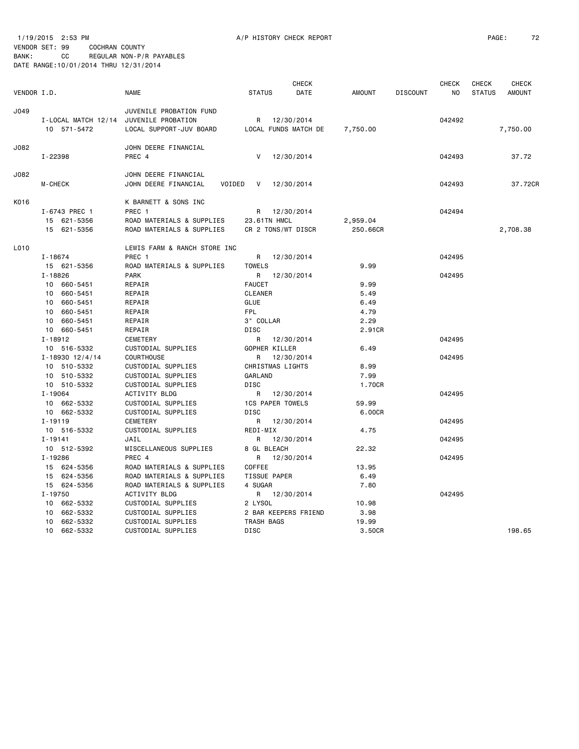|             |                       |                                |                         | <b>CHECK</b> |               |                 | <b>CHECK</b> | <b>CHECK</b>  | <b>CHECK</b>  |
|-------------|-----------------------|--------------------------------|-------------------------|--------------|---------------|-----------------|--------------|---------------|---------------|
| VENDOR I.D. |                       | <b>NAME</b>                    | <b>STATUS</b>           | DATE         | <b>AMOUNT</b> | <b>DISCOUNT</b> | NO           | <b>STATUS</b> | <b>AMOUNT</b> |
| J049        |                       | JUVENILE PROBATION FUND        |                         |              |               |                 |              |               |               |
|             | I-LOCAL MATCH 12/14   | JUVENILE PROBATION             | R                       | 12/30/2014   |               |                 | 042492       |               |               |
|             | 10 571-5472           | LOCAL SUPPORT-JUV BOARD        | LOCAL FUNDS MATCH DE    |              | 7,750.00      |                 |              |               | 7,750.00      |
| J082        |                       | JOHN DEERE FINANCIAL           |                         |              |               |                 |              |               |               |
|             | I-22398               | PREC 4                         | V                       | 12/30/2014   |               |                 | 042493       |               | 37.72         |
| J082        |                       | JOHN DEERE FINANCIAL           |                         |              |               |                 |              |               |               |
|             | M-CHECK               | JOHN DEERE FINANCIAL<br>VOIDED | 12/30/2014<br>V         |              |               |                 | 042493       |               | 37.72CR       |
| K016        |                       | K BARNETT & SONS INC           |                         |              |               |                 |              |               |               |
|             | I-6743 PREC 1         | PREC 1                         | R                       | 12/30/2014   |               |                 | 042494       |               |               |
|             | 621-5356<br>15        | ROAD MATERIALS & SUPPLIES      | 23.61TN HMCL            |              | 2,959.04      |                 |              |               |               |
|             | 15<br>621-5356        | ROAD MATERIALS & SUPPLIES      | CR 2 TONS/WT DISCR      |              | 250.66CR      |                 |              |               | 2,708.38      |
| L010        |                       | LEWIS FARM & RANCH STORE INC   |                         |              |               |                 |              |               |               |
|             | I-18674               | PREC 1                         | R                       | 12/30/2014   |               |                 | 042495       |               |               |
|             | 15 621-5356           | ROAD MATERIALS & SUPPLIES      | <b>TOWELS</b>           |              | 9.99          |                 |              |               |               |
|             | $I - 18826$           | <b>PARK</b>                    | R                       | 12/30/2014   |               |                 | 042495       |               |               |
|             | 10 660-5451           | REPAIR                         | <b>FAUCET</b>           |              | 9.99          |                 |              |               |               |
|             | 10 660-5451           | REPAIR                         | <b>CLEANER</b>          |              | 5.49          |                 |              |               |               |
|             | 10 660-5451           | REPAIR                         | GLUE                    |              | 6.49          |                 |              |               |               |
|             | 10 660-5451           | REPAIR                         | FPL                     |              | 4.79          |                 |              |               |               |
|             | 660-5451<br>10        | REPAIR                         | 3" COLLAR               |              | 2.29          |                 |              |               |               |
|             | 10 660-5451           | REPAIR                         | <b>DISC</b>             |              | 2.91CR        |                 |              |               |               |
|             | $I - 18912$           | <b>CEMETERY</b>                | R                       | 12/30/2014   |               |                 | 042495       |               |               |
|             | 10 516-5332           | CUSTODIAL SUPPLIES             | GOPHER KILLER           |              | 6.49          |                 |              |               |               |
|             | $I - 18930$ $12/4/14$ | <b>COURTHOUSE</b>              | R                       | 12/30/2014   |               |                 | 042495       |               |               |
|             | 10 510-5332           | CUSTODIAL SUPPLIES             | CHRISTMAS LIGHTS        |              | 8.99          |                 |              |               |               |
|             | 510-5332<br>10        | CUSTODIAL SUPPLIES             | GARLAND                 |              | 7.99          |                 |              |               |               |
|             | 10 510-5332           | CUSTODIAL SUPPLIES             | <b>DISC</b>             |              | 1.70CR        |                 |              |               |               |
|             | $I - 19064$           | ACTIVITY BLDG                  | R                       | 12/30/2014   |               |                 | 042495       |               |               |
|             | 10 662-5332           | CUSTODIAL SUPPLIES             | <b>1CS PAPER TOWELS</b> |              | 59.99         |                 |              |               |               |
|             | 10 662-5332           | CUSTODIAL SUPPLIES             | <b>DISC</b>             |              | 6.00CR        |                 |              |               |               |
|             | $I - 19119$           | <b>CEMETERY</b>                | R                       | 12/30/2014   |               |                 | 042495       |               |               |
|             | 10 516-5332           | CUSTODIAL SUPPLIES             | REDI-MIX                |              | 4.75          |                 |              |               |               |
|             | $I - 19141$           | JAIL                           | R                       | 12/30/2014   |               |                 | 042495       |               |               |
|             | 10 512-5392           | MISCELLANEOUS SUPPLIES         | 8 GL BLEACH             |              | 22.32         |                 |              |               |               |
|             | $I - 19286$           | PREC 4                         | R                       | 12/30/2014   |               |                 | 042495       |               |               |
|             | 15 624-5356           | ROAD MATERIALS & SUPPLIES      | COFFEE                  |              | 13.95         |                 |              |               |               |
|             | 15 624-5356           | ROAD MATERIALS & SUPPLIES      | <b>TISSUE PAPER</b>     |              | 6.49          |                 |              |               |               |
|             | 15 624-5356           | ROAD MATERIALS & SUPPLIES      | 4 SUGAR                 |              | 7.80          |                 |              |               |               |
|             | I-19750               | ACTIVITY BLDG                  | R                       | 12/30/2014   |               |                 | 042495       |               |               |
|             | 10 662-5332           | CUSTODIAL SUPPLIES             | 2 LYSOL                 |              | 10.98         |                 |              |               |               |
|             | 10 662-5332           | CUSTODIAL SUPPLIES             | 2 BAR KEEPERS FRIEND    |              | 3.98          |                 |              |               |               |
|             | 662-5332<br>10        | CUSTODIAL SUPPLIES             | TRASH BAGS              |              | 19.99         |                 |              |               |               |
|             | 10 662-5332           | CUSTODIAL SUPPLIES             | <b>DISC</b>             |              | 3.50CR        |                 |              |               | 198.65        |
|             |                       |                                |                         |              |               |                 |              |               |               |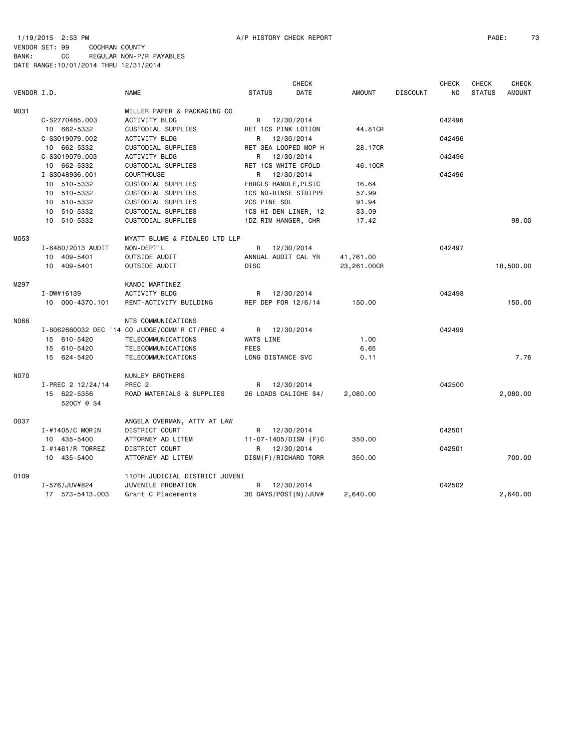# 1/19/2015 2:53 PM A/P HISTORY CHECK REPORT PAGE: 73 VENDOR SET: 99 COCHRAN COUNTY

BANK: CC REGULAR NON-P/R PAYABLES DATE RANGE:10/01/2014 THRU 12/31/2014

|             |                            |                                                |                             | <b>CHECK</b>               |               |                 | <b>CHECK</b> | <b>CHECK</b>  | <b>CHECK</b>  |
|-------------|----------------------------|------------------------------------------------|-----------------------------|----------------------------|---------------|-----------------|--------------|---------------|---------------|
| VENDOR I.D. |                            | <b>NAME</b>                                    | <b>STATUS</b>               | DATE                       | <b>AMOUNT</b> | <b>DISCOUNT</b> | NO           | <b>STATUS</b> | <b>AMOUNT</b> |
| M031        |                            | MILLER PAPER & PACKAGING CO                    |                             |                            |               |                 |              |               |               |
|             | C-S2770485.003             | ACTIVITY BLDG                                  |                             | R 12/30/2014               |               |                 | 042496       |               |               |
|             | 10 662-5332                | CUSTODIAL SUPPLIES                             | RET 1CS PINK LOTION         |                            | 44,81CR       |                 |              |               |               |
|             | C-S3019079.002             | ACTIVITY BLDG                                  |                             | R 12/30/2014               |               |                 | 042496       |               |               |
|             | 10 662-5332                | CUSTODIAL SUPPLIES                             |                             | RET 3EA LOOPED MOP H       | 28.17CR       |                 |              |               |               |
|             | C-S3019079.003             | ACTIVITY BLDG                                  |                             | R 12/30/2014               |               |                 | 042496       |               |               |
|             | 10 662-5332                | CUSTODIAL SUPPLIES                             | RET 1CS WHITE CFOLD         |                            | 46.10CR       |                 |              |               |               |
|             | I-S3048936.001             | <b>COURTHOUSE</b>                              |                             | R 12/30/2014               |               |                 | 042496       |               |               |
|             | 10 510-5332                | CUSTODIAL SUPPLIES                             | <b>FBRGLS HANDLE, PLSTC</b> |                            | 16.64         |                 |              |               |               |
|             | 10 510-5332                | CUSTODIAL SUPPLIES                             |                             | 1CS NO-RINSE STRIPPE       | 57.99         |                 |              |               |               |
|             | 10 510-5332                | CUSTODIAL SUPPLIES                             | 2CS PINE SOL                |                            | 91.94         |                 |              |               |               |
|             | 10 510-5332                | CUSTODIAL SUPPLIES                             |                             |                            |               |                 |              |               |               |
|             | 10 510-5332                |                                                |                             | 1CS HI-DEN LINER, 12       | 33.09         |                 |              |               | 98.00         |
|             |                            | CUSTODIAL SUPPLIES                             | 1DZ RIM HANGER, CHR         |                            | 17.42         |                 |              |               |               |
| M053        |                            | MYATT BLUME & FIDALEO LTD LLP                  |                             |                            |               |                 |              |               |               |
|             | I-6480/2013 AUDIT          | NON-DEPT'L                                     | R                           | 12/30/2014                 |               |                 | 042497       |               |               |
|             | 10 409-5401                | OUTSIDE AUDIT                                  | ANNUAL AUDIT CAL YR         |                            | 41,761.00     |                 |              |               |               |
|             | 10 409-5401                | OUTSIDE AUDIT                                  | <b>DISC</b>                 |                            | 23,261.00CR   |                 |              |               | 18,500.00     |
| M297        |                            | KANDI MARTINEZ                                 |                             |                            |               |                 |              |               |               |
|             | $I - DW#16139$             | <b>ACTIVITY BLDG</b>                           |                             | R 12/30/2014               |               |                 | 042498       |               |               |
|             | 10 000-4370.101            | RENT-ACTIVITY BUILDING                         | REF DEP FOR 12/6/14         |                            | 150.00        |                 |              |               | 150.00        |
| N066        |                            | NTS COMMUNICATIONS                             |                             |                            |               |                 |              |               |               |
|             |                            | I-8062660032 DEC '14 CO JUDGE/COMM'R CT/PREC 4 |                             | R 12/30/2014               |               |                 | 042499       |               |               |
|             | 15 610-5420                | TELECOMMUNICATIONS                             | <b>WATS LINE</b>            |                            | 1.00          |                 |              |               |               |
|             | 15 610-5420                | TELECOMMUNICATIONS                             | FEES                        |                            | 6.65          |                 |              |               |               |
|             | 15 624-5420                | TELECOMMUNICATIONS                             | LONG DISTANCE SVC           |                            | 0.11          |                 |              |               | 7.76          |
|             |                            |                                                |                             |                            |               |                 |              |               |               |
| <b>NO70</b> |                            | NUNLEY BROTHERS                                |                             |                            |               |                 |              |               |               |
|             | I-PREC 2 12/24/14          | PREC <sub>2</sub>                              | R                           | 12/30/2014                 |               |                 | 042500       |               |               |
|             | 15 622-5356<br>520CY @ \$4 | ROAD MATERIALS & SUPPLIES                      |                             | 26 LOADS CALICHE \$4/      | 2,080.00      |                 |              |               | 2,080.00      |
|             |                            |                                                |                             |                            |               |                 |              |               |               |
| 0037        |                            | ANGELA OVERMAN, ATTY AT LAW                    |                             |                            |               |                 |              |               |               |
|             | $I - #1405/C$ MORIN        | DISTRICT COURT                                 | R                           | 12/30/2014                 |               |                 | 042501       |               |               |
|             | 10 435-5400                | ATTORNEY AD LITEM                              |                             | $11 - 07 - 1405/DISM$ (F)C | 350.00        |                 |              |               |               |
|             | I-#1461/R TORREZ           | DISTRICT COURT                                 | R                           | 12/30/2014                 |               |                 | 042501       |               |               |
|             | 10 435-5400                | ATTORNEY AD LITEM                              |                             | DISM(F)/RICHARD TORR       | 350.00        |                 |              |               | 700.00        |
| 0109        |                            | 110TH JUDICIAL DISTRICT JUVENI                 |                             |                            |               |                 |              |               |               |
|             | I-576/JUV#824              | JUVENILE PROBATION                             | R                           | 12/30/2014                 |               |                 | 042502       |               |               |
|             | 17 573-5413.003            | Grant C Placements                             |                             | 30 DAYS/POST(N)/JUV#       | 2,640.00      |                 |              |               | 2,640.00      |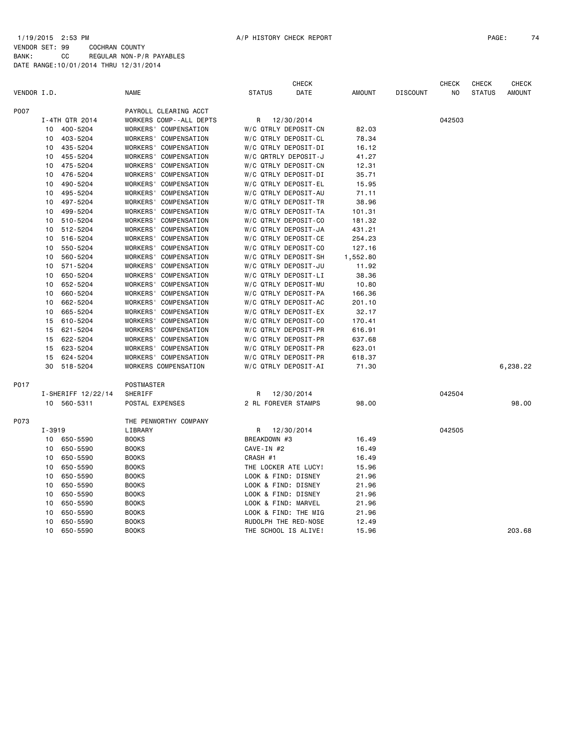CHECK CHECK CHECK CHECK VENDOR I.D. NAME STATUS DATE AMOUNT DISCOUNT NO STATUS AMOUNT P007 PAYROLL CLEARING ACCT I-4TH QTR 2014 WORKERS COMP--ALL DEPTS R 12/30/2014 042503 10 400-5204 WORKERS' COMPENSATION W/C QTRLY DEPOSIT-CN 82.03 10 403-5204 WORKERS' COMPENSATION W/C QTRLY DEPOSIT-CL 78.34 10 435-5204 WORKERS' COMPENSATION W/C QTRLY DEPOSIT-DI 16.12 10 455-5204 WORKERS' COMPENSATION W/C QRTRLY DEPOSIT-J 41.27 10 475-5204 WORKERS' COMPENSATION W/C QTRLY DEPOSIT-CN 12.31 10 476-5204 WORKERS' COMPENSATION W/C QTRLY DEPOSIT-DI 35.71 10 490-5204 WORKERS' COMPENSATION W/C QTRLY DEPOSIT-EL 15.95 10 495-5204 WORKERS' COMPENSATION W/C QTRLY DEPOSIT-AU 71.11 10 497-5204 WORKERS' COMPENSATION W/C QTRLY DEPOSIT-TR 38.96 10 499-5204 WORKERS' COMPENSATION W/C QTRLY DEPOSIT-TA 101.31 10 510-5204 WORKERS' COMPENSATION W/C QTRLY DEPOSIT-CO 181.32 10 512-5204 WORKERS' COMPENSATION W/C QTRLY DEPOSIT-JA 431.21 10 516-5204 WORKERS' COMPENSATION W/C QTRLY DEPOSIT-CE 254.23 10 550-5204 WORKERS' COMPENSATION W/C QTRLY DEPOSIT-CO 127.16 10 560-5204 WORKERS' COMPENSATION W/C QTRLY DEPOSIT-SH 1,552.80 10 571-5204 WORKERS' COMPENSATION W/C QTRLY DEPOSIT-JU 11.92 10 650-5204 WORKERS' COMPENSATION W/C QTRLY DEPOSIT-LI 38.36 10 652-5204 WORKERS' COMPENSATION W/C QTRLY DEPOSIT-MU 10.80 10 660-5204 WORKERS' COMPENSATION W/C QTRLY DEPOSIT-PA 166.36 10 662-5204 WORKERS' COMPENSATION W/C QTRLY DEPOSIT-AC 201.10 10 665-5204 WORKERS' COMPENSATION W/C QTRLY DEPOSIT-EX 32.17 15 610-5204 WORKERS' COMPENSATION W/C QTRLY DEPOSIT-CO 170.41 15 621-5204 WORKERS' COMPENSATION W/C QTRLY DEPOSIT-PR 616.91 15 622-5204 WORKERS' COMPENSATION W/C QTRLY DEPOSIT-PR 637.68 15 623-5204 WORKERS' COMPENSATION W/C QTRLY DEPOSIT-PR 623.01 15 624-5204 WORKERS' COMPENSATION W/C QTRLY DEPOSIT-PR 618.37 30 518-5204 WORKERS COMPENSATION W/C QTRLY DEPOSIT-AI 71.30 6,238.22 P017 POSTMASTER I-SHERIFF 12/22/14 SHERIFF R 12/30/2014 042504 10 560-5311 POSTAL EXPENSES 2 RL FOREVER STAMPS 98.00 98.00 P073 THE PENWORTHY COMPANY I-3919 LIBRARY R 12/30/2014 042505 10 650-5590 BOOKS BREAKDOWN #3 16.49 10 650-5590 BOOKS CAVE-IN #2 16.49 10 650-5590 BOOKS CRASH #1 16.49 10 650-5590 BOOKS THE LOCKER ATE LUCY! 15.96 10 650-5590 BOOKS LOOK & FIND: DISNEY 21.96 10 650-5590 BOOKS LOOK & FIND: DISNEY 21.96 10 650-5590 BOOKS LOOK & FIND: DISNEY 21.96 10 650-5590 BOOKS LOOK & FIND: MARVEL 21.96 10 650-5590 BOOKS LOOK & FIND: THE MIG 21.96 10 650-5590 BOOKS RUDOLPH THE RED-NOSE 12.49

10 650-5590 BOOKS THE SCHOOL IS ALIVE! 15.96 203.68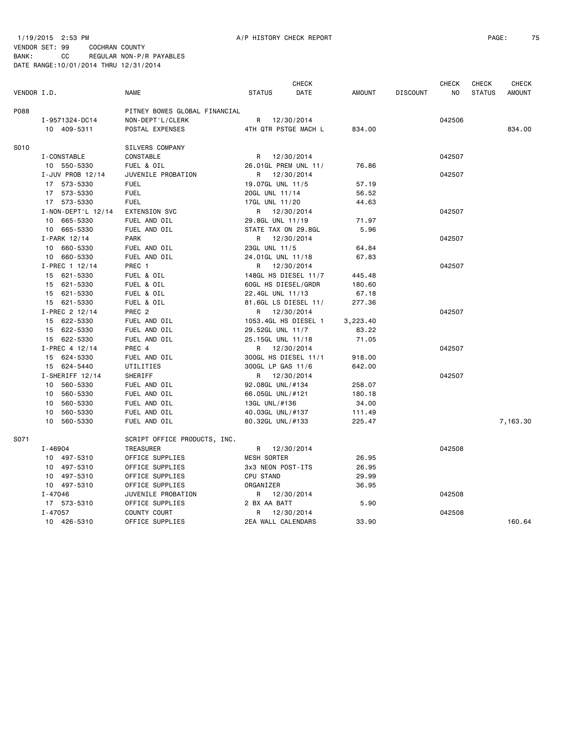1/19/2015 2:53 PM A/P HISTORY CHECK REPORT PAGE: 75 VENDOR SET: 99 COCHRAN COUNTY

BANK: CC REGULAR NON-P/R PAYABLES DATE RANGE:10/01/2014 THRU 12/31/2014

|             |                                |                                       |                                         | <b>CHECK</b> |                |                 | <b>CHECK</b> | <b>CHECK</b>  | <b>CHECK</b>  |
|-------------|--------------------------------|---------------------------------------|-----------------------------------------|--------------|----------------|-----------------|--------------|---------------|---------------|
| VENDOR I.D. |                                | <b>NAME</b>                           | <b>STATUS</b>                           | DATE         | AMOUNT         | <b>DISCOUNT</b> | NO           | <b>STATUS</b> | <b>AMOUNT</b> |
| P088        |                                | PITNEY BOWES GLOBAL FINANCIAL         |                                         |              |                |                 |              |               |               |
|             | I-9571324-DC14                 | NON-DEPT'L/CLERK                      | R 12/30/2014                            |              |                |                 | 042506       |               |               |
|             | 10 409-5311                    | POSTAL EXPENSES                       | 4TH QTR PSTGE MACH L                    |              | 834.00         |                 |              |               | 834.00        |
| S010        |                                | SILVERS COMPANY                       |                                         |              |                |                 |              |               |               |
|             | I-CONSTABLE                    | CONSTABLE                             | R 12/30/2014                            |              |                |                 | 042507       |               |               |
|             | 10 550-5330                    | FUEL & OIL                            | 26.01GL PREM UNL 11/                    |              | 76.86          |                 |              |               |               |
|             | I-JUV PROB 12/14               | JUVENILE PROBATION                    | R                                       | 12/30/2014   |                |                 | 042507       |               |               |
|             | 17 573-5330                    | <b>FUEL</b>                           | 19.07GL UNL 11/5                        |              | 57.19          |                 |              |               |               |
|             | 17 573-5330                    | <b>FUEL</b>                           | 20GL UNL 11/14                          |              | 56.52          |                 |              |               |               |
|             | 17 573-5330                    | <b>FUEL</b>                           | 17GL UNL 11/20                          |              | 44.63          |                 |              |               |               |
|             | I-NON-DEPT'L 12/14             | EXTENSION SVC                         | R 12/30/2014                            |              |                |                 | 042507       |               |               |
|             | 10 665-5330                    | FUEL AND OIL                          | 29.8GL UNL 11/19                        |              | 71.97          |                 |              |               |               |
|             | 10 665-5330                    | FUEL AND OIL                          | STATE TAX ON 29.8GL                     |              | 5.96           |                 |              |               |               |
|             | I-PARK 12/14                   | <b>PARK</b>                           | R 12/30/2014                            |              |                |                 | 042507       |               |               |
|             | 10 660-5330                    | FUEL AND OIL                          | 23GL UNL 11/5                           |              | 64.84          |                 |              |               |               |
|             | 10 660-5330                    | FUEL AND OIL                          | 24.01GL UNL 11/18                       |              | 67.83          |                 |              |               |               |
|             | I-PREC 1 12/14                 | PREC 1                                | R 12/30/2014                            |              |                |                 | 042507       |               |               |
|             | 15 621-5330                    | FUEL & OIL                            | 148GL HS DIESEL 11/7                    |              | 445.48         |                 |              |               |               |
|             | 15 621-5330                    | FUEL & OIL                            | 60GL HS DIESEL/GRDR                     |              | 180.60         |                 |              |               |               |
|             | 15 621-5330                    | FUEL & OIL                            | 22.4GL UNL 11/13                        |              | 67.18          |                 |              |               |               |
|             | 15 621-5330                    | FUEL & OIL                            | 81.6GL LS DIESEL 11/                    |              | 277.36         |                 |              |               |               |
|             | I-PREC 2 12/14                 | PREC 2                                | R 12/30/2014                            |              |                |                 | 042507       |               |               |
|             | 15 622-5330                    | FUEL AND OIL                          | 1053.4GL HS DIESEL 1                    |              | 3,223.40       |                 |              |               |               |
|             | 15 622-5330                    | FUEL AND OIL                          | 29.52GL UNL 11/7                        |              | 83.22          |                 |              |               |               |
|             | 15 622-5330                    | FUEL AND OIL                          | 25.15GL UNL 11/18                       |              | 71.05          |                 |              |               |               |
|             | I-PREC 4 12/14                 | PREC 4                                | R                                       | 12/30/2014   |                |                 | 042507       |               |               |
|             | 15 624-5330                    | FUEL AND OIL                          | 300GL HS DIESEL 11/1                    |              | 918.00         |                 |              |               |               |
|             | 15 624-5440                    | UTILITIES<br>SHERIFF                  | 300GL LP GAS 11/6                       |              | 642.00         |                 | 042507       |               |               |
|             | I-SHERIFF 12/14<br>10 560-5330 | FUEL AND OIL                          | R 12/30/2014<br>92.08GL UNL/#134        |              | 258.07         |                 |              |               |               |
|             | 10 560-5330                    | FUEL AND OIL                          | 66.05GL UNL/#121                        |              | 180.18         |                 |              |               |               |
|             | 10 560-5330                    | FUEL AND OIL                          | 13GL UNL/#136                           |              | 34.00          |                 |              |               |               |
|             | 560-5330<br>10                 | FUEL AND OIL                          | 40.03GL UNL/#137                        |              | 111.49         |                 |              |               |               |
|             | 10<br>560-5330                 | FUEL AND OIL                          | 80.32GL UNL/#133                        |              | 225.47         |                 |              |               | 7,163.30      |
|             |                                |                                       |                                         |              |                |                 |              |               |               |
| S071        |                                | SCRIPT OFFICE PRODUCTS, INC.          |                                         |              |                |                 |              |               |               |
|             | $I - 46904$                    | TREASURER                             | R 12/30/2014                            |              |                |                 | 042508       |               |               |
|             | 10 497-5310<br>10 497-5310     | OFFICE SUPPLIES                       | <b>MESH SORTER</b><br>3x3 NEON POST-ITS |              | 26.95          |                 |              |               |               |
|             |                                | OFFICE SUPPLIES                       | CPU STAND                               |              | 26.95<br>29.99 |                 |              |               |               |
|             | 10 497-5310                    | OFFICE SUPPLIES                       |                                         |              |                |                 |              |               |               |
|             | 10 497-5310<br>$I - 47046$     | OFFICE SUPPLIES<br>JUVENILE PROBATION | ORGANIZER                               |              | 36.95          |                 | 042508       |               |               |
|             | 17 573-5310                    | OFFICE SUPPLIES                       | R<br>2 BX AA BATT                       | 12/30/2014   | 5.90           |                 |              |               |               |
|             | $I - 47057$                    | COUNTY COURT                          | R.                                      | 12/30/2014   |                |                 | 042508       |               |               |
|             | 10 426-5310                    | OFFICE SUPPLIES                       | 2EA WALL CALENDARS                      |              | 33.90          |                 |              |               | 160.64        |
|             |                                |                                       |                                         |              |                |                 |              |               |               |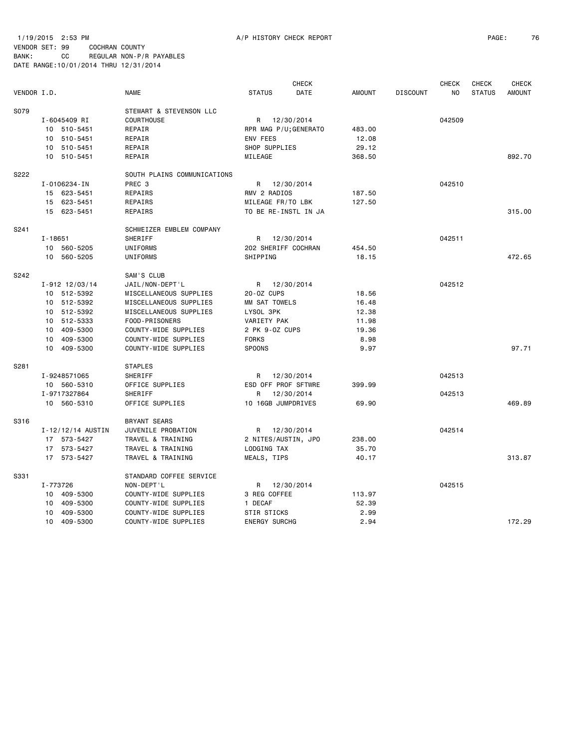VENDOR SET: 99 COCHRAN COUNTY BANK: CC REGULAR NON-P/R PAYABLES DATE RANGE:10/01/2014 THRU 12/31/2014

|             |                      |                   |                             |                       | <b>CHECK</b> |               |                 | CHECK  | <b>CHECK</b>  | <b>CHECK</b>  |
|-------------|----------------------|-------------------|-----------------------------|-----------------------|--------------|---------------|-----------------|--------|---------------|---------------|
| VENDOR I.D. |                      |                   | <b>NAME</b>                 | <b>STATUS</b>         | DATE         | <b>AMOUNT</b> | <b>DISCOUNT</b> | NO     | <b>STATUS</b> | <b>AMOUNT</b> |
| S079        |                      |                   | STEWART & STEVENSON LLC     |                       |              |               |                 |        |               |               |
|             | I-6045409 RI         |                   | <b>COURTHOUSE</b>           | R                     | 12/30/2014   |               |                 | 042509 |               |               |
|             | 10 510-5451          |                   | REPAIR                      | RPR MAG P/U; GENERATO |              | 483.00        |                 |        |               |               |
|             | 10 510-5451          |                   | REPAIR                      | ENV FEES              |              | 12.08         |                 |        |               |               |
|             | 10                   | 510-5451          | REPAIR                      | SHOP SUPPLIES         |              | 29.12         |                 |        |               |               |
|             | 10 510-5451          |                   | REPAIR                      | MILEAGE               |              | 368.50        |                 |        |               | 892.70        |
| S222        |                      |                   | SOUTH PLAINS COMMUNICATIONS |                       |              |               |                 |        |               |               |
|             | I-0106234-IN         |                   | PREC <sub>3</sub>           | R                     | 12/30/2014   |               |                 | 042510 |               |               |
|             | 15 623-5451          |                   | REPAIRS                     | RMV 2 RADIOS          |              | 187.50        |                 |        |               |               |
|             | 15 623-5451          |                   | REPAIRS                     | MILEAGE FR/TO LBK     |              | 127.50        |                 |        |               |               |
|             | 15 623-5451          |                   | REPAIRS                     | TO BE RE-INSTL IN JA  |              |               |                 |        |               | 315.00        |
| S241        |                      |                   | SCHWEIZER EMBLEM COMPANY    |                       |              |               |                 |        |               |               |
|             | $I - 18651$          |                   | SHERIFF                     | R                     | 12/30/2014   |               |                 | 042511 |               |               |
|             | 10                   | 560-5205          | UNIFORMS                    | 202 SHERIFF COCHRAN   |              | 454.50        |                 |        |               |               |
|             | 10 560-5205          |                   | UNIFORMS                    | SHIPPING              |              | 18.15         |                 |        |               | 472.65        |
| S242        |                      |                   | SAM'S CLUB                  |                       |              |               |                 |        |               |               |
|             | $I - 912$ $12/03/14$ |                   | JAIL/NON-DEPT'L             | R                     | 12/30/2014   |               |                 | 042512 |               |               |
|             |                      | 10 512-5392       | MISCELLANEOUS SUPPLIES      | 20-0Z CUPS            |              | 18.56         |                 |        |               |               |
|             |                      | 10 512-5392       | MISCELLANEOUS SUPPLIES      | MM SAT TOWELS         |              | 16.48         |                 |        |               |               |
|             |                      | 10 512-5392       | MISCELLANEOUS SUPPLIES      | LYSOL 3PK             |              | 12.38         |                 |        |               |               |
|             |                      | 10 512-5333       | FOOD-PRISONERS              | VARIETY PAK           |              | 11.98         |                 |        |               |               |
|             | 10 409-5300          |                   | COUNTY-WIDE SUPPLIES        | 2 PK 9-0Z CUPS        |              | 19.36         |                 |        |               |               |
|             | 10 409-5300          |                   | COUNTY-WIDE SUPPLIES        | <b>FORKS</b>          |              | 8.98          |                 |        |               |               |
|             | 10 409-5300          |                   | COUNTY-WIDE SUPPLIES        | <b>SPOONS</b>         |              | 9.97          |                 |        |               | 97.71         |
| S281        |                      |                   | <b>STAPLES</b>              |                       |              |               |                 |        |               |               |
|             | I-9248571065         |                   | SHERIFF                     | R 12/30/2014          |              |               |                 | 042513 |               |               |
|             | 10 560-5310          |                   | OFFICE SUPPLIES             | ESD OFF PROF SFTWRE   |              | 399.99        |                 |        |               |               |
|             | I-9717327864         |                   | SHERIFF                     | R                     | 12/30/2014   |               |                 | 042513 |               |               |
|             | 10 560-5310          |                   | OFFICE SUPPLIES             | 10 16GB JUMPDRIVES    |              | 69.90         |                 |        |               | 469.89        |
| S316        |                      |                   | <b>BRYANT SEARS</b>         |                       |              |               |                 |        |               |               |
|             |                      | I-12/12/14 AUSTIN | JUVENILE PROBATION          | R 12/30/2014          |              |               |                 | 042514 |               |               |
|             |                      | 17 573-5427       | TRAVEL & TRAINING           | 2 NITES/AUSTIN, JPO   |              | 238.00        |                 |        |               |               |
|             |                      | 17 573-5427       | TRAVEL & TRAINING           | LODGING TAX           |              | 35.70         |                 |        |               |               |
|             |                      | 17 573-5427       | TRAVEL & TRAINING           | MEALS, TIPS           |              | 40.17         |                 |        |               | 313.87        |
| S331        |                      |                   | STANDARD COFFEE SERVICE     |                       |              |               |                 |        |               |               |
|             | I-773726             |                   | NON-DEPT'L                  | R 12/30/2014          |              |               |                 | 042515 |               |               |
|             | 10                   | 409-5300          | COUNTY-WIDE SUPPLIES        | 3 REG COFFEE          |              | 113.97        |                 |        |               |               |
|             | 10                   | 409-5300          | COUNTY-WIDE SUPPLIES        | 1 DECAF               |              | 52.39         |                 |        |               |               |
|             | 10                   | 409-5300          | COUNTY-WIDE SUPPLIES        | <b>STIR STICKS</b>    |              | 2.99          |                 |        |               |               |
|             | 10 409-5300          |                   | COUNTY-WIDE SUPPLIES        | <b>ENERGY SURCHG</b>  |              | 2.94          |                 |        |               | 172.29        |
|             |                      |                   |                             |                       |              |               |                 |        |               |               |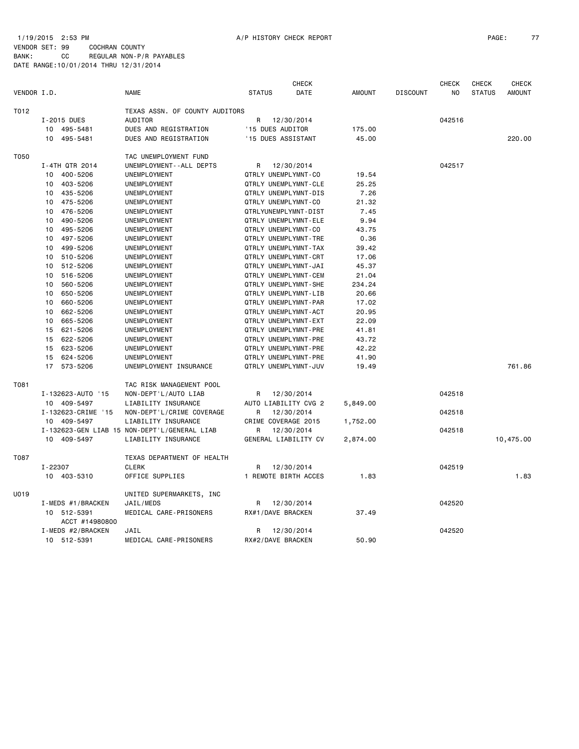1/19/2015 2:53 PM A/P HISTORY CHECK REPORT PAGE: 77 VENDOR SET: 99 COCHRAN COUNTY BANK: CC REGULAR NON-P/R PAYABLES DATE RANGE:10/01/2014 THRU 12/31/2014

|             |                               |                                              | <b>CHECK</b>          |               |                 | <b>CHECK</b> | <b>CHECK</b>  | <b>CHECK</b>  |
|-------------|-------------------------------|----------------------------------------------|-----------------------|---------------|-----------------|--------------|---------------|---------------|
| VENDOR I.D. |                               | <b>NAME</b>                                  | <b>STATUS</b><br>DATE | <b>AMOUNT</b> | <b>DISCOUNT</b> | NO           | <b>STATUS</b> | <b>AMOUNT</b> |
| T012        |                               | TEXAS ASSN. OF COUNTY AUDITORS               |                       |               |                 |              |               |               |
|             | I-2015 DUES                   | AUDITOR                                      | R<br>12/30/2014       |               |                 | 042516       |               |               |
|             | 10 495-5481                   | DUES AND REGISTRATION                        | '15 DUES AUDITOR      | 175.00        |                 |              |               |               |
|             | 495-5481<br>10                | DUES AND REGISTRATION                        | '15 DUES ASSISTANT    | 45.00         |                 |              |               | 220,00        |
| T050        |                               | TAC UNEMPLOYMENT FUND                        |                       |               |                 |              |               |               |
|             | I-4TH QTR 2014                | UNEMPLOYMENT - - ALL DEPTS                   | R<br>12/30/2014       |               |                 | 042517       |               |               |
|             | 10 400-5206                   | UNEMPLOYMENT                                 | QTRLY UNEMPLYMNT-CO   | 19.54         |                 |              |               |               |
|             | 10 403-5206                   | UNEMPLOYMENT                                 | QTRLY UNEMPLYMNT-CLE  | 25.25         |                 |              |               |               |
|             | 10 435-5206                   | UNEMPLOYMENT                                 | QTRLY UNEMPLYMNT-DIS  | 7.26          |                 |              |               |               |
|             | 475-5206<br>10                | UNEMPLOYMENT                                 | QTRLY UNEMPLYMNT-CO   | 21.32         |                 |              |               |               |
|             | 10<br>476-5206                | UNEMPLOYMENT                                 | QTRLYUNEMPLYMNT-DIST  | 7.45          |                 |              |               |               |
|             | 490-5206<br>10                | UNEMPLOYMENT                                 | QTRLY UNEMPLYMNT-ELE  | 9.94          |                 |              |               |               |
|             | 495-5206<br>10                | UNEMPLOYMENT                                 | QTRLY UNEMPLYMNT-CO   | 43.75         |                 |              |               |               |
|             | 497-5206<br>10                | UNEMPLOYMENT                                 | QTRLY UNEMPLYMNT-TRE  | 0.36          |                 |              |               |               |
|             | 499-5206<br>10                | UNEMPLOYMENT                                 | QTRLY UNEMPLYMNT-TAX  | 39.42         |                 |              |               |               |
|             | 510-5206<br>10                | UNEMPLOYMENT                                 | QTRLY UNEMPLYMNT-CRT  | 17.06         |                 |              |               |               |
|             | 10 <sub>1</sub><br>512-5206   | UNEMPLOYMENT                                 | QTRLY UNEMPLYMNT-JAI  | 45.37         |                 |              |               |               |
|             | 516-5206<br>10                | UNEMPLOYMENT                                 | QTRLY UNEMPLYMNT-CEM  | 21.04         |                 |              |               |               |
|             | 560-5206<br>10                | UNEMPLOYMENT                                 | QTRLY UNEMPLYMNT-SHE  | 234.24        |                 |              |               |               |
|             | 650-5206<br>10                | UNEMPLOYMENT                                 | QTRLY UNEMPLYMNT-LIB  | 20.66         |                 |              |               |               |
|             | 660-5206<br>10                | UNEMPLOYMENT                                 | QTRLY UNEMPLYMNT-PAR  | 17.02         |                 |              |               |               |
|             | 662-5206<br>10                | UNEMPLOYMENT                                 | QTRLY UNEMPLYMNT-ACT  | 20.95         |                 |              |               |               |
|             | 665-5206<br>10                | UNEMPLOYMENT                                 | QTRLY UNEMPLYMNT-EXT  | 22.09         |                 |              |               |               |
|             | 621-5206<br>15                | UNEMPLOYMENT                                 | QTRLY UNEMPLYMNT-PRE  | 41.81         |                 |              |               |               |
|             | 622-5206<br>15                | UNEMPLOYMENT                                 | QTRLY UNEMPLYMNT-PRE  | 43.72         |                 |              |               |               |
|             | 15<br>623-5206                | UNEMPLOYMENT                                 | QTRLY UNEMPLYMNT-PRE  | 42.22         |                 |              |               |               |
|             | 624-5206<br>15                | UNEMPLOYMENT                                 | QTRLY UNEMPLYMNT-PRE  | 41.90         |                 |              |               |               |
|             | 17<br>573-5206                | UNEMPLOYMENT INSURANCE                       | QTRLY UNEMPLYMNT-JUV  | 19.49         |                 |              |               | 761.86        |
| T081        |                               | TAC RISK MANAGEMENT POOL                     |                       |               |                 |              |               |               |
|             | I-132623-AUTO '15             | NON-DEPT'L/AUTO LIAB                         | 12/30/2014<br>R       |               |                 | 042518       |               |               |
|             | 10 409-5497                   | LIABILITY INSURANCE                          | AUTO LIABILITY CVG 2  | 5,849.00      |                 |              |               |               |
|             | I-132623-CRIME '15            | NON-DEPT'L/CRIME COVERAGE                    | 12/30/2014<br>R       |               |                 | 042518       |               |               |
|             | 10 409-5497                   | LIABILITY INSURANCE                          | CRIME COVERAGE 2015   | 1,752.00      |                 |              |               |               |
|             |                               | I-132623-GEN LIAB 15 NON-DEPT'L/GENERAL LIAB | 12/30/2014<br>R.      |               |                 | 042518       |               |               |
|             | 10 409-5497                   | LIABILITY INSURANCE                          | GENERAL LIABILITY CV  | 2,874.00      |                 |              |               | 10,475.00     |
| T087        |                               | TEXAS DEPARTMENT OF HEALTH                   |                       |               |                 |              |               |               |
|             | I-22307                       | <b>CLERK</b>                                 | 12/30/2014<br>R       |               |                 | 042519       |               |               |
|             | 10 403-5310                   | OFFICE SUPPLIES                              | 1 REMOTE BIRTH ACCES  | 1.83          |                 |              |               | 1.83          |
| U019        |                               | UNITED SUPERMARKETS, INC                     |                       |               |                 |              |               |               |
|             | I-MEDS #1/BRACKEN             | JAIL/MEDS                                    | 12/30/2014<br>R       |               |                 | 042520       |               |               |
|             | 10 512-5391<br>ACCT #14980800 | MEDICAL CARE-PRISONERS                       | RX#1/DAVE BRACKEN     | 37.49         |                 |              |               |               |
|             | I-MEDS #2/BRACKEN             | JAIL                                         | 12/30/2014<br>R       |               |                 | 042520       |               |               |
|             | 10 512-5391                   | MEDICAL CARE-PRISONERS                       | RX#2/DAVE BRACKEN     | 50.90         |                 |              |               |               |
|             |                               |                                              |                       |               |                 |              |               |               |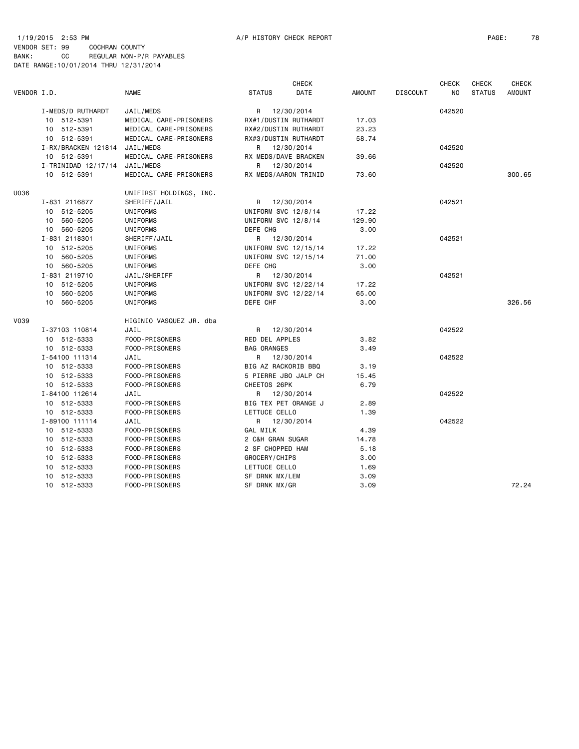#### 1/19/2015 2:53 PM A/P HISTORY CHECK REPORT PAGE: 78 VENDOR SET: 99 COCHRAN COUNTY BANK: CC REGULAR NON-P/R PAYABLES DATE RANGE:10/01/2014 THRU 12/31/2014

|             |                               |                         |                      | <b>CHECK</b> |               |                 | <b>CHECK</b>   | <b>CHECK</b>  | <b>CHECK</b>  |
|-------------|-------------------------------|-------------------------|----------------------|--------------|---------------|-----------------|----------------|---------------|---------------|
| VENDOR I.D. |                               | <b>NAME</b>             | <b>STATUS</b>        | DATE         | <b>AMOUNT</b> | <b>DISCOUNT</b> | N <sub>O</sub> | <b>STATUS</b> | <b>AMOUNT</b> |
|             | I-MEDS/D RUTHARDT             | JAIL/MEDS               | R 12/30/2014         |              |               |                 | 042520         |               |               |
|             | 10 512-5391                   | MEDICAL CARE-PRISONERS  | RX#1/DUSTIN RUTHARDT |              | 17.03         |                 |                |               |               |
|             | 10 512-5391                   | MEDICAL CARE-PRISONERS  | RX#2/DUSTIN RUTHARDT |              | 23.23         |                 |                |               |               |
|             | 10 512-5391                   | MEDICAL CARE-PRISONERS  | RX#3/DUSTIN RUTHARDT |              | 58.74         |                 |                |               |               |
|             | I-RX/BRACKEN 121814           | JAIL/MEDS               | R 12/30/2014         |              |               |                 | 042520         |               |               |
|             | 10 512-5391                   | MEDICAL CARE-PRISONERS  | RX MEDS/DAVE BRACKEN |              | 39.66         |                 |                |               |               |
|             | I-TRINIDAD 12/17/14 JAIL/MEDS |                         | R 12/30/2014         |              |               |                 | 042520         |               |               |
|             | 10 512-5391                   | MEDICAL CARE-PRISONERS  | RX MEDS/AARON TRINID |              | 73.60         |                 |                |               | 300.65        |
| U036        |                               | UNIFIRST HOLDINGS, INC. |                      |              |               |                 |                |               |               |
|             | I-831 2116877                 | SHERIFF/JAIL            | R 12/30/2014         |              |               |                 | 042521         |               |               |
|             | 10 512-5205                   | UNIFORMS                | UNIFORM SVC 12/8/14  |              | 17.22         |                 |                |               |               |
|             | 10 560-5205                   | UNIFORMS                | UNIFORM SVC 12/8/14  |              | 129.90        |                 |                |               |               |
|             | 10 560-5205                   | UNIFORMS                | DEFE CHG             |              | 3.00          |                 |                |               |               |
|             | I-831 2118301                 | SHERIFF/JAIL            | R 12/30/2014         |              |               |                 | 042521         |               |               |
|             | 10 512-5205                   | UNIFORMS                | UNIFORM SVC 12/15/14 |              | 17.22         |                 |                |               |               |
|             | 10 560-5205                   | UNIFORMS                | UNIFORM SVC 12/15/14 |              | 71.00         |                 |                |               |               |
|             | 10 560-5205                   | UNIFORMS                | DEFE CHG             |              | 3.00          |                 |                |               |               |
|             | I-831 2119710                 | JAIL/SHERIFF            | R 12/30/2014         |              |               |                 | 042521         |               |               |
|             | 10 512-5205                   | UNIFORMS                | UNIFORM SVC 12/22/14 |              | 17.22         |                 |                |               |               |
|             | 10 560-5205                   | UNIFORMS                | UNIFORM SVC 12/22/14 |              | 65.00         |                 |                |               |               |
|             | 10 560-5205                   | UNIFORMS                | DEFE CHF             |              | 3.00          |                 |                |               | 326.56        |
| V039        |                               | HIGINIO VASQUEZ JR. dba |                      |              |               |                 |                |               |               |
|             | I-37103 110814                | JAIL                    | R 12/30/2014         |              |               |                 | 042522         |               |               |
|             | 10 512-5333                   | FOOD-PRISONERS          | RED DEL APPLES       |              | 3.82          |                 |                |               |               |
|             | 10 512-5333                   | FOOD-PRISONERS          | <b>BAG ORANGES</b>   |              | 3.49          |                 |                |               |               |
|             | I-54100 111314                | JAIL                    | R 12/30/2014         |              |               |                 | 042522         |               |               |
|             | 10 512-5333                   | FOOD-PRISONERS          | BIG AZ RACKORIB BBQ  |              | 3.19          |                 |                |               |               |
|             | 10 512-5333                   | FOOD-PRISONERS          | 5 PIERRE JBO JALP CH |              | 15.45         |                 |                |               |               |
|             | 10 512-5333                   | FOOD-PRISONERS          | CHEETOS 26PK         |              | 6.79          |                 |                |               |               |
|             | I-84100 112614                | JAIL                    | R 12/30/2014         |              |               |                 | 042522         |               |               |
|             | 10 512-5333                   | FOOD-PRISONERS          | BIG TEX PET ORANGE J |              | 2.89          |                 |                |               |               |
|             | 10 512-5333                   | FOOD-PRISONERS          | LETTUCE CELLO        |              | 1.39          |                 |                |               |               |
|             | I-89100 111114                | JAIL                    | R 12/30/2014         |              |               |                 | 042522         |               |               |
|             | 10 512-5333                   | FOOD-PRISONERS          | GAL MILK             |              | 4.39          |                 |                |               |               |
|             | 10 512-5333                   | FOOD-PRISONERS          | 2 C&H GRAN SUGAR     |              | 14.78         |                 |                |               |               |
|             | 10 512-5333                   | FOOD-PRISONERS          | 2 SF CHOPPED HAM     |              | 5.18          |                 |                |               |               |
|             | 10 512-5333                   | FOOD-PRISONERS          | GROCERY/CHIPS        |              | 3.00          |                 |                |               |               |
|             | 10 512-5333                   | FOOD-PRISONERS          | LETTUCE CELLO        |              | 1.69          |                 |                |               |               |
|             | 10 512-5333                   | FOOD-PRISONERS          | SF DRNK MX/LEM       |              | 3.09          |                 |                |               |               |
|             | 10 512-5333                   | FOOD-PRISONERS          | SF DRNK MX/GR        |              | 3.09          |                 |                |               | 72.24         |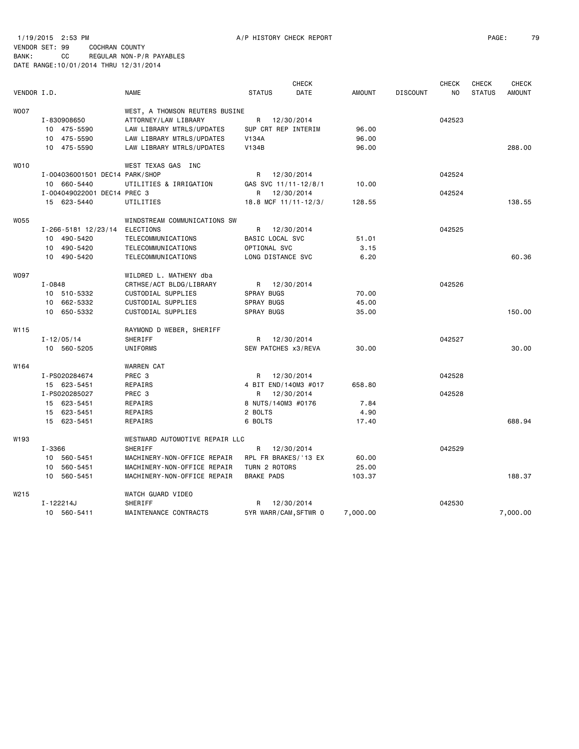1/19/2015 2:53 PM A/P HISTORY CHECK REPORT PAGE: 79 VENDOR SET: 99 COCHRAN COUNTY BANK: CC REGULAR NON-P/R PAYABLES DATE RANGE:10/01/2014 THRU 12/31/2014

|                  |                                |                                |                       | <b>CHECK</b> |               |                 | <b>CHECK</b> | <b>CHECK</b>  | <b>CHECK</b>  |
|------------------|--------------------------------|--------------------------------|-----------------------|--------------|---------------|-----------------|--------------|---------------|---------------|
| VENDOR I.D.      |                                | <b>NAME</b>                    | <b>STATUS</b>         | DATE         | <b>AMOUNT</b> | <b>DISCOUNT</b> | NO.          | <b>STATUS</b> | <b>AMOUNT</b> |
| <b>WOO7</b>      |                                | WEST, A THOMSON REUTERS BUSINE |                       |              |               |                 |              |               |               |
|                  | I-830908650                    | ATTORNEY/LAW LIBRARY           | R 12/30/2014          |              |               |                 | 042523       |               |               |
|                  | 10 475-5590                    | LAW LIBRARY MTRLS/UPDATES      | SUP CRT REP INTERIM   |              | 96.00         |                 |              |               |               |
|                  | 10 475-5590                    | LAW LIBRARY MTRLS/UPDATES      | <b>V134A</b>          |              | 96.00         |                 |              |               |               |
|                  | 10 475-5590                    | LAW LIBRARY MTRLS/UPDATES      | V134B                 |              | 96.00         |                 |              |               | 288.00        |
| WO10             |                                | WEST TEXAS GAS INC             |                       |              |               |                 |              |               |               |
|                  | I-004036001501 DEC14 PARK/SHOP |                                | R                     | 12/30/2014   |               |                 | 042524       |               |               |
|                  | 10 660-5440                    | UTILITIES & IRRIGATION         | GAS SVC 11/11-12/8/1  |              | 10.00         |                 |              |               |               |
|                  | I-004049022001 DEC14 PREC 3    |                                | R                     | 12/30/2014   |               |                 | 042524       |               |               |
|                  | 15 623-5440                    | UTILITIES                      | 18.8 MCF 11/11-12/3/  |              | 128.55        |                 |              |               | 138.55        |
| W055             |                                | WINDSTREAM COMMUNICATIONS SW   |                       |              |               |                 |              |               |               |
|                  | I-266-5181 12/23/14            | ELECTIONS                      | R 12/30/2014          |              |               |                 | 042525       |               |               |
|                  | 10 490-5420                    | TELECOMMUNICATIONS             | BASIC LOCAL SVC       |              | 51.01         |                 |              |               |               |
|                  | 10 490-5420                    | TELECOMMUNICATIONS             | OPTIONAL SVC          |              | 3.15          |                 |              |               |               |
|                  | 10 490-5420                    | TELECOMMUNICATIONS             | LONG DISTANCE SVC     |              | 6.20          |                 |              |               | 60.36         |
| <b>WO97</b>      |                                | WILDRED L. MATHENY dba         |                       |              |               |                 |              |               |               |
|                  | I-0848                         | CRTHSE/ACT BLDG/LIBRARY        | R 12/30/2014          |              |               |                 | 042526       |               |               |
|                  | 10 510-5332                    | CUSTODIAL SUPPLIES             | SPRAY BUGS            |              | 70.00         |                 |              |               |               |
|                  | 10 662-5332                    | CUSTODIAL SUPPLIES             | SPRAY BUGS            |              | 45.00         |                 |              |               |               |
|                  | 10 650-5332                    | CUSTODIAL SUPPLIES             | <b>SPRAY BUGS</b>     |              | 35.00         |                 |              |               | 150.00        |
| W115             |                                | RAYMOND D WEBER, SHERIFF       |                       |              |               |                 |              |               |               |
|                  | $I - 12/05/14$                 | SHERIFF                        | R                     | 12/30/2014   |               |                 | 042527       |               |               |
|                  | 10 560-5205                    | UNIFORMS                       | SEW PATCHES x3/REVA   |              | 30.00         |                 |              |               | 30.00         |
| W164             |                                | <b>WARREN CAT</b>              |                       |              |               |                 |              |               |               |
|                  | I-PS020284674                  | PREC 3                         | R                     | 12/30/2014   |               |                 | 042528       |               |               |
|                  | 15 623-5451                    | REPAIRS                        | 4 BIT END/140M3 #017  |              | 658.80        |                 |              |               |               |
|                  | I-PS020285027                  | PREC 3                         | R                     | 12/30/2014   |               |                 | 042528       |               |               |
|                  | 15 623-5451                    | REPAIRS                        | 8 NUTS/140M3 #0176    |              | 7.84          |                 |              |               |               |
|                  | 15 623-5451                    | REPAIRS                        | 2 BOLTS               |              | 4.90          |                 |              |               |               |
|                  | 15 623-5451                    | REPAIRS                        | 6 BOLTS               |              | 17.40         |                 |              |               | 688.94        |
| W <sub>193</sub> |                                | WESTWARD AUTOMOTIVE REPAIR LLC |                       |              |               |                 |              |               |               |
|                  | I-3366                         | SHERIFF                        | R                     | 12/30/2014   |               |                 | 042529       |               |               |
|                  | 10 560-5451                    | MACHINERY-NON-OFFICE REPAIR    | RPL FR BRAKES/'13 EX  |              | 60.00         |                 |              |               |               |
|                  | 10 560-5451                    | MACHINERY-NON-OFFICE REPAIR    | TURN 2 ROTORS         |              | 25.00         |                 |              |               |               |
|                  | 10 560-5451                    | MACHINERY-NON-OFFICE REPAIR    | <b>BRAKE PADS</b>     |              | 103.37        |                 |              |               | 188.37        |
| W215             |                                | WATCH GUARD VIDEO              |                       |              |               |                 |              |               |               |
|                  | I-122214J                      | SHERIFF                        | R                     | 12/30/2014   |               |                 | 042530       |               |               |
|                  | 10 560-5411                    | MAINTENANCE CONTRACTS          | 5YR WARR/CAM, SFTWR 0 |              | 7,000.00      |                 |              |               | 7.000.00      |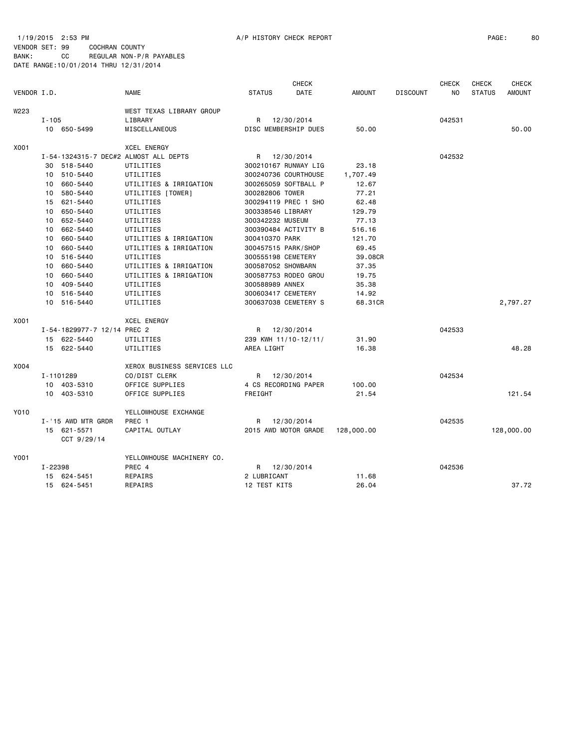#### 1/19/2015 2:53 PM A/P HISTORY CHECK REPORT PAGE: 80 VENDOR SET: 99 COCHRAN COUNTY BANK: CC REGULAR NON-P/R PAYABLES DATE RANGE:10/01/2014 THRU 12/31/2014

|             |           |                             |                                       |               | <b>CHECK</b>         |               |                 | <b>CHECK</b> | <b>CHECK</b>  | <b>CHECK</b>  |
|-------------|-----------|-----------------------------|---------------------------------------|---------------|----------------------|---------------|-----------------|--------------|---------------|---------------|
| VENDOR I.D. |           |                             | <b>NAME</b>                           | <b>STATUS</b> | DATE                 | <b>AMOUNT</b> | <b>DISCOUNT</b> | NO.          | <b>STATUS</b> | <b>AMOUNT</b> |
| W223        |           |                             | WEST TEXAS LIBRARY GROUP              |               |                      |               |                 |              |               |               |
|             | $I - 105$ |                             | LIBRARY                               | R             | 12/30/2014           |               |                 | 042531       |               |               |
|             |           | 10 650-5499                 | MISCELLANEOUS                         |               | DISC MEMBERSHIP DUES | 50.00         |                 |              |               | 50.00         |
| X001        |           |                             | <b>XCEL ENERGY</b>                    |               |                      |               |                 |              |               |               |
|             |           |                             | I-54-1324315-7 DEC#2 ALMOST ALL DEPTS | R             | 12/30/2014           |               |                 | 042532       |               |               |
|             | 30        | 518-5440                    | UTILITIES                             |               | 300210167 RUNWAY LIG | 23.18         |                 |              |               |               |
|             | 10        | 510-5440                    | UTILITIES                             |               | 300240736 COURTHOUSE | 1,707.49      |                 |              |               |               |
|             | 10        | 660-5440                    | UTILITIES & IRRIGATION                |               | 300265059 SOFTBALL P | 12.67         |                 |              |               |               |
|             |           | 10 580-5440                 | UTILITIES [TOWER]                     |               | 300282806 TOWER      | 77.21         |                 |              |               |               |
|             | 15        | 621-5440                    | UTILITIES                             |               | 300294119 PREC 1 SHO | 62.48         |                 |              |               |               |
|             | 10        | 650-5440                    | UTILITIES                             |               | 300338546 LIBRARY    | 129.79        |                 |              |               |               |
|             |           | 10 652-5440                 | UTILITIES                             |               | 300342232 MUSEUM     | 77.13         |                 |              |               |               |
|             | 10        | 662-5440                    | UTILITIES                             |               | 300390484 ACTIVITY B | 516.16        |                 |              |               |               |
|             | 10        | 660-5440                    | UTILITIES & IRRIGATION                |               | 300410370 PARK       | 121.70        |                 |              |               |               |
|             | 10        | 660-5440                    | UTILITIES & IRRIGATION                |               | 300457515 PARK/SHOP  | 69.45         |                 |              |               |               |
|             | 10        | 516-5440                    | UTILITIES                             |               | 300555198 CEMETERY   | 39.08CR       |                 |              |               |               |
|             | 10        | 660-5440                    | UTILITIES & IRRIGATION                |               | 300587052 SHOWBARN   | 37.35         |                 |              |               |               |
|             | 10        | 660-5440                    | UTILITIES & IRRIGATION                |               | 300587753 RODEO GROU | 19.75         |                 |              |               |               |
|             | 10        | 409-5440                    | UTILITIES                             |               | 300588989 ANNEX      | 35.38         |                 |              |               |               |
|             | 10        | 516-5440                    | UTILITIES                             |               | 300603417 CEMETERY   | 14.92         |                 |              |               |               |
|             | 10        | 516-5440                    | UTILITIES                             |               | 300637038 CEMETERY S | 68.31CR       |                 |              |               | 2,797.27      |
| X001        |           |                             | <b>XCEL ENERGY</b>                    |               |                      |               |                 |              |               |               |
|             |           | I-54-1829977-7 12/14 PREC 2 |                                       |               | R 12/30/2014         |               |                 | 042533       |               |               |
|             |           | 15 622-5440                 | UTILITIES                             |               | 239 KWH 11/10-12/11/ | 31.90         |                 |              |               |               |
|             |           | 15 622-5440                 | UTILITIES                             | AREA LIGHT    |                      | 16.38         |                 |              |               | 48.28         |
| X004        |           |                             | XEROX BUSINESS SERVICES LLC           |               |                      |               |                 |              |               |               |
|             | I-1101289 |                             | CO/DIST CLERK                         | R             | 12/30/2014           |               |                 | 042534       |               |               |
|             |           | 10 403-5310                 | OFFICE SUPPLIES                       |               | 4 CS RECORDING PAPER | 100.00        |                 |              |               |               |
|             |           | 10 403-5310                 | OFFICE SUPPLIES                       | FREIGHT       |                      | 21.54         |                 |              |               | 121.54        |
| Y010        |           |                             | YELLOWHOUSE EXCHANGE                  |               |                      |               |                 |              |               |               |
|             |           | I-'15 AWD MTR GRDR          | PREC 1                                | R             | 12/30/2014           |               |                 | 042535       |               |               |
|             |           | 15 621-5571<br>CCT 9/29/14  | CAPITAL OUTLAY                        |               | 2015 AWD MOTOR GRADE | 128,000.00    |                 |              |               | 128,000.00    |
| Y001        |           |                             | YELLOWHOUSE MACHINERY CO.             |               |                      |               |                 |              |               |               |
|             | I-22398   |                             | PREC 4                                | R             | 12/30/2014           |               |                 | 042536       |               |               |
|             |           | 15 624-5451                 | REPAIRS                               | 2 LUBRICANT   |                      | 11.68         |                 |              |               |               |
|             |           | 15 624-5451                 | REPAIRS                               |               | 12 TEST KITS         | 26.04         |                 |              |               | 37.72         |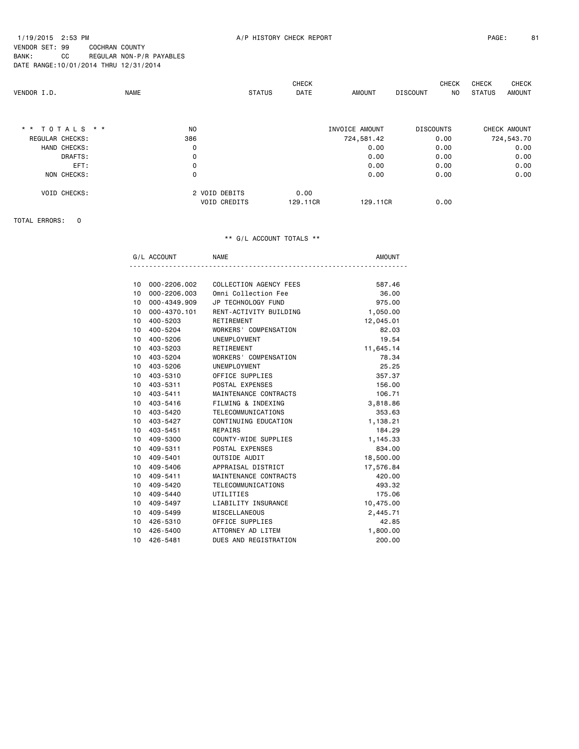NO STATUS AMOUNT

DATE RANGE:10/01/2014 THRU 12/31/2014 CHECK CHECK CHECK CHECK CHECK CHECK CHECK CHECK CHECK CHECK CHECK CHECK CHECK CHECK CHECK CHECK CHECK CHECK CHECK CHECK CHECK CHECK CHECK CHECK CHECK CHECK CHECK CHECK CHECK CHECK CHECK AMOUNT DISCOUNT NO STATUS AMOUNT

| * * TOTALS * *      | N <sub>O</sub>      | INVOICE AMOUNT       | <b>DISCOUNTS</b> | CHECK AMOUNT |
|---------------------|---------------------|----------------------|------------------|--------------|
| REGULAR CHECKS:     | 386                 | 724,581.42           | 0.00             | 724,543.70   |
| HAND CHECKS:        | 0                   | 0.00                 | 0.00             | 0.00         |
| DRAFTS:             | 0                   | 0.00                 | 0.00             | 0.00         |
| EFT:                | 0                   | 0.00                 | 0.00             | 0.00         |
| NON CHECKS:         | 0                   | 0.00                 | 0.00             | 0.00         |
| <b>VOID CHECKS:</b> | 2 VOID DEBITS       | 0.00                 |                  |              |
|                     | <b>VOID CREDITS</b> | 129.11CR<br>129.11CR | 0.00             |              |

TOTAL ERRORS: 0

|                 | G/L ACCOUNT     | <b>NAME</b>            | <b>AMOUNT</b> |
|-----------------|-----------------|------------------------|---------------|
|                 |                 |                        |               |
|                 | 10 000-2206.002 | COLLECTION AGENCY FEES | 587.46        |
| 10 <sup>1</sup> | 000-2206.003    | Omni Collection Fee    | 36,00         |
|                 | 10 000-4349.909 | JP TECHNOLOGY FUND     | 975.00        |
|                 | 10 000-4370.101 | RENT-ACTIVITY BUILDING | 1,050.00      |
| 10 <sup>1</sup> | 400-5203        | RETIREMENT             | 12,045.01     |
|                 | 10 400-5204     | WORKERS' COMPENSATION  | 82.03         |
| 10 <sup>1</sup> | 400-5206        | UNEMPLOYMENT           | 19.54         |
| 10              | 403-5203        | RETIREMENT             | 11,645.14     |
|                 | 10 403-5204     | WORKERS' COMPENSATION  | 78.34         |
|                 | 10 403-5206     | UNEMPLOYMENT           | 25.25         |
| 10 <sup>1</sup> | 403-5310        | OFFICE SUPPLIES        | 357.37        |
|                 | 10 403-5311     | POSTAL EXPENSES        | 156.00        |
|                 | 10 403-5411     | MAINTENANCE CONTRACTS  | 106.71        |
| 10              | 403-5416        | FILMING & INDEXING     | 3,818.86      |
|                 | 10 403-5420     | TELECOMMUNICATIONS     | 353.63        |
|                 | 10 403-5427     | CONTINUING EDUCATION   | 1,138.21      |
| 10              | 403-5451        | REPAIRS                | 184.29        |
|                 | 10 409-5300     | COUNTY-WIDE SUPPLIES   | 1,145.33      |
| 10 <sup>1</sup> | 409-5311        | POSTAL EXPENSES        | 834.00        |
| 10 <sup>1</sup> | 409-5401        | OUTSIDE AUDIT          | 18,500.00     |
|                 | 10 409-5406     | APPRAISAL DISTRICT     | 17,576.84     |
|                 | 10 409-5411     | MAINTENANCE CONTRACTS  | 420.00        |
| 10 <sup>1</sup> | 409-5420        | TELECOMMUNICATIONS     | 493.32        |
|                 | 10 409-5440     | UTILITIES              | 175.06        |
| 10 <sup>1</sup> | 409-5497        | LIABILITY INSURANCE    | 10,475.00     |
| 10 <sup>1</sup> | 409-5499        | <b>MISCELLANEOUS</b>   | 2,445.71      |
|                 | 10 426-5310     | OFFICE SUPPLIES        | 42.85         |
|                 | 10 426-5400     | ATTORNEY AD LITEM      | 1,800.00      |
| 10 <sup>1</sup> | 426-5481        | DUES AND REGISTRATION  | 200.00        |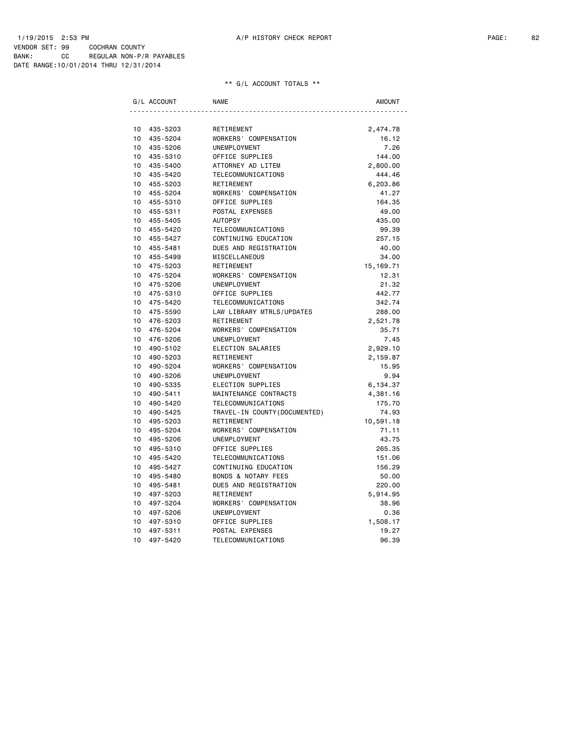|                 | G/L ACCOUNT | <b>NAME</b>                     | <b>AMOUNT</b> |
|-----------------|-------------|---------------------------------|---------------|
|                 |             |                                 |               |
| 10 <sup>1</sup> | 435-5203    | RETIREMENT                      | 2,474.78      |
| 10              | 435-5204    | WORKERS' COMPENSATION           | 16.12         |
| 10              | 435-5206    | UNEMPLOYMENT                    | 7.26          |
| 10 <sup>1</sup> | 435-5310    | OFFICE SUPPLIES                 | 144.00        |
| 10              | 435-5400    | ATTORNEY AD LITEM               | 2,800.00      |
| 10              | 435-5420    | TELECOMMUNICATIONS              | 444.46        |
| 10 <sup>1</sup> | 455-5203    | RETIREMENT                      | 6,203.86      |
| 10              | 455-5204    | WORKERS' COMPENSATION           | 41.27         |
| 10 <sup>1</sup> | 455-5310    | OFFICE SUPPLIES                 | 164.35        |
| $10-10$         | 455-5311    | POSTAL EXPENSES                 | 49.00         |
| 10              | 455-5405    | <b>AUTOPSY</b>                  | 435.00        |
| 10              | 455-5420    | TELECOMMUNICATIONS              | 99.39         |
| 10 <sup>1</sup> | 455-5427    | CONTINUING EDUCATION            | 257.15        |
| 10 <sup>1</sup> | 455-5481    | DUES AND REGISTRATION           | 40.00         |
| 10 <sup>1</sup> | 455-5499    | <b>MISCELLANEOUS</b>            | 34.00         |
| 10 <sup>1</sup> | 475-5203    | RETIREMENT                      | 15, 169.71    |
| 10 <sup>1</sup> | 475-5204    | WORKERS' COMPENSATION           | 12.31         |
| 10 <sup>1</sup> | 475-5206    | UNEMPLOYMENT                    | 21.32         |
| 10              | 475-5310    | OFFICE SUPPLIES                 | 442.77        |
| 10              | 475-5420    | TELECOMMUNICATIONS              | 342.74        |
| 10              | 475-5590    | LAW LIBRARY MTRLS/UPDATES       | 288.00        |
| 10 <sup>1</sup> | 476-5203    | RETIREMENT                      | 2,521.78      |
| 10 <sup>1</sup> | 476-5204    | WORKERS' COMPENSATION           | 35.71         |
| 10 <sup>1</sup> | 476-5206    | UNEMPLOYMENT                    | 7.45          |
| 10              | 490-5102    | ELECTION SALARIES               | 2,929.10      |
| 10 <sup>1</sup> | 490-5203    | RETIREMENT                      | 2,159.87      |
| 10              | 490-5204    | WORKERS' COMPENSATION           | 15.95         |
| 10              | 490-5206    | UNEMPLOYMENT                    | 9.94          |
| 10 <sup>1</sup> | 490-5335    | ELECTION SUPPLIES               | 6,134.37      |
| 10 <sup>1</sup> | 490-5411    | MAINTENANCE CONTRACTS           | 4,381.16      |
| 10              | 490-5420    | TELECOMMUNICATIONS              | 175.70        |
| 10 <sup>1</sup> | 490-5425    | TRAVEL - IN COUNTY (DOCUMENTED) | 74.93         |
| 10              | 495-5203    | RETIREMENT                      | 10,591.18     |
| 10 <sup>1</sup> | 495-5204    | WORKERS' COMPENSATION           | 71.11         |
| 10              | 495-5206    | UNEMPLOYMENT                    | 43.75         |
| 10 <sup>1</sup> | 495-5310    | OFFICE SUPPLIES                 | 265.35        |
| 10 <sup>1</sup> | 495-5420    | TELECOMMUNICATIONS              | 151.06        |
| 10 <sup>1</sup> | 495-5427    | CONTINUING EDUCATION            | 156.29        |
| 10 <sup>1</sup> | 495-5480    | <b>BONDS &amp; NOTARY FEES</b>  | 50.00         |
| 10 <sup>1</sup> | 495-5481    | DUES AND REGISTRATION           | 220.00        |
| 10              | 497-5203    | RETIREMENT                      | 5,914.95      |
| 10 <sup>1</sup> | 497-5204    | WORKERS' COMPENSATION           | 38.96         |
| 10 <sup>1</sup> | 497-5206    | UNEMPLOYMENT                    | 0.36          |
| 10              | 497-5310    | OFFICE SUPPLIES                 | 1,508.17      |
| 10              | 497-5311    | POSTAL EXPENSES                 | 19.27         |
| 10              | 497-5420    | TELECOMMUNICATIONS              | 96.39         |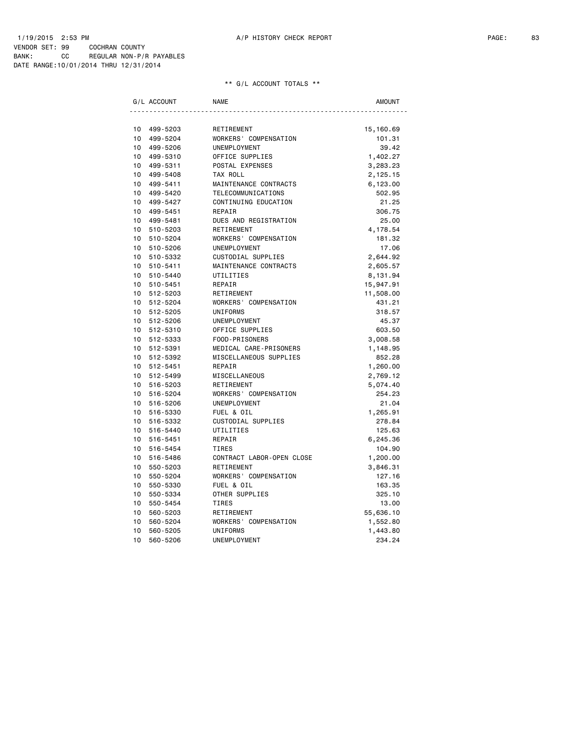| G/L ACCOUNT                 | <b>NAME</b>               | <b>AMOUNT</b> |
|-----------------------------|---------------------------|---------------|
|                             |                           |               |
| 10 <sup>1</sup><br>499-5203 | RETIREMENT                | 15,160.69     |
| 10<br>499-5204              | WORKERS' COMPENSATION     | 101.31        |
| 10<br>499-5206              | UNEMPLOYMENT              | 39.42         |
| 10 <sup>1</sup><br>499-5310 | OFFICE SUPPLIES           | 1,402.27      |
| 10<br>499-5311              | POSTAL EXPENSES           | 3,283.23      |
| 10 <sup>1</sup><br>499-5408 | TAX ROLL                  | 2,125.15      |
| 10 <sup>1</sup><br>499-5411 | MAINTENANCE CONTRACTS     | 6,123.00      |
| 10<br>499-5420              | TELECOMMUNICATIONS        | 502.95        |
| 10 <sup>1</sup><br>499-5427 | CONTINUING EDUCATION      | 21.25         |
| 10 499-5451                 | REPAIR                    | 306.75        |
| 10 499-5481                 | DUES AND REGISTRATION     | 25.00         |
| 10 510-5203                 | RETIREMENT                | 4,178.54      |
| $10-10$<br>510-5204         | WORKERS' COMPENSATION     | 181.32        |
| 10 510-5206                 | UNEMPLOYMENT              | 17.06         |
| 10 <sup>1</sup><br>510-5332 | CUSTODIAL SUPPLIES        | 2,644.92      |
| 10 510-5411                 | MAINTENANCE CONTRACTS     | 2,605.57      |
| 10 510-5440                 | UTILITIES                 | 8,131.94      |
| 10 510-5451                 | REPAIR                    | 15,947.91     |
| 10 512-5203                 | RETIREMENT                | 11,508.00     |
| 10 512-5204                 | WORKERS' COMPENSATION     | 431.21        |
| 10 512-5205                 | <b>UNIFORMS</b>           | 318.57        |
| 10 512-5206                 | UNEMPLOYMENT              | 45.37         |
| 10 512-5310                 | OFFICE SUPPLIES           | 603.50        |
| 10 512-5333                 | FOOD-PRISONERS            | 3,008.58      |
| 10<br>512-5391              | MEDICAL CARE-PRISONERS    | 1,148.95      |
| $10-10$<br>512-5392         | MISCELLANEOUS SUPPLIES    | 852.28        |
| 10 512-5451                 | REPAIR                    | 1,260.00      |
| 10 512-5499                 | MISCELLANEOUS             | 2,769.12      |
| 10 <sup>1</sup><br>516-5203 | RETIREMENT                | 5,074.40      |
| 10 <sup>1</sup><br>516-5204 | WORKERS' COMPENSATION     | 254.23        |
| 10<br>516-5206              | UNEMPLOYMENT              | 21.04         |
| 10 <sup>1</sup><br>516-5330 | FUEL & OIL                | 1,265.91      |
| 10 <sup>1</sup><br>516-5332 | CUSTODIAL SUPPLIES        | 278.84        |
| 10 <sup>1</sup><br>516-5440 | UTILITIES                 | 125.63        |
| 10<br>516-5451              | REPAIR                    | 6,245.36      |
| 10 <sup>1</sup><br>516-5454 | TIRES                     | 104.90        |
| 10 <sup>1</sup><br>516-5486 | CONTRACT LABOR-OPEN CLOSE | 1,200.00      |
| 10 <sup>1</sup><br>550-5203 | RETIREMENT                | 3,846.31      |
| 10 <sup>1</sup><br>550-5204 | WORKERS' COMPENSATION     | 127.16        |
| 10 <sup>1</sup><br>550-5330 | FUEL & OIL                | 163.35        |
| 10<br>550-5334              | OTHER SUPPLIES            | 325.10        |
| 10 <sup>1</sup><br>550-5454 | TIRES                     | 13.00         |
| 10<br>560-5203              | RETIREMENT                | 55,636.10     |
| 10<br>560-5204              | WORKERS' COMPENSATION     | 1,552.80      |
| 10<br>560-5205              | UNIFORMS                  | 1,443.80      |
| 10<br>560-5206              | UNEMPLOYMENT              | 234.24        |
|                             |                           |               |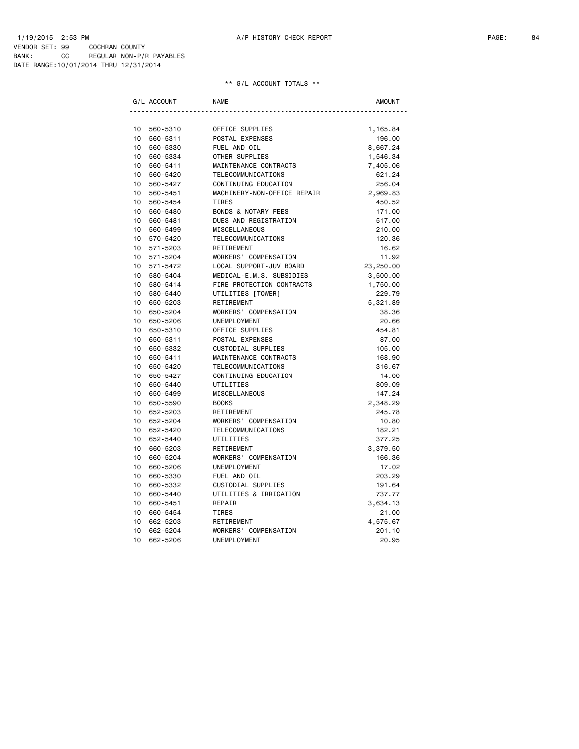|                 | G/L ACCOUNT | <b>NAME</b>                    | <b>AMOUNT</b> |
|-----------------|-------------|--------------------------------|---------------|
|                 |             |                                |               |
| 10              | 560-5310    | OFFICE SUPPLIES                | 1,165.84      |
| 10              | 560-5311    | POSTAL EXPENSES                | 196.00        |
| 10 <sup>1</sup> | 560-5330    | FUEL AND OIL                   | 8,667.24      |
| 10 <sup>1</sup> | 560-5334    | OTHER SUPPLIES                 | 1,546.34      |
| 10 <sup>1</sup> | 560-5411    | MAINTENANCE CONTRACTS          | 7,405.06      |
| 10 <sup>1</sup> | 560-5420    | TELECOMMUNICATIONS             | 621.24        |
| 10              | 560-5427    | CONTINUING EDUCATION           | 256.04        |
| 10 <sup>1</sup> | 560-5451    | MACHINERY-NON-OFFICE REPAIR    | 2,969.83      |
| 10              | 560-5454    | TIRES                          | 450.52        |
| 10 <sup>1</sup> | 560-5480    | <b>BONDS &amp; NOTARY FEES</b> | 171.00        |
| 10              | 560-5481    | DUES AND REGISTRATION          | 517.00        |
| 10              | 560-5499    | MISCELLANEOUS                  | 210.00        |
| 10              | 570-5420    | TELECOMMUNICATIONS             | 120.36        |
| 10 <sup>1</sup> | 571-5203    | RETIREMENT                     | 16.62         |
| 10 <sup>1</sup> | 571-5204    | WORKERS' COMPENSATION          | 11.92         |
| 10 <sup>1</sup> | 571-5472    | LOCAL SUPPORT-JUV BOARD        | 23,250.00     |
| $10-10$         | 580-5404    | MEDICAL-E.M.S. SUBSIDIES       | 3,500.00      |
| 10 <sup>1</sup> | 580-5414    | FIRE PROTECTION CONTRACTS      | 1,750.00      |
| 10 <sup>1</sup> | 580-5440    | UTILITIES [TOWER]              | 229.79        |
| 10 <sup>1</sup> | 650-5203    | RETIREMENT                     | 5,321.89      |
| 10              | 650-5204    | WORKERS' COMPENSATION          | 38.36         |
| 10 <sup>1</sup> | 650-5206    | UNEMPLOYMENT                   | 20.66         |
| 10              | 650-5310    | OFFICE SUPPLIES                | 454.81        |
| 10              | 650-5311    | POSTAL EXPENSES                | 87.00         |
| 10              | 650-5332    | CUSTODIAL SUPPLIES             | 105.00        |
| 10 <sup>1</sup> | 650-5411    | MAINTENANCE CONTRACTS          | 168.90        |
| 10              | 650-5420    | TELECOMMUNICATIONS             | 316.67        |
| 10              | 650-5427    | CONTINUING EDUCATION           | 14.00         |
| 10              | 650-5440    | UTILITIES                      | 809.09        |
| 10 <sup>1</sup> | 650-5499    | MISCELLANEOUS                  | 147.24        |
| 10              | 650-5590    | <b>BOOKS</b>                   | 2,348.29      |
| 10              | 652-5203    | RETIREMENT                     | 245.78        |
| 10 <sup>1</sup> | 652-5204    | WORKERS' COMPENSATION          | 10.80         |
| 10 <sup>1</sup> | 652-5420    | TELECOMMUNICATIONS             | 182.21        |
| 10 <sup>1</sup> | 652-5440    | UTILITIES                      | 377.25        |
| 10 <sup>1</sup> | 660-5203    | RETIREMENT                     | 3,379.50      |
| 10              | 660-5204    | WORKERS' COMPENSATION          | 166.36        |
| 10              | 660-5206    | UNEMPLOYMENT                   | 17.02         |
| 10              | 660-5330    | FUEL AND OIL                   | 203.29        |
| 10              | 660-5332    | CUSTODIAL SUPPLIES             | 191.64        |
|                 |             |                                |               |
| 10<br>10        | 660-5440    | UTILITIES & IRRIGATION         | 737.77        |
|                 | 660-5451    | REPAIR                         | 3,634.13      |
| 10              | 660-5454    | TIRES                          | 21.00         |
| 10              | 662-5203    | RETIREMENT                     | 4,575.67      |
| 10              | 662-5204    | WORKERS' COMPENSATION          | 201.10        |
| 10              | 662-5206    | UNEMPLOYMENT                   | 20.95         |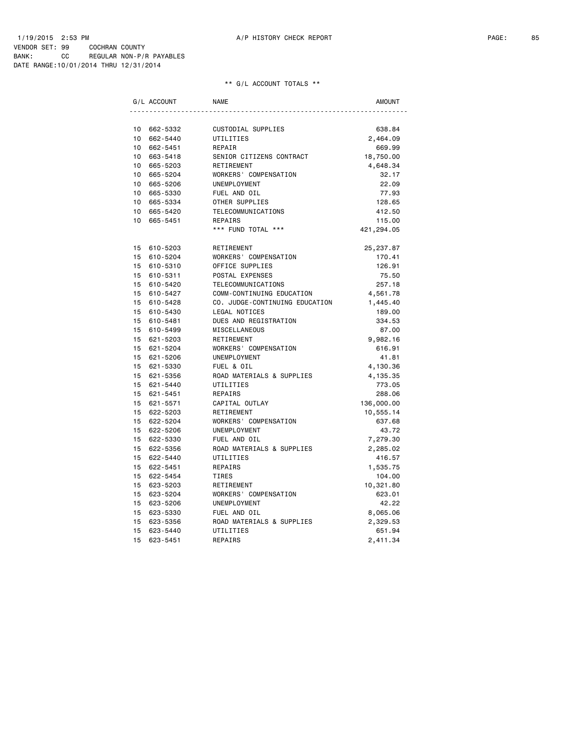|                 | G/L ACCOUNT | NAME                           | AMOUNT     |
|-----------------|-------------|--------------------------------|------------|
|                 |             |                                |            |
| 10 <sup>1</sup> | 662-5332    | CUSTODIAL SUPPLIES             | 638.84     |
| 10 <sup>1</sup> | 662-5440    | UTILITIES                      | 2,464.09   |
|                 | 10 662-5451 | REPAIR                         | 669.99     |
|                 | 10 663-5418 | SENIOR CITIZENS CONTRACT       | 18,750.00  |
|                 | 10 665-5203 | RETIREMENT                     | 4,648.34   |
| 10              | 665-5204    | WORKERS' COMPENSATION          | 32.17      |
| 10              | 665-5206    | UNEMPLOYMENT                   | 22.09      |
| 10              | 665-5330    | FUEL AND OIL                   | 77.93      |
| 10              | 665-5334    | OTHER SUPPLIES                 | 128.65     |
|                 | 10 665-5420 | TELECOMMUNICATIONS             | 412.50     |
| 10              | 665-5451    | REPAIRS                        | 115.00     |
|                 |             | *** FUND TOTAL ***             | 421,294.05 |
|                 | 15 610-5203 | RETIREMENT                     | 25, 237.87 |
| 15              | 610-5204    | WORKERS' COMPENSATION          | 170.41     |
|                 | 15 610-5310 | OFFICE SUPPLIES                | 126.91     |
|                 | 15 610-5311 | POSTAL EXPENSES                | 75.50      |
|                 | 15 610-5420 | TELECOMMUNICATIONS             | 257.18     |
|                 | 15 610-5427 | COMM-CONTINUING EDUCATION      | 4,561.78   |
|                 | 15 610-5428 | CO. JUDGE-CONTINUING EDUCATION | 1,445.40   |
|                 | 15 610-5430 | LEGAL NOTICES                  | 189.00     |
|                 | 15 610-5481 | DUES AND REGISTRATION          | 334.53     |
|                 | 15 610-5499 | MISCELLANEOUS                  | 87.00      |
|                 | 15 621-5203 | RETIREMENT                     | 9,982.16   |
|                 | 15 621-5204 | WORKERS' COMPENSATION          | 616.91     |
|                 | 15 621-5206 | UNEMPLOYMENT                   | 41.81      |
|                 | 15 621-5330 | FUEL & OIL                     | 4,130.36   |
|                 | 15 621-5356 | ROAD MATERIALS & SUPPLIES      | 4,135.35   |
|                 | 15 621-5440 | UTILITIES                      | 773.05     |
|                 | 15 621-5451 | REPAIRS                        | 288.06     |
|                 | 15 621-5571 | CAPITAL OUTLAY                 | 136,000.00 |
|                 | 15 622-5203 | RETIREMENT                     | 10,555.14  |
|                 | 15 622-5204 | WORKERS' COMPENSATION          | 637.68     |
|                 | 15 622-5206 | UNEMPLOYMENT                   | 43.72      |
|                 | 15 622-5330 | FUEL AND OIL                   | 7,279.30   |
|                 | 15 622-5356 | ROAD MATERIALS & SUPPLIES      | 2,285.02   |
|                 | 15 622-5440 | UTILITIES                      | 416.57     |
|                 | 15 622-5451 | REPAIRS                        | 1,535.75   |
|                 | 15 622-5454 | TIRES                          | 104.00     |
|                 | 15 623-5203 | RETIREMENT                     | 10,321.80  |
| 15              | 623-5204    | WORKERS' COMPENSATION          | 623.01     |
|                 | 15 623-5206 | UNEMPLOYMENT                   | 42.22      |
|                 | 15 623-5330 | FUEL AND OIL                   | 8,065.06   |
|                 | 15 623-5356 | ROAD MATERIALS & SUPPLIES      | 2,329.53   |
|                 | 15 623-5440 | UTILITIES                      | 651.94     |
| 15              | 623-5451    | REPAIRS                        | 2,411.34   |
|                 |             |                                |            |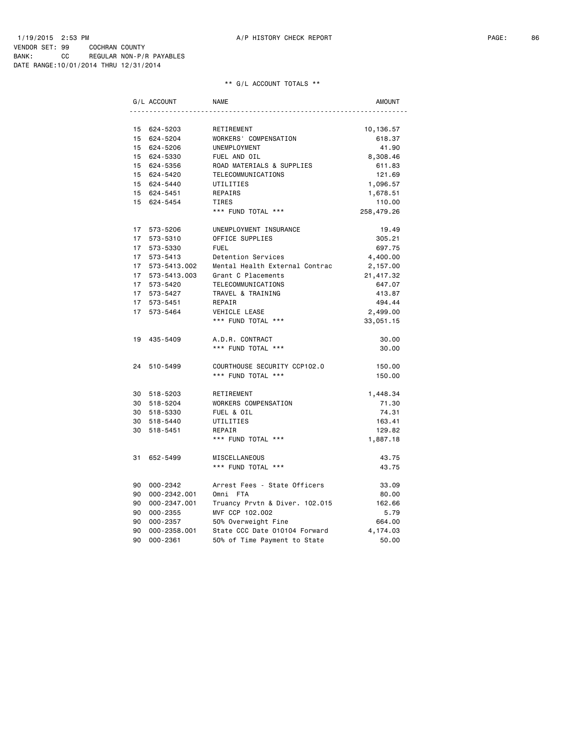|    | G/L ACCOUNT     | <b>NAME</b>                    | <b>AMOUNT</b> |
|----|-----------------|--------------------------------|---------------|
|    |                 |                                |               |
|    | 15 624-5203     | RETIREMENT                     | 10,136.57     |
|    | 15 624-5204     | WORKERS' COMPENSATION          | 618.37        |
|    | 15 624-5206     | UNEMPLOYMENT                   | 41.90         |
|    | 15 624-5330     | FUEL AND OIL                   | 8,308.46      |
|    | 15 624-5356     | ROAD MATERIALS & SUPPLIES      | 611.83        |
|    | 15 624-5420     | TELECOMMUNICATIONS             | 121.69        |
|    | 15 624-5440     | UTILITIES                      | 1,096.57      |
|    | 15 624-5451     | REPAIRS                        | 1,678.51      |
|    | 15 624-5454     | TIRES                          | 110.00        |
|    |                 | *** FUND TOTAL ***             | 258,479.26    |
|    | 17 573-5206     | UNEMPLOYMENT INSURANCE         | 19.49         |
|    | 17 573-5310     | OFFICE SUPPLIES                | 305.21        |
|    | 17 573-5330     | <b>FUEL</b>                    | 697.75        |
|    | 17 573-5413     | Detention Services             | 4,400.00      |
|    | 17 573-5413.002 | Mental Health External Contrac | 2,157.00      |
|    | 17 573-5413.003 | Grant C Placements             | 21,417.32     |
|    | 17 573-5420     | TELECOMMUNICATIONS             | 647.07        |
|    | 17 573-5427     | TRAVEL & TRAINING              | 413.87        |
|    | 17 573-5451     | REPAIR                         | 494.44        |
|    | 17 573-5464     | VEHICLE LEASE                  | 2,499.00      |
|    |                 | *** FUND TOTAL ***             | 33,051.15     |
|    | 19 435-5409     | A.D.R. CONTRACT                | 30.00         |
|    |                 | *** FUND TOTAL ***             | 30.00         |
|    | 24 510-5499     | COURTHOUSE SECURITY CCP102.0   | 150.00        |
|    |                 | *** FUND TOTAL ***             | 150.00        |
|    | 30 518-5203     | RETIREMENT                     | 1,448.34      |
|    | 30 518-5204     | WORKERS COMPENSATION           | 71.30         |
|    | 30 518-5330     | FUEL & OIL                     | 74.31         |
|    | 30 518-5440     | UTILITIES                      | 163.41        |
|    | 30 518-5451     | REPAIR                         | 129.82        |
|    |                 | *** FUND TOTAL ***             | 1,887.18      |
| 31 | 652-5499        | MISCELLANEOUS                  | 43.75         |
|    |                 | *** FUND TOTAL ***             | 43.75         |
|    | 90 000-2342     | Arrest Fees - State Officers   | 33.09         |
| 90 | 000-2342.001    | Omni FTA                       | 80.00         |
| 90 | 000-2347.001    | Truancy Prvtn & Diver. 102.015 | 162.66        |
| 90 | 000-2355        | MVF CCP 102.002                | 5.79          |
| 90 | $000 - 2357$    | 50% Overweight Fine            | 664.00        |
| 90 | 000-2358.001    | State CCC Date 010104 Forward  | 4,174.03      |
| 90 | $000 - 2361$    | 50% of Time Payment to State   | 50.00         |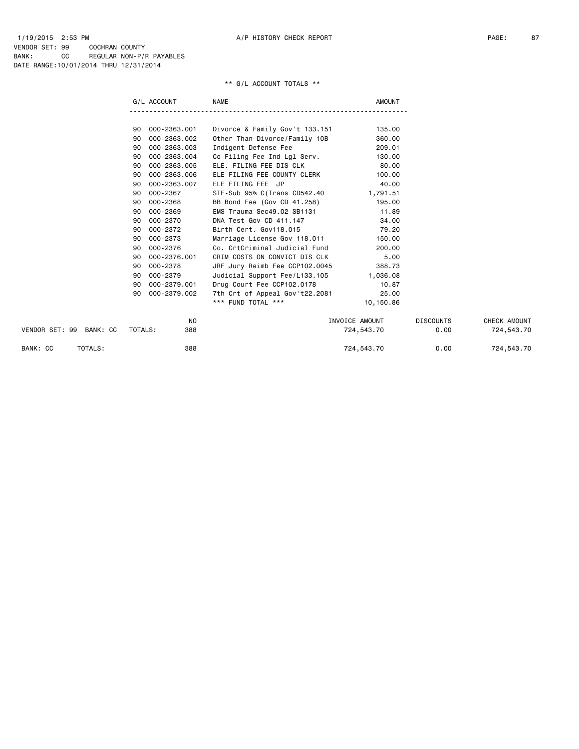|                         | G/L ACCOUNT        | <b>NAME</b>                            | <b>AMOUNT</b>  |                  |              |
|-------------------------|--------------------|----------------------------------------|----------------|------------------|--------------|
|                         |                    |                                        |                |                  |              |
|                         | 000-2363.001<br>90 | Divorce & Family Gov't 133.151         | 135.00         |                  |              |
|                         | 000-2363.002<br>90 | Other Than Divorce/Family 10B          | 360.00         |                  |              |
|                         | 000-2363.003<br>90 | Indigent Defense Fee                   | 209.01         |                  |              |
|                         | 000-2363.004<br>90 | Co Filing Fee Ind Lgl Serv.            | 130.00         |                  |              |
|                         | 000-2363.005<br>90 | ELE. FILING FEE DIS CLK                | 80.00          |                  |              |
|                         | 000-2363.006<br>90 | ELE FILING FEE COUNTY CLERK            | 100.00         |                  |              |
|                         | 000-2363.007<br>90 | ELE FILING FEE JP                      | 40.00          |                  |              |
|                         | 90<br>000-2367     | STF-Sub 95% C(Trans CD542.40           | 1,791.51       |                  |              |
|                         | 000-2368<br>90     | BB Bond Fee (Gov CD 41.258)            | 195.00         |                  |              |
|                         | 000-2369<br>90     | EMS Trauma Sec49.02 SB1131             | 11.89          |                  |              |
|                         | 000-2370<br>90     | DNA Test Gov CD 411.147                | 34.00          |                  |              |
|                         | 000-2372<br>90     | Birth Cert. Gov118.015                 | 79.20          |                  |              |
|                         | 000-2373<br>90     | Marriage License Gov 118.011           | 150.00         |                  |              |
|                         | 000-2376<br>90     | Co. CrtCriminal Judicial Fund          | 200.00         |                  |              |
|                         | 000-2376.001<br>90 | CRIM COSTS ON CONVICT DIS CLK          | 5.00           |                  |              |
|                         | 000-2378<br>90     | JRF Jury Reimb Fee CCP102.0045         | 388.73         |                  |              |
|                         | 000-2379<br>90     | Judicial Support Fee/L133.105 1,036.08 |                |                  |              |
|                         | 000-2379.001<br>90 | Drug Court Fee CCP102.0178             | 10.87          |                  |              |
|                         | 000-2379.002<br>90 | 7th Crt of Appeal Gov't22.2081         | 25.00          |                  |              |
|                         |                    | *** FUND TOTAL ***                     | 10,150.86      |                  |              |
|                         | N <sub>0</sub>     |                                        | INVOICE AMOUNT | <b>DISCOUNTS</b> | CHECK AMOUNT |
| VENDOR SET: 99 BANK: CC | TOTALS:<br>388     |                                        | 724,543.70     | 0.00             | 724,543.70   |
| BANK: CC<br>TOTALS:     | 388                |                                        | 724,543.70     | 0.00             | 724,543.70   |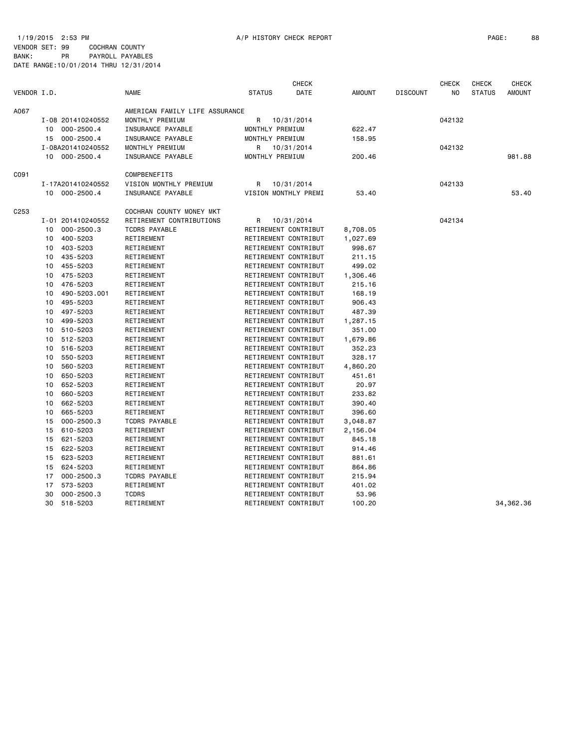|                  |    |                   |                                |               | CHECK                |          |               |                 | <b>CHECK</b> | <b>CHECK</b>  | <b>CHECK</b>  |
|------------------|----|-------------------|--------------------------------|---------------|----------------------|----------|---------------|-----------------|--------------|---------------|---------------|
| VENDOR I.D.      |    |                   | <b>NAME</b>                    | <b>STATUS</b> | DATE                 |          | <b>AMOUNT</b> | <b>DISCOUNT</b> | NO.          | <b>STATUS</b> | <b>AMOUNT</b> |
| A067             |    |                   | AMERICAN FAMILY LIFE ASSURANCE |               |                      |          |               |                 |              |               |               |
|                  |    | I-08 201410240552 | MONTHLY PREMIUM                | R             | 10/31/2014           |          |               |                 | 042132       |               |               |
|                  |    | 10 000-2500.4     | INSURANCE PAYABLE              |               | MONTHLY PREMIUM      |          | 622.47        |                 |              |               |               |
|                  |    | 15 000-2500.4     | INSURANCE PAYABLE              |               | MONTHLY PREMIUM      |          | 158.95        |                 |              |               |               |
|                  |    | I-08A201410240552 | MONTHLY PREMIUM                | R             | 10/31/2014           |          |               |                 | 042132       |               |               |
|                  |    | 10 000-2500.4     | INSURANCE PAYABLE              |               | MONTHLY PREMIUM      |          | 200.46        |                 |              |               | 981.88        |
| C091             |    |                   | COMPBENEFITS                   |               |                      |          |               |                 |              |               |               |
|                  |    | I-17A201410240552 | VISION MONTHLY PREMIUM         | R             | 10/31/2014           |          |               |                 | 042133       |               |               |
|                  |    | 10 000-2500.4     | INSURANCE PAYABLE              |               | VISION MONTHLY PREMI |          | 53.40         |                 |              |               | 53.40         |
| C <sub>253</sub> |    |                   | COCHRAN COUNTY MONEY MKT       |               |                      |          |               |                 |              |               |               |
|                  |    | I-01 201410240552 | RETIREMENT CONTRIBUTIONS       | R             | 10/31/2014           |          |               |                 | 042134       |               |               |
|                  | 10 | 000-2500.3        | TCDRS PAYABLE                  |               | RETIREMENT CONTRIBUT | 8,708.05 |               |                 |              |               |               |
|                  | 10 | 400-5203          | RETIREMENT                     |               | RETIREMENT CONTRIBUT | 1,027.69 |               |                 |              |               |               |
|                  | 10 | 403-5203          | RETIREMENT                     |               | RETIREMENT CONTRIBUT |          | 998.67        |                 |              |               |               |
|                  | 10 | 435-5203          | RETIREMENT                     |               | RETIREMENT CONTRIBUT |          | 211.15        |                 |              |               |               |
|                  | 10 | 455-5203          | RETIREMENT                     |               | RETIREMENT CONTRIBUT |          | 499.02        |                 |              |               |               |
|                  | 10 | 475-5203          | RETIREMENT                     |               | RETIREMENT CONTRIBUT | 1,306.46 |               |                 |              |               |               |
|                  | 10 | 476-5203          | RETIREMENT                     |               | RETIREMENT CONTRIBUT |          | 215.16        |                 |              |               |               |
|                  | 10 | 490-5203.001      | RETIREMENT                     |               | RETIREMENT CONTRIBUT |          | 168.19        |                 |              |               |               |
|                  | 10 | 495-5203          | RETIREMENT                     |               | RETIREMENT CONTRIBUT |          | 906.43        |                 |              |               |               |
|                  | 10 | 497-5203          | RETIREMENT                     |               | RETIREMENT CONTRIBUT |          | 487.39        |                 |              |               |               |
|                  | 10 | 499-5203          | RETIREMENT                     |               | RETIREMENT CONTRIBUT | 1,287.15 |               |                 |              |               |               |
|                  | 10 | 510-5203          | RETIREMENT                     |               | RETIREMENT CONTRIBUT |          | 351.00        |                 |              |               |               |
|                  | 10 | 512-5203          | RETIREMENT                     |               | RETIREMENT CONTRIBUT | 1,679.86 |               |                 |              |               |               |
|                  | 10 | 516-5203          | RETIREMENT                     |               | RETIREMENT CONTRIBUT |          | 352.23        |                 |              |               |               |
|                  | 10 | 550-5203          | RETIREMENT                     |               | RETIREMENT CONTRIBUT |          | 328.17        |                 |              |               |               |
|                  | 10 | 560-5203          | RETIREMENT                     |               | RETIREMENT CONTRIBUT | 4,860.20 |               |                 |              |               |               |
|                  | 10 | 650-5203          | RETIREMENT                     |               | RETIREMENT CONTRIBUT |          | 451.61        |                 |              |               |               |
|                  | 10 | 652-5203          | RETIREMENT                     |               | RETIREMENT CONTRIBUT |          | 20.97         |                 |              |               |               |
|                  | 10 | 660-5203          | RETIREMENT                     |               | RETIREMENT CONTRIBUT |          | 233.82        |                 |              |               |               |
|                  | 10 | 662-5203          | RETIREMENT                     |               | RETIREMENT CONTRIBUT |          | 390.40        |                 |              |               |               |
|                  | 10 | 665-5203          | RETIREMENT                     |               | RETIREMENT CONTRIBUT |          | 396.60        |                 |              |               |               |
|                  | 15 | $000 - 2500.3$    | <b>TCDRS PAYABLE</b>           |               | RETIREMENT CONTRIBUT | 3,048.87 |               |                 |              |               |               |
|                  | 15 | 610-5203          | RETIREMENT                     |               | RETIREMENT CONTRIBUT | 2,156.04 |               |                 |              |               |               |
|                  | 15 | 621-5203          | RETIREMENT                     |               | RETIREMENT CONTRIBUT |          | 845.18        |                 |              |               |               |
|                  | 15 | 622-5203          | RETIREMENT                     |               | RETIREMENT CONTRIBUT |          | 914.46        |                 |              |               |               |
|                  | 15 | 623-5203          | RETIREMENT                     |               | RETIREMENT CONTRIBUT |          | 881.61        |                 |              |               |               |
|                  | 15 | 624-5203          | RETIREMENT                     |               | RETIREMENT CONTRIBUT |          | 864.86        |                 |              |               |               |
|                  | 17 | $000 - 2500.3$    | <b>TCDRS PAYABLE</b>           |               | RETIREMENT CONTRIBUT |          | 215.94        |                 |              |               |               |
|                  | 17 | 573-5203          | RETIREMENT                     |               | RETIREMENT CONTRIBUT |          | 401.02        |                 |              |               |               |
|                  | 30 | $000 - 2500.3$    | <b>TCDRS</b>                   |               | RETIREMENT CONTRIBUT |          | 53.96         |                 |              |               |               |
|                  | 30 | 518-5203          | RETIREMENT                     |               | RETIREMENT CONTRIBUT |          | 100.20        |                 |              |               | 34,362.36     |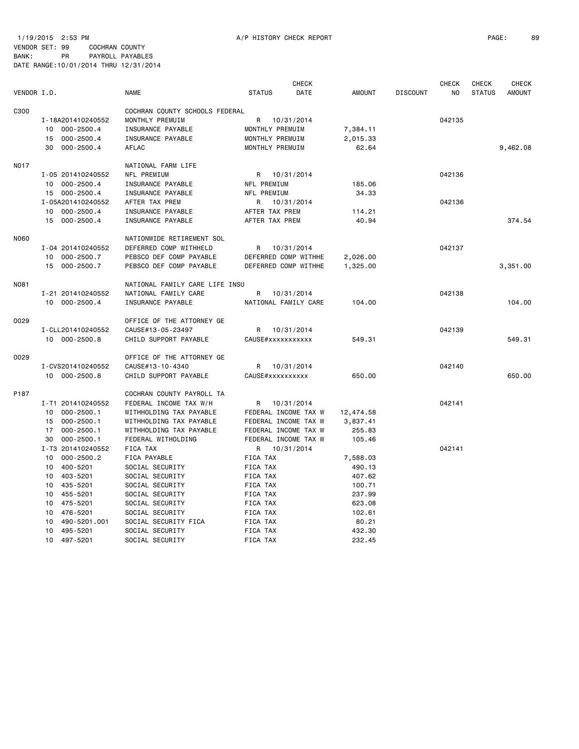1/19/2015 2:53 PM A/P HISTORY CHECK REPORT PAGE: 89 VENDOR SET: 99 COCHRAN COUNTY BANK: PR PAYROLL PAYABLES DATE RANGE:10/01/2014 THRU 12/31/2014

| VENDOR I.D.<br><b>NAME</b><br><b>STATUS</b><br>DATE<br><b>AMOUNT</b><br><b>DISCOUNT</b><br>NO<br><b>STATUS</b><br><b>AMOUNT</b><br>COCHRAN COUNTY SCHOOLS FEDERAL<br>C300<br>I-18A201410240552<br>MONTHLY PREMUIM<br>042135<br>R 10/31/2014<br>10<br>000-2500.4<br>INSURANCE PAYABLE<br>MONTHLY PREMUIM<br>7,384.11<br>$000 - 2500.4$<br>INSURANCE PAYABLE<br>MONTHLY PREMUIM<br>2,015.33<br>15<br>$000 - 2500.4$<br>AFLAC<br>9,462.08<br>30<br>MONTHLY PREMUIM<br>62.64<br>N017<br>NATIONAL FARM LIFE<br>NFL PREMIUM<br>042136<br>I-05 201410240552<br>R 10/31/2014<br>$000 - 2500.4$<br>INSURANCE PAYABLE<br>NFL PREMIUM<br>185.06<br>10<br>15 000-2500.4<br>NFL PREMIUM<br>34.33<br>INSURANCE PAYABLE<br>I-05A201410240552<br>AFTER TAX PREM<br>10/31/2014<br>042136<br>R<br>10 000-2500.4<br>INSURANCE PAYABLE<br>AFTER TAX PREM<br>114.21<br>15 000-2500.4<br>INSURANCE PAYABLE<br>AFTER TAX PREM<br>40.94<br>374.54<br>N060<br>NATIONWIDE RETIREMENT SOL<br>I-04 201410240552<br>DEFERRED COMP WITHHELD<br>R 10/31/2014<br>042137<br>10 000-2500.7<br>PEBSCO DEF COMP PAYABLE<br>DEFERRED COMP WITHHE<br>2,026.00<br>PEBSCO DEF COMP PAYABLE<br>3,351.00<br>15 000-2500.7<br>DEFERRED COMP WITHHE<br>1,325.00<br>N081<br>NATIONAL FAMILY CARE LIFE INSU<br>NATIONAL FAMILY CARE<br>042138<br>I-21 201410240552<br>R<br>10/31/2014<br>10 000-2500.4<br>INSURANCE PAYABLE<br>NATIONAL FAMILY CARE<br>104.00<br>104.00<br>0029<br>OFFICE OF THE ATTORNEY GE<br>042139<br>I-CLL201410240552<br>CAUSE#13-05-23497<br>R<br>10/31/2014<br>10 000-2500.8<br>CHILD SUPPORT PAYABLE<br>CAUSE#xxxxxxxxxxx<br>549.31<br>549.31<br>0029<br>OFFICE OF THE ATTORNEY GE<br>042140<br>I-CVS201410240552<br>CAUSE#13-10-4340<br>R<br>10/31/2014<br>10 000-2500.8<br>CHILD SUPPORT PAYABLE<br>CAUSE#xxxxxxxxxx<br>650.00<br>650.00<br>P187<br>COCHRAN COUNTY PAYROLL TA<br>I-T1 201410240552<br>FEDERAL INCOME TAX W/H<br>042141<br>R 10/31/2014<br>$000 - 2500.1$<br>WITHHOLDING TAX PAYABLE<br>FEDERAL INCOME TAX W<br>12,474.58<br>10<br>$000 - 2500.1$<br>WITHHOLDING TAX PAYABLE<br>FEDERAL INCOME TAX W<br>15<br>3,837.41<br>$000 - 2500.1$<br>WITHHOLDING TAX PAYABLE<br>FEDERAL INCOME TAX W<br>255.83<br>17<br>$000 - 2500.1$<br>FEDERAL WITHOLDING<br>FEDERAL INCOME TAX W<br>105.46<br>30<br>I-T3 201410240552<br>FICA TAX<br>R 10/31/2014<br>042141<br>$000 - 2500.2$<br>FICA PAYABLE<br>FICA TAX<br>10<br>7,588.03<br>400-5201<br>SOCIAL SECURITY<br>FICA TAX<br>10<br>490.13<br>10 403-5201<br>SOCIAL SECURITY<br>FICA TAX<br>407.62<br>10 435-5201<br>SOCIAL SECURITY<br>FICA TAX<br>100.71<br>10 455-5201<br>SOCIAL SECURITY<br>FICA TAX<br>237.99<br>10 475-5201<br>SOCIAL SECURITY<br>FICA TAX<br>623.08<br>10<br>476-5201<br>SOCIAL SECURITY<br>FICA TAX<br>102.61<br>490-5201.001<br>SOCIAL SECURITY FICA<br>10<br>FICA TAX<br>80.21<br>495-5201<br>SOCIAL SECURITY<br>432.30<br>10<br>FICA TAX<br>10 497-5201<br>SOCIAL SECURITY<br>232.45<br>FICA TAX |  |  | <b>CHECK</b> |  | <b>CHECK</b> | <b>CHECK</b> | <b>CHECK</b> |
|----------------------------------------------------------------------------------------------------------------------------------------------------------------------------------------------------------------------------------------------------------------------------------------------------------------------------------------------------------------------------------------------------------------------------------------------------------------------------------------------------------------------------------------------------------------------------------------------------------------------------------------------------------------------------------------------------------------------------------------------------------------------------------------------------------------------------------------------------------------------------------------------------------------------------------------------------------------------------------------------------------------------------------------------------------------------------------------------------------------------------------------------------------------------------------------------------------------------------------------------------------------------------------------------------------------------------------------------------------------------------------------------------------------------------------------------------------------------------------------------------------------------------------------------------------------------------------------------------------------------------------------------------------------------------------------------------------------------------------------------------------------------------------------------------------------------------------------------------------------------------------------------------------------------------------------------------------------------------------------------------------------------------------------------------------------------------------------------------------------------------------------------------------------------------------------------------------------------------------------------------------------------------------------------------------------------------------------------------------------------------------------------------------------------------------------------------------------------------------------------------------------------------------------------------------------------------------------------------------------------------------------------------------------------------------------------------------------------------------------------------------------------------------------------------------------------------------------------------------------------------------------------------------------------------------------------------------------|--|--|--------------|--|--------------|--------------|--------------|
|                                                                                                                                                                                                                                                                                                                                                                                                                                                                                                                                                                                                                                                                                                                                                                                                                                                                                                                                                                                                                                                                                                                                                                                                                                                                                                                                                                                                                                                                                                                                                                                                                                                                                                                                                                                                                                                                                                                                                                                                                                                                                                                                                                                                                                                                                                                                                                                                                                                                                                                                                                                                                                                                                                                                                                                                                                                                                                                                                                |  |  |              |  |              |              |              |
|                                                                                                                                                                                                                                                                                                                                                                                                                                                                                                                                                                                                                                                                                                                                                                                                                                                                                                                                                                                                                                                                                                                                                                                                                                                                                                                                                                                                                                                                                                                                                                                                                                                                                                                                                                                                                                                                                                                                                                                                                                                                                                                                                                                                                                                                                                                                                                                                                                                                                                                                                                                                                                                                                                                                                                                                                                                                                                                                                                |  |  |              |  |              |              |              |
|                                                                                                                                                                                                                                                                                                                                                                                                                                                                                                                                                                                                                                                                                                                                                                                                                                                                                                                                                                                                                                                                                                                                                                                                                                                                                                                                                                                                                                                                                                                                                                                                                                                                                                                                                                                                                                                                                                                                                                                                                                                                                                                                                                                                                                                                                                                                                                                                                                                                                                                                                                                                                                                                                                                                                                                                                                                                                                                                                                |  |  |              |  |              |              |              |
|                                                                                                                                                                                                                                                                                                                                                                                                                                                                                                                                                                                                                                                                                                                                                                                                                                                                                                                                                                                                                                                                                                                                                                                                                                                                                                                                                                                                                                                                                                                                                                                                                                                                                                                                                                                                                                                                                                                                                                                                                                                                                                                                                                                                                                                                                                                                                                                                                                                                                                                                                                                                                                                                                                                                                                                                                                                                                                                                                                |  |  |              |  |              |              |              |
|                                                                                                                                                                                                                                                                                                                                                                                                                                                                                                                                                                                                                                                                                                                                                                                                                                                                                                                                                                                                                                                                                                                                                                                                                                                                                                                                                                                                                                                                                                                                                                                                                                                                                                                                                                                                                                                                                                                                                                                                                                                                                                                                                                                                                                                                                                                                                                                                                                                                                                                                                                                                                                                                                                                                                                                                                                                                                                                                                                |  |  |              |  |              |              |              |
|                                                                                                                                                                                                                                                                                                                                                                                                                                                                                                                                                                                                                                                                                                                                                                                                                                                                                                                                                                                                                                                                                                                                                                                                                                                                                                                                                                                                                                                                                                                                                                                                                                                                                                                                                                                                                                                                                                                                                                                                                                                                                                                                                                                                                                                                                                                                                                                                                                                                                                                                                                                                                                                                                                                                                                                                                                                                                                                                                                |  |  |              |  |              |              |              |
|                                                                                                                                                                                                                                                                                                                                                                                                                                                                                                                                                                                                                                                                                                                                                                                                                                                                                                                                                                                                                                                                                                                                                                                                                                                                                                                                                                                                                                                                                                                                                                                                                                                                                                                                                                                                                                                                                                                                                                                                                                                                                                                                                                                                                                                                                                                                                                                                                                                                                                                                                                                                                                                                                                                                                                                                                                                                                                                                                                |  |  |              |  |              |              |              |
|                                                                                                                                                                                                                                                                                                                                                                                                                                                                                                                                                                                                                                                                                                                                                                                                                                                                                                                                                                                                                                                                                                                                                                                                                                                                                                                                                                                                                                                                                                                                                                                                                                                                                                                                                                                                                                                                                                                                                                                                                                                                                                                                                                                                                                                                                                                                                                                                                                                                                                                                                                                                                                                                                                                                                                                                                                                                                                                                                                |  |  |              |  |              |              |              |
|                                                                                                                                                                                                                                                                                                                                                                                                                                                                                                                                                                                                                                                                                                                                                                                                                                                                                                                                                                                                                                                                                                                                                                                                                                                                                                                                                                                                                                                                                                                                                                                                                                                                                                                                                                                                                                                                                                                                                                                                                                                                                                                                                                                                                                                                                                                                                                                                                                                                                                                                                                                                                                                                                                                                                                                                                                                                                                                                                                |  |  |              |  |              |              |              |
|                                                                                                                                                                                                                                                                                                                                                                                                                                                                                                                                                                                                                                                                                                                                                                                                                                                                                                                                                                                                                                                                                                                                                                                                                                                                                                                                                                                                                                                                                                                                                                                                                                                                                                                                                                                                                                                                                                                                                                                                                                                                                                                                                                                                                                                                                                                                                                                                                                                                                                                                                                                                                                                                                                                                                                                                                                                                                                                                                                |  |  |              |  |              |              |              |
|                                                                                                                                                                                                                                                                                                                                                                                                                                                                                                                                                                                                                                                                                                                                                                                                                                                                                                                                                                                                                                                                                                                                                                                                                                                                                                                                                                                                                                                                                                                                                                                                                                                                                                                                                                                                                                                                                                                                                                                                                                                                                                                                                                                                                                                                                                                                                                                                                                                                                                                                                                                                                                                                                                                                                                                                                                                                                                                                                                |  |  |              |  |              |              |              |
|                                                                                                                                                                                                                                                                                                                                                                                                                                                                                                                                                                                                                                                                                                                                                                                                                                                                                                                                                                                                                                                                                                                                                                                                                                                                                                                                                                                                                                                                                                                                                                                                                                                                                                                                                                                                                                                                                                                                                                                                                                                                                                                                                                                                                                                                                                                                                                                                                                                                                                                                                                                                                                                                                                                                                                                                                                                                                                                                                                |  |  |              |  |              |              |              |
|                                                                                                                                                                                                                                                                                                                                                                                                                                                                                                                                                                                                                                                                                                                                                                                                                                                                                                                                                                                                                                                                                                                                                                                                                                                                                                                                                                                                                                                                                                                                                                                                                                                                                                                                                                                                                                                                                                                                                                                                                                                                                                                                                                                                                                                                                                                                                                                                                                                                                                                                                                                                                                                                                                                                                                                                                                                                                                                                                                |  |  |              |  |              |              |              |
|                                                                                                                                                                                                                                                                                                                                                                                                                                                                                                                                                                                                                                                                                                                                                                                                                                                                                                                                                                                                                                                                                                                                                                                                                                                                                                                                                                                                                                                                                                                                                                                                                                                                                                                                                                                                                                                                                                                                                                                                                                                                                                                                                                                                                                                                                                                                                                                                                                                                                                                                                                                                                                                                                                                                                                                                                                                                                                                                                                |  |  |              |  |              |              |              |
|                                                                                                                                                                                                                                                                                                                                                                                                                                                                                                                                                                                                                                                                                                                                                                                                                                                                                                                                                                                                                                                                                                                                                                                                                                                                                                                                                                                                                                                                                                                                                                                                                                                                                                                                                                                                                                                                                                                                                                                                                                                                                                                                                                                                                                                                                                                                                                                                                                                                                                                                                                                                                                                                                                                                                                                                                                                                                                                                                                |  |  |              |  |              |              |              |
|                                                                                                                                                                                                                                                                                                                                                                                                                                                                                                                                                                                                                                                                                                                                                                                                                                                                                                                                                                                                                                                                                                                                                                                                                                                                                                                                                                                                                                                                                                                                                                                                                                                                                                                                                                                                                                                                                                                                                                                                                                                                                                                                                                                                                                                                                                                                                                                                                                                                                                                                                                                                                                                                                                                                                                                                                                                                                                                                                                |  |  |              |  |              |              |              |
|                                                                                                                                                                                                                                                                                                                                                                                                                                                                                                                                                                                                                                                                                                                                                                                                                                                                                                                                                                                                                                                                                                                                                                                                                                                                                                                                                                                                                                                                                                                                                                                                                                                                                                                                                                                                                                                                                                                                                                                                                                                                                                                                                                                                                                                                                                                                                                                                                                                                                                                                                                                                                                                                                                                                                                                                                                                                                                                                                                |  |  |              |  |              |              |              |
|                                                                                                                                                                                                                                                                                                                                                                                                                                                                                                                                                                                                                                                                                                                                                                                                                                                                                                                                                                                                                                                                                                                                                                                                                                                                                                                                                                                                                                                                                                                                                                                                                                                                                                                                                                                                                                                                                                                                                                                                                                                                                                                                                                                                                                                                                                                                                                                                                                                                                                                                                                                                                                                                                                                                                                                                                                                                                                                                                                |  |  |              |  |              |              |              |
|                                                                                                                                                                                                                                                                                                                                                                                                                                                                                                                                                                                                                                                                                                                                                                                                                                                                                                                                                                                                                                                                                                                                                                                                                                                                                                                                                                                                                                                                                                                                                                                                                                                                                                                                                                                                                                                                                                                                                                                                                                                                                                                                                                                                                                                                                                                                                                                                                                                                                                                                                                                                                                                                                                                                                                                                                                                                                                                                                                |  |  |              |  |              |              |              |
|                                                                                                                                                                                                                                                                                                                                                                                                                                                                                                                                                                                                                                                                                                                                                                                                                                                                                                                                                                                                                                                                                                                                                                                                                                                                                                                                                                                                                                                                                                                                                                                                                                                                                                                                                                                                                                                                                                                                                                                                                                                                                                                                                                                                                                                                                                                                                                                                                                                                                                                                                                                                                                                                                                                                                                                                                                                                                                                                                                |  |  |              |  |              |              |              |
|                                                                                                                                                                                                                                                                                                                                                                                                                                                                                                                                                                                                                                                                                                                                                                                                                                                                                                                                                                                                                                                                                                                                                                                                                                                                                                                                                                                                                                                                                                                                                                                                                                                                                                                                                                                                                                                                                                                                                                                                                                                                                                                                                                                                                                                                                                                                                                                                                                                                                                                                                                                                                                                                                                                                                                                                                                                                                                                                                                |  |  |              |  |              |              |              |
|                                                                                                                                                                                                                                                                                                                                                                                                                                                                                                                                                                                                                                                                                                                                                                                                                                                                                                                                                                                                                                                                                                                                                                                                                                                                                                                                                                                                                                                                                                                                                                                                                                                                                                                                                                                                                                                                                                                                                                                                                                                                                                                                                                                                                                                                                                                                                                                                                                                                                                                                                                                                                                                                                                                                                                                                                                                                                                                                                                |  |  |              |  |              |              |              |
|                                                                                                                                                                                                                                                                                                                                                                                                                                                                                                                                                                                                                                                                                                                                                                                                                                                                                                                                                                                                                                                                                                                                                                                                                                                                                                                                                                                                                                                                                                                                                                                                                                                                                                                                                                                                                                                                                                                                                                                                                                                                                                                                                                                                                                                                                                                                                                                                                                                                                                                                                                                                                                                                                                                                                                                                                                                                                                                                                                |  |  |              |  |              |              |              |
|                                                                                                                                                                                                                                                                                                                                                                                                                                                                                                                                                                                                                                                                                                                                                                                                                                                                                                                                                                                                                                                                                                                                                                                                                                                                                                                                                                                                                                                                                                                                                                                                                                                                                                                                                                                                                                                                                                                                                                                                                                                                                                                                                                                                                                                                                                                                                                                                                                                                                                                                                                                                                                                                                                                                                                                                                                                                                                                                                                |  |  |              |  |              |              |              |
|                                                                                                                                                                                                                                                                                                                                                                                                                                                                                                                                                                                                                                                                                                                                                                                                                                                                                                                                                                                                                                                                                                                                                                                                                                                                                                                                                                                                                                                                                                                                                                                                                                                                                                                                                                                                                                                                                                                                                                                                                                                                                                                                                                                                                                                                                                                                                                                                                                                                                                                                                                                                                                                                                                                                                                                                                                                                                                                                                                |  |  |              |  |              |              |              |
|                                                                                                                                                                                                                                                                                                                                                                                                                                                                                                                                                                                                                                                                                                                                                                                                                                                                                                                                                                                                                                                                                                                                                                                                                                                                                                                                                                                                                                                                                                                                                                                                                                                                                                                                                                                                                                                                                                                                                                                                                                                                                                                                                                                                                                                                                                                                                                                                                                                                                                                                                                                                                                                                                                                                                                                                                                                                                                                                                                |  |  |              |  |              |              |              |
|                                                                                                                                                                                                                                                                                                                                                                                                                                                                                                                                                                                                                                                                                                                                                                                                                                                                                                                                                                                                                                                                                                                                                                                                                                                                                                                                                                                                                                                                                                                                                                                                                                                                                                                                                                                                                                                                                                                                                                                                                                                                                                                                                                                                                                                                                                                                                                                                                                                                                                                                                                                                                                                                                                                                                                                                                                                                                                                                                                |  |  |              |  |              |              |              |
|                                                                                                                                                                                                                                                                                                                                                                                                                                                                                                                                                                                                                                                                                                                                                                                                                                                                                                                                                                                                                                                                                                                                                                                                                                                                                                                                                                                                                                                                                                                                                                                                                                                                                                                                                                                                                                                                                                                                                                                                                                                                                                                                                                                                                                                                                                                                                                                                                                                                                                                                                                                                                                                                                                                                                                                                                                                                                                                                                                |  |  |              |  |              |              |              |
|                                                                                                                                                                                                                                                                                                                                                                                                                                                                                                                                                                                                                                                                                                                                                                                                                                                                                                                                                                                                                                                                                                                                                                                                                                                                                                                                                                                                                                                                                                                                                                                                                                                                                                                                                                                                                                                                                                                                                                                                                                                                                                                                                                                                                                                                                                                                                                                                                                                                                                                                                                                                                                                                                                                                                                                                                                                                                                                                                                |  |  |              |  |              |              |              |
|                                                                                                                                                                                                                                                                                                                                                                                                                                                                                                                                                                                                                                                                                                                                                                                                                                                                                                                                                                                                                                                                                                                                                                                                                                                                                                                                                                                                                                                                                                                                                                                                                                                                                                                                                                                                                                                                                                                                                                                                                                                                                                                                                                                                                                                                                                                                                                                                                                                                                                                                                                                                                                                                                                                                                                                                                                                                                                                                                                |  |  |              |  |              |              |              |
|                                                                                                                                                                                                                                                                                                                                                                                                                                                                                                                                                                                                                                                                                                                                                                                                                                                                                                                                                                                                                                                                                                                                                                                                                                                                                                                                                                                                                                                                                                                                                                                                                                                                                                                                                                                                                                                                                                                                                                                                                                                                                                                                                                                                                                                                                                                                                                                                                                                                                                                                                                                                                                                                                                                                                                                                                                                                                                                                                                |  |  |              |  |              |              |              |
|                                                                                                                                                                                                                                                                                                                                                                                                                                                                                                                                                                                                                                                                                                                                                                                                                                                                                                                                                                                                                                                                                                                                                                                                                                                                                                                                                                                                                                                                                                                                                                                                                                                                                                                                                                                                                                                                                                                                                                                                                                                                                                                                                                                                                                                                                                                                                                                                                                                                                                                                                                                                                                                                                                                                                                                                                                                                                                                                                                |  |  |              |  |              |              |              |
|                                                                                                                                                                                                                                                                                                                                                                                                                                                                                                                                                                                                                                                                                                                                                                                                                                                                                                                                                                                                                                                                                                                                                                                                                                                                                                                                                                                                                                                                                                                                                                                                                                                                                                                                                                                                                                                                                                                                                                                                                                                                                                                                                                                                                                                                                                                                                                                                                                                                                                                                                                                                                                                                                                                                                                                                                                                                                                                                                                |  |  |              |  |              |              |              |
|                                                                                                                                                                                                                                                                                                                                                                                                                                                                                                                                                                                                                                                                                                                                                                                                                                                                                                                                                                                                                                                                                                                                                                                                                                                                                                                                                                                                                                                                                                                                                                                                                                                                                                                                                                                                                                                                                                                                                                                                                                                                                                                                                                                                                                                                                                                                                                                                                                                                                                                                                                                                                                                                                                                                                                                                                                                                                                                                                                |  |  |              |  |              |              |              |
|                                                                                                                                                                                                                                                                                                                                                                                                                                                                                                                                                                                                                                                                                                                                                                                                                                                                                                                                                                                                                                                                                                                                                                                                                                                                                                                                                                                                                                                                                                                                                                                                                                                                                                                                                                                                                                                                                                                                                                                                                                                                                                                                                                                                                                                                                                                                                                                                                                                                                                                                                                                                                                                                                                                                                                                                                                                                                                                                                                |  |  |              |  |              |              |              |
|                                                                                                                                                                                                                                                                                                                                                                                                                                                                                                                                                                                                                                                                                                                                                                                                                                                                                                                                                                                                                                                                                                                                                                                                                                                                                                                                                                                                                                                                                                                                                                                                                                                                                                                                                                                                                                                                                                                                                                                                                                                                                                                                                                                                                                                                                                                                                                                                                                                                                                                                                                                                                                                                                                                                                                                                                                                                                                                                                                |  |  |              |  |              |              |              |
|                                                                                                                                                                                                                                                                                                                                                                                                                                                                                                                                                                                                                                                                                                                                                                                                                                                                                                                                                                                                                                                                                                                                                                                                                                                                                                                                                                                                                                                                                                                                                                                                                                                                                                                                                                                                                                                                                                                                                                                                                                                                                                                                                                                                                                                                                                                                                                                                                                                                                                                                                                                                                                                                                                                                                                                                                                                                                                                                                                |  |  |              |  |              |              |              |
|                                                                                                                                                                                                                                                                                                                                                                                                                                                                                                                                                                                                                                                                                                                                                                                                                                                                                                                                                                                                                                                                                                                                                                                                                                                                                                                                                                                                                                                                                                                                                                                                                                                                                                                                                                                                                                                                                                                                                                                                                                                                                                                                                                                                                                                                                                                                                                                                                                                                                                                                                                                                                                                                                                                                                                                                                                                                                                                                                                |  |  |              |  |              |              |              |
|                                                                                                                                                                                                                                                                                                                                                                                                                                                                                                                                                                                                                                                                                                                                                                                                                                                                                                                                                                                                                                                                                                                                                                                                                                                                                                                                                                                                                                                                                                                                                                                                                                                                                                                                                                                                                                                                                                                                                                                                                                                                                                                                                                                                                                                                                                                                                                                                                                                                                                                                                                                                                                                                                                                                                                                                                                                                                                                                                                |  |  |              |  |              |              |              |
|                                                                                                                                                                                                                                                                                                                                                                                                                                                                                                                                                                                                                                                                                                                                                                                                                                                                                                                                                                                                                                                                                                                                                                                                                                                                                                                                                                                                                                                                                                                                                                                                                                                                                                                                                                                                                                                                                                                                                                                                                                                                                                                                                                                                                                                                                                                                                                                                                                                                                                                                                                                                                                                                                                                                                                                                                                                                                                                                                                |  |  |              |  |              |              |              |
|                                                                                                                                                                                                                                                                                                                                                                                                                                                                                                                                                                                                                                                                                                                                                                                                                                                                                                                                                                                                                                                                                                                                                                                                                                                                                                                                                                                                                                                                                                                                                                                                                                                                                                                                                                                                                                                                                                                                                                                                                                                                                                                                                                                                                                                                                                                                                                                                                                                                                                                                                                                                                                                                                                                                                                                                                                                                                                                                                                |  |  |              |  |              |              |              |
|                                                                                                                                                                                                                                                                                                                                                                                                                                                                                                                                                                                                                                                                                                                                                                                                                                                                                                                                                                                                                                                                                                                                                                                                                                                                                                                                                                                                                                                                                                                                                                                                                                                                                                                                                                                                                                                                                                                                                                                                                                                                                                                                                                                                                                                                                                                                                                                                                                                                                                                                                                                                                                                                                                                                                                                                                                                                                                                                                                |  |  |              |  |              |              |              |
|                                                                                                                                                                                                                                                                                                                                                                                                                                                                                                                                                                                                                                                                                                                                                                                                                                                                                                                                                                                                                                                                                                                                                                                                                                                                                                                                                                                                                                                                                                                                                                                                                                                                                                                                                                                                                                                                                                                                                                                                                                                                                                                                                                                                                                                                                                                                                                                                                                                                                                                                                                                                                                                                                                                                                                                                                                                                                                                                                                |  |  |              |  |              |              |              |
|                                                                                                                                                                                                                                                                                                                                                                                                                                                                                                                                                                                                                                                                                                                                                                                                                                                                                                                                                                                                                                                                                                                                                                                                                                                                                                                                                                                                                                                                                                                                                                                                                                                                                                                                                                                                                                                                                                                                                                                                                                                                                                                                                                                                                                                                                                                                                                                                                                                                                                                                                                                                                                                                                                                                                                                                                                                                                                                                                                |  |  |              |  |              |              |              |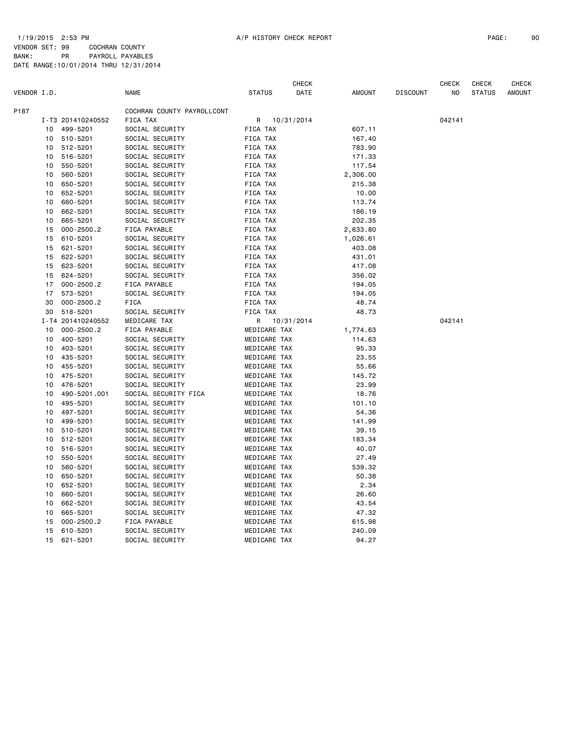|             |    |                   |                            |                 | CHECK      |               |                 | CHECK  | CHECK         | <b>CHECK</b>  |
|-------------|----|-------------------|----------------------------|-----------------|------------|---------------|-----------------|--------|---------------|---------------|
| VENDOR I.D. |    |                   | NAME                       | <b>STATUS</b>   | DATE       | <b>AMOUNT</b> | <b>DISCOUNT</b> | ΝO     | <b>STATUS</b> | <b>AMOUNT</b> |
| P187        |    |                   | COCHRAN COUNTY PAYROLLCONT |                 |            |               |                 |        |               |               |
|             |    | I-T3 201410240552 | FICA TAX                   | R               | 10/31/2014 |               |                 | 042141 |               |               |
|             | 10 | 499-5201          | SOCIAL SECURITY            | FICA TAX        |            | 607.11        |                 |        |               |               |
|             |    | 10 510-5201       | SOCIAL SECURITY            | FICA TAX        |            | 167.40        |                 |        |               |               |
|             | 10 | 512-5201          | SOCIAL SECURITY            | <b>FICA TAX</b> |            | 783.90        |                 |        |               |               |
|             | 10 | 516-5201          | SOCIAL SECURITY            | FICA TAX        |            | 171.33        |                 |        |               |               |
|             | 10 | 550-5201          | SOCIAL SECURITY            | FICA TAX        |            | 117.54        |                 |        |               |               |
|             | 10 | 560-5201          | SOCIAL SECURITY            | FICA TAX        |            | 2,306.00      |                 |        |               |               |
|             | 10 | 650-5201          | SOCIAL SECURITY            | FICA TAX        |            | 215.38        |                 |        |               |               |
|             | 10 | 652-5201          | SOCIAL SECURITY            | FICA TAX        |            | 10.00         |                 |        |               |               |
|             | 10 | 660-5201          | SOCIAL SECURITY            | FICA TAX        |            | 113.74        |                 |        |               |               |
|             | 10 | 662-5201          | SOCIAL SECURITY            | FICA TAX        |            | 186.19        |                 |        |               |               |
|             | 10 | 665-5201          | SOCIAL SECURITY            | FICA TAX        |            | 202.35        |                 |        |               |               |
|             | 15 | $000 - 2500.2$    | FICA PAYABLE               | FICA TAX        |            | 2,633.80      |                 |        |               |               |
|             | 15 | 610-5201          | SOCIAL SECURITY            | FICA TAX        |            | 1,026.61      |                 |        |               |               |
|             | 15 | 621-5201          | SOCIAL SECURITY            | FICA TAX        |            | 403.08        |                 |        |               |               |
|             | 15 | 622-5201          | SOCIAL SECURITY            | FICA TAX        |            | 431.01        |                 |        |               |               |
|             | 15 | 623-5201          | SOCIAL SECURITY            | FICA TAX        |            | 417.08        |                 |        |               |               |
|             | 15 | 624-5201          | SOCIAL SECURITY            | FICA TAX        |            | 356.02        |                 |        |               |               |
|             | 17 | $000 - 2500.2$    | FICA PAYABLE               | FICA TAX        |            | 194.05        |                 |        |               |               |
|             | 17 | 573-5201          | SOCIAL SECURITY            | FICA TAX        |            | 194.05        |                 |        |               |               |
|             | 30 | $000 - 2500.2$    | <b>FICA</b>                | FICA TAX        |            | 48.74         |                 |        |               |               |
|             | 30 | 518-5201          | SOCIAL SECURITY            | FICA TAX        |            | 48.73         |                 |        |               |               |
|             |    | I-T4 201410240552 | MEDICARE TAX               | R               | 10/31/2014 |               |                 | 042141 |               |               |
|             | 10 | $000 - 2500.2$    | FICA PAYABLE               | MEDICARE TAX    |            | 1,774.63      |                 |        |               |               |
|             | 10 | 400-5201          | SOCIAL SECURITY            | MEDICARE TAX    |            | 114.63        |                 |        |               |               |
|             | 10 | 403-5201          | SOCIAL SECURITY            | MEDICARE TAX    |            | 95.33         |                 |        |               |               |
|             | 10 | 435-5201          | SOCIAL SECURITY            | MEDICARE TAX    |            | 23.55         |                 |        |               |               |
|             | 10 | 455-5201          | SOCIAL SECURITY            | MEDICARE TAX    |            | 55.66         |                 |        |               |               |
|             | 10 | 475-5201          | SOCIAL SECURITY            | MEDICARE TAX    |            | 145.72        |                 |        |               |               |
|             | 10 | 476-5201          | SOCIAL SECURITY            | MEDICARE TAX    |            | 23.99         |                 |        |               |               |
|             | 10 | 490-5201.001      | SOCIAL SECURITY FICA       | MEDICARE TAX    |            | 18.76         |                 |        |               |               |
|             | 10 | 495-5201          | SOCIAL SECURITY            | MEDICARE TAX    |            | 101.10        |                 |        |               |               |
|             | 10 | 497-5201          | SOCIAL SECURITY            | MEDICARE TAX    |            | 54.36         |                 |        |               |               |
|             | 10 | 499-5201          | SOCIAL SECURITY            | MEDICARE TAX    |            | 141.99        |                 |        |               |               |
|             | 10 | 510-5201          | SOCIAL SECURITY            | MEDICARE TAX    |            | 39.15         |                 |        |               |               |
|             | 10 | 512-5201          | SOCIAL SECURITY            | MEDICARE TAX    |            | 183.34        |                 |        |               |               |
|             | 10 | 516-5201          | SOCIAL SECURITY            | MEDICARE TAX    |            | 40.07         |                 |        |               |               |
|             | 10 | 550-5201          | SOCIAL SECURITY            | MEDICARE TAX    |            | 27.49         |                 |        |               |               |
|             | 10 | 560-5201          | SOCIAL SECURITY            | MEDICARE TAX    |            | 539.32        |                 |        |               |               |
|             | 10 | 650-5201          | SOCIAL SECURITY            | MEDICARE TAX    |            | 50.38         |                 |        |               |               |
|             | 10 | 652-5201          | SOCIAL SECURITY            | MEDICARE TAX    |            | 2.34          |                 |        |               |               |
|             | 10 | 660-5201          | SOCIAL SECURITY            | MEDICARE TAX    |            | 26.60         |                 |        |               |               |
|             | 10 | 662-5201          | SOCIAL SECURITY            | MEDICARE TAX    |            | 43.54         |                 |        |               |               |
|             | 10 | 665-5201          | SOCIAL SECURITY            | MEDICARE TAX    |            | 47.32         |                 |        |               |               |
|             | 15 | $000 - 2500.2$    | FICA PAYABLE               | MEDICARE TAX    |            | 615.98        |                 |        |               |               |
|             | 15 | 610-5201          | SOCIAL SECURITY            | MEDICARE TAX    |            | 240.09        |                 |        |               |               |
|             |    |                   |                            |                 |            |               |                 |        |               |               |
|             | 15 | 621-5201          | SOCIAL SECURITY            | MEDICARE TAX    |            | 94.27         |                 |        |               |               |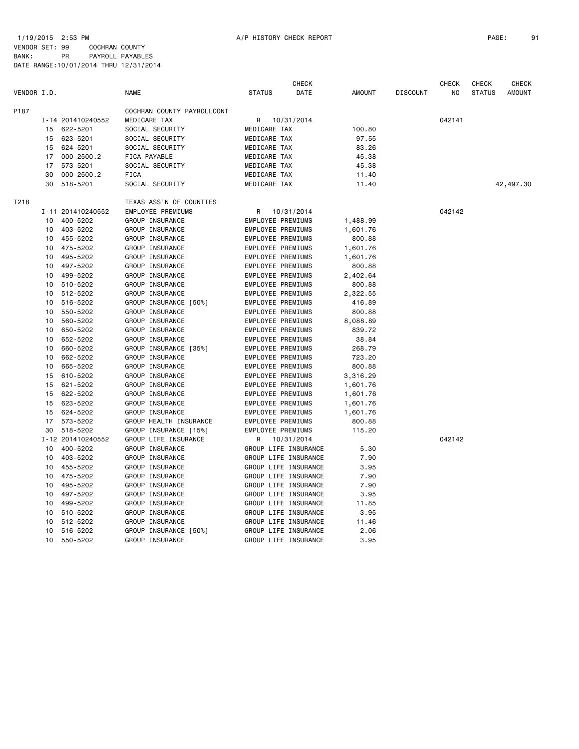CHECK CHECK CHECK CHECK

DATE RANGE:10/01/2014 THRU 12/31/2014

| VENDOR I.D. |    |                   | <b>NAME</b>                | STATUS       | DATE                 | AMOUNT   | <b>DISCOUNT</b> | NO     | <b>STATUS</b> | AMOUNT    |
|-------------|----|-------------------|----------------------------|--------------|----------------------|----------|-----------------|--------|---------------|-----------|
| P187        |    |                   | COCHRAN COUNTY PAYROLLCONT |              |                      |          |                 |        |               |           |
|             |    | I-T4 201410240552 | MEDICARE TAX               | R            | 10/31/2014           |          |                 | 042141 |               |           |
|             |    | 15 622-5201       | SOCIAL SECURITY            | MEDICARE TAX |                      | 100.80   |                 |        |               |           |
|             |    | 15 623-5201       | SOCIAL SECURITY            | MEDICARE TAX |                      | 97.55    |                 |        |               |           |
|             | 15 | 624-5201          | SOCIAL SECURITY            | MEDICARE TAX |                      | 83.26    |                 |        |               |           |
|             | 17 | $000 - 2500.2$    | FICA PAYABLE               | MEDICARE TAX |                      | 45.38    |                 |        |               |           |
|             | 17 | 573-5201          | SOCIAL SECURITY            | MEDICARE TAX |                      | 45.38    |                 |        |               |           |
|             | 30 | $000 - 2500.2$    | <b>FICA</b>                | MEDICARE TAX |                      | 11.40    |                 |        |               |           |
|             |    | 30 518-5201       | SOCIAL SECURITY            | MEDICARE TAX |                      | 11.40    |                 |        |               | 42,497.30 |
| T218        |    |                   | TEXAS ASS'N OF COUNTIES    |              |                      |          |                 |        |               |           |
|             |    | I-11 201410240552 | EMPLOYEE PREMIUMS          | R            | 10/31/2014           |          |                 | 042142 |               |           |
|             |    | 10 400-5202       | GROUP INSURANCE            |              | EMPLOYEE PREMIUMS    | 1,488.99 |                 |        |               |           |
|             |    | 10 403-5202       | GROUP INSURANCE            |              | EMPLOYEE PREMIUMS    | 1,601.76 |                 |        |               |           |
|             |    | 10 455-5202       | GROUP INSURANCE            |              | EMPLOYEE PREMIUMS    | 800.88   |                 |        |               |           |
|             |    | 10 475-5202       | GROUP INSURANCE            |              | EMPLOYEE PREMIUMS    | 1,601.76 |                 |        |               |           |
|             |    | 10 495-5202       | GROUP INSURANCE            |              | EMPLOYEE PREMIUMS    | 1,601.76 |                 |        |               |           |
|             | 10 | 497-5202          | GROUP INSURANCE            |              | EMPLOYEE PREMIUMS    | 800.88   |                 |        |               |           |
|             | 10 | 499-5202          | GROUP INSURANCE            |              | EMPLOYEE PREMIUMS    | 2,402.64 |                 |        |               |           |
|             | 10 | 510-5202          | GROUP INSURANCE            |              | EMPLOYEE PREMIUMS    | 800.88   |                 |        |               |           |
|             | 10 | 512-5202          | GROUP INSURANCE            |              | EMPLOYEE PREMIUMS    | 2,322.55 |                 |        |               |           |
|             | 10 | 516-5202          | GROUP INSURANCE [50%]      |              | EMPLOYEE PREMIUMS    | 416.89   |                 |        |               |           |
|             | 10 | 550-5202          | GROUP INSURANCE            |              | EMPLOYEE PREMIUMS    | 800.88   |                 |        |               |           |
|             | 10 | 560-5202          | GROUP INSURANCE            |              | EMPLOYEE PREMIUMS    | 8,088.89 |                 |        |               |           |
|             | 10 | 650-5202          | GROUP INSURANCE            |              | EMPLOYEE PREMIUMS    | 839.72   |                 |        |               |           |
|             | 10 | 652-5202          | GROUP INSURANCE            |              | EMPLOYEE PREMIUMS    | 38.84    |                 |        |               |           |
|             | 10 | 660-5202          | GROUP INSURANCE [35%]      |              | EMPLOYEE PREMIUMS    | 268.79   |                 |        |               |           |
|             | 10 | 662-5202          | GROUP INSURANCE            |              | EMPLOYEE PREMIUMS    | 723.20   |                 |        |               |           |
|             | 10 | 665-5202          | GROUP INSURANCE            |              | EMPLOYEE PREMIUMS    | 800.88   |                 |        |               |           |
|             | 15 | 610-5202          | GROUP INSURANCE            |              | EMPLOYEE PREMIUMS    | 3,316.29 |                 |        |               |           |
|             | 15 | 621-5202          | GROUP INSURANCE            |              | EMPLOYEE PREMIUMS    | 1,601.76 |                 |        |               |           |
|             |    | 15 622-5202       | GROUP INSURANCE            |              | EMPLOYEE PREMIUMS    | 1,601.76 |                 |        |               |           |
|             |    | 15 623-5202       | GROUP INSURANCE            |              | EMPLOYEE PREMIUMS    | 1,601.76 |                 |        |               |           |
|             | 15 | 624-5202          | GROUP INSURANCE            |              | EMPLOYEE PREMIUMS    | 1,601.76 |                 |        |               |           |
|             | 17 | 573-5202          | GROUP HEALTH INSURANCE     |              | EMPLOYEE PREMIUMS    | 800.88   |                 |        |               |           |
|             |    | 30 518-5202       | GROUP INSURANCE [15%]      |              | EMPLOYEE PREMIUMS    | 115.20   |                 |        |               |           |
|             |    | I-12 201410240552 | GROUP LIFE INSURANCE       | R            | 10/31/2014           |          |                 | 042142 |               |           |
|             |    | 10 400-5202       | GROUP INSURANCE            |              | GROUP LIFE INSURANCE | 5.30     |                 |        |               |           |
|             |    | 10 403-5202       | GROUP INSURANCE            |              | GROUP LIFE INSURANCE | 7.90     |                 |        |               |           |
|             |    | 10 455-5202       | GROUP INSURANCE            |              | GROUP LIFE INSURANCE | 3.95     |                 |        |               |           |
|             |    | 10 475-5202       | GROUP INSURANCE            |              | GROUP LIFE INSURANCE | 7.90     |                 |        |               |           |
|             | 10 | 495-5202          | GROUP INSURANCE            |              | GROUP LIFE INSURANCE | 7.90     |                 |        |               |           |
|             | 10 | 497-5202          | GROUP INSURANCE            |              | GROUP LIFE INSURANCE | 3.95     |                 |        |               |           |
|             | 10 | 499-5202          | GROUP INSURANCE            |              | GROUP LIFE INSURANCE | 11.85    |                 |        |               |           |
|             | 10 | 510-5202          | GROUP INSURANCE            |              | GROUP LIFE INSURANCE | 3.95     |                 |        |               |           |
|             | 10 | 512-5202          | GROUP INSURANCE            |              | GROUP LIFE INSURANCE | 11.46    |                 |        |               |           |
|             | 10 | 516-5202          | GROUP INSURANCE [50%]      |              | GROUP LIFE INSURANCE | 2.06     |                 |        |               |           |
|             | 10 | 550-5202          | GROUP INSURANCE            |              | GROUP LIFE INSURANCE | 3.95     |                 |        |               |           |
|             |    |                   |                            |              |                      |          |                 |        |               |           |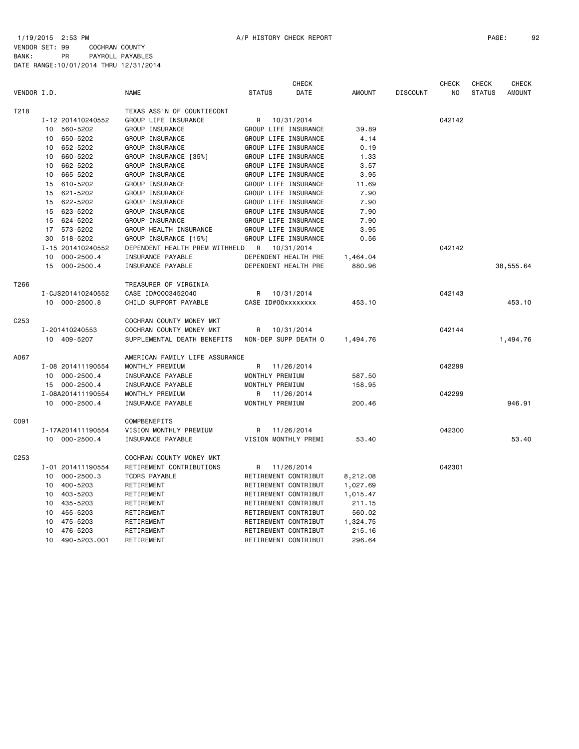|                   |                      |                                |                      | <b>CHECK</b> |               |                 | <b>CHECK</b>   | CHECK         | <b>CHECK</b>  |
|-------------------|----------------------|--------------------------------|----------------------|--------------|---------------|-----------------|----------------|---------------|---------------|
| VENDOR I.D.       |                      | <b>NAME</b>                    | <b>STATUS</b>        | DATE         | <b>AMOUNT</b> | <b>DISCOUNT</b> | N <sub>O</sub> | <b>STATUS</b> | <b>AMOUNT</b> |
| T <sub>2</sub> 18 |                      | TEXAS ASS'N OF COUNTIECONT     |                      |              |               |                 |                |               |               |
|                   | I-12 201410240552    | GROUP LIFE INSURANCE           | R                    | 10/31/2014   |               |                 | 042142         |               |               |
|                   | 10 560-5202          | GROUP INSURANCE                | GROUP LIFE INSURANCE |              | 39.89         |                 |                |               |               |
|                   | 650-5202<br>10       | GROUP INSURANCE                | GROUP LIFE INSURANCE |              | 4.14          |                 |                |               |               |
|                   | 652-5202<br>10       | GROUP INSURANCE                | GROUP LIFE INSURANCE |              | 0.19          |                 |                |               |               |
|                   | 660-5202<br>10       | GROUP INSURANCE [35%]          | GROUP LIFE INSURANCE |              | 1.33          |                 |                |               |               |
|                   | 662-5202<br>10       | GROUP INSURANCE                | GROUP LIFE INSURANCE |              | 3.57          |                 |                |               |               |
|                   | 665-5202<br>10       | GROUP INSURANCE                | GROUP LIFE INSURANCE |              | 3.95          |                 |                |               |               |
|                   | 15 610-5202          | GROUP INSURANCE                | GROUP LIFE INSURANCE |              | 11.69         |                 |                |               |               |
|                   | 15 621-5202          | GROUP INSURANCE                | GROUP LIFE INSURANCE |              | 7.90          |                 |                |               |               |
|                   | 15 622-5202          | GROUP INSURANCE                | GROUP LIFE INSURANCE |              | 7.90          |                 |                |               |               |
|                   | 15 623-5202          | GROUP INSURANCE                | GROUP LIFE INSURANCE |              | 7.90          |                 |                |               |               |
|                   | 15 624-5202          | GROUP INSURANCE                | GROUP LIFE INSURANCE |              | 7.90          |                 |                |               |               |
|                   | 17 573-5202          | GROUP HEALTH INSURANCE         | GROUP LIFE INSURANCE |              | 3.95          |                 |                |               |               |
|                   | 30 518-5202          | GROUP INSURANCE [15%]          | GROUP LIFE INSURANCE |              | 0.56          |                 |                |               |               |
|                   |                      |                                |                      |              |               |                 | 042142         |               |               |
|                   | I-15 201410240552    | DEPENDENT HEALTH PREM WITHHELD | R<br>10/31/2014      |              |               |                 |                |               |               |
|                   | $000 - 2500.4$<br>10 | INSURANCE PAYABLE              | DEPENDENT HEALTH PRE |              | 1,464.04      |                 |                |               |               |
|                   | 15 000-2500.4        | INSURANCE PAYABLE              | DEPENDENT HEALTH PRE |              | 880.96        |                 |                |               | 38,555.64     |
| T266              |                      | TREASURER OF VIRGINIA          |                      |              |               |                 |                |               |               |
|                   | I-CJS201410240552    | CASE ID#0003452040             | R                    | 10/31/2014   |               |                 | 042143         |               |               |
|                   | 10 000-2500.8        | CHILD SUPPORT PAYABLE          | CASE ID#00xxxxxxxx   |              | 453.10        |                 |                |               | 453.10        |
| C <sub>253</sub>  |                      | COCHRAN COUNTY MONEY MKT       |                      |              |               |                 |                |               |               |
|                   | I-201410240553       | COCHRAN COUNTY MONEY MKT       | R                    | 10/31/2014   |               |                 | 042144         |               |               |
|                   | 10 409-5207          | SUPPLEMENTAL DEATH BENEFITS    | NON-DEP SUPP DEATH O |              | 1,494.76      |                 |                |               | 1,494.76      |
|                   |                      |                                |                      |              |               |                 |                |               |               |
| A067              |                      | AMERICAN FAMILY LIFE ASSURANCE |                      |              |               |                 |                |               |               |
|                   | I-08 201411190554    | MONTHLY PREMIUM                | R 11/26/2014         |              |               |                 | 042299         |               |               |
|                   | 10 000-2500.4        | INSURANCE PAYABLE              | MONTHLY PREMIUM      |              | 587.50        |                 |                |               |               |
|                   | 15 000-2500.4        | INSURANCE PAYABLE              | MONTHLY PREMIUM      |              | 158.95        |                 |                |               |               |
|                   | I-08A201411190554    | MONTHLY PREMIUM                | R<br>11/26/2014      |              |               |                 | 042299         |               |               |
|                   | 10 000-2500.4        | INSURANCE PAYABLE              | MONTHLY PREMIUM      |              | 200.46        |                 |                |               | 946.91        |
| C091              |                      | COMPBENEFITS                   |                      |              |               |                 |                |               |               |
|                   | I-17A201411190554    | VISION MONTHLY PREMIUM         | R                    | 11/26/2014   |               |                 | 042300         |               |               |
|                   | 10 000-2500.4        | INSURANCE PAYABLE              | VISION MONTHLY PREMI |              | 53.40         |                 |                |               | 53.40         |
|                   |                      |                                |                      |              |               |                 |                |               |               |
| C <sub>253</sub>  |                      | COCHRAN COUNTY MONEY MKT       |                      |              |               |                 |                |               |               |
|                   | I-01 201411190554    | RETIREMENT CONTRIBUTIONS       | R                    | 11/26/2014   |               |                 | 042301         |               |               |
|                   | $000 - 2500.3$<br>10 | <b>TCDRS PAYABLE</b>           | RETIREMENT CONTRIBUT |              | 8,212.08      |                 |                |               |               |
|                   | 400-5203<br>10       | RETIREMENT                     | RETIREMENT CONTRIBUT |              | 1,027.69      |                 |                |               |               |
|                   | 403-5203<br>10       | RETIREMENT                     | RETIREMENT CONTRIBUT |              | 1,015.47      |                 |                |               |               |
|                   | 435-5203<br>10       | RETIREMENT                     | RETIREMENT CONTRIBUT |              | 211.15        |                 |                |               |               |
|                   | 10<br>455-5203       | RETIREMENT                     | RETIREMENT CONTRIBUT |              | 560.02        |                 |                |               |               |
|                   | 475-5203<br>10       | RETIREMENT                     | RETIREMENT CONTRIBUT |              | 1,324.75      |                 |                |               |               |
|                   | 476-5203<br>10       | RETIREMENT                     | RETIREMENT CONTRIBUT |              | 215.16        |                 |                |               |               |
|                   | 10<br>490-5203.001   | RETIREMENT                     | RETIREMENT CONTRIBUT |              | 296.64        |                 |                |               |               |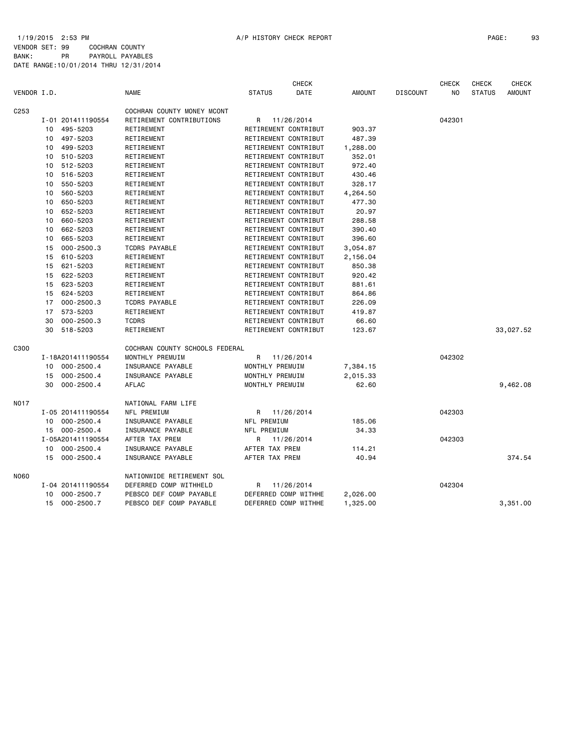|                  |    |                   |                                |                      | <b>CHECK</b> |          |                 | <b>CHECK</b> | CHECK         | <b>CHECK</b>  |
|------------------|----|-------------------|--------------------------------|----------------------|--------------|----------|-----------------|--------------|---------------|---------------|
| VENDOR I.D.      |    |                   | NAME                           | <b>STATUS</b>        | DATE         | AMOUNT   | <b>DISCOUNT</b> | NO           | <b>STATUS</b> | <b>AMOUNT</b> |
| C <sub>253</sub> |    |                   | COCHRAN COUNTY MONEY MCONT     |                      |              |          |                 |              |               |               |
|                  |    | I-01 201411190554 | RETIREMENT CONTRIBUTIONS       | R 11/26/2014         |              |          |                 | 042301       |               |               |
|                  |    | 10 495-5203       | RETIREMENT                     | RETIREMENT CONTRIBUT |              | 903.37   |                 |              |               |               |
|                  |    | 10 497-5203       | RETIREMENT                     | RETIREMENT CONTRIBUT |              | 487.39   |                 |              |               |               |
|                  | 10 | 499-5203          | RETIREMENT                     | RETIREMENT CONTRIBUT |              | 1,288.00 |                 |              |               |               |
|                  | 10 | 510-5203          | RETIREMENT                     | RETIREMENT CONTRIBUT |              | 352.01   |                 |              |               |               |
|                  | 10 | 512-5203          | RETIREMENT                     | RETIREMENT CONTRIBUT |              | 972.40   |                 |              |               |               |
|                  | 10 | 516-5203          | RETIREMENT                     | RETIREMENT CONTRIBUT |              | 430.46   |                 |              |               |               |
|                  | 10 | 550-5203          | RETIREMENT                     | RETIREMENT CONTRIBUT |              | 328.17   |                 |              |               |               |
|                  | 10 | 560-5203          | RETIREMENT                     | RETIREMENT CONTRIBUT |              | 4,264.50 |                 |              |               |               |
|                  | 10 | 650-5203          | RETIREMENT                     | RETIREMENT CONTRIBUT |              | 477.30   |                 |              |               |               |
|                  | 10 | 652-5203          | RETIREMENT                     | RETIREMENT CONTRIBUT |              | 20.97    |                 |              |               |               |
|                  | 10 | 660-5203          | RETIREMENT                     | RETIREMENT CONTRIBUT |              | 288.58   |                 |              |               |               |
|                  | 10 | 662-5203          | RETIREMENT                     | RETIREMENT CONTRIBUT |              | 390.40   |                 |              |               |               |
|                  | 10 | 665-5203          | RETIREMENT                     | RETIREMENT CONTRIBUT |              | 396.60   |                 |              |               |               |
|                  | 15 | $000 - 2500.3$    | <b>TCDRS PAYABLE</b>           | RETIREMENT CONTRIBUT |              | 3,054.87 |                 |              |               |               |
|                  | 15 | 610-5203          | RETIREMENT                     | RETIREMENT CONTRIBUT |              | 2,156.04 |                 |              |               |               |
|                  | 15 | 621-5203          | RETIREMENT                     | RETIREMENT CONTRIBUT |              | 850.38   |                 |              |               |               |
|                  | 15 | 622-5203          | RETIREMENT                     | RETIREMENT CONTRIBUT |              | 920.42   |                 |              |               |               |
|                  |    | 15 623-5203       | RETIREMENT                     | RETIREMENT CONTRIBUT |              | 881.61   |                 |              |               |               |
|                  | 15 | 624-5203          | RETIREMENT                     | RETIREMENT CONTRIBUT |              | 864.86   |                 |              |               |               |
|                  |    | 17 000-2500.3     | <b>TCDRS PAYABLE</b>           | RETIREMENT CONTRIBUT |              | 226.09   |                 |              |               |               |
|                  | 17 | 573-5203          | RETIREMENT                     | RETIREMENT CONTRIBUT |              | 419.87   |                 |              |               |               |
|                  | 30 | $000 - 2500.3$    | <b>TCDRS</b>                   | RETIREMENT CONTRIBUT |              | 66.60    |                 |              |               |               |
|                  |    | 30 518-5203       | RETIREMENT                     | RETIREMENT CONTRIBUT |              | 123.67   |                 |              |               | 33,027.52     |
| C300             |    |                   | COCHRAN COUNTY SCHOOLS FEDERAL |                      |              |          |                 |              |               |               |
|                  |    | I-18A201411190554 | MONTHLY PREMUIM                | R 11/26/2014         |              |          |                 | 042302       |               |               |
|                  |    | 10 000-2500.4     | INSURANCE PAYABLE              | MONTHLY PREMUIM      |              | 7,384.15 |                 |              |               |               |
|                  | 15 | $000 - 2500.4$    | INSURANCE PAYABLE              | MONTHLY PREMUIM      |              | 2,015.33 |                 |              |               |               |
|                  | 30 | $000 - 2500.4$    | AFLAC                          | MONTHLY PREMUIM      |              | 62.60    |                 |              |               | 9,462.08      |
| <b>NO17</b>      |    |                   | NATIONAL FARM LIFE             |                      |              |          |                 |              |               |               |
|                  |    | I-05 201411190554 | NFL PREMIUM                    | R 11/26/2014         |              |          |                 | 042303       |               |               |
|                  |    | 10 000-2500.4     | INSURANCE PAYABLE              | NFL PREMIUM          |              | 185.06   |                 |              |               |               |
|                  |    | 15 000-2500.4     | INSURANCE PAYABLE              | NFL PREMIUM          |              | 34.33    |                 |              |               |               |
|                  |    | I-05A201411190554 | AFTER TAX PREM                 | R 11/26/2014         |              |          |                 | 042303       |               |               |
|                  | 10 | $000 - 2500.4$    | INSURANCE PAYABLE              | AFTER TAX PREM       |              | 114.21   |                 |              |               |               |
|                  |    | 15 000-2500.4     | INSURANCE PAYABLE              | AFTER TAX PREM       |              | 40.94    |                 |              |               | 374.54        |
| N060             |    |                   | NATIONWIDE RETIREMENT SOL      |                      |              |          |                 |              |               |               |
|                  |    | I-04 201411190554 | DEFERRED COMP WITHHELD         | R 11/26/2014         |              |          |                 | 042304       |               |               |
|                  | 10 | $000 - 2500.7$    | PEBSCO DEF COMP PAYABLE        | DEFERRED COMP WITHHE |              | 2,026.00 |                 |              |               |               |
|                  | 15 | $000 - 2500.7$    | PEBSCO DEF COMP PAYABLE        | DEFERRED COMP WITHHE |              | 1,325.00 |                 |              |               | 3.351.00      |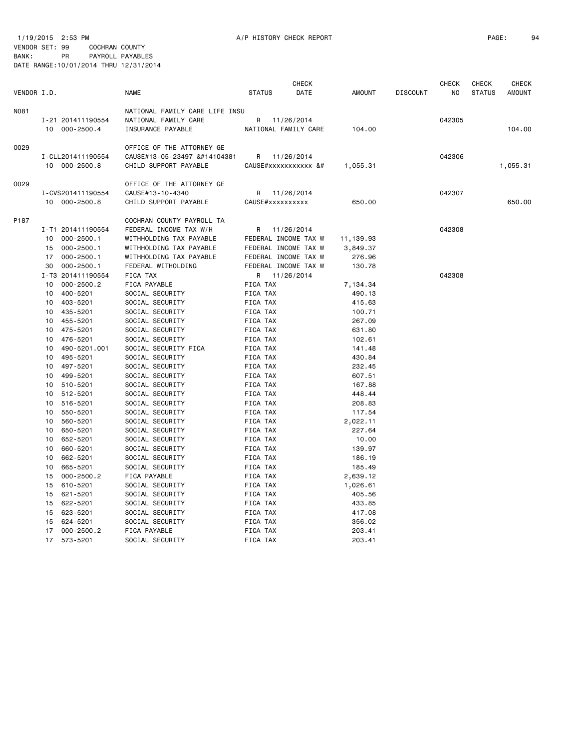|             |                   |                                |                                                                                                                                                                                                                                                                                                                                                                                                                                                                                                                                                                                                                                                                                                                                                                                                                                                                                                                                                                                                                                                                                                                                                                                                                                                                                                                                                                                                                                                                                                                                                                                                                                                                                                                                                                                                                                                                                                                                                                                                                                                                                                                                                                                                                                                                                                                                                                                                                                                                                                                                                                                                                                                                                                                                                                                                                                                                                                                                                                                                                                                                                                                                                                                                                                                                                                                                                                                                                                                                                                                                                                                                                                                                                                                                                                                                                                                                                                                                                                                                                                                                                                                                                                                                                                                                                                                                                                                                                                                                                                                                                                                                                                                                                                                                                                                                                                                                                                                                                                                                                                                                                                                                                                                                                                                                                                                                                                                                                                                                                                                                                                                                                                                                                                                                                                                                                                                                                                                                                                                                                                                                                                                                         | CHECK       |               |                 | <b>CHECK</b>   | <b>CHECK</b>  | <b>CHECK</b>  |
|-------------|-------------------|--------------------------------|-----------------------------------------------------------------------------------------------------------------------------------------------------------------------------------------------------------------------------------------------------------------------------------------------------------------------------------------------------------------------------------------------------------------------------------------------------------------------------------------------------------------------------------------------------------------------------------------------------------------------------------------------------------------------------------------------------------------------------------------------------------------------------------------------------------------------------------------------------------------------------------------------------------------------------------------------------------------------------------------------------------------------------------------------------------------------------------------------------------------------------------------------------------------------------------------------------------------------------------------------------------------------------------------------------------------------------------------------------------------------------------------------------------------------------------------------------------------------------------------------------------------------------------------------------------------------------------------------------------------------------------------------------------------------------------------------------------------------------------------------------------------------------------------------------------------------------------------------------------------------------------------------------------------------------------------------------------------------------------------------------------------------------------------------------------------------------------------------------------------------------------------------------------------------------------------------------------------------------------------------------------------------------------------------------------------------------------------------------------------------------------------------------------------------------------------------------------------------------------------------------------------------------------------------------------------------------------------------------------------------------------------------------------------------------------------------------------------------------------------------------------------------------------------------------------------------------------------------------------------------------------------------------------------------------------------------------------------------------------------------------------------------------------------------------------------------------------------------------------------------------------------------------------------------------------------------------------------------------------------------------------------------------------------------------------------------------------------------------------------------------------------------------------------------------------------------------------------------------------------------------------------------------------------------------------------------------------------------------------------------------------------------------------------------------------------------------------------------------------------------------------------------------------------------------------------------------------------------------------------------------------------------------------------------------------------------------------------------------------------------------------------------------------------------------------------------------------------------------------------------------------------------------------------------------------------------------------------------------------------------------------------------------------------------------------------------------------------------------------------------------------------------------------------------------------------------------------------------------------------------------------------------------------------------------------------------------------------------------------------------------------------------------------------------------------------------------------------------------------------------------------------------------------------------------------------------------------------------------------------------------------------------------------------------------------------------------------------------------------------------------------------------------------------------------------------------------------------------------------------------------------------------------------------------------------------------------------------------------------------------------------------------------------------------------------------------------------------------------------------------------------------------------------------------------------------------------------------------------------------------------------------------------------------------------------------------------------------------------------------------------------------------------------------------------------------------------------------------------------------------------------------------------------------------------------------------------------------------------------------------------------------------------------------------------------------------------------------------------------------------------------------------------------------------------------------------------------------------------------------------------------------|-------------|---------------|-----------------|----------------|---------------|---------------|
| VENDOR I.D. |                   | NAME                           | <b>STATUS</b>                                                                                                                                                                                                                                                                                                                                                                                                                                                                                                                                                                                                                                                                                                                                                                                                                                                                                                                                                                                                                                                                                                                                                                                                                                                                                                                                                                                                                                                                                                                                                                                                                                                                                                                                                                                                                                                                                                                                                                                                                                                                                                                                                                                                                                                                                                                                                                                                                                                                                                                                                                                                                                                                                                                                                                                                                                                                                                                                                                                                                                                                                                                                                                                                                                                                                                                                                                                                                                                                                                                                                                                                                                                                                                                                                                                                                                                                                                                                                                                                                                                                                                                                                                                                                                                                                                                                                                                                                                                                                                                                                                                                                                                                                                                                                                                                                                                                                                                                                                                                                                                                                                                                                                                                                                                                                                                                                                                                                                                                                                                                                                                                                                                                                                                                                                                                                                                                                                                                                                                                                                                                                                                           | <b>DATE</b> | <b>AMOUNT</b> | <b>DISCOUNT</b> | N <sub>O</sub> | <b>STATUS</b> | <b>AMOUNT</b> |
| N081        |                   | NATIONAL FAMILY CARE LIFE INSU |                                                                                                                                                                                                                                                                                                                                                                                                                                                                                                                                                                                                                                                                                                                                                                                                                                                                                                                                                                                                                                                                                                                                                                                                                                                                                                                                                                                                                                                                                                                                                                                                                                                                                                                                                                                                                                                                                                                                                                                                                                                                                                                                                                                                                                                                                                                                                                                                                                                                                                                                                                                                                                                                                                                                                                                                                                                                                                                                                                                                                                                                                                                                                                                                                                                                                                                                                                                                                                                                                                                                                                                                                                                                                                                                                                                                                                                                                                                                                                                                                                                                                                                                                                                                                                                                                                                                                                                                                                                                                                                                                                                                                                                                                                                                                                                                                                                                                                                                                                                                                                                                                                                                                                                                                                                                                                                                                                                                                                                                                                                                                                                                                                                                                                                                                                                                                                                                                                                                                                                                                                                                                                                                         |             |               |                 |                |               |               |
|             | I-21 201411190554 | NATIONAL FAMILY CARE           | R 11/26/2014                                                                                                                                                                                                                                                                                                                                                                                                                                                                                                                                                                                                                                                                                                                                                                                                                                                                                                                                                                                                                                                                                                                                                                                                                                                                                                                                                                                                                                                                                                                                                                                                                                                                                                                                                                                                                                                                                                                                                                                                                                                                                                                                                                                                                                                                                                                                                                                                                                                                                                                                                                                                                                                                                                                                                                                                                                                                                                                                                                                                                                                                                                                                                                                                                                                                                                                                                                                                                                                                                                                                                                                                                                                                                                                                                                                                                                                                                                                                                                                                                                                                                                                                                                                                                                                                                                                                                                                                                                                                                                                                                                                                                                                                                                                                                                                                                                                                                                                                                                                                                                                                                                                                                                                                                                                                                                                                                                                                                                                                                                                                                                                                                                                                                                                                                                                                                                                                                                                                                                                                                                                                                                                            |             |               |                 | 042305         |               |               |
|             | 10 000-2500.4     | INSURANCE PAYABLE              | NATIONAL FAMILY CARE                                                                                                                                                                                                                                                                                                                                                                                                                                                                                                                                                                                                                                                                                                                                                                                                                                                                                                                                                                                                                                                                                                                                                                                                                                                                                                                                                                                                                                                                                                                                                                                                                                                                                                                                                                                                                                                                                                                                                                                                                                                                                                                                                                                                                                                                                                                                                                                                                                                                                                                                                                                                                                                                                                                                                                                                                                                                                                                                                                                                                                                                                                                                                                                                                                                                                                                                                                                                                                                                                                                                                                                                                                                                                                                                                                                                                                                                                                                                                                                                                                                                                                                                                                                                                                                                                                                                                                                                                                                                                                                                                                                                                                                                                                                                                                                                                                                                                                                                                                                                                                                                                                                                                                                                                                                                                                                                                                                                                                                                                                                                                                                                                                                                                                                                                                                                                                                                                                                                                                                                                                                                                                                    |             | 104.00        |                 |                |               | 104.00        |
| 0029        |                   | OFFICE OF THE ATTORNEY GE      |                                                                                                                                                                                                                                                                                                                                                                                                                                                                                                                                                                                                                                                                                                                                                                                                                                                                                                                                                                                                                                                                                                                                                                                                                                                                                                                                                                                                                                                                                                                                                                                                                                                                                                                                                                                                                                                                                                                                                                                                                                                                                                                                                                                                                                                                                                                                                                                                                                                                                                                                                                                                                                                                                                                                                                                                                                                                                                                                                                                                                                                                                                                                                                                                                                                                                                                                                                                                                                                                                                                                                                                                                                                                                                                                                                                                                                                                                                                                                                                                                                                                                                                                                                                                                                                                                                                                                                                                                                                                                                                                                                                                                                                                                                                                                                                                                                                                                                                                                                                                                                                                                                                                                                                                                                                                                                                                                                                                                                                                                                                                                                                                                                                                                                                                                                                                                                                                                                                                                                                                                                                                                                                                         |             |               |                 |                |               |               |
|             | I-CLL201411190554 | CAUSE#13-05-23497 �            | R<br>11/26/2014                                                                                                                                                                                                                                                                                                                                                                                                                                                                                                                                                                                                                                                                                                                                                                                                                                                                                                                                                                                                                                                                                                                                                                                                                                                                                                                                                                                                                                                                                                                                                                                                                                                                                                                                                                                                                                                                                                                                                                                                                                                                                                                                                                                                                                                                                                                                                                                                                                                                                                                                                                                                                                                                                                                                                                                                                                                                                                                                                                                                                                                                                                                                                                                                                                                                                                                                                                                                                                                                                                                                                                                                                                                                                                                                                                                                                                                                                                                                                                                                                                                                                                                                                                                                                                                                                                                                                                                                                                                                                                                                                                                                                                                                                                                                                                                                                                                                                                                                                                                                                                                                                                                                                                                                                                                                                                                                                                                                                                                                                                                                                                                                                                                                                                                                                                                                                                                                                                                                                                                                                                                                                                                         |             |               |                 | 042306         |               |               |
|             | 10 000-2500.8     | CHILD SUPPORT PAYABLE          | CAUSE#xxxxxxxxxxx &#</td><td></td><td>1,055.31</td><td></td><td></td><td></td><td>1,055.31</td></tr><tr><td>0029</td><td></td><td>OFFICE OF THE ATTORNEY GE</td><td></td><td></td><td></td><td></td><td></td><td></td><td></td></tr><tr><td></td><td>I-CVS201411190554</td><td>CAUSE#13-10-4340</td><td>11/26/2014<br>R</td><td></td><td></td><td></td><td>042307</td><td></td><td></td></tr><tr><td></td><td>10 000-2500.8</td><td>CHILD SUPPORT PAYABLE</td><td>CAUSE#xxxxxxxxxx</td><td></td><td>650.00</td><td></td><td></td><td></td><td>650.00</td></tr><tr><td>P187</td><td></td><td>COCHRAN COUNTY PAYROLL TA</td><td></td><td></td><td></td><td></td><td></td><td></td><td></td></tr><tr><td></td><td>I-T1 201411190554</td><td>FEDERAL INCOME TAX W/H</td><td>11/26/2014<br>R</td><td></td><td></td><td></td><td>042308</td><td></td><td></td></tr><tr><td></td><td><math>000 - 2500.1</math><br>10</td><td>WITHHOLDING TAX PAYABLE</td><td>FEDERAL INCOME TAX W</td><td></td><td>11,139.93</td><td></td><td></td><td></td><td></td></tr><tr><td></td><td>15<br><math>000 - 2500.1</math></td><td>WITHHOLDING TAX PAYABLE</td><td>FEDERAL INCOME TAX W</td><td></td><td>3,849.37</td><td></td><td></td><td></td><td></td></tr><tr><td></td><td>17<br><math>000 - 2500.1</math></td><td>WITHHOLDING TAX PAYABLE</td><td>FEDERAL INCOME TAX W</td><td></td><td>276.96</td><td></td><td></td><td></td><td></td></tr><tr><td></td><td><math>000 - 2500.1</math><br>30</td><td>FEDERAL WITHOLDING</td><td>FEDERAL INCOME TAX W</td><td></td><td>130.78</td><td></td><td></td><td></td><td></td></tr><tr><td></td><td>I-T3 201411190554</td><td>FICA TAX</td><td>R 11/26/2014</td><td></td><td></td><td></td><td>042308</td><td></td><td></td></tr><tr><td></td><td><math>000 - 2500.2</math><br>10</td><td>FICA PAYABLE</td><td>FICA TAX</td><td></td><td>7,134.34</td><td></td><td></td><td></td><td></td></tr><tr><td></td><td>400-5201<br>10</td><td>SOCIAL SECURITY</td><td>FICA TAX</td><td></td><td>490.13</td><td></td><td></td><td></td><td></td></tr><tr><td></td><td>10<br>403-5201</td><td>SOCIAL SECURITY</td><td>FICA TAX</td><td></td><td>415.63</td><td></td><td></td><td></td><td></td></tr><tr><td></td><td>435-5201<br>10</td><td>SOCIAL SECURITY</td><td>FICA TAX</td><td></td><td>100.71</td><td></td><td></td><td></td><td></td></tr><tr><td></td><td>455-5201<br>10</td><td>SOCIAL SECURITY</td><td>FICA TAX</td><td></td><td>267.09</td><td></td><td></td><td></td><td></td></tr><tr><td></td><td>475-5201<br>10</td><td>SOCIAL SECURITY</td><td>FICA TAX</td><td></td><td>631.80</td><td></td><td></td><td></td><td></td></tr><tr><td></td><td>476-5201<br>10</td><td>SOCIAL SECURITY</td><td>FICA TAX</td><td></td><td>102.61</td><td></td><td></td><td></td><td></td></tr><tr><td></td><td>10<br>490-5201.001</td><td>SOCIAL SECURITY FICA</td><td>FICA TAX</td><td></td><td>141.48</td><td></td><td></td><td></td><td></td></tr><tr><td></td><td>495-5201<br>10</td><td>SOCIAL SECURITY</td><td>FICA TAX</td><td></td><td>430.84</td><td></td><td></td><td></td><td></td></tr><tr><td></td><td>10<br>497-5201</td><td>SOCIAL SECURITY</td><td>FICA TAX</td><td></td><td>232.45</td><td></td><td></td><td></td><td></td></tr><tr><td></td><td>499-5201<br>10</td><td>SOCIAL SECURITY</td><td>FICA TAX</td><td></td><td>607.51</td><td></td><td></td><td></td><td></td></tr><tr><td></td><td>510-5201<br>10</td><td>SOCIAL SECURITY</td><td>FICA TAX</td><td></td><td>167.88</td><td></td><td></td><td></td><td></td></tr><tr><td></td><td>10<br>512-5201</td><td>SOCIAL SECURITY</td><td>FICA TAX</td><td></td><td>448.44</td><td></td><td></td><td></td><td></td></tr><tr><td></td><td>10<br>516-5201</td><td>SOCIAL SECURITY</td><td>FICA TAX</td><td></td><td>208.83</td><td></td><td></td><td></td><td></td></tr><tr><td></td><td>10<br>550-5201</td><td>SOCIAL SECURITY</td><td>FICA TAX</td><td></td><td>117.54</td><td></td><td></td><td></td><td></td></tr><tr><td></td><td>10<br>560-5201</td><td>SOCIAL SECURITY</td><td>FICA TAX</td><td></td><td>2,022.11</td><td></td><td></td><td></td><td></td></tr><tr><td></td><td>10<br>650-5201</td><td>SOCIAL SECURITY</td><td>FICA TAX</td><td></td><td>227.64</td><td></td><td></td><td></td><td></td></tr><tr><td></td><td>10<br>652-5201</td><td>SOCIAL SECURITY</td><td>FICA TAX</td><td></td><td>10.00</td><td></td><td></td><td></td><td></td></tr><tr><td></td><td>660-5201<br>10</td><td>SOCIAL SECURITY</td><td>FICA TAX</td><td></td><td>139.97</td><td></td><td></td><td></td><td></td></tr><tr><td></td><td>10<br>662-5201</td><td>SOCIAL SECURITY</td><td>FICA TAX</td><td></td><td>186.19</td><td></td><td></td><td></td><td></td></tr><tr><td></td><td>665-5201<br>10</td><td>SOCIAL SECURITY</td><td>FICA TAX</td><td></td><td>185.49</td><td></td><td></td><td></td><td></td></tr><tr><td></td><td><math>000 - 2500.2</math><br>15</td><td>FICA PAYABLE</td><td>FICA TAX</td><td></td><td>2,639.12</td><td></td><td></td><td></td><td></td></tr><tr><td></td><td>15<br>610-5201</td><td>SOCIAL SECURITY</td><td>FICA TAX</td><td></td><td>1,026.61</td><td></td><td></td><td></td><td></td></tr><tr><td></td><td>621-5201<br>15</td><td>SOCIAL SECURITY</td><td>FICA TAX</td><td></td><td>405.56</td><td></td><td></td><td></td><td></td></tr><tr><td></td><td>15<br>622-5201<br>623-5201<br>15</td><td>SOCIAL SECURITY</td><td>FICA TAX</td><td></td><td>433.85</td><td></td><td></td><td></td><td></td></tr><tr><td></td><td>15</td><td>SOCIAL SECURITY</td><td>FICA TAX</td><td></td><td>417.08</td><td></td><td></td><td></td><td></td></tr><tr><td></td><td>624-5201<br><math>000 - 2500.2</math><br>17</td><td>SOCIAL SECURITY<br>FICA PAYABLE</td><td>FICA TAX<br>FICA TAX</td><td></td><td>356.02<br>203.41</td><td></td><td></td><td></td><td></td></tr><tr><td></td><td>17<br>573-5201</td><td>SOCIAL SECURITY</td><td>FICA TAX</td><td></td><td>203.41</td><td></td><td></td><td></td><td></td></tr><tr><td></td><td></td><td></td><td></td><td></td><td></td><td></td><td></td><td></td><td></td></tr></tbody></table> |             |               |                 |                |               |               |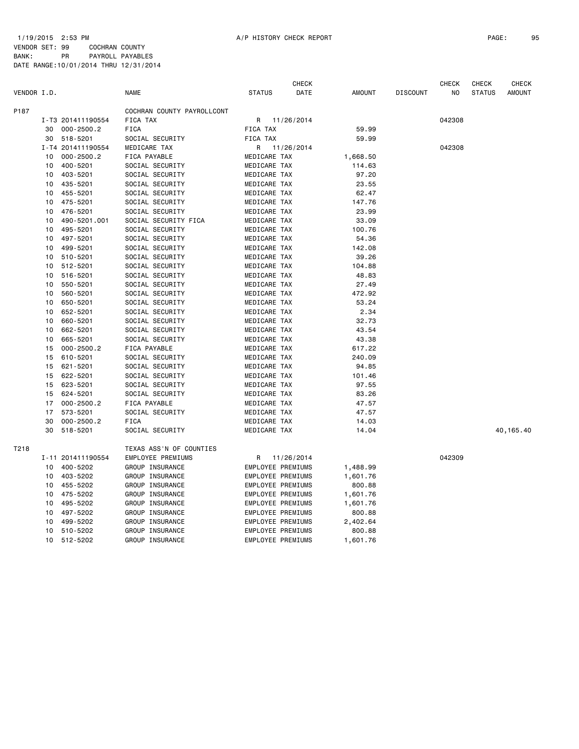|             |    |                   |                            |                          | <b>CHECK</b> |               |                 | <b>CHECK</b> | <b>CHECK</b>  | <b>CHECK</b>  |
|-------------|----|-------------------|----------------------------|--------------------------|--------------|---------------|-----------------|--------------|---------------|---------------|
| VENDOR I.D. |    |                   | <b>NAME</b>                | <b>STATUS</b>            | DATE         | <b>AMOUNT</b> | <b>DISCOUNT</b> | NO.          | <b>STATUS</b> | <b>AMOUNT</b> |
| P187        |    |                   | COCHRAN COUNTY PAYROLLCONT |                          |              |               |                 |              |               |               |
|             |    | I-T3 201411190554 | FICA TAX                   | R                        | 11/26/2014   |               |                 | 042308       |               |               |
|             | 30 | $000 - 2500.2$    | FICA                       | FICA TAX                 |              | 59.99         |                 |              |               |               |
|             | 30 | 518-5201          | SOCIAL SECURITY            | FICA TAX                 |              | 59.99         |                 |              |               |               |
|             |    | I-T4 201411190554 | MEDICARE TAX               | R                        | 11/26/2014   |               |                 | 042308       |               |               |
|             | 10 | $000 - 2500.2$    | FICA PAYABLE               | MEDICARE TAX             |              | 1,668.50      |                 |              |               |               |
|             | 10 | 400-5201          | SOCIAL SECURITY            | MEDICARE TAX             |              | 114.63        |                 |              |               |               |
|             | 10 | 403-5201          | SOCIAL SECURITY            | MEDICARE TAX             |              | 97.20         |                 |              |               |               |
|             | 10 | 435-5201          | SOCIAL SECURITY            | MEDICARE TAX             |              | 23.55         |                 |              |               |               |
|             | 10 | 455-5201          | SOCIAL SECURITY            | MEDICARE TAX             |              | 62.47         |                 |              |               |               |
|             | 10 | 475-5201          | SOCIAL SECURITY            | MEDICARE TAX             |              | 147.76        |                 |              |               |               |
|             | 10 | 476-5201          | SOCIAL SECURITY            | MEDICARE TAX             |              | 23.99         |                 |              |               |               |
|             | 10 | 490-5201.001      | SOCIAL SECURITY FICA       | MEDICARE TAX             |              | 33.09         |                 |              |               |               |
|             | 10 | 495-5201          | SOCIAL SECURITY            | MEDICARE TAX             |              | 100.76        |                 |              |               |               |
|             | 10 | 497-5201          | SOCIAL SECURITY            | MEDICARE TAX             |              | 54.36         |                 |              |               |               |
|             | 10 | 499-5201          | SOCIAL SECURITY            | MEDICARE TAX             |              | 142.08        |                 |              |               |               |
|             | 10 | 510-5201          | SOCIAL SECURITY            | MEDICARE TAX             |              | 39.26         |                 |              |               |               |
|             | 10 | 512-5201          | SOCIAL SECURITY            | MEDICARE TAX             |              | 104.88        |                 |              |               |               |
|             | 10 | 516-5201          | SOCIAL SECURITY            | MEDICARE TAX             |              | 48.83         |                 |              |               |               |
|             | 10 | 550-5201          | SOCIAL SECURITY            | MEDICARE TAX             |              | 27.49         |                 |              |               |               |
|             | 10 | 560-5201          | SOCIAL SECURITY            | MEDICARE TAX             |              | 472.92        |                 |              |               |               |
|             | 10 | 650-5201          | SOCIAL SECURITY            | MEDICARE TAX             |              | 53.24         |                 |              |               |               |
|             | 10 | 652-5201          | SOCIAL SECURITY            | MEDICARE TAX             |              | 2.34          |                 |              |               |               |
|             | 10 | 660-5201          | SOCIAL SECURITY            | MEDICARE TAX             |              | 32.73         |                 |              |               |               |
|             | 10 | 662-5201          | SOCIAL SECURITY            | MEDICARE TAX             |              | 43.54         |                 |              |               |               |
|             | 10 | 665-5201          | SOCIAL SECURITY            | MEDICARE TAX             |              | 43.38         |                 |              |               |               |
|             | 15 | $000 - 2500.2$    | FICA PAYABLE               | MEDICARE TAX             |              | 617.22        |                 |              |               |               |
|             | 15 | 610-5201          | SOCIAL SECURITY            | MEDICARE TAX             |              | 240.09        |                 |              |               |               |
|             | 15 | 621-5201          | SOCIAL SECURITY            | MEDICARE TAX             |              | 94.85         |                 |              |               |               |
|             | 15 | 622-5201          | SOCIAL SECURITY            | MEDICARE TAX             |              | 101.46        |                 |              |               |               |
|             | 15 | 623-5201          | SOCIAL SECURITY            | MEDICARE TAX             |              | 97.55         |                 |              |               |               |
|             | 15 | 624-5201          | SOCIAL SECURITY            | MEDICARE TAX             |              | 83.26         |                 |              |               |               |
|             | 17 | $000 - 2500.2$    | FICA PAYABLE               | MEDICARE TAX             |              | 47.57         |                 |              |               |               |
|             | 17 | 573-5201          | SOCIAL SECURITY            | MEDICARE TAX             |              | 47.57         |                 |              |               |               |
|             | 30 | $000 - 2500.2$    | <b>FICA</b>                | MEDICARE TAX             |              | 14.03         |                 |              |               |               |
|             | 30 | 518-5201          | SOCIAL SECURITY            | MEDICARE TAX             |              | 14.04         |                 |              |               | 40, 165.40    |
| T218        |    |                   | TEXAS ASS'N OF COUNTIES    |                          |              |               |                 |              |               |               |
|             |    | I-11 201411190554 | EMPLOYEE PREMIUMS          | R                        | 11/26/2014   |               |                 | 042309       |               |               |
|             | 10 | 400-5202          | GROUP INSURANCE            | EMPLOYEE PREMIUMS        |              | 1,488.99      |                 |              |               |               |
|             | 10 | 403-5202          | GROUP INSURANCE            | EMPLOYEE PREMIUMS        |              | 1,601.76      |                 |              |               |               |
|             | 10 | 455-5202          | GROUP INSURANCE            | EMPLOYEE PREMIUMS        |              | 800.88        |                 |              |               |               |
|             | 10 | 475-5202          | GROUP INSURANCE            | <b>EMPLOYEE PREMIUMS</b> |              | 1,601.76      |                 |              |               |               |
|             | 10 | 495-5202          | GROUP INSURANCE            | EMPLOYEE PREMIUMS        |              | 1,601.76      |                 |              |               |               |
|             | 10 | 497-5202          | GROUP INSURANCE            | EMPLOYEE PREMIUMS        |              | 800.88        |                 |              |               |               |
|             | 10 | 499-5202          | GROUP INSURANCE            | EMPLOYEE PREMIUMS        |              | 2,402.64      |                 |              |               |               |
|             | 10 | 510-5202          | GROUP INSURANCE            | EMPLOYEE PREMIUMS        |              | 800.88        |                 |              |               |               |
|             | 10 | 512-5202          | GROUP INSURANCE            | EMPLOYEE PREMIUMS        |              | 1,601.76      |                 |              |               |               |
|             |    |                   |                            |                          |              |               |                 |              |               |               |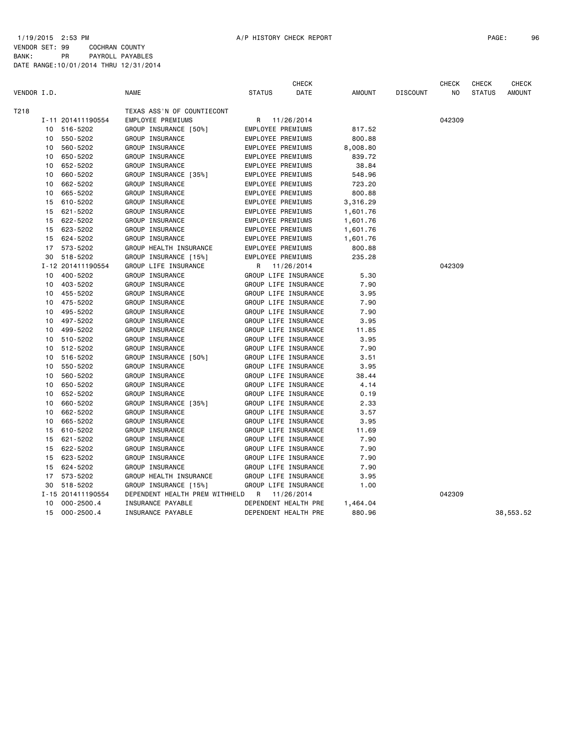|             |    |                   |                                | <b>CHECK</b>  |                      |          | <b>CHECK</b><br><b>CHECK</b> |        |               | <b>CHECK</b>  |
|-------------|----|-------------------|--------------------------------|---------------|----------------------|----------|------------------------------|--------|---------------|---------------|
| VENDOR I.D. |    |                   | <b>NAME</b>                    | <b>STATUS</b> | DATE                 | AMOUNT   | <b>DISCOUNT</b>              | NO     | <b>STATUS</b> | <b>AMOUNT</b> |
| T218        |    |                   | TEXAS ASS'N OF COUNTIECONT     |               |                      |          |                              |        |               |               |
|             |    | I-11 201411190554 | EMPLOYEE PREMIUMS              |               | R 11/26/2014         |          |                              | 042309 |               |               |
|             | 10 | 516-5202          | GROUP INSURANCE [50%]          |               | EMPLOYEE PREMIUMS    | 817.52   |                              |        |               |               |
|             | 10 | 550-5202          | GROUP INSURANCE                |               | EMPLOYEE PREMIUMS    | 800.88   |                              |        |               |               |
|             | 10 | 560-5202          | GROUP INSURANCE                |               | EMPLOYEE PREMIUMS    | 8,008.80 |                              |        |               |               |
|             | 10 | 650-5202          | GROUP INSURANCE                |               | EMPLOYEE PREMIUMS    | 839.72   |                              |        |               |               |
|             | 10 | 652-5202          | GROUP INSURANCE                |               | EMPLOYEE PREMIUMS    | 38.84    |                              |        |               |               |
|             | 10 | 660-5202          | GROUP INSURANCE [35%]          |               | EMPLOYEE PREMIUMS    | 548.96   |                              |        |               |               |
|             | 10 | 662-5202          | GROUP INSURANCE                |               | EMPLOYEE PREMIUMS    | 723.20   |                              |        |               |               |
|             | 10 | 665-5202          | GROUP INSURANCE                |               | EMPLOYEE PREMIUMS    | 800.88   |                              |        |               |               |
|             | 15 | 610-5202          | GROUP INSURANCE                |               | EMPLOYEE PREMIUMS    | 3,316.29 |                              |        |               |               |
|             | 15 | 621-5202          | GROUP INSURANCE                |               | EMPLOYEE PREMIUMS    | 1,601.76 |                              |        |               |               |
|             | 15 | 622-5202          | GROUP INSURANCE                |               | EMPLOYEE PREMIUMS    | 1,601.76 |                              |        |               |               |
|             | 15 | 623-5202          | GROUP INSURANCE                |               | EMPLOYEE PREMIUMS    | 1,601.76 |                              |        |               |               |
|             | 15 | 624-5202          | GROUP INSURANCE                |               | EMPLOYEE PREMIUMS    | 1,601.76 |                              |        |               |               |
|             | 17 | 573-5202          | GROUP HEALTH INSURANCE         |               | EMPLOYEE PREMIUMS    | 800.88   |                              |        |               |               |
|             |    | 30 518-5202       | GROUP INSURANCE [15%]          |               | EMPLOYEE PREMIUMS    | 235.28   |                              |        |               |               |
|             |    | I-12 201411190554 | GROUP LIFE INSURANCE           |               | R 11/26/2014         |          |                              | 042309 |               |               |
|             | 10 | 400-5202          | GROUP INSURANCE                |               | GROUP LIFE INSURANCE | 5.30     |                              |        |               |               |
|             | 10 | 403-5202          | GROUP INSURANCE                |               | GROUP LIFE INSURANCE | 7.90     |                              |        |               |               |
|             | 10 | 455-5202          | GROUP INSURANCE                |               | GROUP LIFE INSURANCE | 3.95     |                              |        |               |               |
|             | 10 | 475-5202          | GROUP INSURANCE                |               | GROUP LIFE INSURANCE | 7.90     |                              |        |               |               |
|             | 10 | 495-5202          | GROUP INSURANCE                |               | GROUP LIFE INSURANCE | 7.90     |                              |        |               |               |
|             | 10 | 497-5202          | GROUP INSURANCE                |               | GROUP LIFE INSURANCE | 3.95     |                              |        |               |               |
|             | 10 | 499-5202          | GROUP INSURANCE                |               | GROUP LIFE INSURANCE | 11.85    |                              |        |               |               |
|             | 10 | 510-5202          | GROUP INSURANCE                |               | GROUP LIFE INSURANCE | 3.95     |                              |        |               |               |
|             | 10 | 512-5202          | GROUP INSURANCE                |               | GROUP LIFE INSURANCE | 7.90     |                              |        |               |               |
|             | 10 | 516-5202          | GROUP INSURANCE [50%]          |               | GROUP LIFE INSURANCE | 3.51     |                              |        |               |               |
|             | 10 | 550-5202          | GROUP INSURANCE                |               | GROUP LIFE INSURANCE | 3.95     |                              |        |               |               |
|             | 10 | 560-5202          | GROUP INSURANCE                |               | GROUP LIFE INSURANCE | 38.44    |                              |        |               |               |
|             | 10 | 650-5202          | GROUP INSURANCE                |               | GROUP LIFE INSURANCE | 4.14     |                              |        |               |               |
|             | 10 | 652-5202          | GROUP INSURANCE                |               | GROUP LIFE INSURANCE | 0.19     |                              |        |               |               |
|             | 10 | 660-5202          | GROUP INSURANCE [35%]          |               | GROUP LIFE INSURANCE | 2.33     |                              |        |               |               |
|             | 10 | 662-5202          | GROUP INSURANCE                |               | GROUP LIFE INSURANCE | 3.57     |                              |        |               |               |
|             | 10 | 665-5202          | GROUP INSURANCE                |               | GROUP LIFE INSURANCE | 3.95     |                              |        |               |               |
|             | 15 | 610-5202          | GROUP INSURANCE                |               | GROUP LIFE INSURANCE | 11.69    |                              |        |               |               |
|             | 15 | 621-5202          | GROUP INSURANCE                |               | GROUP LIFE INSURANCE | 7.90     |                              |        |               |               |
|             | 15 | 622-5202          | GROUP INSURANCE                |               | GROUP LIFE INSURANCE | 7.90     |                              |        |               |               |
|             | 15 | 623-5202          | GROUP INSURANCE                |               | GROUP LIFE INSURANCE | 7.90     |                              |        |               |               |
|             | 15 | 624-5202          | GROUP INSURANCE                |               | GROUP LIFE INSURANCE | 7.90     |                              |        |               |               |
|             | 17 | 573-5202          | GROUP HEALTH INSURANCE         |               | GROUP LIFE INSURANCE | 3.95     |                              |        |               |               |
|             | 30 | 518-5202          | GROUP INSURANCE [15%]          |               | GROUP LIFE INSURANCE | 1.00     |                              |        |               |               |
|             |    | I-15 201411190554 | DEPENDENT HEALTH PREM WITHHELD | R             | 11/26/2014           |          |                              | 042309 |               |               |
|             | 10 | $000 - 2500.4$    | INSURANCE PAYABLE              |               | DEPENDENT HEALTH PRE | 1,464.04 |                              |        |               |               |
|             | 15 | $000 - 2500.4$    | INSURANCE PAYABLE              |               | DEPENDENT HEALTH PRE | 880.96   |                              |        |               | 38,553.52     |
|             |    |                   |                                |               |                      |          |                              |        |               |               |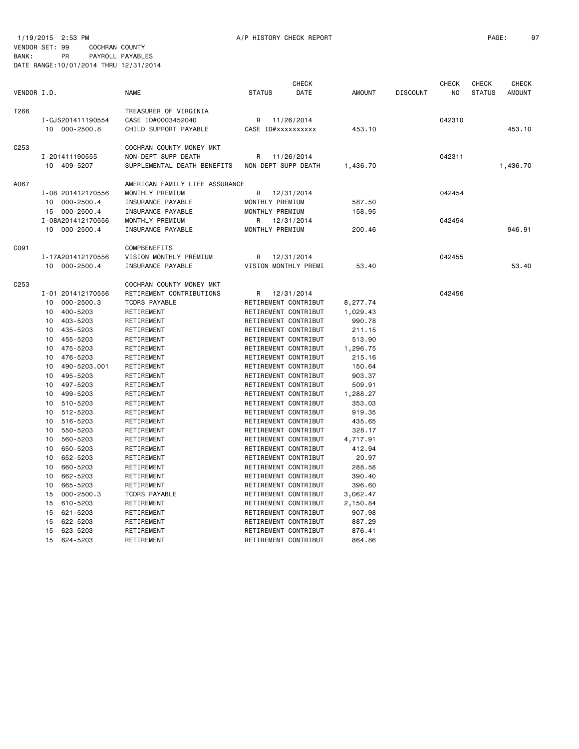1/19/2015 2:53 PM A/P HISTORY CHECK REPORT PAGE: 97 VENDOR SET: 99 COCHRAN COUNTY BANK: PR PAYROLL PAYABLES DATE RANGE:10/01/2014 THRU 12/31/2014

| VENDOR I.D. |                                                                |                                                                                                                                                                 | <b>NAME</b>                                                                                                                                                                                                              | <b>STATUS</b>                                                                                                                                                                                                                                                             | <b>CHECK</b><br>DATE | <b>AMOUNT</b>                                                                                                      | <b>DISCOUNT</b> | <b>CHECK</b><br>N <sub>O</sub> | CHECK<br><b>STATUS</b> | <b>CHECK</b><br><b>AMOUNT</b> |
|-------------|----------------------------------------------------------------|-----------------------------------------------------------------------------------------------------------------------------------------------------------------|--------------------------------------------------------------------------------------------------------------------------------------------------------------------------------------------------------------------------|---------------------------------------------------------------------------------------------------------------------------------------------------------------------------------------------------------------------------------------------------------------------------|----------------------|--------------------------------------------------------------------------------------------------------------------|-----------------|--------------------------------|------------------------|-------------------------------|
| T266        |                                                                | I-CJS201411190554<br>10 000-2500.8                                                                                                                              | TREASURER OF VIRGINIA<br>CASE ID#0003452040<br>CHILD SUPPORT PAYABLE                                                                                                                                                     | R<br>CASE ID#xxxxxxxxxx                                                                                                                                                                                                                                                   | 11/26/2014           | 453.10                                                                                                             |                 | 042310                         |                        | 453.10                        |
| C253        |                                                                | I-201411190555<br>10 409-5207                                                                                                                                   | COCHRAN COUNTY MONEY MKT<br>NON-DEPT SUPP DEATH<br>SUPPLEMENTAL DEATH BENEFITS                                                                                                                                           | R<br>NON-DEPT SUPP DEATH                                                                                                                                                                                                                                                  | 11/26/2014           | 1,436.70                                                                                                           |                 | 042311                         |                        | 1,436.70                      |
| A067        |                                                                | I-08 201412170556<br>10 000-2500.4<br>15 000-2500.4                                                                                                             | AMERICAN FAMILY LIFE ASSURANCE<br>MONTHLY PREMIUM<br>INSURANCE PAYABLE<br>INSURANCE PAYABLE                                                                                                                              | R<br>MONTHLY PREMIUM<br>MONTHLY PREMIUM                                                                                                                                                                                                                                   | 12/31/2014           | 587.50<br>158.95                                                                                                   |                 | 042454                         |                        |                               |
|             | 10                                                             | I-08A201412170556<br>$000 - 2500.4$                                                                                                                             | MONTHLY PREMIUM<br>INSURANCE PAYABLE                                                                                                                                                                                     | R<br>MONTHLY PREMIUM                                                                                                                                                                                                                                                      | 12/31/2014           | 200.46                                                                                                             |                 | 042454                         |                        | 946.91                        |
| C091        |                                                                | I-17A201412170556<br>10 000-2500.4                                                                                                                              | COMPBENEFITS<br>VISION MONTHLY PREMIUM<br>INSURANCE PAYABLE                                                                                                                                                              | R<br>VISION MONTHLY PREMI                                                                                                                                                                                                                                                 | 12/31/2014           | 53.40                                                                                                              |                 | 042455                         |                        | 53.40                         |
| C253        | 10<br>10<br>10<br>10<br>10<br>10<br>10<br>10<br>10<br>10<br>10 | I-01 201412170556<br>$000 - 2500.3$<br>400-5203<br>403-5203<br>435-5203<br>455-5203<br>475-5203<br>476-5203<br>490-5203.001<br>495-5203<br>497-5203<br>499-5203 | COCHRAN COUNTY MONEY MKT<br>RETIREMENT CONTRIBUTIONS<br><b>TCDRS PAYABLE</b><br>RETIREMENT<br>RETIREMENT<br>RETIREMENT<br>RETIREMENT<br>RETIREMENT<br>RETIREMENT<br>RETIREMENT<br>RETIREMENT<br>RETIREMENT<br>RETIREMENT | R<br>RETIREMENT CONTRIBUT<br>RETIREMENT CONTRIBUT<br>RETIREMENT CONTRIBUT<br>RETIREMENT CONTRIBUT<br>RETIREMENT CONTRIBUT<br>RETIREMENT CONTRIBUT<br>RETIREMENT CONTRIBUT<br>RETIREMENT CONTRIBUT<br>RETIREMENT CONTRIBUT<br>RETIREMENT CONTRIBUT<br>RETIREMENT CONTRIBUT | 12/31/2014           | 8,277.74<br>1,029.43<br>990.78<br>211.15<br>513.90<br>1,296.75<br>215.16<br>150.64<br>903.37<br>509.91<br>1,288.27 |                 | 042456                         |                        |                               |
|             | 10<br>10<br>10<br>10<br>10<br>10<br>10<br>10<br>10<br>10<br>15 | 510-5203<br>512-5203<br>516-5203<br>550-5203<br>560-5203<br>650-5203<br>652-5203<br>660-5203<br>662-5203<br>665-5203<br>$000 - 2500.3$                          | RETIREMENT<br>RETIREMENT<br>RETIREMENT<br>RETIREMENT<br>RETIREMENT<br>RETIREMENT<br>RETIREMENT<br>RETIREMENT<br>RETIREMENT<br>RETIREMENT<br><b>TCDRS PAYABLE</b>                                                         | RETIREMENT CONTRIBUT<br>RETIREMENT CONTRIBUT<br>RETIREMENT CONTRIBUT<br>RETIREMENT CONTRIBUT<br>RETIREMENT CONTRIBUT<br>RETIREMENT CONTRIBUT<br>RETIREMENT CONTRIBUT<br>RETIREMENT CONTRIBUT<br>RETIREMENT CONTRIBUT<br>RETIREMENT CONTRIBUT<br>RETIREMENT CONTRIBUT      |                      | 353.03<br>919.35<br>435.65<br>328.17<br>4,717.91<br>412.94<br>20.97<br>288.58<br>390.40<br>396.60<br>3,062.47      |                 |                                |                        |                               |
|             | 15<br>15<br>15<br>15<br>15                                     | 610-5203<br>621-5203<br>622-5203<br>623-5203<br>624-5203                                                                                                        | RETIREMENT<br>RETIREMENT<br>RETIREMENT<br>RETIREMENT<br>RETIREMENT                                                                                                                                                       | RETIREMENT CONTRIBUT<br>RETIREMENT CONTRIBUT<br>RETIREMENT CONTRIBUT<br>RETIREMENT CONTRIBUT<br>RETIREMENT CONTRIBUT                                                                                                                                                      |                      | 2,150.84<br>907.98<br>887.29<br>876.41<br>864.86                                                                   |                 |                                |                        |                               |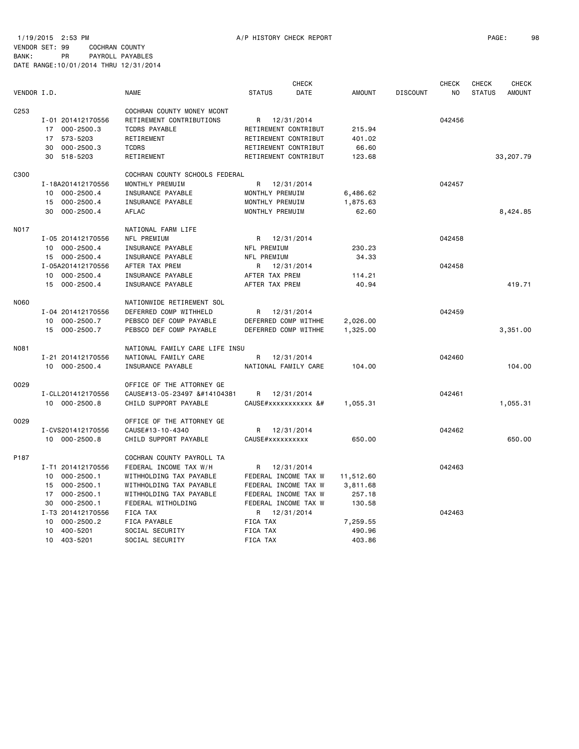1/19/2015 2:53 PM A/P HISTORY CHECK REPORT PAGE: 98 VENDOR SET: 99 COCHRAN COUNTY BANK: PR PAYROLL PAYABLES DATE RANGE:10/01/2014 THRU 12/31/2014

|                  |                               |                                |                                                                                                                                                                                                                                                                                                                                                                                                                                                                                                                                                                                                                                                                                                                                                                                                                                                                                                                                                                                                                                                                                                                                                                                                                                                                                                                                                                                                                                                                                                                                                                                                                                                                                                                                                                                                                                                                                                                                                                                                                                                                                                                                                                                                                                                                                                                             | CHECK      |               |                 | <b>CHECK</b>   | <b>CHECK</b>  | CHECK         |
|------------------|-------------------------------|--------------------------------|-----------------------------------------------------------------------------------------------------------------------------------------------------------------------------------------------------------------------------------------------------------------------------------------------------------------------------------------------------------------------------------------------------------------------------------------------------------------------------------------------------------------------------------------------------------------------------------------------------------------------------------------------------------------------------------------------------------------------------------------------------------------------------------------------------------------------------------------------------------------------------------------------------------------------------------------------------------------------------------------------------------------------------------------------------------------------------------------------------------------------------------------------------------------------------------------------------------------------------------------------------------------------------------------------------------------------------------------------------------------------------------------------------------------------------------------------------------------------------------------------------------------------------------------------------------------------------------------------------------------------------------------------------------------------------------------------------------------------------------------------------------------------------------------------------------------------------------------------------------------------------------------------------------------------------------------------------------------------------------------------------------------------------------------------------------------------------------------------------------------------------------------------------------------------------------------------------------------------------------------------------------------------------------------------------------------------------|------------|---------------|-----------------|----------------|---------------|---------------|
| VENDOR I.D.      |                               | <b>NAME</b>                    | <b>STATUS</b>                                                                                                                                                                                                                                                                                                                                                                                                                                                                                                                                                                                                                                                                                                                                                                                                                                                                                                                                                                                                                                                                                                                                                                                                                                                                                                                                                                                                                                                                                                                                                                                                                                                                                                                                                                                                                                                                                                                                                                                                                                                                                                                                                                                                                                                                                                               | DATE       | <b>AMOUNT</b> | <b>DISCOUNT</b> | N <sub>O</sub> | <b>STATUS</b> | <b>AMOUNT</b> |
| C <sub>253</sub> |                               | COCHRAN COUNTY MONEY MCONT     |                                                                                                                                                                                                                                                                                                                                                                                                                                                                                                                                                                                                                                                                                                                                                                                                                                                                                                                                                                                                                                                                                                                                                                                                                                                                                                                                                                                                                                                                                                                                                                                                                                                                                                                                                                                                                                                                                                                                                                                                                                                                                                                                                                                                                                                                                                                             |            |               |                 |                |               |               |
|                  | I-01 201412170556             | RETIREMENT CONTRIBUTIONS       | R 12/31/2014                                                                                                                                                                                                                                                                                                                                                                                                                                                                                                                                                                                                                                                                                                                                                                                                                                                                                                                                                                                                                                                                                                                                                                                                                                                                                                                                                                                                                                                                                                                                                                                                                                                                                                                                                                                                                                                                                                                                                                                                                                                                                                                                                                                                                                                                                                                |            |               |                 | 042456         |               |               |
|                  | $000 - 2500.3$<br>17          | TCDRS PAYABLE                  | RETIREMENT CONTRIBUT                                                                                                                                                                                                                                                                                                                                                                                                                                                                                                                                                                                                                                                                                                                                                                                                                                                                                                                                                                                                                                                                                                                                                                                                                                                                                                                                                                                                                                                                                                                                                                                                                                                                                                                                                                                                                                                                                                                                                                                                                                                                                                                                                                                                                                                                                                        |            | 215.94        |                 |                |               |               |
|                  | 573-5203<br>17                | RETIREMENT                     | RETIREMENT CONTRIBUT                                                                                                                                                                                                                                                                                                                                                                                                                                                                                                                                                                                                                                                                                                                                                                                                                                                                                                                                                                                                                                                                                                                                                                                                                                                                                                                                                                                                                                                                                                                                                                                                                                                                                                                                                                                                                                                                                                                                                                                                                                                                                                                                                                                                                                                                                                        |            | 401.02        |                 |                |               |               |
|                  | $000 - 2500.3$<br>30          | <b>TCDRS</b>                   | RETIREMENT CONTRIBUT                                                                                                                                                                                                                                                                                                                                                                                                                                                                                                                                                                                                                                                                                                                                                                                                                                                                                                                                                                                                                                                                                                                                                                                                                                                                                                                                                                                                                                                                                                                                                                                                                                                                                                                                                                                                                                                                                                                                                                                                                                                                                                                                                                                                                                                                                                        |            | 66.60         |                 |                |               |               |
|                  | 518-5203<br>30                | RETIREMENT                     | RETIREMENT CONTRIBUT                                                                                                                                                                                                                                                                                                                                                                                                                                                                                                                                                                                                                                                                                                                                                                                                                                                                                                                                                                                                                                                                                                                                                                                                                                                                                                                                                                                                                                                                                                                                                                                                                                                                                                                                                                                                                                                                                                                                                                                                                                                                                                                                                                                                                                                                                                        |            | 123.68        |                 |                |               | 33,207.79     |
|                  |                               |                                |                                                                                                                                                                                                                                                                                                                                                                                                                                                                                                                                                                                                                                                                                                                                                                                                                                                                                                                                                                                                                                                                                                                                                                                                                                                                                                                                                                                                                                                                                                                                                                                                                                                                                                                                                                                                                                                                                                                                                                                                                                                                                                                                                                                                                                                                                                                             |            |               |                 |                |               |               |
| C300             |                               | COCHRAN COUNTY SCHOOLS FEDERAL |                                                                                                                                                                                                                                                                                                                                                                                                                                                                                                                                                                                                                                                                                                                                                                                                                                                                                                                                                                                                                                                                                                                                                                                                                                                                                                                                                                                                                                                                                                                                                                                                                                                                                                                                                                                                                                                                                                                                                                                                                                                                                                                                                                                                                                                                                                                             |            |               |                 |                |               |               |
|                  | I-18A201412170556             | MONTHLY PREMUIM                | R 12/31/2014                                                                                                                                                                                                                                                                                                                                                                                                                                                                                                                                                                                                                                                                                                                                                                                                                                                                                                                                                                                                                                                                                                                                                                                                                                                                                                                                                                                                                                                                                                                                                                                                                                                                                                                                                                                                                                                                                                                                                                                                                                                                                                                                                                                                                                                                                                                |            |               |                 | 042457         |               |               |
|                  | 10 000-2500.4                 | INSURANCE PAYABLE              | MONTHLY PREMUIM                                                                                                                                                                                                                                                                                                                                                                                                                                                                                                                                                                                                                                                                                                                                                                                                                                                                                                                                                                                                                                                                                                                                                                                                                                                                                                                                                                                                                                                                                                                                                                                                                                                                                                                                                                                                                                                                                                                                                                                                                                                                                                                                                                                                                                                                                                             |            | 6,486.62      |                 |                |               |               |
|                  | 15 000-2500.4                 | INSURANCE PAYABLE              | MONTHLY PREMUIM                                                                                                                                                                                                                                                                                                                                                                                                                                                                                                                                                                                                                                                                                                                                                                                                                                                                                                                                                                                                                                                                                                                                                                                                                                                                                                                                                                                                                                                                                                                                                                                                                                                                                                                                                                                                                                                                                                                                                                                                                                                                                                                                                                                                                                                                                                             |            | 1,875.63      |                 |                |               |               |
|                  | $000 - 2500.4$<br>30          | AFLAC                          | MONTHLY PREMUIM                                                                                                                                                                                                                                                                                                                                                                                                                                                                                                                                                                                                                                                                                                                                                                                                                                                                                                                                                                                                                                                                                                                                                                                                                                                                                                                                                                                                                                                                                                                                                                                                                                                                                                                                                                                                                                                                                                                                                                                                                                                                                                                                                                                                                                                                                                             |            | 62.60         |                 |                |               | 8,424.85      |
| <b>NO17</b>      |                               | NATIONAL FARM LIFE             |                                                                                                                                                                                                                                                                                                                                                                                                                                                                                                                                                                                                                                                                                                                                                                                                                                                                                                                                                                                                                                                                                                                                                                                                                                                                                                                                                                                                                                                                                                                                                                                                                                                                                                                                                                                                                                                                                                                                                                                                                                                                                                                                                                                                                                                                                                                             |            |               |                 |                |               |               |
|                  | I-05 201412170556             | NFL PREMIUM                    | R 12/31/2014                                                                                                                                                                                                                                                                                                                                                                                                                                                                                                                                                                                                                                                                                                                                                                                                                                                                                                                                                                                                                                                                                                                                                                                                                                                                                                                                                                                                                                                                                                                                                                                                                                                                                                                                                                                                                                                                                                                                                                                                                                                                                                                                                                                                                                                                                                                |            |               |                 | 042458         |               |               |
|                  | $000 - 2500.4$<br>10          | INSURANCE PAYABLE              | NFL PREMIUM                                                                                                                                                                                                                                                                                                                                                                                                                                                                                                                                                                                                                                                                                                                                                                                                                                                                                                                                                                                                                                                                                                                                                                                                                                                                                                                                                                                                                                                                                                                                                                                                                                                                                                                                                                                                                                                                                                                                                                                                                                                                                                                                                                                                                                                                                                                 |            | 230.23        |                 |                |               |               |
|                  | 15 000-2500.4                 | INSURANCE PAYABLE              | NFL PREMIUM                                                                                                                                                                                                                                                                                                                                                                                                                                                                                                                                                                                                                                                                                                                                                                                                                                                                                                                                                                                                                                                                                                                                                                                                                                                                                                                                                                                                                                                                                                                                                                                                                                                                                                                                                                                                                                                                                                                                                                                                                                                                                                                                                                                                                                                                                                                 |            | 34.33         |                 |                |               |               |
|                  | I-05A201412170556             | AFTER TAX PREM                 | R 12/31/2014                                                                                                                                                                                                                                                                                                                                                                                                                                                                                                                                                                                                                                                                                                                                                                                                                                                                                                                                                                                                                                                                                                                                                                                                                                                                                                                                                                                                                                                                                                                                                                                                                                                                                                                                                                                                                                                                                                                                                                                                                                                                                                                                                                                                                                                                                                                |            |               |                 | 042458         |               |               |
|                  | 10 000-2500.4                 | INSURANCE PAYABLE              | AFTER TAX PREM                                                                                                                                                                                                                                                                                                                                                                                                                                                                                                                                                                                                                                                                                                                                                                                                                                                                                                                                                                                                                                                                                                                                                                                                                                                                                                                                                                                                                                                                                                                                                                                                                                                                                                                                                                                                                                                                                                                                                                                                                                                                                                                                                                                                                                                                                                              |            | 114.21        |                 |                |               |               |
|                  | 15 000-2500.4                 | INSURANCE PAYABLE              | AFTER TAX PREM                                                                                                                                                                                                                                                                                                                                                                                                                                                                                                                                                                                                                                                                                                                                                                                                                                                                                                                                                                                                                                                                                                                                                                                                                                                                                                                                                                                                                                                                                                                                                                                                                                                                                                                                                                                                                                                                                                                                                                                                                                                                                                                                                                                                                                                                                                              |            | 40.94         |                 |                |               | 419.71        |
|                  |                               |                                |                                                                                                                                                                                                                                                                                                                                                                                                                                                                                                                                                                                                                                                                                                                                                                                                                                                                                                                                                                                                                                                                                                                                                                                                                                                                                                                                                                                                                                                                                                                                                                                                                                                                                                                                                                                                                                                                                                                                                                                                                                                                                                                                                                                                                                                                                                                             |            |               |                 |                |               |               |
| <b>N060</b>      |                               | NATIONWIDE RETIREMENT SOL      |                                                                                                                                                                                                                                                                                                                                                                                                                                                                                                                                                                                                                                                                                                                                                                                                                                                                                                                                                                                                                                                                                                                                                                                                                                                                                                                                                                                                                                                                                                                                                                                                                                                                                                                                                                                                                                                                                                                                                                                                                                                                                                                                                                                                                                                                                                                             |            |               |                 |                |               |               |
|                  | I-04 201412170556             | DEFERRED COMP WITHHELD         | R                                                                                                                                                                                                                                                                                                                                                                                                                                                                                                                                                                                                                                                                                                                                                                                                                                                                                                                                                                                                                                                                                                                                                                                                                                                                                                                                                                                                                                                                                                                                                                                                                                                                                                                                                                                                                                                                                                                                                                                                                                                                                                                                                                                                                                                                                                                           | 12/31/2014 |               |                 | 042459         |               |               |
|                  | 000-2500.7<br>10 <sub>1</sub> | PEBSCO DEF COMP PAYABLE        | DEFERRED COMP WITHHE                                                                                                                                                                                                                                                                                                                                                                                                                                                                                                                                                                                                                                                                                                                                                                                                                                                                                                                                                                                                                                                                                                                                                                                                                                                                                                                                                                                                                                                                                                                                                                                                                                                                                                                                                                                                                                                                                                                                                                                                                                                                                                                                                                                                                                                                                                        |            | 2,026.00      |                 |                |               |               |
|                  | 15 000-2500.7                 | PEBSCO DEF COMP PAYABLE        | DEFERRED COMP WITHHE                                                                                                                                                                                                                                                                                                                                                                                                                                                                                                                                                                                                                                                                                                                                                                                                                                                                                                                                                                                                                                                                                                                                                                                                                                                                                                                                                                                                                                                                                                                                                                                                                                                                                                                                                                                                                                                                                                                                                                                                                                                                                                                                                                                                                                                                                                        |            | 1,325.00      |                 |                |               | 3,351.00      |
| N081             |                               | NATIONAL FAMILY CARE LIFE INSU |                                                                                                                                                                                                                                                                                                                                                                                                                                                                                                                                                                                                                                                                                                                                                                                                                                                                                                                                                                                                                                                                                                                                                                                                                                                                                                                                                                                                                                                                                                                                                                                                                                                                                                                                                                                                                                                                                                                                                                                                                                                                                                                                                                                                                                                                                                                             |            |               |                 |                |               |               |
|                  | I-21 201412170556             | NATIONAL FAMILY CARE           | R 12/31/2014                                                                                                                                                                                                                                                                                                                                                                                                                                                                                                                                                                                                                                                                                                                                                                                                                                                                                                                                                                                                                                                                                                                                                                                                                                                                                                                                                                                                                                                                                                                                                                                                                                                                                                                                                                                                                                                                                                                                                                                                                                                                                                                                                                                                                                                                                                                |            |               |                 | 042460         |               |               |
|                  | 10 000-2500.4                 | INSURANCE PAYABLE              | NATIONAL FAMILY CARE                                                                                                                                                                                                                                                                                                                                                                                                                                                                                                                                                                                                                                                                                                                                                                                                                                                                                                                                                                                                                                                                                                                                                                                                                                                                                                                                                                                                                                                                                                                                                                                                                                                                                                                                                                                                                                                                                                                                                                                                                                                                                                                                                                                                                                                                                                        |            | 104.00        |                 |                |               | 104.00        |
|                  |                               |                                |                                                                                                                                                                                                                                                                                                                                                                                                                                                                                                                                                                                                                                                                                                                                                                                                                                                                                                                                                                                                                                                                                                                                                                                                                                                                                                                                                                                                                                                                                                                                                                                                                                                                                                                                                                                                                                                                                                                                                                                                                                                                                                                                                                                                                                                                                                                             |            |               |                 |                |               |               |
| 0029             |                               | OFFICE OF THE ATTORNEY GE      |                                                                                                                                                                                                                                                                                                                                                                                                                                                                                                                                                                                                                                                                                                                                                                                                                                                                                                                                                                                                                                                                                                                                                                                                                                                                                                                                                                                                                                                                                                                                                                                                                                                                                                                                                                                                                                                                                                                                                                                                                                                                                                                                                                                                                                                                                                                             |            |               |                 |                |               |               |
|                  | I-CLL201412170556             | CAUSE#13-05-23497 �            | R 12/31/2014                                                                                                                                                                                                                                                                                                                                                                                                                                                                                                                                                                                                                                                                                                                                                                                                                                                                                                                                                                                                                                                                                                                                                                                                                                                                                                                                                                                                                                                                                                                                                                                                                                                                                                                                                                                                                                                                                                                                                                                                                                                                                                                                                                                                                                                                                                                |            |               |                 | 042461         |               |               |
|                  | 10 000-2500.8                 | CHILD SUPPORT PAYABLE          | CAUSE#xxxxxxxxxx &#</td><td></td><td>1,055.31</td><td></td><td></td><td></td><td>1,055.31</td></tr><tr><td>0029</td><td></td><td>OFFICE OF THE ATTORNEY GE</td><td></td><td></td><td></td><td></td><td></td><td></td><td></td></tr><tr><td></td><td>I-CVS201412170556</td><td>CAUSE#13-10-4340</td><td>R 12/31/2014</td><td></td><td></td><td></td><td>042462</td><td></td><td></td></tr><tr><td></td><td>10 000-2500.8</td><td>CHILD SUPPORT PAYABLE</td><td>CAUSE#xxxxxxxxxx</td><td></td><td>650.00</td><td></td><td></td><td></td><td>650.00</td></tr><tr><td>P187</td><td></td><td>COCHRAN COUNTY PAYROLL TA</td><td></td><td></td><td></td><td></td><td></td><td></td><td></td></tr><tr><td></td><td>I-T1 201412170556</td><td>FEDERAL INCOME TAX W/H</td><td>R</td><td>12/31/2014</td><td></td><td></td><td>042463</td><td></td><td></td></tr><tr><td></td><td><math>000 - 2500.1</math><br>10</td><td>WITHHOLDING TAX PAYABLE</td><td>FEDERAL INCOME TAX W</td><td></td><td>11,512.60</td><td></td><td></td><td></td><td></td></tr><tr><td></td><td><math>000 - 2500.1</math><br>15</td><td>WITHHOLDING TAX PAYABLE</td><td>FEDERAL INCOME TAX W</td><td></td><td>3,811.68</td><td></td><td></td><td></td><td></td></tr><tr><td></td><td><math>000 - 2500.1</math><br>17</td><td>WITHHOLDING TAX PAYABLE</td><td>FEDERAL INCOME TAX W</td><td></td><td>257.18</td><td></td><td></td><td></td><td></td></tr><tr><td></td><td><math>000 - 2500.1</math><br>30</td><td>FEDERAL WITHOLDING</td><td>FEDERAL INCOME TAX W</td><td></td><td>130.58</td><td></td><td></td><td></td><td></td></tr><tr><td></td><td>I-T3 201412170556</td><td>FICA TAX</td><td>R</td><td>12/31/2014</td><td></td><td></td><td>042463</td><td></td><td></td></tr><tr><td></td><td><math>000 - 2500.2</math><br>10</td><td>FICA PAYABLE</td><td>FICA TAX</td><td></td><td>7,259.55</td><td></td><td></td><td></td><td></td></tr><tr><td></td><td>400-5201<br>10</td><td>SOCIAL SECURITY</td><td>FICA TAX</td><td></td><td>490.96</td><td></td><td></td><td></td><td></td></tr><tr><td></td><td>10<br>403-5201</td><td>SOCIAL SECURITY</td><td>FICA TAX</td><td></td><td>403.86</td><td></td><td></td><td></td><td></td></tr><tr><td></td><td></td><td></td><td></td><td></td><td></td><td></td><td></td><td></td><td></td></tr></tbody></table> |            |               |                 |                |               |               |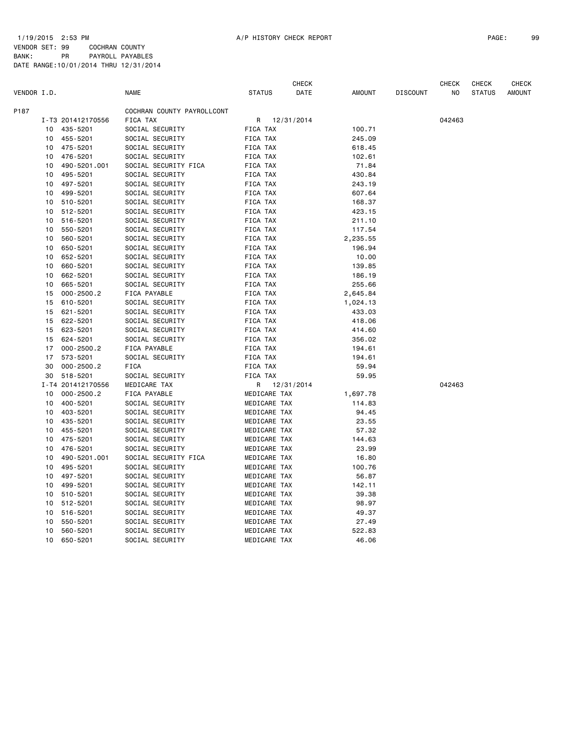| 1792. |
|-------|
|       |
|       |

|             |    |                   |                            |               | CHECK      |          |                 | <b>CHECK</b> | CHECK         | <b>CHECK</b>  |
|-------------|----|-------------------|----------------------------|---------------|------------|----------|-----------------|--------------|---------------|---------------|
| VENDOR I.D. |    |                   | NAME                       | <b>STATUS</b> | DATE       | AMOUNT   | <b>DISCOUNT</b> | NO           | <b>STATUS</b> | <b>AMOUNT</b> |
| P187        |    |                   | COCHRAN COUNTY PAYROLLCONT |               |            |          |                 |              |               |               |
|             |    | I-T3 201412170556 | FICA TAX                   | R             | 12/31/2014 |          |                 | 042463       |               |               |
|             | 10 | 435-5201          | SOCIAL SECURITY            | FICA TAX      |            | 100.71   |                 |              |               |               |
|             | 10 | 455-5201          | SOCIAL SECURITY            | FICA TAX      |            | 245.09   |                 |              |               |               |
|             | 10 | 475-5201          | SOCIAL SECURITY            | FICA TAX      |            | 618.45   |                 |              |               |               |
|             | 10 | 476-5201          | SOCIAL SECURITY            | FICA TAX      |            | 102.61   |                 |              |               |               |
|             | 10 | 490-5201.001      | SOCIAL SECURITY FICA       | FICA TAX      |            | 71.84    |                 |              |               |               |
|             | 10 | 495-5201          | SOCIAL SECURITY            | FICA TAX      |            | 430.84   |                 |              |               |               |
|             | 10 | 497-5201          | SOCIAL SECURITY            | FICA TAX      |            | 243.19   |                 |              |               |               |
|             | 10 | 499-5201          | SOCIAL SECURITY            | FICA TAX      |            | 607.64   |                 |              |               |               |
|             | 10 | 510-5201          | SOCIAL SECURITY            | FICA TAX      |            | 168.37   |                 |              |               |               |
|             | 10 | 512-5201          | SOCIAL SECURITY            | FICA TAX      |            | 423.15   |                 |              |               |               |
|             | 10 | 516-5201          | SOCIAL SECURITY            | FICA TAX      |            | 211.10   |                 |              |               |               |
|             | 10 | 550-5201          | SOCIAL SECURITY            | FICA TAX      |            | 117.54   |                 |              |               |               |
|             | 10 | 560-5201          | SOCIAL SECURITY            | FICA TAX      |            | 2,235.55 |                 |              |               |               |
|             | 10 | 650-5201          | SOCIAL SECURITY            | FICA TAX      |            | 196.94   |                 |              |               |               |
|             | 10 | 652-5201          | SOCIAL SECURITY            | FICA TAX      |            | 10.00    |                 |              |               |               |
|             | 10 | 660-5201          | SOCIAL SECURITY            | FICA TAX      |            | 139.85   |                 |              |               |               |
|             | 10 | 662-5201          | SOCIAL SECURITY            | FICA TAX      |            | 186.19   |                 |              |               |               |
|             |    |                   |                            |               |            |          |                 |              |               |               |
|             | 10 | 665-5201          | SOCIAL SECURITY            | FICA TAX      |            | 255.66   |                 |              |               |               |
|             | 15 | $000 - 2500.2$    | FICA PAYABLE               | FICA TAX      |            | 2,645.84 |                 |              |               |               |
|             | 15 | 610-5201          | SOCIAL SECURITY            | FICA TAX      |            | 1,024.13 |                 |              |               |               |
|             | 15 | 621-5201          | SOCIAL SECURITY            | FICA TAX      |            | 433.03   |                 |              |               |               |
|             | 15 | 622-5201          | SOCIAL SECURITY            | FICA TAX      |            | 418.06   |                 |              |               |               |
|             | 15 | 623-5201          | SOCIAL SECURITY            | FICA TAX      |            | 414.60   |                 |              |               |               |
|             | 15 | 624-5201          | SOCIAL SECURITY            | FICA TAX      |            | 356.02   |                 |              |               |               |
|             | 17 | $000 - 2500.2$    | FICA PAYABLE               | FICA TAX      |            | 194.61   |                 |              |               |               |
|             | 17 | 573-5201          | SOCIAL SECURITY            | FICA TAX      |            | 194.61   |                 |              |               |               |
|             | 30 | $000 - 2500.2$    | <b>FICA</b>                | FICA TAX      |            | 59.94    |                 |              |               |               |
|             | 30 | 518-5201          | SOCIAL SECURITY            | FICA TAX      |            | 59.95    |                 |              |               |               |
|             |    | I-T4 201412170556 | MEDICARE TAX               | R             | 12/31/2014 |          |                 | 042463       |               |               |
|             | 10 | $000 - 2500.2$    | FICA PAYABLE               | MEDICARE TAX  |            | 1,697.78 |                 |              |               |               |
|             | 10 | 400-5201          | SOCIAL SECURITY            | MEDICARE TAX  |            | 114.83   |                 |              |               |               |
|             | 10 | 403-5201          | SOCIAL SECURITY            | MEDICARE TAX  |            | 94.45    |                 |              |               |               |
|             | 10 | 435-5201          | SOCIAL SECURITY            | MEDICARE TAX  |            | 23.55    |                 |              |               |               |
|             | 10 | 455-5201          | SOCIAL SECURITY            | MEDICARE TAX  |            | 57.32    |                 |              |               |               |
|             | 10 | 475-5201          | SOCIAL SECURITY            | MEDICARE TAX  |            | 144.63   |                 |              |               |               |
|             | 10 | 476-5201          | SOCIAL SECURITY            | MEDICARE TAX  |            | 23.99    |                 |              |               |               |
|             | 10 | 490-5201.001      | SOCIAL SECURITY FICA       | MEDICARE TAX  |            | 16.80    |                 |              |               |               |
|             | 10 | 495-5201          | SOCIAL SECURITY            | MEDICARE TAX  |            | 100.76   |                 |              |               |               |
|             | 10 | 497-5201          | SOCIAL SECURITY            | MEDICARE TAX  |            | 56.87    |                 |              |               |               |
|             | 10 | 499-5201          | SOCIAL SECURITY            | MEDICARE TAX  |            | 142.11   |                 |              |               |               |
|             | 10 | 510-5201          | SOCIAL SECURITY            | MEDICARE TAX  |            | 39.38    |                 |              |               |               |
|             | 10 | 512-5201          | SOCIAL SECURITY            | MEDICARE TAX  |            | 98.97    |                 |              |               |               |
|             | 10 | 516-5201          | SOCIAL SECURITY            | MEDICARE TAX  |            | 49.37    |                 |              |               |               |
|             | 10 | 550-5201          | SOCIAL SECURITY            | MEDICARE TAX  |            | 27.49    |                 |              |               |               |
|             | 10 | 560-5201          | SOCIAL SECURITY            | MEDICARE TAX  |            | 522.83   |                 |              |               |               |
|             | 10 | 650-5201          | SOCIAL SECURITY            | MEDICARE TAX  |            | 46.06    |                 |              |               |               |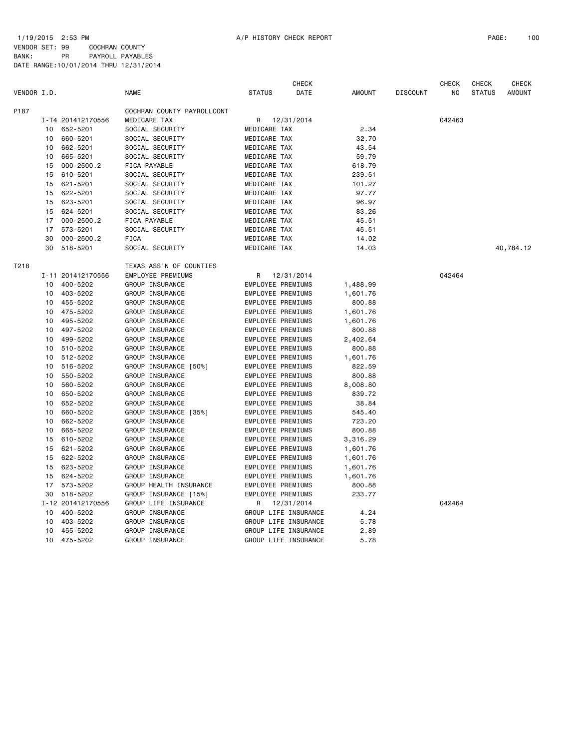BANK: PR PAYROLL PAYABLES DATE RANGE:10/01/2014 THRU 12/31/2014

| VENDOR I.D. |    |                   | <b>NAME</b>                | <b>STATUS</b>     | <b>CHECK</b><br>DATE | <b>AMOUNT</b> | <b>DISCOUNT</b> | <b>CHECK</b><br>N <sub>O</sub> | <b>CHECK</b><br><b>STATUS</b> | <b>CHECK</b><br><b>AMOUNT</b> |
|-------------|----|-------------------|----------------------------|-------------------|----------------------|---------------|-----------------|--------------------------------|-------------------------------|-------------------------------|
|             |    |                   |                            |                   |                      |               |                 |                                |                               |                               |
| P187        |    |                   | COCHRAN COUNTY PAYROLLCONT |                   |                      |               |                 |                                |                               |                               |
|             |    | I-T4 201412170556 | MEDICARE TAX               | R                 | 12/31/2014           |               |                 | 042463                         |                               |                               |
|             | 10 | 652-5201          | SOCIAL SECURITY            | MEDICARE TAX      |                      | 2.34          |                 |                                |                               |                               |
|             | 10 | 660-5201          | SOCIAL SECURITY            | MEDICARE TAX      |                      | 32.70         |                 |                                |                               |                               |
|             | 10 | 662-5201          | SOCIAL SECURITY            | MEDICARE TAX      |                      | 43.54         |                 |                                |                               |                               |
|             | 10 | 665-5201          | SOCIAL SECURITY            | MEDICARE TAX      |                      | 59.79         |                 |                                |                               |                               |
|             | 15 | $000 - 2500.2$    | FICA PAYABLE               | MEDICARE TAX      |                      | 618.79        |                 |                                |                               |                               |
|             | 15 | 610-5201          | SOCIAL SECURITY            | MEDICARE TAX      |                      | 239.51        |                 |                                |                               |                               |
|             | 15 | 621-5201          | SOCIAL SECURITY            | MEDICARE TAX      |                      | 101.27        |                 |                                |                               |                               |
|             | 15 | 622-5201          | SOCIAL SECURITY            | MEDICARE TAX      |                      | 97.77         |                 |                                |                               |                               |
|             | 15 | 623-5201          | SOCIAL SECURITY            | MEDICARE TAX      |                      | 96.97         |                 |                                |                               |                               |
|             | 15 | 624-5201          | SOCIAL SECURITY            | MEDICARE TAX      |                      | 83.26         |                 |                                |                               |                               |
|             | 17 | $000 - 2500.2$    | FICA PAYABLE               | MEDICARE TAX      |                      | 45.51         |                 |                                |                               |                               |
|             | 17 | 573-5201          | SOCIAL SECURITY            | MEDICARE TAX      |                      | 45.51         |                 |                                |                               |                               |
|             | 30 | $000 - 2500.2$    | <b>FICA</b>                | MEDICARE TAX      |                      | 14.02         |                 |                                |                               |                               |
|             | 30 | 518-5201          | SOCIAL SECURITY            | MEDICARE TAX      |                      | 14.03         |                 |                                |                               | 40,784.12                     |
| T218        |    |                   | TEXAS ASS'N OF COUNTIES    |                   |                      |               |                 |                                |                               |                               |
|             |    | I-11 201412170556 | EMPLOYEE PREMIUMS          | R                 | 12/31/2014           |               |                 | 042464                         |                               |                               |
|             | 10 | 400-5202          | GROUP INSURANCE            | EMPLOYEE PREMIUMS |                      | 1,488.99      |                 |                                |                               |                               |
|             | 10 | 403-5202          | GROUP INSURANCE            | EMPLOYEE PREMIUMS |                      | 1,601.76      |                 |                                |                               |                               |
|             | 10 | 455-5202          | GROUP INSURANCE            | EMPLOYEE PREMIUMS |                      | 800.88        |                 |                                |                               |                               |
|             | 10 | 475-5202          | GROUP INSURANCE            | EMPLOYEE PREMIUMS |                      | 1,601.76      |                 |                                |                               |                               |
|             | 10 | 495-5202          | GROUP INSURANCE            | EMPLOYEE PREMIUMS |                      | 1,601.76      |                 |                                |                               |                               |
|             | 10 | 497-5202          | GROUP INSURANCE            | EMPLOYEE PREMIUMS |                      | 800.88        |                 |                                |                               |                               |
|             | 10 | 499-5202          | GROUP INSURANCE            | EMPLOYEE PREMIUMS |                      | 2,402.64      |                 |                                |                               |                               |
|             | 10 | 510-5202          | GROUP INSURANCE            | EMPLOYEE PREMIUMS |                      | 800.88        |                 |                                |                               |                               |
|             | 10 | 512-5202          | GROUP INSURANCE            | EMPLOYEE PREMIUMS |                      | 1,601.76      |                 |                                |                               |                               |
|             | 10 | 516-5202          | GROUP INSURANCE [50%]      | EMPLOYEE PREMIUMS |                      | 822.59        |                 |                                |                               |                               |
|             | 10 | 550-5202          | GROUP INSURANCE            | EMPLOYEE PREMIUMS |                      | 800.88        |                 |                                |                               |                               |
|             | 10 | 560-5202          | GROUP INSURANCE            | EMPLOYEE PREMIUMS |                      | 8,008.80      |                 |                                |                               |                               |
|             | 10 | 650-5202          | GROUP INSURANCE            | EMPLOYEE PREMIUMS |                      | 839.72        |                 |                                |                               |                               |
|             | 10 | 652-5202          | GROUP INSURANCE            | EMPLOYEE PREMIUMS |                      | 38.84         |                 |                                |                               |                               |
|             | 10 | 660-5202          | GROUP INSURANCE [35%]      | EMPLOYEE PREMIUMS |                      | 545.40        |                 |                                |                               |                               |
|             | 10 | 662-5202          | GROUP INSURANCE            | EMPLOYEE PREMIUMS |                      | 723.20        |                 |                                |                               |                               |
|             | 10 | 665-5202          | GROUP INSURANCE            | EMPLOYEE PREMIUMS |                      | 800.88        |                 |                                |                               |                               |
|             | 15 | 610-5202          | GROUP INSURANCE            | EMPLOYEE PREMIUMS |                      | 3,316.29      |                 |                                |                               |                               |
|             | 15 | 621-5202          | GROUP INSURANCE            | EMPLOYEE PREMIUMS |                      | 1,601.76      |                 |                                |                               |                               |
|             | 15 | 622-5202          | GROUP INSURANCE            | EMPLOYEE PREMIUMS |                      | 1,601.76      |                 |                                |                               |                               |
|             | 15 | 623-5202          | GROUP INSURANCE            | EMPLOYEE PREMIUMS |                      | 1,601.76      |                 |                                |                               |                               |
|             | 15 | 624-5202          | GROUP INSURANCE            | EMPLOYEE PREMIUMS |                      | 1,601.76      |                 |                                |                               |                               |
|             | 17 | 573-5202          | GROUP HEALTH INSURANCE     | EMPLOYEE PREMIUMS |                      | 800.88        |                 |                                |                               |                               |
|             | 30 | 518-5202          | GROUP INSURANCE [15%]      | EMPLOYEE PREMIUMS |                      | 233.77        |                 |                                |                               |                               |
|             |    | I-12 201412170556 | GROUP LIFE INSURANCE       | R                 | 12/31/2014           |               |                 | 042464                         |                               |                               |
|             | 10 | 400-5202          | GROUP INSURANCE            |                   | GROUP LIFE INSURANCE | 4.24          |                 |                                |                               |                               |
|             | 10 | 403-5202          | GROUP INSURANCE            |                   | GROUP LIFE INSURANCE | 5.78          |                 |                                |                               |                               |
|             | 10 | 455-5202          | GROUP INSURANCE            |                   | GROUP LIFE INSURANCE | 2.89          |                 |                                |                               |                               |
|             | 10 | 475-5202          | GROUP INSURANCE            |                   | GROUP LIFE INSURANCE | 5.78          |                 |                                |                               |                               |
|             |    |                   |                            |                   |                      |               |                 |                                |                               |                               |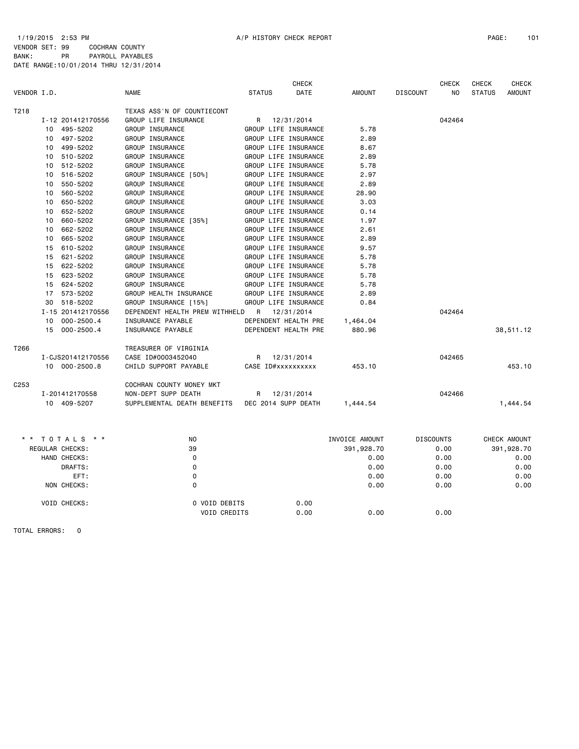|                  |                      |                                |                    | <b>CHECK</b>         |                |                 | <b>CHECK</b>     | <b>CHECK</b>  | <b>CHECK</b>  |
|------------------|----------------------|--------------------------------|--------------------|----------------------|----------------|-----------------|------------------|---------------|---------------|
| VENDOR I.D.      |                      | <b>NAME</b>                    | <b>STATUS</b>      | DATE                 | <b>AMOUNT</b>  | <b>DISCOUNT</b> | NO               | <b>STATUS</b> | <b>AMOUNT</b> |
| T218             |                      | TEXAS ASS'N OF COUNTIECONT     |                    |                      |                |                 |                  |               |               |
|                  | I-12 201412170556    | GROUP LIFE INSURANCE           | R                  | 12/31/2014           |                |                 | 042464           |               |               |
|                  | 495-5202<br>10       | GROUP INSURANCE                |                    | GROUP LIFE INSURANCE | 5.78           |                 |                  |               |               |
|                  | 497-5202<br>10       | GROUP INSURANCE                |                    | GROUP LIFE INSURANCE | 2.89           |                 |                  |               |               |
|                  | 499-5202<br>10       | GROUP INSURANCE                |                    | GROUP LIFE INSURANCE | 8.67           |                 |                  |               |               |
|                  | 510-5202<br>10       | GROUP INSURANCE                |                    | GROUP LIFE INSURANCE | 2.89           |                 |                  |               |               |
|                  | 512-5202<br>10       | GROUP INSURANCE                |                    | GROUP LIFE INSURANCE | 5.78           |                 |                  |               |               |
|                  | 516-5202<br>10       | GROUP INSURANCE [50%]          |                    | GROUP LIFE INSURANCE | 2.97           |                 |                  |               |               |
|                  | 550-5202<br>10       | GROUP INSURANCE                |                    | GROUP LIFE INSURANCE | 2.89           |                 |                  |               |               |
|                  | 560-5202<br>10       | GROUP INSURANCE                |                    | GROUP LIFE INSURANCE | 28.90          |                 |                  |               |               |
|                  | 650-5202<br>10       | GROUP INSURANCE                |                    | GROUP LIFE INSURANCE | 3.03           |                 |                  |               |               |
|                  | 652-5202<br>10       | GROUP INSURANCE                |                    | GROUP LIFE INSURANCE | 0.14           |                 |                  |               |               |
|                  | 660-5202<br>10       | GROUP INSURANCE [35%]          |                    | GROUP LIFE INSURANCE | 1.97           |                 |                  |               |               |
|                  | 662-5202<br>10       | GROUP INSURANCE                |                    | GROUP LIFE INSURANCE | 2.61           |                 |                  |               |               |
|                  | 665-5202<br>10       | GROUP INSURANCE                |                    | GROUP LIFE INSURANCE | 2.89           |                 |                  |               |               |
|                  | 15<br>610-5202       | GROUP INSURANCE                |                    | GROUP LIFE INSURANCE | 9.57           |                 |                  |               |               |
|                  | 621-5202<br>15       | GROUP INSURANCE                |                    | GROUP LIFE INSURANCE | 5.78           |                 |                  |               |               |
|                  | 622-5202<br>15       | GROUP INSURANCE                |                    | GROUP LIFE INSURANCE | 5.78           |                 |                  |               |               |
|                  | 623-5202<br>15       | GROUP INSURANCE                |                    | GROUP LIFE INSURANCE | 5.78           |                 |                  |               |               |
|                  | 624-5202<br>15       | GROUP INSURANCE                |                    | GROUP LIFE INSURANCE | 5.78           |                 |                  |               |               |
|                  | 17<br>573-5202       | GROUP HEALTH INSURANCE         |                    | GROUP LIFE INSURANCE | 2.89           |                 |                  |               |               |
|                  | 518-5202<br>30       | GROUP INSURANCE [15%]          |                    | GROUP LIFE INSURANCE | 0.84           |                 |                  |               |               |
|                  | I-15 201412170556    | DEPENDENT HEALTH PREM WITHHELD | R                  | 12/31/2014           |                |                 | 042464           |               |               |
|                  | 10<br>$000 - 2500.4$ | INSURANCE PAYABLE              |                    | DEPENDENT HEALTH PRE | 1,464.04       |                 |                  |               |               |
|                  | 15<br>000-2500.4     | INSURANCE PAYABLE              |                    | DEPENDENT HEALTH PRE | 880.96         |                 |                  |               | 38,511.12     |
| T266             |                      | TREASURER OF VIRGINIA          |                    |                      |                |                 |                  |               |               |
|                  | I-CJS201412170556    | CASE ID#0003452040             | R                  | 12/31/2014           |                |                 | 042465           |               |               |
|                  | 10 000-2500.8        | CHILD SUPPORT PAYABLE          | CASE ID#xxxxxxxxxx |                      | 453.10         |                 |                  |               | 453.10        |
| C <sub>253</sub> |                      | COCHRAN COUNTY MONEY MKT       |                    |                      |                |                 |                  |               |               |
|                  | I-201412170558       | NON-DEPT SUPP DEATH            | R                  | 12/31/2014           |                |                 | 042466           |               |               |
|                  | 10 409-5207          | SUPPLEMENTAL DEATH BENEFITS    |                    | DEC 2014 SUPP DEATH  | 1,444.54       |                 |                  |               | 1,444.54      |
|                  |                      |                                |                    |                      |                |                 |                  |               |               |
|                  | * * TOTALS * *       | NO                             |                    |                      | INVOICE AMOUNT |                 | <b>DISCOUNTS</b> |               | CHECK AMOUNT  |
|                  | REGULAR CHECKS:      | 39                             |                    |                      | 391,928.70     |                 | 0.00             |               | 391,928.70    |
|                  | HAND CHECKS:         | $\mathbf 0$                    |                    |                      | 0.00           |                 | 0.00             |               | 0.00          |
|                  | DRAFTS:              | 0                              |                    |                      | 0.00           |                 | 0.00             |               | 0.00          |
|                  | EFT:                 | 0                              |                    |                      | 0.00           |                 | 0.00             |               | 0.00          |
|                  | NON CHECKS:          | 0                              |                    |                      | 0.00           |                 | 0.00             |               | 0.00          |
|                  | VOID CHECKS:         | 0 VOID DEBITS                  |                    | 0.00                 |                |                 |                  |               |               |

VOID CREDITS 0.00 0.00 0.00

TOTAL ERRORS: 0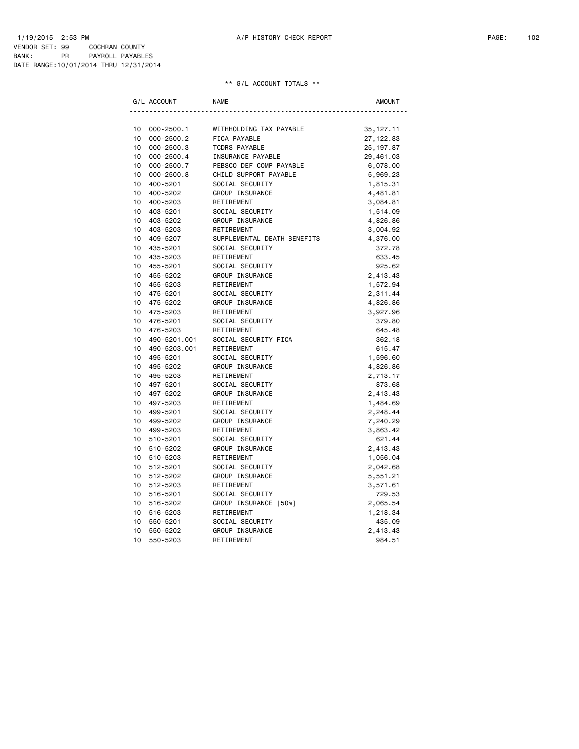| G/L ACCOUNT                 | <b>NAME</b>                 | AMOUNT      |
|-----------------------------|-----------------------------|-------------|
|                             |                             |             |
| 10<br>$000 - 2500.1$        | WITHHOLDING TAX PAYABLE     | 35, 127. 11 |
| 10<br>$000 - 2500.2$        | FICA PAYABLE                | 27, 122.83  |
| 10<br>$000 - 2500.3$        | <b>TCDRS PAYABLE</b>        | 25, 197.87  |
| 10<br>$000 - 2500.4$        | INSURANCE PAYABLE           | 29,461.03   |
| 10<br>$000 - 2500.7$        | PEBSCO DEF COMP PAYABLE     | 6,078.00    |
| 10<br>$000 - 2500.8$        | CHILD SUPPORT PAYABLE       | 5,969.23    |
| 10<br>400-5201              | SOCIAL SECURITY             | 1,815.31    |
| 10<br>400-5202              | GROUP INSURANCE             | 4,481.81    |
| 10<br>400-5203              | RETIREMENT                  | 3,084.81    |
| 403-5201<br>10              | SOCIAL SECURITY             | 1,514.09    |
| 10<br>403-5202              | GROUP INSURANCE             | 4,826.86    |
| 10<br>403-5203              | RETIREMENT                  | 3,004.92    |
| 10<br>409-5207              | SUPPLEMENTAL DEATH BENEFITS | 4,376.00    |
| 10<br>435-5201              | SOCIAL SECURITY             | 372.78      |
| 10<br>435-5203              | RETIREMENT                  | 633.45      |
| 10<br>455-5201              | SOCIAL SECURITY             | 925.62      |
| 10 <sup>1</sup><br>455-5202 | GROUP INSURANCE             | 2,413.43    |
| 10<br>455-5203              | RETIREMENT                  | 1,572.94    |
| 10<br>475-5201              | SOCIAL SECURITY             | 2,311.44    |
| 10 <sup>1</sup><br>475-5202 | GROUP INSURANCE             | 4,826.86    |
| 10 <sup>1</sup><br>475-5203 | RETIREMENT                  | 3,927.96    |
| 10<br>476-5201              | SOCIAL SECURITY             | 379.80      |
| 10<br>476-5203              | RETIREMENT                  | 645.48      |
| 10<br>490-5201.001          | SOCIAL SECURITY FICA        | 362.18      |
| 10<br>490-5203.001          | RETIREMENT                  | 615.47      |
| 10 <sup>1</sup><br>495-5201 | SOCIAL SECURITY             | 1,596.60    |
| 10<br>495-5202              | GROUP INSURANCE             | 4,826.86    |
| 10<br>495-5203              | RETIREMENT                  | 2,713.17    |
| 10<br>497-5201              | SOCIAL SECURITY             | 873.68      |
| 10<br>497-5202              | GROUP INSURANCE             | 2,413.43    |
| 10<br>497-5203              | RETIREMENT                  | 1,484.69    |
| 10 <sup>1</sup><br>499-5201 | SOCIAL SECURITY             | 2,248.44    |
| 10<br>499-5202              | GROUP INSURANCE             | 7,240.29    |
| 10 <sup>1</sup><br>499-5203 | RETIREMENT                  | 3,863.42    |
| 10 <sup>1</sup><br>510-5201 | SOCIAL SECURITY             | 621.44      |
| 10 <sup>1</sup><br>510-5202 | GROUP INSURANCE             | 2,413.43    |
| 10<br>510-5203              | RETIREMENT                  | 1,056.04    |
| 10 <sup>1</sup><br>512-5201 | SOCIAL SECURITY             | 2,042.68    |
| 10<br>512-5202              | GROUP INSURANCE             | 5,551.21    |
| 10 <sup>1</sup><br>512-5203 | RETIREMENT                  | 3,571.61    |
| 10<br>516-5201              | SOCIAL SECURITY             | 729.53      |
| 10<br>516-5202              | GROUP INSURANCE [50%]       | 2,065.54    |
| 10<br>516-5203              | RETIREMENT                  | 1,218.34    |
| 10<br>550-5201              | SOCIAL SECURITY             | 435.09      |
| 10<br>550-5202              | GROUP INSURANCE             | 2,413.43    |
| 10<br>550-5203              | RETIREMENT                  | 984.51      |
|                             |                             |             |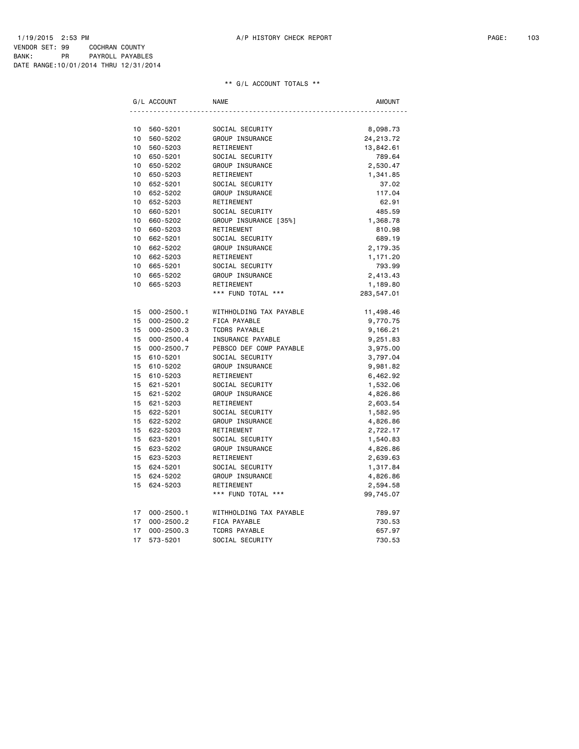| G/L ACCOUNT     |                | <b>NAME</b>             | AMOUNT      |
|-----------------|----------------|-------------------------|-------------|
|                 |                |                         |             |
| 10              | 560-5201       | SOCIAL SECURITY         | 8,098.73    |
| 10              | 560-5202       | GROUP INSURANCE         | 24, 213. 72 |
| 10              | 560-5203       | RETIREMENT              | 13,842.61   |
| 10              | 650-5201       | SOCIAL SECURITY         | 789.64      |
| 10              | 650-5202       | GROUP INSURANCE         | 2,530.47    |
| 10              | 650-5203       | RETIREMENT              | 1,341.85    |
| 10 <sup>1</sup> | 652-5201       | SOCIAL SECURITY         | 37.02       |
| 10              | 652-5202       | GROUP INSURANCE         | 117.04      |
| 10              | 652-5203       | RETIREMENT              | 62.91       |
| 10              | 660-5201       | SOCIAL SECURITY         | 485.59      |
| 10              | 660-5202       | GROUP INSURANCE [35%]   | 1,368.78    |
| 10              | 660-5203       | RETIREMENT              | 810.98      |
| 10              | 662-5201       | SOCIAL SECURITY         | 689.19      |
| 10 <sup>1</sup> | 662-5202       | GROUP INSURANCE         | 2,179.35    |
| 10 <sub>1</sub> | 662-5203       | RETIREMENT              | 1,171.20    |
| 10 <sup>1</sup> | 665-5201       | SOCIAL SECURITY         | 793.99      |
| 10 <sup>1</sup> | 665-5202       | GROUP INSURANCE         | 2,413.43    |
| 10              | 665-5203       | RETIREMENT              | 1,189.80    |
|                 |                | *** FUND TOTAL ***      | 283,547.01  |
| 15              | $000 - 2500.1$ | WITHHOLDING TAX PAYABLE | 11,498.46   |
| 15              | $000 - 2500.2$ | FICA PAYABLE            | 9,770.75    |
| 15              | $000 - 2500.3$ | <b>TCDRS PAYABLE</b>    | 9,166.21    |
| 15              | $000 - 2500.4$ | INSURANCE PAYABLE       | 9,251.83    |
| 15              | $000 - 2500.7$ | PEBSCO DEF COMP PAYABLE | 3,975.00    |
| 15              | 610-5201       | SOCIAL SECURITY         | 3,797.04    |
| 15              | 610-5202       | GROUP INSURANCE         | 9,981.82    |
| 15              | 610-5203       | RETIREMENT              | 6,462.92    |
| 15              | 621-5201       | SOCIAL SECURITY         | 1,532.06    |
| 15              | 621-5202       | GROUP INSURANCE         | 4,826.86    |
| 15              | 621-5203       | RETIREMENT              | 2,603.54    |
| 15              | 622-5201       | SOCIAL SECURITY         | 1,582.95    |
| 15              | 622-5202       | GROUP INSURANCE         | 4,826.86    |
| 15              | 622-5203       | RETIREMENT              | 2,722.17    |
| 15              | 623-5201       | SOCIAL SECURITY         | 1,540.83    |
| 15              | 623-5202       | GROUP INSURANCE         | 4,826.86    |
| 15              | 623-5203       | RETIREMENT              | 2,639.63    |
| 15 <sub>1</sub> | 624-5201       | SOCIAL SECURITY         | 1,317.84    |
| 15              | 624-5202       | GROUP INSURANCE         | 4,826.86    |
| 15              | 624-5203       | RETIREMENT              | 2,594.58    |
|                 |                | *** FUND TOTAL ***      | 99,745.07   |
| 17              | $000 - 2500.1$ | WITHHOLDING TAX PAYABLE | 789.97      |
| 17              | $000 - 2500.2$ | FICA PAYABLE            | 730.53      |
| 17              | $000 - 2500.3$ | <b>TCDRS PAYABLE</b>    | 657.97      |
| 17              | 573-5201       | SOCIAL SECURITY         | 730.53      |
|                 |                |                         |             |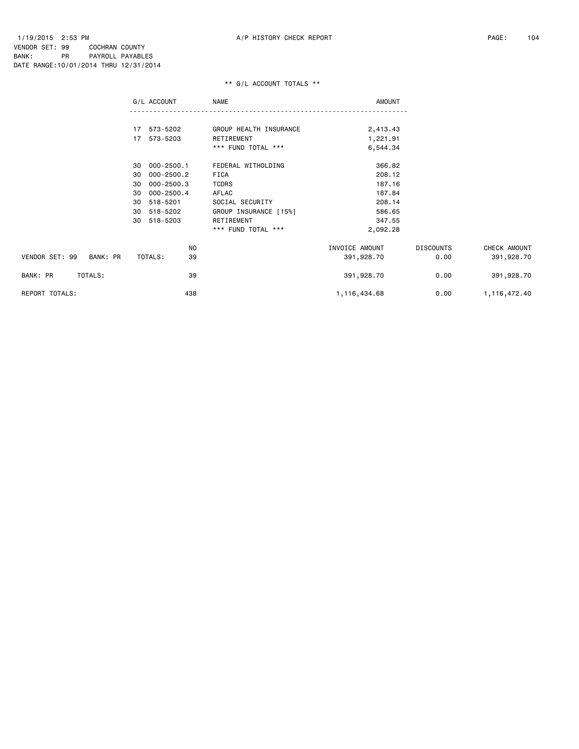|                            | G/L ACCOUNT          | NAME                   | <b>AMOUNT</b>  |                  |              |
|----------------------------|----------------------|------------------------|----------------|------------------|--------------|
|                            |                      |                        |                |                  |              |
|                            | 17 573-5202          | GROUP HEALTH INSURANCE | 2,413.43       |                  |              |
|                            | 17 573-5203          | RETIREMENT             | 1,221.91       |                  |              |
|                            |                      | *** FUND TOTAL ***     | 6,544.34       |                  |              |
|                            | 000-2500.1<br>30     | FEDERAL WITHOLDING     | 366.82         |                  |              |
|                            | $000 - 2500.2$<br>30 | FICA                   | 208.12         |                  |              |
|                            | $000 - 2500.3$<br>30 | <b>TCDRS</b>           | 187.16         |                  |              |
|                            | $000 - 2500.4$<br>30 | AFLAC                  | 187.84         |                  |              |
|                            | 518-5201<br>30       | SOCIAL SECURITY        | 208.14         |                  |              |
|                            | 518-5202<br>30       | GROUP INSURANCE [15%]  | 586.65         |                  |              |
|                            | 518-5203<br>30       | RETIREMENT             | 347.55         |                  |              |
|                            |                      | *** FUND TOTAL ***     | 2,092.28       |                  |              |
|                            | NO                   |                        | INVOICE AMOUNT | <b>DISCOUNTS</b> | CHECK AMOUNT |
| VENDOR SET: 99<br>BANK: PR | TOTALS:<br>39        |                        | 391,928.70     | 0.00             | 391,928.70   |
| TOTALS:<br>BANK: PR        | 39                   |                        | 391,928.70     | 0.00             | 391,928.70   |
| REPORT TOTALS:             | 438                  |                        | 1,116,434.68   | 0.00             | 1,116,472.40 |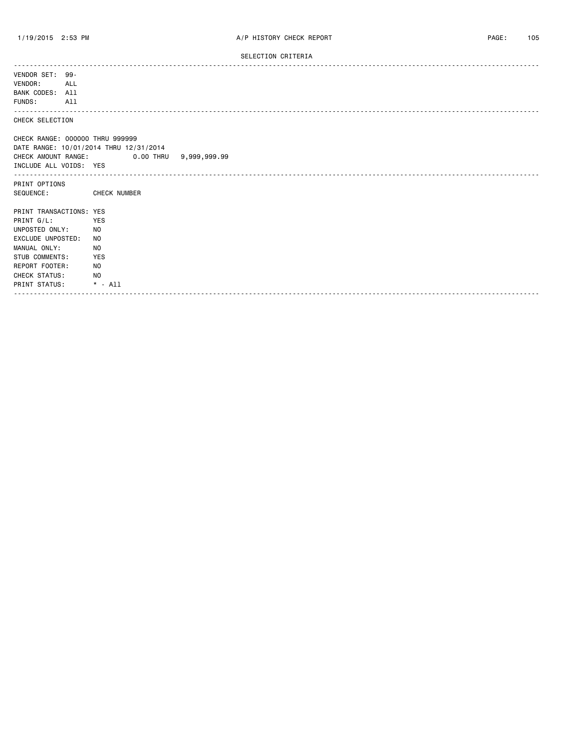#### SELECTION CRITERIA

| VENDOR SET: 99-<br>VENDOR:<br>ALL<br>BANK CODES: All<br>FUNDS:<br>All |                                            |
|-----------------------------------------------------------------------|--------------------------------------------|
| .<br>CHECK SELECTION                                                  |                                            |
| CHECK RANGE: 000000 THRU 999999                                       |                                            |
|                                                                       | DATE RANGE: 10/01/2014 THRU 12/31/2014     |
|                                                                       | CHECK AMOUNT RANGE: 0.00 THRU 9,999,999.99 |
| INCLUDE ALL VOIDS: YES                                                |                                            |
| PRINT OPTIONS                                                         |                                            |
|                                                                       | SEQUENCE: CHECK NUMBER                     |
| PRINT TRANSACTIONS: YES                                               |                                            |
| PRINT G/L:                                                            | YES                                        |
| UNPOSTED ONLY:                                                        | NO.                                        |
| EXCLUDE UNPOSTED:                                                     | NO.                                        |
| MANUAL ONLY:                                                          | NO.                                        |
| STUB COMMENTS:                                                        | <b>YES</b>                                 |
| REPORT FOOTER:                                                        | NO.                                        |
| CHECK STATUS:                                                         | NO.                                        |
| PRINT STATUS:                                                         | $*$ - All                                  |
|                                                                       |                                            |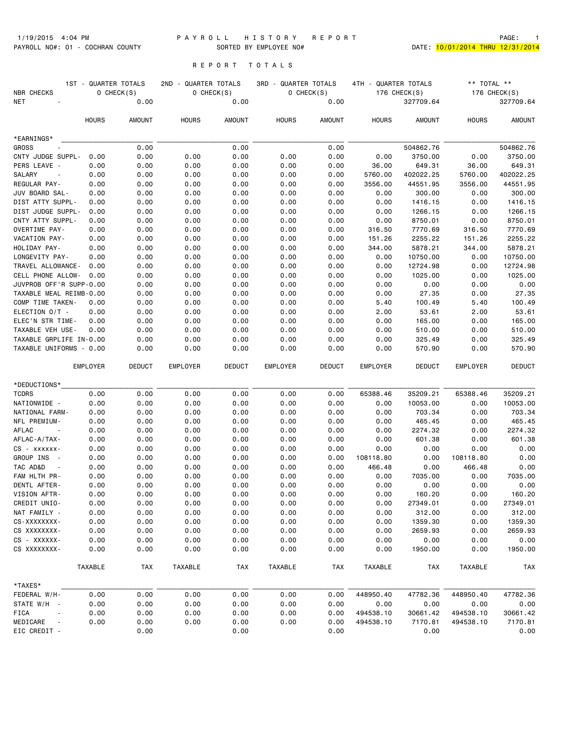#### 1/19/2015 4:04 PM P A Y R O L L H I S T O R Y R E P O R T PAGE: 1 PAYROLL NO#: 01 - COCHRAN COUNTY SORTED BY EMPLOYEE NO# DATE: 10/01/2014 THRU 12/31/2014

# R E P O R T T O T A L S

| NBR CHECKS<br>NET                  | 1ST - QUARTER TOTALS<br>0 CHECK(S)<br>0.00 |               | 2ND - QUARTER TOTALS<br>$O$ CHECK $(S)$<br>0.00 |               | <b>3RD - QUARTER TOTALS</b> | $O$ CHECK(S)<br>0.00 | 4TH - QUARTER TOTALS | 176 CHECK(S)<br>327709.64 | ** TOTAL **<br>176 CHECK(S)<br>327709.64 |                     |  |
|------------------------------------|--------------------------------------------|---------------|-------------------------------------------------|---------------|-----------------------------|----------------------|----------------------|---------------------------|------------------------------------------|---------------------|--|
|                                    | <b>HOURS</b>                               | <b>AMOUNT</b> | <b>HOURS</b>                                    | AMOUNT        | <b>HOURS</b>                | <b>AMOUNT</b>        | <b>HOURS</b>         | <b>AMOUNT</b>             | <b>HOURS</b>                             | <b>AMOUNT</b>       |  |
| *EARNINGS*                         |                                            |               |                                                 |               |                             |                      |                      |                           |                                          |                     |  |
| <b>GROSS</b>                       |                                            | 0.00          |                                                 | 0.00          |                             | 0.00                 |                      | 504862.76                 |                                          | 504862.76           |  |
| CNTY JUDGE SUPPL-                  | 0.00                                       | 0.00          | 0.00                                            | 0.00          | 0.00                        | 0.00                 | 0.00                 | 3750.00                   | 0.00                                     | 3750.00             |  |
| PERS LEAVE -                       | 0.00                                       | 0.00          | 0.00                                            | 0.00          | 0.00                        | 0.00                 | 36.00                | 649.31                    | 36.00                                    | 649.31              |  |
| SALARY<br>$\overline{\phantom{a}}$ | 0.00                                       | 0.00          | 0.00                                            | 0.00          | 0.00                        | 0.00                 | 5760.00              | 402022.25                 | 5760.00                                  | 402022.25           |  |
| REGULAR PAY-                       | 0.00                                       | 0.00          | 0.00                                            | 0.00          | 0.00                        | 0.00                 | 3556.00              | 44551.95                  | 3556.00                                  | 44551.95            |  |
| JUV BOARD SAL-                     | 0.00                                       | 0.00          | 0.00                                            | 0.00          | 0.00                        | 0.00                 | 0.00                 | 300.00                    | 0.00                                     | 300,00              |  |
| DIST ATTY SUPPL-                   | 0.00                                       | 0.00          | 0.00                                            | 0.00          | 0.00                        | 0.00                 | 0.00                 | 1416.15                   | 0.00                                     | 1416.15             |  |
| DIST JUDGE SUPPL-                  | 0.00                                       | 0.00          | 0.00                                            | 0.00          | 0.00                        | 0.00                 | 0.00                 | 1266.15                   | 0.00                                     | 1266.15             |  |
| CNTY ATTY SUPPL-                   | 0.00                                       | 0.00          | 0.00                                            | 0.00          | 0.00                        | 0.00                 | 0.00                 | 8750.01                   | 0.00                                     | 8750.01             |  |
| OVERTIME PAY-                      | 0.00                                       | 0.00          | 0.00                                            | 0.00          | 0.00                        | 0.00                 | 316.50               | 7770.69                   | 316.50                                   | 7770.69             |  |
| VACATION PAY-                      | 0.00                                       | 0.00          | 0.00                                            | 0.00          | 0.00                        | 0.00                 | 151.26               | 2255.22                   | 151.26                                   | 2255.22             |  |
| HOLIDAY PAY-<br>LONGEVITY PAY-     | 0.00<br>0.00                               | 0.00<br>0.00  | 0.00<br>0.00                                    | 0.00<br>0.00  | 0.00<br>0.00                | 0.00<br>0.00         | 344.00<br>0.00       | 5878.21<br>10750.00       | 344.00<br>0.00                           | 5878.21<br>10750.00 |  |
| TRAVEL ALLOWANCE-                  | 0.00                                       | 0.00          | 0.00                                            | 0.00          | 0.00                        | 0.00                 | 0.00                 | 12724.98                  | 0.00                                     | 12724.98            |  |
| CELL PHONE ALLOW-                  | 0.00                                       | 0.00          | 0.00                                            | 0.00          | 0.00                        | 0.00                 | 0.00                 | 1025.00                   | 0.00                                     | 1025.00             |  |
| JUVPROB OFF'R SUPP-0.00            |                                            | 0.00          | 0.00                                            | 0.00          | 0.00                        | 0.00                 | 0.00                 | 0.00                      | 0.00                                     | 0.00                |  |
| TAXABLE MEAL REIMB-0.00            |                                            | 0.00          | 0.00                                            | 0.00          | 0.00                        | 0.00                 | 0.00                 | 27.35                     | 0.00                                     | 27.35               |  |
| COMP TIME TAKEN-                   | 0.00                                       | 0.00          | 0.00                                            | 0.00          | 0.00                        | 0.00                 | 5.40                 | 100.49                    | 5.40                                     | 100.49              |  |
| ELECTION O/T -                     | 0.00                                       | 0.00          | 0.00                                            | 0.00          | 0.00                        | 0.00                 | 2.00                 | 53.61                     | 2.00                                     | 53.61               |  |
| ELEC'N STR TIME-                   | 0.00                                       | 0.00          | 0.00                                            | 0.00          | 0.00                        | 0.00                 | 0.00                 | 165.00                    | 0.00                                     | 165.00              |  |
| TAXABLE VEH USE-                   | 0.00                                       | 0.00          | 0.00                                            | 0.00          | 0.00                        | 0.00                 | 0.00                 | 510.00                    | 0.00                                     | 510.00              |  |
| TAXABLE GRPLIFE IN-0.00            |                                            | 0.00          | 0.00                                            | 0.00          | 0.00                        | 0.00                 | 0.00                 | 325.49                    | 0.00                                     | 325.49              |  |
| TAXABLE UNIFORMS - 0.00            |                                            | 0.00          | 0.00                                            | 0.00          | 0.00                        | 0.00                 | 0.00                 | 570.90                    | 0.00                                     | 570.90              |  |
|                                    | <b>EMPLOYER</b>                            | <b>DEDUCT</b> | <b>EMPLOYER</b>                                 | <b>DEDUCT</b> | <b>EMPLOYER</b>             | <b>DEDUCT</b>        | EMPLOYER             | <b>DEDUCT</b>             | EMPLOYER                                 | <b>DEDUCT</b>       |  |
| *DEDUCTIONS*                       |                                            |               |                                                 |               |                             |                      |                      |                           |                                          |                     |  |
| <b>TCDRS</b>                       | 0.00                                       | 0.00          | 0.00                                            | 0.00          | 0.00                        | 0.00                 | 65388.46             | 35209.21                  | 65388.46                                 | 35209.21            |  |
| NATIONWIDE -                       | 0.00                                       | 0.00          | 0.00                                            | 0.00          | 0.00                        | 0.00                 | 0.00                 | 10053.00                  | 0.00                                     | 10053.00            |  |
| NATIONAL FARM-                     | 0.00                                       | 0.00          | 0.00                                            | 0.00          | 0.00                        | 0.00                 | 0.00                 | 703.34                    | 0.00                                     | 703.34              |  |
| NFL PREMIUM-                       | 0.00                                       | 0.00          | 0.00                                            | 0.00          | 0.00                        | 0.00                 | 0.00                 | 465.45                    | 0.00                                     | 465.45              |  |
| AFLAC<br>$\sim$                    | 0.00                                       | 0.00          | 0.00                                            | 0.00          | 0.00                        | 0.00                 | 0.00                 | 2274.32                   | 0.00                                     | 2274.32             |  |
| AFLAC-A/TAX-<br>CS - xxxxxx-       | 0.00<br>0.00                               | 0.00<br>0.00  | 0.00<br>0.00                                    | 0.00<br>0.00  | 0.00<br>0.00                | 0.00<br>0.00         | 0.00<br>0.00         | 601.38<br>0.00            | 0.00<br>0.00                             | 601.38<br>0.00      |  |
| GROUP INS -                        | 0.00                                       | 0.00          | 0.00                                            | 0.00          | 0.00                        | 0.00                 | 108118.80            | 0.00                      | 108118.80                                | 0.00                |  |
| TAC AD&D                           | 0.00                                       | 0.00          | 0.00                                            | 0.00          | 0.00                        | 0.00                 | 466.48               | 0.00                      | 466.48                                   | 0.00                |  |
| FAM HLTH PR-                       | 0.00                                       | 0.00          | 0.00                                            | 0.00          | 0.00                        | 0.00                 | 0.00                 | 7035.00                   | 0.00                                     | 7035.00             |  |
| DENTL AFTER-                       | 0.00                                       | 0.00          | 0.00                                            | 0.00          | 0.00                        | 0.00                 | 0.00                 | 0.00                      | 0.00                                     | 0.00                |  |
| VISION AFTR-                       | 0.00                                       | 0.00          | 0.00                                            | 0.00          | 0.00                        | 0.00                 | 0.00                 | 160.20                    | 0.00                                     | 160.20              |  |
| CREDIT UNIO-                       | 0.00                                       | 0.00          | 0.00                                            | 0.00          | 0.00                        | 0.00                 | 0.00                 | 27349.01                  | 0.00                                     | 27349.01            |  |
| NAT FAMILY -                       | 0.00                                       | 0.00          | 0.00                                            | 0.00          | 0.00                        | 0.00                 | 0.00                 | 312.00                    | 0.00                                     | 312.00              |  |
| CS-XXXXXXXX-                       | 0.00                                       | 0.00          | 0.00                                            | 0.00          | 0.00                        | 0.00                 | 0.00                 | 1359.30                   | 0.00                                     | 1359.30             |  |
| CS XXXXXXXX-                       | 0.00                                       | 0.00          | 0.00                                            | 0.00          | 0.00                        | 0.00                 | 0.00                 | 2659.93                   | 0.00                                     | 2659.93             |  |
| CS - XXXXXX-                       | 0.00                                       | 0.00          | 0.00                                            | 0.00          | 0.00                        | 0.00                 | 0.00                 | 0.00                      | 0.00                                     | 0.00                |  |
| CS XXXXXXXX-                       | 0.00                                       | 0.00          | 0.00                                            | 0.00          | 0.00                        | 0.00                 | 0.00                 | 1950.00                   | 0.00                                     | 1950.00             |  |
|                                    | TAXABLE                                    | TAX           | TAXABLE                                         | TAX           | TAXABLE                     | <b>TAX</b>           | TAXABLE              | <b>TAX</b>                | TAXABLE                                  | <b>TAX</b>          |  |
| *TAXES*                            |                                            |               |                                                 |               |                             |                      |                      |                           |                                          |                     |  |
| FEDERAL W/H-                       | 0.00                                       | 0.00          | 0.00                                            | 0.00          | 0.00                        | 0.00                 | 448950.40            | 47782.36                  | 448950.40                                | 47782.36            |  |
| STATE W/H -                        | 0.00                                       | 0.00          | 0.00                                            | 0.00          | 0.00                        | 0.00                 | 0.00                 | 0.00                      | 0.00                                     | 0.00                |  |
| FICA                               | 0.00                                       | 0.00          | 0.00                                            | 0.00          | 0.00                        | 0.00                 | 494538.10            | 30661.42                  | 494538.10                                | 30661.42            |  |
| MEDICARE<br>$\sim$ $\sim$          | 0.00                                       | 0.00          | 0.00                                            | 0.00          | 0.00                        | 0.00                 | 494538.10            | 7170.81                   | 494538.10                                | 7170.81             |  |
| EIC CREDIT -                       |                                            | 0.00          |                                                 | 0.00          |                             | 0.00                 |                      | 0.00                      |                                          | 0.00                |  |